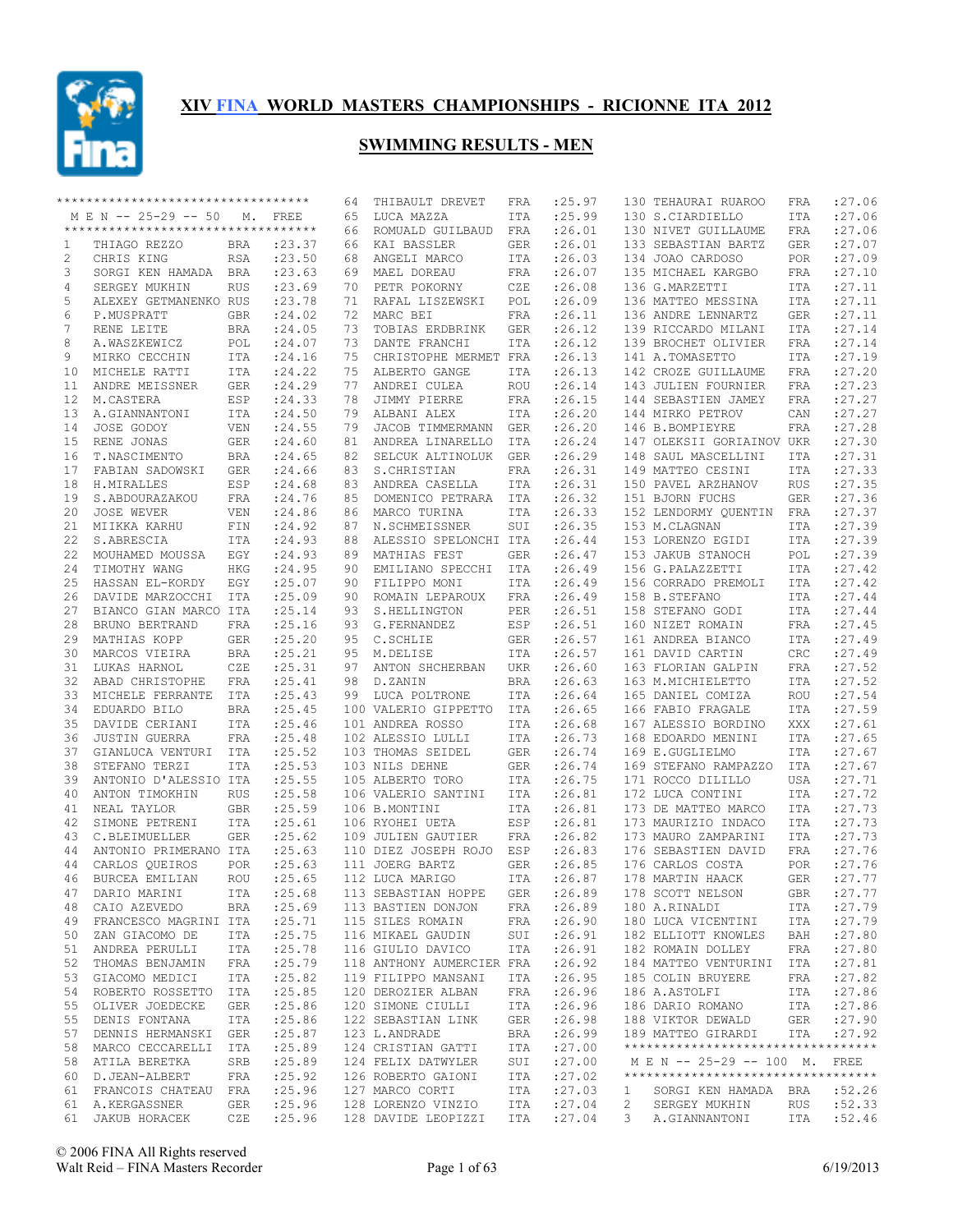

|    | **********************************  |             |         | 64 | THIBAULT DREVET           | FRA        | : 25.97     |             | 130 TEHAURAI RUAROO                 | FRA        | : 27.06     |
|----|-------------------------------------|-------------|---------|----|---------------------------|------------|-------------|-------------|-------------------------------------|------------|-------------|
|    | M E N -- 25-29 -- 50                | $M_{\star}$ | FREE    | 65 | LUCA MAZZA                | ITA        | :25.99      |             | 130 S.CIARDIELLO                    | ITA        | : 27.06     |
|    | *********************************** |             |         | 66 | ROMUALD GUILBAUD          | FRA        | :26.01      |             | 130 NIVET GUILLAUME                 | FRA        | :27.06      |
| 1  | THIAGO REZZO                        | BRA         | : 23.37 | 66 | KAI BASSLER               | <b>GER</b> | : 26.01     |             | 133 SEBASTIAN BARTZ                 | <b>GER</b> | :27.07      |
| 2  | CHRIS KING                          | RSA         | : 23.50 | 68 | ANGELI MARCO              | ITA        | :26.03      |             | 134 JOAO CARDOSO                    | POR        | :27.09      |
| 3  | SORGI KEN HAMADA BRA                |             | : 23.63 | 69 | MAEL DOREAU               | FRA        | : 26.07     |             | 135 MICHAEL KARGBO                  | FRA        | :27.10      |
| 4  | SERGEY MUKHIN                       | <b>RUS</b>  | : 23.69 | 70 | PETR POKORNY              | CZE        | :26.08      |             | 136 G.MARZETTI                      | <b>ITA</b> | : 27.11     |
| 5  | ALEXEY GETMANENKO RUS               |             | : 23.78 | 71 | RAFAL LISZEWSKI           | POL        | :26.09      |             | 136 MATTEO MESSINA                  | ITA        | : 27.11     |
| 6  | P.MUSPRATT                          | <b>GBR</b>  | : 24.02 | 72 | MARC BEI                  | FRA        | : 26.11     |             | 136 ANDRE LENNARTZ                  | <b>GER</b> | : 27.11     |
| 7  | RENE LEITE                          | BRA         | : 24.05 | 73 | TOBIAS ERDBRINK           | GER        | : 26.12     |             | 139 RICCARDO MILANI                 | ITA        | : 27.14     |
| 8  | A.WASZKEWICZ                        | POL         | : 24.07 | 73 | DANTE FRANCHI             | ITA        | : 26.12     |             | 139 BROCHET OLIVIER                 | FRA        | :27.14      |
| 9  | MIRKO CECCHIN                       | ITA         | : 24.16 | 75 | CHRISTOPHE MERMET FRA     |            | : 26.13     |             | 141 A.TOMASETTO                     | ITA        | :27.19      |
| 10 | MICHELE RATTI                       | ITA         | : 24.22 | 75 | ALBERTO GANGE             | ITA        | : 26.13     |             | 142 CROZE GUILLAUME                 | <b>FRA</b> | : 27.20     |
| 11 | ANDRE MEISSNER                      | GER         | : 24.29 | 77 | ANDREI CULEA              | ROU        | : 26.14     |             | 143 JULIEN FOURNIER                 | <b>FRA</b> | : 27.23     |
| 12 | M.CASTERA                           | ESP         | : 24.33 | 78 | JIMMY PIERRE              | FRA        | : 26.15     |             | 144 SEBASTIEN JAMEY                 | <b>FRA</b> | : 27.27     |
| 13 | A.GIANNANTONI                       | ITA         | : 24.50 | 79 | ALBANI ALEX               | ITA        | : 26.20     |             | 144 MIRKO PETROV                    | CAN        | : 27.27     |
| 14 | JOSE GODOY                          | <b>VEN</b>  | : 24.55 | 79 | JACOB TIMMERMANN GER      |            | : 26.20     |             | 146 B.BOMPIEYRE                     | <b>FRA</b> | : 27.28     |
| 15 | RENE JONAS                          | GER         | : 24.60 | 81 | ANDREA LINARELLO          | ITA        | : 26.24     |             | 147 OLEKSII GORIAINOV UKR           |            | : 27.30     |
| 16 | T.NASCIMENTO                        | BRA         | : 24.65 | 82 | SELCUK ALTINOLUK          | <b>GER</b> | : 26.29     |             | 148 SAUL MASCELLINI                 | <b>ITA</b> | : 27.31     |
| 17 | FABIAN SADOWSKI                     | GER         | : 24.66 | 83 | S.CHRISTIAN               | FRA        | : 26.31     |             | 149 MATTEO CESINI                   | <b>ITA</b> | : 27.33     |
| 18 | H.MIRALLES                          | ESP         | : 24.68 | 83 | ANDREA CASELLA            | ITA        | : 26.31     |             | 150 PAVEL ARZHANOV                  | <b>RUS</b> | : 27.35     |
| 19 | S.ABDOURAZAKOU                      | FRA         | : 24.76 | 85 | DOMENICO PETRARA          | ITA        | : 26.32     |             | 151 BJORN FUCHS                     | <b>GER</b> | :27.36      |
| 20 | JOSE WEVER                          | <b>VEN</b>  | : 24.86 | 86 | MARCO TURINA              | ITA        | : 26.33     |             | 152 LENDORMY QUENTIN                | FRA        | : 27.37     |
| 21 | MIIKKA KARHU                        | FIN         | :24.92  | 87 | N.SCHMEISSNER             | SUI        | : 26.35     |             | 153 M.CLAGNAN                       | ITA        | :27.39      |
| 22 | S.ABRESCIA                          | ITA         | : 24.93 | 88 | ALESSIO SPELONCHI ITA     |            | : 26.44     |             | 153 LORENZO EGIDI                   | ITA        | : 27.39     |
| 22 | MOUHAMED MOUSSA                     | EGY         | : 24.93 | 89 | MATHIAS FEST              | <b>GER</b> | : 26.47     |             | 153 JAKUB STANOCH                   | POL        | : 27.39     |
| 24 | TIMOTHY WANG                        | HKG         | : 24.95 | 90 | EMILIANO SPECCHI ITA      |            | :26.49      |             | 156 G.PALAZZETTI                    | ITA        | : 27.42     |
| 25 | HASSAN EL-KORDY                     | EGY         | : 25.07 | 90 | FILIPPO MONI              | ITA        | :26.49      |             | 156 CORRADO PREMOLI                 | ITA        | : 27.42     |
| 26 | DAVIDE MARZOCCHI                    | ITA         | : 25.09 | 90 | ROMAIN LEPAROUX           | FRA        | :26.49      |             | 158 B.STEFANO                       | ITA        | : 27.44     |
| 27 | BIANCO GIAN MARCO ITA               |             | : 25.14 | 93 | S.HELLINGTON              | PER        | :26.51      |             | 158 STEFANO GODI                    | ITA        | : 27.44     |
| 28 | BRUNO BERTRAND                      | FRA         | : 25.16 | 93 | G.FERNANDEZ               | ESP        | :26.51      |             | 160 NIZET ROMAIN                    | FRA        | : 27.45     |
| 29 | MATHIAS KOPP                        | GER         | : 25.20 | 95 | C.SCHLIE                  | GER        | : 26.57     |             | 161 ANDREA BIANCO                   | ITA        | : 27.49     |
| 30 | MARCOS VIEIRA                       | BRA         | : 25.21 | 95 | M.DELISE                  | ITA        | : 26.57     |             | 161 DAVID CARTIN                    | CRC        | : 27.49     |
| 31 | LUKAS HARNOL                        | CZE         | : 25.31 | 97 | ANTON SHCHERBAN           | UKR        | : 26.60     |             | 163 FLORIAN GALPIN                  | <b>FRA</b> | : 27.52     |
| 32 | ABAD CHRISTOPHE                     | FRA         | : 25.41 | 98 | D.ZANIN                   | BRA        | : 26.63     |             | 163 M.MICHIELETTO                   | ITA        | : 27.52     |
| 33 | MICHELE FERRANTE                    | ITA         | : 25.43 | 99 | LUCA POLTRONE             | ITA        | : 26.64     |             | 165 DANIEL COMIZA                   | ROU        | : 27.54     |
| 34 | EDUARDO BILO                        | BRA         | : 25.45 |    | 100 VALERIO GIPPETTO      | ITA        | : 26.65     |             | 166 FABIO FRAGALE                   | ITA        | :27.59      |
| 35 | DAVIDE CERIANI                      | ITA         | : 25.46 |    | 101 ANDREA ROSSO          | ITA        | : 26.68     |             | 167 ALESSIO BORDINO                 | XXX        | : 27.61     |
| 36 | <b>JUSTIN GUERRA</b>                | <b>FRA</b>  | : 25.48 |    | 102 ALESSIO LULLI         | ITA        | : 26.73     |             | 168 EDOARDO MENINI                  | <b>ITA</b> | : 27.65     |
| 37 | GIANLUCA VENTURI                    | ITA         | : 25.52 |    | 103 THOMAS SEIDEL         | <b>GER</b> | : 26.74     |             | 169 E.GUGLIELMO                     | <b>ITA</b> | : 27.67     |
| 38 | STEFANO TERZI                       | <b>ITA</b>  | : 25.53 |    | 103 NILS DEHNE            | <b>GER</b> | : 26.74     |             | 169 STEFANO RAMPAZZO                | ITA        | : 27.67     |
| 39 | ANTONIO D'ALESSIO ITA               |             | : 25.55 |    | 105 ALBERTO TORO          | ITA        | : 26.75     |             | 171 ROCCO DILILLO                   | <b>USA</b> | :27.71      |
| 40 | ANTON TIMOKHIN                      | <b>RUS</b>  | : 25.58 |    | 106 VALERIO SANTINI       | ITA        | : 26.81     |             | 172 LUCA CONTINI                    | <b>ITA</b> | : 27.72     |
| 41 | NEAL TAYLOR                         | <b>GBR</b>  | : 25.59 |    | 106 B.MONTINI             | ITA        | :26.81      |             | 173 DE MATTEO MARCO                 | <b>ITA</b> | : 27.73     |
| 42 | SIMONE PETRENI                      | ITA         | : 25.61 |    | 106 RYOHEI UETA           | ESP        | :26.81      |             | 173 MAURIZIO INDACO                 | <b>ITA</b> | :27.73      |
| 43 | C.BLEIMUELLER                       | GER         | : 25.62 |    | 109 JULIEN GAUTIER        | FRA        | :26.82      |             | 173 MAURO ZAMPARINI                 | <b>ITA</b> | : 27.73     |
| 44 | ANTONIO PRIMERANO ITA               |             | : 25.63 |    | 110 DIEZ JOSEPH ROJO ESP  |            | :26.83      |             | 176 SEBASTIEN DAVID                 | FRA        | : 27.76     |
| 44 | CARLOS QUEIROS                      | POR         | : 25.63 |    | 111 JOERG BARTZ           | GER        | :26.85      |             | 176 CARLOS COSTA                    | <b>POR</b> | :27.76      |
| 46 | BURCEA EMILIAN                      | <b>ROU</b>  | : 25.65 |    | 112 LUCA MARIGO           | ITA        | :26.87      |             | 178 MARTIN HAACK                    | <b>GER</b> | : 27.77     |
| 47 | DARIO MARINI                        | ITA         | : 25.68 |    | 113 SEBASTIAN HOPPE       |            | GER : 26.89 |             | 178 SCOTT NELSON                    |            | GBR : 27.77 |
| 48 | CAIO AZEVEDO                        | BRA         | : 25.69 |    | 113 BASTIEN DONJON        | FRA        | : 26.89     |             | 180 A.RINALDI                       | ITA        | : 27.79     |
|    | 49 FRANCESCO MAGRINI ITA            |             | : 25.71 |    | 115 SILES ROMAIN          | FRA        | :26.90      |             | 180 LUCA VICENTINI                  | ITA        | : 27.79     |
| 50 | ZAN GIACOMO DE                      | ITA         | : 25.75 |    | 116 MIKAEL GAUDIN         | SUI        | : 26.91     |             | 182 ELLIOTT KNOWLES                 | BAH        | :27.80      |
| 51 | ANDREA PERULLI                      | ITA         | : 25.78 |    | 116 GIULIO DAVICO         | ITA        | :26.91      |             | 182 ROMAIN DOLLEY                   | FRA        | : 27.80     |
| 52 | THOMAS BENJAMIN                     | FRA         | : 25.79 |    | 118 ANTHONY AUMERCIER FRA |            | : 26.92     |             | 184 MATTEO VENTURINI                | ITA        | : 27.81     |
| 53 | GIACOMO MEDICI                      | ITA         | : 25.82 |    | 119 FILIPPO MANSANI       | ITA        | : 26.95     |             | 185 COLIN BRUYERE                   | FRA        | : 27.82     |
| 54 | ROBERTO ROSSETTO ITA                |             | : 25.85 |    | 120 DEROZIER ALBAN        | FRA        | : 26.96     |             | 186 A.ASTOLFI                       | ITA        | : 27.86     |
| 55 | OLIVER JOEDECKE                     | GER         | : 25.86 |    | 120 SIMONE CIULLI         | ITA        | : 26.96     |             | 186 DARIO ROMANO                    | ITA        | : 27.86     |
| 55 | DENIS FONTANA                       | ITA         | : 25.86 |    | 122 SEBASTIAN LINK        | GER        | : 26.98     |             | 188 VIKTOR DEWALD                   | GER        | : 27.90     |
| 57 | DENNIS HERMANSKI                    | GER         | : 25.87 |    | 123 L.ANDRADE             | BRA        | : 26.99     |             | 189 MATTEO GIRARDI                  | ITA        | : 27.92     |
| 58 | MARCO CECCARELLI                    | ITA         | : 25.89 |    | 124 CRISTIAN GATTI        | ITA        | : 27.00     |             | **********************************  |            |             |
| 58 | ATILA BERETKA                       | SRB         | :25.89  |    | 124 FELIX DATWYLER        | SUI        | : 27.00     |             | M E N -- 25-29 -- 100 M. FREE       |            |             |
| 60 | D.JEAN-ALBERT                       | FRA         | : 25.92 |    | 126 ROBERTO GAIONI        | ITA        | : 27.02     |             | *********************************** |            |             |
| 61 | FRANCOIS CHATEAU FRA                |             | : 25.96 |    | 127 MARCO CORTI           | ITA        | : 27.03     | 1           | SORGI KEN HAMADA BRA                |            | :52.26      |
| 61 | A.KERGASSNER                        | GER         | : 25.96 |    | 128 LORENZO VINZIO        | ITA        | : 27.04     | 2           | SERGEY MUKHIN                       | <b>RUS</b> | :52.33      |
| 61 | JAKUB HORACEK                       | CZE         | : 25.96 |    | 128 DAVIDE LEOPIZZI       | ITA        | : 27.04     | $3^{\circ}$ | A.GIANNANTONI                       | ITA        | :52.46      |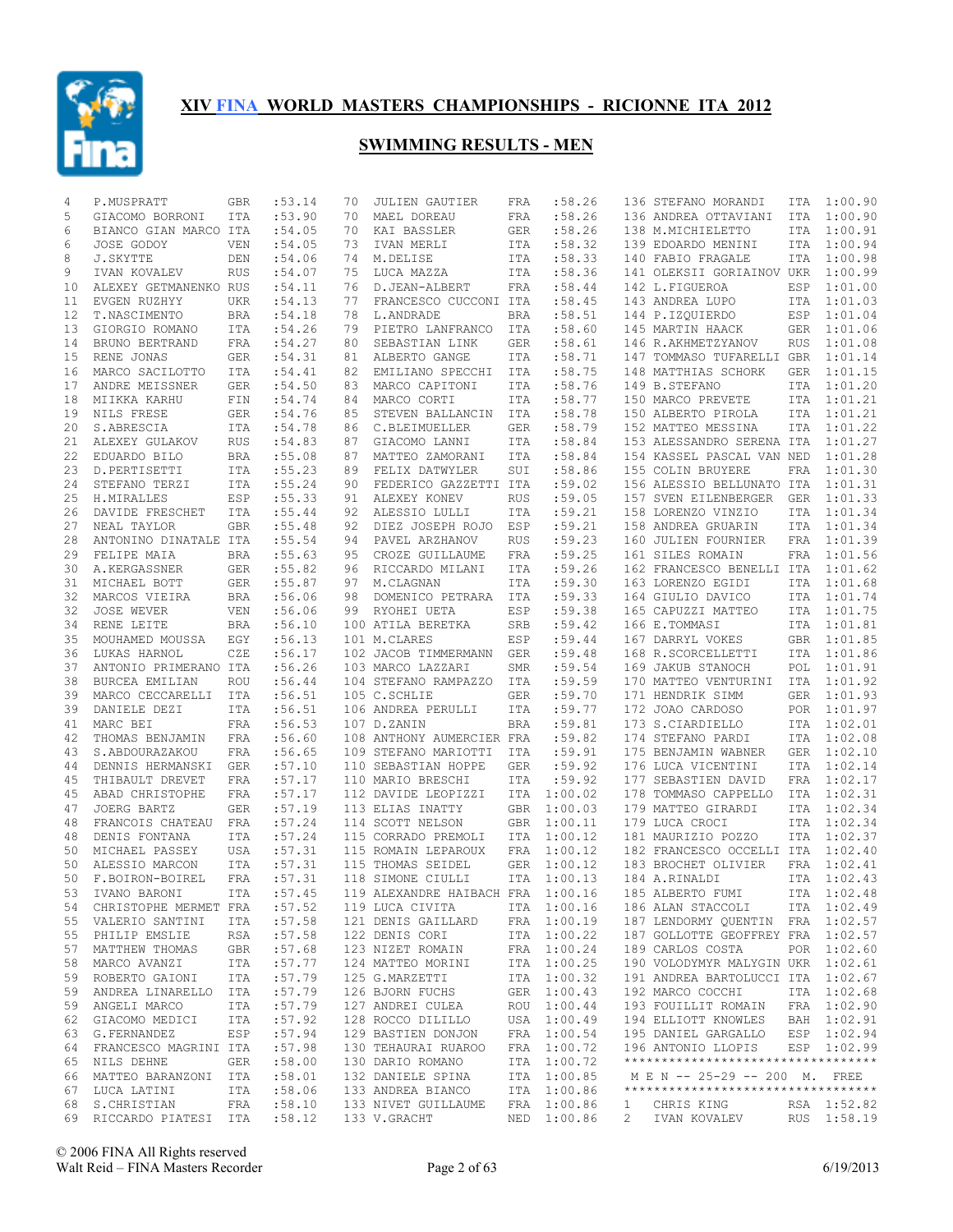

| 4        | P.MUSPRATT                              | GBR        | :53.14            | 70       | <b>JULIEN GAUTIER</b>                              | FRA        | :58.26                     |              | 136 STEFANO MORANDI                                                    | ITA        | 1:00.90                    |
|----------|-----------------------------------------|------------|-------------------|----------|----------------------------------------------------|------------|----------------------------|--------------|------------------------------------------------------------------------|------------|----------------------------|
| 5        | GIACOMO BORRONI                         | <b>ITA</b> | :53.90            | 70       | MAEL DOREAU                                        | FRA        | :58.26                     |              | 136 ANDREA OTTAVIANI                                                   | ITA        | 1:00.90                    |
| 6        | BIANCO GIAN MARCO ITA                   |            | :54.05            | 70       | KAI BASSLER                                        | <b>GER</b> | :58.26                     |              | 138 M.MICHIELETTO                                                      | ITA        | 1:00.91                    |
| 6        | JOSE GODOY                              | <b>VEN</b> | :54.05            | 73       | IVAN MERLI                                         | ITA        | :58.32                     |              | 139 EDOARDO MENINI                                                     | <b>ITA</b> | 1:00.94                    |
| 8        | J.SKYTTE                                | DEN        | :54.06            | 74       | M.DELISE                                           | ITA        | :58.33                     |              | 140 FABIO FRAGALE                                                      | ITA        | 1:00.98                    |
| 9        | IVAN KOVALEV                            | <b>RUS</b> | :54.07            | 75       | LUCA MAZZA                                         | ITA        | :58.36                     |              | 141 OLEKSII GORIAINOV UKR                                              |            | 1:00.99                    |
| 10       | ALEXEY GETMANENKO RUS                   |            | :54.11            | 76       | D.JEAN-ALBERT                                      | FRA        | :58.44                     |              | 142 L.FIGUEROA                                                         | ESP        | 1:01.00                    |
| 11       | EVGEN RUZHYY                            | UKR        | :54.13            | 77       | FRANCESCO CUCCONI ITA                              |            | :58.45                     |              | 143 ANDREA LUPO                                                        | ITA        | 1:01.03                    |
| 12       | T.NASCIMENTO                            | BRA        | :54.18            | 78       | L.ANDRADE                                          | BRA        | :58.51                     |              | 144 P.IZQUIERDO                                                        | ESP        | 1:01.04                    |
| 13       | GIORGIO ROMANO                          | ITA        | :54.26            | 79       | PIETRO LANFRANCO                                   | ITA        | :58.60                     |              | 145 MARTIN HAACK                                                       | <b>GER</b> | 1:01.06                    |
| 14       | BRUNO BERTRAND                          | FRA        | :54.27            | 80       | SEBASTIAN LINK                                     | GER        | :58.61                     |              | 146 R.AKHMETZYANOV                                                     | <b>RUS</b> | 1:01.08                    |
| 15       | RENE JONAS                              | GER        | :54.31            | 81       | ALBERTO GANGE                                      | ITA        | :58.71                     |              | 147 TOMMASO TUFARELLI GBR                                              |            | 1:01.14                    |
| 16       | MARCO SACILOTTO                         | <b>ITA</b> | :54.41            | 82       | EMILIANO SPECCHI                                   | ITA        | :58.75                     |              | 148 MATTHIAS SCHORK                                                    | <b>GER</b> | 1:01.15                    |
| 17       | ANDRE MEISSNER                          | GER        | :54.50            | 83       | MARCO CAPITONI                                     | ITA        | :58.76                     |              | 149 B.STEFANO                                                          | <b>ITA</b> | 1:01.20                    |
| 18       | MIIKKA KARHU                            | FIN        | :54.74            | 84       | MARCO CORTI                                        | ITA        | :58.77                     |              | 150 MARCO PREVETE                                                      | ITA        | 1:01.21                    |
| 19       | NILS FRESE                              | GER        | :54.76            | 85       | STEVEN BALLANCIN                                   | ITA        | :58.78                     |              | 150 ALBERTO PIROLA                                                     | ITA        | 1:01.21                    |
| 20       | S.ABRESCIA                              | ITA        | :54.78            | 86       | C.BLEIMUELLER                                      | <b>GER</b> | :58.79                     |              | 152 MATTEO MESSINA                                                     | ITA        | 1:01.22                    |
| 21       | ALEXEY GULAKOV                          | <b>RUS</b> | :54.83            | 87       | GIACOMO LANNI                                      | ITA        | :58.84                     |              | 153 ALESSANDRO SERENA ITA                                              |            | 1:01.27                    |
| 22<br>23 | EDUARDO BILO                            | <b>BRA</b> | :55.08            | 87<br>89 | MATTEO ZAMORANI                                    | ITA<br>SUI | :58.84                     |              | 154 KASSEL PASCAL VAN NED<br>155 COLIN BRUYERE                         | FRA        | 1:01.28<br>1:01.30         |
| 24       | D.PERTISETTI                            | ITA        | : 55.23<br>:55.24 | 90       | FELIX DATWYLER                                     |            | :58.86<br>:59.02           |              |                                                                        |            | 1:01.31                    |
| 25       | STEFANO TERZI<br>H.MIRALLES             | ITA<br>ESP | : 55.33           | 91       | FEDERICO GAZZETTI ITA<br>ALEXEY KONEV              | <b>RUS</b> | :59.05                     |              | 156 ALESSIO BELLUNATO ITA<br>157 SVEN EILENBERGER                      | <b>GER</b> | 1:01.33                    |
| 26       | DAVIDE FRESCHET                         | <b>ITA</b> | : 55.44           | 92       | ALESSIO LULLI                                      | <b>ITA</b> | :59.21                     |              | 158 LORENZO VINZIO                                                     | <b>ITA</b> | 1:01.34                    |
| 27       | NEAL TAYLOR                             | GBR        | :55.48            | 92       | DIEZ JOSEPH ROJO                                   | ESP        | :59.21                     |              | 158 ANDREA GRUARIN                                                     | <b>ITA</b> | 1:01.34                    |
| 28       | ANTONINO DINATALE ITA                   |            | :55.54            | 94       | PAVEL ARZHANOV                                     | <b>RUS</b> | :59.23                     |              | 160 JULIEN FOURNIER                                                    | <b>FRA</b> | 1:01.39                    |
| 29       | FELIPE MAIA                             | <b>BRA</b> | :55.63            | 95       | CROZE GUILLAUME                                    | FRA        | :59.25                     |              | 161 SILES ROMAIN                                                       | FRA        | 1:01.56                    |
| 30       | A.KERGASSNER                            | GER        | :55.82            | 96       | RICCARDO MILANI                                    | ITA        | :59.26                     |              | 162 FRANCESCO BENELLI ITA                                              |            | 1:01.62                    |
| 31       | MICHAEL BOTT                            | GER        | :55.87            | 97       | M.CLAGNAN                                          | ITA        | :59.30                     |              | 163 LORENZO EGIDI                                                      | ITA        | 1:01.68                    |
| 32       | MARCOS VIEIRA                           | BRA        | :56.06            | 98       | DOMENICO PETRARA                                   | ITA        | :59.33                     |              | 164 GIULIO DAVICO                                                      | ITA        | 1:01.74                    |
| 32       | JOSE WEVER                              | VEN        | :56.06            | 99       | RYOHEI UETA                                        | ESP        | :59.38                     |              | 165 CAPUZZI MATTEO                                                     | ITA        | 1:01.75                    |
| 34       | RENE LEITE                              | <b>BRA</b> | :56.10            |          | 100 ATILA BERETKA                                  | SRB        | :59.42                     |              | 166 E.TOMMASI                                                          | ITA        | 1:01.81                    |
| 35       | MOUHAMED MOUSSA                         | EGY        | :56.13            |          | 101 M.CLARES                                       | ESP        | :59.44                     |              | 167 DARRYL VOKES                                                       | GBR        | 1:01.85                    |
| 36       | LUKAS HARNOL                            | CZE        | :56.17            |          | 102 JACOB TIMMERMANN                               | GER        | :59.48                     |              | 168 R.SCORCELLETTI                                                     | ITA        | 1:01.86                    |
| 37       | ANTONIO PRIMERANO ITA                   |            | :56.26            |          | 103 MARCO LAZZARI                                  | SMR        | :59.54                     |              | 169 JAKUB STANOCH                                                      | POL        | 1:01.91                    |
| 38       | BURCEA EMILIAN                          | <b>ROU</b> | :56.44            |          | 104 STEFANO RAMPAZZO                               | ITA        | :59.59                     |              | 170 MATTEO VENTURINI                                                   | ITA        | 1:01.92                    |
| 39       | MARCO CECCARELLI                        | <b>ITA</b> | :56.51            |          | 105 C.SCHLIE                                       | GER        | :59.70                     |              | 171 HENDRIK SIMM                                                       | <b>GER</b> | 1:01.93                    |
| 39       | DANIELE DEZI                            | ITA        | :56.51            |          | 106 ANDREA PERULLI                                 | ITA        | :59.77                     |              | 172 JOAO CARDOSO                                                       | POR        | 1:01.97                    |
| 41       | MARC BEI                                | FRA        | :56.53            |          | 107 D.ZANIN                                        | <b>BRA</b> | :59.81                     |              | 173 S.CIARDIELLO                                                       |            | ITA 1:02.01                |
| 42       | THOMAS BENJAMIN                         | <b>FRA</b> | :56.60            |          | 108 ANTHONY AUMERCIER FRA                          |            | :59.82                     |              | 174 STEFANO PARDI                                                      | ITA        | 1:02.08                    |
| 43       | S.ABDOURAZAKOU                          | FRA        | :56.65            |          | 109 STEFANO MARIOTTI                               | ITA        | :59.91                     |              | 175 BENJAMIN WABNER                                                    | GER        | 1:02.10                    |
| 44       | DENNIS HERMANSKI                        | <b>GER</b> | :57.10            |          | 110 SEBASTIAN HOPPE                                | <b>GER</b> | :59.92                     |              | 176 LUCA VICENTINI                                                     | ITA        | 1:02.14                    |
| 45       | THIBAULT DREVET                         | FRA        | :57.17            |          | 110 MARIO BRESCHI                                  | ITA        | :59.92                     |              | 177 SEBASTIEN DAVID                                                    | FRA        | 1:02.17                    |
| 45       | ABAD CHRISTOPHE                         | FRA        | :57.17            |          | 112 DAVIDE LEOPIZZI                                | ITA        | 1:00.02                    |              | 178 TOMMASO CAPPELLO                                                   | ITA        | 1:02.31                    |
| 47       | JOERG BARTZ                             | <b>GER</b> | :57.19            |          | 113 ELIAS INATTY                                   | <b>GBR</b> | 1:00.03                    |              | 179 MATTEO GIRARDI                                                     | ITA        | 1:02.34                    |
| 48       | FRANCOIS CHATEAU                        | <b>FRA</b> | :57.24            |          | 114 SCOTT NELSON                                   | <b>GBR</b> | 1:00.11                    |              | 179 LUCA CROCI                                                         | ITA        | 1:02.34                    |
| 48       | DENIS FONTANA                           | ITA        | :57.24            |          | 115 CORRADO PREMOLI                                | ITA        | 1:00.12                    |              | 181 MAURIZIO POZZO                                                     |            | ITA 1:02.37                |
| 50       | MICHAEL PASSEY                          | USA        | :57.31            |          | 115 ROMAIN LEPAROUX                                | FRA        | 1:00.12                    |              | 182 FRANCESCO OCCELLI ITA                                              |            | 1:02.40                    |
| 50       | ALESSIO MARCON                          | <b>ITA</b> | :57.31            |          | 115 THOMAS SEIDEL                                  | <b>GER</b> | 1:00.12                    |              | 183 BROCHET OLIVIER                                                    | FRA        | 1:02.41                    |
| 50       | F.BOIRON-BOIREL                         | FRA        | :57.31            |          | 118 SIMONE CIULLI                                  | ITA        | 1:00.13                    |              | 184 A.RINALDI                                                          | <b>ITA</b> | 1:02.43                    |
|          | 53 IVANO BARONI                         | ITA        | :57.45            |          | 119 ALEXANDRE HAIBACH FRA 1:00.16 185 ALBERTO FUMI |            |                            |              |                                                                        |            | ITA 1:02.48                |
|          | 54 CHRISTOPHE MERMET FRA                |            | :57.52            |          | 119 LUCA CIVITA                                    |            | ITA 1:00.16                |              | 186 ALAN STACCOLI                                                      |            | ITA 1:02.49                |
|          | 55 VALERIO SANTINI                      | ITA        | :57.58            |          | 121 DENIS GAILLARD                                 |            | FRA 1:00.19                |              | 187 LENDORMY QUENTIN FRA 1:02.57                                       |            |                            |
|          | 55 PHILIP EMSLIE                        | RSA        | :57.58            |          | 122 DENIS CORI                                     |            | ITA 1:00.22                |              | 187 GOLLOTTE GEOFFREY FRA 1:02.57                                      |            |                            |
| 57       | MATTHEW THOMAS                          | GBR        | :57.68            |          | 123 NIZET ROMAIN                                   |            | FRA 1:00.24                |              | 189 CARLOS COSTA                                                       |            | POR 1:02.60                |
| 58       | MARCO AVANZI                            | ITA        | :57.77<br>:57.79  |          | 124 MATTEO MORINI                                  |            | ITA 1:00.25                |              | 190 VOLODYMYR MALYGIN UKR 1:02.61<br>191 ANDREA BARTOLUCCI ITA 1:02.67 |            |                            |
|          | 59 ROBERTO GAIONI                       | ITA        |                   |          | 125 G.MARZETTI                                     |            | ITA 1:00.32                |              |                                                                        |            |                            |
| 59       | ANDREA LINARELLO ITA<br>59 ANGELI MARCO |            | :57.79            |          | 126 BJORN FUCHS<br>127 ANDREI CULEA                |            | GER 1:00.43                |              | 192 MARCO COCCHI<br>193 FOUILLIT ROMAIN                                |            | ITA 1:02.68                |
| 62       | GIACOMO MEDICI                          | ITA<br>ITA | :57.79<br>:57.92  |          | 128 ROCCO DILILLO                                  |            | ROU 1:00.44<br>USA 1:00.49 |              | 194 ELLIOTT KNOWLES                                                    |            | FRA 1:02.90<br>BAH 1:02.91 |
| 63       | G.FERNANDEZ                             | ESP        | :57.94            |          | 129 BASTIEN DONJON                                 |            | FRA 1:00.54                |              | 195 DANIEL GARGALLO ESP 1:02.94                                        |            |                            |
| 64       | FRANCESCO MAGRINI ITA                   |            | :57.98            |          | 130 TEHAURAI RUAROO                                |            | FRA 1:00.72                |              | 196 ANTONIO LLOPIS                                                     |            | ESP 1:02.99                |
| 65       | NILS DEHNE                              | GER        | :58.00            |          | 130 DARIO ROMANO                                   |            | ITA 1:00.72                |              | **********************************                                     |            |                            |
| 66       | MATTEO BARANZONI                        | ITA        | :58.01            |          | 132 DANIELE SPINA                                  |            | ITA 1:00.85                |              | M E N -- 25-29 -- 200 M. FREE                                          |            |                            |
| 67       | LUCA LATINI                             | ITA        | :58.06            |          | 133 ANDREA BIANCO                                  |            | ITA 1:00.86                |              | **********************************                                     |            |                            |
| 68       | S.CHRISTIAN                             | FRA        | :58.10            |          | 133 NIVET GUILLAUME                                |            | FRA 1:00.86                | $\mathbf{1}$ | CHRIS KING                                                             |            | RSA 1:52.82                |
|          | 69 RICCARDO PIATESI ITA                 |            | :58.12            |          | 133 V.GRACHT                                       |            | NED 1:00.86                | 2            | IVAN KOVALEV                                                           |            | RUS 1:58.19                |
|          |                                         |            |                   |          |                                                    |            |                            |              |                                                                        |            |                            |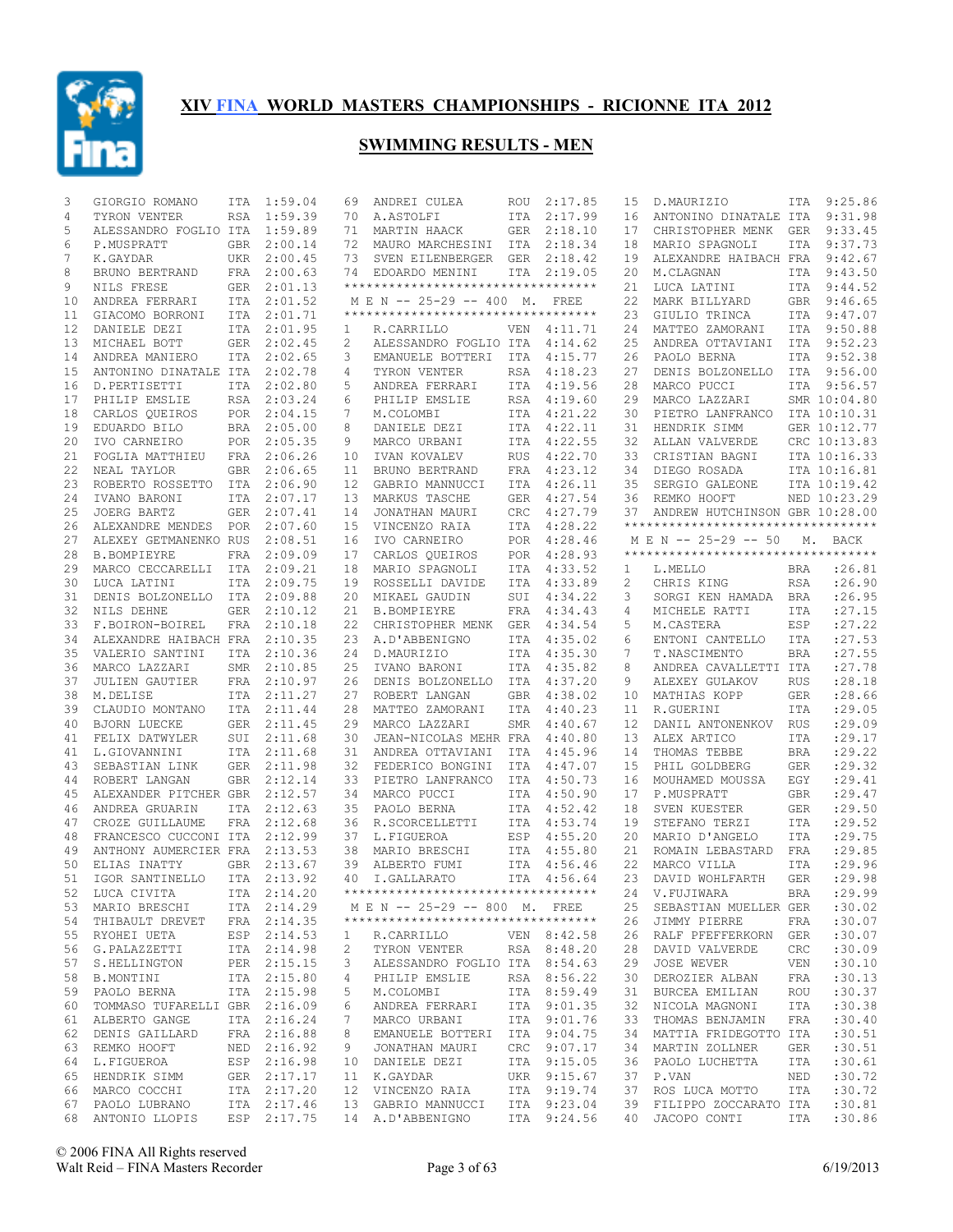

| 3        | GIORGIO ROMANO                   | ITA        | 1:59.04                    | 69                      | ANDREI CULEA                        | ROU               | 2:17.85                    | 15             | D.MAURIZIO                         | ITA                      | 9:25.86                      |
|----------|----------------------------------|------------|----------------------------|-------------------------|-------------------------------------|-------------------|----------------------------|----------------|------------------------------------|--------------------------|------------------------------|
| 4        | TYRON VENTER                     | <b>RSA</b> | 1:59.39                    | 70                      | A.ASTOLFI                           | ITA               | 2:17.99                    | 16             | ANTONINO DINATALE ITA              |                          | 9:31.98                      |
| 5        | ALESSANDRO FOGLIO ITA            |            | 1:59.89                    | 71                      | MARTIN HAACK                        | GER               | 2:18.10                    | 17             | CHRISTOPHER MENK                   | GER                      | 9:33.45                      |
| 6        | P.MUSPRATT                       | <b>GBR</b> | 2:00.14                    | 72                      | MAURO MARCHESINI ITA                |                   | 2:18.34                    | 18             | MARIO SPAGNOLI                     | ITA                      | 9:37.73                      |
| 7        | K.GAYDAR                         | UKR        | 2:00.45                    | 73                      | SVEN EILENBERGER GER                |                   | 2:18.42                    | 19             | ALEXANDRE HAIBACH FRA              |                          | 9:42.67                      |
| 8        | BRUNO BERTRAND                   | FRA        | 2:00.63                    | 74                      | EDOARDO MENINI                      | ITA               | 2:19.05                    | 20             | M.CLAGNAN                          | ITA                      | 9:43.50                      |
| 9        | NILS FRESE                       | GER        | 2:01.13                    |                         | **********************************  |                   |                            | 21             | LUCA LATINI                        |                          | ITA 9:44.52                  |
| 10       | ANDREA FERRARI                   | ITA        | 2:01.52                    |                         | M E N -- 25-29 -- 400 M.            |                   | FREE                       | 22             | MARK BILLYARD                      |                          | GBR 9:46.65                  |
| 11       | GIACOMO BORRONI                  |            | ITA 2:01.71                |                         | *********************************** |                   |                            | 23             | GIULIO TRINCA                      |                          | ITA 9:47.07                  |
| 12       | DANIELE DEZI                     | ITA        | 2:01.95                    | 1                       | R.CARRILLO                          | VEN               | 4:11.71                    | 24             | MATTEO ZAMORANI                    |                          | ITA 9:50.88                  |
| 13       | MICHAEL BOTT                     | GER        | 2:02.45                    | 2                       | ALESSANDRO FOGLIO ITA               |                   | 4:14.62                    | 25             | ANDREA OTTAVIANI                   |                          | ITA 9:52.23                  |
| 14       | ANDREA MANIERO                   | ITA        | 2:02.65                    | 3                       | EMANUELE BOTTERI                    | ITA               | 4:15.77                    | 26             | PAOLO BERNA                        |                          | ITA 9:52.38                  |
| 15       | ANTONINO DINATALE ITA            |            | 2:02.78                    | 4                       | TYRON VENTER                        | RSA               | 4:18.23                    | 27             | DENIS BOLZONELLO                   |                          | ITA 9:56.00                  |
| 16       | D.PERTISETTI                     | ITA        | 2:02.80                    | 5                       | ANDREA FERRARI                      | ITA               | 4:19.56                    | 28             | MARCO PUCCI                        |                          | ITA 9:56.57                  |
| 17       | PHILIP EMSLIE                    | RSA        | 2:03.24                    | 6                       | PHILIP EMSLIE                       | RSA               | 4:19.60                    | 29             | MARCO LAZZARI                      |                          | SMR 10:04.80                 |
| 18       | CARLOS QUEIROS                   | POR        | 2:04.15                    | 7                       | M.COLOMBI                           | ITA               | 4:21.22                    | 30             | PIETRO LANFRANCO                   |                          | ITA 10:10.31                 |
| 19       | EDUARDO BILO                     | BRA        | 2:05.00                    | 8                       | DANIELE DEZI                        |                   | ITA 4:22.11                | 31             | HENDRIK SIMM                       |                          | GER 10:12.77                 |
| 20       | IVO CARNEIRO                     | POR        | 2:05.35                    | 9                       | MARCO URBANI                        | ITA               | 4:22.55                    | 32             | ALLAN VALVERDE                     |                          | CRC 10:13.83                 |
| 21       | FOGLIA MATTHIEU                  | FRA        | 2:06.26                    | 10                      | IVAN KOVALEV                        | <b>RUS</b>        | 4:22.70                    | 33             | CRISTIAN BAGNI                     |                          | ITA 10:16.33                 |
| 22<br>23 | NEAL TAYLOR                      | GBR        | 2:06.65                    | 11<br>$12 \overline{ }$ | BRUNO BERTRAND                      | FRA               | 4:23.12                    | 34<br>35       | DIEGO ROSADA                       |                          | ITA 10:16.81                 |
| 24       | ROBERTO ROSSETTO<br>IVANO BARONI | ITA<br>ITA | 2:06.90<br>2:07.17         | 13                      | GABRIO MANNUCCI<br>MARKUS TASCHE    | <b>ITA</b><br>GER | 4:26.11<br>4:27.54         | 36             | SERGIO GALEONE<br>REMKO HOOFT      |                          | ITA 10:19.42<br>NED 10:23.29 |
| 25       | JOERG BARTZ                      | <b>GER</b> | 2:07.41                    | 14                      | JONATHAN MAURI                      | <b>CRC</b>        | 4:27.79                    | 37             | ANDREW HUTCHINSON GBR 10:28.00     |                          |                              |
| 26       | ALEXANDRE MENDES                 | <b>POR</b> | 2:07.60                    | 15                      | VINCENZO RAIA                       | <b>ITA</b>        | 4:28.22                    |                | ********************************** |                          |                              |
| 27       | ALEXEY GETMANENKO RUS            |            | 2:08.51                    | 16                      | IVO CARNEIRO                        |                   | POR 4:28.46                |                | M E N -- 25-29 -- 50 M. BACK       |                          |                              |
| 28       | <b>B.BOMPIEYRE</b>               | FRA        | 2:09.09                    | 17                      | CARLOS QUEIROS                      | POR               | 4:28.93                    |                | ********************************** |                          |                              |
| 29       | MARCO CECCARELLI                 | ITA        | 2:09.21                    | 18                      | MARIO SPAGNOLI                      | ITA               | 4:33.52                    | 1              | L.MELLO                            | BRA                      | : 26.81                      |
| 30       | LUCA LATINI                      | <b>ITA</b> | 2:09.75                    | 19                      | ROSSELLI DAVIDE                     | <b>ITA</b>        | 4:33.89                    | $\overline{c}$ | CHRIS KING                         | <b>RSA</b>               | : 26.90                      |
| 31       | DENIS BOLZONELLO                 | ITA        | 2:09.88                    | 20                      | MIKAEL GAUDIN                       | SUI               | 4:34.22                    | 3              | SORGI KEN HAMADA                   | BRA                      | : 26.95                      |
| 32       | NILS DEHNE                       | GER        | 2:10.12                    | 21                      | <b>B.BOMPIEYRE</b>                  | FRA               | 4:34.43                    | 4              | MICHELE RATTI                      | ITA                      | : 27.15                      |
| 33       | F.BOIRON-BOIREL                  | FRA        | 2:10.18                    | 22                      | CHRISTOPHER MENK                    | GER               | 4:34.54                    | 5              | M.CASTERA                          | ESP                      | : 27.22                      |
| 34       | ALEXANDRE HAIBACH FRA            |            | 2:10.35                    | 23                      | A.D'ABBENIGNO                       | ITA               | 4:35.02                    | 6              | ENTONI CANTELLO                    | <b>ITA</b>               | :27.53                       |
| 35       | VALERIO SANTINI                  | ITA        | 2:10.36                    | 24                      | D.MAURIZIO                          | ITA               | 4:35.30                    | 7              | T.NASCIMENTO                       | <b>BRA</b>               | :27.55                       |
| 36       | MARCO LAZZARI                    | SMR        | 2:10.85                    | 25                      | IVANO BARONI                        | ITA               | 4:35.82                    | 8              | ANDREA CAVALLETTI ITA              |                          | :27.78                       |
| 37       | <b>JULIEN GAUTIER</b>            |            | FRA 2:10.97                | 26                      | DENIS BOLZONELLO                    | ITA               | 4:37.20                    | 9              | ALEXEY GULAKOV                     | <b>RUS</b>               | :28.18                       |
| 38       | M.DELISE                         |            | ITA 2:11.27                | 27                      | ROBERT LANGAN                       | <b>GBR</b>        | 4:38.02                    | 10             | MATHIAS KOPP                       | <b>GER</b>               | :28.66                       |
| 39       | CLAUDIO MONTANO                  |            | ITA 2:11.44                | 28                      | MATTEO ZAMORANI                     | ITA               | 4:40.23                    | 11             | R.GUERINI                          | <b>ITA</b>               | :29.05                       |
| 40       | <b>BJORN LUECKE</b>              | GER        | 2:11.45                    | 29                      | MARCO LAZZARI                       | SMR               | 4:40.67                    | 12             | DANIL ANTONENKOV                   | <b>RUS</b>               | :29.09                       |
| 41       | FELIX DATWYLER                   | SUI        | 2:11.68                    | 30                      | JEAN-NICOLAS MEHR FRA               |                   | 4:40.80                    | 13             | ALEX ARTICO                        | <b>ITA</b>               | :29.17                       |
| 41       | L.GIOVANNINI                     |            | ITA 2:11.68                | 31                      | ANDREA OTTAVIANI                    | <b>ITA</b>        | 4:45.96                    | 14             | THOMAS TEBBE                       | <b>BRA</b>               | :29.22                       |
| 43       | SEBASTIAN LINK                   | GER        | 2:11.98                    | 32                      | FEDERICO BONGINI                    | ITA               | 4:47.07                    | 15             | PHIL GOLDBERG                      | <b>GER</b>               | : 29.32                      |
| 44       | ROBERT LANGAN                    | <b>GBR</b> | 2:12.14                    | 33                      | PIETRO LANFRANCO                    | ITA               | 4:50.73                    | 16             | MOUHAMED MOUSSA                    | EGY                      | :29.41                       |
| 45       | ALEXANDER PITCHER GBR 2:12.57    |            |                            | 34                      | MARCO PUCCI                         | ITA               | 4:50.90                    | 17             | P.MUSPRATT                         | <b>GBR</b>               | :29.47                       |
| 46       | ANDREA GRUARIN                   |            | ITA 2:12.63                | 35                      | PAOLO BERNA                         | <b>ITA</b>        | 4:52.42                    | 18             | SVEN KUESTER                       | <b>GER</b>               | :29.50                       |
| 47       | CROZE GUILLAUME                  |            | FRA 2:12.68                | 36                      | R. SCORCELLETTI                     | <b>ITA</b>        | 4:53.74                    | 19             | STEFANO TERZI                      | <b>ITA</b>               | : 29.52                      |
| 48       | FRANCESCO CUCCONI ITA            |            | 2:12.99                    | 37                      | L.FIGUEROA                          | ESP               | 4:55.20                    | 20             | MARIO D'ANGELO                     | <b>ITA</b>               | :29.75                       |
| 49       | ANTHONY AUMERCIER FRA 2:13.53    |            |                            | 38<br>39                | MARIO BRESCHI                       | ITA               | 4:55.80                    | 21<br>22       | ROMAIN LEBASTARD<br>MARCO VILLA    | FRA                      | :29.85                       |
| 50<br>51 | ELIAS INATTY<br>IGOR SANTINELLO  |            | GBR 2:13.67<br>ITA 2:13.92 | 40                      | ALBERTO FUMI<br>I.GALLARATO         |                   | ITA 4:56.46<br>ITA 4:56.64 | 23             | DAVID WOHLFARTH                    | <b>ITA</b><br><b>GER</b> | :29.96<br>:29.98             |
|          | 52 LUCA CIVITA                   |            | ITA 2:14.20                |                         | **********************************  |                   |                            |                | 24 V.FUJIWARA                      |                          | BRA :29.99                   |
|          | 53 MARIO BRESCHI                 |            | ITA 2:14.29                |                         | M E N -- 25-29 -- 800 M. FREE       |                   |                            | 25             | SEBASTIAN MUELLER GER              |                          | :30.02                       |
|          | 54 THIBAULT DREVET               |            | FRA 2:14.35                |                         | **********************************  |                   |                            |                | 26 JIMMY PIERRE                    | FRA                      | :30.07                       |
| 55       | RYOHEI UETA                      |            | ESP 2:14.53                | 1                       | R.CARRILLO                          |                   | VEN 8:42.58                | 26             | RALF PFEFFERKORN GER               |                          | :30.07                       |
|          | 56 G.PALAZZETTI                  |            | ITA 2:14.98                | 2                       | TYRON VENTER                        |                   | RSA 8:48.20                | 28             | DAVID VALVERDE                     | CRC                      | :30.09                       |
| 57       | S.HELLINGTON                     |            | PER 2:15.15                | 3                       | ALESSANDRO FOGLIO ITA 8:54.63       |                   |                            | 29             | JOSE WEVER                         | VEN                      | :30.10                       |
|          | 58 B.MONTINI                     |            | ITA 2:15.80                | 4                       | PHILIP EMSLIE                       |                   | RSA 8:56.22                | 30             | DEROZIER ALBAN                     | FRA                      | :30.13                       |
| 59       | PAOLO BERNA                      |            | ITA 2:15.98                | 5                       | M.COLOMBI                           |                   | ITA 8:59.49                | 31             | BURCEA EMILIAN                     | ROU                      | :30.37                       |
| 60       | TOMMASO TUFARELLI GBR 2:16.09    |            |                            | 6                       | ANDREA FERRARI                      |                   | ITA 9:01.35                | 32             | NICOLA MAGNONI                     | ITA                      | :30.38                       |
| 61       | ALBERTO GANGE                    |            | ITA 2:16.24                | 7                       | MARCO URBANI                        |                   | ITA 9:01.76                | 33             | THOMAS BENJAMIN                    | FRA                      | :30.40                       |
| 62       | DENIS GAILLARD                   |            | FRA 2:16.88                | 8                       | EMANUELE BOTTERI ITA 9:04.75        |                   |                            | 34             | MATTIA FRIDEGOTTO ITA              |                          | :30.51                       |
| 63       | REMKO HOOFT                      |            | NED 2:16.92                | 9                       | JONATHAN MAURI                      |                   | CRC 9:07.17                | 34             | MARTIN ZOLLNER                     | GER                      | :30.51                       |
| 64       | L.FIGUEROA                       |            | ESP 2:16.98                |                         | 10 DANIELE DEZI                     |                   | ITA 9:15.05                | 36             | PAOLO LUCHETTA                     | ITA                      | :30.61                       |
| 65       | HENDRIK SIMM                     |            | GER 2:17.17                |                         | 11 K.GAYDAR                         |                   | UKR 9:15.67                | 37             | P.VAN                              | NED                      | :30.72                       |
|          | 66 MARCO COCCHI                  |            | ITA 2:17.20                |                         | 12 VINCENZO RAIA                    |                   | ITA 9:19.74                | 37             | ROS LUCA MOTTO                     | ITA                      | :30.72                       |
| 67       | PAOLO LUBRANO                    |            | ITA 2:17.46                |                         | 13 GABRIO MANNUCCI                  |                   | ITA 9:23.04                | 39             | FILIPPO ZOCCARATO ITA              |                          | :30.81                       |
|          | 68 ANTONIO LLOPIS                |            | ESP 2:17.75                |                         | 14 A.D'ABBENIGNO                    |                   | ITA 9:24.56                | 40             | JACOPO CONTI                       | ITA                      | :30.86                       |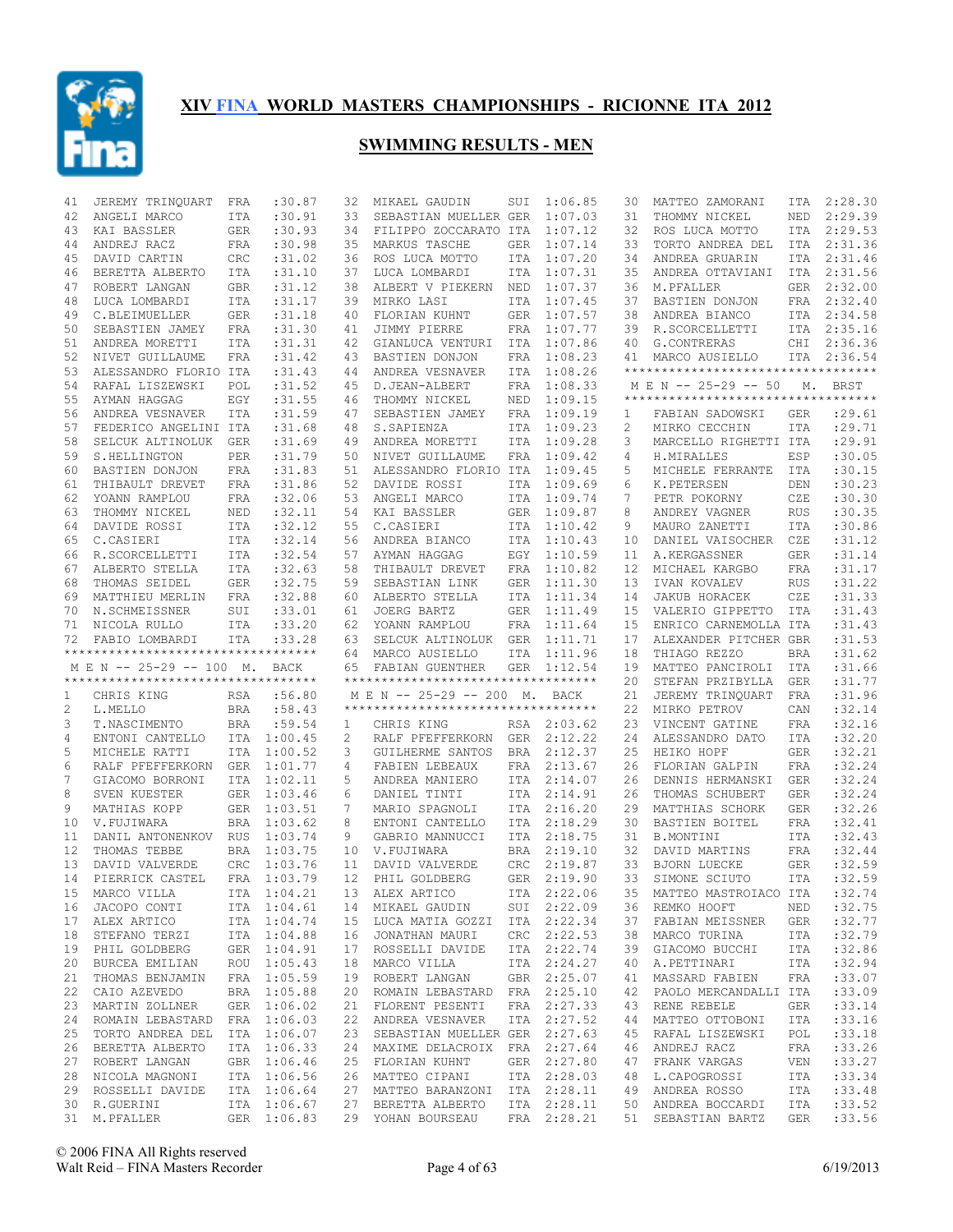

| 41 | JEREMY TRINQUART                    | FRA        | :30.87                     | 32              | MIKAEL GAUDIN                                       | SUI        | 1:06.85     | 30 | MATTEO ZAMORANI                          | ITA           | 2:28.30            |
|----|-------------------------------------|------------|----------------------------|-----------------|-----------------------------------------------------|------------|-------------|----|------------------------------------------|---------------|--------------------|
| 42 | ANGELI MARCO                        | ITA        | :30.91                     | 33              | SEBASTIAN MUELLER GER                               |            | 1:07.03     | 31 | THOMMY NICKEL                            | NED           | 2:29.39            |
| 43 | KAI BASSLER                         | <b>GER</b> | :30.93                     | 34              | FILIPPO ZOCCARATO ITA                               |            | 1:07.12     | 32 | ROS LUCA MOTTO                           |               | ITA 2:29.53        |
| 44 | ANDREJ RACZ                         | FRA        | :30.98                     | 35              | MARKUS TASCHE                                       | <b>GER</b> | 1:07.14     | 33 | TORTO ANDREA DEL                         | ITA           | 2:31.36            |
| 45 | DAVID CARTIN                        | CRC        | :31.02                     | 36              | ROS LUCA MOTTO                                      | ITA        | 1:07.20     | 34 | ANDREA GRUARIN                           | ITA           | 2:31.46            |
| 46 | BERETTA ALBERTO                     | ITA        | :31.10                     | 37              | LUCA LOMBARDI                                       | ITA        | 1:07.31     | 35 | ANDREA OTTAVIANI                         | ITA           | 2:31.56            |
|    |                                     |            |                            |                 | ALBERT V PIEKERN                                    |            |             |    |                                          |               |                    |
| 47 | ROBERT LANGAN                       | GBR        | :31.12                     | 38              |                                                     | NED        | 1:07.37     | 36 | M.PFALLER                                |               | GER 2:32.00        |
| 48 | LUCA LOMBARDI                       | ITA        | :31.17                     | 39              | MIRKO LASI                                          | ITA        | 1:07.45     | 37 | BASTIEN DONJON                           |               | FRA 2:32.40        |
| 49 | C.BLEIMUELLER                       | GER        | :31.18                     | 40              | FLORIAN KUHNT                                       | GER        | 1:07.57     | 38 | ANDREA BIANCO                            |               | ITA 2:34.58        |
| 50 | SEBASTIEN JAMEY                     | FRA        | :31.30                     | 41              | JIMMY PIERRE                                        | FRA        | 1:07.77     | 39 | R.SCORCELLETTI                           |               | ITA 2:35.16        |
| 51 | ANDREA MORETTI                      | ITA        | :31.31                     | 42              | GIANLUCA VENTURI                                    | ITA        | 1:07.86     | 40 | G.CONTRERAS                              | CHI           | 2:36.36            |
| 52 | NIVET GUILLAUME                     | FRA        | : 31.42                    | 43              | BASTIEN DONJON                                      | FRA        | 1:08.23     | 41 | MARCO AUSIELLO                           |               | ITA 2:36.54        |
| 53 | ALESSANDRO FLORIO ITA               |            | :31.43                     | 44              | ANDREA VESNAVER                                     | ITA        | 1:08.26     |    | **********************************       |               |                    |
| 54 | RAFAL LISZEWSKI                     | POL        | :31.52                     | 45              | D.JEAN-ALBERT                                       | FRA        | 1:08.33     |    | M E N -- 25-29 -- 50                     | $M_{\bullet}$ | BRST               |
| 55 | AYMAN HAGGAG                        | EGY        | :31.55                     | 46              | THOMMY NICKEL                                       | NED        | 1:09.15     |    | **********************************       |               |                    |
| 56 | ANDREA VESNAVER                     | ITA        | :31.59                     | 47              | SEBASTIEN JAMEY                                     | FRA        | 1:09.19     | 1  | FABIAN SADOWSKI                          | GER           | : 29.61            |
| 57 | FEDERICO ANGELINI ITA               |            | :31.68                     | 48              | S.SAPIENZA                                          | ITA        | 1:09.23     | 2  | MIRKO CECCHIN                            | <b>ITA</b>    | : 29.71            |
| 58 | SELCUK ALTINOLUK                    | GER        | :31.69                     | 49              | ANDREA MORETTI                                      | ITA        | 1:09.28     | 3  | MARCELLO RIGHETTI ITA                    |               | :29.91             |
| 59 | S.HELLINGTON                        | PER        | :31.79                     | 50              | NIVET GUILLAUME                                     | FRA        | 1:09.42     | 4  | H.MIRALLES                               | ESP           | :30.05             |
| 60 |                                     |            |                            | 51              | ALESSANDRO FLORIO ITA                               |            | 1:09.45     | 5  | MICHELE FERRANTE                         | ITA           | :30.15             |
|    | BASTIEN DONJON                      | FRA        | :31.83                     |                 |                                                     |            |             |    |                                          |               |                    |
| 61 | THIBAULT DREVET                     | FRA        | :31.86                     | 52              | DAVIDE ROSSI                                        | ITA        | 1:09.69     | 6  | K.PETERSEN                               | DEN           | :30.23             |
| 62 | YOANN RAMPLOU                       | FRA        | :32.06                     | 53              | ANGELI MARCO                                        | ITA        | 1:09.74     | 7  | PETR POKORNY                             | CZE           | :30.30             |
| 63 | THOMMY NICKEL                       | NED        | :32.11                     | 54              | KAI BASSLER                                         | GER        | 1:09.87     | 8  | ANDREY VAGNER                            | <b>RUS</b>    | :30.35             |
| 64 | DAVIDE ROSSI                        | ITA        | :32.12                     | 55              | C.CASIERI                                           | ITA        | 1:10.42     | 9  | MAURO ZANETTI                            | <b>ITA</b>    | :30.86             |
| 65 | C.CASIERI                           | ITA        | :32.14                     | 56              | ANDREA BIANCO                                       | ITA        | 1:10.43     | 10 | DANIEL VAISOCHER                         | CZE           | :31.12             |
| 66 | R.SCORCELLETTI                      | ITA        | :32.54                     | 57              | AYMAN HAGGAG                                        | EGY        | 1:10.59     | 11 | A.KERGASSNER                             | <b>GER</b>    | : 31.14            |
| 67 | ALBERTO STELLA                      | ITA        | :32.63                     | 58              | THIBAULT DREVET                                     | FRA        | 1:10.82     | 12 | MICHAEL KARGBO                           | FRA           | :31.17             |
| 68 | THOMAS SEIDEL                       | GER        | :32.75                     | 59              | SEBASTIAN LINK                                      | <b>GER</b> | 1:11.30     | 13 | IVAN KOVALEV                             | <b>RUS</b>    | :31.22             |
| 69 | MATTHIEU MERLIN                     | FRA        | :32.88                     | 60              | ALBERTO STELLA                                      | ITA        | 1:11.34     | 14 | JAKUB HORACEK                            | CZE           | : 31.33            |
| 70 | N.SCHMEISSNER                       | SUI        | : 33.01                    | 61              | JOERG BARTZ                                         | <b>GER</b> | 1:11.49     | 15 | VALERIO GIPPETTO ITA                     |               | : 31.43            |
| 71 | NICOLA RULLO                        | ITA        | :33.20                     | 62              | YOANN RAMPLOU                                       | FRA        | 1:11.64     | 15 | ENRICO CARNEMOLLA ITA                    |               | : 31.43            |
| 72 | FABIO LOMBARDI                      | ITA        | : 33.28                    | 63              | SELCUK ALTINOLUK GER                                |            | 1:11.71     | 17 | ALEXANDER PITCHER GBR                    |               | : 31.53            |
|    |                                     |            |                            |                 |                                                     |            |             |    |                                          |               |                    |
|    |                                     |            |                            |                 |                                                     |            |             |    |                                          |               |                    |
|    | **********************************  |            |                            | 64              | MARCO AUSIELLO                                      | ITA        | 1:11.96     | 18 | THIAGO REZZO                             | BRA           | :31.62             |
|    | M E N -- 25-29 -- 100 M. BACK       |            |                            |                 | 65 FABIAN GUENTHER                                  | <b>GER</b> | 1:12.54     | 19 | MATTEO PANCIROLI                         | ITA           | :31.66             |
|    | *********************************** |            |                            |                 | **********************************                  |            |             | 20 | STEFAN PRZIBYLLA                         | GER           | : 31.77            |
| 1  | CHRIS KING                          | RSA        | :56.80                     |                 | M E N -- 25-29 -- 200 M.                            |            | BACK        | 21 | JEREMY TRINQUART                         | FRA           | :31.96             |
| 2  | L.MELLO                             | BRA        | :58.43                     |                 | ***********************************                 |            |             | 22 | MIRKO PETROV                             | CAN           | :32.14             |
| 3  | T.NASCIMENTO                        | BRA        | :59.54                     | $\mathbf{1}$    | CHRIS KING                                          |            | RSA 2:03.62 | 23 | VINCENT GATINE                           | <b>FRA</b>    | :32.16             |
| 4  | ENTONI CANTELLO                     |            | ITA 1:00.45                | 2               | RALF PFEFFERKORN                                    | GER        | 2:12.22     | 24 | ALESSANDRO DATO                          | <b>ITA</b>    | :32.20             |
| 5  | MICHELE RATTI                       |            | ITA 1:00.52                | 3               | GUILHERME SANTOS                                    | BRA        | 2:12.37     | 25 | HEIKO HOPF                               | <b>GER</b>    | :32.21             |
| 6  | RALF PFEFFERKORN                    |            | GER 1:01.77                | 4               | FABIEN LEBEAUX                                      | FRA        | 2:13.67     | 26 | FLORIAN GALPIN                           | <b>FRA</b>    | :32.24             |
| 7  | GIACOMO BORRONI                     |            | ITA 1:02.11                | 5               | ANDREA MANIERO                                      |            | ITA 2:14.07 | 26 | DENNIS HERMANSKI                         | <b>GER</b>    | :32.24             |
| 8  | SVEN KUESTER                        |            | GER 1:03.46                | 6               | DANIEL TINTI                                        | ITA        | 2:14.91     | 26 | THOMAS SCHUBERT                          | <b>GER</b>    | :32.24             |
| 9  |                                     |            |                            | $7\phantom{.0}$ |                                                     |            | 2:16.20     | 29 |                                          |               |                    |
|    | MATHIAS KOPP                        |            | GER 1:03.51                |                 | MARIO SPAGNOLI                                      | ITA        |             |    | MATTHIAS SCHORK                          | <b>GER</b>    | :32.26             |
| 10 | V.FUJIWARA                          |            | BRA 1:03.62                | 8               | ENTONI CANTELLO                                     | ITA        | 2:18.29     | 30 | BASTIEN BOITEL                           | FRA           | :32.41             |
| 11 | DANIL ANTONENKOV RUS 1:03.74        |            |                            | 9               | GABRIO MANNUCCI                                     | ITA        | 2:18.75     | 31 | B.MONTINI                                | <b>ITA</b>    | :32.43             |
| 12 | THOMAS TEBBE                        |            | BRA 1:03.75                | 10              | V.FUJIWARA                                          | <b>BRA</b> | 2:19.10     | 32 | DAVID MARTINS                            | FRA           | :32.44             |
| 13 | DAVID VALVERDE                      |            | CRC 1:03.76                | 11              | DAVID VALVERDE                                      | <b>CRC</b> | 2:19.87     | 33 | BJORN LUECKE                             | <b>GER</b>    | :32.59             |
| 14 | PIERRICK CASTEL                     |            | FRA 1:03.79                | 12 <sup>°</sup> | PHIL GOLDBERG                                       |            | GER 2:19.90 | 33 | SIMONE SCIUTO                            | ITA           | :32.59             |
|    | 15 MARCO VILLA                      |            |                            |                 | ITA 1:04.21 13 ALEX ARTICO                          |            | ITA 2:22.06 |    | 35 MATTEO MASTROIACO ITA :32.74          |               |                    |
| 16 | JACOPO CONTI                        |            | ITA 1:04.61                |                 | 14 MIKAEL GAUDIN                                    |            | SUI 2:22.09 |    | 36 REMKO HOOFT NED                       |               | :32.75             |
|    | 17 ALEX ARTICO                      |            | ITA 1:04.74                |                 | 15 LUCA MATIA GOZZI ITA 2:22.34                     |            |             | 37 | FABIAN MEISSNER                          | GER           | :32.77             |
| 18 | STEFANO TERZI                       |            | ITA 1:04.88                |                 | 16 JONATHAN MAURI                                   |            | CRC 2:22.53 | 38 | MARCO TURINA                             | ITA           | :32.79             |
|    | 19 PHIL GOLDBERG                    |            | GER 1:04.91                |                 | 17 ROSSELLI DAVIDE                                  |            | ITA 2:22.74 | 39 | GIACOMO BUCCHI                           | ITA           | :32.86             |
| 20 | BURCEA EMILIAN                      |            | ROU 1:05.43                |                 | 18 MARCO VILLA                                      |            | ITA 2:24.27 | 40 | A.PETTINARI                              | ITA           | :32.94             |
|    | 21 THOMAS BENJAMIN                  |            | FRA 1:05.59                |                 | 19 ROBERT LANGAN                                    |            | GBR 2:25.07 | 41 | MASSARD FABIEN                           | FRA           | : 33.07            |
| 22 | CAIO AZEVEDO                        |            | BRA 1:05.88                |                 | 20 ROMAIN LEBASTARD FRA 2:25.10                     |            |             | 42 | PAOLO MERCANDALLI ITA                    |               | :33.09             |
|    |                                     |            |                            |                 | 21 FLORENT PESENTI                                  |            | FRA 2:27.33 | 43 | RENE REBELE                              | GER           | :33.14             |
|    | 23 MARTIN ZOLLNER                   |            | GER 1:06.02                |                 |                                                     |            |             | 44 |                                          |               |                    |
| 24 | ROMAIN LEBASTARD FRA 1:06.03        |            |                            |                 | 22 ANDREA VESNAVER                                  |            | ITA 2:27.52 |    | MATTEO OTTOBONI                          | ITA           | : 33.16            |
| 25 | TORTO ANDREA DEL                    |            | ITA 1:06.07                |                 | 23 SEBASTIAN MUELLER GER 2:27.63                    |            |             | 45 | RAFAL LISZEWSKI                          | POL           | : 33.18            |
|    | 26 BERETTA ALBERTO                  |            | ITA 1:06.33                |                 | 24 MAXIME DELACROIX FRA 2:27.64                     |            |             | 46 | ANDREJ RACZ                              | FRA           | :33.26             |
|    | 27 ROBERT LANGAN                    |            | GBR 1:06.46                |                 | 25 FLORIAN KUHNT                                    |            | GER 2:27.80 | 47 | FRANK VARGAS                             | VEN           | :33.27             |
| 28 | NICOLA MAGNONI                      |            | ITA 1:06.56                |                 | 26 MATTEO CIPANI                                    |            | ITA 2:28.03 | 48 | L.CAPOGROSSI                             | ITA           | :33.34             |
|    | 29 ROSSELLI DAVIDE                  |            | ITA 1:06.64                |                 | 27 MATTEO BARANZONI ITA 2:28.11                     |            |             | 49 | ANDREA ROSSO                             | ITA           | :33.48             |
|    | 30 R.GUERINI<br>31 M.PFALLER        |            | ITA 1:06.67<br>GER 1:06.83 |                 | 27 BERETTA ALBERTO<br>29 YOHAN BOURSEAU FRA 2:28.21 |            | ITA 2:28.11 |    | 50 ANDREA BOCCARDI<br>51 SEBASTIAN BARTZ | ITA<br>GER    | : 33.52<br>: 33.56 |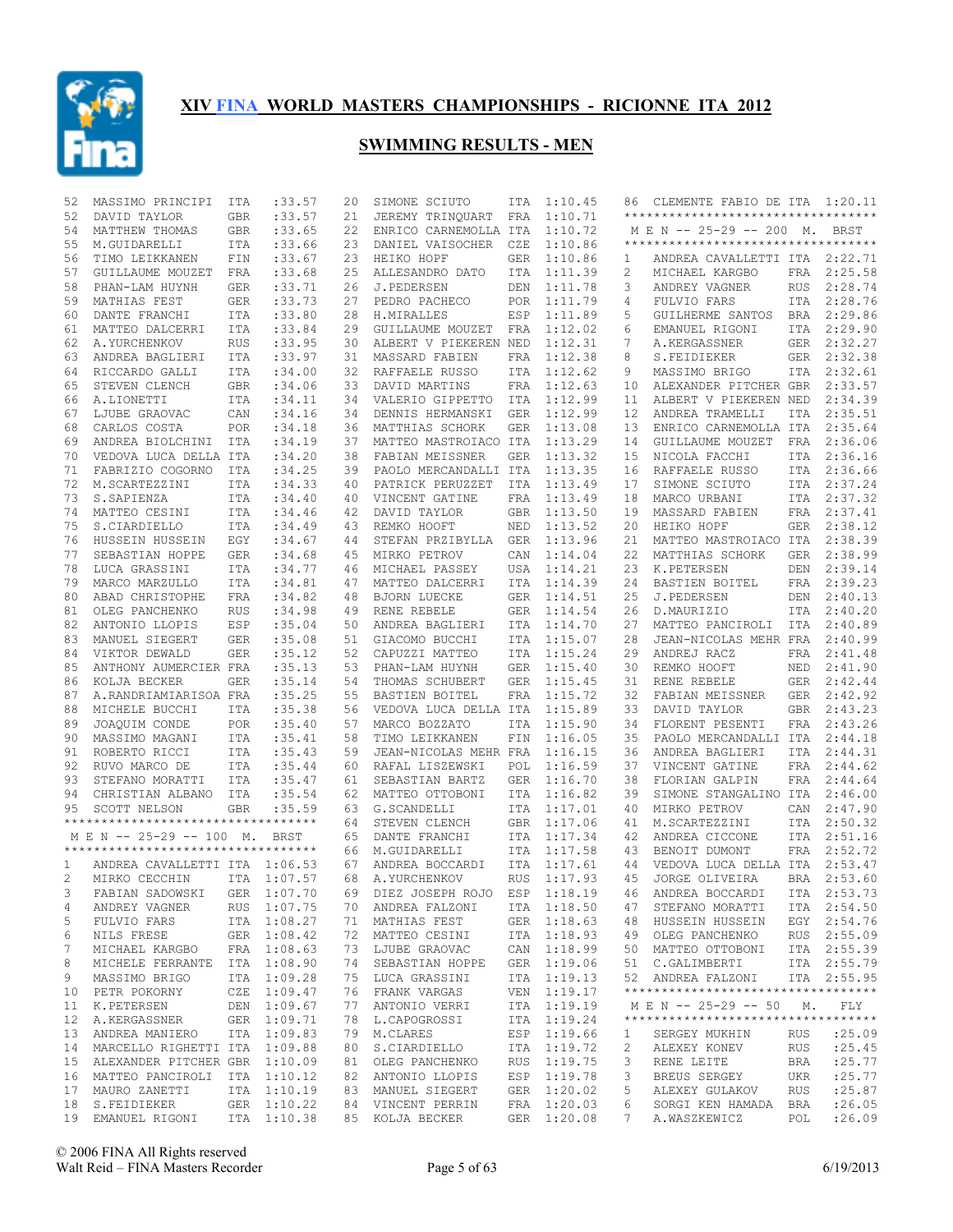

| 52          | MASSIMO PRINCIPI                    | ITA        | : 33.57     | 20 | SIMONE SCIUTO                   | ITA        | 1:10.45     | 86 | CLEMENTE FABIO DE ITA 1:20.11       |            |             |
|-------------|-------------------------------------|------------|-------------|----|---------------------------------|------------|-------------|----|-------------------------------------|------------|-------------|
| 52          | DAVID TAYLOR                        | <b>GBR</b> | : 33.57     | 21 | JEREMY TRINQUART                | FRA        | 1:10.71     |    | **********************************  |            |             |
| 54          | MATTHEW THOMAS                      | GBR        | :33.65      | 22 | ENRICO CARNEMOLLA ITA           |            | 1:10.72     |    | M E N -- 25-29 -- 200 M. BRST       |            |             |
| 55          | M.GUIDARELLI                        | ITA        | : 33.66     | 23 | DANIEL VAISOCHER                | CZE        | 1:10.86     |    | *********************************** |            |             |
| 56          | TIMO LEIKKANEN                      | FIN        | : 33.67     | 23 | HEIKO HOPF                      | <b>GER</b> | 1:10.86     | 1  | ANDREA CAVALLETTI ITA 2:22.71       |            |             |
| 57          | GUILLAUME MOUZET                    | FRA        | : 33.68     | 25 | ALLESANDRO DATO                 | ITA        | 1:11.39     | 2  | MICHAEL KARGBO                      | FRA        | 2:25.58     |
| 58          | PHAN-LAM HUYNH                      | GER        | : 33.71     | 26 | J.PEDERSEN                      | DEN        | 1:11.78     | 3  | ANDREY VAGNER                       | <b>RUS</b> | 2:28.74     |
| 59          | MATHIAS FEST                        | GER        | : 33.73     | 27 | PEDRO PACHECO                   | POR        | 1:11.79     | 4  | FULVIO FARS                         | ITA        | 2:28.76     |
| 60          | DANTE FRANCHI                       | ITA        | :33.80      | 28 | H.MIRALLES                      | ESP        | 1:11.89     | 5  | GUILHERME SANTOS                    | BRA        | 2:29.86     |
| 61          | MATTEO DALCERRI                     | ITA        | :33.84      | 29 | GUILLAUME MOUZET                | FRA        | 1:12.02     | 6  | EMANUEL RIGONI                      | ITA        | 2:29.90     |
| 62          | A.YURCHENKOV                        | RUS        | :33.95      | 30 | ALBERT V PIEKEREN NED           |            | 1:12.31     | 7  | A.KERGASSNER                        | GER        | 2:32.27     |
| 63          | ANDREA BAGLIERI                     | ITA        | : 33.97     | 31 | MASSARD FABIEN                  | FRA        | 1:12.38     | 8  | S.FEIDIEKER                         | GER        | 2:32.38     |
| 64          | RICCARDO GALLI                      | ITA        | :34.00      | 32 | RAFFAELE RUSSO                  | ITA        | 1:12.62     | 9  | MASSIMO BRIGO                       |            | ITA 2:32.61 |
| 65          | STEVEN CLENCH                       | <b>GBR</b> | :34.06      | 33 | DAVID MARTINS                   | FRA        | 1:12.63     | 10 | ALEXANDER PITCHER GBR               |            | 2:33.57     |
| 66          | A.LIONETTI                          | <b>ITA</b> | : 34.11     | 34 | VALERIO GIPPETTO                | ITA        | 1:12.99     | 11 | ALBERT V PIEKEREN NED               |            | 2:34.39     |
| 67          | LJUBE GRAOVAC                       | CAN        | :34.16      | 34 | DENNIS HERMANSKI                | <b>GER</b> | 1:12.99     | 12 | ANDREA TRAMELLI                     | <b>ITA</b> | 2:35.51     |
| 68          | CARLOS COSTA                        | <b>POR</b> | :34.18      | 36 | MATTHIAS SCHORK                 | <b>GER</b> | 1:13.08     | 13 | ENRICO CARNEMOLLA ITA               |            | 2:35.64     |
| 69          | ANDREA BIOLCHINI                    | ITA        | :34.19      | 37 | MATTEO MASTROIACO ITA           |            | 1:13.29     | 14 | GUILLAUME MOUZET                    | FRA        | 2:36.06     |
| 70          | VEDOVA LUCA DELLA ITA               |            | :34.20      | 38 | FABIAN MEISSNER                 | <b>GER</b> | 1:13.32     | 15 | NICOLA FACCHI                       | ITA        | 2:36.16     |
| 71          | FABRIZIO COGORNO                    | ITA        | :34.25      | 39 | PAOLO MERCANDALLI ITA           |            | 1:13.35     | 16 | RAFFAELE RUSSO                      | ITA        | 2:36.66     |
| 72          |                                     | ITA        | :34.33      | 40 | PATRICK PERUZZET                | ITA        | 1:13.49     | 17 | SIMONE SCIUTO                       |            | ITA 2:37.24 |
| 73          | M.SCARTEZZINI                       |            |             | 40 |                                 | <b>FRA</b> | 1:13.49     | 18 |                                     |            | 2:37.32     |
|             | S.SAPIENZA                          | <b>ITA</b> | :34.40      |    | VINCENT GATINE                  |            |             |    | MARCO URBANI                        | ITA        |             |
| 74          | MATTEO CESINI                       | <b>ITA</b> | : 34.46     | 42 | DAVID TAYLOR                    | <b>GBR</b> | 1:13.50     | 19 | MASSARD FABIEN                      | FRA        | 2:37.41     |
| 75          | S.CIARDIELLO                        | ITA        | :34.49      | 43 | REMKO HOOFT                     | NED        | 1:13.52     | 20 | HEIKO HOPF                          | GER        | 2:38.12     |
| 76          | HUSSEIN HUSSEIN                     | EGY        | :34.67      | 44 | STEFAN PRZIBYLLA                | <b>GER</b> | 1:13.96     | 21 | MATTEO MASTROIACO ITA               |            | 2:38.39     |
| 77          | SEBASTIAN HOPPE                     | GER        | :34.68      | 45 | MIRKO PETROV                    | CAN        | 1:14.04     | 22 | MATTHIAS SCHORK                     | <b>GER</b> | 2:38.99     |
| 78          | LUCA GRASSINI                       | <b>ITA</b> | : 34.77     | 46 | MICHAEL PASSEY                  | USA        | 1:14.21     | 23 | K.PETERSEN                          | DEN        | 2:39.14     |
| 79          | MARCO MARZULLO                      | ITA        | :34.81      | 47 | MATTEO DALCERRI                 | ITA        | 1:14.39     | 24 | BASTIEN BOITEL                      | FRA        | 2:39.23     |
| 80          | ABAD CHRISTOPHE                     | <b>FRA</b> | :34.82      | 48 | BJORN LUECKE                    | GER        | 1:14.51     | 25 | J.PEDERSEN                          | DEN        | 2:40.13     |
| 81          | OLEG PANCHENKO                      | <b>RUS</b> | :34.98      | 49 | RENE REBELE                     | <b>GER</b> | 1:14.54     | 26 | D.MAURIZIO                          | ITA        | 2:40.20     |
| 82          | ANTONIO LLOPIS                      | ESP        | : 35.04     | 50 | ANDREA BAGLIERI                 | ITA        | 1:14.70     | 27 | MATTEO PANCIROLI                    | ITA        | 2:40.89     |
| 83          | MANUEL SIEGERT                      | GER        | :35.08      | 51 | GIACOMO BUCCHI                  | ITA        | 1:15.07     | 28 | JEAN-NICOLAS MEHR FRA               |            | 2:40.99     |
| 84          | VIKTOR DEWALD                       | <b>GER</b> | : 35.12     | 52 | CAPUZZI MATTEO                  | <b>ITA</b> | 1:15.24     | 29 | ANDREJ RACZ                         | FRA        | 2:41.48     |
| 85          | ANTHONY AUMERCIER FRA               |            | :35.13      | 53 | PHAN-LAM HUYNH                  | <b>GER</b> | 1:15.40     | 30 | REMKO HOOFT                         | NED        | 2:41.90     |
| 86          | KOLJA BECKER                        | <b>GER</b> | : 35.14     | 54 | THOMAS SCHUBERT                 | GER        | 1:15.45     | 31 | RENE REBELE                         | GER        | 2:42.44     |
| 87          | A.RANDRIAMIARISOA FRA               |            | :35.25      | 55 | BASTIEN BOITEL                  | FRA        | 1:15.72     | 32 | FABIAN MEISSNER                     | GER        | 2:42.92     |
| 88          | MICHELE BUCCHI                      | ITA        | :35.38      | 56 | VEDOVA LUCA DELLA ITA           |            | 1:15.89     | 33 | DAVID TAYLOR                        | GBR        | 2:43.23     |
| 89          | JOAQUIM CONDE                       | <b>POR</b> | :35.40      | 57 | MARCO BOZZATO                   | <b>ITA</b> | 1:15.90     | 34 | FLORENT PESENTI                     |            | FRA 2:43.26 |
| 90          | MASSIMO MAGANI                      | ITA        | : 35.41     | 58 | TIMO LEIKKANEN                  | FIN        | 1:16.05     | 35 | PAOLO MERCANDALLI ITA               |            | 2:44.18     |
| 91          | ROBERTO RICCI                       | ITA        | :35.43      | 59 | JEAN-NICOLAS MEHR FRA           |            | 1:16.15     | 36 | ANDREA BAGLIERI                     | ITA        | 2:44.31     |
| 92          | RUVO MARCO DE                       | ITA        | : 35.44     | 60 | RAFAL LISZEWSKI                 | POL        | 1:16.59     | 37 | VINCENT GATINE                      | FRA        | 2:44.62     |
| 93          | STEFANO MORATTI                     | ITA        | : 35.47     | 61 | SEBASTIAN BARTZ                 | <b>GER</b> | 1:16.70     | 38 | FLORIAN GALPIN                      | FRA        | 2:44.64     |
| 94          | CHRISTIAN ALBANO                    | ITA        | : 35.54     | 62 | MATTEO OTTOBONI                 | ITA        | 1:16.82     | 39 | SIMONE STANGALINO ITA               |            | 2:46.00     |
| 95          | SCOTT NELSON                        | <b>GBR</b> | :35.59      | 63 | G.SCANDELLI                     | <b>ITA</b> | 1:17.01     | 40 | MIRKO PETROV                        | CAN        | 2:47.90     |
|             | *********************************** |            |             | 64 | STEVEN CLENCH                   | <b>GBR</b> | 1:17.06     | 41 | M.SCARTEZZINI                       | ITA        | 2:50.32     |
|             | M E N -- 25-29 -- 100 M.            |            | BRST        | 65 | DANTE FRANCHI                   | ITA        | 1:17.34     | 42 | ANDREA CICCONE                      |            | ITA 2:51.16 |
|             | **********************************  |            |             | 66 | M.GUIDARELLI                    | ITA        | 1:17.58     | 43 | BENOIT DUMONT                       | FRA        | 2:52.72     |
| 1           | ANDREA CAVALLETTI ITA 1:06.53       |            |             | 67 | ANDREA BOCCARDI                 | <b>ITA</b> | 1:17.61     | 44 | VEDOVA LUCA DELLA ITA               |            | 2:53.47     |
| 2           | MIRKO CECCHIN                       |            | ITA 1:07.57 | 68 | A.YURCHENKOV                    | <b>RUS</b> | 1:17.93     | 45 | JORGE OLIVEIRA                      | <b>BRA</b> | 2:53.60     |
| $3^{\circ}$ | FABIAN SADOWSKI GER 1:07.70         |            |             |    | 69 DIEZ JOSEPH ROJO ESP 1:18.19 |            |             |    | 46 ANDREA BOCCARDI ITA 2:53.73      |            |             |
|             | ANDREY VAGNER                       |            | RUS 1:07.75 |    |                                 |            |             | 47 |                                     |            | ITA 2:54.50 |
| 4           |                                     |            | ITA 1:08.27 |    | 70 ANDREA FALZONI               |            | ITA 1:18.50 |    | STEFANO MORATTI                     |            |             |
| 5           | FULVIO FARS                         |            |             |    | 71 MATHIAS FEST                 |            | GER 1:18.63 | 48 | HUSSEIN HUSSEIN                     |            | EGY 2:54.76 |
| 6           | NILS FRESE                          |            | GER 1:08.42 |    | 72 MATTEO CESINI                |            | ITA 1:18.93 | 49 | OLEG PANCHENKO                      |            | RUS 2:55.09 |
| 7           | MICHAEL KARGBO                      |            | FRA 1:08.63 |    | 73 LJUBE GRAOVAC                |            | CAN 1:18.99 | 50 | MATTEO OTTOBONI                     |            | ITA 2:55.39 |
| 8           | MICHELE FERRANTE                    |            | ITA 1:08.90 |    | 74 SEBASTIAN HOPPE              |            | GER 1:19.06 | 51 | C.GALIMBERTI                        |            | ITA 2:55.79 |
| 9           | MASSIMO BRIGO                       |            | ITA 1:09.28 |    | 75 LUCA GRASSINI                |            | ITA 1:19.13 |    | 52 ANDREA FALZONI                   |            | ITA 2:55.95 |
| 10          | PETR POKORNY                        |            | CZE 1:09.47 |    | 76 FRANK VARGAS                 |            | VEN 1:19.17 |    | **********************************  |            |             |
| 11          | K.PETERSEN                          |            | DEN 1:09.67 |    | 77 ANTONIO VERRI                |            | ITA 1:19.19 |    | M E N -- 25-29 -- 50 M.             |            | FLY         |
| 12          | A.KERGASSNER                        |            | GER 1:09.71 |    | 78 L.CAPOGROSSI                 |            | ITA 1:19.24 |    | *********************************** |            |             |
| 13          | ANDREA MANIERO                      |            | ITA 1:09.83 |    | 79 M.CLARES                     |            | ESP 1:19.66 | 1  | SERGEY MUKHIN                       | RUS        | : 25.09     |
| 14          | MARCELLO RIGHETTI ITA 1:09.88       |            |             |    | 80 S.CIARDIELLO                 |            | ITA 1:19.72 | 2  | ALEXEY KONEV                        | RUS        | : 25.45     |
| 15          | ALEXANDER PITCHER GBR 1:10.09       |            |             |    | 81 OLEG PANCHENKO               | RUS        | 1:19.75     | 3  | RENE LEITE                          | BRA        | : 25.77     |
| 16          | MATTEO PANCIROLI                    |            | ITA 1:10.12 |    | 82 ANTONIO LLOPIS               | ESP        | 1:19.78     | 3  | BREUS SERGEY                        | UKR        | : 25.77     |
| 17          | MAURO ZANETTI                       |            | ITA 1:10.19 |    | 83 MANUEL SIEGERT               |            | GER 1:20.02 | 5  | ALEXEY GULAKOV                      | <b>RUS</b> | :25.87      |
| 18          | S.FEIDIEKER                         |            | GER 1:10.22 |    | 84 VINCENT PERRIN               |            | FRA 1:20.03 | 6  | SORGI KEN HAMADA BRA                |            | :26.05      |
|             | 19 EMANUEL RIGONI                   |            | ITA 1:10.38 |    | 85 KOLJA BECKER                 |            | GER 1:20.08 | 7  | A.WASZKEWICZ                        | POL        | : 26.09     |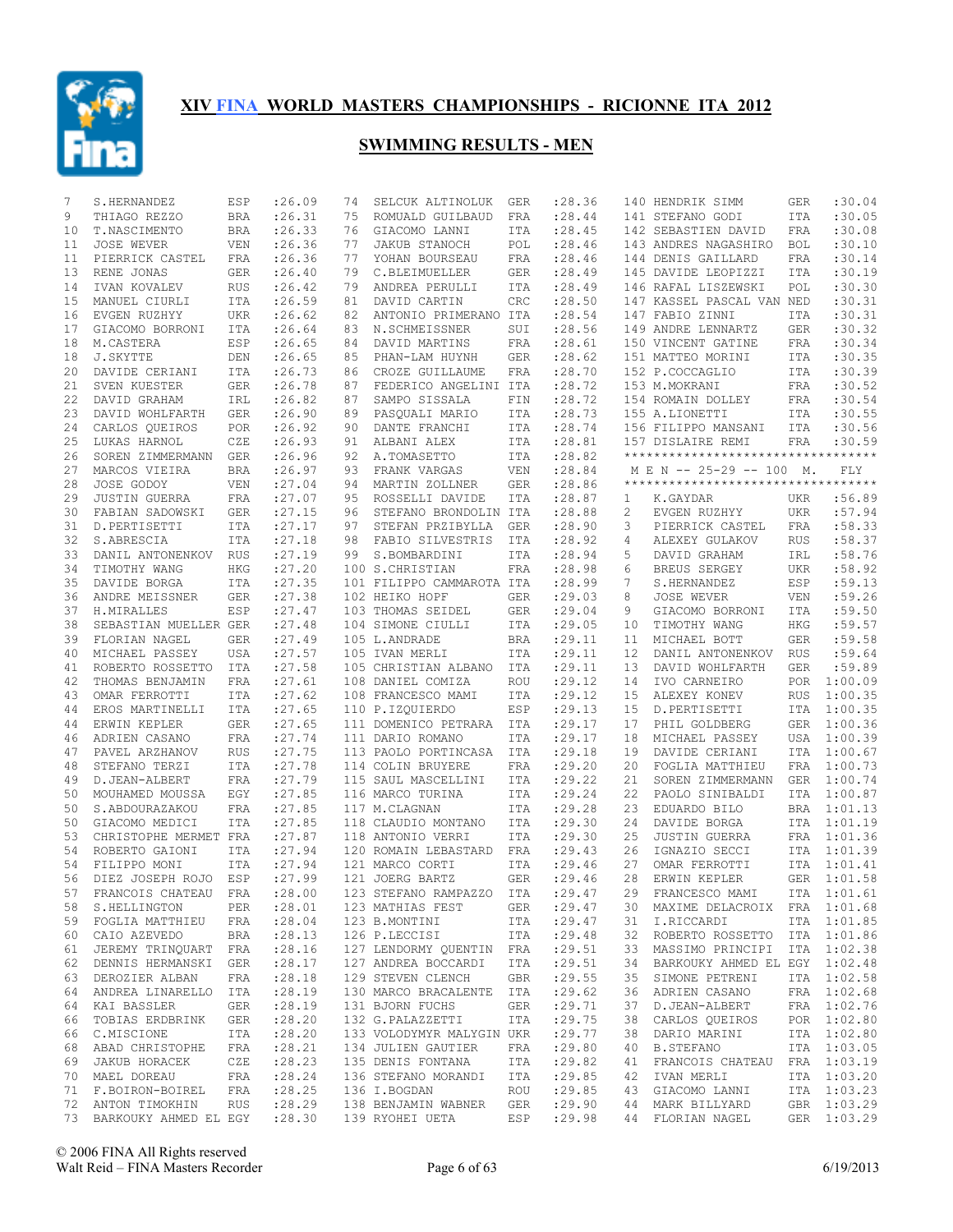

| 7  | S.HERNANDEZ                      | ESP        | : 26.09 | 74 | SELCUK ALTINOLUK          | GER        | :28.36  |    | 140 HENDRIK SIMM                    | GER        | :30.04      |
|----|----------------------------------|------------|---------|----|---------------------------|------------|---------|----|-------------------------------------|------------|-------------|
| 9  | THIAGO REZZO                     | BRA        | : 26.31 | 75 | ROMUALD GUILBAUD          | FRA        | : 28.44 |    | 141 STEFANO GODI                    | ITA        | :30.05      |
| 10 | T.NASCIMENTO                     | BRA        | : 26.33 | 76 | GIACOMO LANNI             | ITA        | : 28.45 |    | 142 SEBASTIEN DAVID                 | <b>FRA</b> | :30.08      |
| 11 | JOSE WEVER                       | VEN        | : 26.36 | 77 | <b>JAKUB STANOCH</b>      | POL        | :28.46  |    | 143 ANDRES NAGASHIRO                | <b>BOL</b> | :30.10      |
| 11 | PIERRICK CASTEL                  | FRA        | :26.36  | 77 | YOHAN BOURSEAU            | FRA        | : 28.46 |    | 144 DENIS GAILLARD                  | FRA        | :30.14      |
| 13 | RENE JONAS                       | GER        | : 26.40 | 79 | C.BLEIMUELLER             | GER        | : 28.49 |    | 145 DAVIDE LEOPIZZI                 | ITA        | :30.19      |
| 14 | IVAN KOVALEV                     | RUS        | : 26.42 | 79 | ANDREA PERULLI            | ITA        | : 28.49 |    | 146 RAFAL LISZEWSKI                 | POL        | :30.30      |
| 15 | MANUEL CIURLI                    | ITA        | : 26.59 | 81 | DAVID CARTIN              | CRC        | : 28.50 |    | 147 KASSEL PASCAL VAN NED           |            | :30.31      |
| 16 | EVGEN RUZHYY                     | UKR        | : 26.62 | 82 | ANTONIO PRIMERANO ITA     |            | : 28.54 |    | 147 FABIO ZINNI                     | ITA        | :30.31      |
| 17 | GIACOMO BORRONI                  | ITA        | : 26.64 | 83 | N.SCHMEISSNER             | SUI        | :28.56  |    | 149 ANDRE LENNARTZ                  | <b>GER</b> | :30.32      |
| 18 | M.CASTERA                        | ESP        | : 26.65 | 84 | DAVID MARTINS             | FRA        | : 28.61 |    | 150 VINCENT GATINE                  | <b>FRA</b> | :30.34      |
| 18 | J.SKYTTE                         | DEN        | : 26.65 | 85 | PHAN-LAM HUYNH            | GER        | : 28.62 |    | 151 MATTEO MORINI                   | ITA        | :30.35      |
| 20 |                                  | ITA        | : 26.73 | 86 | CROZE GUILLAUME           | FRA        | : 28.70 |    | 152 P.COCCAGLIO                     | ITA        | :30.39      |
|    | DAVIDE CERIANI                   |            |         |    |                           |            | : 28.72 |    |                                     |            | :30.52      |
| 21 | SVEN KUESTER                     | GER        | : 26.78 | 87 | FEDERICO ANGELINI ITA     |            |         |    | 153 M.MOKRANI                       | FRA        |             |
| 22 | DAVID GRAHAM                     | IRL        | : 26.82 | 87 | SAMPO SISSALA             | FIN        | : 28.72 |    | 154 ROMAIN DOLLEY                   | FRA        | :30.54      |
| 23 | DAVID WOHLFARTH                  | GER        | : 26.90 | 89 | PASOUALI MARIO            | ITA        | :28.73  |    | 155 A.LIONETTI                      | ITA        | :30.55      |
| 24 | CARLOS QUEIROS                   | <b>POR</b> | : 26.92 | 90 | DANTE FRANCHI             | ITA        | :28.74  |    | 156 FILIPPO MANSANI                 | ITA        | :30.56      |
| 25 | LUKAS HARNOL                     | CZE        | : 26.93 | 91 | ALBANI ALEX               | ITA        | :28.81  |    | 157 DISLAIRE REMI                   | <b>FRA</b> | :30.59      |
| 26 | SOREN ZIMMERMANN                 | GER        | : 26.96 | 92 | A.TOMASETTO               | ITA        | : 28.82 |    | **********************************  |            |             |
| 27 | MARCOS VIEIRA                    | <b>BRA</b> | : 26.97 | 93 | FRANK VARGAS              | <b>VEN</b> | : 28.84 |    | M E N -- 25-29 -- 100 M.            |            | FLY         |
| 28 | JOSE GODOY                       | <b>VEN</b> | : 27.04 | 94 | MARTIN ZOLLNER            | <b>GER</b> | :28.86  |    | *********************************** |            |             |
| 29 | <b>JUSTIN GUERRA</b>             | FRA        | : 27.07 | 95 | ROSSELLI DAVIDE           | <b>ITA</b> | :28.87  | 1  | K.GAYDAR                            | UKR        | :56.89      |
| 30 | FABIAN SADOWSKI                  | GER        | : 27.15 | 96 | STEFANO BRONDOLIN ITA     |            | :28.88  | 2  | EVGEN RUZHYY                        | <b>UKR</b> | :57.94      |
| 31 | D.PERTISETTI                     | ITA        | : 27.17 | 97 | STEFAN PRZIBYLLA          | <b>GER</b> | :28.90  | 3  | PIERRICK CASTEL                     | FRA        | :58.33      |
| 32 | S.ABRESCIA                       | ITA        | : 27.18 | 98 | FABIO SILVESTRIS          | ITA        | :28.92  | 4  | ALEXEY GULAKOV                      | <b>RUS</b> | :58.37      |
| 33 | DANIL ANTONENKOV RUS             |            | : 27.19 | 99 | S.BOMBARDINI              | <b>ITA</b> | :28.94  | 5  | DAVID GRAHAM                        | IRL        | :58.76      |
| 34 | TIMOTHY WANG                     | HKG        | : 27.20 |    | 100 S.CHRISTIAN           | FRA        | :28.98  | 6  | BREUS SERGEY                        | UKR        | :58.92      |
| 35 | DAVIDE BORGA                     | ITA        | : 27.35 |    | 101 FILIPPO CAMMAROTA ITA |            | :28.99  | 7  | S.HERNANDEZ                         | ESP        | :59.13      |
| 36 | ANDRE MEISSNER                   | GER        | :27.38  |    | 102 HEIKO HOPF            | <b>GER</b> | : 29.03 | 8  | JOSE WEVER                          | <b>VEN</b> | :59.26      |
| 37 | H.MIRALLES                       | ESP        | : 27.47 |    | 103 THOMAS SEIDEL         | <b>GER</b> | : 29.04 | 9  | GIACOMO BORRONI                     | <b>ITA</b> | :59.50      |
| 38 | SEBASTIAN MUELLER GER            |            | : 27.48 |    | 104 SIMONE CIULLI         | ITA        | :29.05  | 10 | TIMOTHY WANG                        | HKG        | :59.57      |
| 39 |                                  | <b>GER</b> |         |    | 105 L.ANDRADE             | <b>BRA</b> | : 29.11 | 11 | MICHAEL BOTT                        | <b>GER</b> | :59.58      |
| 40 | FLORIAN NAGEL                    |            | : 27.49 |    |                           |            |         |    |                                     |            | :59.64      |
|    | MICHAEL PASSEY                   | USA        | : 27.57 |    | 105 IVAN MERLI            | ITA        | : 29.11 | 12 | DANIL ANTONENKOV                    | <b>RUS</b> |             |
| 41 | ROBERTO ROSSETTO                 | ITA        | : 27.58 |    | 105 CHRISTIAN ALBANO      | ITA        | : 29.11 | 13 | DAVID WOHLFARTH                     | <b>GER</b> | :59.89      |
| 42 | THOMAS BENJAMIN                  | FRA        | : 27.61 |    | 108 DANIEL COMIZA         | ROU        | : 29.12 | 14 | IVO CARNEIRO                        | POR        | 1:00.09     |
| 43 | OMAR FERROTTI                    | ITA        | : 27.62 |    | 108 FRANCESCO MAMI        | ITA        | : 29.12 | 15 | ALEXEY KONEV                        | <b>RUS</b> | 1:00.35     |
| 44 | EROS MARTINELLI                  | ITA        | : 27.65 |    | 110 P.IZQUIERDO           | ESP        | : 29.13 | 15 | D.PERTISETTI                        | ITA        | 1:00.35     |
| 44 | ERWIN KEPLER                     | <b>GER</b> | : 27.65 |    | 111 DOMENICO PETRARA      | ITA        | : 29.17 | 17 | PHIL GOLDBERG                       | GER        | 1:00.36     |
| 46 | ADRIEN CASANO                    | <b>FRA</b> | : 27.74 |    | 111 DARIO ROMANO          | ITA        | : 29.17 | 18 | MICHAEL PASSEY                      | USA        | 1:00.39     |
| 47 | PAVEL ARZHANOV                   | <b>RUS</b> | : 27.75 |    | 113 PAOLO PORTINCASA      | ITA        | : 29.18 | 19 | DAVIDE CERIANI                      | ITA        | 1:00.67     |
| 48 | STEFANO TERZI                    | ITA        | : 27.78 |    | 114 COLIN BRUYERE         | FRA        | : 29.20 | 20 | FOGLIA MATTHIEU                     | FRA        | 1:00.73     |
| 49 | D.JEAN-ALBERT                    | FRA        | : 27.79 |    | 115 SAUL MASCELLINI       | ITA        | : 29.22 | 21 | SOREN ZIMMERMANN                    | <b>GER</b> | 1:00.74     |
| 50 | MOUHAMED MOUSSA                  | EGY        | : 27.85 |    | 116 MARCO TURINA          | ITA        | : 29.24 | 22 | PAOLO SINIBALDI                     | ITA        | 1:00.87     |
| 50 | S.ABDOURAZAKOU                   | FRA        | : 27.85 |    | 117 M.CLAGNAN             | ITA        | :29.28  | 23 | EDUARDO BILO                        | BRA        | 1:01.13     |
| 50 | GIACOMO MEDICI                   | ITA        | :27.85  |    | 118 CLAUDIO MONTANO       | ITA        | :29.30  | 24 | DAVIDE BORGA                        | ITA        | 1:01.19     |
| 53 | CHRISTOPHE MERMET FRA            |            | : 27.87 |    | 118 ANTONIO VERRI         | ITA        | :29.30  | 25 | <b>JUSTIN GUERRA</b>                | FRA        | 1:01.36     |
| 54 | ROBERTO GAIONI                   | ITA        | : 27.94 |    | 120 ROMAIN LEBASTARD      | FRA        | : 29.43 | 26 | IGNAZIO SECCI                       | ITA        | 1:01.39     |
| 54 | FILIPPO MONI                     | ITA        | : 27.94 |    | 121 MARCO CORTI           | ITA        | :29.46  | 27 | OMAR FERROTTI                       | ITA        | 1:01.41     |
| 56 | DIEZ JOSEPH ROJO                 | ESP        | : 27.99 |    | 121 JOERG BARTZ           | <b>GER</b> | :29.46  | 28 | ERWIN KEPLER                        | <b>GER</b> | 1:01.58     |
| 57 | FRANCOIS CHATEAU FRA             |            | :28.00  |    | 123 STEFANO RAMPAZZO ITA  |            | :29.47  | 29 | FRANCESCO MAMI                      |            | ITA 1:01.61 |
| 58 | S.HELLINGTON                     | PER        | : 28.01 |    | 123 MATHIAS FEST          | GER        | : 29.47 | 30 | MAXIME DELACROIX FRA 1:01.68        |            |             |
|    | 59 FOGLIA MATTHIEU               | FRA        | : 28.04 |    | 123 B.MONTINI             | ITA        | : 29.47 | 31 | I.RICCARDI                          |            | ITA 1:01.85 |
| 60 | CAIO AZEVEDO                     | BRA        | : 28.13 |    | 126 P.LECCISI             | ITA        | : 29.48 | 32 | ROBERTO ROSSETTO ITA 1:01.86        |            |             |
| 61 | JEREMY TRINQUART FRA             |            | : 28.16 |    | 127 LENDORMY QUENTIN FRA  |            | : 29.51 | 33 | MASSIMO PRINCIPI ITA 1:02.38        |            |             |
| 62 | DENNIS HERMANSKI GER             |            | : 28.17 |    | 127 ANDREA BOCCARDI       | ITA        | : 29.51 | 34 | BARKOUKY AHMED EL EGY 1:02.48       |            |             |
| 63 | DEROZIER ALBAN                   | FRA        | : 28.18 |    | 129 STEVEN CLENCH         | GBR        | : 29.55 | 35 | SIMONE PETRENI                      |            |             |
|    |                                  |            | : 28.19 |    |                           |            |         |    | ADRIEN CASANO                       |            | ITA 1:02.58 |
| 64 | ANDREA LINARELLO ITA             |            |         |    | 130 MARCO BRACALENTE ITA  |            | : 29.62 | 36 |                                     |            | FRA 1:02.68 |
| 64 | KAI BASSLER                      | GER        | : 28.19 |    | 131 BJORN FUCHS           | GER        | : 29.71 | 37 | D.JEAN-ALBERT                       |            | FRA 1:02.76 |
| 66 | TOBIAS ERDBRINK                  | GER        | : 28.20 |    | 132 G.PALAZZETTI          | ITA        | : 29.75 | 38 | CARLOS QUEIROS                      |            | POR 1:02.80 |
| 66 | C.MISCIONE                       | ITA        | : 28.20 |    | 133 VOLODYMYR MALYGIN UKR |            | : 29.77 | 38 | DARIO MARINI                        |            | ITA 1:02.80 |
| 68 | ABAD CHRISTOPHE                  | FRA        | : 28.21 |    | 134 JULIEN GAUTIER        | FRA        | :29.80  | 40 | B.STEFANO                           |            | ITA 1:03.05 |
| 69 | JAKUB HORACEK                    | CZE        | : 28.23 |    | 135 DENIS FONTANA         | ITA        | : 29.82 | 41 | FRANCOIS CHATEAU                    |            | FRA 1:03.19 |
|    | 70 MAEL DOREAU                   | FRA        | : 28.24 |    | 136 STEFANO MORANDI       | ITA        | : 29.85 | 42 | IVAN MERLI                          |            | ITA 1:03.20 |
|    | 71 F.BOIRON-BOIREL               | FRA        | : 28.25 |    | 136 I.BOGDAN              | ROU        | : 29.85 | 43 | GIACOMO LANNI                       |            | ITA 1:03.23 |
|    | 72 ANTON TIMOKHIN                | RUS        | : 28.29 |    | 138 BENJAMIN WABNER       | GER        | : 29.90 | 44 | MARK BILLYARD                       |            | GBR 1:03.29 |
|    | 73 BARKOUKY AHMED EL EGY : 28.30 |            |         |    | 139 RYOHEI UETA           | ESP        | : 29.98 |    | 44 FLORIAN NAGEL                    |            | GER 1:03.29 |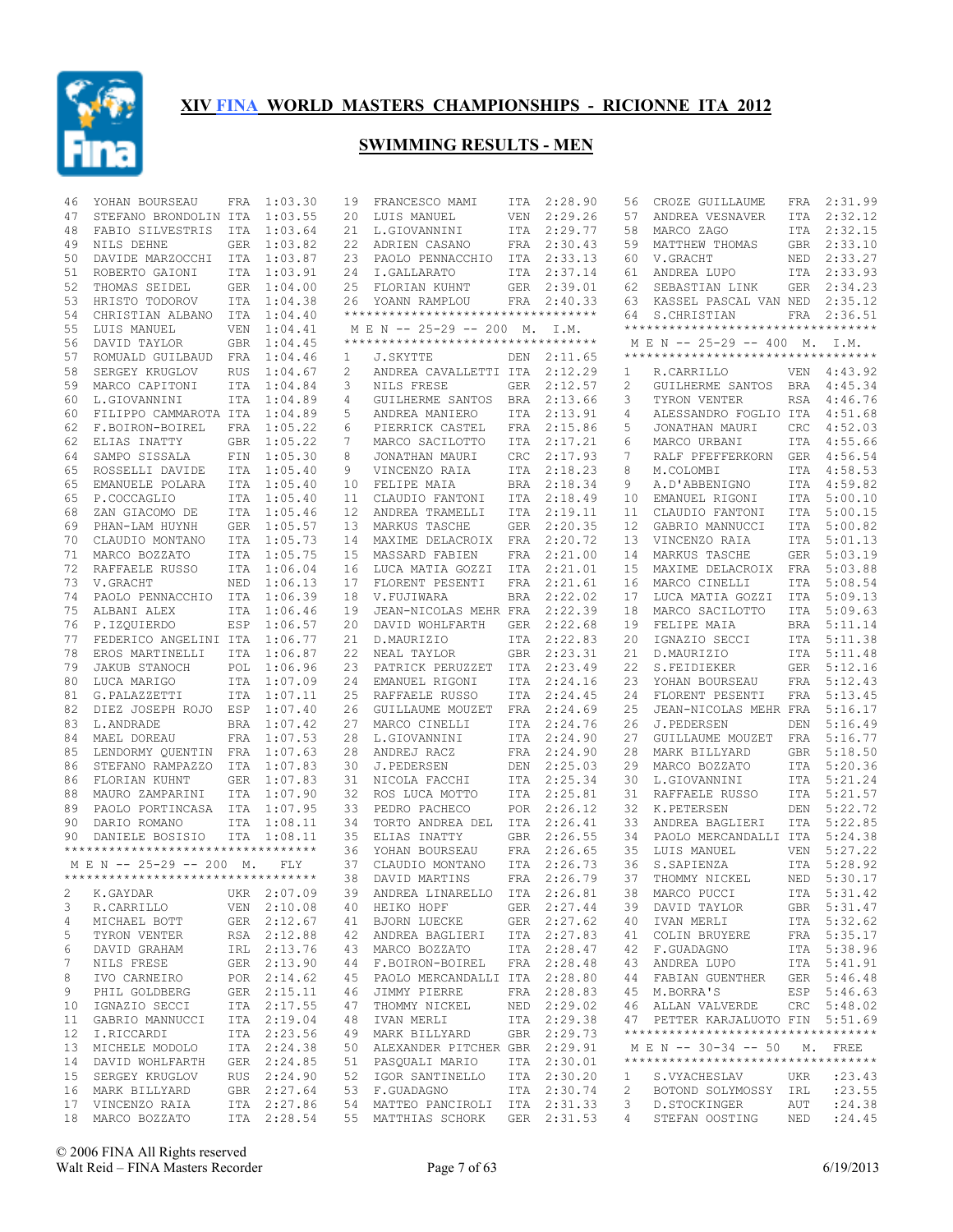

| 46 | YOHAN BOURSEAU                      | FRA        | 1:03.30     | 19                | FRANCESCO MAMI                     |            | ITA 2:28.90 | 56        | CROZE GUILLAUME                     | FRA        | 2:31.99     |
|----|-------------------------------------|------------|-------------|-------------------|------------------------------------|------------|-------------|-----------|-------------------------------------|------------|-------------|
| 47 | STEFANO BRONDOLIN ITA               |            | 1:03.55     | 20                | LUIS MANUEL                        | VEN        | 2:29.26     | 57        | ANDREA VESNAVER                     | ITA        | 2:32.12     |
| 48 | FABIO SILVESTRIS                    | ITA        | 1:03.64     | 21                | L.GIOVANNINI                       |            | ITA 2:29.77 | 58        | MARCO ZAGO                          |            | ITA 2:32.15 |
| 49 | NILS DEHNE                          | GER        | 1:03.82     |                   | 22 ADRIEN CASANO                   | FRA        | 2:30.43     | 59        | MATTHEW THOMAS                      |            | GBR 2:33.10 |
| 50 | DAVIDE MARZOCCHI ITA 1:03.87        |            |             | 23                | PAOLO PENNACCHIO                   |            | ITA 2:33.13 | 60        | V.GRACHT                            |            | NED 2:33.27 |
| 51 | ROBERTO GAIONI                      | <b>ITA</b> | 1:03.91     | 24                | I.GALLARATO                        | ITA        | 2:37.14     | 61        | ANDREA LUPO                         | ITA        | 2:33.93     |
| 52 | THOMAS SEIDEL                       |            | GER 1:04.00 | 25                | FLORIAN KUHNT                      |            | GER 2:39.01 | 62        | SEBASTIAN LINK                      | GER        | 2:34.23     |
| 53 | HRISTO TODOROV                      |            | ITA 1:04.38 | 26                | YOANN RAMPLOU                      |            | FRA 2:40.33 | 63        | KASSEL PASCAL VAN NED               |            | 2:35.12     |
| 54 | CHRISTIAN ALBANO                    |            | ITA 1:04.40 |                   | ********************************** |            |             | 64        | S.CHRISTIAN                         |            | FRA 2:36.51 |
| 55 | LUIS MANUEL                         | VEN        | 1:04.41     |                   | M E N -- 25-29 -- 200 M. I.M.      |            |             |           | **********************************  |            |             |
| 56 | DAVID TAYLOR                        |            | GBR 1:04.45 |                   | ********************************** |            |             |           | M E N -- 25-29 -- 400 M. I.M.       |            |             |
| 57 | ROMUALD GUILBAUD                    |            | FRA 1:04.46 | 1                 | J.SKYTTE                           |            | DEN 2:11.65 |           | **********************************  |            |             |
| 58 | SERGEY KRUGLOV                      | <b>RUS</b> | 1:04.67     | 2                 | ANDREA CAVALLETTI ITA              |            | 2:12.29     | 1         | R.CARRILLO                          |            | VEN 4:43.92 |
| 59 | MARCO CAPITONI                      |            | ITA 1:04.84 | 3                 | NILS FRESE                         | GER        | 2:12.57     | 2         | GUILHERME SANTOS                    | BRA        | 4:45.34     |
| 60 | L.GIOVANNINI                        |            | ITA 1:04.89 | 4                 | GUILHERME SANTOS                   |            | BRA 2:13.66 | 3         | TYRON VENTER                        | RSA        | 4:46.76     |
| 60 | FILIPPO CAMMAROTA ITA 1:04.89       |            |             | 5                 |                                    | ITA        | 2:13.91     | 4         | ALESSANDRO FOGLIO ITA               |            | 4:51.68     |
|    |                                     |            |             |                   | ANDREA MANIERO                     |            |             |           |                                     |            |             |
| 62 | F.BOIRON-BOIREL                     |            | FRA 1:05.22 | 6                 | PIERRICK CASTEL                    | FRA        | 2:15.86     | 5         | JONATHAN MAURI                      | <b>CRC</b> | 4:52.03     |
| 62 | ELIAS INATTY                        |            | GBR 1:05.22 | 7                 | MARCO SACILOTTO                    | ITA        | 2:17.21     | 6         | MARCO URBANI                        | ITA        | 4:55.66     |
| 64 | SAMPO SISSALA                       | FIN        | 1:05.30     | 8                 | JONATHAN MAURI                     | <b>CRC</b> | 2:17.93     | 7         | RALF PFEFFERKORN                    | GER        | 4:56.54     |
| 65 | ROSSELLI DAVIDE                     |            | ITA 1:05.40 | 9                 | VINCENZO RAIA                      | ITA        | 2:18.23     | 8         | M.COLOMBI                           | ITA        | 4:58.53     |
| 65 | EMANUELE POLARA                     |            | ITA 1:05.40 | 10                | FELIPE MAIA                        | <b>BRA</b> | 2:18.34     | 9         | A.D'ABBENIGNO                       |            | ITA 4:59.82 |
| 65 | P.COCCAGLIO                         |            | ITA 1:05.40 | 11                | CLAUDIO FANTONI                    | ITA        | 2:18.49     | 10        | EMANUEL RIGONI                      | ITA        | 5:00.10     |
| 68 | ZAN GIACOMO DE                      |            | ITA 1:05.46 | $12 \overline{ }$ | ANDREA TRAMELLI                    | <b>ITA</b> | 2:19.11     | 11        | CLAUDIO FANTONI                     | ITA        | 5:00.15     |
| 69 | PHAN-LAM HUYNH                      |            | GER 1:05.57 | 13                | MARKUS TASCHE                      | GER        | 2:20.35     | 12        | GABRIO MANNUCCI                     | ITA        | 5:00.82     |
| 70 | CLAUDIO MONTANO                     |            | ITA 1:05.73 | 14                | MAXIME DELACROIX                   | FRA        | 2:20.72     | 13        | VINCENZO RAIA                       | ITA        | 5:01.13     |
| 71 | MARCO BOZZATO                       |            | ITA 1:05.75 | 15                | MASSARD FABIEN                     | FRA        | 2:21.00     | 14        | MARKUS TASCHE                       | GER        | 5:03.19     |
| 72 | RAFFAELE RUSSO                      |            | ITA 1:06.04 | 16                | LUCA MATIA GOZZI                   | ITA        | 2:21.01     | 15        | MAXIME DELACROIX                    | FRA        | 5:03.88     |
| 73 | V.GRACHT                            |            | NED 1:06.13 | 17                | FLORENT PESENTI                    | FRA        | 2:21.61     | 16        | MARCO CINELLI                       | ITA        | 5:08.54     |
| 74 | PAOLO PENNACCHIO                    |            | ITA 1:06.39 | 18                | V.FUJIWARA                         | <b>BRA</b> | 2:22.02     | 17        | LUCA MATIA GOZZI                    | ITA        | 5:09.13     |
| 75 | ALBANI ALEX                         |            | ITA 1:06.46 | 19                | JEAN-NICOLAS MEHR FRA              |            | 2:22.39     | 18        | MARCO SACILOTTO                     | ITA        | 5:09.63     |
| 76 | P.IZQUIERDO                         |            | ESP 1:06.57 | 20                | DAVID WOHLFARTH                    | GER        | 2:22.68     | 19        | FELIPE MAIA                         | BRA        | 5:11.14     |
|    |                                     |            |             |                   |                                    |            |             |           |                                     |            |             |
| 77 | FEDERICO ANGELINI ITA 1:06.77       |            |             | 21                | D.MAURIZIO                         | ITA        | 2:22.83     | 20        | IGNAZIO SECCI                       |            | ITA 5:11.38 |
| 78 | EROS MARTINELLI                     |            | ITA 1:06.87 | 22                | NEAL TAYLOR                        | <b>GBR</b> | 2:23.31     | 21        | D.MAURIZIO                          | ITA        | 5:11.48     |
| 79 | JAKUB STANOCH                       |            | POL 1:06.96 | 23                | PATRICK PERUZZET                   | ITA        | 2:23.49     | 22        | S.FEIDIEKER                         |            | GER 5:12.16 |
| 80 | LUCA MARIGO                         |            | ITA 1:07.09 | 24                | EMANUEL RIGONI                     | ITA        | 2:24.16     | 23        | YOHAN BOURSEAU                      | FRA        | 5:12.43     |
| 81 | G.PALAZZETTI                        |            | ITA 1:07.11 | 25                | RAFFAELE RUSSO                     | ITA        | 2:24.45     | 24        | FLORENT PESENTI                     | FRA        | 5:13.45     |
| 82 | DIEZ JOSEPH ROJO ESP 1:07.40        |            |             | 26                | GUILLAUME MOUZET                   | FRA        | 2:24.69     | 25        | JEAN-NICOLAS MEHR FRA               |            | 5:16.17     |
| 83 | L.ANDRADE                           |            | BRA 1:07.42 | 27                | MARCO CINELLI                      |            | ITA 2:24.76 | 26        | J.PEDERSEN                          | DEN        | 5:16.49     |
| 84 | MAEL DOREAU                         |            | FRA 1:07.53 | 28                | L.GIOVANNINI                       | ITA        | 2:24.90     | 27        | GUILLAUME MOUZET                    | FRA        | 5:16.77     |
| 85 | LENDORMY QUENTIN FRA 1:07.63        |            |             | 28                | ANDREJ RACZ                        |            | FRA 2:24.90 | 28        | MARK BILLYARD                       |            | GBR 5:18.50 |
| 86 | STEFANO RAMPAZZO                    |            | ITA 1:07.83 | 30                | J.PEDERSEN                         | DEN        | 2:25.03     | 29        | MARCO BOZZATO                       | ITA        | 5:20.36     |
| 86 | FLORIAN KUHNT                       |            | GER 1:07.83 | 31                | NICOLA FACCHI                      |            | ITA 2:25.34 | 30        | L.GIOVANNINI                        |            | ITA 5:21.24 |
| 88 | MAURO ZAMPARINI                     |            | ITA 1:07.90 | 32                | ROS LUCA MOTTO                     | ITA        | 2:25.81     | 31        | RAFFAELE RUSSO                      | ITA        | 5:21.57     |
| 89 | PAOLO PORTINCASA                    |            | ITA 1:07.95 | 33                | PEDRO PACHECO                      |            | POR 2:26.12 | 32        | K.PETERSEN                          | DEN        | 5:22.72     |
| 90 | DARIO ROMANO                        |            | ITA 1:08.11 | 34                | TORTO ANDREA DEL                   | ITA        | 2:26.41     | 33        | ANDREA BAGLIERI                     | ITA        | 5:22.85     |
| 90 | DANIELE BOSISIO                     |            | ITA 1:08.11 | 35                | ELIAS INATTY                       |            | GBR 2:26.55 | 34        | PAOLO MERCANDALLI ITA               |            | 5:24.38     |
|    | *********************************** |            |             | 36                | YOHAN BOURSEAU                     | FRA        | 2:26.65     | 35        | LUIS MANUEL                         | <b>VEN</b> | 5:27.22     |
|    | MEN -- 25-29 -- 200 M.              |            | <b>FLY</b>  | 37                | CLAUDIO MONTANO                    |            | ITA 2:26.73 | 36        | S.SAPIENZA                          | ITA        | 5:28.92     |
|    | *********************************** |            |             | 38                | DAVID MARTINS                      |            | FRA 2:26.79 | 37        | THOMMY NICKEL                       | NED        | 5:30.17     |
|    | 2 K.GAYDAR UKR 2:07.09              |            |             |                   | 39 ANDREA LINARELLO ITA 2:26.81    |            |             |           |                                     |            | ITA 5:31.42 |
|    |                                     |            |             |                   |                                    |            |             |           | 38 MARCO PUCCI                      |            |             |
| 3  | R.CARRILLO                          |            | VEN 2:10.08 |                   | 40 HEIKO HOPF                      |            | GER 2:27.44 |           | 39 DAVID TAYLOR                     |            | GBR 5:31.47 |
| 4  | MICHAEL BOTT                        |            | GER 2:12.67 |                   | 41 BJORN LUECKE                    |            | GER 2:27.62 | 40        | IVAN MERLI                          |            | ITA 5:32.62 |
| 5  | TYRON VENTER                        |            | RSA 2:12.88 |                   | 42 ANDREA BAGLIERI ITA 2:27.83     |            |             | 41        | COLIN BRUYERE                       |            | FRA 5:35.17 |
| 6  | DAVID GRAHAM                        |            | IRL 2:13.76 |                   | 43 MARCO BOZZATO                   |            | ITA 2:28.47 |           | 42 F.GUADAGNO                       |            | ITA 5:38.96 |
| 7  | NILS FRESE                          |            | GER 2:13.90 |                   | 44 F.BOIRON-BOIREL                 |            | FRA 2:28.48 | 43        | ANDREA LUPO                         |            | ITA 5:41.91 |
| 8  | IVO CARNEIRO                        |            | POR 2:14.62 |                   | 45 PAOLO MERCANDALLI ITA 2:28.80   |            |             | 44        | FABIAN GUENTHER                     |            | GER 5:46.48 |
| 9  | PHIL GOLDBERG                       |            | GER 2:15.11 |                   | 46 JIMMY PIERRE                    |            | FRA 2:28.83 | 45        | M.BORRA'S                           |            | ESP 5:46.63 |
| 10 | IGNAZIO SECCI                       |            | ITA 2:17.55 | 47                | THOMMY NICKEL                      |            | NED 2:29.02 |           | 46 ALLAN VALVERDE                   |            | CRC 5:48.02 |
| 11 | GABRIO MANNUCCI                     |            | ITA 2:19.04 | 48                | IVAN MERLI                         |            | ITA 2:29.38 |           | 47 PETTER KARJALUOTO FIN 5:51.69    |            |             |
| 12 | I.RICCARDI                          |            | ITA 2:23.56 |                   | 49 MARK BILLYARD                   |            | GBR 2:29.73 |           | *********************************** |            |             |
| 13 | MICHELE MODOLO                      |            | ITA 2:24.38 |                   | 50 ALEXANDER PITCHER GBR 2:29.91   |            |             |           | M E N -- 30-34 -- 50 M. FREE        |            |             |
| 14 | DAVID WOHLFARTH                     |            | GER 2:24.85 |                   | 51 PASQUALI MARIO                  |            | ITA 2:30.01 |           | **********************************  |            |             |
| 15 | SERGEY KRUGLOV                      |            | RUS 2:24.90 |                   | 52 IGOR SANTINELLO                 |            | ITA 2:30.20 | 1         | S.VYACHESLAV                        | UKR        | : 23.43     |
|    | 16 MARK BILLYARD                    |            | GBR 2:27.64 |                   | 53 F.GUADAGNO                      |            | ITA 2:30.74 | 2         | BOTOND SOLYMOSSY IRL                |            | : 23.55     |
|    | 17 VINCENZO RAIA                    |            | ITA 2:27.86 |                   | 54 MATTEO PANCIROLI ITA 2:31.33    |            |             | 3         | D.STOCKINGER                        | AUT        | : 24.38     |
|    | 18 MARCO BOZZATO                    |            | ITA 2:28.54 |                   | 55 MATTHIAS SCHORK GER 2:31.53     |            |             | $4 \quad$ | STEFAN OOSTING                      | NED        | : 24.45     |
|    |                                     |            |             |                   |                                    |            |             |           |                                     |            |             |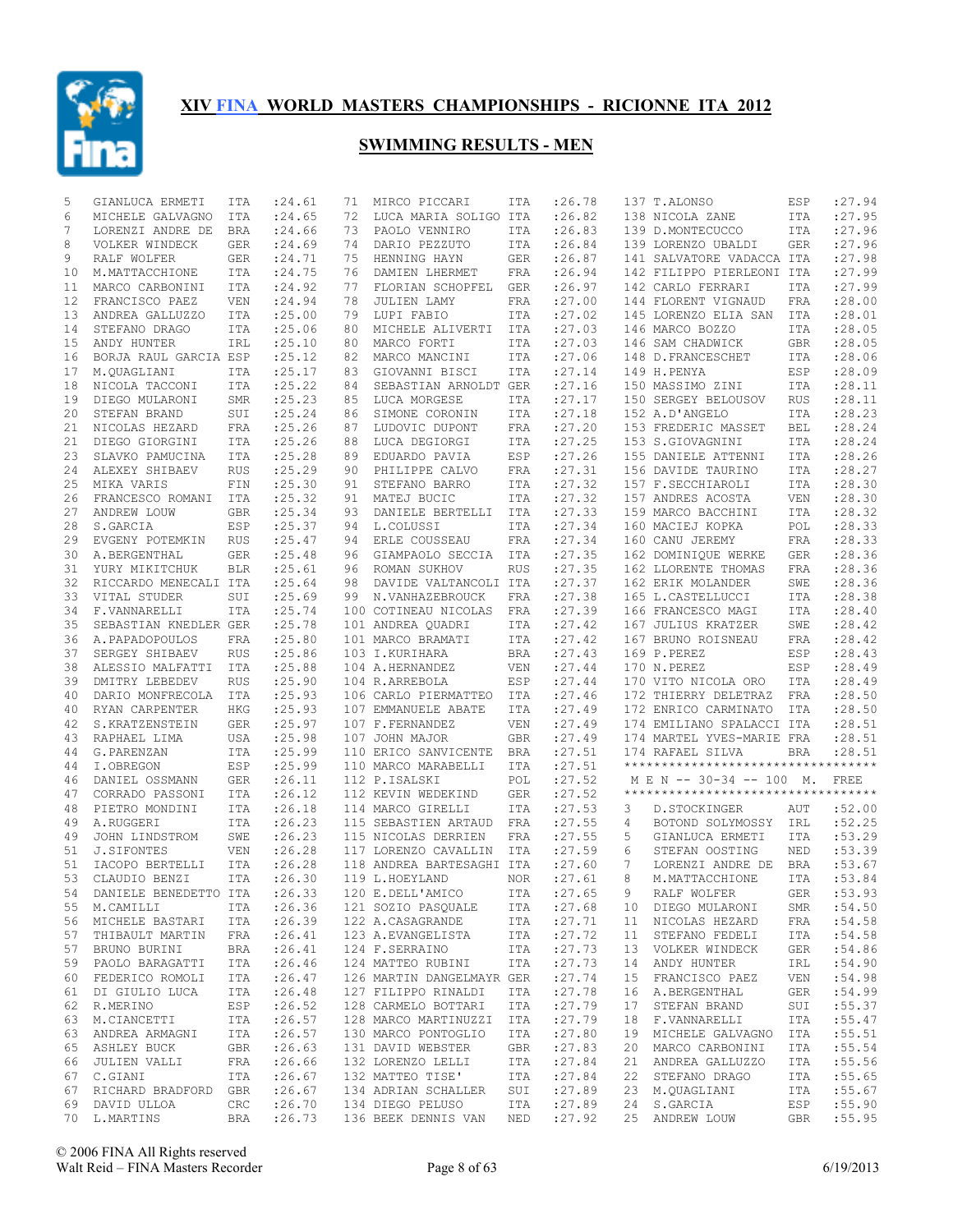

| 5  | GIANLUCA ERMETI          | ITA          | : 24.61     | 71 | MIRCO PICCARI                   | ITA        | :26.78  |    | 137 T.ALONSO                       | ESP        | : 27.94     |
|----|--------------------------|--------------|-------------|----|---------------------------------|------------|---------|----|------------------------------------|------------|-------------|
| 6  | MICHELE GALVAGNO         | ITA          | : 24.65     | 72 | LUCA MARIA SOLIGO ITA           |            | : 26.82 |    | 138 NICOLA ZANE                    | <b>ITA</b> | :27.95      |
| 7  | LORENZI ANDRE DE         | BRA          | : 24.66     | 73 | PAOLO VENNIRO                   | ITA        | :26.83  |    | 139 D.MONTECUCCO                   | <b>ITA</b> | : 27.96     |
| 8  | VOLKER WINDECK           | GER          | : 24.69     | 74 | DARIO PEZZUTO                   | ITA        | : 26.84 |    | 139 LORENZO UBALDI                 | <b>GER</b> | :27.96      |
| 9  | RALF WOLFER              | <b>GER</b>   | :24.71      | 75 | HENNING HAYN                    | <b>GER</b> | : 26.87 |    | 141 SALVATORE VADACCA ITA          |            | :27.98      |
| 10 | M.MATTACCHIONE           | ITA          | : 24.75     | 76 | DAMIEN LHERMET                  | FRA        | : 26.94 |    | 142 FILIPPO PIERLEONI ITA          |            | :27.99      |
| 11 | MARCO CARBONINI          | <b>ITA</b>   | : 24.92     | 77 | FLORIAN SCHOPFEL                | <b>GER</b> | : 26.97 |    | 142 CARLO FERRARI                  | ITA        | :27.99      |
| 12 | FRANCISCO PAEZ           | VEN          | : 24.94     | 78 | JULIEN LAMY                     | FRA        | : 27.00 |    | 144 FLORENT VIGNAUD                | <b>FRA</b> | :28.00      |
| 13 | ANDREA GALLUZZO          | ITA          | : 25.00     | 79 | LUPI FABIO                      | ITA        | : 27.02 |    | 145 LORENZO ELIA SAN               | ITA        | :28.01      |
| 14 | STEFANO DRAGO            | ITA          | : 25.06     | 80 | MICHELE ALIVERTI                | ITA        | : 27.03 |    | 146 MARCO BOZZO                    | ITA        | :28.05      |
| 15 | ANDY HUNTER              | IRL          | : 25.10     | 80 | MARCO FORTI                     | ITA        | : 27.03 |    | 146 SAM CHADWICK                   | GBR        | :28.05      |
| 16 |                          |              |             | 82 |                                 | ITA        | : 27.06 |    |                                    |            | :28.06      |
|    | BORJA RAUL GARCIA ESP    |              | : 25.12     |    | MARCO MANCINI                   |            |         |    | 148 D.FRANCESCHET                  | ITA        |             |
| 17 | M.QUAGLIANI              | <b>ITA</b>   | : 25.17     | 83 | GIOVANNI BISCI                  | ITA        | : 27.14 |    | 149 H.PENYA                        | ESP        | :28.09      |
| 18 | NICOLA TACCONI           | ITA          | : 25.22     | 84 | SEBASTIAN ARNOLDT GER           |            | : 27.16 |    | 150 MASSIMO ZINI                   | <b>ITA</b> | :28.11      |
| 19 | DIEGO MULARONI           | SMR          | : 25.23     | 85 | LUCA MORGESE                    | ITA        | : 27.17 |    | 150 SERGEY BELOUSOV                | <b>RUS</b> | :28.11      |
| 20 | STEFAN BRAND             | SUI          | : 25.24     | 86 | SIMONE CORONIN                  | ITA        | : 27.18 |    | 152 A.D'ANGELO                     | <b>ITA</b> | :28.23      |
| 21 | NICOLAS HEZARD           | <b>FRA</b>   | : 25.26     | 87 | LUDOVIC DUPONT                  | FRA        | : 27.20 |    | 153 FREDERIC MASSET                | <b>BEL</b> | :28.24      |
| 21 | DIEGO GIORGINI           | ITA          | : 25.26     | 88 | LUCA DEGIORGI                   | ITA        | : 27.25 |    | 153 S.GIOVAGNINI                   | <b>ITA</b> | :28.24      |
| 23 | SLAVKO PAMUCINA          | <b>ITA</b>   | : 25.28     | 89 | EDUARDO PAVIA                   | ESP        | : 27.26 |    | 155 DANIELE ATTENNI                | <b>ITA</b> | :28.26      |
| 24 | ALEXEY SHIBAEV           | <b>RUS</b>   | : 25.29     | 90 | PHILIPPE CALVO                  | FRA        | : 27.31 |    | 156 DAVIDE TAURINO                 | <b>ITA</b> | :28.27      |
| 25 | MIKA VARIS               | FIN          | : 25.30     | 91 | STEFANO BARRO                   | ITA        | : 27.32 |    | 157 F.SECCHIAROLI                  | <b>ITA</b> | :28.30      |
| 26 | FRANCESCO ROMANI         | ITA          | : 25.32     | 91 | MATEJ BUCIC                     | ITA        | : 27.32 |    | 157 ANDRES ACOSTA                  | <b>VEN</b> | :28.30      |
| 27 | ANDREW LOUW              | <b>GBR</b>   | :25.34      | 93 | DANIELE BERTELLI                | ITA        | : 27.33 |    | 159 MARCO BACCHINI                 | <b>ITA</b> | :28.32      |
| 28 | S.GARCIA                 | ESP          | : 25.37     | 94 | L.COLUSSI                       | ITA        | : 27.34 |    | 160 MACIEJ KOPKA                   | POL        | :28.33      |
| 29 | EVGENY POTEMKIN          | <b>RUS</b>   | : 25.47     | 94 | ERLE COUSSEAU                   | FRA        | : 27.34 |    | 160 CANU JEREMY                    | <b>FRA</b> | :28.33      |
| 30 | A.BERGENTHAL             | GER          | :25.48      | 96 | GIAMPAOLO SECCIA                | ITA        | : 27.35 |    | 162 DOMINIQUE WERKE                | GER        | :28.36      |
| 31 | YURY MIKITCHUK           | <b>BLR</b>   | : 25.61     | 96 | ROMAN SUKHOV                    | <b>RUS</b> | : 27.35 |    | 162 LLORENTE THOMAS                | <b>FRA</b> | :28.36      |
| 32 | RICCARDO MENECALI ITA    |              | :25.64      | 98 | DAVIDE VALTANCOLI ITA           |            | : 27.37 |    |                                    | SWE        | :28.36      |
|    |                          |              | : 25.69     |    | N.VANHAZEBROUCK                 |            |         |    | 162 ERIK MOLANDER                  |            |             |
| 33 | VITAL STUDER             | SUI          |             | 99 |                                 | FRA        | : 27.38 |    | 165 L.CASTELLUCCI                  | ITA        | :28.38      |
| 34 | F.VANNARELLI             | ITA          | : 25.74     |    | 100 COTINEAU NICOLAS            | FRA        | : 27.39 |    | 166 FRANCESCO MAGI                 | <b>ITA</b> | :28.40      |
| 35 | SEBASTIAN KNEDLER GER    |              | :25.78      |    | 101 ANDREA QUADRI               | ITA        | : 27.42 |    | 167 JULIUS KRATZER                 | SWE        | :28.42      |
| 36 | A. PAPADOPOULOS          | FRA          | : 25.80     |    | 101 MARCO BRAMATI               | ITA        | : 27.42 |    | 167 BRUNO ROISNEAU                 | FRA        | :28.42      |
| 37 | SERGEY SHIBAEV           | <b>RUS</b>   | : 25.86     |    | 103 I.KURIHARA                  | BRA        | : 27.43 |    | 169 P.PEREZ                        | ESP        | :28.43      |
| 38 | ALESSIO MALFATTI         | ITA          | : 25.88     |    | 104 A.HERNANDEZ                 | VEN        | : 27.44 |    | 170 N.PEREZ                        | ESP        | :28.49      |
| 39 | DMITRY LEBEDEV           | <b>RUS</b>   | : 25.90     |    | 104 R.ARREBOLA                  | ESP        | : 27.44 |    | 170 VITO NICOLA ORO                | ITA        | :28.49      |
| 40 | DARIO MONFRECOLA         | ITA          | : 25.93     |    | 106 CARLO PIERMATTEO            | ITA        | : 27.46 |    | 172 THIERRY DELETRAZ               | <b>FRA</b> | :28.50      |
| 40 | RYAN CARPENTER           | HKG          | : 25.93     |    | 107 EMMANUELE ABATE             | ITA        | : 27.49 |    | 172 ENRICO CARMINATO               | ITA        | :28.50      |
| 42 | S.KRATZENSTEIN           | <b>GER</b>   | : 25.97     |    | 107 F.FERNANDEZ                 | <b>VEN</b> | : 27.49 |    | 174 EMILIANO SPALACCI ITA          |            | :28.51      |
| 43 | RAPHAEL LIMA             | USA          | : 25.98     |    | 107 JOHN MAJOR                  | <b>GBR</b> | : 27.49 |    | 174 MARTEL YVES-MARIE FRA          |            | :28.51      |
| 44 | G.PARENZAN               | ITA          | : 25.99     |    | 110 ERICO SANVICENTE            | <b>BRA</b> | : 27.51 |    | 174 RAFAEL SILVA                   | <b>BRA</b> | :28.51      |
| 44 | I.OBREGON                | ESP          | : 25.99     |    | 110 MARCO MARABELLI             | ITA        | : 27.51 |    | ********************************** |            |             |
| 46 | DANIEL OSSMANN           | GER          | : 26.11     |    | 112 P.ISALSKI                   | POL        | : 27.52 |    | MEN -- 30-34 -- 100 M.             |            | <b>FREE</b> |
| 47 | CORRADO PASSONI          | ITA          | : 26.12     |    | 112 KEVIN WEDEKIND              | GER        | : 27.52 |    | ********************************** |            |             |
| 48 | PIETRO MONDINI           | <b>ITA</b>   | : 26.18     |    | 114 MARCO GIRELLI               | ITA        | : 27.53 | 3  | D.STOCKINGER                       | AUT        | :52.00      |
| 49 | A.RUGGERI                | ITA          | : 26.23     |    | 115 SEBASTIEN ARTAUD            | FRA        | : 27.55 | 4  | BOTOND SOLYMOSSY                   | IRL        | :52.25      |
| 49 | JOHN LINDSTROM           | SWE          |             |    | 115 NICOLAS DERRIEN             | <b>FRA</b> | :27.55  | 5  |                                    | <b>ITA</b> | :53.29      |
|    |                          |              | : 26.23     |    | 117 LORENZO CAVALLIN            |            |         |    | GIANLUCA ERMETI                    |            |             |
| 51 | <b>J.SIFONTES</b>        | <b>VEN</b>   | :26.28      |    |                                 | ITA        | : 27.59 | 6  | STEFAN OOSTING                     | NED        | :53.39      |
| 51 | IACOPO BERTELLI          | <b>ITA</b>   | : 26.28     |    | 118 ANDREA BARTESAGHI ITA       |            | : 27.60 | 7  | LORENZI ANDRE DE                   | <b>BRA</b> | :53.67      |
| 53 | CLAUDIO BENZI            | <b>ITA</b>   | : 26.30     |    | 119 L.HOEYLAND                  | <b>NOR</b> | : 27.61 | 8  | M.MATTACCHIONE                     | <b>ITA</b> | :53.84      |
|    | 54 DANIELE BENEDETTO ITA |              | : 26.33     |    | 120 E.DELL'AMICO                | ITA        | :27.65  | 9  | RALF WOLFER                        | GER        | : 53.93     |
|    | 55 M.CAMILLI             | ITA          | : 26.36     |    | 121 SOZIO PASQUALE              | ITA        | : 27.68 |    | 10 DIEGO MULARONI                  | SMR        | :54.50      |
|    | 56 MICHELE BASTARI ITA   |              | : 26.39     |    | 122 A.CASAGRANDE                | ITA        | : 27.71 | 11 | NICOLAS HEZARD                     | FRA        | :54.58      |
| 57 | THIBAULT MARTIN          | FRA          | : 26.41     |    | 123 A.EVANGELISTA               | ITA        | : 27.72 | 11 | STEFANO FEDELI                     | ITA        | :54.58      |
|    | 57 BRUNO BURINI          | BRA          | : 26.41     |    | 124 F.SERRAINO                  | ITA        | : 27.73 | 13 | VOLKER WINDECK                     | GER        | :54.86      |
| 59 | PAOLO BARAGATTI          | ITA          | : 26.46     |    | 124 MATTEO RUBINI               | ITA        | : 27.73 | 14 | ANDY HUNTER                        | IRL        | :54.90      |
|    | 60 FEDERICO ROMOLI       | ITA          | : 26.47     |    | 126 MARTIN DANGELMAYR GER       |            | : 27.74 | 15 | FRANCISCO PAEZ                     | VEN        | :54.98      |
| 61 | DI GIULIO LUCA           | ITA          | : 26.48     |    | 127 FILIPPO RINALDI             | ITA        | : 27.78 | 16 | A.BERGENTHAL                       | GER        | :54.99      |
| 62 | R.MERINO                 | ESP          | : 26.52     |    | 128 CARMELO BOTTARI             | ITA        | : 27.79 | 17 | STEFAN BRAND                       | SUI        | : 55.37     |
| 63 | M.CIANCETTI              | ITA          | : 26.57     |    | 128 MARCO MARTINUZZI ITA        |            | : 27.79 | 18 | F.VANNARELLI                       | ITA        | :55.47      |
| 63 | ANDREA ARMAGNI           | ITA          | : 26.57     |    | 130 MARCO PONTOGLIO             | ITA        | : 27.80 | 19 | MICHELE GALVAGNO                   | ITA        | : 55.51     |
| 65 | ASHLEY BUCK              | GBR          | : 26.63     |    | 131 DAVID WEBSTER               | GBR        | : 27.83 | 20 | MARCO CARBONINI                    | ITA        | :55.54      |
| 66 | JULIEN VALLI             | FRA          | : 26.66     |    | 132 LORENZO LELLI               | ITA        | : 27.84 | 21 | ANDREA GALLUZZO                    | ITA        | :55.56      |
| 67 | C.GIANI                  | ITA          | : 26.67     |    | 132 MATTEO TISE'                | ITA        | : 27.84 | 22 | STEFANO DRAGO                      | ITA        | :55.65      |
|    | 67 RICHARD BRADFORD GBR  |              | : 26.67     |    | 134 ADRIAN SCHALLER SUI         |            | : 27.89 | 23 |                                    | ITA        | :55.67      |
|    |                          |              |             |    |                                 |            |         |    | M.QUAGLIANI                        |            |             |
|    | 69 DAVID ULLOA           | $_{\rm CRC}$ | :26.70      |    | 134 DIEGO PELUSO                | ITA        | : 27.89 |    | 24 S.GARCIA                        | ESP        | :55.90      |
|    | 70 L.MARTINS             |              | BRA : 26.73 |    | 136 BEEK DENNIS VAN NED : 27.92 |            |         |    | 25 ANDREW LOUW                     | GBR        | : 55.95     |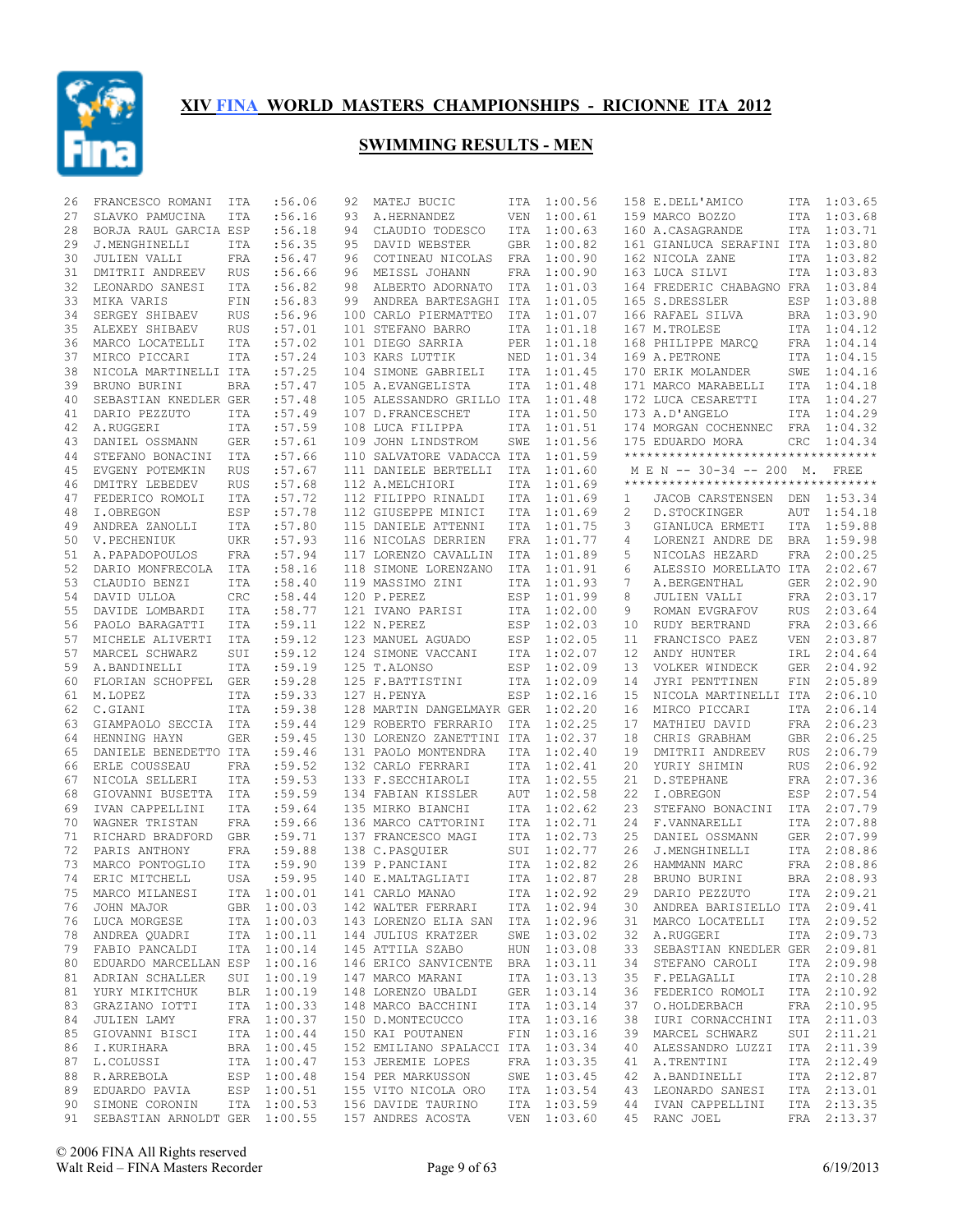

| 26 | FRANCESCO ROMANI                 | ITA        | :56.06      | 92 | MATEJ BUCIC                       | ITA        | 1:00.56     |    | 158 E.DELL'AMICO                    | ITA        | 1:03.65     |
|----|----------------------------------|------------|-------------|----|-----------------------------------|------------|-------------|----|-------------------------------------|------------|-------------|
| 27 | SLAVKO PAMUCINA                  | ITA        | :56.16      | 93 | A.HERNANDEZ                       | VEN        | 1:00.61     |    | 159 MARCO BOZZO                     | ITA        | 1:03.68     |
| 28 | BORJA RAUL GARCIA ESP            |            | :56.18      | 94 | CLAUDIO TODESCO                   | ITA        | 1:00.63     |    | 160 A.CASAGRANDE                    |            | ITA 1:03.71 |
| 29 | J.MENGHINELLI                    | ITA        | :56.35      | 95 | DAVID WEBSTER                     | <b>GBR</b> | 1:00.82     |    | 161 GIANLUCA SERAFINI ITA           |            | 1:03.80     |
| 30 | JULIEN VALLI                     | FRA        | :56.47      | 96 | COTINEAU NICOLAS                  | FRA        | 1:00.90     |    | 162 NICOLA ZANE                     |            | ITA 1:03.82 |
| 31 | DMITRII ANDREEV                  | RUS        | :56.66      | 96 | MEISSL JOHANN                     | FRA        | 1:00.90     |    | 163 LUCA SILVI                      | <b>ITA</b> | 1:03.83     |
| 32 | LEONARDO SANESI                  | ITA        | :56.82      | 98 | ALBERTO ADORNATO                  | ITA        | 1:01.03     |    | 164 FREDERIC CHABAGNO FRA           |            | 1:03.84     |
| 33 | MIKA VARIS                       | FIN        | :56.83      | 99 | ANDREA BARTESAGHI ITA             |            | 1:01.05     |    | 165 S.DRESSLER                      | ESP        | 1:03.88     |
| 34 | SERGEY SHIBAEV                   | RUS        | :56.96      |    | 100 CARLO PIERMATTEO              | ITA        | 1:01.07     |    | 166 RAFAEL SILVA                    |            | BRA 1:03.90 |
| 35 | ALEXEY SHIBAEV                   | RUS        | :57.01      |    | 101 STEFANO BARRO                 | ITA        | 1:01.18     |    | 167 M.TROLESE                       | ITA        | 1:04.12     |
| 36 | MARCO LOCATELLI                  | ITA        | :57.02      |    | 101 DIEGO SARRIA                  | <b>PER</b> | 1:01.18     |    | 168 PHILIPPE MARCQ                  | FRA        | 1:04.14     |
|    | MIRCO PICCARI                    |            | :57.24      |    |                                   |            |             |    |                                     |            | 1:04.15     |
| 37 |                                  | ITA        |             |    | 103 KARS LUTTIK                   | NED        | 1:01.34     |    | 169 A.PETRONE                       | ITA        |             |
| 38 | NICOLA MARTINELLI ITA            |            | :57.25      |    | 104 SIMONE GABRIELI               | ITA        | 1:01.45     |    | 170 ERIK MOLANDER                   | SWE        | 1:04.16     |
| 39 | BRUNO BURINI                     | <b>BRA</b> | :57.47      |    | 105 A.EVANGELISTA                 | ITA        | 1:01.48     |    | 171 MARCO MARABELLI                 | ITA        | 1:04.18     |
| 40 | SEBASTIAN KNEDLER GER            |            | :57.48      |    | 105 ALESSANDRO GRILLO ITA         |            | 1:01.48     |    | 172 LUCA CESARETTI                  |            | ITA 1:04.27 |
| 41 | DARIO PEZZUTO                    | ITA        | :57.49      |    | 107 D. FRANCESCHET                | ITA        | 1:01.50     |    | 173 A.D'ANGELO                      |            | ITA 1:04.29 |
| 42 | A.RUGGERI                        | <b>ITA</b> | :57.59      |    | 108 LUCA FILIPPA                  | ITA        | 1:01.51     |    | 174 MORGAN COCHENNEC                |            | FRA 1:04.32 |
| 43 | DANIEL OSSMANN                   | GER        | :57.61      |    | 109 JOHN LINDSTROM                | SWE        | 1:01.56     |    | 175 EDUARDO MORA                    | <b>CRC</b> | 1:04.34     |
| 44 | STEFANO BONACINI                 | ITA        | :57.66      |    | 110 SALVATORE VADACCA ITA         |            | 1:01.59     |    | *********************************** |            |             |
| 45 | EVGENY POTEMKIN                  | <b>RUS</b> | :57.67      |    | 111 DANIELE BERTELLI              | ITA        | 1:01.60     |    | M E N -- 30-34 -- 200 M. FREE       |            |             |
| 46 | DMITRY LEBEDEV                   | <b>RUS</b> | :57.68      |    | 112 A.MELCHIORI                   | <b>ITA</b> | 1:01.69     |    | **********************************  |            |             |
| 47 | FEDERICO ROMOLI                  | <b>ITA</b> | :57.72      |    | 112 FILIPPO RINALDI               | ITA        | 1:01.69     | 1  | JACOB CARSTENSEN                    | DEN        | 1:53.34     |
| 48 | I.OBREGON                        | ESP        | :57.78      |    | 112 GIUSEPPE MINICI               | ITA        | 1:01.69     | 2  | D. STOCKINGER                       | AUT        | 1:54.18     |
| 49 | ANDREA ZANOLLI                   | ITA        | :57.80      |    | 115 DANIELE ATTENNI               | ITA        | 1:01.75     | 3  | GIANLUCA ERMETI                     | ITA        | 1:59.88     |
| 50 | V.PECHENIUK                      | <b>UKR</b> | :57.93      |    | 116 NICOLAS DERRIEN               | FRA        | 1:01.77     | 4  | LORENZI ANDRE DE                    | BRA        | 1:59.98     |
| 51 | A. PAPADOPOULOS                  | FRA        | :57.94      |    | 117 LORENZO CAVALLIN              | ITA        | 1:01.89     | 5  | NICOLAS HEZARD                      | FRA        | 2:00.25     |
|    |                                  |            |             |    |                                   |            |             |    |                                     |            |             |
| 52 | DARIO MONFRECOLA                 | ITA        | :58.16      |    | 118 SIMONE LORENZANO              | ITA        | 1:01.91     | 6  | ALESSIO MORELLATO ITA               |            | 2:02.67     |
| 53 | CLAUDIO BENZI                    | ITA        | :58.40      |    | 119 MASSIMO ZINI                  | ITA        | 1:01.93     | 7  | A.BERGENTHAL                        | <b>GER</b> | 2:02.90     |
| 54 | DAVID ULLOA                      | CRC        | :58.44      |    | 120 P.PEREZ                       | ESP        | 1:01.99     | 8  | JULIEN VALLI                        | FRA        | 2:03.17     |
| 55 | DAVIDE LOMBARDI                  | ITA        | :58.77      |    | 121 IVANO PARISI                  | ITA        | 1:02.00     | 9  | ROMAN EVGRAFOV                      | <b>RUS</b> | 2:03.64     |
| 56 | PAOLO BARAGATTI                  | ITA        | :59.11      |    | 122 N.PEREZ                       | ESP        | 1:02.03     | 10 | RUDY BERTRAND                       | FRA        | 2:03.66     |
| 57 | MICHELE ALIVERTI                 | ITA        | :59.12      |    | 123 MANUEL AGUADO                 | ESP        | 1:02.05     | 11 | FRANCISCO PAEZ                      | <b>VEN</b> | 2:03.87     |
| 57 | MARCEL SCHWARZ                   | SUI        | :59.12      |    | 124 SIMONE VACCANI                | ITA        | 1:02.07     | 12 | ANDY HUNTER                         | IRL        | 2:04.64     |
| 59 | A.BANDINELLI                     | <b>ITA</b> | :59.19      |    | 125 T.ALONSO                      | ESP        | 1:02.09     | 13 | VOLKER WINDECK                      | GER        | 2:04.92     |
| 60 | FLORIAN SCHOPFEL                 | GER        | :59.28      |    | 125 F.BATTISTINI                  | ITA        | 1:02.09     | 14 | JYRI PENTTINEN                      | FIN        | 2:05.89     |
| 61 | M.LOPEZ                          | <b>ITA</b> | :59.33      |    | 127 H.PENYA                       | ESP        | 1:02.16     | 15 | NICOLA MARTINELLI ITA               |            | 2:06.10     |
| 62 | C.GIANI                          | ITA        | :59.38      |    | 128 MARTIN DANGELMAYR GER         |            | 1:02.20     | 16 | MIRCO PICCARI                       | ITA        | 2:06.14     |
| 63 | GIAMPAOLO SECCIA                 | <b>ITA</b> | :59.44      |    | 129 ROBERTO FERRARIO              | ITA        | 1:02.25     | 17 | MATHIEU DAVID                       | FRA        | 2:06.23     |
| 64 | HENNING HAYN                     | <b>GER</b> | :59.45      |    | 130 LORENZO ZANETTINI ITA         |            | 1:02.37     | 18 | CHRIS GRABHAM                       | <b>GBR</b> | 2:06.25     |
| 65 | DANIELE BENEDETTO ITA            |            | :59.46      |    | 131 PAOLO MONTENDRA               | <b>ITA</b> | 1:02.40     | 19 | DMITRII ANDREEV                     | <b>RUS</b> | 2:06.79     |
| 66 | ERLE COUSSEAU                    | FRA        | :59.52      |    | 132 CARLO FERRARI                 | <b>ITA</b> | 1:02.41     | 20 | YURIY SHIMIN                        | <b>RUS</b> | 2:06.92     |
|    |                                  |            |             |    |                                   |            |             |    |                                     |            |             |
| 67 | NICOLA SELLERI                   | <b>ITA</b> | :59.53      |    | 133 F.SECCHIAROLI                 | ITA        | 1:02.55     | 21 | D. STEPHANE                         | FRA        | 2:07.36     |
| 68 | GIOVANNI BUSETTA                 | ITA        | :59.59      |    | 134 FABIAN KISSLER                | AUT        | 1:02.58     | 22 | I.OBREGON                           | ESP        | 2:07.54     |
| 69 | IVAN CAPPELLINI                  | <b>ITA</b> | :59.64      |    | 135 MIRKO BIANCHI                 | <b>ITA</b> | 1:02.62     | 23 | STEFANO BONACINI                    | ITA        | 2:07.79     |
| 70 | WAGNER TRISTAN                   | FRA        | :59.66      |    | 136 MARCO CATTORINI               | <b>ITA</b> | 1:02.71     | 24 | F.VANNARELLI                        | ITA        | 2:07.88     |
| 71 | RICHARD BRADFORD                 | GBR        | :59.71      |    | 137 FRANCESCO MAGI                | <b>ITA</b> | 1:02.73     | 25 | DANIEL OSSMANN                      | GER        | 2:07.99     |
| 72 | PARIS ANTHONY                    | FRA        | :59.88      |    | 138 C.PASQUIER                    | SUI        | 1:02.77     | 26 | J.MENGHINELLI                       | ITA        | 2:08.86     |
| 73 | MARCO PONTOGLIO                  | <b>ITA</b> | :59.90      |    | 139 P.PANCIANI                    | ITA        | 1:02.82     | 26 | HAMMANN MARC                        | FRA        | 2:08.86     |
| 74 | ERIC MITCHELL                    | USA        | :59.95      |    | 140 E.MALTAGLIATI                 | ITA        | 1:02.87     | 28 | BRUNO BURINI                        | <b>BRA</b> | 2:08.93     |
|    | 75 MARCO MILANESI ITA 1:00.01    |            |             |    | 141 CARLO MANAO                   |            | ITA 1:02.92 | 29 | DARIO PEZZUTO                       |            | ITA 2:09.21 |
| 76 | JOHN MAJOR                       |            | GBR 1:00.03 |    | 142 WALTER FERRARI                |            | ITA 1:02.94 | 30 | ANDREA BARISIELLO ITA 2:09.41       |            |             |
|    | 76 LUCA MORGESE                  |            | ITA 1:00.03 |    | 143 LORENZO ELIA SAN ITA 1:02.96  |            |             | 31 | MARCO LOCATELLI                     |            | ITA 2:09.52 |
|    | 78 ANDREA QUADRI                 |            | ITA 1:00.11 |    | 144 JULIUS KRATZER                |            | SWE 1:03.02 | 32 | A.RUGGERI                           |            | ITA 2:09.73 |
|    | 79 FABIO PANCALDI                |            | ITA 1:00.14 |    | 145 ATTILA SZABO                  |            | HUN 1:03.08 | 33 | SEBASTIAN KNEDLER GER 2:09.81       |            |             |
| 80 | EDUARDO MARCELLAN ESP 1:00.16    |            |             |    | 146 ERICO SANVICENTE              |            | BRA 1:03.11 | 34 | STEFANO CAROLI                      |            | ITA 2:09.98 |
|    | 81 ADRIAN SCHALLER               |            | SUI 1:00.19 |    | 147 MARCO MARANI                  |            |             | 35 | F.PELAGALLI                         |            | ITA 2:10.28 |
|    |                                  |            |             |    |                                   |            | ITA 1:03.13 |    |                                     |            |             |
| 81 | YURY MIKITCHUK                   |            | BLR 1:00.19 |    | 148 LORENZO UBALDI                |            | GER 1:03.14 | 36 | FEDERICO ROMOLI                     |            | ITA 2:10.92 |
| 83 | GRAZIANO IOTTI                   |            | ITA 1:00.33 |    | 148 MARCO BACCHINI                |            | ITA 1:03.14 | 37 | O.HOLDERBACH                        |            | FRA 2:10.95 |
| 84 | JULIEN LAMY                      |            | FRA 1:00.37 |    | 150 D.MONTECUCCO                  |            | ITA 1:03.16 | 38 | IURI CORNACCHINI                    |            | ITA 2:11.03 |
| 85 | GIOVANNI BISCI                   |            | ITA 1:00.44 |    | 150 KAI POUTANEN                  |            | FIN 1:03.16 | 39 | MARCEL SCHWARZ                      |            | SUI 2:11.21 |
| 86 | I.KURIHARA                       |            | BRA 1:00.45 |    | 152 EMILIANO SPALACCI ITA 1:03.34 |            |             | 40 | ALESSANDRO LUZZI                    |            | ITA 2:11.39 |
| 87 | L.COLUSSI                        |            | ITA 1:00.47 |    | 153 JEREMIE LOPES                 |            | FRA 1:03.35 | 41 | A.TRENTINI                          |            | ITA 2:12.49 |
| 88 | R.ARREBOLA                       |            | ESP 1:00.48 |    | 154 PER MARKUSSON                 |            | SWE 1:03.45 | 42 | A.BANDINELLI                        |            | ITA 2:12.87 |
| 89 | EDUARDO PAVIA                    |            | ESP 1:00.51 |    | 155 VITO NICOLA ORO               |            | ITA 1:03.54 | 43 | LEONARDO SANESI                     |            | ITA 2:13.01 |
|    | 90 SIMONE CORONIN                |            | ITA 1:00.53 |    | 156 DAVIDE TAURINO                |            | ITA 1:03.59 | 44 | IVAN CAPPELLINI                     |            | ITA 2:13.35 |
|    | 91 SEBASTIAN ARNOLDT GER 1:00.55 |            |             |    | 157 ANDRES ACOSTA                 |            | VEN 1:03.60 |    | 45 RANC JOEL                        |            | FRA 2:13.37 |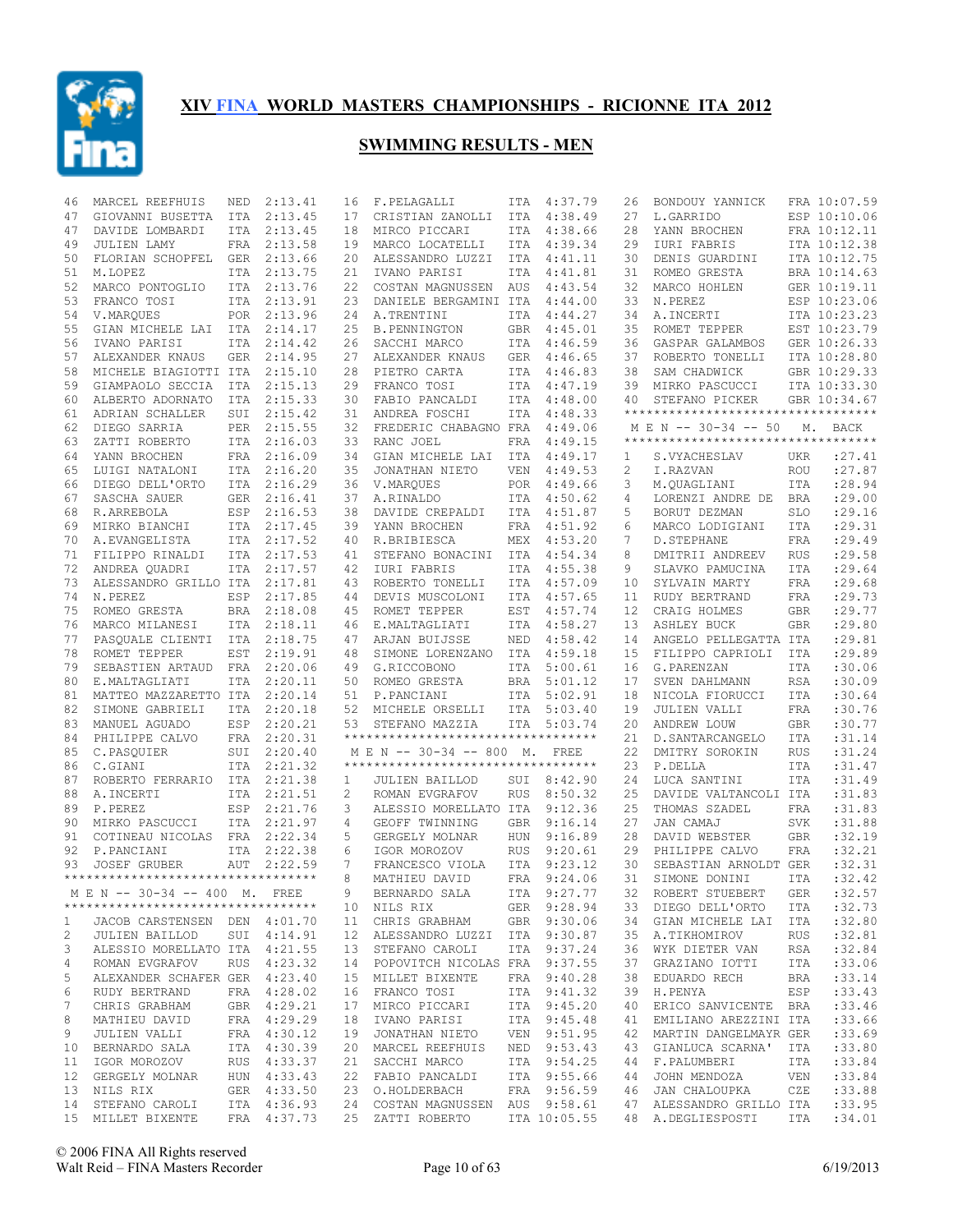

| 46           | MARCEL REEFHUIS                                                                                               | NED        | 2:13.41      | 16 | F.PELAGALLI                                                | ITA        | 4:37.79     | 26 | BONDOUY YANNICK                                      |            | FRA 10:07.59 |
|--------------|---------------------------------------------------------------------------------------------------------------|------------|--------------|----|------------------------------------------------------------|------------|-------------|----|------------------------------------------------------|------------|--------------|
| 47           | GIOVANNI BUSETTA                                                                                              | <b>ITA</b> | 2:13.45      | 17 | CRISTIAN ZANOLLI                                           | ITA        | 4:38.49     | 27 | L.GARRIDO                                            |            | ESP 10:10.06 |
| 47           | DAVIDE LOMBARDI                                                                                               | <b>ITA</b> | 2:13.45      | 18 | MIRCO PICCARI                                              |            | ITA 4:38.66 | 28 | YANN BROCHEN                                         |            | FRA 10:12.11 |
| 49           | <b>JULIEN LAMY</b>                                                                                            | FRA        | 2:13.58      | 19 | MARCO LOCATELLI                                            | ITA        | 4:39.34     | 29 | IURI FABRIS                                          |            | ITA 10:12.38 |
| 50           | FLORIAN SCHOPFEL                                                                                              | <b>GER</b> | 2:13.66      | 20 | ALESSANDRO LUZZI                                           | <b>ITA</b> | 4:41.11     | 30 | DENIS GUARDINI                                       |            | ITA 10:12.75 |
| 51           | M.LOPEZ                                                                                                       | <b>ITA</b> | 2:13.75      | 21 | IVANO PARISI                                               | ITA        | 4:41.81     | 31 | ROMEO GRESTA                                         |            | BRA 10:14.63 |
| 52           | MARCO PONTOGLIO                                                                                               |            | ITA 2:13.76  | 22 | COSTAN MAGNUSSEN                                           | AUS        | 4:43.54     | 32 | MARCO HOHLEN                                         |            | GER 10:19.11 |
| 53           | FRANCO TOSI                                                                                                   | <b>ITA</b> | 2:13.91      | 23 | DANIELE BERGAMINI ITA                                      |            | 4:44.00     | 33 | N.PEREZ                                              |            | ESP 10:23.06 |
| 54           | V.MARQUES                                                                                                     |            | POR 2:13.96  | 24 | A.TRENTINI                                                 | ITA        | 4:44.27     | 34 | A. INCERTI                                           |            | ITA 10:23.23 |
| 55           | GIAN MICHELE LAI                                                                                              | ITA        | 2:14.17      | 25 | <b>B. PENNINGTON</b>                                       | GBR        | 4:45.01     | 35 | ROMET TEPPER                                         |            | EST 10:23.79 |
| 56           | IVANO PARISI                                                                                                  |            | ITA 2:14.42  | 26 | SACCHI MARCO                                               | ITA        | 4:46.59     | 36 | GASPAR GALAMBOS                                      |            | GER 10:26.33 |
| 57           | ALEXANDER KNAUS                                                                                               | GER        | 2:14.95      | 27 | ALEXANDER KNAUS                                            | <b>GER</b> | 4:46.65     | 37 | ROBERTO TONELLI                                      |            | ITA 10:28.80 |
|              |                                                                                                               |            |              |    | PIETRO CARTA                                               |            |             |    |                                                      |            |              |
| 58           | MICHELE BIAGIOTTI ITA                                                                                         |            | 2:15.10      | 28 |                                                            | ITA        | 4:46.83     | 38 | SAM CHADWICK                                         |            | GBR 10:29.33 |
| 59           | GIAMPAOLO SECCIA                                                                                              | ITA        | 2:15.13      | 29 | FRANCO TOSI                                                | ITA        | 4:47.19     | 39 | MIRKO PASCUCCI                                       |            | ITA 10:33.30 |
| 60           | ALBERTO ADORNATO                                                                                              | ITA        | 2:15.33      | 30 | FABIO PANCALDI                                             | ITA        | 4:48.00     | 40 | STEFANO PICKER<br>********************************** |            | GBR 10:34.67 |
| 61           | ADRIAN SCHALLER                                                                                               | SUI        | 2:15.42      | 31 | ANDREA FOSCHI                                              | ITA        | 4:48.33     |    |                                                      |            |              |
| 62           | DIEGO SARRIA                                                                                                  | PER        | 2:15.55      | 32 | FREDERIC CHABAGNO FRA                                      |            | 4:49.06     |    | M E N -- 30-34 -- 50                                 |            | M. BACK      |
| 63           | ZATTI ROBERTO                                                                                                 | ITA        | 2:16.03      | 33 | RANC JOEL                                                  | FRA        | 4:49.15     |    | **********************************                   |            |              |
| 64           | YANN BROCHEN                                                                                                  |            | FRA 2:16.09  | 34 | GIAN MICHELE LAI                                           | ITA        | 4:49.17     | 1  | S.VYACHESLAV                                         | UKR        | : 27.41      |
| 65           | LUIGI NATALONI                                                                                                | ITA        | 2:16.20      | 35 | JONATHAN NIETO                                             | <b>VEN</b> | 4:49.53     | 2  | I.RAZVAN                                             | <b>ROU</b> | : 27.87      |
| 66           | DIEGO DELL'ORTO                                                                                               |            | ITA 2:16.29  | 36 | V.MARQUES                                                  | POR        | 4:49.66     | 3  | M.QUAGLIANI                                          | <b>ITA</b> | :28.94       |
| 67           | SASCHA SAUER                                                                                                  | <b>GER</b> | 2:16.41      | 37 | A.RINALDO                                                  | <b>ITA</b> | 4:50.62     | 4  | LORENZI ANDRE DE                                     | <b>BRA</b> | :29.00       |
| 68           | R.ARREBOLA                                                                                                    | ESP        | 2:16.53      | 38 | DAVIDE CREPALDI                                            | ITA        | 4:51.87     | 5  | BORUT DEZMAN                                         | <b>SLO</b> | :29.16       |
| 69           | MIRKO BIANCHI                                                                                                 | ITA        | 2:17.45      | 39 | YANN BROCHEN                                               | <b>FRA</b> | 4:51.92     | 6  | MARCO LODIGIANI                                      | <b>ITA</b> | :29.31       |
| 70           | A.EVANGELISTA                                                                                                 |            | ITA 2:17.52  | 40 | R.BRIBIESCA                                                | MEX        | 4:53.20     | 7  | D. STEPHANE                                          | <b>FRA</b> | :29.49       |
| 71           | FILIPPO RINALDI                                                                                               | ITA        | 2:17.53      | 41 | STEFANO BONACINI                                           | <b>ITA</b> | 4:54.34     | 8  | DMITRII ANDREEV                                      | <b>RUS</b> | :29.58       |
| 72           | ANDREA QUADRI                                                                                                 | ITA        | 2:17.57      | 42 | IURI FABRIS                                                | ITA        | 4:55.38     | 9  | SLAVKO PAMUCINA                                      | <b>ITA</b> | :29.64       |
| 73           | ALESSANDRO GRILLO ITA                                                                                         |            | 2:17.81      | 43 | ROBERTO TONELLI                                            | ITA        | 4:57.09     | 10 | SYLVAIN MARTY                                        | FRA        | :29.68       |
| 74           | N.PEREZ                                                                                                       | ESP        | 2:17.85      | 44 | DEVIS MUSCOLONI                                            | ITA        | 4:57.65     | 11 | RUDY BERTRAND                                        | <b>FRA</b> | :29.73       |
| 75           |                                                                                                               |            | 2:18.08      | 45 | ROMET TEPPER                                               |            | 4:57.74     | 12 | CRAIG HOLMES                                         |            | :29.77       |
|              | ROMEO GRESTA                                                                                                  | BRA        |              |    |                                                            | EST        |             |    |                                                      | <b>GBR</b> |              |
| 76           | MARCO MILANESI                                                                                                | ITA        | 2:18.11      | 46 | E.MALTAGLIATI                                              | ITA        | 4:58.27     | 13 | ASHLEY BUCK                                          | <b>GBR</b> | :29.80       |
| 77           | PASOUALE CLIENTI                                                                                              | ITA        | 2:18.75      | 47 | ARJAN BUIJSSE                                              | NED        | 4:58.42     | 14 | ANGELO PELLEGATTA ITA                                |            | :29.81       |
| 78           | ROMET TEPPER                                                                                                  | EST        | 2:19.91      | 48 | SIMONE LORENZANO                                           | ITA        | 4:59.18     | 15 | FILIPPO CAPRIOLI                                     | ITA        | :29.89       |
| 79           | SEBASTIEN ARTAUD                                                                                              | FRA        | 2:20.06      | 49 | G.RICCOBONO                                                | ITA        | 5:00.61     | 16 | G.PARENZAN                                           | <b>ITA</b> | :30.06       |
| 80           | E.MALTAGLIATI                                                                                                 | <b>ITA</b> | 2:20.11      | 50 | ROMEO GRESTA                                               | <b>BRA</b> | 5:01.12     | 17 | SVEN DAHLMANN                                        | <b>RSA</b> | :30.09       |
| 81           | MATTEO MAZZARETTO ITA                                                                                         |            | 2:20.14      | 51 | P.PANCIANI                                                 | ITA        | 5:02.91     | 18 | NICOLA FIORUCCI                                      | <b>ITA</b> | :30.64       |
| 82           | SIMONE GABRIELI                                                                                               | <b>ITA</b> | 2:20.18      | 52 | MICHELE ORSELLI                                            | ITA        | 5:03.40     | 19 | JULIEN VALLI                                         | <b>FRA</b> | :30.76       |
| 83           | MANUEL AGUADO                                                                                                 | ESP        | 2:20.21      | 53 | STEFANO MAZZIA                                             | ITA        | 5:03.74     | 20 | ANDREW LOUW                                          | <b>GBR</b> | :30.77       |
| 84           | PHILIPPE CALVO                                                                                                | FRA        | 2:20.31      |    | **********************************                         |            |             | 21 | D. SANTARCANGELO                                     | <b>ITA</b> | :31.14       |
| 85           | C.PASQUIER                                                                                                    | SUI        | 2:20.40      |    | M E N -- 30-34 -- 800 M.                                   |            | FREE        | 22 | DMITRY SOROKIN                                       | <b>RUS</b> | :31.24       |
| 86           | C.GIANI                                                                                                       | ITA        | 2:21.32      |    | ***********************************                        |            |             | 23 | P.DELLA                                              | <b>ITA</b> | :31.47       |
| 87           | ROBERTO FERRARIO                                                                                              | ITA        | 2:21.38      | 1  | <b>JULIEN BAILLOD</b>                                      | SUI        | 8:42.90     | 24 | LUCA SANTINI                                         | <b>ITA</b> | :31.49       |
| 88           | A. INCERTI                                                                                                    |            | ITA 2:21.51  | 2  | ROMAN EVGRAFOV                                             | <b>RUS</b> | 8:50.32     | 25 | DAVIDE VALTANCOLI ITA                                |            | : 31.83      |
| 89           | P.PEREZ                                                                                                       | <b>ESP</b> | 2:21.76      | 3  | ALESSIO MORELLATO ITA                                      |            | 9:12.36     | 25 | THOMAS SZADEL                                        | <b>FRA</b> | : 31.83      |
| 90           | MIRKO PASCUCCI                                                                                                |            | ITA 2:21.97  | 4  | GEOFF TWINNING                                             | <b>GBR</b> | 9:16.14     | 27 | JAN CAMAJ                                            | <b>SVK</b> | :31.88       |
| 91           | COTINEAU NICOLAS                                                                                              |            | FRA 2:22.34  | 5  | GERGELY MOLNAR                                             | <b>HUN</b> | 9:16.89     | 28 | DAVID WEBSTER                                        | <b>GBR</b> | :32.19       |
| 92           | P.PANCIANI                                                                                                    | <b>ITA</b> | 2:22.38      | 6  | IGOR MOROZOV                                               | <b>RUS</b> | 9:20.61     | 29 | PHILIPPE CALVO                                       | FRA        | :32.21       |
| 93           | <b>JOSEF GRUBER</b>                                                                                           | <b>AUT</b> | 2:22.59      | 7  |                                                            | <b>ITA</b> | 9:23.12     | 30 | SEBASTIAN ARNOLDT GER                                |            | :32.31       |
|              | **********************************                                                                            |            |              | 8  | FRANCESCO VIOLA                                            |            | 9:24.06     |    |                                                      |            | :32.42       |
|              |                                                                                                               |            |              |    | MATHIEU DAVID                                              | FRA        |             | 31 | SIMONE DONINI                                        | <b>ITA</b> |              |
|              | M E N -- 30-34 -- 400 M. FREE                                                                                 |            |              | 9  | BERNARDO SALA                                              |            | ITA 9:27.77 |    | 32 ROBERT STUEBERT GER : 32.57                       |            |              |
|              | **********************************                                                                            |            |              |    | 10 NILS RIX GER 9:28.94<br>11 CHRIS GRABHAM GBR 9:30.06    |            |             |    | 33 DIEGO DELL'ORTO                                   | ITA        | :32.73       |
| $\mathbf{1}$ | JACOB CARSTENSEN DEN 4:01.70                                                                                  |            |              |    |                                                            |            |             |    | 34 GIAN MICHELE LAI ITA                              |            | :32.80       |
| 2            | JULIEN BAILLOD                                                                                                |            | SUI 4:14.91  |    | 12 ALESSANDRO LUZZI ITA 9:30.87                            |            |             |    | 35 A.TIKHOMIROV                                      | RUS        | :32.81       |
| 3            | ALESSIO MORELLATO ITA 4:21.55                                                                                 |            |              |    | 13 STEFANO CAROLI                                          |            | ITA 9:37.24 |    | 36 WYK DIETER VAN                                    | RSA        | :32.84       |
| 4            | ROMAN EVGRAFOV                                                                                                |            | RUS 4:23.32  |    | 14 POPOVITCH NICOLAS FRA 9:37.55                           |            |             | 37 | GRAZIANO IOTTI                                       | ITA        | : 33.06      |
| 5            | ALEXANDER SCHAFER GER 4:23.40                                                                                 |            |              |    | 15 MILLET BIXENTE                                          |            | FRA 9:40.28 |    | 38 EDUARDO RECH                                      | BRA        | : 33.14      |
| 6            | RUDY BERTRAND FRA 4:28.02                                                                                     |            |              |    | 16 FRANCO TOSI ITA 9:41.32<br>17 MIRCO PICCARI ITA 9:45.20 |            |             | 39 | H.PENYA                                              | ESP        | : 33.43      |
| 7            | CHRIS GRABHAM GBR 4:29.21                                                                                     |            |              |    |                                                            |            |             | 40 | ERICO SANVICENTE BRA                                 |            | : 33.46      |
| 8            |                                                                                                               |            |              |    | 18 IVANO PARISI ITA 9:45.48                                |            |             | 41 | EMILIANO AREZZINI ITA                                |            | : 33.66      |
| 9            | MATHIEU DAVID FRA 4:29.29<br>JULIEN VALLI FRA 4:30.12                                                         |            |              |    | 19 JONATHAN NIETO VEN 9:51.95                              |            |             | 42 | MARTIN DANGELMAYR GER                                |            | : 33.69      |
|              | 10 BERNARDO SALA ITA 4:30.39                                                                                  |            |              |    | 20 MARCEL REEFHUIS NED 9:53.43                             |            |             |    | 43 GIANLUCA SCARNA' ITA                              |            | : 33.80      |
|              | 11 IGOR MOROZOV RUS 4:33.37                                                                                   |            |              |    | 21 SACCHI MARCO ITA 9:54.25                                |            |             |    | 44 F.PALUMBERI                                       | ITA        | :33.84       |
|              |                                                                                                               |            |              |    | 22 FABIO PANCALDI ITA 9:55.66                              |            |             | 44 | JOHN MENDOZA                                         | VEN        | : 33.84      |
|              |                                                                                                               |            |              |    |                                                            |            |             |    |                                                      |            |              |
|              | 12 GERGELY MOLNAR HUN 4:33.43                                                                                 |            |              |    |                                                            |            |             |    |                                                      |            |              |
|              | 13 NILS RIX                                                                                                   |            | GER  4:33.50 |    | 23 O.HOLDERBACH FRA 9:56.59                                |            |             |    | 46 JAN CHALOUPKA CZE                                 |            | :33.88       |
|              | 14 STEFANO CAROLI<br>15 MILLET BIXENTE FRA 4:37.73 25 ZATTI ROBERTO ITA 10:05.55 48 A.DEGLIESPOSTI ITA :34.01 |            | ITA 4:36.93  |    | 24 COSTAN MAGNUSSEN AUS 9:58.61 47 ALESSANDRO GRILLO ITA   |            |             |    |                                                      |            | :33.95       |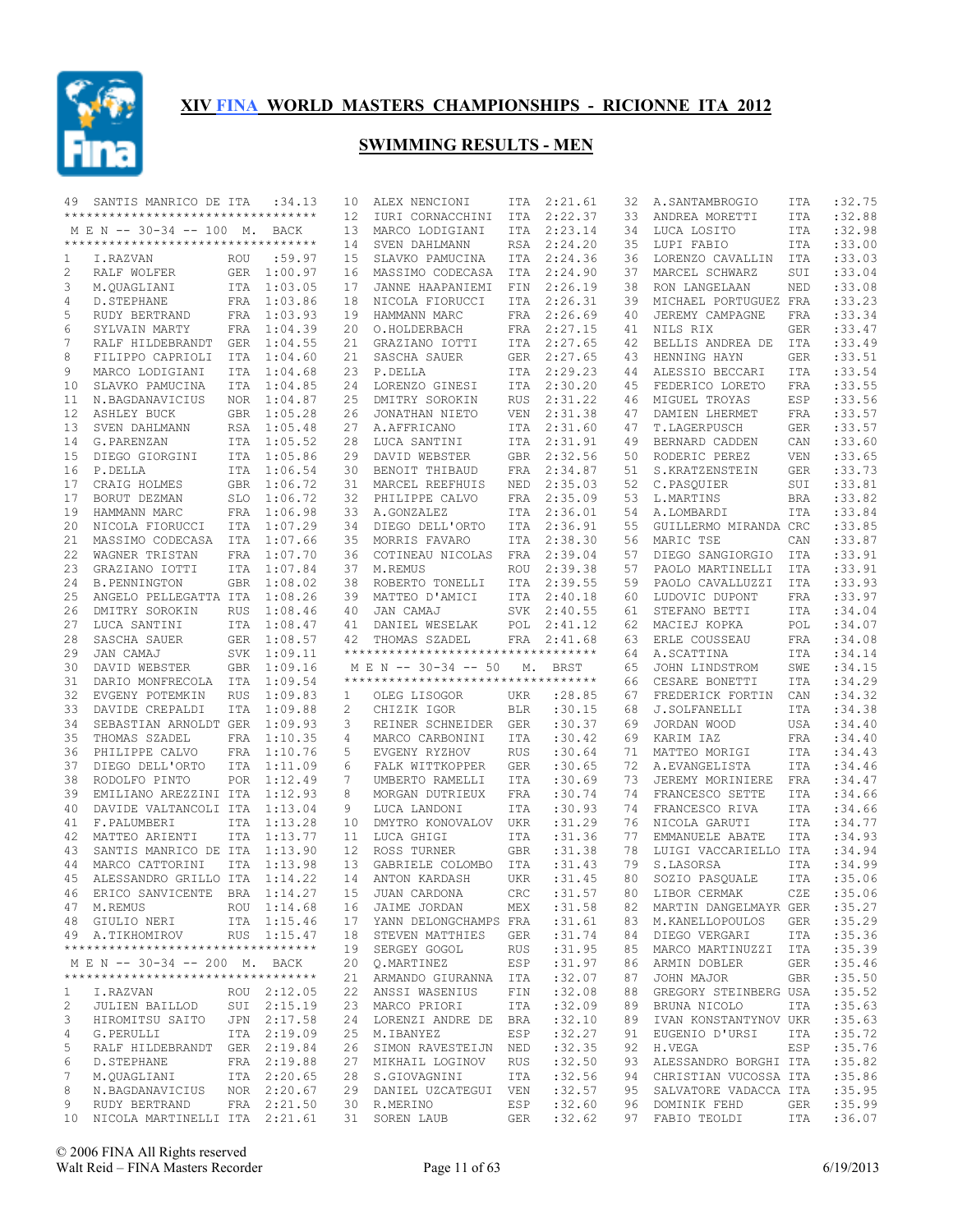

| 49           | SANTIS MANRICO DE ITA               |            | : 34.13     | 10                | ALEX NENCIONI                       |            | ITA 2:21.61 | 32 | A.SANTAMBROGIO           | ITA        | :32.75     |
|--------------|-------------------------------------|------------|-------------|-------------------|-------------------------------------|------------|-------------|----|--------------------------|------------|------------|
|              | **********************************  |            |             | $12 \overline{ }$ | IURI CORNACCHINI                    | ITA        | 2:22.37     | 33 | ANDREA MORETTI           | ITA        | :32.88     |
|              | M E N -- 30-34 -- 100 M. BACK       |            |             | 13                | MARCO LODIGIANI                     |            | ITA 2:23.14 | 34 | LUCA LOSITO              | <b>ITA</b> | :32.98     |
|              | **********************************  |            |             |                   |                                     |            |             |    |                          |            |            |
|              |                                     |            |             | 14                | SVEN DAHLMANN                       | RSA        | 2:24.20     | 35 | LUPI FABIO               | <b>ITA</b> | :33.00     |
| 1            | I.RAZVAN                            | ROU        | :59.97      | 15                | SLAVKO PAMUCINA                     |            | ITA 2:24.36 | 36 | LORENZO CAVALLIN         | ITA        | :33.03     |
| 2            | RALF WOLFER                         |            | GER 1:00.97 | 16                | MASSIMO CODECASA                    | ITA        | 2:24.90     | 37 | MARCEL SCHWARZ           | SUI        | :33.04     |
| 3            | M.QUAGLIANI                         |            | ITA 1:03.05 | 17                | JANNE HAAPANIEMI                    | FIN        | 2:26.19     | 38 | RON LANGELAAN            | NED        | :33.08     |
| 4            | D. STEPHANE                         |            | FRA 1:03.86 | 18                | NICOLA FIORUCCI                     | <b>ITA</b> | 2:26.31     | 39 | MICHAEL PORTUGUEZ FRA    |            | :33.23     |
| 5            | RUDY BERTRAND                       |            | FRA 1:03.93 | 19                | HAMMANN MARC                        |            | FRA 2:26.69 | 40 | JEREMY CAMPAGNE          | FRA        | :33.34     |
|              |                                     |            |             |                   |                                     |            |             |    |                          |            |            |
| 6            | SYLVAIN MARTY                       |            | FRA 1:04.39 | 20                | O.HOLDERBACH                        | FRA        | 2:27.15     | 41 | NILS RIX                 | <b>GER</b> | :33.47     |
| 7            | RALF HILDEBRANDT                    |            | GER 1:04.55 | 21                | GRAZIANO IOTTI                      | ITA        | 2:27.65     | 42 | BELLIS ANDREA DE         | ITA        | :33.49     |
| 8            | FILIPPO CAPRIOLI                    | ITA        | 1:04.60     | 21                | SASCHA SAUER                        | GER        | 2:27.65     | 43 | HENNING HAYN             | GER        | :33.51     |
| 9            | MARCO LODIGIANI                     |            | ITA 1:04.68 | 23                | P.DELLA                             |            | ITA 2:29.23 | 44 | ALESSIO BECCARI          | <b>ITA</b> | :33.54     |
|              |                                     |            | ITA 1:04.85 |                   |                                     |            |             |    | FEDERICO LORETO          |            | :33.55     |
| 10           | SLAVKO PAMUCINA                     |            |             | 24                | LORENZO GINESI                      | ITA        | 2:30.20     | 45 |                          | <b>FRA</b> |            |
| 11           | N.BAGDANAVICIUS                     |            | NOR 1:04.87 | 25                | DMITRY SOROKIN                      | <b>RUS</b> | 2:31.22     | 46 | MIGUEL TROYAS            | ESP        | :33.56     |
| 12           | <b>ASHLEY BUCK</b>                  |            | GBR 1:05.28 | 26                | JONATHAN NIETO                      | <b>VEN</b> | 2:31.38     | 47 | DAMIEN LHERMET           | FRA        | :33.57     |
| 13           | SVEN DAHLMANN                       |            | RSA 1:05.48 | 27                | A.AFFRICANO                         | ITA        | 2:31.60     | 47 | T.LAGERPUSCH             | <b>GER</b> | :33.57     |
| 14           | G. PARENZAN                         |            | ITA 1:05.52 | 28                | LUCA SANTINI                        | ITA        | 2:31.91     | 49 | BERNARD CADDEN           | CAN        | :33.60     |
| 15           | DIEGO GIORGINI                      |            | ITA 1:05.86 | 29                |                                     | GBR        | 2:32.56     | 50 |                          | <b>VEN</b> | :33.65     |
|              |                                     |            |             |                   | DAVID WEBSTER                       |            |             |    | RODERIC PEREZ            |            |            |
| 16           | P.DELLA                             |            | ITA 1:06.54 | 30                | BENOIT THIBAUD                      | FRA        | 2:34.87     | 51 | S.KRATZENSTEIN           | GER        | :33.73     |
| 17           | CRAIG HOLMES                        |            | GBR 1:06.72 | 31                | MARCEL REEFHUIS                     | NED        | 2:35.03     | 52 | C.PASQUIER               | SUI        | :33.81     |
| 17           | BORUT DEZMAN                        |            | SLO 1:06.72 | 32                | PHILIPPE CALVO                      | <b>FRA</b> | 2:35.09     | 53 | L.MARTINS                | <b>BRA</b> | :33.82     |
| 19           | HAMMANN MARC                        |            | FRA 1:06.98 | 33                | A.GONZALEZ                          | ITA        | 2:36.01     | 54 | A.LOMBARDI               | <b>ITA</b> | :33.84     |
|              |                                     |            |             |                   |                                     |            |             |    |                          |            |            |
| 20           | NICOLA FIORUCCI                     |            | ITA 1:07.29 | 34                | DIEGO DELL'ORTO                     | ITA        | 2:36.91     | 55 | GUILLERMO MIRANDA CRC    |            | :33.85     |
| 21           | MASSIMO CODECASA ITA 1:07.66        |            |             | 35                | MORRIS FAVARO                       | ITA        | 2:38.30     | 56 | MARIC TSE                | CAN        | :33.87     |
| 22           | WAGNER TRISTAN                      |            | FRA 1:07.70 | 36                | COTINEAU NICOLAS                    | FRA        | 2:39.04     | 57 | DIEGO SANGIORGIO         | ITA        | :33.91     |
| 23           | GRAZIANO IOTTI                      |            | ITA 1:07.84 | 37                | M.REMUS                             | ROU        | 2:39.38     | 57 | PAOLO MARTINELLI         | ITA        | :33.91     |
|              |                                     |            |             |                   |                                     |            |             |    |                          |            |            |
| 24           | <b>B. PENNINGTON</b>                | GBR        | 1:08.02     | 38                | ROBERTO TONELLI                     | ITA        | 2:39.55     | 59 | PAOLO CAVALLUZZI         | <b>ITA</b> | :33.93     |
| 25           | ANGELO PELLEGATTA ITA 1:08.26       |            |             | 39                | MATTEO D'AMICI                      | ITA        | 2:40.18     | 60 | LUDOVIC DUPONT           | <b>FRA</b> | :33.97     |
| 26           | DMITRY SOROKIN                      | <b>RUS</b> | 1:08.46     | 40                | JAN CAMAJ                           | <b>SVK</b> | 2:40.55     | 61 | STEFANO BETTI            | <b>ITA</b> | :34.04     |
| 27           | LUCA SANTINI                        |            | ITA 1:08.47 | 41                | DANIEL WESELAK                      | POL        | 2:41.12     | 62 | MACIEJ KOPKA             | POL        | :34.07     |
|              |                                     |            |             |                   |                                     |            |             |    |                          |            |            |
| 28           | SASCHA SAUER                        |            | GER 1:08.57 | 42                | THOMAS SZADEL                       |            | FRA 2:41.68 | 63 | ERLE COUSSEAU            | <b>FRA</b> | :34.08     |
| 29           | JAN CAMAJ                           |            | SVK 1:09.11 |                   | *********************************** |            |             | 64 | A.SCATTINA               | <b>ITA</b> | :34.14     |
|              |                                     |            |             |                   |                                     |            |             |    |                          |            |            |
| 30           |                                     |            | GBR 1:09.16 |                   | M E N -- 30-34 -- 50                | М.         | BRST        | 65 |                          | SWE        | :34.15     |
|              | DAVID WEBSTER                       |            |             |                   | *********************************** |            |             |    | JOHN LINDSTROM           |            |            |
| 31           | DARIO MONFRECOLA ITA 1:09.54        |            |             |                   |                                     |            |             | 66 | CESARE BONETTI           | <b>ITA</b> | :34.29     |
| 32           | EVGENY POTEMKIN                     | <b>RUS</b> | 1:09.83     | $\mathbf{1}$      | OLEG LISOGOR                        | UKR        | :28.85      | 67 | FREDERICK FORTIN         | CAN        | :34.32     |
| 33           | DAVIDE CREPALDI                     | <b>ITA</b> | 1:09.88     | 2                 | CHIZIK IGOR                         | <b>BLR</b> | :30.15      | 68 | J.SOLFANELLI             | ITA        | :34.38     |
| 34           | SEBASTIAN ARNOLDT GER               |            | 1:09.93     | 3                 | REINER SCHNEIDER GER                |            | :30.37      | 69 | JORDAN WOOD              | <b>USA</b> | :34.40     |
|              |                                     |            |             |                   |                                     |            |             |    |                          |            |            |
| 35           | THOMAS SZADEL                       | FRA        | 1:10.35     | 4                 | MARCO CARBONINI                     | ITA        | :30.42      | 69 | KARIM IAZ                | FRA        | :34.40     |
| 36           | PHILIPPE CALVO                      |            | FRA 1:10.76 | 5                 | EVGENY RYZHOV                       | <b>RUS</b> | :30.64      | 71 | MATTEO MORIGI            | <b>ITA</b> | :34.43     |
| 37           | DIEGO DELL'ORTO                     |            | ITA 1:11.09 | 6                 | FALK WITTKOPPER                     | <b>GER</b> | :30.65      | 72 | A. EVANGELISTA           | <b>ITA</b> | :34.46     |
| 38           | RODOLFO PINTO                       |            | POR 1:12.49 | 7                 | UMBERTO RAMELLI                     | ITA        | :30.69      | 73 | JEREMY MORINIERE         | FRA        | :34.47     |
| 39           | EMILIANO AREZZINI ITA 1:12.93       |            |             | 8                 | MORGAN DUTRIEUX                     | FRA        | :30.74      | 74 | FRANCESCO SETTE          | ITA        | :34.66     |
|              |                                     |            |             |                   |                                     |            |             |    |                          |            |            |
| 40           | DAVIDE VALTANCOLI ITA               |            | 1:13.04     | 9                 | LUCA LANDONI                        | <b>ITA</b> | :30.93      | 74 | FRANCESCO RIVA           | <b>ITA</b> | :34.66     |
| 41           | F.PALUMBERI                         | <b>ITA</b> | 1:13.28     | 10                | DMYTRO KONOVALOV                    | UKR        | :31.29      | 76 | NICOLA GARUTI            | <b>ITA</b> | :34.77     |
| 42           | MATTEO ARIENTI                      | <b>ITA</b> | 1:13.77     | 11                | LUCA GHIGI                          | ITA        | :31.36      | 77 | EMMANUELE ABATE          | <b>ITA</b> | :34.93     |
| 43           | SANTIS MANRICO DE ITA 1:13.90       |            |             | 12                | ROSS TURNER                         | <b>GBR</b> | :31.38      | 78 | LUIGI VACCARIELLO ITA    |            | :34.94     |
|              |                                     |            |             |                   |                                     |            |             |    |                          |            |            |
| 44           | MARCO CATTORINI                     | <b>ITA</b> | 1:13.98     | 13                | GABRIELE COLOMBO                    | ITA        | :31.43      | 79 | S.LASORSA                | <b>ITA</b> | :34.99     |
| 45           | ALESSANDRO GRILLO ITA               |            | 1:14.22     | 14                | ANTON KARDASH                       | <b>UKR</b> | : 31.45     | 80 | SOZIO PASQUALE           | <b>ITA</b> | :35.06     |
|              | 46 ERICO SANVICENTE BRA 1:14.27     |            |             |                   | 15 JUAN CARDONA                     |            | CRC : 31.57 |    | 80 LIBOR CERMAK          |            | CZE :35.06 |
|              | 47 M.REMUS                          |            | ROU 1:14.68 |                   | 16 JAIME JORDAN                     | MEX        | :31.58      |    | 82 MARTIN DANGELMAYR GER |            | :35.27     |
|              |                                     |            |             |                   |                                     |            |             |    |                          |            |            |
|              | 48 GIULIO NERI                      |            | ITA 1:15.46 |                   | 17 YANN DELONGCHAMPS FRA            |            | :31.61      | 83 | M. KANELLOPOULOS         | GER        | :35.29     |
|              | 49 A.TIKHOMIROV                     |            | RUS 1:15.47 |                   | 18 STEVEN MATTHIES                  | GER        | :31.74      | 84 | DIEGO VERGARI            | ITA        | :35.36     |
|              | *********************************** |            |             |                   | 19 SERGEY GOGOL                     | RUS        | :31.95      | 85 | MARCO MARTINUZZI         | ITA        | :35.39     |
|              | M E N -- 30-34 -- 200 M. BACK       |            |             |                   | 20 Q.MARTINEZ                       | ESP        | :31.97      | 86 | ARMIN DOBLER             | GER        | :35.46     |
|              | **********************************  |            |             |                   | 21 ARMANDO GIURANNA ITA             |            | :32.07      | 87 | JOHN MAJOR               | GBR        | :35.50     |
|              |                                     |            |             |                   |                                     |            |             |    |                          |            |            |
| $\mathbf{1}$ | I.RAZVAN                            |            | ROU 2:12.05 |                   | 22 ANSSI WASENIUS                   | FIN        | :32.08      | 88 | GREGORY STEINBERG USA    |            | :35.52     |
| 2            | JULIEN BAILLOD                      |            | SUI 2:15.19 |                   | 23 MARCO PRIORI                     | ITA        | :32.09      | 89 | BRUNA NICOLO             | ITA        | :35.63     |
| 3            | HIROMITSU SAITO                     |            | JPN 2:17.58 |                   | 24 LORENZI ANDRE DE BRA             |            | :32.10      | 89 | IVAN KONSTANTYNOV UKR    |            | :35.63     |
| 4            | G. PERULLI                          |            | ITA 2:19.09 |                   | 25 M.IBANYEZ                        | ESP        | :32.27      | 91 | EUGENIO D'URSI           | ITA        | :35.72     |
|              |                                     |            |             |                   |                                     |            |             |    |                          |            |            |
| 5            | RALF HILDEBRANDT GER 2:19.84        |            |             |                   | 26 SIMON RAVESTEIJN NED             |            | :32.35      | 92 | H.VEGA                   | ESP        | :35.76     |
| 6            | D. STEPHANE                         |            | FRA 2:19.88 |                   | 27 MIKHAIL LOGINOV                  | <b>RUS</b> | :32.50      | 93 | ALESSANDRO BORGHI ITA    |            | :35.82     |
| 7            | M.OUAGLIANI                         |            | ITA 2:20.65 |                   | 28 S.GIOVAGNINI                     | ITA        | :32.56      | 94 | CHRISTIAN VUCOSSA ITA    |            | :35.86     |
| 8            | N.BAGDANAVICIUS                     |            | NOR 2:20.67 |                   | 29 DANIEL UZCATEGUI VEN             |            | :32.57      | 95 | SALVATORE VADACCA ITA    |            | :35.95     |
| 9            | RUDY BERTRAND                       |            | FRA 2:21.50 |                   | 30 R.MERINO                         | ESP        | :32.60      | 96 | DOMINIK FEHD             | GER        | :35.99     |
|              | 10 NICOLA MARTINELLI ITA 2:21.61    |            |             |                   | 31 SOREN LAUB                       | GER        | :32.62      |    | 97 FABIO TEOLDI          | ITA        | :36.07     |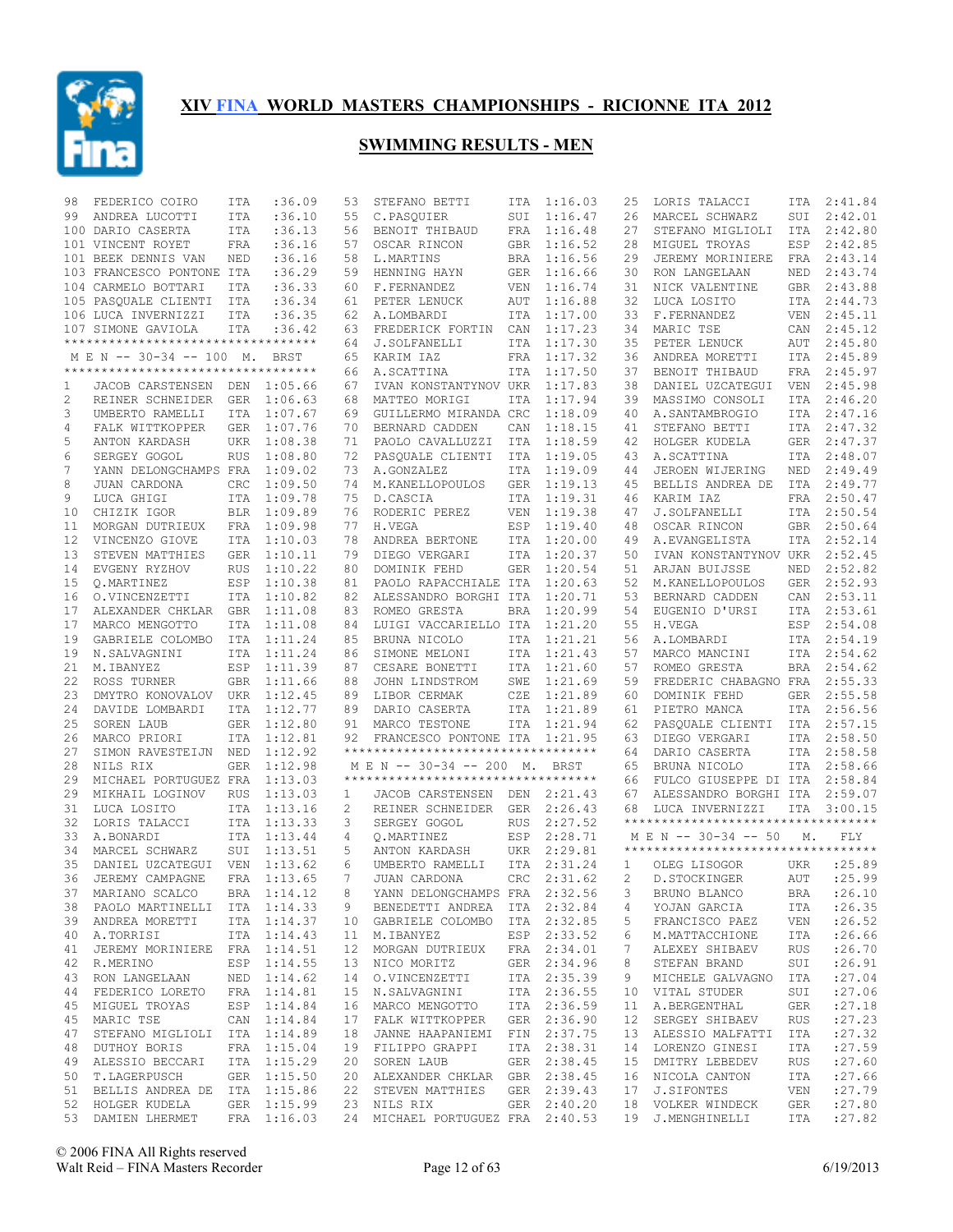

| 98 | FEDERICO COIRO                     | ITA        | :36.09      | 53             | STEFANO BETTI                       | ITA        | 1:16.03     | 25          | LORIS TALACCI                                     | ITA        | 2:41.84    |
|----|------------------------------------|------------|-------------|----------------|-------------------------------------|------------|-------------|-------------|---------------------------------------------------|------------|------------|
| 99 | ANDREA LUCOTTI                     | <b>ITA</b> | :36.10      | 55             | C.PASQUIER                          | SUI        | 1:16.47     | 26          | MARCEL SCHWARZ                                    | SUI        | 2:42.01    |
|    | 100 DARIO CASERTA                  | ITA        | :36.13      | 56             | BENOIT THIBAUD                      | FRA        | 1:16.48     | 27          | STEFANO MIGLIOLI                                  | ITA        | 2:42.80    |
|    | 101 VINCENT ROYET                  | FRA        | :36.16      | 57             | OSCAR RINCON                        | <b>GBR</b> | 1:16.52     | 28          | MIGUEL TROYAS                                     | ESP        | 2:42.85    |
|    | 101 BEEK DENNIS VAN                | NED        | :36.16      | 58             | L.MARTINS                           | BRA        | 1:16.56     | 29          | JEREMY MORINIERE                                  | FRA        | 2:43.14    |
|    | 103 FRANCESCO PONTONE ITA          |            | :36.29      | 59             | HENNING HAYN                        | <b>GER</b> | 1:16.66     | 30          | RON LANGELAAN                                     | NED        | 2:43.74    |
|    | 104 CARMELO BOTTARI                | ITA        | :36.33      | 60             | F.FERNANDEZ                         | <b>VEN</b> | 1:16.74     | 31          | NICK VALENTINE                                    | <b>GBR</b> | 2:43.88    |
|    | 105 PASQUALE CLIENTI               | ITA        | :36.34      | 61             | PETER LENUCK                        | AUT        | 1:16.88     | 32          | LUCA LOSITO                                       | <b>ITA</b> | 2:44.73    |
|    | 106 LUCA INVERNIZZI                | ITA        | :36.35      | 62             | A.LOMBARDI                          | ITA        | 1:17.00     | 33          | F.FERNANDEZ                                       | <b>VEN</b> | 2:45.11    |
|    | 107 SIMONE GAVIOLA                 | <b>ITA</b> | :36.42      | 63             | FREDERICK FORTIN                    | CAN        | 1:17.23     | 34          | MARIC TSE                                         | CAN        | 2:45.12    |
|    | ********************************** |            |             | 64             | J.SOLFANELLI                        | ITA        | 1:17.30     | 35          | PETER LENUCK                                      | AUT        | 2:45.80    |
|    | M E N -- 30-34 -- 100 M.           |            | BRST        | 65             | KARIM IAZ                           | FRA        | 1:17.32     | 36          | ANDREA MORETTI                                    | ITA        | 2:45.89    |
|    | ********************************** |            |             | 66             | A.SCATTINA                          | ITA        | 1:17.50     | 37          | BENOIT THIBAUD                                    | FRA        | 2:45.97    |
| 1  | JACOB CARSTENSEN DEN               |            | 1:05.66     | 67             | IVAN KONSTANTYNOV UKR               |            | 1:17.83     | 38          | DANIEL UZCATEGUI                                  | <b>VEN</b> | 2:45.98    |
| 2  | REINER SCHNEIDER                   | GER        | 1:06.63     | 68             | MATTEO MORIGI                       | ITA        | 1:17.94     | 39          | MASSIMO CONSOLI                                   | <b>ITA</b> | 2:46.20    |
| 3  | UMBERTO RAMELLI                    | ITA        | 1:07.67     | 69             | GUILLERMO MIRANDA CRC               |            | 1:18.09     | 40          | A. SANTAMBROGIO                                   | <b>ITA</b> | 2:47.16    |
|    |                                    |            |             |                |                                     |            |             |             |                                                   |            |            |
| 4  | FALK WITTKOPPER                    | <b>GER</b> | 1:07.76     | 70             | BERNARD CADDEN                      | CAN        | 1:18.15     | 41          | STEFANO BETTI                                     | ITA        | 2:47.32    |
| 5  | ANTON KARDASH                      | <b>UKR</b> | 1:08.38     | 71             | PAOLO CAVALLUZZI                    | ITA        | 1:18.59     | 42          | HOLGER KUDELA                                     | <b>GER</b> | 2:47.37    |
| 6  | SERGEY GOGOL                       | <b>RUS</b> | 1:08.80     | 72             | PASQUALE CLIENTI                    | ITA        | 1:19.05     | 43          | A.SCATTINA                                        | <b>ITA</b> | 2:48.07    |
| 7  | YANN DELONGCHAMPS FRA              |            | 1:09.02     | 73             | A.GONZALEZ                          | ITA        | 1:19.09     | 44          | JEROEN WIJERING                                   | NED        | 2:49.49    |
| 8  | JUAN CARDONA                       | CRC        | 1:09.50     | 74             | M. KANELLOPOULOS                    | <b>GER</b> | 1:19.13     | 45          | BELLIS ANDREA DE                                  | ITA        | 2:49.77    |
| 9  | LUCA GHIGI                         | <b>ITA</b> | 1:09.78     | 75             | D.CASCIA                            | <b>ITA</b> | 1:19.31     | 46          | KARIM IAZ                                         | <b>FRA</b> | 2:50.47    |
| 10 | CHIZIK IGOR                        | <b>BLR</b> | 1:09.89     | 76             | RODERIC PEREZ                       | <b>VEN</b> | 1:19.38     | 47          | J.SOLFANELLI                                      | <b>ITA</b> | 2:50.54    |
| 11 | MORGAN DUTRIEUX                    | FRA        | 1:09.98     | 77             | H.VEGA                              | ESP        | 1:19.40     | 48          | OSCAR RINCON                                      | <b>GBR</b> | 2:50.64    |
| 12 | VINCENZO GIOVE                     | <b>ITA</b> | 1:10.03     | 78             | ANDREA BERTONE                      | ITA        | 1:20.00     | 49          | A. EVANGELISTA                                    | <b>ITA</b> | 2:52.14    |
| 13 | STEVEN MATTHIES                    | <b>GER</b> | 1:10.11     | 79             | DIEGO VERGARI                       | ITA        | 1:20.37     | 50          | IVAN KONSTANTYNOV UKR                             |            | 2:52.45    |
| 14 | EVGENY RYZHOV                      | <b>RUS</b> | 1:10.22     | 80             | DOMINIK FEHD                        | <b>GER</b> | 1:20.54     | 51          | ARJAN BUIJSSE                                     | NED        | 2:52.82    |
| 15 | Q.MARTINEZ                         | ESP        | 1:10.38     | 81             | PAOLO RAPACCHIALE ITA               |            | 1:20.63     | 52          | M. KANELLOPOULOS                                  | <b>GER</b> | 2:52.93    |
| 16 | O.VINCENZETTI                      | ITA        | 1:10.82     | 82             | ALESSANDRO BORGHI ITA               |            | 1:20.71     | 53          | BERNARD CADDEN                                    | CAN        | 2:53.11    |
| 17 | ALEXANDER CHKLAR                   | <b>GBR</b> | 1:11.08     | 83             | ROMEO GRESTA                        | <b>BRA</b> | 1:20.99     | 54          | EUGENIO D'URSI                                    | <b>ITA</b> | 2:53.61    |
| 17 | MARCO MENGOTTO                     | <b>ITA</b> | 1:11.08     | 84             | LUIGI VACCARIELLO ITA               |            | 1:21.20     | 55          | H.VEGA                                            | ESP        | 2:54.08    |
|    | GABRIELE COLOMBO                   |            |             |                | BRUNA NICOLO                        |            |             |             |                                                   |            |            |
| 19 |                                    | ITA        | 1:11.24     | 85             |                                     | <b>ITA</b> | 1:21.21     | 56          | A.LOMBARDI                                        | ITA        | 2:54.19    |
| 19 | N.SALVAGNINI                       | ITA        | 1:11.24     | 86             | SIMONE MELONI                       | <b>ITA</b> | 1:21.43     | 57          | MARCO MANCINI                                     | <b>ITA</b> | 2:54.62    |
| 21 | M.IBANYEZ                          | ESP        | 1:11.39     | 87             | CESARE BONETTI                      | ITA        | 1:21.60     | 57          | ROMEO GRESTA                                      | BRA        | 2:54.62    |
| 22 | ROSS TURNER                        | <b>GBR</b> | 1:11.66     | 88             | JOHN LINDSTROM                      | SWE        | 1:21.69     | 59          | FREDERIC CHABAGNO FRA                             |            | 2:55.33    |
| 23 | DMYTRO KONOVALOV                   | UKR        | 1:12.45     | 89             | LIBOR CERMAK                        | CZE        | 1:21.89     | 60          | DOMINIK FEHD                                      | <b>GER</b> | 2:55.58    |
| 24 | DAVIDE LOMBARDI                    | ITA        | 1:12.77     | 89             | DARIO CASERTA                       | ITA        | 1:21.89     | 61          | PIETRO MANCA                                      | ITA        | 2:56.56    |
| 25 | SOREN LAUB                         | <b>GER</b> | 1:12.80     | 91             | MARCO TESTONE                       | ITA        | 1:21.94     | 62          | PASQUALE CLIENTI                                  | ITA        | 2:57.15    |
| 26 | MARCO PRIORI                       | <b>ITA</b> | 1:12.81     | 92             | FRANCESCO PONTONE ITA               |            | 1:21.95     | 63          | DIEGO VERGARI                                     | ITA        | 2:58.50    |
| 27 | SIMON RAVESTEIJN                   | NED        | 1:12.92     |                | **********************************  |            |             | 64          | DARIO CASERTA                                     | ITA        | 2:58.58    |
| 28 | NILS RIX                           | <b>GER</b> | 1:12.98     |                | M E N -- 30-34 -- 200 M.            |            | BRST        | 65          | BRUNA NICOLO                                      | <b>ITA</b> | 2:58.66    |
| 29 | MICHAEL PORTUGUEZ FRA              |            | 1:13.03     |                | *********************************** |            |             | 66          | FULCO GIUSEPPE DI ITA                             |            | 2:58.84    |
| 29 | MIKHAIL LOGINOV                    | <b>RUS</b> | 1:13.03     | 1              | JACOB CARSTENSEN                    | DEN        | 2:21.43     | 67          | ALESSANDRO BORGHI ITA                             |            | 2:59.07    |
| 31 | LUCA LOSITO                        | ITA        | 1:13.16     | $\overline{2}$ | REINER SCHNEIDER                    | <b>GER</b> | 2:26.43     | 68          | LUCA INVERNIZZI                                   | ITA        | 3:00.15    |
| 32 | LORIS TALACCI                      | <b>ITA</b> | 1:13.33     | 3              | SERGEY GOGOL                        | <b>RUS</b> | 2:27.52     |             | **********************************                |            |            |
| 33 | A.BONARDI                          | <b>ITA</b> | 1:13.44     | 4              | Q.MARTINEZ                          | ESP        | 2:28.71     |             | M E N -- 30-34 -- 50                              | М.         | FLY        |
| 34 | MARCEL SCHWARZ                     | SUI        | 1:13.51     | 5              | ANTON KARDASH                       | UKR        | 2:29.81     |             | ***********************************               |            |            |
| 35 | DANIEL UZCATEGUI VEN               |            | 1:13.62     | 6              | UMBERTO RAMELLI                     | <b>ITA</b> | 2:31.24     | 1           | OLEG LISOGOR                                      | UKR        | :25.89     |
| 36 | JEREMY CAMPAGNE                    | FRA        | 1:13.65     | 7              | JUAN CARDONA                        | <b>CRC</b> | 2:31.62     | 2           | D. STOCKINGER                                     | AUT        | : 25.99    |
|    | 37 MARIANO SCALCO                  |            | BRA 1:14.12 | 8              | YANN DELONGCHAMPS FRA 2:32.56       |            |             | $3^{\circ}$ | BRUNO BLANCO                                      |            | BRA :26.10 |
|    | 38 PAOLO MARTINELLI ITA 1:14.33    |            |             |                | BENEDETTI ANDREA ITA 2:32.84        |            |             |             | YOJAN GARCIA                                      |            | : 26.35    |
|    |                                    |            | ITA 1:14.37 | 9              | 10 GABRIELE COLOMBO ITA 2:32.85     |            |             | 4           |                                                   | ITA        | : 26.52    |
|    | 39 ANDREA MORETTI                  |            |             |                |                                     |            |             | 5           | FRANCISCO PAEZ                                    | VEN        |            |
|    | 40 A.TORRISI                       |            | ITA 1:14.43 |                | 11 M.IBANYEZ                        |            | ESP 2:33.52 | 6           | M.MATTACCHIONE                                    | ITA        | : 26.66    |
|    | 41 JEREMY MORINIERE FRA 1:14.51    |            |             |                | 12 MORGAN DUTRIEUX FRA 2:34.01      |            |             | 7           | ALEXEY SHIBAEV                                    | RUS        | :26.70     |
| 42 | R.MERINO                           |            | ESP 1:14.55 |                | 13 NICO MORITZ                      |            | GER 2:34.96 | 8           | STEFAN BRAND                                      | SUI        | : 26.91    |
|    | 43 RON LANGELAAN                   |            | NED 1:14.62 |                | 14 O.VINCENZETTI                    |            | ITA 2:35.39 | 9           | MICHELE GALVAGNO                                  | ITA        | : 27.04    |
| 44 | FEDERICO LORETO                    |            | FRA 1:14.81 |                | 15 N.SALVAGNINI                     |            | ITA 2:36.55 | 10          | VITAL STUDER                                      | SUI        | :27.06     |
|    | 45 MIGUEL TROYAS                   |            | ESP 1:14.84 |                | 16 MARCO MENGOTTO                   |            | ITA 2:36.59 | 11          | A.BERGENTHAL                                      | GER        | : 27.18    |
| 45 | MARIC TSE                          |            | CAN 1:14.84 |                | 17 FALK WITTKOPPER                  |            | GER 2:36.90 | 12          | SERGEY SHIBAEV                                    | RUS        | : 27.23    |
| 47 | STEFANO MIGLIOLI ITA 1:14.89       |            |             |                | 18 JANNE HAAPANIEMI FIN 2:37.75     |            |             | 13          | ALESSIO MALFATTI                                  | ITA        | : 27.32    |
| 48 | DUTHOY BORIS                       |            | FRA 1:15.04 |                | 19 FILIPPO GRAPPI                   |            | ITA 2:38.31 | 14          | LORENZO GINESI                                    | ITA        | : 27.59    |
| 49 | ALESSIO BECCARI                    |            | ITA 1:15.29 |                | 20 SOREN LAUB                       |            | GER 2:38.45 | 15          | DMITRY LEBEDEV                                    | RUS        | : 27.60    |
| 50 | T.LAGERPUSCH                       |            | GER 1:15.50 |                | 20 ALEXANDER CHKLAR GBR 2:38.45     |            |             | 16          | NICOLA CANTON                                     | ITA        | :27.66     |
|    | 51 BELLIS ANDREA DE ITA 1:15.86    |            |             |                | 22 STEVEN MATTHIES                  |            | GER 2:39.43 | 17          | J.SIFONTES                                        | VEN        | : 27.79    |
|    | 52 HOLGER KUDELA                   |            | GER 1:15.99 |                | 23 NILS RIX                         |            | GER 2:40.20 |             | 18 VOLKER WINDECK                                 | GER        | : 27.80    |
|    |                                    |            |             |                |                                     |            |             |             | 24 MICHAEL PORTUGUEZ FRA 2:40.53 19 J.MENGHINELLI | ITA        | : 27.82    |
|    | 53 DAMIEN LHERMET FRA 1:16.03      |            |             |                |                                     |            |             |             |                                                   |            |            |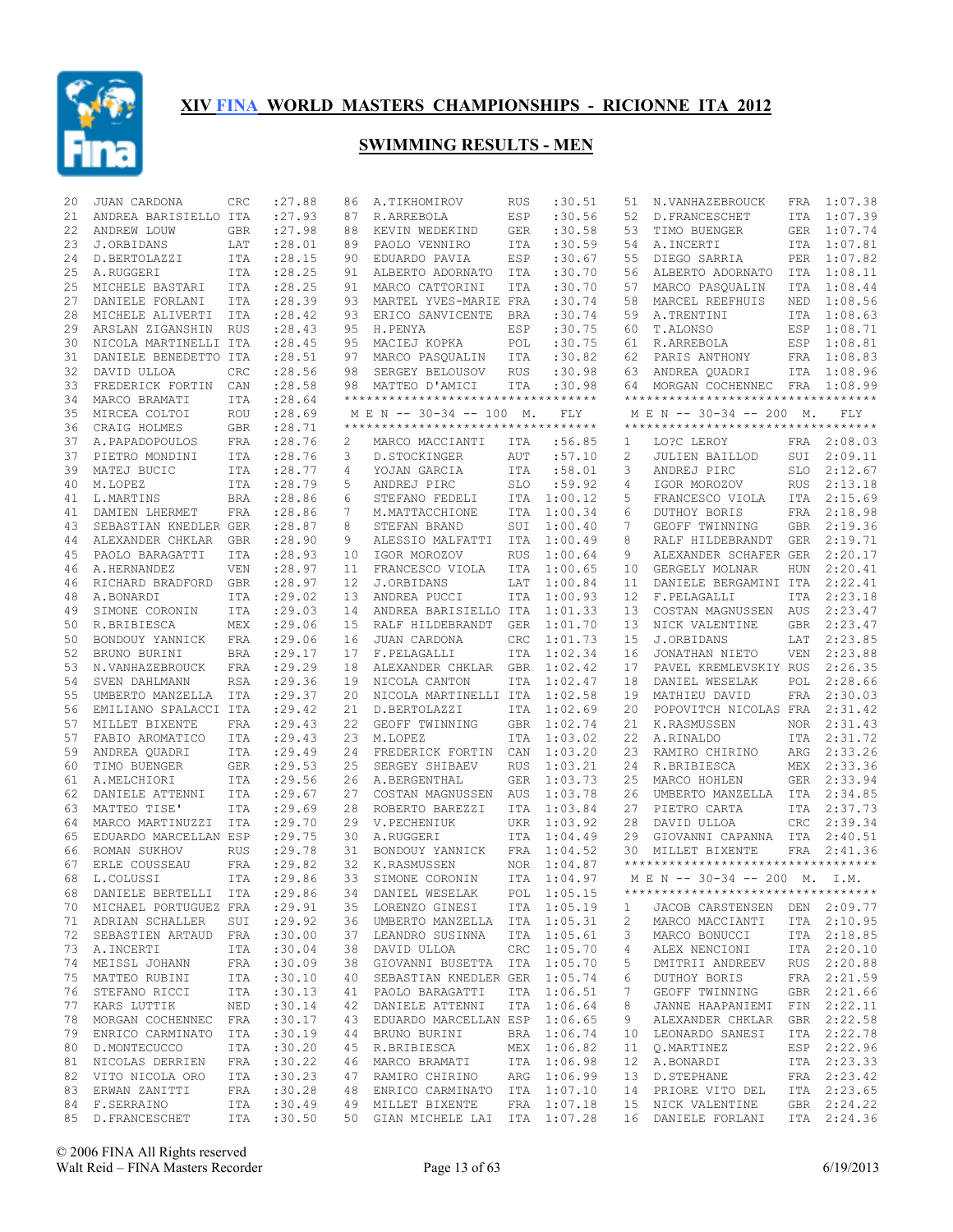

| 20       | JUAN CARDONA                    | CRC               | :27.88             | 86       | A.TIKHOMIROV                        | <b>RUS</b> | :30.51             | 51       | N.VANHAZEBROUCK                      | FRA        | 1:07.38            |
|----------|---------------------------------|-------------------|--------------------|----------|-------------------------------------|------------|--------------------|----------|--------------------------------------|------------|--------------------|
| 21       | ANDREA BARISIELLO ITA           |                   | : 27.93            | 87       | R.ARREBOLA                          | ESP        | :30.56             | 52       | D. FRANCESCHET                       | ITA        | 1:07.39            |
| 22       | ANDREW LOUW                     | <b>GBR</b>        | : 27.98            | 88       | KEVIN WEDEKIND                      | <b>GER</b> | :30.58             | 53       | TIMO BUENGER                         | GER        | 1:07.74            |
| 23       | J.ORBIDANS                      | LAT               | : 28.01            | 89       | PAOLO VENNIRO                       | ITA        | :30.59             | 54       | A. INCERTI                           | ITA        | 1:07.81            |
| 24       | D.BERTOLAZZI                    | <b>ITA</b>        | : 28.15            | 90       | EDUARDO PAVIA                       | ESP        | :30.67             | 55       | DIEGO SARRIA                         | PER        | 1:07.82            |
| 25       | A.RUGGERI                       | ITA               | : 28.25            | 91       | ALBERTO ADORNATO                    | ITA        | :30.70             | 56       | ALBERTO ADORNATO                     | ITA        | 1:08.11            |
| 25       | MICHELE BASTARI                 | <b>ITA</b>        | : 28.25            | 91       | MARCO CATTORINI                     | <b>ITA</b> | :30.70             | 57       | MARCO PASQUALIN                      | <b>ITA</b> | 1:08.44            |
| 27       | DANIELE FORLANI                 | ITA               | : 28.39            | 93       | MARTEL YVES-MARIE FRA               |            | :30.74             | 58       | MARCEL REEFHUIS                      | NED        | 1:08.56            |
| 28       | MICHELE ALIVERTI                | ITA               | : 28.42            | 93       | ERICO SANVICENTE                    | BRA        | :30.74             | 59       | A.TRENTINI                           | ITA        | 1:08.63            |
| 29       | ARSLAN ZIGANSHIN RUS            |                   | : 28.43            | 95       | H.PENYA                             | ESP        | :30.75             | 60       | T.ALONSO                             | ESP        | 1:08.71            |
| 30       | NICOLA MARTINELLI ITA           |                   | :28.45             | 95       | MACIEJ KOPKA                        | POL        | :30.75             | 61       | R.ARREBOLA                           | ESP        | 1:08.81            |
| 31       | DANIELE BENEDETTO ITA           |                   | : 28.51            | 97       | MARCO PASQUALIN                     | ITA        | :30.82             | 62       | PARIS ANTHONY                        | FRA        | 1:08.83            |
| 32       | DAVID ULLOA                     | CRC               | :28.56             | 98       | SERGEY BELOUSOV                     | <b>RUS</b> | :30.98             | 63       | ANDREA QUADRI                        |            | ITA 1:08.96        |
| 33       | FREDERICK FORTIN                | CAN               | :28.58             | 98       | MATTEO D'AMICI                      | ITA        | :30.98             | 64       | MORGAN COCHENNEC FRA                 |            | 1:08.99            |
| 34       | MARCO BRAMATI                   | <b>ITA</b>        | : 28.64            |          | **********************************  |            |                    |          | **********************************   |            |                    |
| 35       | MIRCEA COLTOI                   | <b>ROU</b>        | : 28.69            |          | M E N -- 30-34 -- 100 M.            |            | FLY                |          | M E N -- 30-34 -- 200 M.             |            | FLY                |
| 36       | CRAIG HOLMES                    | <b>GBR</b>        | : 28.71            |          | *********************************** |            |                    |          | **********************************   |            |                    |
| 37       | A. PAPADOPOULOS                 | FRA               | : 28.76            | 2        | MARCO MACCIANTI                     | ITA        | :56.85             | 1        | LO?C LEROY                           |            | FRA 2:08.03        |
| 37       | PIETRO MONDINI                  | <b>ITA</b>        | : 28.76            | 3        | D.STOCKINGER                        | AUT        | :57.10             | 2        | <b>JULIEN BAILLOD</b>                | SUI        | 2:09.11            |
| 39       | MATEJ BUCIC                     | <b>ITA</b>        | : 28.77            | 4        | YOJAN GARCIA                        | ITA        | :58.01             | 3        | ANDREJ PIRC                          | <b>SLO</b> | 2:12.67            |
| 40       | M.LOPEZ                         | <b>ITA</b>        | : 28.79            | 5        | ANDREJ PIRC                         | <b>SLO</b> | :59.92             | 4        | IGOR MOROZOV                         | <b>RUS</b> | 2:13.18            |
| 41       | L.MARTINS                       | <b>BRA</b>        | :28.86             | 6        | STEFANO FEDELI                      | <b>ITA</b> | 1:00.12            | 5        | FRANCESCO VIOLA                      | <b>ITA</b> | 2:15.69            |
| 41       | DAMIEN LHERMET                  | <b>FRA</b>        | :28.86             | 7        | M.MATTACCHIONE                      | <b>ITA</b> | 1:00.34            | 6        | DUTHOY BORIS                         | <b>FRA</b> | 2:18.98            |
| 43       | SEBASTIAN KNEDLER GER           |                   | :28.87             | 8        | STEFAN BRAND                        | SUI        | 1:00.40            | 7        | GEOFF TWINNING                       | <b>GBR</b> | 2:19.36<br>2:19.71 |
| 44       | ALEXANDER CHKLAR GBR            |                   | : 28.90            | 9        | ALESSIO MALFATTI                    | <b>ITA</b> | 1:00.49<br>1:00.64 | 8        | RALF HILDEBRANDT                     | <b>GER</b> | 2:20.17            |
| 45       | PAOLO BARAGATTI                 | ITA               | : 28.93            | 10       | IGOR MOROZOV                        | <b>RUS</b> | 1:00.65            | 9        | ALEXANDER SCHAFER GER                |            |                    |
| 46<br>46 | A.HERNANDEZ                     | VEN               | : 28.97<br>: 28.97 | 11<br>12 | FRANCESCO VIOLA                     | <b>ITA</b> | 1:00.84            | 10       | GERGELY MOLNAR                       | <b>HUN</b> | 2:20.41<br>2:22.41 |
| 48       | RICHARD BRADFORD<br>A.BONARDI   | <b>GBR</b><br>ITA | : 29.02            | 13       | J.ORBIDANS<br>ANDREA PUCCI          | LAT<br>ITA | 1:00.93            | 11<br>12 | DANIELE BERGAMINI ITA<br>F.PELAGALLI | ITA        | 2:23.18            |
| 49       | SIMONE CORONIN                  | ITA               | : 29.03            | 14       | ANDREA BARISIELLO ITA               |            | 1:01.33            | 13       | COSTAN MAGNUSSEN                     | AUS        | 2:23.47            |
| 50       | R.BRIBIESCA                     | MEX               | : 29.06            | 15       | RALF HILDEBRANDT                    | GER        | 1:01.70            | 13       | NICK VALENTINE                       | <b>GBR</b> | 2:23.47            |
| 50       | BONDOUY YANNICK                 | FRA               | : 29.06            | 16       | JUAN CARDONA                        | CRC        | 1:01.73            | 15       | J.ORBIDANS                           | LAT        | 2:23.85            |
| 52       | BRUNO BURINI                    | <b>BRA</b>        | : 29.17            | 17       | F.PELAGALLI                         | <b>ITA</b> | 1:02.34            | 16       | JONATHAN NIETO                       | <b>VEN</b> | 2:23.88            |
| 53       | N.VANHAZEBROUCK                 | FRA               | : 29.29            | 18       | ALEXANDER CHKLAR                    | <b>GBR</b> | 1:02.42            | 17       | PAVEL KREMLEVSKIY RUS                |            | 2:26.35            |
| 54       | SVEN DAHLMANN                   | <b>RSA</b>        | : 29.36            | 19       | NICOLA CANTON                       | ITA        | 1:02.47            | 18       | DANIEL WESELAK                       | POL        | 2:28.66            |
| 55       | UMBERTO MANZELLA                | ITA               | : 29.37            | 20       | NICOLA MARTINELLI ITA               |            | 1:02.58            | 19       | MATHIEU DAVID                        | FRA        | 2:30.03            |
| 56       | EMILIANO SPALACCI ITA           |                   | : 29.42            | 21       | D.BERTOLAZZI                        | ITA        | 1:02.69            | 20       | POPOVITCH NICOLAS FRA                |            | 2:31.42            |
| 57       | MILLET BIXENTE                  | FRA               | : 29.43            | 22       | GEOFF TWINNING                      | <b>GBR</b> | 1:02.74            | 21       | K.RASMUSSEN                          | NOR        | 2:31.43            |
| 57       | FABIO AROMATICO                 | <b>ITA</b>        | : 29.43            | 23       | M.LOPEZ                             | <b>ITA</b> | 1:03.02            | 22       | A.RINALDO                            | ITA        | 2:31.72            |
| 59       | ANDREA QUADRI                   | ITA               | : 29.49            | 24       | FREDERICK FORTIN                    | CAN        | 1:03.20            | 23       | RAMIRO CHIRINO                       | ARG        | 2:33.26            |
| 60       | TIMO BUENGER                    | <b>GER</b>        | : 29.53            | 25       | SERGEY SHIBAEV                      | <b>RUS</b> | 1:03.21            | 24       | R.BRIBIESCA                          | MEX        | 2:33.36            |
| 61       | A.MELCHIORI                     | <b>ITA</b>        | : 29.56            | 26       | A.BERGENTHAL                        | <b>GER</b> | 1:03.73            | 25       | MARCO HOHLEN                         | GER        | 2:33.94            |
| 62       | DANIELE ATTENNI                 | <b>ITA</b>        | : 29.67            | 27       | COSTAN MAGNUSSEN                    | AUS        | 1:03.78            | 26       | UMBERTO MANZELLA                     | ITA        | 2:34.85            |
| 63       | MATTEO TISE'                    | <b>ITA</b>        | : 29.69            | 28       | ROBERTO BAREZZI                     | <b>ITA</b> | 1:03.84            | 27       | PIETRO CARTA                         | ITA        | 2:37.73            |
| 64       | MARCO MARTINUZZI                | <b>ITA</b>        | : 29.70            | 29       | V. PECHENIUK                        | UKR        | 1:03.92            | 28       | DAVID ULLOA                          | CRC        | 2:39.34            |
| 65       | EDUARDO MARCELLAN ESP           |                   | : 29.75            | 30       | A.RUGGERI                           | <b>ITA</b> | 1:04.49            | 29       | GIOVANNI CAPANNA                     | ITA        | 2:40.51            |
| 66       | ROMAN SUKHOV                    | <b>RUS</b>        | : 29.78            | 31       | BONDOUY YANNICK                     | <b>FRA</b> | 1:04.52            | 30       | MILLET BIXENTE                       | FRA        | 2:41.36            |
| 67       | ERLE COUSSEAU                   | FRA               | : 29.82            | 32       | K.RASMUSSEN                         | <b>NOR</b> | 1:04.87            |          | ***********************************  |            |                    |
| 68       | L.COLUSSI                       | <b>ITA</b>        | :29.86             | 33       | SIMONE CORONIN                      | <b>ITA</b> | 1:04.97            |          | MEN -- 30-34 -- 200 M. I.M.          |            |                    |
|          | 68 DANIELE BERTELLI ITA : 29.86 |                   |                    |          | 34 DANIEL WESELAK                   |            | POL 1:05.15        |          | **********************************   |            |                    |
|          | 70 MICHAEL PORTUGUEZ FRA        |                   | : 29.91            |          | 35 LORENZO GINESI                   |            | ITA 1:05.19        | 1        | JACOB CARSTENSEN                     |            | DEN 2:09.77        |
|          | 71 ADRIAN SCHALLER              | SUI               | : 29.92            |          | 36 UMBERTO MANZELLA ITA 1:05.31     |            |                    | 2        | MARCO MACCIANTI                      |            | ITA 2:10.95        |
| 72       | SEBASTIEN ARTAUD FRA            |                   | :30.00             | 37       | LEANDRO SUSINNA                     |            | ITA 1:05.61        | 3        | MARCO BONUCCI                        |            | ITA 2:18.85        |
|          | 73 A.INCERTI                    | ITA               | :30.04             | 38       | DAVID ULLOA                         |            | CRC 1:05.70        | 4        | ALEX NENCIONI                        |            | ITA 2:20.10        |
| 74       | MEISSL JOHANN                   | FRA               | :30.09             | 38       | GIOVANNI BUSETTA ITA 1:05.70        |            |                    | 5        | DMITRII ANDREEV                      |            | RUS 2:20.88        |
| 75       | MATTEO RUBINI                   | ITA               | :30.10             | 40       | SEBASTIAN KNEDLER GER 1:05.74       |            |                    | 6        | DUTHOY BORIS                         |            | FRA 2:21.59        |
| 76       | STEFANO RICCI                   | ITA               | :30.13             | 41       | PAOLO BARAGATTI                     | ITA        | 1:06.51            | 7        | GEOFF TWINNING                       |            | GBR 2:21.66        |
| 77       | KARS LUTTIK                     | NED               | :30.14             | 42       | DANIELE ATTENNI                     |            | ITA 1:06.64        | 8        | JANNE HAAPANIEMI                     |            | FIN 2:22.11        |
| 78       | MORGAN COCHENNEC                | FRA               | :30.17             | 43       | EDUARDO MARCELLAN ESP 1:06.65       |            |                    | 9        | ALEXANDER CHKLAR                     |            | GBR 2:22.58        |
| 79       | ENRICO CARMINATO                | ITA               | :30.19             | 44       | BRUNO BURINI                        |            | BRA 1:06.74        | 10       | LEONARDO SANESI                      |            | ITA 2:22.78        |
| 80       | D.MONTECUCCO                    | ITA               | :30.20             | 45       | R.BRIBIESCA                         | MEX        | 1:06.82            | 11       | Q.MARTINEZ                           | ESP        | 2:22.96            |
| 81       | NICOLAS DERRIEN                 | FRA               | :30.22             |          | 46 MARCO BRAMATI                    |            | ITA 1:06.98        | 12       | A.BONARDI                            |            | ITA 2:23.33        |
| 82       | VITO NICOLA ORO                 | ITA               | :30.23             | 47       | RAMIRO CHIRINO                      | ARG        | 1:06.99            | 13       | D.STEPHANE                           |            | FRA 2:23.42        |
| 83       | ERWAN ZANITTI                   | FRA               | :30.28             |          | 48 ENRICO CARMINATO ITA 1:07.10     |            |                    | 14       | PRIORE VITO DEL                      |            | ITA 2:23.65        |
| 84       | F.SERRAINO                      | ITA               | :30.49             |          | 49 MILLET BIXENTE                   |            | FRA 1:07.18        | 15       | NICK VALENTINE                       |            | GBR 2:24.22        |
|          | 85 D.FRANCESCHET                | ITA               | :30.50             |          | 50 GIAN MICHELE LAI ITA 1:07.28     |            |                    |          | 16 DANIELE FORLANI                   |            | ITA 2:24.36        |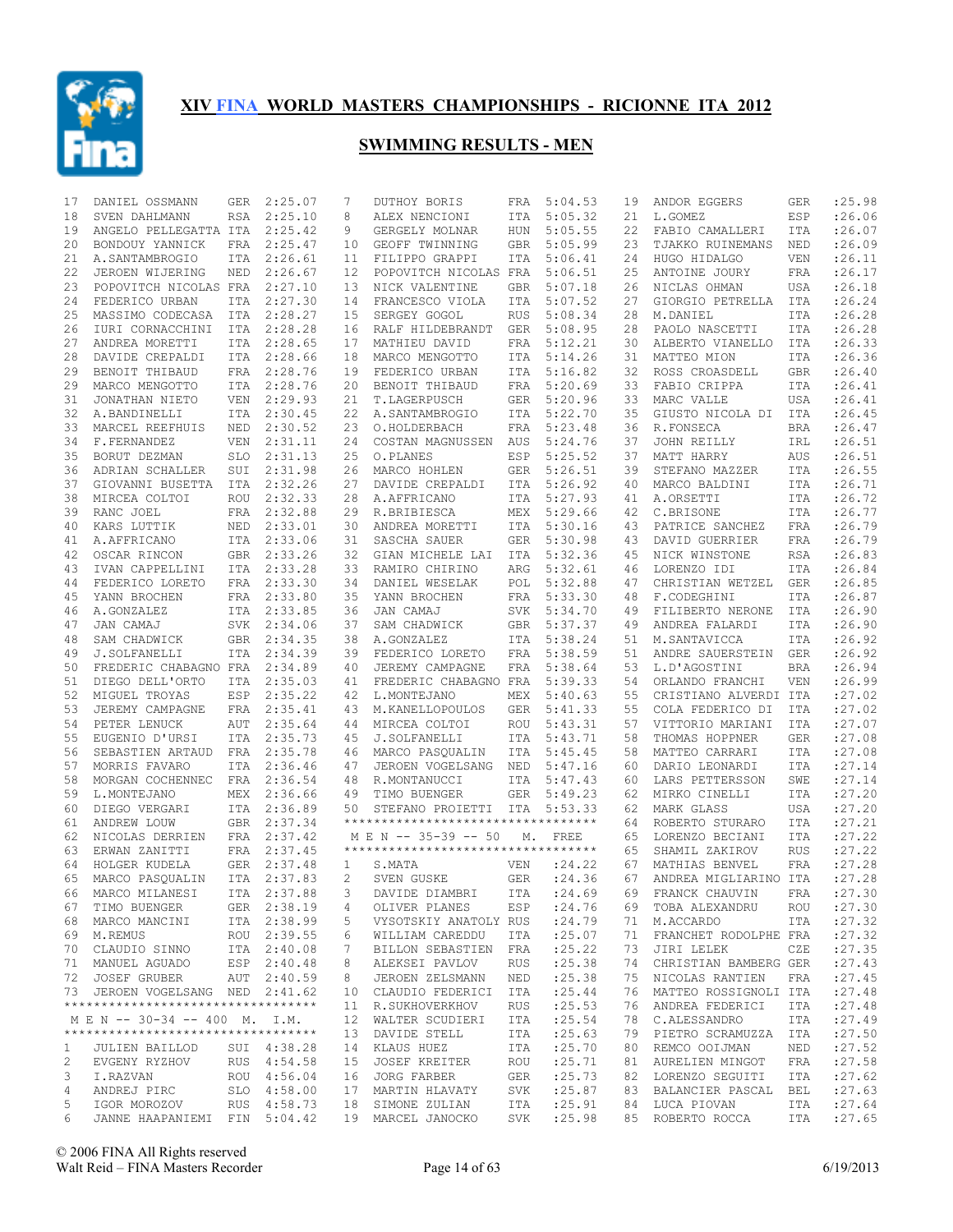

| 17           | DANIEL OSSMANN                                                      | <b>GER</b> | 2:25.07     | 7       | DUTHOY BORIS                        | FRA        | 5:04.53            | 19       | ANDOR EGGERS                             | GER        | :25.98  |
|--------------|---------------------------------------------------------------------|------------|-------------|---------|-------------------------------------|------------|--------------------|----------|------------------------------------------|------------|---------|
| 18           | SVEN DAHLMANN                                                       | RSA        | 2:25.10     | 8       | ALEX NENCIONI                       | ITA        | 5:05.32            | 21       | L.GOMEZ                                  | ESP        | :26.06  |
| 19           | ANGELO PELLEGATTA ITA                                               |            | 2:25.42     | 9       | GERGELY MOLNAR                      | <b>HUN</b> | 5:05.55            | 22       | FABIO CAMALLERI                          | <b>ITA</b> | : 26.07 |
| 20           | BONDOUY YANNICK                                                     | FRA        | 2:25.47     | 10      | GEOFF TWINNING                      | <b>GBR</b> | 5:05.99            | 23       | TJAKKO RUINEMANS                         | NED        | :26.09  |
| 21           | A.SANTAMBROGIO                                                      | <b>ITA</b> | 2:26.61     | 11      | FILIPPO GRAPPI                      | ITA        | 5:06.41            | 24       | HUGO HIDALGO                             | <b>VEN</b> | : 26.11 |
| 22           | JEROEN WIJERING                                                     | NED        | 2:26.67     | 12      | POPOVITCH NICOLAS FRA               |            | 5:06.51            | 25       | ANTOINE JOURY                            | FRA        | : 26.17 |
| 23           | POPOVITCH NICOLAS FRA                                               |            | 2:27.10     | 13      | NICK VALENTINE                      | <b>GBR</b> | 5:07.18            | 26       | NICLAS OHMAN                             | <b>USA</b> | :26.18  |
| 24           | FEDERICO URBAN                                                      | ITA        | 2:27.30     | 14      | FRANCESCO VIOLA                     | ITA        | 5:07.52            | 27       | GIORGIO PETRELLA                         | ITA        | : 26.24 |
| 25           | MASSIMO CODECASA                                                    | ITA        | 2:28.27     | 15      | SERGEY GOGOL                        | <b>RUS</b> | 5:08.34            | 28       | M.DANIEL                                 | ITA        | :26.28  |
| 26           | IURI CORNACCHINI                                                    | ITA        | 2:28.28     | 16      | RALF HILDEBRANDT                    | GER        | 5:08.95            | 28       | PAOLO NASCETTI                           | ITA        | :26.28  |
| 27           | ANDREA MORETTI                                                      | ITA        | 2:28.65     | 17      | MATHIEU DAVID                       | FRA        | 5:12.21            | 30       | ALBERTO VIANELLO                         | ITA        | :26.33  |
| 28           | DAVIDE CREPALDI                                                     | ITA        | 2:28.66     | 18      | MARCO MENGOTTO                      | <b>ITA</b> | 5:14.26            | 31       | MATTEO MION                              | <b>ITA</b> | : 26.36 |
| 29           | BENOIT THIBAUD                                                      | FRA        | 2:28.76     | 19      | FEDERICO URBAN                      | ITA        | 5:16.82            | 32       | ROSS CROASDELL                           | <b>GBR</b> | : 26.40 |
| 29           | MARCO MENGOTTO                                                      | <b>ITA</b> | 2:28.76     | 20      | BENOIT THIBAUD                      | FRA        | 5:20.69            | 33       | FABIO CRIPPA                             | <b>ITA</b> | : 26.41 |
| 31           | JONATHAN NIETO                                                      | <b>VEN</b> | 2:29.93     | 21      | T.LAGERPUSCH                        | <b>GER</b> | 5:20.96            | 33       | MARC VALLE                               | <b>USA</b> | : 26.41 |
| 32           | A.BANDINELLI                                                        | <b>ITA</b> | 2:30.45     | 22      | A. SANTAMBROGIO                     | ITA        | 5:22.70            | 35       | GIUSTO NICOLA DI                         | ITA        | : 26.45 |
| 33           | MARCEL REEFHUIS                                                     | NED        | 2:30.52     | 23      | O.HOLDERBACH                        | FRA        | 5:23.48            | 36       | R.FONSECA                                | <b>BRA</b> | : 26.47 |
| 34           | F.FERNANDEZ                                                         | <b>VEN</b> | 2:31.11     | 24      | COSTAN MAGNUSSEN                    | AUS        | 5:24.76            | 37       | JOHN REILLY                              | IRL        | : 26.51 |
| 35           | BORUT DEZMAN                                                        | <b>SLO</b> | 2:31.13     | 25      | O.PLANES                            | ESP        | 5:25.52            | 37       | MATT HARRY                               | AUS        | : 26.51 |
| 36           | ADRIAN SCHALLER                                                     | SUI        | 2:31.98     | 26      | MARCO HOHLEN                        | <b>GER</b> | 5:26.51            | 39       | STEFANO MAZZER                           | <b>ITA</b> | :26.55  |
| 37           | GIOVANNI BUSETTA                                                    | ITA        | 2:32.26     | 27      | DAVIDE CREPALDI                     | ITA        | 5:26.92            | 40       | MARCO BALDINI                            | <b>ITA</b> | : 26.71 |
| 38           | MIRCEA COLTOI                                                       | <b>ROU</b> | 2:32.33     | 28      | A.AFFRICANO                         | <b>ITA</b> | 5:27.93            | 41       | A.ORSETTI                                | <b>ITA</b> | : 26.72 |
| 39           | RANC JOEL                                                           | FRA        | 2:32.88     | 29      | R.BRIBIESCA                         | MEX        | 5:29.66            | 42       | C.BRISONE                                | <b>ITA</b> | : 26.77 |
| 40           | KARS LUTTIK                                                         | NED        | 2:33.01     | 30      | ANDREA MORETTI                      | <b>ITA</b> | 5:30.16            | 43       | PATRICE SANCHEZ                          | FRA        | :26.79  |
| 41           | A.AFFRICANO                                                         | ITA        | 2:33.06     | 31      | SASCHA SAUER                        | <b>GER</b> | 5:30.98            | 43       | DAVID GUERRIER                           | FRA        | : 26.79 |
| 42           | OSCAR RINCON                                                        | GBR        | 2:33.26     | 32      | GIAN MICHELE LAI                    | <b>ITA</b> | 5:32.36            | 45       | NICK WINSTONE                            | <b>RSA</b> | : 26.83 |
| 43           | IVAN CAPPELLINI                                                     | ITA        | 2:33.28     | 33      | RAMIRO CHIRINO                      | ARG        | 5:32.61            | 46       | LORENZO IDI                              | ITA        | :26.84  |
| 44           | FEDERICO LORETO                                                     | FRA        | 2:33.30     | 34      | DANIEL WESELAK                      | POL        | 5:32.88            | 47       | CHRISTIAN WETZEL                         | <b>GER</b> | :26.85  |
| 45           | YANN BROCHEN                                                        | FRA        | 2:33.80     | 35      | YANN BROCHEN                        | FRA        | 5:33.30            | 48       | F.CODEGHINI                              | <b>ITA</b> | :26.87  |
| 46           | A.GONZALEZ                                                          | ITA        | 2:33.85     | 36      | JAN CAMAJ                           | <b>SVK</b> | 5:34.70            | 49       | FILIBERTO NERONE                         | ITA        | : 26.90 |
| 47           | JAN CAMAJ                                                           | SVK        | 2:34.06     | 37      | SAM CHADWICK                        | GBR        | 5:37.37            | 49       | ANDREA FALARDI                           | ITA        | : 26.90 |
| 48           | SAM CHADWICK                                                        | <b>GBR</b> | 2:34.35     | 38      | A.GONZALEZ                          | ITA        | 5:38.24            | 51       | M.SANTAVICCA                             | ITA        | : 26.92 |
| 49           | J.SOLFANELLI                                                        | <b>ITA</b> | 2:34.39     | 39      | FEDERICO LORETO                     | FRA        | 5:38.59            | 51       | ANDRE SAUERSTEIN                         | GER        | : 26.92 |
| 50           | FREDERIC CHABAGNO FRA                                               |            | 2:34.89     | 40      | JEREMY CAMPAGNE                     | FRA        | 5:38.64            | 53       | L.D'AGOSTINI                             | <b>BRA</b> | :26.94  |
| 51           | DIEGO DELL'ORTO                                                     | ITA        | 2:35.03     | 41      | FREDERIC CHABAGNO FRA               |            | 5:39.33            | 54       | ORLANDO FRANCHI                          | VEN        | :26.99  |
| 52           | MIGUEL TROYAS                                                       | ESP        | 2:35.22     | 42      | L.MONTEJANO                         | MEX        | 5:40.63            | 55       | CRISTIANO ALVERDI ITA                    |            | : 27.02 |
| 53           | JEREMY CAMPAGNE                                                     | FRA        | 2:35.41     | 43      | M. KANELLOPOULOS                    | GER        | 5:41.33            | 55       | COLA FEDERICO DI                         | ITA        | : 27.02 |
| 54           | PETER LENUCK                                                        | AUT        | 2:35.64     | 44      | MIRCEA COLTOI                       | <b>ROU</b> | 5:43.31            | 57       | VITTORIO MARIANI                         | <b>ITA</b> | : 27.07 |
| 55           | EUGENIO D'URSI                                                      | <b>ITA</b> | 2:35.73     | 45      | J.SOLFANELLI                        | ITA        | 5:43.71            | 58       | THOMAS HOPPNER                           | <b>GER</b> | :27.08  |
| 56           | SEBASTIEN ARTAUD                                                    | <b>FRA</b> | 2:35.78     | 46      | MARCO PASQUALIN                     | ITA        | 5:45.45            | 58       | MATTEO CARRARI                           | <b>ITA</b> | :27.08  |
| 57           | MORRIS FAVARO                                                       | <b>ITA</b> | 2:36.46     | 47      | JEROEN VOGELSANG                    | NED        | 5:47.16            | 60       | DARIO LEONARDI                           | <b>ITA</b> | : 27.14 |
| 58           | MORGAN COCHENNEC                                                    | <b>FRA</b> | 2:36.54     | 48      | R.MONTANUCCI                        | ITA        | 5:47.43            | 60       | LARS PETTERSSON                          | SWE        | : 27.14 |
| 59           | L.MONTEJANO                                                         | MEX        | 2:36.66     | 49      | TIMO BUENGER                        | <b>GER</b> | 5:49.23            | 62       | MIRKO CINELLI                            | ITA        | : 27.20 |
| 60           | DIEGO VERGARI                                                       |            | ITA 2:36.89 | 50      | STEFANO PROIETTI                    | ITA        | 5:53.33            | 62       | MARK GLASS                               | <b>USA</b> | : 27.20 |
| 61           | ANDREW LOUW                                                         | GBR        | 2:37.34     |         | *********************************** |            |                    | 64       | ROBERTO STURARO                          | <b>ITA</b> | : 27.21 |
| 62           | NICOLAS DERRIEN                                                     |            | FRA 2:37.42 |         | M E N -- 35-39 -- 50                | М.         | FREE               | 65       | LORENZO BECIANI                          | <b>ITA</b> | : 27.22 |
| 63           | ERWAN ZANITTI                                                       |            | FRA 2:37.45 |         | *********************************** |            |                    | 65       | SHAMIL ZAKIROV                           | <b>RUS</b> | : 27.22 |
| 64           | HOLGER KUDELA                                                       |            | GER 2:37.48 | 1       | S.MATA                              | <b>VEN</b> | : 24.22            | 67       | MATHIAS BENVEL                           | <b>FRA</b> | : 27.28 |
| 65           | MARCO PASOUALIN                                                     |            | ITA 2:37.83 | 2       | SVEN GUSKE                          | <b>GER</b> | :24.36             | 67       | ANDREA MIGLIARINO ITA                    |            | :27.28  |
|              | 66 MARCO MILANESI                                                   |            | ITA 2:37.88 |         | 3 DAVIDE DIAMBRI                    |            | ITA : 24.69        | 69       | FRANCK CHAUVIN                           | FRA        | : 27.30 |
| 67           | TIMO BUENGER                                                        |            | GER 2:38.19 | 4       | OLIVER PLANES                       | ESP        | :24.76             | 69       | TOBA ALEXANDRU                           | ROU        | : 27.30 |
|              | 68 MARCO MANCINI                                                    |            | ITA 2:38.99 | 5       | VYSOTSKIY ANATOLY RUS               |            | : 24.79            | 71       | M.ACCARDO                                | ITA        | : 27.32 |
|              | 69 M.REMUS                                                          |            | ROU 2:39.55 | 6       | WILLIAM CAREDDU                     | ITA        | : 25.07            | 71       | FRANCHET RODOLPHE FRA                    |            | : 27.32 |
|              | 70 CLAUDIO SINNO                                                    |            | ITA 2:40.08 | 7       | BILLON SEBASTIEN FRA                |            | : 25.22            | 73       | JIRI LELEK                               | CZE        | : 27.35 |
|              | 71 MANUEL AGUADO                                                    |            | ESP 2:40.48 | 8       | ALEKSEI PAVLOV                      | RUS        | :25.38             | 74       | CHRISTIAN BAMBERG GER                    |            | : 27.43 |
|              |                                                                     |            |             |         |                                     |            |                    |          |                                          |            |         |
|              | 72 JOSEF GRUBER<br>73 JEROEN VOGELSANG NED 2:41.62                  |            | AUT 2:40.59 | 8<br>10 | JEROEN ZELSMANN<br>CLAUDIO FEDERICI | NED<br>ITA | : 25.38<br>: 25.44 | 75<br>76 | NICOLAS RANTIEN<br>MATTEO ROSSIGNOLI ITA | FRA        | : 27.45 |
|              | **********************************                                  |            |             |         |                                     |            |                    |          |                                          |            | : 27.48 |
|              |                                                                     |            |             |         | 11 R.SUKHOVERKHOV                   | RUS        | : 25.53            | 76       | ANDREA FEDERICI                          | ITA        | : 27.48 |
|              | M E N -- 30-34 -- 400 M. I.M.<br>********************************** |            |             |         | 12 WALTER SCUDIERI                  | ITA        | : 25.54            | 78       | C.ALESSANDRO                             | ITA        | : 27.49 |
|              |                                                                     |            |             |         | 13 DAVIDE STELL                     | ITA        | : 25.63            | 79       | PIETRO SCRAMUZZA                         | ITA        | : 27.50 |
| $\mathbf{1}$ | <b>JULIEN BAILLOD</b>                                               |            | SUI 4:38.28 |         | 14 KLAUS HUEZ                       | ITA        | : 25.70            | 80       | REMCO OOIJMAN                            | NED        | : 27.52 |
| 2            | EVGENY RYZHOV                                                       |            | RUS 4:54.58 | 15      | <b>JOSEF KREITER</b>                | ROU        | : 25.71            | 81       | AURELIEN MINGOT                          | FRA        | : 27.58 |
| 3            | I.RAZVAN                                                            |            | ROU 4:56.04 |         | 16 JORG FARBER                      | GER        | : 25.73            | 82       | LORENZO SEGUITI                          | ITA        | : 27.62 |
| 4            | ANDREJ PIRC                                                         |            | SLO 4:58.00 | 17      | MARTIN HLAVATY                      | SVK        | : 25.87            | 83       | BALANCIER PASCAL                         | BEL        | : 27.63 |
| 5            | IGOR MOROZOV                                                        |            | RUS 4:58.73 |         | 18 SIMONE ZULIAN                    | ITA        | : 25.91            | 84       | LUCA PIOVAN                              | ITA        | : 27.64 |
| 6            | JANNE HAAPANIEMI FIN 5:04.42                                        |            |             |         | 19 MARCEL JANOCKO                   | SVK        | : 25.98            |          | 85 ROBERTO ROCCA                         | ITA        | : 27.65 |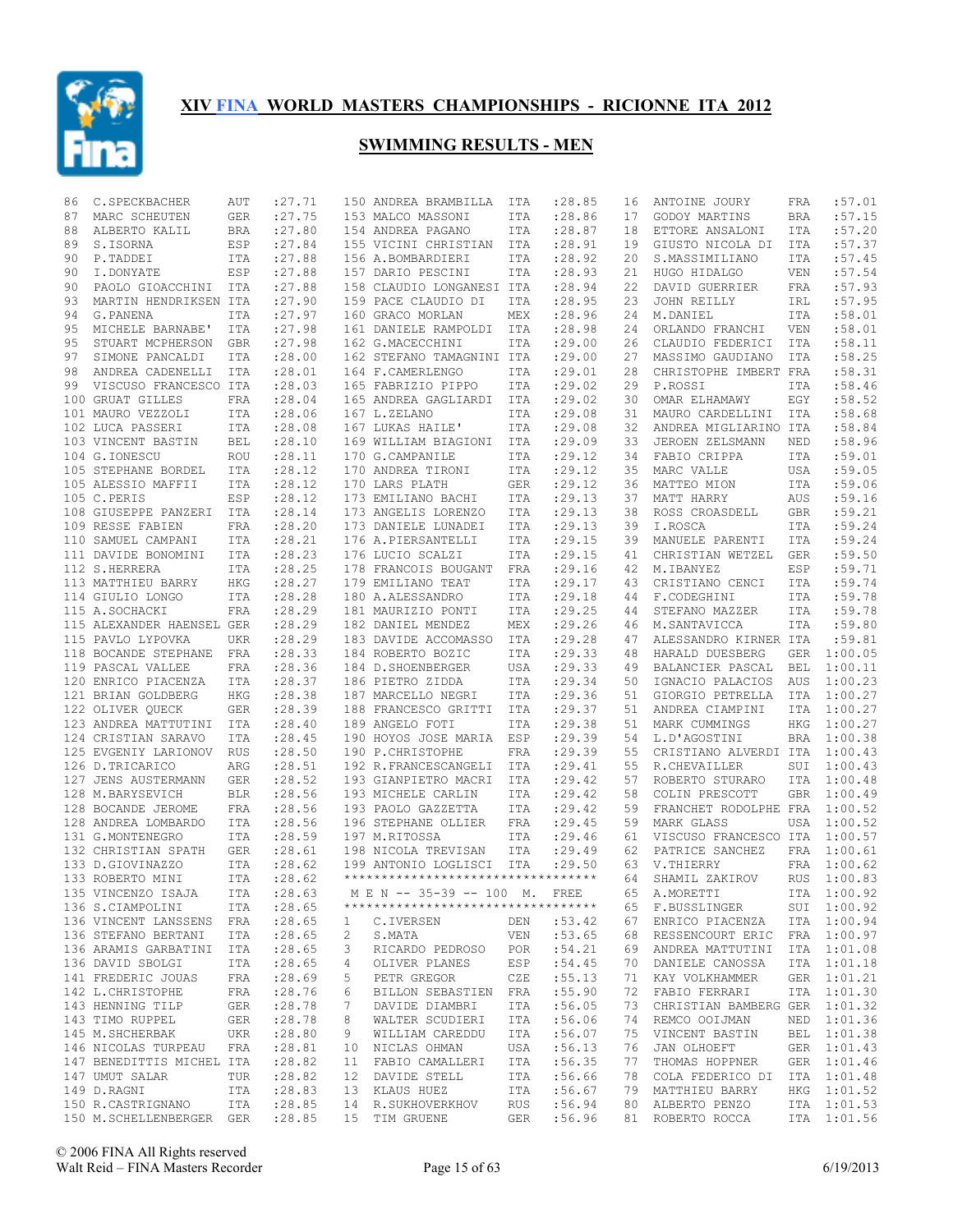

| 86 | C.SPECKBACHER                                | AUT        | : 27.71    |                  | 150 ANDREA BRAMBILLA                | ITA               | :28.85      | 16 | ANTOINE JOURY                  | FRA        | :57.01      |
|----|----------------------------------------------|------------|------------|------------------|-------------------------------------|-------------------|-------------|----|--------------------------------|------------|-------------|
| 87 | MARC SCHEUTEN                                | GER        | : 27.75    |                  | 153 MALCO MASSONI                   | ITA               | :28.86      | 17 | GODOY MARTINS                  | <b>BRA</b> | :57.15      |
| 88 | ALBERTO KALIL                                | BRA        | : 27.80    |                  | 154 ANDREA PAGANO                   | ITA               | : 28.87     | 18 | ETTORE ANSALONI                | ITA        | :57.20      |
| 89 | S.ISORNA                                     | ESP        | : 27.84    |                  | 155 VICINI CHRISTIAN                | ITA               | : 28.91     | 19 | GIUSTO NICOLA DI               | ITA        | :57.37      |
| 90 | P.TADDEI                                     | ITA        | : 27.88    |                  | 156 A.BOMBARDIERI                   | ITA               | : 28.92     | 20 | S.MASSIMILIANO                 | ITA        | :57.45      |
| 90 | I.DONYATE                                    | ESP        | : 27.88    |                  | 157 DARIO PESCINI                   | ITA               | : 28.93     | 21 | HUGO HIDALGO                   | <b>VEN</b> | :57.54      |
| 90 | PAOLO GIOACCHINI                             | ITA        | :27.88     |                  | 158 CLAUDIO LONGANESI ITA           |                   | :28.94      | 22 | DAVID GUERRIER                 | <b>FRA</b> | :57.93      |
| 93 | MARTIN HENDRIKSEN ITA                        |            | : 27.90    |                  | 159 PACE CLAUDIO DI                 | ITA               | : 28.95     | 23 | JOHN REILLY                    | IRL        | :57.95      |
| 94 | G. PANENA                                    | ITA        | : 27.97    |                  | 160 GRACO MORLAN                    | MEX               | :28.96      | 24 | M.DANIEL                       | <b>ITA</b> | :58.01      |
| 95 | MICHELE BARNABE'                             | ITA        | : 27.98    |                  | 161 DANIELE RAMPOLDI                | ITA               | :28.98      | 24 | ORLANDO FRANCHI                | <b>VEN</b> | :58.01      |
| 95 | STUART MCPHERSON                             | GBR        | : 27.98    |                  | 162 G.MACECCHINI                    | ITA               | :29.00      | 26 | CLAUDIO FEDERICI               | <b>ITA</b> | :58.11      |
| 97 | SIMONE PANCALDI                              | ITA        | : 28.00    |                  | 162 STEFANO TAMAGNINI ITA           |                   | :29.00      | 27 | MASSIMO GAUDIANO               | ITA        | :58.25      |
| 98 | ANDREA CADENELLI                             | <b>ITA</b> | :28.01     |                  | 164 F.CAMERLENGO                    | ITA               | : 29.01     | 28 | CHRISTOPHE IMBERT FRA          |            | :58.31      |
| 99 | VISCUSO FRANCESCO ITA                        |            | : 28.03    |                  | 165 FABRIZIO PIPPO                  | ITA               | : 29.02     | 29 | P.ROSSI                        | ITA        | :58.46      |
|    | 100 GRUAT GILLES                             | FRA        | : 28.04    |                  | 165 ANDREA GAGLIARDI                | ITA               | : 29.02     | 30 | OMAR ELHAMAWY                  | EGY        | :58.52      |
|    | 101 MAURO VEZZOLI                            | ITA        | :28.06     |                  | 167 L.ZELANO                        | ITA               | : 29.08     | 31 | MAURO CARDELLINI               | <b>ITA</b> | :58.68      |
|    | 102 LUCA PASSERI                             | <b>ITA</b> | :28.08     |                  | 167 LUKAS HAILE'                    | ITA               | : 29.08     | 32 | ANDREA MIGLIARINO ITA          |            | :58.84      |
|    | 103 VINCENT BASTIN                           | BEL        | : 28.10    |                  | 169 WILLIAM BIAGIONI                | ITA               | : 29.09     | 33 | JEROEN ZELSMANN                | NED        | :58.96      |
|    | 104 G.IONESCU                                | <b>ROU</b> | :28.11     |                  | 170 G.CAMPANILE                     | ITA               | : 29.12     | 34 | FABIO CRIPPA                   | <b>ITA</b> | :59.01      |
|    | 105 STEPHANE BORDEL                          | ITA        | : 28.12    |                  | 170 ANDREA TIRONI                   | ITA               | : 29.12     | 35 | MARC VALLE                     | <b>USA</b> | :59.05      |
|    | 105 ALESSIO MAFFII                           | <b>ITA</b> | : 28.12    |                  | 170 LARS PLATH                      | <b>GER</b>        | : 29.12     | 36 | MATTEO MION                    | ITA        | :59.06      |
|    | 105 C.PERIS                                  | ESP        | : 28.12    |                  | 173 EMILIANO BACHI                  | ITA               | : 29.13     | 37 | MATT HARRY                     | AUS        | :59.16      |
|    | 108 GIUSEPPE PANZERI                         | ITA        | :28.14     |                  | 173 ANGELIS LORENZO                 | ITA               | : 29.13     | 38 | ROSS CROASDELL                 | <b>GBR</b> | :59.21      |
|    | 109 RESSE FABIEN                             | FRA        | : 28.20    |                  | 173 DANIELE LUNADEI                 | <b>ITA</b>        | : 29.13     | 39 | I.ROSCA                        | <b>ITA</b> | :59.24      |
|    | 110 SAMUEL CAMPANI                           | <b>ITA</b> | : 28.21    |                  | 176 A.PIERSANTELLI                  |                   | :29.15      | 39 | MANUELE PARENTI                | <b>ITA</b> | :59.24      |
|    | 111 DAVIDE BONOMINI                          | <b>ITA</b> |            |                  | 176 LUCIO SCALZI                    | ITA<br><b>ITA</b> | :29.15      | 41 | CHRISTIAN WETZEL               | GER        | :59.50      |
|    |                                              |            | : 28.23    |                  |                                     |                   |             |    |                                |            | :59.71      |
|    | 112 S.HERRERA                                | ITA        | : 28.25    |                  | 178 FRANCOIS BOUGANT                | FRA               | : 29.16     | 42 | M.IBANYEZ                      | ESP        |             |
|    | 113 MATTHIEU BARRY                           | HKG        | : 28.27    |                  | 179 EMILIANO TEAT                   | ITA               | :29.17      | 43 | CRISTIANO CENCI                | <b>ITA</b> | :59.74      |
|    | 114 GIULIO LONGO                             | ITA        | :28.28     |                  | 180 A.ALESSANDRO                    | ITA               | : 29.18     | 44 | F.CODEGHINI                    | ITA        | :59.78      |
|    | 115 A.SOCHACKI                               | FRA        | :28.29     |                  | 181 MAURIZIO PONTI                  | ITA               | :29.25      | 44 | STEFANO MAZZER                 | <b>ITA</b> | :59.78      |
|    | 115 ALEXANDER HAENSEL GER                    |            | :28.29     |                  | 182 DANIEL MENDEZ                   | MEX               | : 29.26     | 46 | M.SANTAVICCA                   | <b>ITA</b> | :59.80      |
|    | 115 PAVLO LYPOVKA                            | <b>UKR</b> | : 28.29    |                  | 183 DAVIDE ACCOMASSO                | ITA               | :29.28      | 47 | ALESSANDRO KIRNER ITA          |            | :59.81      |
|    | 118 BOCANDE STEPHANE FRA                     |            | : 28.33    |                  | 184 ROBERTO BOZIC                   | ITA               | : 29.33     | 48 | HARALD DUESBERG                | <b>GER</b> | 1:00.05     |
|    | 119 PASCAL VALLEE                            | FRA        | : 28.36    |                  | 184 D. SHOENBERGER                  | USA               | : 29.33     | 49 | BALANCIER PASCAL               | <b>BEL</b> | 1:00.11     |
|    | 120 ENRICO PIACENZA                          | ITA        | : 28.37    |                  | 186 PIETRO ZIDDA                    | ITA               | : 29.34     | 50 | IGNACIO PALACIOS               | AUS        | 1:00.23     |
|    | 121 BRIAN GOLDBERG                           | HKG        | : 28.38    |                  | 187 MARCELLO NEGRI                  | ITA               | :29.36      | 51 | GIORGIO PETRELLA               | ITA        | 1:00.27     |
|    | 122 OLIVER QUECK                             | GER        | : 28.39    |                  | 188 FRANCESCO GRITTI                | ITA               | : 29.37     | 51 | ANDREA CIAMPINI                | ITA        | 1:00.27     |
|    | 123 ANDREA MATTUTINI                         | ITA        | : 28.40    |                  | 189 ANGELO FOTI                     | ITA               | :29.38      | 51 | MARK CUMMINGS                  | <b>HKG</b> | 1:00.27     |
|    | 124 CRISTIAN SARAVO                          | ITA        | : 28.45    |                  | 190 HOYOS JOSE MARIA                | ESP               | : 29.39     | 54 | L.D'AGOSTINI                   | <b>BRA</b> | 1:00.38     |
|    | 125 EVGENIY LARIONOV                         | RUS        | : 28.50    |                  | 190 P.CHRISTOPHE                    | FRA               | : 29.39     | 55 | CRISTIANO ALVERDI ITA          |            | 1:00.43     |
|    | 126 D.TRICARICO                              | ARG        | : 28.51    |                  | 192 R.FRANCESCANGELI                | ITA               | : 29.41     | 55 | R.CHEVAILLER                   | SUI        | 1:00.43     |
|    | 127 JENS AUSTERMANN                          | GER        | : 28.52    |                  | 193 GIANPIETRO MACRI                | ITA               | : 29.42     | 57 | ROBERTO STURARO                | ITA        | 1:00.48     |
|    | 128 M.BARYSEVICH                             | <b>BLR</b> | : 28.56    |                  | 193 MICHELE CARLIN                  | ITA               | : 29.42     | 58 | COLIN PRESCOTT                 | <b>GBR</b> | 1:00.49     |
|    | 128 BOCANDE JEROME                           | FRA        | :28.56     |                  | 193 PAOLO GAZZETTA                  | ITA               | :29.42      | 59 | FRANCHET RODOLPHE FRA          |            | 1:00.52     |
|    | 128 ANDREA LOMBARDO                          | ITA        | :28.56     |                  | 196 STEPHANE OLLIER                 | FRA               | : 29.45     | 59 | <b>MARK GLASS</b>              | USA        | 1:00.52     |
|    | 131 G.MONTENEGRO                             | ITA        | :28.59     |                  | 197 M.RITOSSA                       | ITA               | :29.46      | 61 | VISCUSO FRANCESCO ITA          |            | 1:00.57     |
|    | 132 CHRISTIAN SPATH                          | GER        | : 28.61    |                  | 198 NICOLA TREVISAN                 | ITA               | : 29.49     | 62 | PATRICE SANCHEZ                | <b>FRA</b> | 1:00.61     |
|    | 133 D.GIOVINAZZO                             | <b>ITA</b> | : 28.62    |                  | 199 ANTONIO LOGLISCI                | ITA               | : 29.50     | 63 | V.THIERRY                      | FRA        | 1:00.62     |
|    | 133 ROBERTO MINI                             | ITA        | : 28.62    |                  | *********************************** |                   |             | 64 | SHAMIL ZAKIROV                 | <b>RUS</b> | 1:00.83     |
|    | 135 VINCENZO ISAJA                           |            | ITA :28.63 |                  | M E N -- 35-39 -- 100 M. FREE       |                   |             |    | 65 A.MORETTI                   |            | ITA 1:00.92 |
|    | 136 S.CIAMPOLINI ITA                         |            | : 28.65    |                  | **********************************  |                   |             |    | 65 F.BUSSLINGER SUI 1:00.92    |            |             |
|    | 136 VINCENT LANSSENS FRA                     |            | : 28.65    | $\mathbf{1}$     | C.IVERSEN DEN :53.42                |                   |             |    | 67 ENRICO PIACENZA ITA 1:00.94 |            |             |
|    | 136 STEFANO BERTANI                          | ITA        | : 28.65    | 2                | VEN :53.65<br>S.MATA                |                   |             | 68 | RESSENCOURT ERIC FRA 1:00.97   |            |             |
|    | 136 ARAMIS GARBATINI ITA                     |            | : 28.65    | 3                | RICARDO PEDROSO POR :54.21          |                   |             | 69 | ANDREA MATTUTINI ITA 1:01.08   |            |             |
|    | 136 DAVID SBOLGI                             | ITA        | : 28.65    | 4                | OLIVER PLANES                       |                   | ESP : 54.45 | 70 | DANIELE CANOSSA                |            | ITA 1:01.18 |
|    | 141 FREDERIC JOUAS FRA                       |            | : 28.69    | 5                | PETR GREGOR CZE :55.13              |                   |             | 71 | KAY VOLKHAMMER                 |            | GER 1:01.21 |
|    |                                              |            |            |                  | BILLON SEBASTIEN FRA                |                   |             | 72 |                                |            | ITA 1:01.30 |
|    | 142 L.CHRISTOPHE FRA<br>143 HENNING TILP GER |            | : 28.76    | 6<br>$7^{\circ}$ |                                     |                   | :55.90      |    | FABIO FERRARI                  |            |             |
|    |                                              |            | : 28.78    |                  | DAVIDE DIAMBRI                      |                   | ITA :56.05  | 73 | CHRISTIAN BAMBERG GER 1:01.32  |            |             |
|    | 143 TIMO RUPPEL GER                          |            | : 28.78    | 8                | WALTER SCUDIERI ITA                 |                   | :56.06      | 74 | REMCO OOIJMAN                  |            | NED 1:01.36 |
|    | 145 M.SHCHERBAK                              | UKR        | : 28.80    | 9                | WILLIAM CAREDDU                     |                   | ITA :56.07  | 75 | VINCENT BASTIN                 |            | BEL 1:01.38 |
|    | 146 NICOLAS TURPEAU FRA                      |            | : 28.81    |                  | 10 NICLAS OHMAN                     | <b>USA</b>        | :56.13      | 76 | JAN OLHOEFT                    |            | GER 1:01.43 |
|    | 147 BENEDITTIS MICHEL ITA                    |            | : 28.82    |                  | 11 FABIO CAMALLERI                  | ITA               | :56.35      | 77 | THOMAS HOPPNER                 |            | GER 1:01.46 |
|    | 147 UMUT SALAR                               | TUR        | : 28.82    |                  | 12 DAVIDE STELL                     | ITA               | :56.66      | 78 | COLA FEDERICO DI ITA 1:01.48   |            |             |
|    | 149 D.RAGNI                                  | ITA        | : 28.83    |                  | 13 KLAUS HUEZ                       | ITA               | :56.67      | 79 | MATTHIEU BARRY                 |            | HKG 1:01.52 |
|    | 150 R.CASTRIGNANO ITA                        |            | : 28.85    |                  | 14 R.SUKHOVERKHOV RUS               |                   | :56.94      |    | 80 ALBERTO PENZO               |            | ITA 1:01.53 |
|    | 150 M.SCHELLENBERGER GER                     |            | : 28.85    |                  | 15 TIM GRUENE                       | GER               | :56.96      |    | 81 ROBERTO ROCCA               |            | ITA 1:01.56 |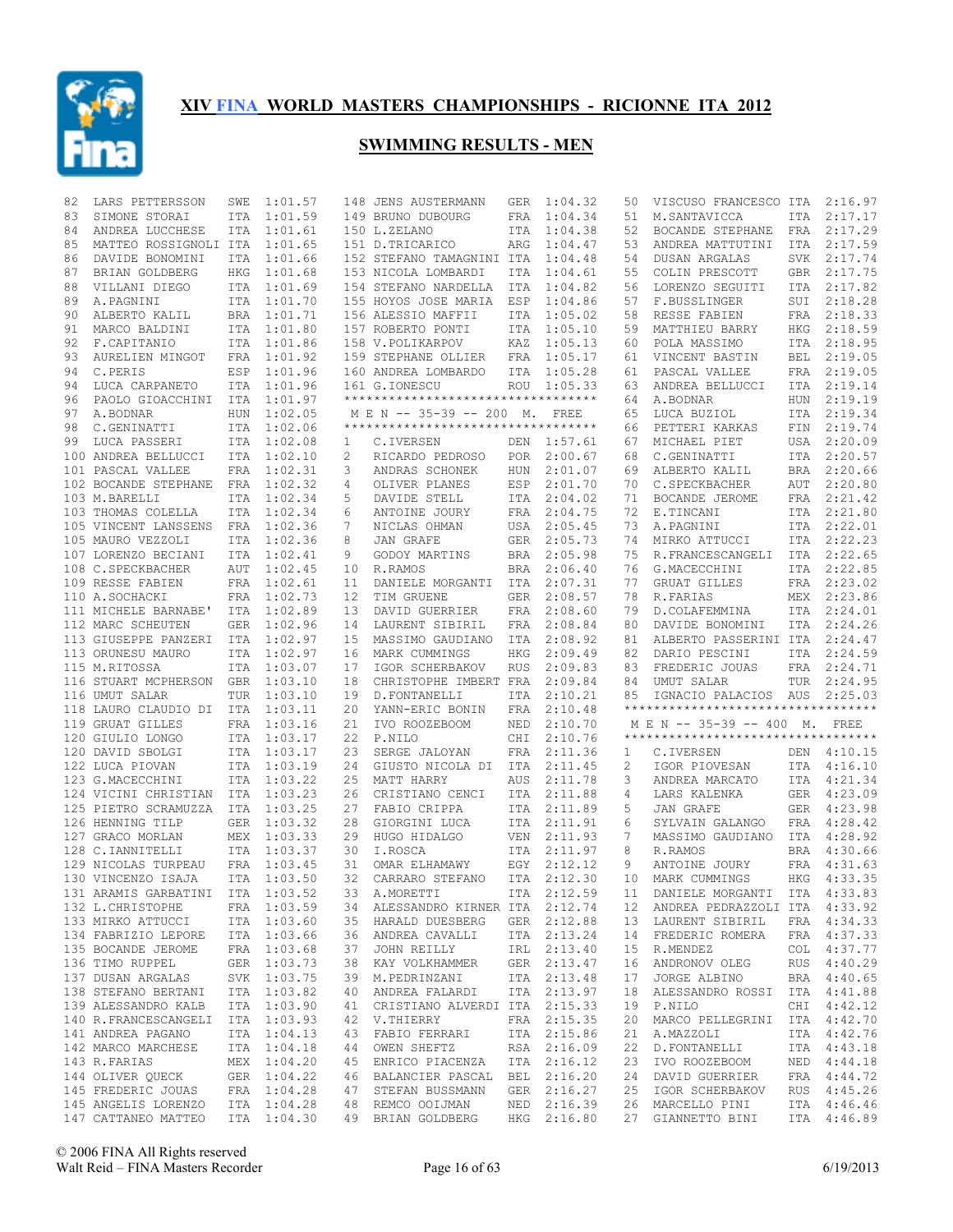

| 82 | LARS PETTERSSON                  | SWE        | 1:01.57     |        | 148 JENS AUSTERMANN                 | GER        | 1:04.32     | 50 | VISCUSO FRANCESCO ITA 2:16.97                                       |            |             |
|----|----------------------------------|------------|-------------|--------|-------------------------------------|------------|-------------|----|---------------------------------------------------------------------|------------|-------------|
| 83 | SIMONE STORAI                    | ITA        | 1:01.59     |        | 149 BRUNO DUBOURG                   | FRA        | 1:04.34     | 51 | M.SANTAVICCA                                                        | ITA        | 2:17.17     |
| 84 | ANDREA LUCCHESE                  | ITA        | 1:01.61     |        | 150 L.ZELANO                        | ITA        | 1:04.38     | 52 | BOCANDE STEPHANE                                                    | FRA        | 2:17.29     |
| 85 | MATTEO ROSSIGNOLI ITA            |            | 1:01.65     |        | 151 D.TRICARICO                     | ARG        | 1:04.47     | 53 | ANDREA MATTUTINI                                                    | ITA        | 2:17.59     |
| 86 | DAVIDE BONOMINI                  | ITA        | 1:01.66     |        | 152 STEFANO TAMAGNINI ITA           |            | 1:04.48     | 54 | DUSAN ARGALAS                                                       | SVK        | 2:17.74     |
| 87 | BRIAN GOLDBERG                   | HKG        | 1:01.68     |        | 153 NICOLA LOMBARDI                 | ITA        | 1:04.61     | 55 | COLIN PRESCOTT                                                      | GBR        | 2:17.75     |
| 88 | VILLANI DIEGO                    | ITA        | 1:01.69     |        | 154 STEFANO NARDELLA                | ITA        | 1:04.82     | 56 | LORENZO SEGUITI                                                     | ITA        | 2:17.82     |
| 89 | A.PAGNINI                        | <b>ITA</b> | 1:01.70     |        | 155 HOYOS JOSE MARIA                | ESP        | 1:04.86     | 57 | F.BUSSLINGER                                                        | SUI        | 2:18.28     |
| 90 | ALBERTO KALIL                    |            | BRA 1:01.71 |        | 156 ALESSIO MAFFII                  | ITA        | 1:05.02     | 58 | RESSE FABIEN                                                        | FRA        | 2:18.33     |
| 91 | MARCO BALDINI                    |            | ITA 1:01.80 |        | 157 ROBERTO PONTI                   | ITA        | 1:05.10     | 59 | MATTHIEU BARRY                                                      | HKG        | 2:18.59     |
| 92 | F.CAPITANIO                      |            | ITA 1:01.86 |        | 158 V.POLIKARPOV                    | KAZ        | 1:05.13     | 60 | POLA MASSIMO                                                        | ITA        | 2:18.95     |
| 93 | AURELIEN MINGOT                  | FRA        | 1:01.92     |        | 159 STEPHANE OLLIER                 | FRA        | 1:05.17     | 61 | VINCENT BASTIN                                                      | BEL        | 2:19.05     |
| 94 | C.PERIS                          | ESP        | 1:01.96     |        | 160 ANDREA LOMBARDO                 | ITA        | 1:05.28     | 61 | PASCAL VALLEE                                                       | FRA        | 2:19.05     |
| 94 | LUCA CARPANETO                   | <b>ITA</b> | 1:01.96     |        | 161 G.IONESCU                       | ROU        | 1:05.33     | 63 | ANDREA BELLUCCI                                                     | ITA        | 2:19.14     |
| 96 | PAOLO GIOACCHINI                 | ITA        | 1:01.97     |        | *********************************** |            |             | 64 | A.BODNAR                                                            | <b>HUN</b> | 2:19.19     |
| 97 | A.BODNAR                         | <b>HUN</b> | 1:02.05     |        | M E N -- 35-39 -- 200 M. FREE       |            |             | 65 | LUCA BUZIOL                                                         | ITA        | 2:19.34     |
| 98 | C.GENINATTI                      | <b>ITA</b> | 1:02.06     |        | **********************************  |            |             | 66 | PETTERI KARKAS                                                      | FIN        | 2:19.74     |
| 99 | LUCA PASSERI                     |            | ITA 1:02.08 |        | C.IVERSEN                           | DEN        | 1:57.61     | 67 | MICHAEL PIET                                                        | USA        | 2:20.09     |
|    |                                  |            | ITA 1:02.10 | 1<br>2 |                                     | POR        |             | 68 |                                                                     | ITA        | 2:20.57     |
|    | 100 ANDREA BELLUCCI              |            |             |        | RICARDO PEDROSO                     |            | 2:00.67     | 69 | C.GENINATTI                                                         |            |             |
|    | 101 PASCAL VALLEE                |            | FRA 1:02.31 | 3      | ANDRAS SCHONEK                      | <b>HUN</b> | 2:01.07     |    | ALBERTO KALIL                                                       | BRA        | 2:20.66     |
|    | 102 BOCANDE STEPHANE             |            | FRA 1:02.32 | 4      | OLIVER PLANES                       | ESP        | 2:01.70     | 70 | C.SPECKBACHER                                                       | AUT        | 2:20.80     |
|    | 103 M.BARELLI                    |            | ITA 1:02.34 | 5      | DAVIDE STELL                        | ITA        | 2:04.02     | 71 | BOCANDE JEROME                                                      | FRA        | 2:21.42     |
|    | 103 THOMAS COLELLA               |            | ITA 1:02.34 | 6      | ANTOINE JOURY                       | FRA        | 2:04.75     | 72 | E.TINCANI                                                           | ITA        | 2:21.80     |
|    | 105 VINCENT LANSSENS             | FRA        | 1:02.36     | 7      | NICLAS OHMAN                        | USA        | 2:05.45     | 73 | A. PAGNINI                                                          | ITA        | 2:22.01     |
|    | 105 MAURO VEZZOLI                |            | ITA 1:02.36 | 8      | JAN GRAFE                           | <b>GER</b> | 2:05.73     | 74 | MIRKO ATTUCCI                                                       | ITA        | 2:22.23     |
|    | 107 LORENZO BECIANI              |            | ITA 1:02.41 | 9      | GODOY MARTINS                       | <b>BRA</b> | 2:05.98     | 75 | R. FRANCESCANGELI                                                   | ITA        | 2:22.65     |
|    | 108 C.SPECKBACHER                | AUT        | 1:02.45     | 10     | R.RAMOS                             | BRA        | 2:06.40     | 76 | G.MACECCHINI                                                        | ITA        | 2:22.85     |
|    | 109 RESSE FABIEN                 |            | FRA 1:02.61 | 11     | DANIELE MORGANTI                    | ITA        | 2:07.31     | 77 | GRUAT GILLES                                                        | FRA        | 2:23.02     |
|    | 110 A.SOCHACKI                   |            | FRA 1:02.73 | 12     | TIM GRUENE                          | GER        | 2:08.57     | 78 | R. FARIAS                                                           | MEX        | 2:23.86     |
|    | 111 MICHELE BARNABE'             |            | ITA 1:02.89 | 13     | DAVID GUERRIER                      | FRA        | 2:08.60     | 79 | D.COLAFEMMINA                                                       | ITA        | 2:24.01     |
|    | 112 MARC SCHEUTEN                |            | GER 1:02.96 | 14     | LAURENT SIBIRIL                     | FRA        | 2:08.84     | 80 | DAVIDE BONOMINI                                                     | ITA        | 2:24.26     |
|    | 113 GIUSEPPE PANZERI             | ITA        | 1:02.97     | 15     | MASSIMO GAUDIANO                    | ITA        | 2:08.92     | 81 | ALBERTO PASSERINI ITA                                               |            | 2:24.47     |
|    | 113 ORUNESU MAURO                | ITA        | 1:02.97     | 16     | MARK CUMMINGS                       | HKG        | 2:09.49     | 82 | DARIO PESCINI                                                       | ITA        | 2:24.59     |
|    | 115 M.RITOSSA                    |            |             |        |                                     |            |             |    |                                                                     |            |             |
|    |                                  |            | ITA 1:03.07 | 17     | IGOR SCHERBAKOV                     | <b>RUS</b> | 2:09.83     | 83 | FREDERIC JOUAS                                                      |            | FRA 2:24.71 |
|    | 116 STUART MCPHERSON             |            | GBR 1:03.10 | 18     | CHRISTOPHE IMBERT FRA               |            | 2:09.84     | 84 | UMUT SALAR                                                          | TUR        | 2:24.95     |
|    | 116 UMUT SALAR                   | TUR        | 1:03.10     | 19     | D. FONTANELLI                       | ITA        | 2:10.21     | 85 | IGNACIO PALACIOS AUS                                                |            | 2:25.03     |
|    |                                  |            |             | 20     |                                     | FRA        | 2:10.48     |    | **********************************                                  |            |             |
|    | 118 LAURO CLAUDIO DI ITA 1:03.11 |            |             |        | YANN-ERIC BONIN                     |            |             |    |                                                                     |            |             |
|    | 119 GRUAT GILLES                 |            | FRA 1:03.16 | 21     | IVO ROOZEBOOM                       | NED        | 2:10.70     |    | M E N -- 35-39 -- 400 M. FREE<br>********************************** |            |             |
|    | 120 GIULIO LONGO                 |            | ITA 1:03.17 | 22     | P.NILO                              | CHI        | 2:10.76     |    |                                                                     |            |             |
|    | 120 DAVID SBOLGI                 |            | ITA 1:03.17 | 23     | SERGE JALOYAN                       | FRA        | 2:11.36     | 1  | C.IVERSEN                                                           | DEN        | 4:10.15     |
|    | 122 LUCA PIOVAN                  |            | ITA 1:03.19 | 24     | GIUSTO NICOLA DI                    | ITA        | 2:11.45     | 2  | IGOR PIOVESAN                                                       | ITA        | 4:16.10     |
|    | 123 G.MACECCHINI                 |            | ITA 1:03.22 | 25     | MATT HARRY                          | AUS        | 2:11.78     | 3  | ANDREA MARCATO                                                      | ITA        | 4:21.34     |
|    | 124 VICINI CHRISTIAN             |            | ITA 1:03.23 | 26     | CRISTIANO CENCI                     | ITA        | 2:11.88     | 4  | LARS KALENKA                                                        | GER        | 4:23.09     |
|    | 125 PIETRO SCRAMUZZA             |            | ITA 1:03.25 | 27     | FABIO CRIPPA                        | ITA        | 2:11.89     | 5  | JAN GRAFE                                                           | <b>GER</b> | 4:23.98     |
|    | 126 HENNING TILP                 |            | GER 1:03.32 | 28     | GIORGINI LUCA                       | ITA        | 2:11.91     | 6  | SYLVAIN GALANGO                                                     | <b>FRA</b> | 4:28.42     |
|    | 127 GRACO MORLAN                 |            | MEX 1:03.33 | 29     | HUGO HIDALGO                        | <b>VEN</b> | 2:11.93     | 7  | MASSIMO GAUDIANO                                                    | ITA        | 4:28.92     |
|    | 128 C.IANNITELLI                 |            | ITA 1:03.37 | 30     | I.ROSCA                             | ITA        | 2:11.97     | 8  | R.RAMOS                                                             | <b>BRA</b> | 4:30.66     |
|    | 129 NICOLAS TURPEAU              |            | FRA 1:03.45 | 31     | OMAR ELHAMAWY                       | EGY        | 2:12.12     | 9  | ANTOINE JOURY                                                       | <b>FRA</b> | 4:31.63     |
|    | 130 VINCENZO ISAJA               |            | ITA 1:03.50 | 32     | CARRARO STEFANO                     | ITA        | 2:12.30     | 10 | MARK CUMMINGS                                                       | HKG        | 4:33.35     |
|    | 131 ARAMIS GARBATINI ITA 1:03.52 |            |             |        | 33 A.MORETTI                        |            | ITA 2:12.59 |    | 11 DANIELE MORGANTI ITA 4:33.83                                     |            |             |
|    | 132 L.CHRISTOPHE FRA 1:03.59     |            |             |        | 34 ALESSANDRO KIRNER ITA 2:12.74    |            |             |    | 12 ANDREA PEDRAZZOLI ITA 4:33.92                                    |            |             |
|    | 133 MIRKO ATTUCCI                |            | ITA 1:03.60 |        | 35 HARALD DUESBERG GER 2:12.88      |            |             |    | 13 LAURENT SIBIRIL FRA 4:34.33                                      |            |             |
|    | 134 FABRIZIO LEPORE ITA 1:03.66  |            |             |        | 36 ANDREA CAVALLI                   |            | ITA 2:13.24 | 14 | FREDERIC ROMERA                                                     |            | FRA 4:37.33 |
|    | 135 BOCANDE JEROME               |            | FRA 1:03.68 |        | 37 JOHN REILLY                      |            | IRL 2:13.40 |    | 15 R.MENDEZ                                                         |            | COL 4:37.77 |
|    | 136 TIMO RUPPEL                  |            | GER 1:03.73 |        | 38 KAY VOLKHAMMER                   |            | GER 2:13.47 | 16 | ANDRONOV OLEG                                                       |            | RUS 4:40.29 |
|    | 137 DUSAN ARGALAS                |            | SVK 1:03.75 |        | 39 M.PEDRINZANI                     |            | ITA 2:13.48 | 17 | JORGE ALBINO                                                        |            | BRA 4:40.65 |
|    | 138 STEFANO BERTANI              |            | ITA 1:03.82 |        | 40 ANDREA FALARDI                   |            | ITA 2:13.97 | 18 | ALESSANDRO ROSSI ITA 4:41.88                                        |            |             |
|    | 139 ALESSANDRO KALB              |            | ITA 1:03.90 |        | 41 CRISTIANO ALVERDI ITA 2:15.33    |            |             |    | 19 P.NILO                                                           |            | CHI 4:42.12 |
|    | 140 R.FRANCESCANGELI ITA 1:03.93 |            |             |        | 42 V.THIERRY                        |            | FRA 2:15.35 | 20 | MARCO PELLEGRINI                                                    |            | ITA 4:42.70 |
|    | 141 ANDREA PAGANO                |            | ITA 1:04.13 |        | 43 FABIO FERRARI                    |            | ITA 2:15.86 | 21 | A.MAZZOLI                                                           |            | ITA 4:42.76 |
|    | 142 MARCO MARCHESE               |            | ITA 1:04.18 |        | 44 OWEN SHEFTZ                      |            | RSA 2:16.09 | 22 | D.FONTANELLI                                                        |            | ITA 4:43.18 |
|    | 143 R.FARIAS                     |            | MEX 1:04.20 |        | 45 ENRICO PIACENZA                  |            | ITA 2:16.12 | 23 | IVO ROOZEBOOM                                                       |            | NED 4:44.18 |
|    | 144 OLIVER QUECK                 |            | GER 1:04.22 |        | 46 BALANCIER PASCAL BEL 2:16.20     |            |             | 24 | DAVID GUERRIER                                                      |            | FRA 4:44.72 |
|    | 145 FREDERIC JOUAS FRA 1:04.28   |            |             |        | 47 STEFAN BUSSMANN                  |            | GER 2:16.27 | 25 | IGOR SCHERBAKOV                                                     |            | RUS 4:45.26 |
|    | 145 ANGELIS LORENZO              |            | ITA 1:04.28 |        | 48 REMCO OOIJMAN NED 2:16.39        |            |             |    | 26 MARCELLO PINI                                                    |            | ITA 4:46.46 |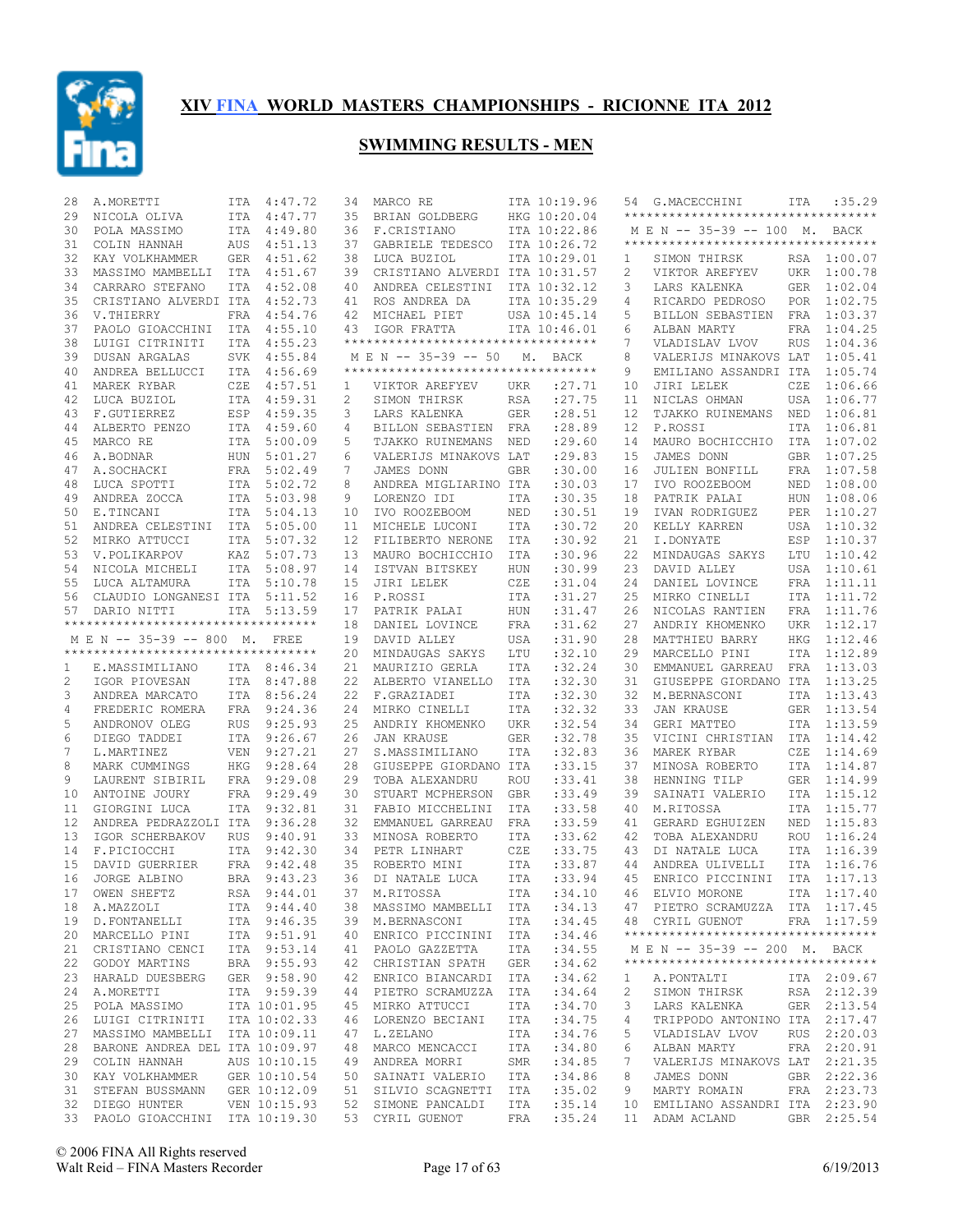

| 28 | A.MORETTI                          | ITA        | 4:47.72      | 34           | MARCO RE                            |            | ITA 10:19.96 | 54 | G.MACECCHINI                                                       | ITA        | :35.29      |
|----|------------------------------------|------------|--------------|--------------|-------------------------------------|------------|--------------|----|--------------------------------------------------------------------|------------|-------------|
| 29 | NICOLA OLIVA                       |            | ITA 4:47.77  | 35           | BRIAN GOLDBERG                      |            | HKG 10:20.04 |    | **********************************                                 |            |             |
| 30 | POLA MASSIMO                       |            | ITA 4:49.80  | 36           | F.CRISTIANO                         |            | ITA 10:22.86 |    | M E N -- 35-39 -- 100 M. BACK                                      |            |             |
| 31 | COLIN HANNAH                       | AUS        | 4:51.13      | 37           | GABRIELE TEDESCO                    |            | ITA 10:26.72 |    | **********************************                                 |            |             |
| 32 | KAY VOLKHAMMER                     | GER        | 4:51.62      | 38           | LUCA BUZIOL                         |            | ITA 10:29.01 | 1  | SIMON THIRSK                                                       |            | RSA 1:00.07 |
| 33 | MASSIMO MAMBELLI                   | ITA        | 4:51.67      | 39           | CRISTIANO ALVERDI ITA 10:31.57      |            |              | 2  | VIKTOR AREFYEV                                                     |            | UKR 1:00.78 |
| 34 | CARRARO STEFANO                    | <b>ITA</b> | 4:52.08      | 40           | ANDREA CELESTINI                    |            | ITA 10:32.12 | 3  | LARS KALENKA                                                       |            | GER 1:02.04 |
| 35 | CRISTIANO ALVERDI ITA              |            | 4:52.73      | 41           | ROS ANDREA DA                       |            | ITA 10:35.29 | 4  | RICARDO PEDROSO                                                    |            | POR 1:02.75 |
| 36 | V.THIERRY                          | FRA        | 4:54.76      | 42           | MICHAEL PIET                        |            | USA 10:45.14 | 5  | BILLON SEBASTIEN                                                   | FRA        | 1:03.37     |
| 37 | PAOLO GIOACCHINI                   | ITA        | 4:55.10      | 43           | IGOR FRATTA                         |            | ITA 10:46.01 | 6  | ALBAN MARTY                                                        | FRA        | 1:04.25     |
| 38 | LUIGI CITRINITI                    | <b>ITA</b> | 4:55.23      |              | **********************************  |            |              | 7  | VLADISLAV LVOV                                                     | <b>RUS</b> | 1:04.36     |
| 39 | DUSAN ARGALAS                      | SVK        | 4:55.84      |              | M E N -- 35-39 -- 50                |            | M. BACK      | 8  | VALERIJS MINAKOVS LAT                                              |            | 1:05.41     |
| 40 | ANDREA BELLUCCI                    |            | ITA 4:56.69  |              | *********************************** |            |              | 9  | EMILIANO ASSANDRI ITA                                              |            | 1:05.74     |
| 41 | MAREK RYBAR                        | CZE        | 4:57.51      | $\mathbf{1}$ | VIKTOR AREFYEV                      | UKR        | : 27.71      | 10 | JIRI LELEK                                                         | CZE        | 1:06.66     |
| 42 | LUCA BUZIOL                        |            | ITA 4:59.31  | 2            | SIMON THIRSK                        | <b>RSA</b> | :27.75       | 11 | NICLAS OHMAN                                                       | USA        | 1:06.77     |
| 43 | F.GUTIERREZ                        | ESP        | 4:59.35      | 3            | LARS KALENKA                        | <b>GER</b> | :28.51       | 12 | TJAKKO RUINEMANS                                                   | NED        | 1:06.81     |
| 44 | ALBERTO PENZO                      |            | ITA 4:59.60  | 4            | BILLON SEBASTIEN FRA                |            | :28.89       | 12 | P.ROSSI                                                            | <b>ITA</b> | 1:06.81     |
| 45 | MARCO RE                           |            | ITA 5:00.09  | 5            | TJAKKO RUINEMANS                    | NED        | : 29.60      | 14 | MAURO BOCHICCHIO                                                   | ITA        | 1:07.02     |
| 46 | A.BODNAR                           | HUN        | 5:01.27      | 6            | VALERIJS MINAKOVS LAT               |            | : 29.83      | 15 | JAMES DONN                                                         |            | GBR 1:07.25 |
| 47 | A.SOCHACKI                         | FRA        | 5:02.49      | 7            | JAMES DONN                          | <b>GBR</b> | :30.00       | 16 | <b>JULIEN BONFILL</b>                                              | FRA        | 1:07.58     |
|    |                                    |            |              |              |                                     |            |              |    |                                                                    |            |             |
| 48 | LUCA SPOTTI                        | ITA        | 5:02.72      | 8            | ANDREA MIGLIARINO ITA               |            | :30.03       | 17 | IVO ROOZEBOOM                                                      | NED        | 1:08.00     |
| 49 | ANDREA ZOCCA                       |            | ITA 5:03.98  | 9            | LORENZO IDI                         | ITA        | :30.35       | 18 | PATRIK PALAI                                                       | HUN        | 1:08.06     |
| 50 | E.TINCANI                          | ITA        | 5:04.13      | 10           | IVO ROOZEBOOM                       | NED        | :30.51       | 19 | IVAN RODRIGUEZ                                                     | PER        | 1:10.27     |
| 51 | ANDREA CELESTINI                   | ITA        | 5:05.00      | 11           | MICHELE LUCONI                      | ITA        | :30.72       | 20 | KELLY KARREN                                                       | USA        | 1:10.32     |
| 52 | MIRKO ATTUCCI                      | ITA        | 5:07.32      | 12           | FILIBERTO NERONE                    | ITA        | :30.92       | 21 | I.DONYATE                                                          | ESP        | 1:10.37     |
| 53 | V.POLIKARPOV                       | KAZ        | 5:07.73      | 13           | MAURO BOCHICCHIO                    | ITA        | :30.96       | 22 | MINDAUGAS SAKYS                                                    | LTU        | 1:10.42     |
| 54 | NICOLA MICHELI                     |            | ITA 5:08.97  | 14           | ISTVAN BITSKEY                      | HUN        | :30.99       | 23 | DAVID ALLEY                                                        | USA        | 1:10.61     |
| 55 | LUCA ALTAMURA                      |            | ITA 5:10.78  | 15           | JIRI LELEK                          | CZE        | :31.04       | 24 | DANIEL LOVINCE                                                     | FRA        | 1:11.11     |
| 56 | CLAUDIO LONGANESI ITA              |            | 5:11.52      | 16           | P.ROSSI                             | ITA        | :31.27       | 25 | MIRKO CINELLI                                                      | ITA        | 1:11.72     |
| 57 | DARIO NITTI                        | <b>ITA</b> | 5:13.59      | 17           | PATRIK PALAI                        | HUN        | : 31.47      | 26 | NICOLAS RANTIEN                                                    | FRA        | 1:11.76     |
|    | ********************************** |            |              | 18           | DANIEL LOVINCE                      | FRA        | :31.62       | 27 | ANDRIY KHOMENKO                                                    | UKR        | 1:12.17     |
|    | M E N -- 35-39 -- 800 M. FREE      |            |              | 19           | DAVID ALLEY                         | USA        | :31.90       | 28 | MATTHIEU BARRY                                                     | <b>HKG</b> | 1:12.46     |
|    | ********************************** |            |              | 20           | MINDAUGAS SAKYS                     | LTU        | :32.10       | 29 | MARCELLO PINI                                                      | ITA        | 1:12.89     |
| 1  | E.MASSIMILIANO                     |            | ITA 8:46.34  | 21           | MAURIZIO GERLA                      | ITA        | :32.24       | 30 | EMMANUEL GARREAU                                                   |            | FRA 1:13.03 |
| 2  | IGOR PIOVESAN                      |            | ITA 8:47.88  | 22           | ALBERTO VIANELLO                    | ITA        | :32.30       | 31 | GIUSEPPE GIORDANO ITA                                              |            | 1:13.25     |
| 3  | ANDREA MARCATO                     |            | ITA 8:56.24  | 22           | F.GRAZIADEI                         | ITA        | :32.30       | 32 | M.BERNASCONI                                                       |            | ITA 1:13.43 |
| 4  | FREDERIC ROMERA                    |            | FRA 9:24.36  | 24           | MIRKO CINELLI                       | ITA        | :32.32       | 33 | <b>JAN KRAUSE</b>                                                  | GER        | 1:13.54     |
| 5  | ANDRONOV OLEG                      | <b>RUS</b> | 9:25.93      | 25           | ANDRIY KHOMENKO                     | UKR        | :32.54       | 34 | GERI MATTEO                                                        |            | ITA 1:13.59 |
| 6  | DIEGO TADDEI                       |            | ITA 9:26.67  | 26           | <b>JAN KRAUSE</b>                   | <b>GER</b> | :32.78       | 35 | VICINI CHRISTIAN                                                   | ITA        | 1:14.42     |
| 7  | L.MARTINEZ                         | <b>VEN</b> | 9:27.21      | 27           | S.MASSIMILIANO                      | ITA        | :32.83       | 36 | MAREK RYBAR                                                        | CZE        | 1:14.69     |
| 8  | MARK CUMMINGS                      | HKG        | 9:28.64      | 28           | GIUSEPPE GIORDANO ITA               |            | :33.15       | 37 | MINOSA ROBERTO                                                     | ITA        | 1:14.87     |
| 9  | LAURENT SIBIRIL                    | FRA        | 9:29.08      | 29           | TOBA ALEXANDRU                      | <b>ROU</b> | : 33.41      | 38 | HENNING TILP                                                       |            | GER 1:14.99 |
| 10 | ANTOINE JOURY                      |            | FRA 9:29.49  | 30           | STUART MCPHERSON                    | GBR        | : 33.49      | 39 | SAINATI VALERIO                                                    | ITA        | 1:15.12     |
| 11 | GIORGINI LUCA                      |            | ITA 9:32.81  | 31           | FABIO MICCHELINI                    | ITA        | :33.58       | 40 | M.RITOSSA                                                          |            | ITA 1:15.77 |
| 12 | ANDREA PEDRAZZOLI ITA              |            | 9:36.28      | 32           | EMMANUEL GARREAU                    | FRA        | :33.59       | 41 | GERARD EGHUIZEN                                                    | NED        | 1:15.83     |
| 13 | IGOR SCHERBAKOV                    | RUS        | 9:40.91      | 33           | MINOSA ROBERTO                      | ITA        | :33.62       | 42 | TOBA ALEXANDRU                                                     |            | ROU 1:16.24 |
| 14 | F.PICIOCCHI                        | ITA        | 9:42.30      | 34           | PETR LINHART                        | CZE        | : 33.75      | 43 | DI NATALE LUCA                                                     | ITA        | 1:16.39     |
| 15 | DAVID GUERRIER                     |            | FRA 9:42.48  | 35           | ROBERTO MINI                        | ITA        | :33.87       | 44 | ANDREA ULIVELLI                                                    | ITA        | 1:16.76     |
| 16 | JORGE ALBINO                       |            | BRA 9:43.23  | 36           | DI NATALE LUCA                      | ITA        | :33.94       | 45 | ENRICO PICCININI                                                   | ITA        | 1:17.13     |
|    |                                    |            |              |              |                                     |            |              |    |                                                                    |            |             |
|    | 17 OWEN SHEFTZ                     |            | RSA 9:44.01  |              | 37 M.RITOSSA                        |            |              |    | ITA : 34.10 46 ELVIO MORONE                                        |            | ITA 1:17.40 |
|    | 18 A.MAZZOLI                       |            | ITA 9:44.40  |              | 38 MASSIMO MAMBELLI ITA             |            | : 34.13      |    | 47 PIETRO SCRAMUZZA ITA 1:17.45                                    |            |             |
|    | 19 D.FONTANELLI                    |            | ITA 9:46.35  |              | 39 M.BERNASCONI                     |            | ITA : 34.45  |    | 48 CYRIL GUENOT FRA 1:17.59<br>*********************************** |            |             |
|    | 20 MARCELLO PINI                   |            | ITA 9:51.91  |              | 40 ENRICO PICCININI ITA             |            | : 34.46      |    |                                                                    |            |             |
|    | 21 CRISTIANO CENCI                 |            | ITA 9:53.14  |              | 41 PAOLO GAZZETTA                   |            | ITA : 34.55  |    | M E N -- 35-39 -- 200 M. BACK                                      |            |             |
|    | 22 GODOY MARTINS                   |            | BRA 9:55.93  |              | 42 CHRISTIAN SPATH                  | GER        | :34.62       |    | **********************************                                 |            |             |
|    | 23 HARALD DUESBERG                 |            | GER 9:58.90  |              | 42 ENRICO BIANCARDI ITA             |            | : 34.62      | 1  | A. PONTALTI                                                        |            | ITA 2:09.67 |
|    | 24 A.MORETTI                       |            | ITA 9:59.39  |              | 44 PIETRO SCRAMUZZA ITA             |            | : 34.64      | 2  | SIMON THIRSK                                                       |            | RSA 2:12.39 |
|    | 25 POLA MASSIMO                    |            | ITA 10:01.95 |              | 45 MIRKO ATTUCCI                    | ITA        | :34.70       | 3  | LARS KALENKA                                                       |            | GER 2:13.54 |
| 26 |                                    |            |              |              | 46 LORENZO BECIANI                  | ITA        | :34.75       | 4  | TRIPPODO ANTONINO ITA 2:17.47                                      |            |             |
|    | LUIGI CITRINITI ITA 10:02.33       |            |              |              |                                     |            |              |    |                                                                    |            |             |
| 27 | MASSIMO MAMBELLI ITA 10:09.11      |            |              |              | 47 L.ZELANO                         | ITA        | :34.76       | 5  | VLADISLAV LVOV                                                     |            | RUS 2:20.03 |
|    | 28 BARONE ANDREA DEL ITA 10:09.97  |            |              |              | 48 MARCO MENCACCI                   | ITA        | :34.80       | 6  | ALBAN MARTY                                                        |            | FRA 2:20.91 |
|    | 29 COLIN HANNAH                    |            | AUS 10:10.15 |              | 49 ANDREA MORRI                     | SMR        | :34.85       | 7  | VALERIJS MINAKOVS LAT 2:21.35                                      |            |             |
|    | 30 KAY VOLKHAMMER GER 10:10.54     |            |              |              | 50 SAINATI VALERIO                  | ITA        | :34.86       | 8  | JAMES DONN                                                         |            | GBR 2:22.36 |
|    | 31 STEFAN BUSSMANN GER 10:12.09    |            |              |              | 51 SILVIO SCAGNETTI ITA             |            | : 35.02      | 9  | MARTY ROMAIN                                                       |            | FRA 2:23.73 |
|    | 32 DIEGO HUNTER                    |            | VEN 10:15.93 |              | 52 SIMONE PANCALDI                  | ITA        | : 35.14      |    | 10 EMILIANO ASSANDRI ITA 2:23.90                                   |            |             |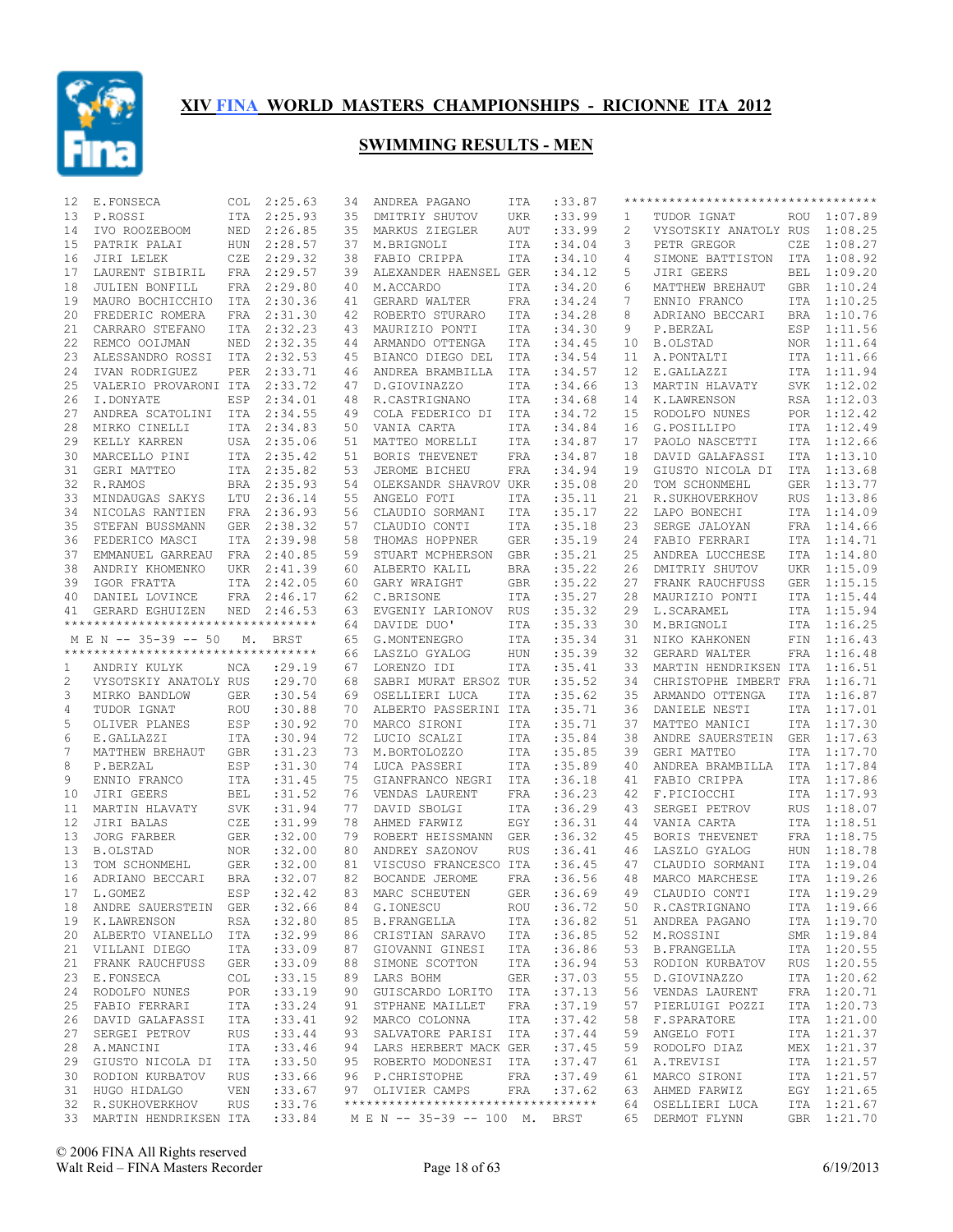

| 12 | E.FONSECA                                                      |            | COL 2:25.63 | 34 | ANDREA PAGANO                          | ITA        | :33.87      |                | ********************************** |            |             |
|----|----------------------------------------------------------------|------------|-------------|----|----------------------------------------|------------|-------------|----------------|------------------------------------|------------|-------------|
| 13 | P.ROSSI                                                        |            | ITA 2:25.93 | 35 | DMITRIY SHUTOV                         | UKR        | :33.99      | 1              | TUDOR IGNAT                        |            | ROU 1:07.89 |
| 14 | IVO ROOZEBOOM                                                  |            | NED 2:26.85 | 35 | MARKUS ZIEGLER                         | AUT        | :33.99      | $\overline{c}$ | VYSOTSKIY ANATOLY RUS 1:08.25      |            |             |
| 15 | PATRIK PALAI                                                   |            | HUN 2:28.57 | 37 | M.BRIGNOLI                             | ITA        | :34.04      | 3              | PETR GREGOR                        | CZE        | 1:08.27     |
| 16 | JIRI LELEK                                                     | CZE        | 2:29.32     | 38 | FABIO CRIPPA                           | ITA        | :34.10      | 4              | SIMONE BATTISTON                   |            | ITA 1:08.92 |
| 17 | LAURENT SIBIRIL                                                |            | FRA 2:29.57 | 39 | ALEXANDER HAENSEL GER                  |            | : 34.12     | 5              | JIRI GEERS                         | BEL        | 1:09.20     |
| 18 | JULIEN BONFILL                                                 |            | FRA 2:29.80 | 40 | M.ACCARDO                              | ITA        | :34.20      | 6              | MATTHEW BREHAUT                    |            | GBR 1:10.24 |
| 19 | MAURO BOCHICCHIO                                               | ITA        | 2:30.36     | 41 | GERARD WALTER                          | FRA        | : 34.24     | 7              | ENNIO FRANCO                       | ITA        | 1:10.25     |
| 20 | FREDERIC ROMERA                                                |            | FRA 2:31.30 | 42 | ROBERTO STURARO                        | ITA        | :34.28      | 8              | ADRIANO BECCARI                    |            | BRA 1:10.76 |
| 21 | CARRARO STEFANO                                                | ITA        | 2:32.23     | 43 | MAURIZIO PONTI                         | ITA        | :34.30      | 9              | P.BERZAL                           |            | ESP 1:11.56 |
| 22 | REMCO OOIJMAN                                                  | NED        | 2:32.35     | 44 | ARMANDO OTTENGA                        | ITA        | :34.45      | 10             | B.OLSTAD                           |            | NOR 1:11.64 |
| 23 | ALESSANDRO ROSSI                                               | ITA        | 2:32.53     | 45 | BIANCO DIEGO DEL                       | ITA        | :34.54      | 11             | A. PONTALTI                        |            | ITA 1:11.66 |
| 24 |                                                                |            |             |    |                                        |            |             |                |                                    |            | ITA 1:11.94 |
|    | IVAN RODRIGUEZ                                                 | PER        | 2:33.71     | 46 | ANDREA BRAMBILLA                       | ITA        | :34.57      | 12             | E.GALLAZZI                         |            |             |
| 25 | VALERIO PROVARONI ITA                                          |            | 2:33.72     | 47 | D.GIOVINAZZO                           | ITA        | :34.66      | 13             | MARTIN HLAVATY                     |            | SVK 1:12.02 |
| 26 | I.DONYATE                                                      | ESP        | 2:34.01     | 48 | R.CASTRIGNANO                          | ITA        | :34.68      | 14             | K.LAWRENSON                        |            | RSA 1:12.03 |
| 27 | ANDREA SCATOLINI ITA                                           |            | 2:34.55     | 49 | COLA FEDERICO DI                       | ITA        | :34.72      | 15             | RODOLFO NUNES                      |            | POR 1:12.42 |
| 28 | MIRKO CINELLI                                                  |            | ITA 2:34.83 | 50 | VANIA CARTA                            | ITA        | :34.84      | 16             | G.POSILLIPO                        |            | ITA 1:12.49 |
| 29 | KELLY KARREN                                                   |            | USA 2:35.06 | 51 | MATTEO MORELLI                         | ITA        | :34.87      | 17             | PAOLO NASCETTI                     |            | ITA 1:12.66 |
| 30 | MARCELLO PINI                                                  |            | ITA 2:35.42 | 51 | BORIS THEVENET                         | FRA        | :34.87      | 18             | DAVID GALAFASSI                    |            | ITA 1:13.10 |
| 31 | GERI MATTEO                                                    |            | ITA 2:35.82 | 53 | JEROME BICHEU                          | FRA        | :34.94      | 19             | GIUSTO NICOLA DI                   |            | ITA 1:13.68 |
| 32 | R.RAMOS                                                        |            | BRA 2:35.93 | 54 | OLEKSANDR SHAVROV UKR                  |            | :35.08      | 20             | TOM SCHONMEHL                      |            | GER 1:13.77 |
| 33 | MINDAUGAS SAKYS                                                | LTU        | 2:36.14     | 55 | ANGELO FOTI                            | <b>ITA</b> | :35.11      | 21             | R.SUKHOVERKHOV                     | <b>RUS</b> | 1:13.86     |
| 34 | NICOLAS RANTIEN                                                |            | FRA 2:36.93 | 56 | CLAUDIO SORMANI                        | ITA        | : 35.17     | 22             | LAPO BONECHI                       |            | ITA 1:14.09 |
| 35 | STEFAN BUSSMANN                                                | <b>GER</b> | 2:38.32     | 57 | CLAUDIO CONTI                          | ITA        | :35.18      | 23             | SERGE JALOYAN                      |            | FRA 1:14.66 |
| 36 | FEDERICO MASCI                                                 |            | ITA 2:39.98 | 58 | THOMAS HOPPNER                         | GER        | :35.19      | 24             | FABIO FERRARI                      |            | ITA 1:14.71 |
| 37 | EMMANUEL GARREAU FRA 2:40.85                                   |            |             | 59 | STUART MCPHERSON                       | GBR        | :35.21      | 25             | ANDREA LUCCHESE                    | ITA        | 1:14.80     |
| 38 | ANDRIY KHOMENKO                                                |            | UKR 2:41.39 | 60 | ALBERTO KALIL                          | BRA        | :35.22      | 26             | DMITRIY SHUTOV                     | UKR        | 1:15.09     |
| 39 | IGOR FRATTA                                                    |            | ITA 2:42.05 | 60 | GARY WRAIGHT                           | <b>GBR</b> | :35.22      | 27             | FRANK RAUCHFUSS                    | GER        | 1:15.15     |
|    |                                                                |            |             |    | C.BRISONE                              |            |             |                |                                    |            |             |
| 40 | DANIEL LOVINCE                                                 | FRA        | 2:46.17     | 62 |                                        | ITA        | :35.27      | 28             | MAURIZIO PONTI                     | ITA        | 1:15.44     |
| 41 | GERARD EGHUIZEN<br>**********************************          | NED        | 2:46.53     | 63 | EVGENIY LARIONOV RUS                   |            | : 35.32     | 29             | L.SCARAMEL                         |            | ITA 1:15.94 |
|    |                                                                |            |             | 64 | DAVIDE DUO'                            | ITA        | :35.33      | 30             | M.BRIGNOLI                         |            | ITA 1:16.25 |
|    | M E N -- 35-39 -- 50                                           |            | M. BRST     | 65 | G.MONTENEGRO                           | ITA        | :35.34      | 31             | NIKO KAHKONEN                      |            | FIN 1:16.43 |
|    | ***********************************                            |            |             | 66 | LASZLO GYALOG                          | HUN        | :35.39      | 32             | GERARD WALTER                      | FRA        | 1:16.48     |
| 1  | ANDRIY KULYK                                                   | NCA        | : 29.19     | 67 | LORENZO IDI                            | ITA        | : 35.41     | 33             | MARTIN HENDRIKSEN ITA              |            | 1:16.51     |
| 2  | VYSOTSKIY ANATOLY RUS                                          |            | : 29.70     | 68 | SABRI MURAT ERSOZ TUR                  |            | :35.52      | 34             | CHRISTOPHE IMBERT FRA              |            | 1:16.71     |
| 3  | MIRKO BANDLOW                                                  | GER        | :30.54      | 69 | OSELLIERI LUCA                         | ITA        | :35.62      | 35             | ARMANDO OTTENGA                    |            | ITA 1:16.87 |
| 4  | TUDOR IGNAT                                                    | ROU        | :30.88      | 70 | ALBERTO PASSERINI ITA                  |            | :35.71      | 36             | DANIELE NESTI                      | ITA        | 1:17.01     |
| 5  | OLIVER PLANES                                                  | ESP        | :30.92      | 70 | MARCO SIRONI                           | ITA        | :35.71      | 37             | MATTEO MANICI                      |            | ITA 1:17.30 |
| 6  | E.GALLAZZI                                                     | ITA        | :30.94      | 72 | LUCIO SCALZI                           | ITA        | :35.84      | 38             | ANDRE SAUERSTEIN                   |            | GER 1:17.63 |
| 7  | MATTHEW BREHAUT                                                | <b>GBR</b> | :31.23      | 73 | M.BORTOLOZZO                           | ITA        | :35.85      | 39             | GERI MATTEO                        |            | ITA 1:17.70 |
| 8  | P.BERZAL                                                       | ESP        | :31.30      | 74 | LUCA PASSERI                           | ITA        | :35.89      | 40             | ANDREA BRAMBILLA                   |            | ITA 1:17.84 |
| 9  | ENNIO FRANCO                                                   | ITA        | :31.45      | 75 | GIANFRANCO NEGRI ITA                   |            | :36.18      | 41             | FABIO CRIPPA                       |            | ITA 1:17.86 |
| 10 | JIRI GEERS                                                     | BEL        | :31.52      | 76 | VENDAS LAURENT                         | FRA        | :36.23      | 42             | F.PICIOCCHI                        |            | ITA 1:17.93 |
| 11 | MARTIN HLAVATY                                                 | SVK        | : 31.94     | 77 | DAVID SBOLGI                           | <b>ITA</b> | :36.29      | 43             | SERGEI PETROV                      |            | RUS 1:18.07 |
| 12 | JIRI BALAS                                                     | CZE        | :31.99      | 78 | AHMED FARWIZ                           | EGY        | :36.31      | 44             | VANIA CARTA                        |            | ITA 1:18.51 |
|    | JORG FARBER                                                    |            |             |    |                                        |            |             | 45             |                                    |            | FRA 1:18.75 |
| 13 |                                                                | GER        | :32.00      | 79 | ROBERT HEISSMANN GER<br>ANDREY SAZONOV |            | :36.32      |                | BORIS THEVENET                     |            |             |
| 13 | <b>B.OLSTAD</b>                                                | NOR        | :32.00      | 80 |                                        | <b>RUS</b> | :36.41      | 46             | LASZLO GYALOG                      |            | HUN 1:18.78 |
| 13 | TOM SCHONMEHL                                                  | GER        | :32.00      | 81 | VISCUSO FRANCESCO ITA                  |            | :36.45      | 47             | CLAUDIO SORMANI                    |            | ITA 1:19.04 |
| 16 | ADRIANO BECCARI                                                | <b>BRA</b> | :32.07      | 82 | <b>BOCANDE JEROME</b>                  | <b>FRA</b> | :36.56      | 48             | MARCO MARCHESE                     | ITA        | 1:19.26     |
|    | 17 L.GOMEZ                                                     | ESP        | :32.42      |    | 83 MARC SCHEUTEN                       |            | GER : 36.69 |                | 49 CLAUDIO CONTI                   |            | ITA 1:19.29 |
|    | 18 ANDRE SAUERSTEIN GER                                        |            | :32.66      |    | 84 G.IONESCU                           | ROU        | :36.72      |                | 50 R.CASTRIGNANO                   |            | ITA 1:19.66 |
|    | 19 K.LAWRENSON                                                 | RSA        | :32.80      |    | 85 B.FRANGELLA                         | ITA        | :36.82      | 51             | ANDREA PAGANO                      |            | ITA 1:19.70 |
| 20 | ALBERTO VIANELLO ITA                                           |            | :32.99      |    | 86 CRISTIAN SARAVO ITA                 |            | :36.85      | 52             | M.ROSSINI                          |            | SMR 1:19.84 |
| 21 | VILLANI DIEGO                                                  | ITA        | :33.09      |    | 87 GIOVANNI GINESI ITA                 |            | :36.86      | 53             | B.FRANGELLA                        |            | ITA 1:20.55 |
| 21 | FRANK RAUCHFUSS                                                | GER        | :33.09      |    | 88 SIMONE SCOTTON                      | ITA        | :36.94      | 53             | RODION KURBATOV                    |            | RUS 1:20.55 |
| 23 | E.FONSECA                                                      | COL        | : 33.15     |    | 89 LARS BOHM                           | GER        | :37.03      | 55             | D.GIOVINAZZO                       |            | ITA 1:20.62 |
| 24 | RODOLFO NUNES                                                  | POR        | : 33.19     |    | 90 GUISCARDO LORITO ITA                |            | :37.13      | 56             | VENDAS LAURENT                     |            | FRA 1:20.71 |
| 25 | FABIO FERRARI                                                  | ITA        | : 33.24     |    | 91 STPHANE MAILLET                     | FRA        | :37.19      | 57             | PIERLUIGI POZZI                    |            | ITA 1:20.73 |
| 26 | DAVID GALAFASSI                                                | ITA        | : 33.41     |    | 92 MARCO COLONNA                       | ITA        | :37.42      | 58             | F.SPARATORE                        |            | ITA 1:21.00 |
| 27 | SERGEI PETROV                                                  | RUS        | : 33.44     |    | 93 SALVATORE PARISI ITA                |            | :37.44      | 59             | ANGELO FOTI                        |            | ITA 1:21.37 |
| 28 | A.MANCINI                                                      | ITA        | : 33.46     |    | 94 LARS HERBERT MACK GER               |            | :37.45      | 59             | RODOLFO DIAZ                       |            | MEX 1:21.37 |
| 29 | GIUSTO NICOLA DI ITA                                           |            |             |    |                                        |            |             |                |                                    |            |             |
|    |                                                                |            | :33.50      |    | 95 ROBERTO MODONESI ITA                |            | :37.47      | 61             | A.TREVISI                          |            | ITA 1:21.57 |
| 30 | RODION KURBATOV                                                | RUS        | : 33.66     |    | 96 P.CHRISTOPHE                        | FRA        | :37.49      | 61             | MARCO SIRONI                       |            | ITA 1:21.57 |
|    | 31 HUGO HIDALGO                                                | VEN        | : 33.67     |    | 97 OLIVIER CAMPS                       | FRA        | :37.62      | 63             | AHMED FARWIZ                       |            | EGY 1:21.65 |
|    | 32 R.SUKHOVERKHOV                                              | RUS        | : 33.76     |    | **********************************     |            |             | 64             | OSELLIERI LUCA                     |            | ITA 1:21.67 |
|    | 33 MARTIN HENDRIKSEN ITA : 33.84 M E N -- 35-39 -- 100 M. BRST |            |             |    |                                        |            |             |                | 65 DERMOT FLYNN                    |            | GBR 1:21.70 |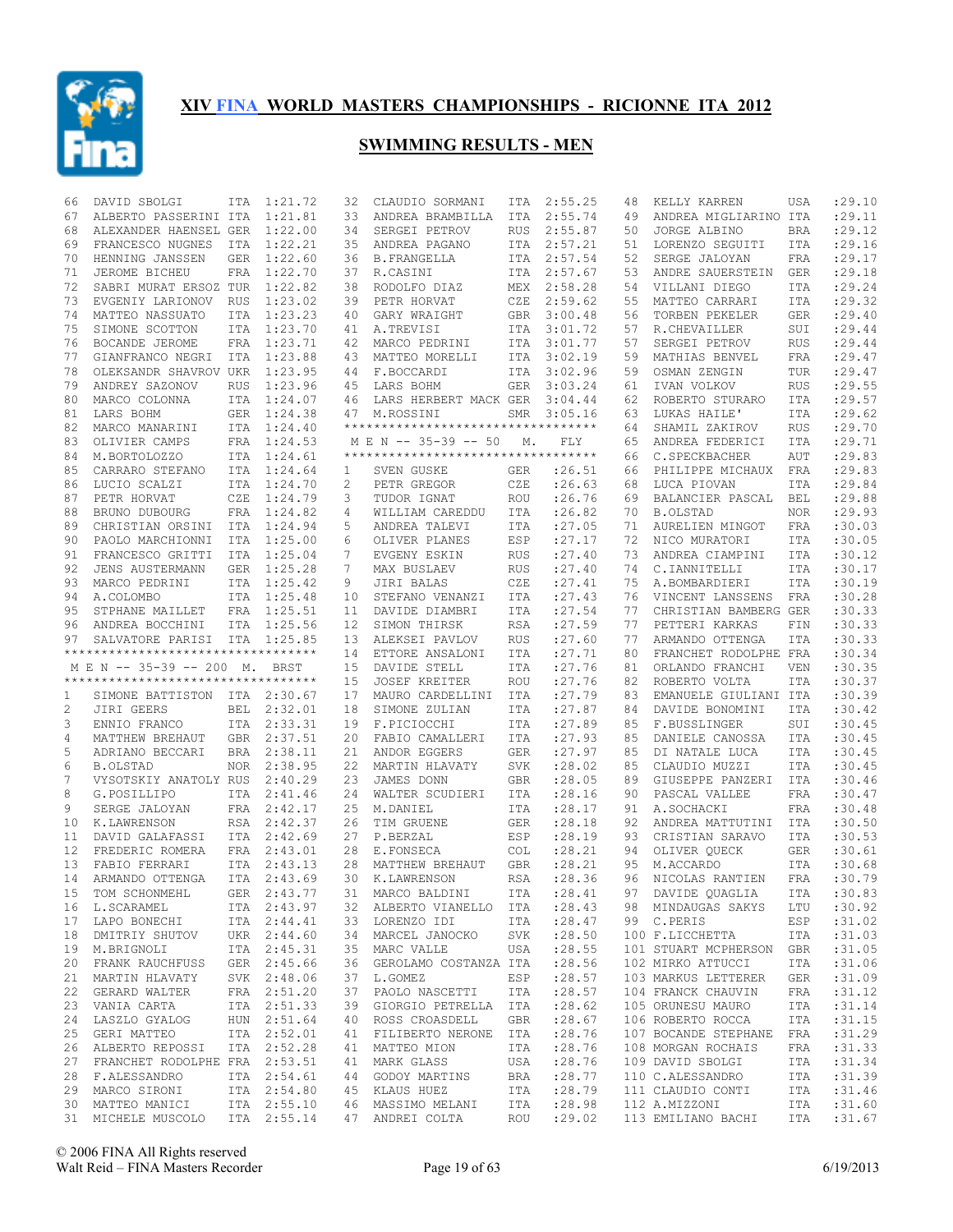

| 66 | DAVID SBOLGI                                       | ITA        | 1:21.72     | 32 | CLAUDIO SORMANI                                            | ITA        | 2:55.25            | 48 | KELLY KARREN                        | USA        | : 29.10          |
|----|----------------------------------------------------|------------|-------------|----|------------------------------------------------------------|------------|--------------------|----|-------------------------------------|------------|------------------|
| 67 | ALBERTO PASSERINI ITA                              |            | 1:21.81     | 33 | ANDREA BRAMBILLA                                           | ITA        | 2:55.74            | 49 | ANDREA MIGLIARINO ITA               |            | :29.11           |
| 68 | ALEXANDER HAENSEL GER                              |            | 1:22.00     | 34 | SERGEI PETROV                                              | <b>RUS</b> | 2:55.87            | 50 | JORGE ALBINO                        | <b>BRA</b> | :29.12           |
| 69 | FRANCESCO NUGNES                                   | ITA        | 1:22.21     | 35 | ANDREA PAGANO                                              | ITA        | 2:57.21            | 51 | LORENZO SEGUITI                     | ITA        | :29.16           |
| 70 | HENNING JANSSEN                                    | <b>GER</b> | 1:22.60     | 36 | <b>B. FRANGELLA</b>                                        |            | ITA 2:57.54        | 52 | SERGE JALOYAN                       | <b>FRA</b> | :29.17           |
| 71 | JEROME BICHEU                                      | FRA        | 1:22.70     | 37 | R.CASINI                                                   | ITA        | 2:57.67            | 53 | ANDRE SAUERSTEIN                    | <b>GER</b> | :29.18           |
| 72 | SABRI MURAT ERSOZ TUR                              |            | 1:22.82     | 38 | RODOLFO DIAZ                                               | MEX        | 2:58.28            | 54 | VILLANI DIEGO                       | <b>ITA</b> | :29.24           |
| 73 | EVGENIY LARIONOV RUS                               |            | 1:23.02     | 39 | PETR HORVAT                                                | CZE        | 2:59.62            | 55 | MATTEO CARRARI                      | <b>ITA</b> | :29.32           |
| 74 | MATTEO NASSUATO                                    | ITA        | 1:23.23     | 40 | GARY WRAIGHT                                               | GBR        | 3:00.48            | 56 | TORBEN PEKELER                      | <b>GER</b> | : 29.40          |
| 75 | SIMONE SCOTTON                                     | <b>ITA</b> | 1:23.70     | 41 | A.TREVISI                                                  | ITA        | 3:01.72            | 57 | R.CHEVAILLER                        | SUI        | :29.44           |
| 76 | BOCANDE JEROME                                     |            | FRA 1:23.71 | 42 | MARCO PEDRINI                                              | ITA        | 3:01.77            | 57 | SERGEI PETROV                       | <b>RUS</b> | :29.44           |
| 77 | GIANFRANCO NEGRI                                   | ITA        | 1:23.88     | 43 | MATTEO MORELLI                                             | ITA        | 3:02.19            | 59 | MATHIAS BENVEL                      | <b>FRA</b> | :29.47           |
| 78 | OLEKSANDR SHAVROV UKR                              |            | 1:23.95     |    | 44 F.BOCCARDI                                              | ITA        | 3:02.96            | 59 | OSMAN ZENGIN                        | TUR        | : 29.47          |
| 79 | ANDREY SAZONOV                                     | <b>RUS</b> | 1:23.96     |    | 45 LARS BOHM                                               | <b>GER</b> | 3:03.24            | 61 | IVAN VOLKOV                         | <b>RUS</b> | :29.55           |
| 80 | MARCO COLONNA                                      |            | ITA 1:24.07 | 46 | LARS HERBERT MACK GER                                      |            | 3:04.44            | 62 | ROBERTO STURARO                     | <b>ITA</b> | : 29.57          |
| 81 | LARS BOHM                                          |            | GER 1:24.38 | 47 | M.ROSSINI                                                  | SMR        | 3:05.16            | 63 | LUKAS HAILE'                        | <b>ITA</b> | : 29.62          |
| 82 | MARCO MANARINI                                     |            | ITA 1:24.40 |    | **********************************                         |            |                    | 64 | SHAMIL ZAKIROV                      | <b>RUS</b> | : 29.70          |
|    |                                                    |            | FRA 1:24.53 |    |                                                            |            |                    | 65 |                                     |            | :29.71           |
| 83 | OLIVIER CAMPS                                      |            |             |    | M E N -- 35-39 -- 50<br>********************************** | М.         | FLY                |    | ANDREA FEDERICI                     | <b>ITA</b> |                  |
| 84 | M.BORTOLOZZO                                       |            | ITA 1:24.61 |    |                                                            |            |                    | 66 | C.SPECKBACHER                       | AUT        | :29.83           |
| 85 | CARRARO STEFANO                                    |            | ITA 1:24.64 | 1  | SVEN GUSKE                                                 | GER        | : 26.51            | 66 | PHILIPPE MICHAUX                    | FRA        | :29.83           |
| 86 | LUCIO SCALZI                                       |            | ITA 1:24.70 | 2  | PETR GREGOR                                                | CZE        | : 26.63            | 68 | LUCA PIOVAN                         | <b>ITA</b> | :29.84           |
| 87 | PETR HORVAT                                        | CZE        | 1:24.79     | 3  | TUDOR IGNAT                                                | ROU        | :26.76             | 69 | BALANCIER PASCAL                    | <b>BEL</b> | :29.88           |
| 88 | BRUNO DUBOURG                                      |            | FRA 1:24.82 | 4  | WILLIAM CAREDDU                                            | ITA        | : 26.82            | 70 | <b>B.OLSTAD</b>                     | <b>NOR</b> | :29.93           |
| 89 | CHRISTIAN ORSINI                                   | ITA        | 1:24.94     | 5  | ANDREA TALEVI                                              | ITA        | :27.05             | 71 | AURELIEN MINGOT                     | FRA        | :30.03           |
| 90 | PAOLO MARCHIONNI                                   |            | ITA 1:25.00 | 6  | OLIVER PLANES                                              | ESP        | : 27.17            | 72 | NICO MURATORI                       | <b>ITA</b> | :30.05           |
| 91 | FRANCESCO GRITTI                                   |            | ITA 1:25.04 | 7  | EVGENY ESKIN                                               | <b>RUS</b> | : 27.40            | 73 | ANDREA CIAMPINI                     | <b>ITA</b> | :30.12           |
| 92 | JENS AUSTERMANN                                    |            | GER 1:25.28 | 7  | MAX BUSLAEV                                                | <b>RUS</b> | : 27.40            | 74 | C.IANNITELLI                        | <b>ITA</b> | :30.17           |
| 93 | MARCO PEDRINI                                      |            | ITA 1:25.42 | 9  | JIRI BALAS                                                 | CZE        | : 27.41            | 75 | A.BOMBARDIERI                       | <b>ITA</b> | :30.19           |
| 94 | A.COLOMBO                                          |            | ITA 1:25.48 | 10 | STEFANO VENANZI                                            | ITA        | : 27.43            | 76 | VINCENT LANSSENS                    | FRA        | :30.28           |
| 95 | STPHANE MAILLET                                    |            | FRA 1:25.51 | 11 | DAVIDE DIAMBRI                                             | ITA        | :27.54             | 77 | CHRISTIAN BAMBERG GER               |            | :30.33           |
| 96 | ANDREA BOCCHINI                                    |            | ITA 1:25.56 | 12 | SIMON THIRSK                                               | RSA        | : 27.59            | 77 | PETTERI KARKAS                      | FIN        | :30.33           |
| 97 | SALVATORE PARISI ITA 1:25.85                       |            |             | 13 | ALEKSEI PAVLOV                                             | <b>RUS</b> | : 27.60            | 77 | ARMANDO OTTENGA                     | ITA        | :30.33           |
|    | **********************************                 |            |             | 14 | ETTORE ANSALONI                                            | ITA        | : 27.71            | 80 | FRANCHET RODOLPHE FRA               |            | :30.34           |
|    | M E N -- 35-39 -- 200 M. BRST                      |            |             | 15 | DAVIDE STELL                                               | ITA        | :27.76             | 81 | ORLANDO FRANCHI                     | VEN        | :30.35           |
|    | **********************************                 |            |             | 15 | <b>JOSEF KREITER</b>                                       | ROU        | : 27.76            | 82 | ROBERTO VOLTA                       | ITA        | :30.37           |
| 1  | SIMONE BATTISTON ITA 2:30.67                       |            |             | 17 | MAURO CARDELLINI                                           | ITA        | :27.79             | 83 | EMANUELE GIULIANI ITA               |            | :30.39           |
| 2  | JIRI GEERS                                         | BEL        | 2:32.01     | 18 | SIMONE ZULIAN                                              | ITA        | : 27.87            | 84 | DAVIDE BONOMINI                     | ITA        | :30.42           |
| 3  | ENNIO FRANCO                                       |            | ITA 2:33.31 | 19 | F.PICIOCCHI                                                | ITA        | :27.89             | 85 | F.BUSSLINGER                        | SUI        | :30.45           |
| 4  | MATTHEW BREHAUT                                    |            | GBR 2:37.51 | 20 | FABIO CAMALLERI                                            | ITA        | : 27.93            | 85 | DANIELE CANOSSA                     | <b>ITA</b> | :30.45           |
| 5  | ADRIANO BECCARI                                    |            |             |    | ANDOR EGGERS                                               |            |                    |    | DI NATALE LUCA                      |            |                  |
| 6  |                                                    |            |             |    |                                                            |            |                    |    |                                     |            |                  |
|    |                                                    |            | BRA 2:38.11 | 21 |                                                            | <b>GER</b> | : 27.97            | 85 |                                     | <b>ITA</b> | :30.45           |
|    | <b>B.OLSTAD</b>                                    | <b>NOR</b> | 2:38.95     | 22 | MARTIN HLAVATY                                             | <b>SVK</b> | : 28.02            | 85 | CLAUDIO MUZZI                       | <b>ITA</b> | :30.45           |
| 7  | VYSOTSKIY ANATOLY RUS                              |            | 2:40.29     | 23 | JAMES DONN                                                 | <b>GBR</b> | :28.05             | 89 | GIUSEPPE PANZERI                    | ITA        | :30.46           |
| 8  | G.POSILLIPO                                        |            | ITA 2:41.46 | 24 | WALTER SCUDIERI                                            | ITA        | : 28.16            | 90 | PASCAL VALLEE                       | <b>FRA</b> | :30.47           |
| 9  | SERGE JALOYAN                                      |            | FRA 2:42.17 | 25 | M.DANIEL                                                   | <b>ITA</b> | :28.17             | 91 | A.SOCHACKI                          | FRA        | :30.48           |
| 10 | K.LAWRENSON                                        |            | RSA 2:42.37 | 26 | TIM GRUENE                                                 | GER        | :28.18             | 92 | ANDREA MATTUTINI                    | ITA        | :30.50           |
| 11 | DAVID GALAFASSI                                    |            | ITA 2:42.69 | 27 | P.BERZAL                                                   | ESP        | :28.19             | 93 | CRISTIAN SARAVO                     | <b>ITA</b> | :30.53           |
| 12 | FREDERIC ROMERA                                    |            | FRA 2:43.01 | 28 | E.FONSECA                                                  | <b>COL</b> | :28.21             | 94 | OLIVER QUECK                        | <b>GER</b> | :30.61           |
| 13 | FABIO FERRARI                                      |            | ITA 2:43.13 | 28 | MATTHEW BREHAUT                                            | <b>GBR</b> | :28.21             | 95 | M.ACCARDO                           | ITA        | :30.68           |
| 14 | ARMANDO OTTENGA                                    |            | ITA 2:43.69 | 30 | K.LAWRENSON                                                | <b>RSA</b> | :28.36             | 96 | NICOLAS RANTIEN                     | <b>FRA</b> | :30.79           |
| 15 | TOM SCHONMEHL                                      |            | GER 2:43.77 |    | 31 MARCO BALDINI                                           | ITA        | :28.41             |    | 97 DAVIDE QUAGLIA                   |            | ITA :30.83       |
|    | 16 L.SCARAMEL                                      |            | ITA 2:43.97 |    | 32 ALBERTO VIANELLO ITA                                    |            | : 28.43            |    | 98 MINDAUGAS SAKYS                  | LTU        | :30.92           |
|    | 17 LAPO BONECHI                                    |            | ITA 2:44.41 |    | 33 LORENZO IDI ITA :28.47                                  |            |                    |    | 99 C.PERIS                          | ESP        | :31.02           |
| 18 | DMITRIY SHUTOV UKR 2:44.60                         |            |             |    | 34 MARCEL JANOCKO                                          | SVK        | : 28.50            |    | 100 F.LICCHETTA                     | ITA        | :31.03           |
|    | 19 M.BRIGNOLI                                      |            | ITA 2:45.31 |    | 35 MARC VALLE                                              |            | USA :28.55         |    | 101 STUART MCPHERSON GBR            |            | :31.05           |
| 20 | FRANK RAUCHFUSS                                    |            | GER 2:45.66 |    | 36 GEROLAMO COSTANZA ITA                                   |            | : 28.56            |    | 102 MIRKO ATTUCCI                   | ITA        | :31.06           |
|    | 21 MARTIN HLAVATY                                  |            | SVK 2:48.06 |    | 37 L.GOMEZ                                                 | ESP        | : 28.57            |    | 103 MARKUS LETTERER                 | GER        | :31.09           |
| 22 | GERARD WALTER                                      |            | FRA 2:51.20 |    | 37 PAOLO NASCETTI                                          | ITA        | : 28.57            |    | 104 FRANCK CHAUVIN                  | FRA        | :31.12           |
|    | 23 VANIA CARTA                                     |            | ITA 2:51.33 |    | 39 GIORGIO PETRELLA ITA : 28.62                            |            |                    |    | 105 ORUNESU MAURO                   | ITA        | : 31.14          |
| 24 | LASZLO GYALOG                                      |            | HUN 2:51.64 |    | 40 ROSS CROASDELL                                          | GBR        | : 28.67            |    | 106 ROBERTO ROCCA                   | ITA        | :31.15           |
|    | 25 GERI MATTEO                                     |            | ITA 2:52.01 |    | 41 FILIBERTO NERONE ITA                                    |            | : 28.76            |    | 107 BOCANDE STEPHANE FRA            |            | :31.29           |
| 26 |                                                    |            |             |    |                                                            | ITA        |                    |    |                                     |            |                  |
|    | ALBERTO REPOSSI                                    |            | ITA 2:52.28 |    | 41 MATTEO MION                                             |            | :28.76             |    | 108 MORGAN ROCHAIS                  | FRA        | :31.33           |
|    | 27 FRANCHET RODOLPHE FRA 2:53.51                   |            |             |    | 41 MARK GLASS                                              | USA        | : 28.76            |    | 109 DAVID SBOLGI                    | ITA        | :31.34           |
| 28 | F.ALESSANDRO                                       |            | ITA 2:54.61 |    | 44 GODOY MARTINS                                           | BRA        | : 28.77            |    | 110 C.ALESSANDRO                    | ITA        | :31.39           |
|    | 29 MARCO SIRONI                                    |            | ITA 2:54.80 |    | 45 KLAUS HUEZ                                              | ITA<br>ITA | :28.79             |    | 111 CLAUDIO CONTI                   | ITA        | :31.46           |
|    | 30 MATTEO MANICI ITA 2:55.10<br>31 MICHELE MUSCOLO |            | ITA 2:55.14 |    | 46 MASSIMO MELANI<br>47 ANDREI COLTA                       | ROU        | : 28.98<br>: 29.02 |    | 112 A.MIZZONI<br>113 EMILIANO BACHI | ITA<br>ITA | :31.60<br>:31.67 |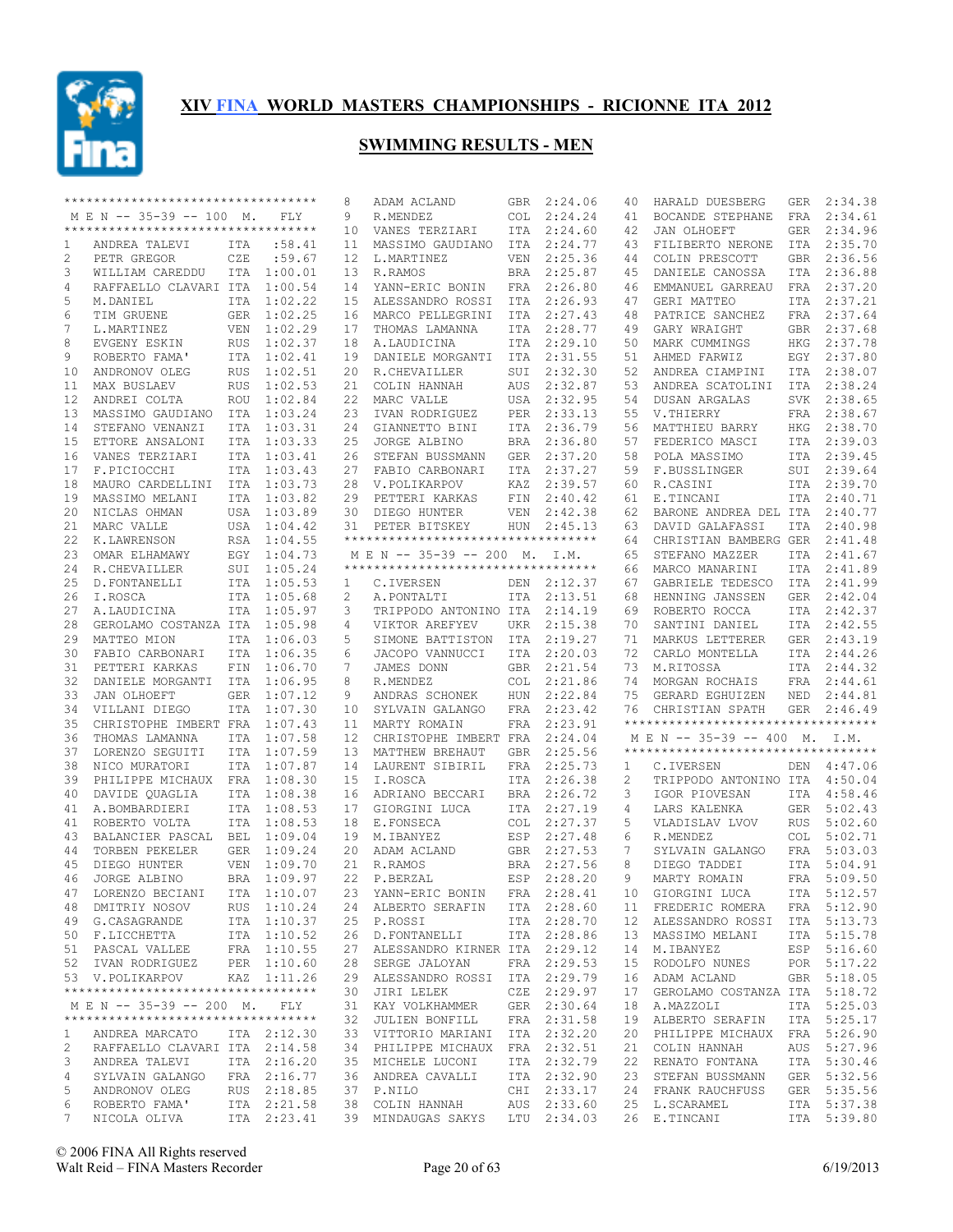

|              | **********************************                     |            |                            | 8               | ADAM ACLAND                           |            | GBR 2:24.06                | 40 | HARALD DUESBERG                    | GER        | 2:34.38                    |
|--------------|--------------------------------------------------------|------------|----------------------------|-----------------|---------------------------------------|------------|----------------------------|----|------------------------------------|------------|----------------------------|
|              | MEN -- 35-39 -- 100 M.                                 |            | FLY                        | 9               | R.MENDEZ                              | COL        | 2:24.24                    | 41 | BOCANDE STEPHANE                   | FRA        | 2:34.61                    |
|              | ***********************************                    |            |                            | 10              | VANES TERZIARI                        |            | ITA 2:24.60                | 42 | JAN OLHOEFT                        |            | GER 2:34.96                |
| 1            | ANDREA TALEVI                                          | ITA        | :58.41                     | 11              | MASSIMO GAUDIANO                      | ITA        | 2:24.77                    | 43 | FILIBERTO NERONE                   | ITA        | 2:35.70                    |
| 2            | PETR GREGOR                                            | CZE        | :59.67                     | 12              | L.MARTINEZ                            |            | VEN 2:25.36                | 44 | COLIN PRESCOTT                     |            | GBR 2:36.56                |
| 3            | WILLIAM CAREDDU                                        |            | ITA 1:00.01                | 13              | R.RAMOS                               | BRA        | 2:25.87                    | 45 | DANIELE CANOSSA                    | ITA        | 2:36.88                    |
| 4            | RAFFAELLO CLAVARI ITA 1:00.54                          |            |                            | 14              | YANN-ERIC BONIN                       |            | FRA 2:26.80                | 46 | EMMANUEL GARREAU                   |            | FRA 2:37.20                |
| 5            | M.DANIEL                                               |            | ITA 1:02.22                | 15              | ALESSANDRO ROSSI                      | ITA        | 2:26.93                    | 47 | GERI MATTEO                        |            | ITA 2:37.21                |
| 6            | TIM GRUENE                                             |            | GER 1:02.25                | 16              | MARCO PELLEGRINI                      | ITA        | 2:27.43                    | 48 | PATRICE SANCHEZ                    |            | FRA 2:37.64                |
| 7            | L.MARTINEZ                                             | VEN        | 1:02.29                    | 17              | THOMAS LAMANNA                        | ITA        | 2:28.77                    | 49 | GARY WRAIGHT                       |            | GBR 2:37.68                |
| 8            | EVGENY ESKIN                                           | RUS        | 1:02.37                    | 18              | A.LAUDICINA                           | ITA        | 2:29.10                    | 50 | MARK CUMMINGS                      |            | HKG 2:37.78                |
| 9            | ROBERTO FAMA'                                          |            | ITA 1:02.41                | 19              | DANIELE MORGANTI                      | ITA        | 2:31.55                    | 51 | AHMED FARWIZ                       |            | EGY 2:37.80                |
|              | ANDRONOV OLEG                                          |            | 1:02.51                    |                 |                                       |            | SUI 2:32.30                |    |                                    |            | ITA 2:38.07                |
| 10           |                                                        | <b>RUS</b> |                            | 20              | R.CHEVAILLER                          |            |                            | 52 | ANDREA CIAMPINI                    |            |                            |
| 11           | MAX BUSLAEV                                            | <b>RUS</b> | 1:02.53                    | 21              | COLIN HANNAH                          | AUS        | 2:32.87                    | 53 | ANDREA SCATOLINI                   |            | ITA 2:38.24                |
| 12           | ANDREI COLTA                                           | ROU        | 1:02.84                    | 22              | MARC VALLE                            |            | USA 2:32.95                | 54 | DUSAN ARGALAS                      |            | SVK 2:38.65                |
| 13           | MASSIMO GAUDIANO                                       | ITA        | 1:03.24                    | 23              | IVAN RODRIGUEZ                        | PER        | 2:33.13                    | 55 | V.THIERRY                          |            | FRA 2:38.67                |
| 14           | STEFANO VENANZI                                        | <b>ITA</b> | 1:03.31                    |                 | 24 GIANNETTO BINI                     |            | ITA 2:36.79                | 56 | MATTHIEU BARRY                     |            | HKG 2:38.70                |
| 15           | ETTORE ANSALONI                                        |            | ITA 1:03.33                | 25              | JORGE ALBINO                          | BRA        | 2:36.80                    | 57 | FEDERICO MASCI                     |            | ITA 2:39.03                |
| 16           | VANES TERZIARI                                         |            | ITA 1:03.41                | 26              | STEFAN BUSSMANN                       |            | GER 2:37.20                | 58 | POLA MASSIMO                       |            | ITA 2:39.45                |
| 17           | F.PICIOCCHI                                            |            | ITA 1:03.43                | 27              | FABIO CARBONARI                       | ITA        | 2:37.27                    | 59 | F.BUSSLINGER                       |            | SUI 2:39.64                |
| 18           | MAURO CARDELLINI                                       |            | ITA 1:03.73                |                 | 28 V.POLIKARPOV                       | KAZ        | 2:39.57                    | 60 | R.CASINI                           |            | ITA 2:39.70                |
| 19           | MASSIMO MELANI                                         |            | ITA 1:03.82                | 29              | PETTERI KARKAS                        | FIN        | 2:40.42                    | 61 | E.TINCANI                          |            | ITA 2:40.71                |
| 20           | NICLAS OHMAN                                           |            | USA 1:03.89                | 30              | DIEGO HUNTER                          | VEN        | 2:42.38                    | 62 | BARONE ANDREA DEL ITA 2:40.77      |            |                            |
| 21           | MARC VALLE                                             |            | USA 1:04.42                | 31              | PETER BITSKEY                         |            | HUN 2:45.13                | 63 | DAVID GALAFASSI                    | ITA        | 2:40.98                    |
| 22           | K.LAWRENSON                                            |            | RSA 1:04.55                |                 | ***********************************   |            |                            | 64 | CHRISTIAN BAMBERG GER              |            | 2:41.48                    |
| 23           | OMAR ELHAMAWY                                          |            | EGY 1:04.73                |                 | M E N -- 35-39 -- 200 M. I.M.         |            |                            | 65 | STEFANO MAZZER                     | ITA        | 2:41.67                    |
| 24           | R.CHEVAILLER                                           |            | SUI 1:05.24                |                 | ***********************************   |            |                            | 66 | MARCO MANARINI                     | ITA        | 2:41.89                    |
| 25           | D. FONTANELLI                                          |            | ITA 1:05.53                |                 | C.IVERSEN                             |            | DEN 2:12.37                | 67 | GABRIELE TEDESCO                   | ITA        | 2:41.99                    |
|              |                                                        |            |                            | $\mathbf{1}$    |                                       |            |                            |    |                                    |            |                            |
| 26           | I.ROSCA                                                |            | ITA 1:05.68                | 2               | A.PONTALTI                            |            | ITA 2:13.51                | 68 | HENNING JANSSEN                    | GER        | 2:42.04                    |
| 27           | A.LAUDICINA                                            |            | ITA 1:05.97                | 3               | TRIPPODO ANTONINO ITA                 |            | 2:14.19                    | 69 | ROBERTO ROCCA                      |            | ITA 2:42.37                |
| 28           | GEROLAMO COSTANZA ITA 1:05.98                          |            |                            | 4               | VIKTOR AREFYEV                        | UKR        | 2:15.38                    | 70 | SANTINI DANIEL                     |            | ITA 2:42.55                |
| 29           | MATTEO MION                                            |            | ITA 1:06.03                | 5               | SIMONE BATTISTON                      | ITA        | 2:19.27                    | 71 | MARKUS LETTERER                    |            | GER 2:43.19                |
| 30           | FABIO CARBONARI                                        |            | ITA 1:06.35                | 6               | JACOPO VANNUCCI                       | ITA        | 2:20.03                    | 72 | CARLO MONTELLA                     |            | ITA 2:44.26                |
| 31           | PETTERI KARKAS                                         | FIN        | 1:06.70                    | 7               | JAMES DONN                            |            | GBR 2:21.54                | 73 | M.RITOSSA                          |            | ITA 2:44.32                |
| 32           | DANIELE MORGANTI                                       |            | ITA 1:06.95                | 8               | R.MENDEZ                              | <b>COL</b> | 2:21.86                    | 74 | MORGAN ROCHAIS                     | FRA        | 2:44.61                    |
| 33           | JAN OLHOEFT                                            | GER        | 1:07.12                    | 9               | ANDRAS SCHONEK                        | HUN        | 2:22.84                    | 75 | GERARD EGHUIZEN                    | NED        | 2:44.81                    |
| 34           | VILLANI DIEGO                                          |            | ITA 1:07.30                | 10              | SYLVAIN GALANGO                       | FRA        | 2:23.42                    | 76 | CHRISTIAN SPATH                    | GER        | 2:46.49                    |
|              | CHRISTOPHE IMBERT FRA                                  |            | 1:07.43                    | 11              | MARTY ROMAIN                          |            | FRA 2:23.91                |    | ********************************** |            |                            |
| 35           |                                                        |            |                            |                 |                                       |            |                            |    | M E N -- 35-39 -- 400 M. I.M.      |            |                            |
| 36           |                                                        |            |                            |                 |                                       |            |                            |    |                                    |            |                            |
|              | THOMAS LAMANNA                                         |            | ITA 1:07.58                | 12 <sup>°</sup> | CHRISTOPHE IMBERT FRA                 |            | 2:24.04                    |    | ********************************** |            |                            |
| 37           | LORENZO SEGUITI                                        |            | ITA 1:07.59                | 13              | MATTHEW BREHAUT                       |            | GBR 2:25.56                |    |                                    |            |                            |
| 38           | NICO MURATORI                                          |            | ITA 1:07.87                | 14              | LAURENT SIBIRIL                       | FRA        | 2:25.73                    | 1  | C.IVERSEN                          |            | DEN 4:47.06                |
| 39           | PHILIPPE MICHAUX FRA 1:08.30                           |            |                            | 15              | I.ROSCA                               |            | ITA 2:26.38                | 2  | TRIPPODO ANTONINO ITA 4:50.04      |            |                            |
| 40           | DAVIDE QUAGLIA                                         |            | ITA 1:08.38                | 16              | ADRIANO BECCARI                       |            | BRA 2:26.72                | 3  | IGOR PIOVESAN                      | ITA        | 4:58.46                    |
| 41           | A.BOMBARDIERI                                          |            | ITA 1:08.53                | 17              | GIORGINI LUCA                         |            | ITA 2:27.19                | 4  | LARS KALENKA                       |            | GER 5:02.43                |
| 41           | ROBERTO VOLTA                                          |            | ITA 1:08.53                | 18              | E.FONSECA                             | <b>COL</b> | 2:27.37                    | 5  | VLADISLAV LVOV                     | <b>RUS</b> | 5:02.60                    |
| 43           | BALANCIER PASCAL BEL 1:09.04                           |            |                            | 19              | M.IBANYEZ                             |            | ESP 2:27.48                | 6  | R.MENDEZ                           | COL        | 5:02.71                    |
| 44           | TORBEN PEKELER                                         |            | GER 1:09.24                | 20              | ADAM ACLAND                           |            | GBR 2:27.53                | 7  | SYLVAIN GALANGO                    | FRA        | 5:03.03                    |
| 45           | DIEGO HUNTER                                           | <b>VEN</b> | 1:09.70                    |                 | 21 R.RAMOS                            |            | BRA 2:27.56                | 8  | DIEGO TADDEI                       | ITA        | 5:04.91                    |
| 46           | JORGE ALBINO                                           |            | BRA 1:09.97                |                 | 22 P.BERZAL                           |            | ESP 2:28.20                | 9  | MARTY ROMAIN                       | FRA        | 5:09.50                    |
|              | 47 LORENZO BECIANI ITA 1:10.07                         |            |                            |                 | 23 YANN-ERIC BONIN FRA 2:28.41        |            |                            |    | 10 GIORGINI LUCA                   |            | ITA 5:12.57                |
|              | 48 DMITRIY NOSOV                                       |            | RUS 1:10.24                |                 | 24 ALBERTO SERAFIN                    |            | ITA 2:28.60                |    | 11 FREDERIC ROMERA                 |            | FRA 5:12.90                |
|              | 49 G.CASAGRANDE                                        |            | ITA 1:10.37                |                 | 25 P.ROSSI                            |            | ITA 2:28.70                |    | 12 ALESSANDRO ROSSI ITA 5:13.73    |            |                            |
|              |                                                        |            | ITA 1:10.52                |                 | 26 D.FONTANELLI                       |            | ITA 2:28.86                | 13 | MASSIMO MELANI                     |            | ITA 5:15.78                |
|              | 50 F.LICCHETTA<br>51 PASCAL VALLEE                     |            | FRA 1:10.55                |                 | 27 ALESSANDRO KIRNER ITA 2:29.12      |            |                            | 14 | M.IBANYEZ                          |            | ESP 5:16.60                |
|              | 52 IVAN RODRIGUEZ                                      |            |                            |                 |                                       |            |                            | 15 |                                    |            |                            |
|              |                                                        |            | PER 1:10.60                |                 | 28 SERGE JALOYAN                      |            | FRA 2:29.53                |    | RODOLFO NUNES                      |            | POR 5:17.22                |
|              | 53 V.POLIKARPOV<br>*********************************** |            | KAZ 1:11.26                |                 | 29 ALESSANDRO ROSSI ITA 2:29.79       |            |                            | 16 | ADAM ACLAND                        |            | GBR 5:18.05                |
|              |                                                        |            |                            |                 | 30 JIRI LELEK                         |            | CZE 2:29.97                | 17 | GEROLAMO COSTANZA ITA 5:18.72      |            |                            |
|              | MEN -- 35-39 -- 200 M. FLY                             |            |                            |                 | 31 KAY VOLKHAMMER                     |            | GER 2:30.64                | 18 | A.MAZZOLI                          |            | ITA 5:25.03                |
|              | **********************************                     |            |                            |                 | 32 JULIEN BONFILL                     |            | FRA 2:31.58                | 19 | ALBERTO SERAFIN                    |            | ITA 5:25.17                |
| $\mathbf{1}$ | ANDREA MARCATO                                         |            | ITA 2:12.30                |                 | 33 VITTORIO MARIANI ITA 2:32.20       |            |                            | 20 | PHILIPPE MICHAUX FRA 5:26.90       |            |                            |
| 2            | RAFFAELLO CLAVARI ITA 2:14.58                          |            |                            |                 | 34 PHILIPPE MICHAUX                   |            | FRA 2:32.51                | 21 | COLIN HANNAH                       |            | AUS 5:27.96                |
| 3            | ANDREA TALEVI                                          |            | ITA 2:16.20                |                 | 35 MICHELE LUCONI                     |            | ITA 2:32.79                | 22 | RENATO FONTANA                     |            | ITA 5:30.46                |
| 4            | SYLVAIN GALANGO                                        |            | FRA 2:16.77                |                 | 36 ANDREA CAVALLI                     |            | ITA 2:32.90                | 23 | STEFAN BUSSMANN                    |            | GER 5:32.56                |
| 5            | ANDRONOV OLEG                                          |            | RUS 2:18.85                |                 | 37 P.NILO                             |            | CHI 2:33.17                |    | 24 FRANK RAUCHFUSS                 |            | GER 5:35.56                |
| 6<br>7       | ROBERTO FAMA'<br>NICOLA OLIVA                          |            | ITA 2:21.58<br>ITA 2:23.41 |                 | 38 COLIN HANNAH<br>39 MINDAUGAS SAKYS |            | AUS 2:33.60<br>LTU 2:34.03 |    | 25 L.SCARAMEL<br>26 E.TINCANI      |            | ITA 5:37.38<br>ITA 5:39.80 |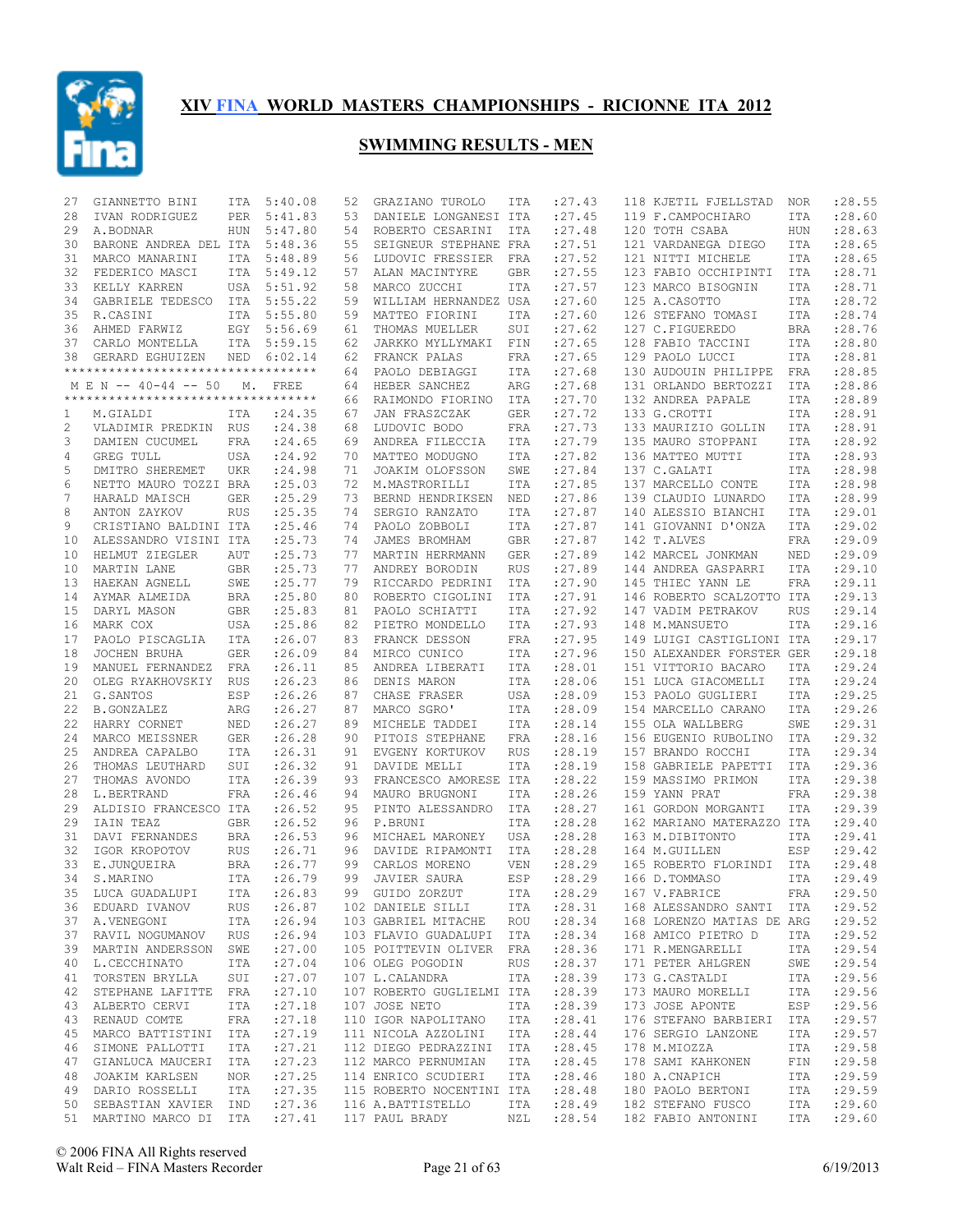

| 27 | GIANNETTO BINI                     | ITA        | 5:40.08     | 52 | GRAZIANO TUROLO                              | ITA        | : 27.43    | 118 KJETIL FJELLSTAD      | NOR        | :28.55      |
|----|------------------------------------|------------|-------------|----|----------------------------------------------|------------|------------|---------------------------|------------|-------------|
| 28 | IVAN RODRIGUEZ                     | PER        | 5:41.83     | 53 | DANIELE LONGANESI ITA                        |            | : 27.45    | 119 F.CAMPOCHIARO         | ITA        | : 28.60     |
| 29 | A.BODNAR                           | <b>HUN</b> | 5:47.80     | 54 | ROBERTO CESARINI                             | ITA        | : 27.48    | 120 TOTH CSABA            | <b>HUN</b> | : 28.63     |
| 30 | BARONE ANDREA DEL ITA              |            | 5:48.36     | 55 | SEIGNEUR STEPHANE FRA                        |            | : 27.51    | 121 VARDANEGA DIEGO       | <b>ITA</b> | :28.65      |
| 31 | MARCO MANARINI                     | <b>ITA</b> | 5:48.89     | 56 | LUDOVIC FRESSIER                             | FRA        | : 27.52    | 121 NITTI MICHELE         | ITA        | :28.65      |
| 32 | FEDERICO MASCI                     | ITA        | 5:49.12     | 57 | ALAN MACINTYRE                               | GBR        | :27.55     | 123 FABIO OCCHIPINTI      | ITA        | :28.71      |
|    |                                    |            |             |    |                                              |            |            |                           |            | :28.71      |
| 33 | KELLY KARREN                       |            | USA 5:51.92 | 58 | MARCO ZUCCHI                                 | ITA        | : 27.57    | 123 MARCO BISOGNIN        | <b>ITA</b> |             |
| 34 | GABRIELE TEDESCO                   | ITA        | 5:55.22     | 59 | WILLIAM HERNANDEZ USA                        |            | : 27.60    | 125 A.CASOTTO             | ITA        | :28.72      |
| 35 | R.CASINI                           | ITA        | 5:55.80     | 59 | MATTEO FIORINI                               | ITA        | : 27.60    | 126 STEFANO TOMASI        | ITA        | :28.74      |
| 36 | AHMED FARWIZ                       | EGY        | 5:56.69     | 61 | THOMAS MUELLER                               | SUI        | : 27.62    | 127 C.FIGUEREDO           | <b>BRA</b> | :28.76      |
| 37 | CARLO MONTELLA                     |            | ITA 5:59.15 | 62 | JARKKO MYLLYMAKI                             | FIN        | : 27.65    | 128 FABIO TACCINI         | ITA        | :28.80      |
| 38 | GERARD EGHUIZEN                    | NED        | 6:02.14     | 62 | FRANCK PALAS                                 | FRA        | : 27.65    | 129 PAOLO LUCCI           | ITA        | :28.81      |
|    | ********************************** |            |             | 64 | PAOLO DEBIAGGI                               | ITA        | : 27.68    | 130 AUDOUIN PHILIPPE      | FRA        | :28.85      |
|    | M E N -- 40-44 -- 50               | М.         | FREE        | 64 | HEBER SANCHEZ                                | ARG        | : 27.68    | 131 ORLANDO BERTOZZI      | <b>ITA</b> | :28.86      |
|    | ********************************** |            |             | 66 | RAIMONDO FIORINO                             | ITA        | : 27.70    | 132 ANDREA PAPALE         | <b>ITA</b> | :28.89      |
| 1  | M.GIALDI                           | ITA        | : 24.35     | 67 | JAN FRASZCZAK                                | <b>GER</b> | : 27.72    | 133 G.CROTTI              | <b>ITA</b> | :28.91      |
| 2  | VLADIMIR PREDKIN RUS               |            | : 24.38     | 68 | LUDOVIC BODO                                 | FRA        | : 27.73    | 133 MAURIZIO GOLLIN       | <b>ITA</b> | :28.91      |
|    |                                    |            |             |    |                                              |            |            |                           |            |             |
| 3  | DAMIEN CUCUMEL                     | <b>FRA</b> | : 24.65     | 69 | ANDREA FILECCIA                              | ITA        | :27.79     | 135 MAURO STOPPANI        | <b>ITA</b> | :28.92      |
| 4  | GREG TULL                          | USA        | : 24.92     | 70 | MATTEO MODUGNO                               | ITA        | : 27.82    | 136 MATTEO MUTTI          | <b>ITA</b> | :28.93      |
| 5  | DMITRO SHEREMET                    | <b>UKR</b> | : 24.98     | 71 | JOAKIM OLOFSSON                              | SWE        | :27.84     | 137 C.GALATI              | <b>ITA</b> | :28.98      |
| 6  | NETTO MAURO TOZZI BRA              |            | : 25.03     | 72 | M.MASTRORILLI                                | ITA        | :27.85     | 137 MARCELLO CONTE        | ITA        | :28.98      |
| 7  | HARALD MAISCH                      | <b>GER</b> | : 25.29     | 73 | BERND HENDRIKSEN                             | NED        | :27.86     | 139 CLAUDIO LUNARDO       | <b>ITA</b> | :28.99      |
| 8  | ANTON ZAYKOV                       | <b>RUS</b> | : 25.35     | 74 | SERGIO RANZATO                               | ITA        | : 27.87    | 140 ALESSIO BIANCHI       | <b>ITA</b> | :29.01      |
| 9  | CRISTIANO BALDINI ITA              |            | : 25.46     | 74 | PAOLO ZOBBOLI                                | ITA        | : 27.87    | 141 GIOVANNI D'ONZA       | <b>ITA</b> | : 29.02     |
| 10 | ALESSANDRO VISINI ITA              |            | : 25.73     | 74 | JAMES BROMHAM                                | <b>GBR</b> | : 27.87    | 142 T.ALVES               | FRA        | :29.09      |
| 10 | HELMUT ZIEGLER                     | AUT        | : 25.73     | 77 | MARTIN HERRMANN                              | <b>GER</b> | :27.89     | 142 MARCEL JONKMAN        | NED        | :29.09      |
| 10 | MARTIN LANE                        | <b>GBR</b> | : 25.73     | 77 | ANDREY BORODIN                               | <b>RUS</b> | :27.89     | 144 ANDREA GASPARRI       | <b>ITA</b> | :29.10      |
|    |                                    |            |             |    |                                              |            |            |                           |            |             |
| 13 | HAEKAN AGNELL                      | SWE        | : 25.77     | 79 | RICCARDO PEDRINI                             | ITA        | :27.90     | 145 THIEC YANN LE         | FRA        | :29.11      |
| 14 | AYMAR ALMEIDA                      | <b>BRA</b> | :25.80      | 80 | ROBERTO CIGOLINI                             | ITA        | : 27.91    | 146 ROBERTO SCALZOTTO ITA |            | :29.13      |
| 15 | DARYL MASON                        | GBR        | :25.83      | 81 | PAOLO SCHIATTI                               | ITA        | : 27.92    | 147 VADIM PETRAKOV        | <b>RUS</b> | :29.14      |
| 16 | MARK COX                           | USA        | :25.86      | 82 | PIETRO MONDELLO                              | ITA        | : 27.93    | 148 M.MANSUETO            | <b>ITA</b> | : 29.16     |
| 17 | PAOLO PISCAGLIA                    | ITA        | : 26.07     | 83 | FRANCK DESSON                                | FRA        | : 27.95    | 149 LUIGI CASTIGLIONI ITA |            | :29.17      |
| 18 | JOCHEN BRUHA                       | GER        | : 26.09     | 84 | MIRCO CUNICO                                 | ITA        | : 27.96    | 150 ALEXANDER FORSTER GER |            | :29.18      |
| 19 | MANUEL FERNANDEZ FRA               |            | : 26.11     | 85 | ANDREA LIBERATI                              | ITA        | :28.01     | 151 VITTORIO BACARO       | ITA        | :29.24      |
| 20 | OLEG RYAKHOVSKIY RUS               |            | : 26.23     | 86 | DENIS MARON                                  | ITA        | :28.06     | 151 LUCA GIACOMELLI       | ITA        | :29.24      |
| 21 | G. SANTOS                          | ESP        | : 26.26     | 87 | CHASE FRASER                                 | USA        | :28.09     | 153 PAOLO GUGLIERI        | <b>ITA</b> | :29.25      |
| 22 | <b>B.GONZALEZ</b>                  | ARG        | : 26.27     | 87 | MARCO SGRO'                                  | ITA        | :28.09     | 154 MARCELLO CARANO       | ITA        | :29.26      |
|    |                                    |            |             |    |                                              |            |            |                           |            | :29.31      |
| 22 | HARRY CORNET                       | NED        | : 26.27     | 89 | MICHELE TADDEI                               | ITA        | :28.14     | 155 OLA WALLBERG          | SWE        |             |
| 24 | MARCO MEISSNER                     | GER        | : 26.28     | 90 | PITOIS STEPHANE                              | FRA        | :28.16     | 156 EUGENIO RUBOLINO      | ITA        | : 29.32     |
| 25 | ANDREA CAPALBO                     | ITA        | : 26.31     | 91 | EVGENY KORTUKOV                              | <b>RUS</b> | :28.19     | 157 BRANDO ROCCHI         | <b>ITA</b> | :29.34      |
| 26 | THOMAS LEUTHARD                    | SUI        | : 26.32     | 91 | DAVIDE MELLI                                 | ITA        | : 28.19    | 158 GABRIELE PAPETTI      | <b>ITA</b> | :29.36      |
| 27 | THOMAS AVONDO                      | ITA        | :26.39      | 93 | FRANCESCO AMORESE ITA                        |            | : 28.22    | 159 MASSIMO PRIMON        | <b>ITA</b> | :29.38      |
| 28 | L.BERTRAND                         | FRA        | : 26.46     | 94 | MAURO BRUGNONI                               | ITA        | : 28.26    | 159 YANN PRAT             | <b>FRA</b> | :29.38      |
| 29 | ALDISIO FRANCESCO ITA              |            | : 26.52     | 95 | PINTO ALESSANDRO                             | ITA        | : 28.27    | 161 GORDON MORGANTI       | <b>ITA</b> | :29.39      |
| 29 | IAIN TEAZ                          | GBR        | : 26.52     | 96 | P.BRUNI                                      | ITA        | :28.28     | 162 MARIANO MATERAZZO ITA |            | : 29.40     |
| 31 | DAVI FERNANDES                     | <b>BRA</b> | : 26.53     | 96 | MICHAEL MARONEY                              | USA        | :28.28     | 163 M.DIBITONTO           | <b>ITA</b> | : 29.41     |
| 32 | IGOR KROPOTOV                      | RUS        | : 26.71     | 96 | DAVIDE RIPAMONTI                             | ITA        | :28.28     | 164 M.GUILLEN             | ESP        | : 29.42     |
| 33 | E.JUNQUEIRA                        | BRA        | : 26.77     | 99 | CARLOS MORENO                                | <b>VEN</b> | : 28.29    | 165 ROBERTO FLORINDI      | ITA        | : 29.48     |
|    |                                    |            | : 26.79     | 99 |                                              |            | :28.29     |                           |            | : 29.49     |
| 34 | S.MARINO                           | ITA        |             |    | JAVIER SAURA                                 | ESP        |            | 166 D.TOMMASO             | <b>ITA</b> |             |
|    | 35 LUCA GUADALUPI                  |            | ITA :26.83  |    | 99 GUIDO ZORZUT                              | ITA        | : 28.29    | 167 V.FABRICE             |            | FRA : 29.50 |
|    | 36 EDUARD IVANOV                   | RUS        | : 26.87     |    | 102 DANIELE SILLI                            | ITA        | : 28.31    | 168 ALESSANDRO SANTI ITA  |            | : 29.52     |
|    | 37 A.VENEGONI ITA                  |            | : 26.94     |    | 103 GABRIEL MITACHE ROU :28.34               |            |            | 168 LORENZO MATIAS DE ARG |            | : 29.52     |
|    | 37 RAVIL NOGUMANOV RUS             |            | : 26.94     |    | 103 FLAVIO GUADALUPI ITA                     |            | : 28.34    | 168 AMICO PIETRO D        | ITA        | : 29.52     |
|    | 39 MARTIN ANDERSSON SWE            |            | : 27.00     |    | 105 POITTEVIN OLIVER FRA                     |            | : 28.36    | 171 R.MENGARELLI          | ITA        | : 29.54     |
| 40 | L.CECCHINATO                       | ITA        | : 27.04     |    | 106 OLEG POGODIN                             | RUS        | : 28.37    | 171 PETER AHLGREN         | SWE        | : 29.54     |
|    | 41 TORSTEN BRYLLA                  | SUI        | : 27.07     |    | 107 L.CALANDRA                               | ITA        | : 28.39    | 173 G.CASTALDI            | ITA        | : 29.56     |
| 42 | STEPHANE LAFITTE FRA               |            | : 27.10     |    | 107 ROBERTO GUGLIELMI ITA                    |            | : 28.39    | 173 MAURO MORELLI         | ITA        | : 29.56     |
|    |                                    |            |             |    |                                              |            |            |                           |            |             |
|    | 43 ALBERTO CERVI                   | ITA        | : 27.18     |    | 107 JOSE NETO                                |            | ITA :28.39 | 173 JOSE APONTE           | ESP        | : 29.56     |
| 43 | RENAUD COMTE                       | FRA        | : 27.18     |    | 110 IGOR NAPOLITANO ITA                      |            | : 28.41    | 176 STEFANO BARBIERI      | ITA        | : 29.57     |
| 45 | MARCO BATTISTINI ITA               |            | : 27.19     |    | 111 NICOLA AZZOLINI ITA                      |            | : 28.44    | 176 SERGIO LANZONE        | ITA        | : 29.57     |
| 46 | SIMONE PALLOTTI                    | ITA        | : 27.21     |    | 112 DIEGO PEDRAZZINI ITA                     |            | : 28.45    | 178 M.MIOZZA              | ITA        | :29.58      |
| 47 | GIANLUCA MAUCERI ITA               |            | : 27.23     |    | 112 MARCO PERNUMIAN                          |            | ITA :28.45 | 178 SAMI KAHKONEN         | FIN        | :29.58      |
| 48 | JOAKIM KARLSEN                     | NOR        | : 27.25     |    | 114 ENRICO SCUDIERI                          | ITA        | : 28.46    | 180 A.CNAPICH             | ITA        | : 29.59     |
|    | 49 DARIO ROSSELLI                  | ITA        | : 27.35     |    | 115 ROBERTO NOCENTINI ITA                    |            | : 28.48    | 180 PAOLO BERTONI         | ITA        | : 29.59     |
|    | 50 SEBASTIAN XAVIER IND            |            | : 27.36     |    | 116 A.BATTISTELLO                            | ITA        | : 28.49    | 182 STEFANO FUSCO         | ITA        | : 29.60     |
|    | 51 MARTINO MARCO DI ITA : 27.41    |            |             |    | 117 PAUL BRADY MZL :28.54 182 FABIO ANTONINI |            |            |                           | ITA        | : 29.60     |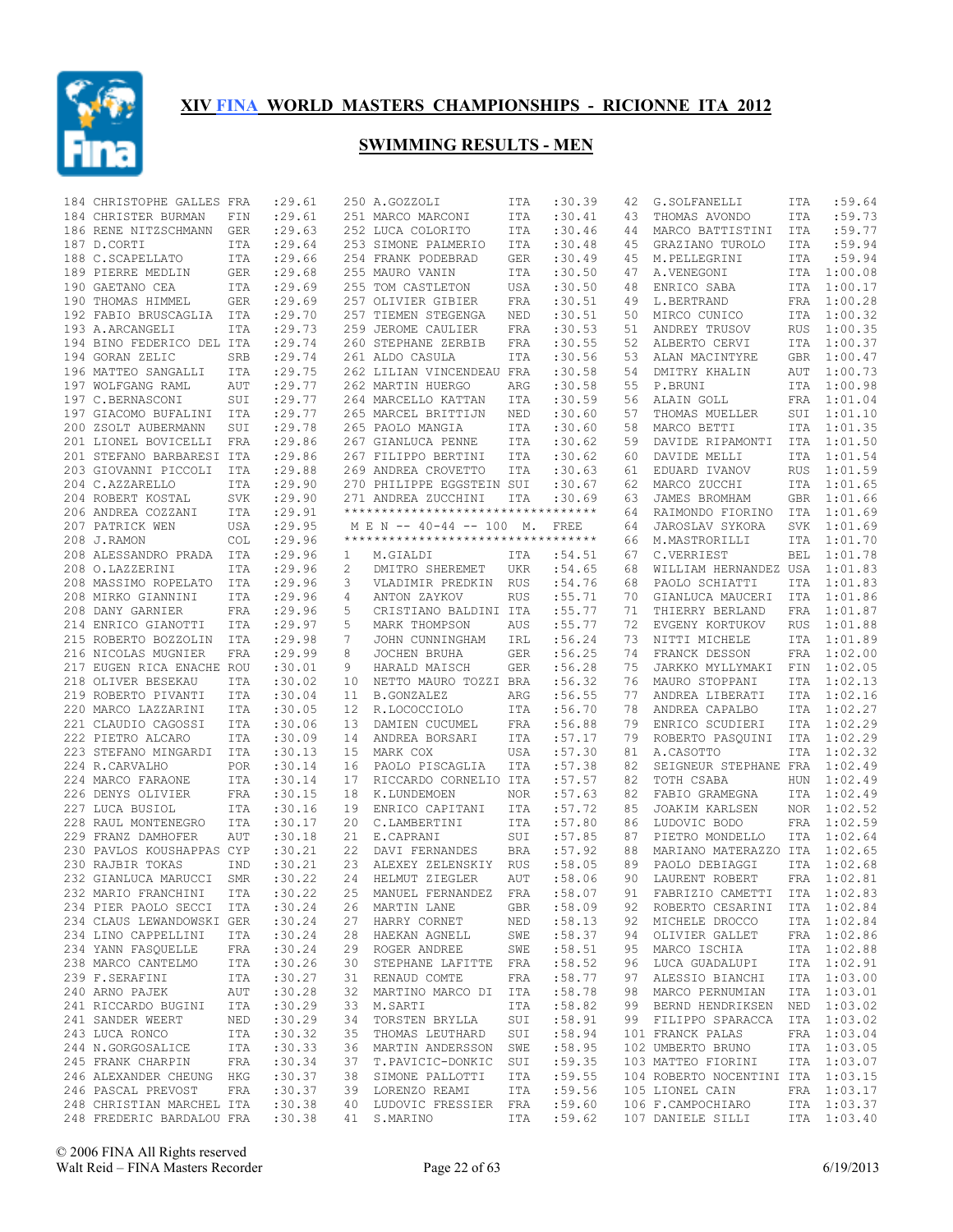

| 184 CHRISTOPHE GALLES FRA         |                             | : 29.61 |              | 250 A.GOZZOLI                       | ITA                     | :30.39 | 42 | G.SOLFANELLI                                         | ITA            | :59.64      |
|-----------------------------------|-----------------------------|---------|--------------|-------------------------------------|-------------------------|--------|----|------------------------------------------------------|----------------|-------------|
| 184 CHRISTER BURMAN               | FIN                         | : 29.61 |              | 251 MARCO MARCONI                   | ITA                     | :30.41 | 43 | THOMAS AVONDO                                        | ITA            | :59.73      |
| 186 RENE NITZSCHMANN GER          |                             | : 29.63 |              | 252 LUCA COLORITO                   | ITA                     | :30.46 | 44 | MARCO BATTISTINI                                     | ITA            | :59.77      |
| 187 D.CORTI                       | ITA                         | : 29.64 |              | 253 SIMONE PALMERIO                 | ITA                     | :30.48 | 45 | GRAZIANO TUROLO                                      | ITA            | :59.94      |
| 188 C.SCAPELLATO                  | ITA                         | : 29.66 |              | 254 FRANK PODEBRAD                  | GER                     | :30.49 | 45 | M. PELLEGRINI                                        | ITA            | :59.94      |
| 189 PIERRE MEDLIN                 | GER                         | : 29.68 |              | 255 MAURO VANIN                     | ITA                     | :30.50 | 47 | A.VENEGONI                                           | ITA            | 1:00.08     |
| 190 GAETANO CEA                   | ITA                         | : 29.69 |              | 255 TOM CASTLETON                   | USA                     | :30.50 | 48 | ENRICO SABA                                          | ITA            | 1:00.17     |
| 190 THOMAS HIMMEL                 | GER                         | : 29.69 |              | 257 OLIVIER GIBIER                  | FRA                     | :30.51 | 49 | L.BERTRAND                                           | FRA            | 1:00.28     |
| 192 FABIO BRUSCAGLIA ITA          |                             | : 29.70 |              | 257 TIEMEN STEGENGA                 | NED                     | :30.51 | 50 | MIRCO CUNICO                                         |                | ITA 1:00.32 |
| 193 A.ARCANGELI                   | ITA                         | : 29.73 |              | 259 JEROME CAULIER                  | FRA                     | :30.53 | 51 | ANDREY TRUSOV                                        | <b>RUS</b>     | 1:00.35     |
| 194 BINO FEDERICO DEL ITA         |                             | : 29.74 |              | 260 STEPHANE ZERBIB                 | FRA                     | :30.55 | 52 | ALBERTO CERVI                                        | ITA            | 1:00.37     |
| 194 GORAN ZELIC                   | SRB                         | : 29.74 |              | 261 ALDO CASULA                     | ITA                     | :30.56 | 53 | ALAN MACINTYRE                                       | GBR            | 1:00.47     |
| 196 MATTEO SANGALLI               | ITA                         | : 29.75 |              | 262 LILIAN VINCENDEAU FRA           |                         | :30.58 | 54 | DMITRY KHALIN                                        | AUT            | 1:00.73     |
| 197 WOLFGANG RAML                 | AUT                         | : 29.77 |              | 262 MARTIN HUERGO                   | ARG                     | :30.58 | 55 | P.BRUNI                                              | ITA            | 1:00.98     |
| 197 C.BERNASCONI                  | SUI                         | : 29.77 |              | 264 MARCELLO KATTAN                 | ITA                     | :30.59 | 56 | ALAIN GOLL                                           | FRA            | 1:01.04     |
| 197 GIACOMO BUFALINI ITA          |                             | : 29.77 |              | 265 MARCEL BRITTIJN                 | NED                     | :30.60 | 57 | THOMAS MUELLER                                       | SUI            | 1:01.10     |
| 200 ZSOLT AUBERMANN               | SUI                         | : 29.78 |              | 265 PAOLO MANGIA                    | ITA                     | :30.60 | 58 | MARCO BETTI                                          |                | ITA 1:01.35 |
| 201 LIONEL BOVICELLI FRA          |                             | : 29.86 |              | 267 GIANLUCA PENNE                  | ITA                     | :30.62 | 59 | DAVIDE RIPAMONTI                                     | ITA            | 1:01.50     |
| 201 STEFANO BARBARESI ITA         |                             |         |              |                                     | ITA                     | :30.62 | 60 |                                                      | <b>ITA</b>     | 1:01.54     |
| 203 GIOVANNI PICCOLI              |                             | : 29.86 |              | 267 FILIPPO BERTINI                 | ITA                     | :30.63 |    | DAVIDE MELLI                                         | <b>RUS</b>     | 1:01.59     |
|                                   | ITA                         | : 29.88 |              | 269 ANDREA CROVETTO                 |                         |        | 61 | EDUARD IVANOV                                        |                |             |
| 204 C.AZZARELLO                   | <b>ITA</b>                  | : 29.90 |              | 270 PHILIPPE EGGSTEIN SUI           |                         | :30.67 | 62 | MARCO ZUCCHI                                         | ITA            | 1:01.65     |
| 204 ROBERT KOSTAL                 | SVK                         | : 29.90 |              | 271 ANDREA ZUCCHINI                 | <b>ITA</b>              | :30.69 | 63 | JAMES BROMHAM                                        | <b>GBR</b>     | 1:01.66     |
| 206 ANDREA COZZANI                | ITA                         | :29.91  |              | *********************************** |                         |        | 64 | RAIMONDO FIORINO                                     | ITA            | 1:01.69     |
| 207 PATRICK WEN                   | USA                         | : 29.95 |              | M E N -- 40-44 -- 100 M.            |                         | FREE   | 64 | JAROSLAV SYKORA                                      | <b>SVK</b>     | 1:01.69     |
| 208 J.RAMON                       | <b>COL</b>                  | : 29.96 |              | *********************************** |                         |        | 66 | M.MASTRORILLI                                        | ITA            | 1:01.70     |
| 208 ALESSANDRO PRADA ITA          |                             | : 29.96 | $\mathbf{1}$ | M.GIALDI                            | ITA                     | :54.51 | 67 | C.VERRIEST                                           | <b>BEL</b>     | 1:01.78     |
| 208 O.LAZZERINI                   | ITA                         | : 29.96 | 2            | DMITRO SHEREMET                     | UKR                     | :54.65 | 68 | WILLIAM HERNANDEZ USA                                |                | 1:01.83     |
| 208 MASSIMO ROPELATO ITA          |                             | :29.96  | 3            | VLADIMIR PREDKIN                    | RUS                     | :54.76 | 68 | PAOLO SCHIATTI                                       | ITA            | 1:01.83     |
| 208 MIRKO GIANNINI                | ITA                         | : 29.96 | 4            | ANTON ZAYKOV                        | <b>RUS</b>              | :55.71 | 70 | GIANLUCA MAUCERI                                     | ITA            | 1:01.86     |
| 208 DANY GARNIER                  | FRA                         | : 29.96 | 5            | CRISTIANO BALDINI ITA               |                         | :55.77 | 71 | THIERRY BERLAND                                      | <b>FRA</b>     | 1:01.87     |
| 214 ENRICO GIANOTTI               | ITA                         | : 29.97 | 5            | MARK THOMPSON                       | AUS                     | :55.77 | 72 | EVGENY KORTUKOV                                      | RUS            | 1:01.88     |
| 215 ROBERTO BOZZOLIN              | ITA                         | : 29.98 | 7            | JOHN CUNNINGHAM                     | IRL                     | :56.24 | 73 | NITTI MICHELE                                        | ITA            | 1:01.89     |
| 216 NICOLAS MUGNIER               | FRA                         | : 29.99 | 8            | JOCHEN BRUHA                        | GER                     | :56.25 | 74 | FRANCK DESSON                                        | FRA            | 1:02.00     |
| 217 EUGEN RICA ENACHE ROU         |                             | :30.01  | 9            | HARALD MAISCH                       | <b>GER</b>              | :56.28 | 75 | JARKKO MYLLYMAKI                                     | $\texttt{FIN}$ | 1:02.05     |
| 218 OLIVER BESEKAU                | ITA                         | :30.02  | 10           | NETTO MAURO TOZZI BRA               |                         | :56.32 | 76 | MAURO STOPPANI                                       | ITA            | 1:02.13     |
| 219 ROBERTO PIVANTI               | ITA                         | : 30.04 | 11           | B.GONZALEZ                          | ARG                     | :56.55 | 77 | ANDREA LIBERATI                                      | ITA            | 1:02.16     |
| 220 MARCO LAZZARINI               | ITA                         | :30.05  | 12           | R.LOCOCCIOLO                        | ITA                     | :56.70 | 78 | ANDREA CAPALBO                                       | ITA            | 1:02.27     |
| 221 CLAUDIO CAGOSSI               | <b>ITA</b>                  | :30.06  | 13           | DAMIEN CUCUMEL                      | FRA                     | :56.88 | 79 | ENRICO SCUDIERI                                      | ITA            | 1:02.29     |
| 222 PIETRO ALCARO                 | ITA                         | :30.09  | 14           | ANDREA BORSARI                      | ITA                     | :57.17 | 79 | ROBERTO PASQUINI                                     | ITA            | 1:02.29     |
| 223 STEFANO MINGARDI              | ITA                         | :30.13  | 15           | MARK COX                            | USA                     | :57.30 | 81 | A.CASOTTO                                            | ITA            | 1:02.32     |
| 224 R.CARVALHO                    | <b>POR</b>                  | :30.14  | 16           | PAOLO PISCAGLIA                     | ITA                     | :57.38 | 82 | SEIGNEUR STEPHANE FRA                                |                | 1:02.49     |
| 224 MARCO FARAONE                 | <b>ITA</b>                  | : 30.14 | 17           | RICCARDO CORNELIO ITA               |                         | :57.57 | 82 | TOTH CSABA                                           | <b>HUN</b>     | 1:02.49     |
| 226 DENYS OLIVIER                 | <b>FRA</b>                  | :30.15  | 18           | K.LUNDEMOEN                         | NOR                     | :57.63 | 82 | FABIO GRAMEGNA                                       | ITA            | 1:02.49     |
| 227 LUCA BUSIOL                   | ITA                         | :30.16  | 19           | ENRICO CAPITANI                     | ITA                     | :57.72 | 85 | JOAKIM KARLSEN                                       |                | NOR 1:02.52 |
| 228 RAUL MONTENEGRO               | ITA                         | :30.17  | 20           | C.LAMBERTINI                        | ITA                     | :57.80 | 86 | LUDOVIC BODO                                         | FRA            | 1:02.59     |
| 229 FRANZ DAMHOFER                | <b>AUT</b>                  | :30.18  | 21           | E.CAPRANI                           | SUI                     | :57.85 | 87 | PIETRO MONDELLO                                      | ITA            | 1:02.64     |
| 230 PAVLOS KOUSHAPPAS CYP         |                             | :30.21  | 22           | DAVI FERNANDES                      | BRA                     | :57.92 | 88 | MARIANO MATERAZZO ITA                                |                | 1:02.65     |
| 230 RAJBIR TOKAS                  | <b>IND</b>                  | :30.21  | 23           | ALEXEY ZELENSKIY RUS                |                         | :58.05 | 89 | PAOLO DEBIAGGI                                       | ITA            | 1:02.68     |
| 232 GIANLUCA MARUCCI              | SMR                         | :30.22  | 24           | HELMUT ZIEGLER                      | AUT                     | :58.06 | 90 | LAURENT ROBERT                                       | FRA            | 1:02.81     |
|                                   |                             |         |              | 25 MANUEL FERNANDEZ FRA             |                         |        |    |                                                      |                |             |
| 232 MARIO FRANCHINI               | ITA                         | :30.22  |              |                                     |                         | :58.07 | 91 | FABRIZIO CAMETTI ITA 1:02.83                         |                |             |
| 234 PIER PAOLO SECCI ITA          |                             | :30.24  |              | 26 MARTIN LANE                      | GBR<br>NED <sub>1</sub> | :58.09 |    | 92 ROBERTO CESARINI ITA 1:02.84                      |                |             |
| 234 CLAUS LEWANDOWSKI GER         |                             | :30.24  |              | 27 HARRY CORNET                     |                         | :58.13 | 92 | MICHELE DROCCO                                       |                | ITA 1:02.84 |
| 234 LINO CAPPELLINI               | ITA                         | :30.24  |              | 28 HAEKAN AGNELL SWE                |                         | :58.37 | 94 | OLIVIER GALLET                                       |                | FRA 1:02.86 |
| 234 YANN FASQUELLE FRA            |                             | :30.24  |              | 29 ROGER ANDREE                     | SWE                     | :58.51 | 95 | MARCO ISCHIA                                         |                | ITA 1:02.88 |
| 238 MARCO CANTELMO ITA            |                             | :30.26  |              | 30 STEPHANE LAFITTE FRA             |                         | :58.52 | 96 | LUCA GUADALUPI                                       |                | ITA 1:02.91 |
| 239 F.SERAFINI<br>I TA            |                             | :30.27  |              | 31 RENAUD COMTE                     | FRA                     | :58.77 | 97 | ALESSIO BIANCHI                                      |                | ITA 1:03.00 |
| 240 ARNO PAJEK AUT                |                             | :30.28  | 32           | MARTINO MARCO DI ITA                |                         | :58.78 | 98 | MARCO PERNUMIAN                                      |                | ITA 1:03.01 |
| 241 RICCARDO BUGINI ITA           |                             | :30.29  |              | 33 M.SARTI                          | ITA                     | :58.82 |    | 99 BERND HENDRIKSEN NED 1:03.02                      |                |             |
| 241 SANDER WEERT                  | $\ensuremath{\mathsf{NED}}$ | :30.29  |              | 34 TORSTEN BRYLLA                   | SUI                     | :58.91 |    | 99 FILIPPO SPARACCA                                  |                | ITA 1:03.02 |
| 243 LUCA RONCO                    | ITA                         | :30.32  |              | 35 THOMAS LEUTHARD SUI              |                         | :58.94 |    | 101 FRANCK PALAS                                     |                | FRA 1:03.04 |
| 244 N.GORGOSALICE ITA             |                             | :30.33  |              | 36 MARTIN ANDERSSON SWE             |                         | :58.95 |    | 102 UMBERTO BRUNO                                    |                | ITA 1:03.05 |
| 245 FRANK CHARPIN                 | FRA                         | :30.34  |              | 37 T.PAVICIC-DONKIC SUI             |                         | :59.35 |    | 103 MATTEO FIORINI                                   |                | ITA 1:03.07 |
| 246 ALEXANDER CHEUNG HKG          |                             | :30.37  |              | 38 SIMONE PALLOTTI                  | ITA                     | :59.55 |    | 104 ROBERTO NOCENTINI ITA 1:03.15                    |                |             |
| 246 PASCAL PREVOST                | FRA                         | :30.37  |              | 39 LORENZO REAMI ITA                |                         | :59.56 |    | 105 LIONEL CAIN                                      |                | FRA 1:03.17 |
| 248 CHRISTIAN MARCHEL ITA         |                             | :30.38  |              | 40 LUDOVIC FRESSIER FRA             |                         | :59.60 |    | 106 F.CAMPOCHIARO                                    |                | ITA 1:03.37 |
| 248 FREDERIC BARDALOU FRA : 30.38 |                             |         |              |                                     |                         |        |    | 41 S.MARINO 1TA :59.62 107 DANIELE SILLI 1TA 1:03.40 |                |             |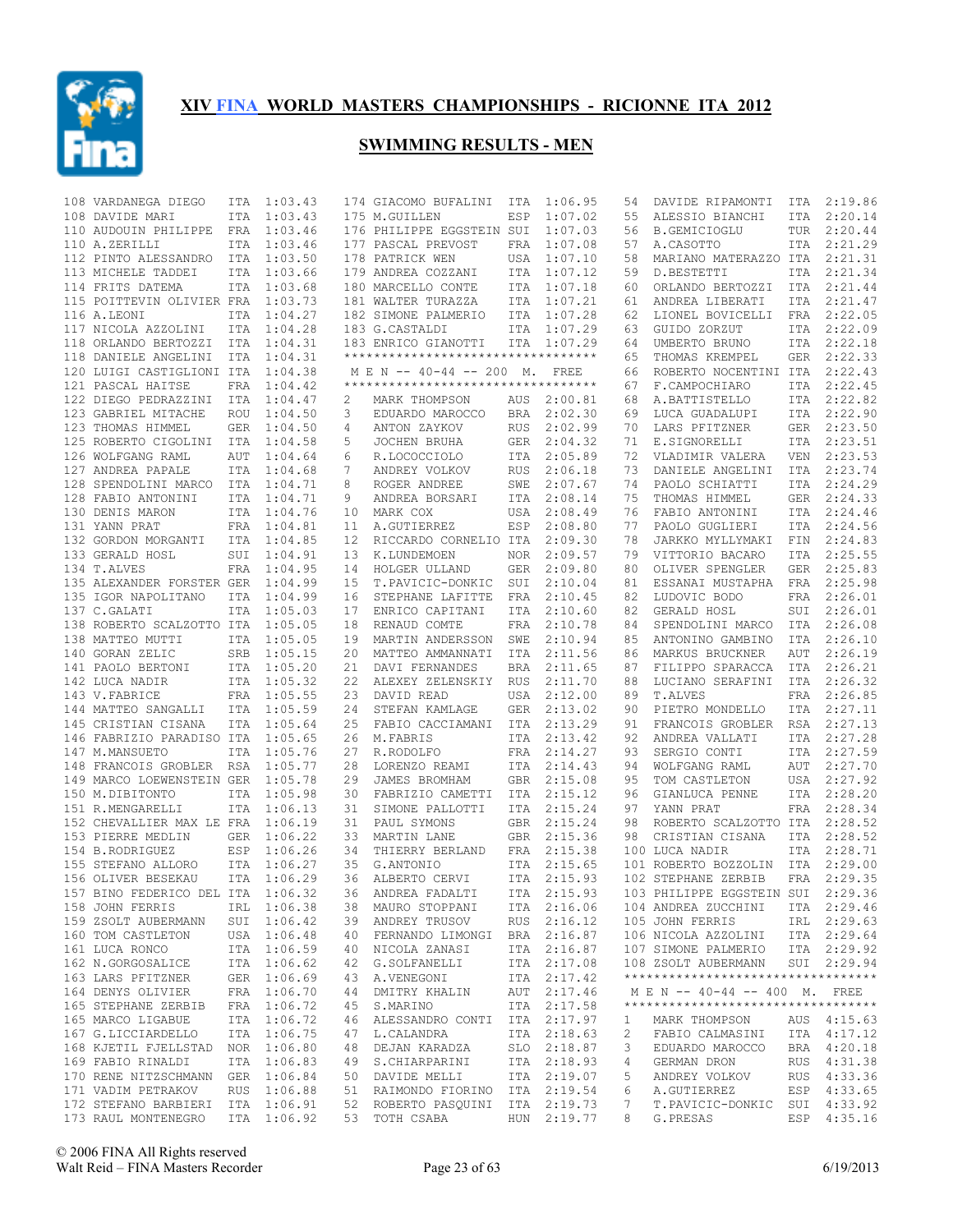

| 108 VARDANEGA DIEGO               | ITA        | 1:03.43     |    | 174 GIACOMO BUFALINI                | ITA        | 1:06.95     | 54 | DAVIDE RIPAMONTI                   | ITA        | 2:19.86     |
|-----------------------------------|------------|-------------|----|-------------------------------------|------------|-------------|----|------------------------------------|------------|-------------|
| 108 DAVIDE MARI                   | ITA        | 1:03.43     |    | 175 M.GUILLEN                       | ESP        | 1:07.02     | 55 | ALESSIO BIANCHI                    | ITA        | 2:20.14     |
| 110 AUDOUIN PHILIPPE              | FRA        | 1:03.46     |    | 176 PHILIPPE EGGSTEIN SUI           |            | 1:07.03     | 56 | B.GEMICIOGLU                       | TUR        | 2:20.44     |
| 110 A.ZERILLI                     | ITA        | 1:03.46     |    | 177 PASCAL PREVOST                  | FRA        | 1:07.08     | 57 | A.CASOTTO                          | ITA        | 2:21.29     |
| 112 PINTO ALESSANDRO              | ITA        | 1:03.50     |    | 178 PATRICK WEN                     | USA        | 1:07.10     | 58 | MARIANO MATERAZZO ITA              |            | 2:21.31     |
| 113 MICHELE TADDEI                | ITA        | 1:03.66     |    | 179 ANDREA COZZANI                  | ITA        | 1:07.12     | 59 | D.BESTETTI                         | ITA        | 2:21.34     |
| 114 FRITS DATEMA                  | <b>ITA</b> | 1:03.68     |    | 180 MARCELLO CONTE                  | ITA        | 1:07.18     | 60 | ORLANDO BERTOZZI                   | <b>ITA</b> | 2:21.44     |
| 115 POITTEVIN OLIVIER FRA         |            | 1:03.73     |    | 181 WALTER TURAZZA                  | ITA        | 1:07.21     | 61 | ANDREA LIBERATI                    | ITA        | 2:21.47     |
| 116 A.LEONI                       | ITA        | 1:04.27     |    | 182 SIMONE PALMERIO                 | ITA        | 1:07.28     | 62 | LIONEL BOVICELLI                   | FRA        | 2:22.05     |
| 117 NICOLA AZZOLINI               | ITA        | 1:04.28     |    | 183 G.CASTALDI                      | ITA        | 1:07.29     | 63 | GUIDO ZORZUT                       | ITA        | 2:22.09     |
| 118 ORLANDO BERTOZZI              | ITA        | 1:04.31     |    | 183 ENRICO GIANOTTI                 | ITA        | 1:07.29     | 64 | UMBERTO BRUNO                      | ITA        | 2:22.18     |
| 118 DANIELE ANGELINI              | ITA        | 1:04.31     |    | **********************************  |            |             | 65 | THOMAS KREMPEL                     | GER        | 2:22.33     |
| 120 LUIGI CASTIGLIONI ITA         |            | 1:04.38     |    | M E N -- 40-44 -- 200 M.            |            | FREE        | 66 | ROBERTO NOCENTINI ITA              |            | 2:22.43     |
| 121 PASCAL HAITSE                 | FRA        | 1:04.42     |    | *********************************** |            |             | 67 | F.CAMPOCHIARO                      | <b>ITA</b> | 2:22.45     |
| 122 DIEGO PEDRAZZINI              | ITA        | 1:04.47     | 2  | MARK THOMPSON                       | AUS        | 2:00.81     | 68 | A.BATTISTELLO                      | ITA        | 2:22.82     |
| 123 GABRIEL MITACHE               | <b>ROU</b> | 1:04.50     | 3  | EDUARDO MAROCCO                     | <b>BRA</b> | 2:02.30     | 69 | LUCA GUADALUPI                     | ITA        | 2:22.90     |
| 123 THOMAS HIMMEL                 | <b>GER</b> | 1:04.50     |    | ANTON ZAYKOV                        | <b>RUS</b> | 2:02.99     | 70 |                                    | GER        | 2:23.50     |
|                                   |            |             | 4  |                                     |            |             |    | LARS PFITZNER                      |            |             |
| 125 ROBERTO CIGOLINI              | ITA        | 1:04.58     | 5  | JOCHEN BRUHA                        | <b>GER</b> | 2:04.32     | 71 | E.SIGNORELLI                       | ITA        | 2:23.51     |
| 126 WOLFGANG RAML                 | <b>AUT</b> | 1:04.64     | 6  | R.LOCOCCIOLO                        | ITA        | 2:05.89     | 72 | VLADIMIR VALERA                    | <b>VEN</b> | 2:23.53     |
| 127 ANDREA PAPALE                 | ITA        | 1:04.68     | 7  | ANDREY VOLKOV                       | <b>RUS</b> | 2:06.18     | 73 | DANIELE ANGELINI                   | ITA        | 2:23.74     |
| 128 SPENDOLINI MARCO              | ITA        | 1:04.71     | 8  | ROGER ANDREE                        | SWE        | 2:07.67     | 74 | PAOLO SCHIATTI                     | <b>ITA</b> | 2:24.29     |
| 128 FABIO ANTONINI                | <b>ITA</b> | 1:04.71     | 9  | ANDREA BORSARI                      | ITA        | 2:08.14     | 75 | THOMAS HIMMEL                      | <b>GER</b> | 2:24.33     |
| 130 DENIS MARON                   | <b>ITA</b> | 1:04.76     | 10 | MARK COX                            | <b>USA</b> | 2:08.49     | 76 | FABIO ANTONINI                     | <b>ITA</b> | 2:24.46     |
| 131 YANN PRAT                     | FRA        | 1:04.81     | 11 | A.GUTIERREZ                         | ESP        | 2:08.80     | 77 | PAOLO GUGLIERI                     | <b>ITA</b> | 2:24.56     |
| 132 GORDON MORGANTI               | ITA        | 1:04.85     | 12 | RICCARDO CORNELIO ITA               |            | 2:09.30     | 78 | JARKKO MYLLYMAKI                   | FIN        | 2:24.83     |
| 133 GERALD HOSL                   | SUI        | 1:04.91     | 13 | K.LUNDEMOEN                         | NOR.       | 2:09.57     | 79 | VITTORIO BACARO                    | ITA        | 2:25.55     |
| 134 T.ALVES                       | FRA        | 1:04.95     | 14 | HOLGER ULLAND                       | GER        | 2:09.80     | 80 | OLIVER SPENGLER                    | <b>GER</b> | 2:25.83     |
| 135 ALEXANDER FORSTER GER         |            | 1:04.99     | 15 | T.PAVICIC-DONKIC                    | SUI        | 2:10.04     | 81 | ESSANAI MUSTAPHA                   | FRA        | 2:25.98     |
| 135 IGOR NAPOLITANO               | ITA        | 1:04.99     | 16 | STEPHANE LAFITTE                    | FRA        | 2:10.45     | 82 | LUDOVIC BODO                       | FRA        | 2:26.01     |
| 137 C.GALATI                      | ITA        | 1:05.03     | 17 | ENRICO CAPITANI                     | ITA        | 2:10.60     | 82 | GERALD HOSL                        | SUI        | 2:26.01     |
| 138 ROBERTO SCALZOTTO ITA         |            | 1:05.05     | 18 | RENAUD COMTE                        | FRA        | 2:10.78     | 84 | SPENDOLINI MARCO                   | ITA        | 2:26.08     |
| 138 MATTEO MUTTI                  | ITA        | 1:05.05     | 19 | MARTIN ANDERSSON                    | SWE        | 2:10.94     | 85 | ANTONINO GAMBINO                   | ITA        | 2:26.10     |
| 140 GORAN ZELIC                   | SRB        | 1:05.15     | 20 | MATTEO AMMANNATI                    | ITA        | 2:11.56     | 86 | MARKUS BRUCKNER                    | AUT        | 2:26.19     |
| 141 PAOLO BERTONI                 |            | ITA 1:05.20 | 21 | DAVI FERNANDES                      | BRA        | 2:11.65     | 87 | FILIPPO SPARACCA                   | ITA        | 2:26.21     |
| 142 LUCA NADIR                    |            | ITA 1:05.32 | 22 | ALEXEY ZELENSKIY                    | RUS        | 2:11.70     | 88 | LUCIANO SERAFINI                   | ITA        | 2:26.32     |
| 143 V. FABRICE                    |            | FRA 1:05.55 | 23 | DAVID READ                          | <b>USA</b> | 2:12.00     | 89 | T.ALVES                            | FRA        | 2:26.85     |
|                                   |            |             |    |                                     |            |             | 90 |                                    |            |             |
| 144 MATTEO SANGALLI               | ITA        | 1:05.59     | 24 | STEFAN KAMLAGE                      | <b>GER</b> | 2:13.02     |    | PIETRO MONDELLO                    | ITA        | 2:27.11     |
| 145 CRISTIAN CISANA               | <b>ITA</b> | 1:05.64     | 25 | FABIO CACCIAMANI                    | ITA        | 2:13.29     | 91 | FRANCOIS GROBLER                   | RSA        | 2:27.13     |
| 146 FABRIZIO PARADISO ITA         |            | 1:05.65     | 26 | M.FABRIS                            | ITA        | 2:13.42     | 92 | ANDREA VALLATI                     | <b>ITA</b> | 2:27.28     |
| 147 M.MANSUETO                    | <b>ITA</b> | 1:05.76     | 27 | R.RODOLFO                           | FRA        | 2:14.27     | 93 | SERGIO CONTI                       | ITA        | 2:27.59     |
| 148 FRANCOIS GROBLER RSA          |            | 1:05.77     | 28 | LORENZO REAMI                       | ITA        | 2:14.43     | 94 | WOLFGANG RAML                      | AUT        | 2:27.70     |
| 149 MARCO LOEWENSTEIN GER         |            | 1:05.78     | 29 | JAMES BROMHAM                       | <b>GBR</b> | 2:15.08     | 95 | TOM CASTLETON                      | USA        | 2:27.92     |
| 150 M.DIBITONTO                   | ITA        | 1:05.98     | 30 | FABRIZIO CAMETTI                    | ITA        | 2:15.12     | 96 | GIANLUCA PENNE                     | ITA        | 2:28.20     |
| 151 R.MENGARELLI                  | ITA        | 1:06.13     | 31 | SIMONE PALLOTTI                     | ITA        | 2:15.24     | 97 | YANN PRAT                          | FRA        | 2:28.34     |
| 152 CHEVALLIER MAX LE FRA         |            | 1:06.19     | 31 | PAUL SYMONS                         | <b>GBR</b> | 2:15.24     | 98 | ROBERTO SCALZOTTO ITA              |            | 2:28.52     |
| 153 PIERRE MEDLIN                 | <b>GER</b> | 1:06.22     | 33 | MARTIN LANE                         | <b>GBR</b> | 2:15.36     | 98 | CRISTIAN CISANA                    | ITA        | 2:28.52     |
| 154 B.RODRIGUEZ                   | ESP        | 1:06.26     | 34 | THIERRY BERLAND                     | FRA        | 2:15.38     |    | 100 LUCA NADIR                     | <b>ITA</b> | 2:28.71     |
| 155 STEFANO ALLORO                | ITA        | 1:06.27     | 35 | G.ANTONIO                           | ITA        | 2:15.65     |    | 101 ROBERTO BOZZOLIN               | ITA        | 2:29.00     |
| 156 OLIVER BESEKAU                | ITA        | 1:06.29     | 36 | ALBERTO CERVI                       | ITA        | 2:15.93     |    | 102 STEPHANE ZERBIB                | <b>FRA</b> | 2:29.35     |
| 157 BINO FEDERICO DEL ITA 1:06.32 |            |             |    | 36 ANDREA FADALTI                   |            | ITA 2:15.93 |    | 103 PHILIPPE EGGSTEIN SUI 2:29.36  |            |             |
| 158 JOHN FERRIS                   |            | IRL 1:06.38 |    | 38 MAURO STOPPANI                   |            | ITA 2:16.06 |    | 104 ANDREA ZUCCHINI                |            | ITA 2:29.46 |
| 159 ZSOLT AUBERMANN               |            | SUI 1:06.42 |    | 39 ANDREY TRUSOV                    |            | RUS 2:16.12 |    | 105 JOHN FERRIS                    |            | IRL 2:29.63 |
| 160 TOM CASTLETON                 |            | USA 1:06.48 |    | 40 FERNANDO LIMONGI BRA 2:16.87     |            |             |    | 106 NICOLA AZZOLINI                |            | ITA 2:29.64 |
| 161 LUCA RONCO                    |            | ITA 1:06.59 |    | 40 NICOLA ZANASI                    |            | ITA 2:16.87 |    | 107 SIMONE PALMERIO                |            | ITA 2:29.92 |
| 162 N.GORGOSALICE                 |            | ITA 1:06.62 |    | 42 G.SOLFANELLI                     |            | ITA 2:17.08 |    | 108 ZSOLT AUBERMANN                |            | SUI 2:29.94 |
| 163 LARS PFITZNER                 |            | GER 1:06.69 |    | 43 A.VENEGONI                       |            | ITA 2:17.42 |    | ********************************** |            |             |
| 164 DENYS OLIVIER                 |            | FRA 1:06.70 |    | 44 DMITRY KHALIN                    |            | AUT 2:17.46 |    | M E N -- 40-44 -- 400 M. FREE      |            |             |
| 165 STEPHANE ZERBIB               |            | FRA 1:06.72 |    | 45 S.MARINO                         |            | ITA 2:17.58 |    | ********************************** |            |             |
| 165 MARCO LIGABUE                 |            | ITA 1:06.72 |    | 46 ALESSANDRO CONTI ITA 2:17.97     |            |             | 1  | MARK THOMPSON                      |            | AUS 4:15.63 |
| 167 G.LICCIARDELLO                |            |             |    |                                     |            |             |    |                                    |            |             |
|                                   |            | ITA 1:06.75 |    | 47 L.CALANDRA                       |            | ITA 2:18.63 | 2  | FABIO CALMASINI                    |            | ITA 4:17.12 |
| 168 KJETIL FJELLSTAD              |            | NOR 1:06.80 |    | 48 DEJAN KARADZA                    |            | SLO 2:18.87 | 3  | EDUARDO MAROCCO                    |            | BRA 4:20.18 |
| 169 FABIO RINALDI                 |            | ITA 1:06.83 |    | 49 S.CHIARPARINI                    |            | ITA 2:18.93 | 4  | GERMAN DRON                        |            | RUS 4:31.38 |
| 170 RENE NITZSCHMANN              |            | GER 1:06.84 |    | 50 DAVIDE MELLI                     |            | ITA 2:19.07 | 5  | ANDREY VOLKOV                      |            | RUS 4:33.36 |
| 171 VADIM PETRAKOV                |            | RUS 1:06.88 |    | 51 RAIMONDO FIORINO ITA 2:19.54     |            |             | 6  | A.GUTIERREZ                        |            | ESP 4:33.65 |
| 172 STEFANO BARBIERI ITA 1:06.91  |            |             |    | 52 ROBERTO PASQUINI ITA 2:19.73     |            |             | 7  | T. PAVICIC-DONKIC SUI 4:33.92      |            |             |
| 173 RAUL MONTENEGRO               |            | ITA 1:06.92 |    | 53 TOTH CSABA                       |            | HUN 2:19.77 | 8  | G.PRESAS                           |            | ESP 4:35.16 |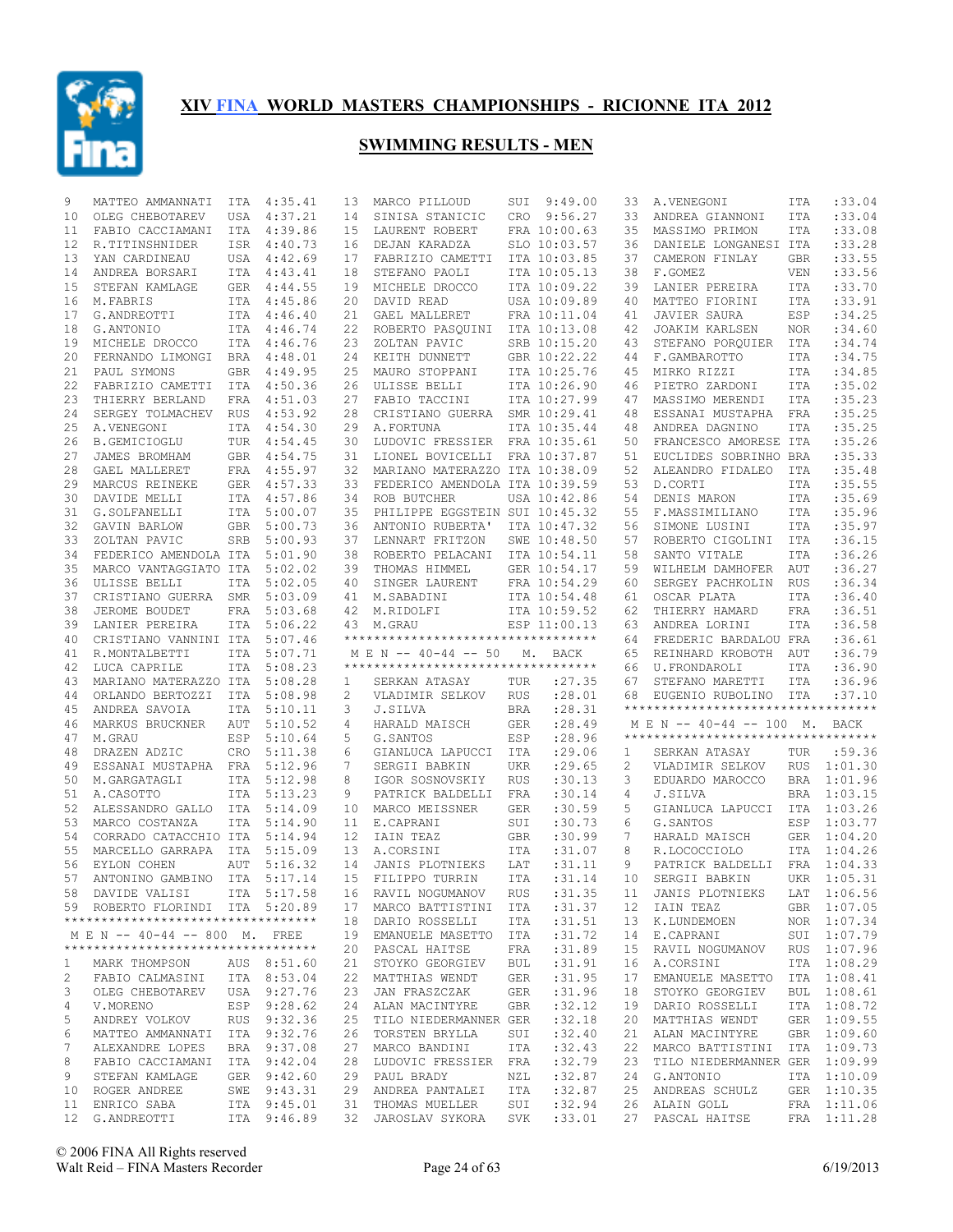

| 9  | MATTEO AMMANNATI                    | ITA        | 4:35.41     | 13 | MARCO PILLOUD                      | SUI        | 9:49.00      | 33 | A.VENEGONI                                 | ITA        | :33.04      |
|----|-------------------------------------|------------|-------------|----|------------------------------------|------------|--------------|----|--------------------------------------------|------------|-------------|
| 10 | OLEG CHEBOTAREV                     | USA        | 4:37.21     | 14 | SINISA STANICIC                    | CRO        | 9:56.27      | 33 | ANDREA GIANNONI                            | ITA        | :33.04      |
| 11 | FABIO CACCIAMANI                    | ITA        | 4:39.86     | 15 | LAURENT ROBERT                     |            | FRA 10:00.63 | 35 | MASSIMO PRIMON                             | <b>ITA</b> | :33.08      |
| 12 | R.TITINSHNIDER                      | ISR        | 4:40.73     | 16 | DEJAN KARADZA                      |            | SLO 10:03.57 | 36 | DANIELE LONGANESI ITA                      |            | :33.28      |
| 13 | YAN CARDINEAU                       | USA        | 4:42.69     | 17 | FABRIZIO CAMETTI                   |            | ITA 10:03.85 | 37 | CAMERON FINLAY                             | <b>GBR</b> | :33.55      |
| 14 | ANDREA BORSARI                      | <b>ITA</b> | 4:43.41     | 18 | STEFANO PAOLI                      |            | ITA 10:05.13 | 38 | F.GOMEZ                                    | VEN        | :33.56      |
| 15 | STEFAN KAMLAGE                      | <b>GER</b> | 4:44.55     | 19 | MICHELE DROCCO                     |            | ITA 10:09.22 | 39 | LANIER PEREIRA                             | <b>ITA</b> | :33.70      |
| 16 | M.FABRIS                            | <b>ITA</b> | 4:45.86     | 20 | DAVID READ                         |            | USA 10:09.89 | 40 | MATTEO FIORINI                             | <b>ITA</b> | :33.91      |
| 17 | G.ANDREOTTI                         | ITA        | 4:46.40     | 21 | GAEL MALLERET                      |            | FRA 10:11.04 | 41 | <b>JAVIER SAURA</b>                        | ESP        | :34.25      |
| 18 | G.ANTONIO                           | ITA        | 4:46.74     | 22 | ROBERTO PASQUINI                   |            | ITA 10:13.08 | 42 | <b>JOAKIM KARLSEN</b>                      | <b>NOR</b> | :34.60      |
| 19 | MICHELE DROCCO                      | <b>ITA</b> | 4:46.76     | 23 | ZOLTAN PAVIC                       |            | SRB 10:15.20 | 43 | STEFANO PORQUIER                           | ITA        | :34.74      |
| 20 | FERNANDO LIMONGI                    | BRA        | 4:48.01     | 24 | KEITH DUNNETT                      |            | GBR 10:22.22 | 44 | F.GAMBAROTTO                               | <b>ITA</b> | :34.75      |
| 21 | PAUL SYMONS                         | <b>GBR</b> | 4:49.95     | 25 | MAURO STOPPANI                     |            | ITA 10:25.76 | 45 | MIRKO RIZZI                                | <b>ITA</b> | :34.85      |
| 22 | FABRIZIO CAMETTI                    | ITA        | 4:50.36     | 26 | ULISSE BELLI                       |            | ITA 10:26.90 | 46 | PIETRO ZARDONI                             | <b>ITA</b> | :35.02      |
| 23 | THIERRY BERLAND                     | FRA        | 4:51.03     | 27 | FABIO TACCINI                      |            | ITA 10:27.99 | 47 | MASSIMO MERENDI                            | <b>ITA</b> | :35.23      |
| 24 | SERGEY TOLMACHEV                    | <b>RUS</b> | 4:53.92     | 28 | CRISTIANO GUERRA                   |            | SMR 10:29.41 | 48 | ESSANAI MUSTAPHA                           | <b>FRA</b> | :35.25      |
| 25 | A.VENEGONI                          | ITA        | 4:54.30     | 29 | A. FORTUNA                         |            | ITA 10:35.44 | 48 | ANDREA DAGNINO                             | <b>ITA</b> | :35.25      |
| 26 | B.GEMICIOGLU                        | TUR        | 4:54.45     | 30 | LUDOVIC FRESSIER FRA 10:35.61      |            |              | 50 | FRANCESCO AMORESE ITA                      |            | :35.26      |
| 27 | JAMES BROMHAM                       | GBR        | 4:54.75     | 31 | LIONEL BOVICELLI                   |            | FRA 10:37.87 | 51 | EUCLIDES SOBRINHO BRA                      |            | :35.33      |
| 28 | GAEL MALLERET                       | FRA        | 4:55.97     | 32 | MARIANO MATERAZZO ITA 10:38.09     |            |              | 52 | ALEANDRO FIDALEO                           | <b>ITA</b> | :35.48      |
| 29 |                                     |            | 4:57.33     | 33 |                                    |            |              | 53 | D.CORTI                                    |            | :35.55      |
|    | MARCUS REINEKE                      | <b>GER</b> |             | 34 | FEDERICO AMENDOLA ITA 10:39.59     |            |              |    |                                            | <b>ITA</b> |             |
| 30 | DAVIDE MELLI                        | ITA        | 4:57.86     |    | ROB BUTCHER                        |            | USA 10:42.86 | 54 | DENIS MARON                                | <b>ITA</b> | :35.69      |
| 31 | G.SOLFANELLI                        | ITA        | 5:00.07     | 35 | PHILIPPE EGGSTEIN SUI 10:45.32     |            |              | 55 | F.MASSIMILIANO                             | <b>ITA</b> | :35.96      |
| 32 | GAVIN BARLOW                        | <b>GBR</b> | 5:00.73     | 36 | ANTONIO RUBERTA'                   |            | ITA 10:47.32 | 56 | SIMONE LUSINI                              | <b>ITA</b> | :35.97      |
| 33 | ZOLTAN PAVIC                        | SRB        | 5:00.93     | 37 | LENNART FRITZON                    |            | SWE 10:48.50 | 57 | ROBERTO CIGOLINI                           | ITA        | :36.15      |
| 34 | FEDERICO AMENDOLA ITA               |            | 5:01.90     | 38 | ROBERTO PELACANI                   |            | ITA 10:54.11 | 58 | SANTO VITALE                               | <b>ITA</b> | :36.26      |
| 35 | MARCO VANTAGGIATO ITA               |            | 5:02.02     | 39 | THOMAS HIMMEL                      |            | GER 10:54.17 | 59 | WILHELM DAMHOFER                           | AUT        | :36.27      |
| 36 | ULISSE BELLI                        | ITA        | 5:02.05     | 40 | SINGER LAURENT                     |            | FRA 10:54.29 | 60 | SERGEY PACHKOLIN                           | <b>RUS</b> | :36.34      |
| 37 | CRISTIANO GUERRA                    | SMR        | 5:03.09     | 41 | M.SABADINI                         |            | ITA 10:54.48 | 61 | OSCAR PLATA                                | ITA        | :36.40      |
| 38 | JEROME BOUDET                       | FRA        | 5:03.68     | 42 | M.RIDOLFI                          |            | ITA 10:59.52 | 62 | THIERRY HAMARD                             | <b>FRA</b> | :36.51      |
| 39 | LANIER PEREIRA                      | <b>ITA</b> | 5:06.22     | 43 | M.GRAU                             |            | ESP 11:00.13 | 63 | ANDREA LORINI                              | ITA        | :36.58      |
| 40 | CRISTIANO VANNINI ITA               |            | 5:07.46     |    | ********************************** |            |              | 64 | FREDERIC BARDALOU FRA                      |            | :36.61      |
|    | R.MONTALBETTI                       | <b>ITA</b> | 5:07.71     |    |                                    |            |              | 65 |                                            | AUT        | :36.79      |
| 41 |                                     |            |             |    | $M \to N$ -- 40-44 -- 50           | М.         | BACK         |    | REINHARD KROBOTH                           |            |             |
| 42 | LUCA CAPRILE                        | <b>ITA</b> | 5:08.23     |    | ********************************** |            |              | 66 | U.FRONDAROLI                               | <b>ITA</b> | :36.90      |
| 43 | MARIANO MATERAZZO ITA               |            | 5:08.28     | 1  | SERKAN ATASAY                      | TUR        | : 27.35      | 67 | STEFANO MARETTI                            | <b>ITA</b> | :36.96      |
| 44 | ORLANDO BERTOZZI                    | ITA        | 5:08.98     | 2  | VLADIMIR SELKOV                    | <b>RUS</b> | :28.01       | 68 | EUGENIO RUBOLINO ITA                       |            | :37.10      |
| 45 | ANDREA SAVOIA                       | ITA        | 5:10.11     | 3  | J.SILVA                            | <b>BRA</b> | :28.31       |    | **********************************         |            |             |
| 46 | MARKUS BRUCKNER                     | AUT        | 5:10.52     | 4  | HARALD MAISCH                      | <b>GER</b> | :28.49       |    | M E N -- 40-44 -- 100 M. BACK              |            |             |
| 47 | M.GRAU                              | ESP        | 5:10.64     | 5  | G. SANTOS                          | ESP        | :28.96       |    | ***********************************        |            |             |
| 48 |                                     | CRO        | 5:11.38     | 6  | GIANLUCA LAPUCCI                   | ITA        | :29.06       | 1  |                                            | TUR        | :59.36      |
| 49 | DRAZEN ADZIC<br>ESSANAI MUSTAPHA    | FRA        | 5:12.96     | 7  | SERGII BABKIN                      | UKR        | : 29.65      | 2  | SERKAN ATASAY<br>VLADIMIR SELKOV           | <b>RUS</b> | 1:01.30     |
|    |                                     |            |             | 8  |                                    |            |              |    |                                            |            |             |
| 50 | M.GARGATAGLI                        | ITA        | 5:12.98     |    | IGOR SOSNOVSKIY                    | <b>RUS</b> | :30.13       | 3  | EDUARDO MAROCCO                            | BRA        | 1:01.96     |
| 51 | A.CASOTTO                           | ITA        | 5:13.23     | 9  | PATRICK BALDELLI                   | FRA        | : 30.14      | 4  | J.SILVA                                    | BRA        | 1:03.15     |
| 52 | ALESSANDRO GALLO                    | <b>ITA</b> | 5:14.09     | 10 | MARCO MEISSNER                     | <b>GER</b> | :30.59       | 5  | GIANLUCA LAPUCCI                           | ITA        | 1:03.26     |
| 53 | MARCO COSTANZA                      | ITA        | 5:14.90     | 11 | E.CAPRANI                          | SUI        | :30.73       | 6  | G. SANTOS                                  | ESP        | 1:03.77     |
| 54 | CORRADO CATACCHIO ITA               |            | 5:14.94     | 12 | IAIN TEAZ                          | <b>GBR</b> | :30.99       | 7  | HARALD MAISCH                              |            | GER 1:04.20 |
| 55 | MARCELLO GARRAPA                    | ITA        | 5:15.09     | 13 | A.CORSINI                          | ITA        | :31.07       | 8  | R.LOCOCCIOLO                               | ITA        | 1:04.26     |
| 56 | EYLON COHEN                         | AUT        | 5:16.32     | 14 | JANIS PLOTNIEKS                    | LAT        | : 31.11      | 9  | PATRICK BALDELLI                           | FRA        | 1:04.33     |
| 57 | ANTONINO GAMBINO                    | ITA        | 5:17.14     | 15 | FILIPPO TURRIN                     | ITA        | : 31.14      | 10 | SERGII BABKIN                              | <b>UKR</b> | 1:05.31     |
|    | 58 DAVIDE VALISI                    |            | ITA 5:17.58 |    | 16 RAVIL NOGUMANOV                 |            |              |    | RUS : 31.35 11 JANIS PLOTNIEKS LAT 1:06.56 |            |             |
|    | 59 ROBERTO FLORINDI ITA 5:20.89     |            |             |    | 17 MARCO BATTISTINI ITA            |            | :31.37       |    | 12 IAIN TEAZ                               |            | GBR 1:07.05 |
|    | **********************************  |            |             |    | 18 DARIO ROSSELLI                  | ITA        | :31.51       |    | 13 K.LUNDEMOEN                             |            | NOR 1:07.34 |
|    | M E N -- 40-44 -- 800 M. FREE       |            |             |    | 19 EMANUELE MASETTO ITA            |            | : 31.72      | 14 | E.CAPRANI                                  |            | SUI 1:07.79 |
|    | *********************************** |            |             |    | 20 PASCAL HAITSE                   | FRA        | :31.89       | 15 | RAVIL NOGUMANOV                            |            | RUS 1:07.96 |
| 1  | MARK THOMPSON                       |            | AUS 8:51.60 |    | 21 STOYKO GEORGIEV                 | BUL        | :31.91       | 16 | A.CORSINI                                  |            | ITA 1:08.29 |
| 2  | FABIO CALMASINI ITA 8:53.04         |            |             |    | 22 MATTHIAS WENDT                  | GER        | :31.95       | 17 | EMANUELE MASETTO                           |            | ITA 1:08.41 |
| 3  | OLEG CHEBOTAREV                     |            | USA 9:27.76 |    | 23 JAN FRASZCZAK                   | GER        | :31.96       | 18 | STOYKO GEORGIEV                            |            | BUL 1:08.61 |
| 4  | V.MORENO                            |            | ESP 9:28.62 |    | 24 ALAN MACINTYRE                  | GBR        | :32.12       | 19 | DARIO ROSSELLI                             |            | ITA 1:08.72 |
| 5  | ANDREY VOLKOV                       |            | RUS 9:32.36 |    | 25 TILO NIEDERMANNER GER           |            | :32.18       | 20 | MATTHIAS WENDT                             |            | GER 1:09.55 |
| 6  | MATTEO AMMANNATI ITA 9:32.76        |            |             |    | 26 TORSTEN BRYLLA                  | SUI        | :32.40       | 21 | ALAN MACINTYRE                             |            | GBR 1:09.60 |
| 7  | ALEXANDRE LOPES                     |            | BRA 9:37.08 |    | 27 MARCO BANDINI                   | ITA        | :32.43       | 22 | MARCO BATTISTINI                           |            | ITA 1:09.73 |
| 8  | FABIO CACCIAMANI                    |            | ITA 9:42.04 |    | 28 LUDOVIC FRESSIER FRA            |            | :32.79       | 23 | TILO NIEDERMANNER GER 1:09.99              |            |             |
| 9  | STEFAN KAMLAGE                      |            | GER 9:42.60 |    | 29 PAUL BRADY                      | NZL        | :32.87       | 24 | G.ANTONIO                                  |            | ITA 1:10.09 |
|    | 10 ROGER ANDREE                     |            | SWE 9:43.31 |    | 29 ANDREA PANTALEI                 | ITA        | :32.87       | 25 | ANDREAS SCHULZ                             |            | GER 1:10.35 |
| 11 | ENRICO SABA                         |            | ITA 9:45.01 |    | 31 THOMAS MUELLER                  | SUI        | :32.94       |    | 26 ALAIN GOLL                              |            | FRA 1:11.06 |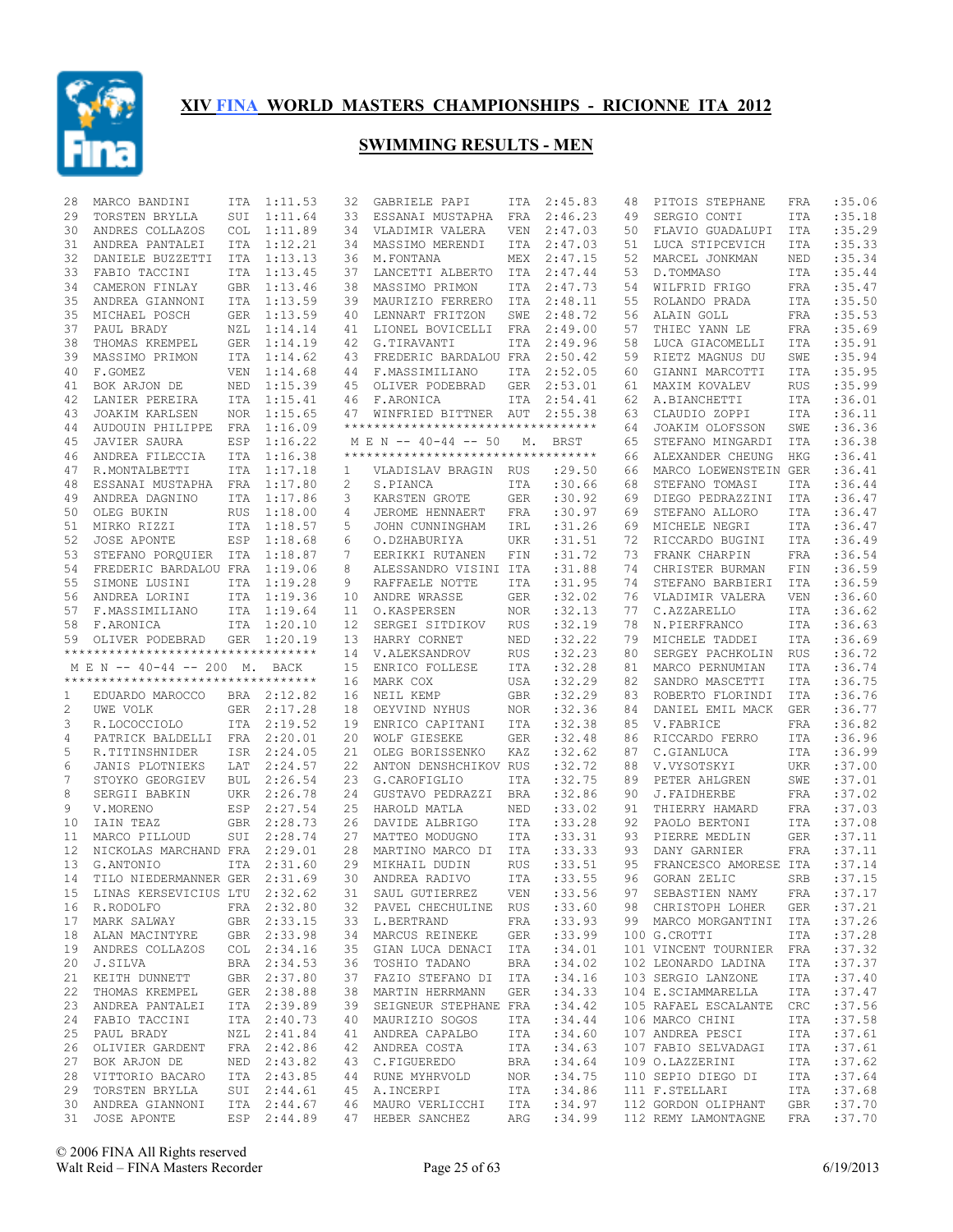

| 28 | MARCO BANDINI                                    | ITA        | 1:11.53     | 32 | GABRIELE PAPI                                                             | ITA        | 2:45.83 | 48 | PITOIS STEPHANE            | FRA        | :35.06           |
|----|--------------------------------------------------|------------|-------------|----|---------------------------------------------------------------------------|------------|---------|----|----------------------------|------------|------------------|
| 29 | TORSTEN BRYLLA                                   | SUI        | 1:11.64     | 33 | ESSANAI MUSTAPHA                                                          | FRA        | 2:46.23 | 49 | SERGIO CONTI               | ITA        | :35.18           |
| 30 | ANDRES COLLAZOS                                  | <b>COL</b> | 1:11.89     | 34 | VLADIMIR VALERA                                                           | <b>VEN</b> | 2:47.03 | 50 | FLAVIO GUADALUPI           | <b>ITA</b> | :35.29           |
| 31 | ANDREA PANTALEI                                  | ITA        | 1:12.21     | 34 | MASSIMO MERENDI                                                           | ITA        | 2:47.03 | 51 | LUCA STIPCEVICH            | ITA        | :35.33           |
| 32 | DANIELE BUZZETTI                                 | <b>ITA</b> | 1:13.13     | 36 | M.FONTANA                                                                 | MEX        | 2:47.15 | 52 | MARCEL JONKMAN             | NED        | :35.34           |
|    |                                                  |            |             |    |                                                                           |            |         |    |                            |            | :35.44           |
| 33 | FABIO TACCINI                                    | ITA        | 1:13.45     | 37 | LANCETTI ALBERTO                                                          | ITA        | 2:47.44 | 53 | D.TOMMASO                  | ITA        |                  |
| 34 | CAMERON FINLAY                                   | GBR        | 1:13.46     | 38 | MASSIMO PRIMON                                                            | ITA        | 2:47.73 | 54 | WILFRID FRIGO              | FRA        | :35.47           |
| 35 | ANDREA GIANNONI                                  | <b>ITA</b> | 1:13.59     | 39 | MAURIZIO FERRERO                                                          | ITA        | 2:48.11 | 55 | ROLANDO PRADA              | <b>ITA</b> | :35.50           |
| 35 | MICHAEL POSCH                                    | GER        | 1:13.59     | 40 | LENNART FRITZON                                                           | SWE        | 2:48.72 | 56 | ALAIN GOLL                 | <b>FRA</b> | : 35.53          |
| 37 | PAUL BRADY                                       | NZL        | 1:14.14     | 41 | LIONEL BOVICELLI                                                          | FRA        | 2:49.00 | 57 | THIEC YANN LE              | <b>FRA</b> | :35.69           |
| 38 | THOMAS KREMPEL                                   |            | GER 1:14.19 | 42 | G.TIRAVANTI                                                               | ITA        | 2:49.96 | 58 | LUCA GIACOMELLI            | <b>ITA</b> | :35.91           |
| 39 | MASSIMO PRIMON                                   |            | ITA 1:14.62 | 43 | FREDERIC BARDALOU FRA                                                     |            | 2:50.42 | 59 | RIETZ MAGNUS DU            | SWE        | :35.94           |
| 40 | F.GOMEZ                                          | <b>VEN</b> | 1:14.68     |    | 44 F.MASSIMILIANO                                                         | ITA        | 2:52.05 | 60 | GIANNI MARCOTTI            | <b>ITA</b> | :35.95           |
| 41 | BOK ARJON DE                                     | NED        | 1:15.39     | 45 | OLIVER PODEBRAD                                                           | <b>GER</b> | 2:53.01 | 61 | MAXIM KOVALEV              | <b>RUS</b> | :35.99           |
| 42 | LANIER PEREIRA                                   | ITA        | 1:15.41     | 46 | F.ARONICA                                                                 | ITA        | 2:54.41 | 62 | A.BIANCHETTI               | <b>ITA</b> | :36.01           |
| 43 | JOAKIM KARLSEN                                   | <b>NOR</b> | 1:15.65     | 47 | WINFRIED BITTNER AUT                                                      |            | 2:55.38 | 63 | CLAUDIO ZOPPI              | <b>ITA</b> | :36.11           |
| 44 |                                                  |            | FRA 1:16.09 |    | **********************************                                        |            |         | 64 | JOAKIM OLOFSSON            | SWE        | :36.36           |
|    | AUDOUIN PHILIPPE                                 |            |             |    |                                                                           |            |         |    |                            |            |                  |
| 45 | <b>JAVIER SAURA</b>                              | ESP        | 1:16.22     |    | M E N -- 40-44 -- 50                                                      | М.         | BRST    | 65 | STEFANO MINGARDI           | <b>ITA</b> | :36.38           |
| 46 | ANDREA FILECCIA                                  | <b>ITA</b> | 1:16.38     |    | **********************************                                        |            |         | 66 | ALEXANDER CHEUNG           | <b>HKG</b> | :36.41           |
| 47 | R.MONTALBETTI                                    | <b>ITA</b> | 1:17.18     | 1  | VLADISLAV BRAGIN                                                          | RUS        | : 29.50 | 66 | MARCO LOEWENSTEIN GER      |            | :36.41           |
| 48 | ESSANAI MUSTAPHA FRA 1:17.80                     |            |             | 2  | S.PIANCA                                                                  | ITA        | :30.66  | 68 | STEFANO TOMASI             | <b>ITA</b> | :36.44           |
| 49 | ANDREA DAGNINO                                   |            | ITA 1:17.86 | 3  | KARSTEN GROTE                                                             | <b>GER</b> | :30.92  | 69 | DIEGO PEDRAZZINI           | ITA        | :36.47           |
| 50 | OLEG BUKIN                                       | <b>RUS</b> | 1:18.00     | 4  | JEROME HENNAERT                                                           | FRA        | :30.97  | 69 | STEFANO ALLORO             | <b>ITA</b> | :36.47           |
| 51 | MIRKO RIZZI                                      |            | ITA 1:18.57 | 5  | JOHN CUNNINGHAM                                                           | IRL        | :31.26  | 69 | MICHELE NEGRI              | <b>ITA</b> | :36.47           |
| 52 | <b>JOSE APONTE</b>                               | ESP        | 1:18.68     | 6  | O.DZHABURIYA                                                              | <b>UKR</b> | :31.51  | 72 | RICCARDO BUGINI            | <b>ITA</b> | :36.49           |
| 53 | STEFANO PORQUIER ITA 1:18.87                     |            |             | 7  | EERIKKI RUTANEN                                                           | FIN        | :31.72  | 73 | FRANK CHARPIN              | FRA        | :36.54           |
| 54 | FREDERIC BARDALOU FRA 1:19.06                    |            |             | 8  | ALESSANDRO VISINI ITA                                                     |            | :31.88  | 74 | CHRISTER BURMAN            | FIN        | :36.59           |
| 55 | SIMONE LUSINI                                    | ITA        | 1:19.28     | 9  | RAFFAELE NOTTE                                                            | ITA        | :31.95  | 74 | STEFANO BARBIERI           | <b>ITA</b> | :36.59           |
|    |                                                  |            |             |    |                                                                           |            |         |    |                            |            |                  |
| 56 | ANDREA LORINI                                    |            | ITA 1:19.36 | 10 | ANDRE WRASSE                                                              | <b>GER</b> | :32.02  | 76 | VLADIMIR VALERA            | <b>VEN</b> | :36.60           |
| 57 | F.MASSIMILIANO                                   |            | ITA 1:19.64 | 11 | O.KASPERSEN                                                               | NOR        | :32.13  | 77 | C.AZZARELLO                | <b>ITA</b> | :36.62           |
| 58 | F.ARONICA                                        |            | ITA 1:20.10 | 12 | SERGEI SITDIKOV                                                           | RUS        | :32.19  | 78 | N.PIERFRANCO               | ITA        | :36.63           |
| 59 | OLIVER PODEBRAD                                  |            | GER 1:20.19 | 13 | HARRY CORNET                                                              | NED        | :32.22  | 79 | MICHELE TADDEI             | <b>ITA</b> | :36.69           |
|    | **********************************               |            |             | 14 | V.ALEKSANDROV                                                             | <b>RUS</b> | :32.23  | 80 | SERGEY PACHKOLIN           | <b>RUS</b> | :36.72           |
|    | M E N -- 40-44 -- 200 M. BACK                    |            |             | 15 | ENRICO FOLLESE                                                            | ITA        | :32.28  | 81 | MARCO PERNUMIAN            | ITA        | :36.74           |
|    | **********************************               |            |             | 16 | MARK COX                                                                  | USA        | :32.29  | 82 | SANDRO MASCETTI            | ITA        | :36.75           |
| 1  | EDUARDO MAROCCO                                  |            | BRA 2:12.82 | 16 | NEIL KEMP                                                                 | <b>GBR</b> | :32.29  | 83 | ROBERTO FLORINDI           | ITA        | :36.76           |
| 2  | UWE VOLK                                         |            | GER 2:17.28 | 18 | OEYVIND NYHUS                                                             | NOR.       | :32.36  | 84 | DANIEL EMIL MACK           | GER        | :36.77           |
|    |                                                  |            | ITA 2:19.52 | 19 | ENRICO CAPITANI                                                           | ITA        | :32.38  | 85 | V. FABRICE                 | FRA        | :36.82           |
|    |                                                  |            |             |    |                                                                           |            |         |    | RICCARDO FERRO             |            |                  |
| 3  | R.LOCOCCIOLO                                     |            |             |    |                                                                           |            |         |    |                            |            |                  |
| 4  | PATRICK BALDELLI FRA 2:20.01                     |            |             | 20 | <b>WOLF GIESEKE</b>                                                       | <b>GER</b> | :32.48  | 86 |                            | <b>ITA</b> | :36.96           |
| 5  | R.TITINSHNIDER                                   | ISR        | 2:24.05     | 21 | OLEG BORISSENKO                                                           | KAZ        | :32.62  | 87 | C.GIANLUCA                 | <b>ITA</b> | :36.99           |
| 6  | JANIS PLOTNIEKS                                  | LAT        | 2:24.57     | 22 | ANTON DENSHCHIKOV RUS                                                     |            | :32.72  | 88 | V.VYSOTSKYI                | <b>UKR</b> | :37.00           |
| 7  | STOYKO GEORGIEV                                  | <b>BUL</b> | 2:26.54     | 23 | G.CAROFIGLIO                                                              | ITA        | :32.75  | 89 | PETER AHLGREN              | SWE        | :37.01           |
| 8  | SERGII BABKIN                                    |            | UKR 2:26.78 | 24 | GUSTAVO PEDRAZZI                                                          | BRA        | :32.86  | 90 | J.FAIDHERBE                | FRA        | :37.02           |
| 9  | V.MORENO                                         | ESP        | 2:27.54     | 25 | HAROLD MATLA                                                              | <b>NED</b> | :33.02  | 91 | THIERRY HAMARD             | FRA        | :37.03           |
| 10 | IAIN TEAZ                                        | <b>GBR</b> | 2:28.73     | 26 | DAVIDE ALBRIGO                                                            | ITA        | :33.28  | 92 | PAOLO BERTONI              | <b>ITA</b> | :37.08           |
| 11 | MARCO PILLOUD                                    | SUI        | 2:28.74     | 27 | MATTEO MODUGNO                                                            | ITA        | :33.31  | 93 | PIERRE MEDLIN              | <b>GER</b> | :37.11           |
| 12 | NICKOLAS MARCHAND FRA                            |            | 2:29.01     | 28 | MARTINO MARCO DI                                                          | ITA        | : 33.33 | 93 | DANY GARNIER               | FRA        | :37.11           |
| 13 | G.ANTONIO                                        | <b>ITA</b> | 2:31.60     | 29 | MIKHAIL DUDIN                                                             | <b>RUS</b> | :33.51  | 95 | FRANCESCO AMORESE ITA      |            | :37.14           |
|    | TILO NIEDERMANNER GER                            |            |             |    |                                                                           |            |         | 96 |                            |            |                  |
| 14 |                                                  |            | 2:31.69     | 30 | ANDREA RADIVO                                                             | ITA        | :33.55  |    | GORAN ZELIC                | <b>SRB</b> | :37.15           |
|    | 15 LINAS KERSEVICIUS LTU 2:32.62                 |            |             | 31 | SAUL GUTIERREZ                                                            | VEN        | : 33.56 | 97 | SEBASTIEN NAMY FRA : 37.17 |            |                  |
|    | 16 R.RODOLFO                                     |            | FRA 2:32.80 |    | 32 PAVEL CHECHULINE RUS                                                   |            | : 33.60 |    | 98 CHRISTOPH LOHER         | GER        | :37.21           |
|    | 17 MARK SALWAY GBR 2:33.15                       |            |             |    | 33 L.BERTRAND FRA :33.93                                                  |            |         |    | 99 MARCO MORGANTINI        | ITA        | :37.26           |
| 18 | ALAN MACINTYRE GBR 2:33.98                       |            |             |    | 34 MARCUS REINEKE                                                         | GER        | :33.99  |    | 100 G.CROTTI               | ITA        | :37.28           |
|    | 19 ANDRES COLLAZOS COL 2:34.16                   |            |             |    | 35 GIAN LUCA DENACI ITA : 34.01                                           |            |         |    | 101 VINCENT TOURNIER FRA   |            | :37.32           |
| 20 | J.SILVA                                          |            | BRA 2:34.53 |    | 36 TOSHIO TADANO                                                          | BRA        | : 34.02 |    | 102 LEONARDO LADINA        | ITA        | :37.37           |
|    | 21 KEITH DUNNETT                                 |            | GBR 2:37.80 |    | 37 FAZIO STEFANO DI ITA                                                   |            | :34.16  |    | 103 SERGIO LANZONE         | ITA        | :37.40           |
| 22 | THOMAS KREMPEL                                   |            | GER 2:38.88 |    | 38 MARTIN HERRMANN                                                        | GER        | :34.33  |    | 104 E.SCIAMMARELLA         | ITA        | :37.47           |
|    | 23 ANDREA PANTALEI                               |            | ITA 2:39.89 |    | 39 SEIGNEUR STEPHANE FRA                                                  |            | : 34.42 |    | 105 RAFAEL ESCALANTE       | CRC        | :37.56           |
| 24 | FABIO TACCINI                                    |            | ITA 2:40.73 |    | 40 MAURIZIO SOGOS                                                         | ITA        | : 34.44 |    | 106 MARCO CHINI            | ITA        | :37.58           |
|    | 25 PAUL BRADY                                    |            | NZL 2:41.84 |    | 41 ANDREA CAPALBO                                                         | ITA        | :34.60  |    | 107 ANDREA PESCI           | ITA        | :37.61           |
|    |                                                  |            |             |    |                                                                           |            |         |    |                            |            |                  |
| 26 | OLIVIER GARDENT                                  |            | FRA 2:42.86 |    | 42 ANDREA COSTA                                                           | ITA        | :34.63  |    | 107 FABIO SELVADAGI        | ITA        | :37.61           |
| 27 | BOK ARJON DE                                     |            | NED 2:43.82 |    | 43 C.FIGUEREDO                                                            | BRA        | : 34.64 |    | 109 O.LAZZERINI            | ITA        | :37.62           |
| 28 | VITTORIO BACARO                                  |            | ITA 2:43.85 |    | 44 RUNE MYHRVOLD                                                          | NOR        | :34.75  |    | 110 SEPIO DIEGO DI         | ITA        | :37.64           |
| 29 | TORSTEN BRYLLA                                   |            | SUI 2:44.61 |    | 45 A.INCERPI                                                              | ITA        | :34.86  |    | 111 F.STELLARI             | ITA        | :37.68           |
|    | 30 ANDREA GIANNONI ITA 2:44.67<br>31 JOSE APONTE |            | ESP 2:44.89 |    | 46 MAURO VERLICCHI<br>47 HEBER SANCHEZ ARG :34.99 112 REMY LAMONTAGNE FRA | ITA        | :34.97  |    | 112 GORDON OLIPHANT        | GBR        | :37.70<br>:37.70 |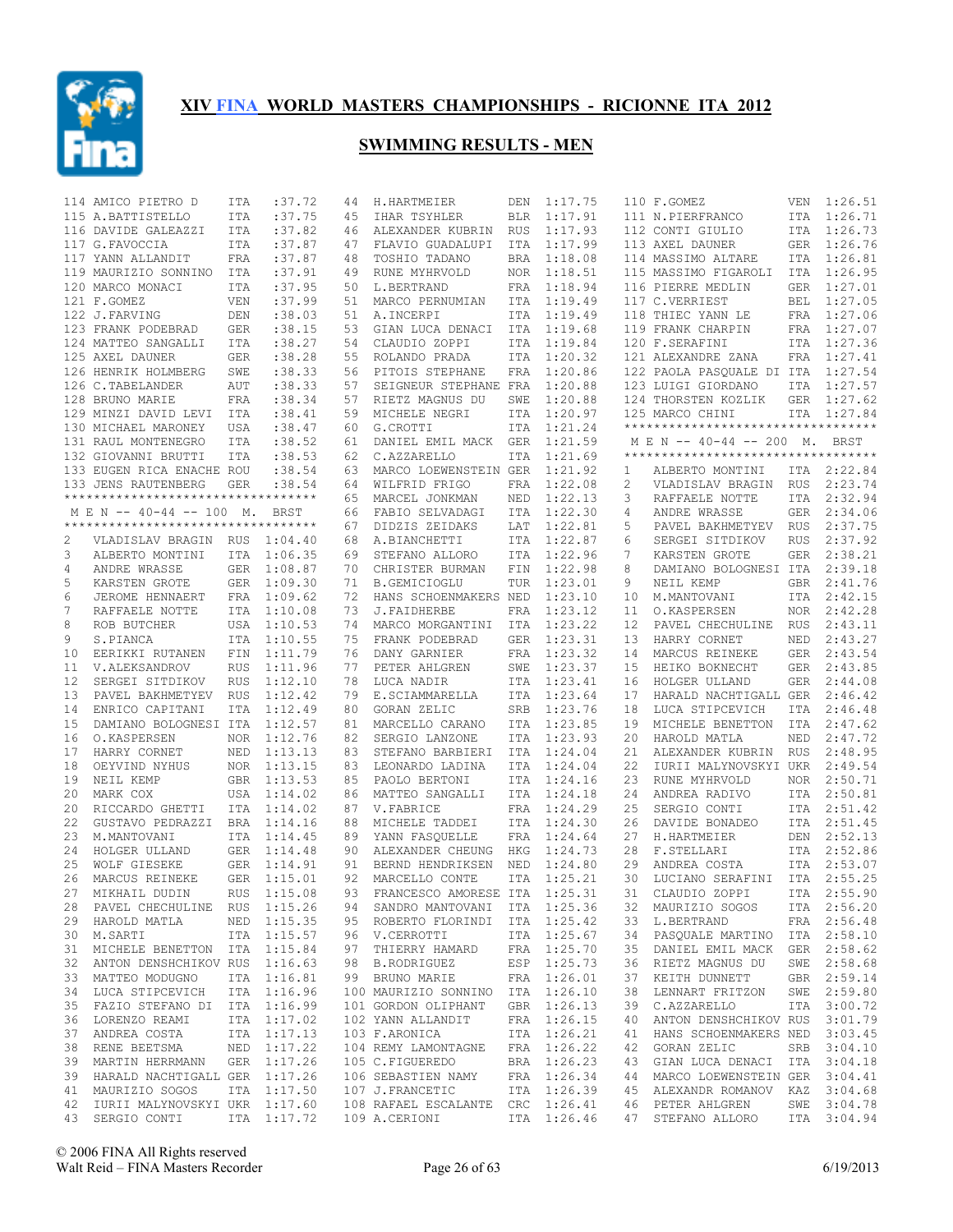

|    | 114 AMICO PIETRO D                        | ITA        | :37.72      | 44 | H.HARTMEIER                      | DEN        | 1:17.75     |    | 110 F.GOMEZ                        |            | VEN 1:26.51 |
|----|-------------------------------------------|------------|-------------|----|----------------------------------|------------|-------------|----|------------------------------------|------------|-------------|
|    | 115 A.BATTISTELLO                         | ITA        | :37.75      | 45 | IHAR TSYHLER                     | <b>BLR</b> | 1:17.91     |    | 111 N.PIERFRANCO                   |            | ITA 1:26.71 |
|    | 116 DAVIDE GALEAZZI                       | ITA        | :37.82      | 46 | ALEXANDER KUBRIN                 | RUS        | 1:17.93     |    | 112 CONTI GIULIO                   |            | ITA 1:26.73 |
|    | 117 G.FAVOCCIA                            | ITA        | :37.87      | 47 | FLAVIO GUADALUPI                 | ITA        | 1:17.99     |    | 113 AXEL DAUNER                    |            | GER 1:26.76 |
|    | 117 YANN ALLANDIT                         | FRA        | :37.87      | 48 | TOSHIO TADANO                    | <b>BRA</b> | 1:18.08     |    | 114 MASSIMO ALTARE                 |            | ITA 1:26.81 |
|    | 119 MAURIZIO SONNINO                      | ITA        | :37.91      | 49 | RUNE MYHRVOLD                    | NOR.       | 1:18.51     |    | 115 MASSIMO FIGAROLI               | ITA        | 1:26.95     |
|    | 120 MARCO MONACI                          | ITA        | :37.95      | 50 | L.BERTRAND                       | FRA        | 1:18.94     |    | 116 PIERRE MEDLIN                  |            | GER 1:27.01 |
|    | 121 F.GOMEZ                               | VEN        | :37.99      | 51 | MARCO PERNUMIAN                  | ITA        | 1:19.49     |    | 117 C.VERRIEST                     | BEL        | 1:27.05     |
|    | 122 J.FARVING                             | DEN        | : 38.03     | 51 | A. INCERPI                       | ITA        | 1:19.49     |    | 118 THIEC YANN LE                  |            | FRA 1:27.06 |
|    | 123 FRANK PODEBRAD                        | GER        | : 38.15     | 53 | GIAN LUCA DENACI                 | ITA        | 1:19.68     |    | 119 FRANK CHARPIN                  |            | FRA 1:27.07 |
|    | 124 MATTEO SANGALLI                       | ITA        | : 38.27     | 54 | CLAUDIO ZOPPI                    | ITA        | 1:19.84     |    | 120 F.SERAFINI                     |            | ITA 1:27.36 |
|    | 125 AXEL DAUNER                           | GER        | :38.28      | 55 | ROLANDO PRADA                    | ITA        | 1:20.32     |    | 121 ALEXANDRE ZANA                 |            | FRA 1:27.41 |
|    | 126 HENRIK HOLMBERG                       | SWE        | : 38.33     | 56 | PITOIS STEPHANE                  | FRA        | 1:20.86     |    | 122 PAOLA PASQUALE DI ITA 1:27.54  |            |             |
|    | 126 C. TABELANDER                         | <b>AUT</b> | :38.33      | 57 | SEIGNEUR STEPHANE FRA            |            | 1:20.88     |    | 123 LUIGI GIORDANO                 |            | ITA 1:27.57 |
|    | 128 BRUNO MARIE                           | FRA        | : 38.34     | 57 | RIETZ MAGNUS DU                  | SWE        | 1:20.88     |    | 124 THORSTEN KOZLIK                |            | GER 1:27.62 |
|    | 129 MINZI DAVID LEVI                      | ITA        | : 38.41     | 59 | MICHELE NEGRI                    | ITA        | 1:20.97     |    | 125 MARCO CHINI                    |            | ITA 1:27.84 |
|    | 130 MICHAEL MARONEY                       | USA        | : 38.47     | 60 | G.CROTTI                         | ITA        | 1:21.24     |    | *********************************  |            |             |
|    | 131 RAUL MONTENEGRO                       | ITA        | : 38.52     | 61 | DANIEL EMIL MACK                 | <b>GER</b> | 1:21.59     |    | M E N -- 40-44 -- 200 M. BRST      |            |             |
|    | 132 GIOVANNI BRUTTI                       | ITA        | : 38.53     | 62 | C.AZZARELLO                      | ITA        | 1:21.69     |    | ********************************** |            |             |
|    | 133 EUGEN RICA ENACHE ROU                 |            | : 38.54     | 63 | MARCO LOEWENSTEIN GER            |            | 1:21.92     | 1  | ALBERTO MONTINI                    |            | ITA 2:22.84 |
|    | 133 JENS RAUTENBERG                       | <b>GER</b> | :38.54      | 64 | WILFRID FRIGO                    | FRA        | 1:22.08     | 2  | VLADISLAV BRAGIN                   | RUS        | 2:23.74     |
|    | **********************************        |            |             | 65 | MARCEL JONKMAN                   | NED        | 1:22.13     | 3  | RAFFAELE NOTTE                     | ITA        | 2:32.94     |
|    | M E N -- 40-44 -- 100 M.                  |            | BRST        | 66 | FABIO SELVADAGI                  | ITA        | 1:22.30     | 4  | ANDRE WRASSE                       | GER        | 2:34.06     |
|    | **********************************        |            |             | 67 | DIDZIS ZEIDAKS                   | LAT        | 1:22.81     | 5  | PAVEL BAKHMETYEV                   | <b>RUS</b> | 2:37.75     |
| 2  | VLADISLAV BRAGIN RUS                      |            | 1:04.40     | 68 | A.BIANCHETTI                     | ITA        | 1:22.87     | 6  | SERGEI SITDIKOV                    | <b>RUS</b> | 2:37.92     |
| 3  |                                           |            | ITA 1:06.35 | 69 | STEFANO ALLORO                   | ITA        | 1:22.96     | 7  | KARSTEN GROTE                      | GER        | 2:38.21     |
|    | ALBERTO MONTINI                           |            |             |    |                                  |            |             |    |                                    |            |             |
| 4  | ANDRE WRASSE                              |            | GER 1:08.87 | 70 | CHRISTER BURMAN                  | FIN        | 1:22.98     | 8  | DAMIANO BOLOGNESI ITA              |            | 2:39.18     |
| 5  | KARSTEN GROTE                             |            | GER 1:09.30 | 71 | B.GEMICIOGLU                     | TUR        | 1:23.01     | 9  | NEIL KEMP                          | GBR        | 2:41.76     |
| 6  | JEROME HENNAERT                           |            | FRA 1:09.62 | 72 | HANS SCHOENMAKERS NED            |            | 1:23.10     | 10 | M.MANTOVANI                        | ITA        | 2:42.15     |
| 7  | RAFFAELE NOTTE                            |            | ITA 1:10.08 | 73 | J.FAIDHERBE                      | FRA        | 1:23.12     | 11 | O.KASPERSEN                        | NOR        | 2:42.28     |
| 8  | ROB BUTCHER                               |            | USA 1:10.53 | 74 | MARCO MORGANTINI                 | ITA        | 1:23.22     | 12 | PAVEL CHECHULINE                   | RUS        | 2:43.11     |
| 9  | S.PIANCA                                  |            | ITA 1:10.55 | 75 | FRANK PODEBRAD                   | <b>GER</b> | 1:23.31     | 13 | HARRY CORNET                       |            | NED 2:43.27 |
| 10 | EERIKKI RUTANEN                           | FIN        | 1:11.79     | 76 | DANY GARNIER                     | FRA        | 1:23.32     | 14 | MARCUS REINEKE                     | GER        | 2:43.54     |
| 11 | V.ALEKSANDROV                             | <b>RUS</b> | 1:11.96     | 77 | PETER AHLGREN                    | SWE        | 1:23.37     | 15 | HEIKO BOKNECHT                     | GER        | 2:43.85     |
| 12 | SERGEI SITDIKOV                           | <b>RUS</b> | 1:12.10     | 78 | LUCA NADIR                       | ITA        | 1:23.41     | 16 | HOLGER ULLAND                      | GER        | 2:44.08     |
| 13 | PAVEL BAKHMETYEV                          | RUS        | 1:12.42     | 79 | E.SCIAMMARELLA                   | ITA        | 1:23.64     | 17 | HARALD NACHTIGALL GER              |            | 2:46.42     |
| 14 | ENRICO CAPITANI                           | ITA        | 1:12.49     | 80 | GORAN ZELIC                      | SRB        | 1:23.76     | 18 | LUCA STIPCEVICH                    | ITA        | 2:46.48     |
| 15 | DAMIANO BOLOGNESI ITA                     |            | 1:12.57     | 81 | MARCELLO CARANO                  | ITA        | 1:23.85     | 19 | MICHELE BENETTON                   |            | ITA 2:47.62 |
| 16 | O.KASPERSEN                               | <b>NOR</b> | 1:12.76     | 82 | SERGIO LANZONE                   | ITA        | 1:23.93     | 20 | HAROLD MATLA                       | NED        | 2:47.72     |
| 17 | HARRY CORNET                              | NED        | 1:13.13     | 83 | STEFANO BARBIERI                 | ITA        | 1:24.04     | 21 | ALEXANDER KUBRIN                   | <b>RUS</b> | 2:48.95     |
| 18 | OEYVIND NYHUS                             |            | NOR 1:13.15 | 83 | LEONARDO LADINA                  | ITA        | 1:24.04     | 22 | IURII MALYNOVSKYI UKR              |            | 2:49.54     |
| 19 | NEIL KEMP                                 |            | GBR 1:13.53 | 85 | PAOLO BERTONI                    | ITA        | 1:24.16     | 23 | RUNE MYHRVOLD                      | NOR        | 2:50.71     |
| 20 | MARK COX                                  |            | USA 1:14.02 | 86 | MATTEO SANGALLI                  | ITA        | 1:24.18     | 24 | ANDREA RADIVO                      | ITA        | 2:50.81     |
| 20 | RICCARDO GHETTI                           |            | ITA 1:14.02 | 87 | V. FABRICE                       | <b>FRA</b> | 1:24.29     | 25 | SERGIO CONTI                       |            | ITA 2:51.42 |
| 22 | GUSTAVO PEDRAZZI                          |            | BRA 1:14.16 | 88 | MICHELE TADDEI                   | ITA        | 1:24.30     | 26 | DAVIDE BONADEO                     | ITA        | 2:51.45     |
| 23 | M.MANTOVANI                               |            | ITA 1:14.45 | 89 | YANN FASQUELLE                   | FRA        | 1:24.64     | 27 | H.HARTMEIER                        | DEN        | 2:52.13     |
| 24 | HOLGER ULLAND                             |            | GER 1:14.48 | 90 | ALEXANDER CHEUNG                 | HKG        | 1:24.73     | 28 | F.STELLARI                         | ITA        | 2:52.86     |
| 25 | WOLF GIESEKE                              |            | GER 1:14.91 | 91 | BERND HENDRIKSEN                 | NED        | 1:24.80     | 29 | ANDREA COSTA                       | ITA        | 2:53.07     |
| 26 | MARCUS REINEKE                            |            | GER 1:15.01 | 92 | MARCELLO CONTE                   | <b>ITA</b> | 1:25.21     | 30 | LUCIANO SERAFINI                   | ITA        | 2:55.25     |
|    | 27 MIKHAIL DUDIN RUS 1:15.08              |            |             |    | 93 FRANCESCO AMORESE ITA 1:25.31 |            |             |    | 31 CLAUDIO ZOPPI                   |            | ITA 2:55.90 |
|    | 28 PAVEL CHECHULINE RUS 1:15.26           |            |             |    | 94 SANDRO MANTOVANI ITA 1:25.36  |            |             |    | 32 MAURIZIO SOGOS                  |            | ITA 2:56.20 |
|    | 29 HAROLD MATLA                           |            | NED 1:15.35 |    | 95 ROBERTO FLORINDI ITA 1:25.42  |            |             |    | 33 L.BERTRAND FRA 2:56.48          |            |             |
|    | 30 M.SARTI                                |            | ITA 1:15.57 |    | 96 V.CERROTTI                    |            | ITA 1:25.67 | 34 | PASQUALE MARTINO ITA 2:58.10       |            |             |
|    | 31 MICHELE BENETTON ITA 1:15.84           |            |             |    | 97 THIERRY HAMARD FRA 1:25.70    |            |             | 35 | DANIEL EMIL MACK GER 2:58.62       |            |             |
|    | 32 ANTON DENSHCHIKOV RUS 1:16.63          |            |             |    | 98 B.RODRIGUEZ                   |            | ESP 1:25.73 | 36 | RIETZ MAGNUS DU                    |            | SWE 2:58.68 |
|    | 33 MATTEO MODUGNO                         |            | ITA 1:16.81 |    | 99 BRUNO MARIE                   |            | FRA 1:26.01 | 37 | KEITH DUNNETT                      |            | GBR 2:59.14 |
|    | 34 LUCA STIPCEVICH                        |            | ITA 1:16.96 |    | 100 MAURIZIO SONNINO ITA 1:26.10 |            |             | 38 | LENNART FRITZON                    |            | SWE 2:59.80 |
|    | 35 FAZIO STEFANO DI ITA 1:16.99           |            |             |    | 101 GORDON OLIPHANT              |            | GBR 1:26.13 | 39 | C.AZZARELLO                        |            | ITA 3:00.72 |
|    | 36 LORENZO REAMI                          |            | ITA 1:17.02 |    | 102 YANN ALLANDIT                |            | FRA 1:26.15 | 40 | ANTON DENSHCHIKOV RUS 3:01.79      |            |             |
|    | 37 ANDREA COSTA                           |            | ITA 1:17.13 |    | 103 F.ARONICA                    |            | ITA 1:26.21 | 41 | HANS SCHOENMAKERS NED 3:03.45      |            |             |
|    | 38 RENE BEETSMA                           |            | NED 1:17.22 |    | 104 REMY LAMONTAGNE              |            | FRA 1:26.22 | 42 | GORAN ZELIC                        |            | SRB 3:04.10 |
|    | 39 MARTIN HERRMANN GER 1:17.26            |            |             |    | 105 C.FIGUEREDO                  |            | BRA 1:26.23 | 43 | GIAN LUCA DENACI ITA 3:04.18       |            |             |
|    | 39 HARALD NACHTIGALL GER 1:17.26          |            |             |    | 106 SEBASTIEN NAMY               |            | FRA 1:26.34 | 44 | MARCO LOEWENSTEIN GER 3:04.41      |            |             |
|    | 41 MAURIZIO SOGOS                         |            | ITA 1:17.50 |    | 107 J.FRANCETIC ITA 1:26.39      |            |             | 45 | ALEXANDR ROMANOV KAZ 3:04.68       |            |             |
|    | 42 IURII MALYNOVSKYI UKR 1:17.60          |            |             |    | 108 RAFAEL ESCALANTE CRC 1:26.41 |            |             |    | 46 PETER AHLGREN                   |            | SWE 3:04.78 |
|    | 43 SERGIO CONTI ITA 1:17.72 109 A.CERIONI |            |             |    |                                  |            | ITA 1:26.46 |    | 47 STEFANO ALLORO ITA 3:04.94      |            |             |
|    |                                           |            |             |    |                                  |            |             |    |                                    |            |             |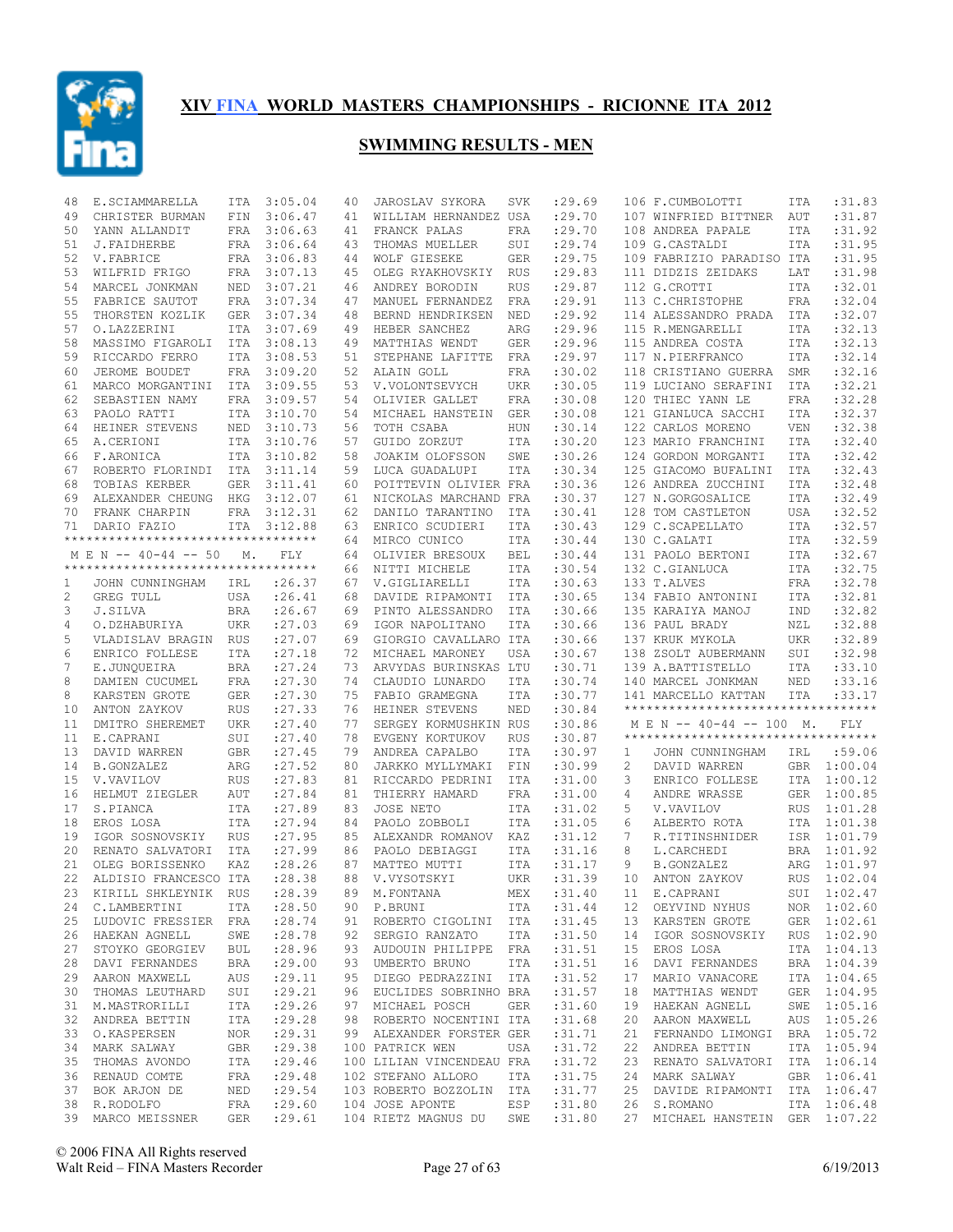

| 48           | E.SCIAMMARELLA                      | ITA        | 3:05.04     | 40 | JAROSLAV SYKORA                 | SVK        | : 29.69     |    | 106 F.CUMBOLOTTI                   | ITA        | :31.83      |
|--------------|-------------------------------------|------------|-------------|----|---------------------------------|------------|-------------|----|------------------------------------|------------|-------------|
| 49           | CHRISTER BURMAN                     | FIN        | 3:06.47     | 41 | WILLIAM HERNANDEZ USA           |            | :29.70      |    | 107 WINFRIED BITTNER               | AUT        | :31.87      |
| 50           | YANN ALLANDIT                       | FRA        | 3:06.63     | 41 | FRANCK PALAS                    | FRA        | :29.70      |    | 108 ANDREA PAPALE                  | <b>ITA</b> | :31.92      |
| 51           | J.FAIDHERBE                         | FRA        | 3:06.64     | 43 | THOMAS MUELLER                  | SUI        | :29.74      |    | 109 G.CASTALDI                     | <b>ITA</b> | : 31.95     |
| 52           | V. FABRICE                          |            | FRA 3:06.83 | 44 | WOLF GIESEKE                    | <b>GER</b> | :29.75      |    | 109 FABRIZIO PARADISO ITA          |            | :31.95      |
| 53           | WILFRID FRIGO                       | FRA        | 3:07.13     | 45 | OLEG RYAKHOVSKIY                | RUS        | :29.83      |    | 111 DIDZIS ZEIDAKS                 | LAT        | :31.98      |
| 54           | MARCEL JONKMAN                      | NED        | 3:07.21     | 46 | ANDREY BORODIN                  | <b>RUS</b> | : 29.87     |    | 112 G.CROTTI                       | <b>ITA</b> | :32.01      |
| 55           | FABRICE SAUTOT                      | FRA        | 3:07.34     | 47 | MANUEL FERNANDEZ                | FRA        | : 29.91     |    | 113 C. CHRISTOPHE                  | <b>FRA</b> | :32.04      |
| 55           | THORSTEN KOZLIK                     | GER        | 3:07.34     | 48 | BERND HENDRIKSEN                | NED        | : 29.92     |    | 114 ALESSANDRO PRADA               | ITA        | :32.07      |
| 57           | O.LAZZERINI                         | ITA        | 3:07.69     | 49 | HEBER SANCHEZ                   | ARG        | : 29.96     |    | 115 R.MENGARELLI                   | ITA        | :32.13      |
| 58           | MASSIMO FIGAROLI                    | ITA        | 3:08.13     | 49 | MATTHIAS WENDT                  | <b>GER</b> | :29.96      |    | 115 ANDREA COSTA                   | ITA        | :32.13      |
| 59           | RICCARDO FERRO                      | ITA        | 3:08.53     | 51 | STEPHANE LAFITTE                | FRA        | : 29.97     |    | 117 N.PIERFRANCO                   | ITA        | :32.14      |
| 60           | JEROME BOUDET                       | FRA        | 3:09.20     | 52 | ALAIN GOLL                      | FRA        | :30.02      |    | 118 CRISTIANO GUERRA               | SMR        | :32.16      |
| 61           | MARCO MORGANTINI                    | ITA        | 3:09.55     | 53 | V.VOLONTSEVYCH                  | <b>UKR</b> | :30.05      |    | 119 LUCIANO SERAFINI               | <b>ITA</b> | :32.21      |
| 62           | SEBASTIEN NAMY                      | FRA        | 3:09.57     | 54 | OLIVIER GALLET                  | FRA        | :30.08      |    | 120 THIEC YANN LE                  | <b>FRA</b> | :32.28      |
| 63           | PAOLO RATTI                         | ITA        | 3:10.70     | 54 | MICHAEL HANSTEIN                | <b>GER</b> | :30.08      |    | 121 GIANLUCA SACCHI                | <b>ITA</b> | :32.37      |
| 64           | HEINER STEVENS                      | NED        | 3:10.73     | 56 | TOTH CSABA                      | <b>HUN</b> | :30.14      |    | 122 CARLOS MORENO                  | <b>VEN</b> | :32.38      |
| 65           | A.CERIONI                           | <b>ITA</b> | 3:10.76     | 57 | GUIDO ZORZUT                    | ITA        | :30.20      |    | 123 MARIO FRANCHINI                | <b>ITA</b> | :32.40      |
| 66           | F.ARONICA                           | <b>ITA</b> | 3:10.82     | 58 | JOAKIM OLOFSSON                 | SWE        | :30.26      |    | 124 GORDON MORGANTI                | <b>ITA</b> | :32.42      |
| 67           | ROBERTO FLORINDI                    | ITA        | 3:11.14     | 59 | LUCA GUADALUPI                  | ITA        | :30.34      |    | 125 GIACOMO BUFALINI               | ITA        | :32.43      |
| 68           | TOBIAS KERBER                       | <b>GER</b> | 3:11.41     | 60 | POITTEVIN OLIVIER FRA           |            | :30.36      |    | 126 ANDREA ZUCCHINI                | <b>ITA</b> | :32.48      |
| 69           | ALEXANDER CHEUNG                    | HKG        | 3:12.07     | 61 | NICKOLAS MARCHAND FRA           |            | :30.37      |    | 127 N.GORGOSALICE                  | <b>ITA</b> | :32.49      |
| 70           |                                     |            | FRA 3:12.31 |    |                                 |            |             |    | 128 TOM CASTLETON                  |            | :32.52      |
|              | FRANK CHARPIN<br>DARIO FAZIO        |            |             | 62 | DANILO TARANTINO                | ITA        | :30.41      |    |                                    | USA        | :32.57      |
| 71           | **********************************  | ITA        | 3:12.88     | 63 | ENRICO SCUDIERI                 | <b>ITA</b> | :30.43      |    | 129 C.SCAPELLATO                   | ITA        |             |
|              |                                     |            |             | 64 | MIRCO CUNICO                    | ITA        | :30.44      |    | 130 C.GALATI                       | ITA        | :32.59      |
|              | M E N -- 40-44 -- 50                | М.         | FLY         | 64 | OLIVIER BRESOUX                 | <b>BEL</b> | :30.44      |    | 131 PAOLO BERTONI                  | ITA        | :32.67      |
|              | *********************************** |            |             | 66 | NITTI MICHELE                   | ITA        | :30.54      |    | 132 C.GIANLUCA                     | ITA        | :32.75      |
| 1            | JOHN CUNNINGHAM                     | IRL        | : 26.37     | 67 | V.GIGLIARELLI                   | ITA        | :30.63      |    | 133 T.ALVES                        | FRA        | :32.78      |
| $\mathbf{2}$ | GREG TULL                           | USA        | : 26.41     | 68 | DAVIDE RIPAMONTI                | ITA        | :30.65      |    | 134 FABIO ANTONINI                 | ITA        | :32.81      |
| 3            | J.SILVA                             | <b>BRA</b> | : 26.67     | 69 | PINTO ALESSANDRO                | ITA        | :30.66      |    | 135 KARAIYA MANOJ                  | IND        | :32.82      |
| 4            | O.DZHABURIYA                        | UKR        | : 27.03     | 69 | IGOR NAPOLITANO                 | ITA        | :30.66      |    | 136 PAUL BRADY                     | NZL        | :32.88      |
| 5            | VLADISLAV BRAGIN RUS                |            | : 27.07     | 69 | GIORGIO CAVALLARO ITA           |            | :30.66      |    | 137 KRUK MYKOLA                    | <b>UKR</b> | :32.89      |
| 6            | ENRICO FOLLESE                      | ITA        | : 27.18     | 72 | MICHAEL MARONEY                 | USA        | :30.67      |    | 138 ZSOLT AUBERMANN                | SUI        | :32.98      |
| 7            | E.JUNQUEIRA                         | <b>BRA</b> | : 27.24     | 73 | ARVYDAS BURINSKAS LTU           |            | :30.71      |    | 139 A.BATTISTELLO                  | <b>ITA</b> | :33.10      |
| 8            | DAMIEN CUCUMEL                      | FRA        | : 27.30     | 74 | CLAUDIO LUNARDO                 | ITA        | :30.74      |    | 140 MARCEL JONKMAN                 | NED        | :33.16      |
| 8            | KARSTEN GROTE                       | GER        | : 27.30     | 75 | FABIO GRAMEGNA                  | ITA        | :30.77      |    | 141 MARCELLO KATTAN                | ITA        | :33.17      |
| 10           | ANTON ZAYKOV                        | RUS        | : 27.33     | 76 | HEINER STEVENS                  | NED        | :30.84      |    | ********************************** |            |             |
| 11           | DMITRO SHEREMET                     | <b>UKR</b> | : 27.40     | 77 | SERGEY KORMUSHKIN RUS           |            | :30.86      |    | M E N -- 40-44 -- 100 M.           |            | <b>FLY</b>  |
| 11           | E.CAPRANI                           | SUI        | : 27.40     | 78 | EVGENY KORTUKOV                 | <b>RUS</b> | :30.87      |    | ********************************** |            |             |
| 13           | DAVID WARREN                        | <b>GBR</b> | : 27.45     | 79 | ANDREA CAPALBO                  | ITA        | :30.97      | 1  | JOHN CUNNINGHAM                    | IRL        | :59.06      |
| 14           | <b>B.GONZALEZ</b>                   |            |             |    | JARKKO MYLLYMAKI                | FIN        | :30.99      |    | DAVID WARREN                       |            | 1:00.04     |
| 15           |                                     | ARG        | : 27.52     | 80 |                                 |            |             | 2  |                                    | GBR        |             |
| 16           |                                     |            |             |    |                                 |            |             |    |                                    |            |             |
|              | V.VAVILOV                           | <b>RUS</b> | : 27.83     | 81 | RICCARDO PEDRINI                | ITA        | :31.00      | 3  | ENRICO FOLLESE                     |            | ITA 1:00.12 |
|              | HELMUT ZIEGLER                      | AUT        | : 27.84     | 81 | THIERRY HAMARD                  | FRA        | :31.00      | 4  | ANDRE WRASSE                       | GER        | 1:00.85     |
| 17           | S.PIANCA                            | ITA        | : 27.89     | 83 | JOSE NETO                       | ITA        | :31.02      | 5  | V.VAVILOV                          | <b>RUS</b> | 1:01.28     |
| 18           | EROS LOSA                           | ITA        | : 27.94     | 84 | PAOLO ZOBBOLI                   | ITA        | :31.05      | 6  | ALBERTO ROTA                       | ITA        | 1:01.38     |
| 19           | IGOR SOSNOVSKIY                     | <b>RUS</b> | :27.95      | 85 | ALEXANDR ROMANOV                | KAZ        | :31.12      | 7  | R.TITINSHNIDER                     | ISR        | 1:01.79     |
| 20           | RENATO SALVATORI                    | ITA        | : 27.99     | 86 | PAOLO DEBIAGGI                  | ITA        | :31.16      | 8  | L.CARCHEDI                         | <b>BRA</b> | 1:01.92     |
| 21           | OLEG BORISSENKO                     | KAZ        | : 28.26     | 87 | MATTEO MUTTI                    | ITA        | : 31.17     | 9  | B.GONZALEZ                         | ARG        | 1:01.97     |
| 22           | ALDISIO FRANCESCO ITA               |            | :28.38      | 88 | V.VYSOTSKYI                     | UKR        | :31.39      | 10 | ANTON ZAYKOV                       | <b>RUS</b> | 1:02.04     |
|              | 23 KIRILL SHKLEYNIK RUS             |            | :28.39      |    | 89 M.FONTANA                    |            | MEX : 31.40 |    | 11 E.CAPRANI                       |            | SUI 1:02.47 |
|              | 24 C.LAMBERTINI                     | ITA        | : 28.50     |    | 90 P.BRUNI                      | ITA        | :31.44      |    | 12 OEYVIND NYHUS                   |            | NOR 1:02.60 |
|              | 25 LUDOVIC FRESSIER FRA             |            | : 28.74     |    | 91 ROBERTO CIGOLINI ITA         |            | :31.45      |    | 13 KARSTEN GROTE                   |            | GER 1:02.61 |
| 26           | HAEKAN AGNELL                       | SWE        | : 28.78     |    | 92 SERGIO RANZATO ITA           |            | :31.50      | 14 | IGOR SOSNOVSKIY                    |            | RUS 1:02.90 |
| 27           | STOYKO GEORGIEV                     | BUL        | : 28.96     |    | 93 AUDOUIN PHILIPPE FRA : 31.51 |            |             | 15 | EROS LOSA                          |            | ITA 1:04.13 |
| 28           | DAVI FERNANDES                      | BRA        | : 29.00     |    | 93 UMBERTO BRUNO                | ITA        | :31.51      | 16 | DAVI FERNANDES                     |            | BRA 1:04.39 |
|              | 29 AARON MAXWELL                    | AUS        | : 29.11     |    | 95 DIEGO PEDRAZZINI ITA         |            | :31.52      | 17 | MARIO VANACORE                     |            | ITA 1:04.65 |
| 30           | THOMAS LEUTHARD                     | SUI        | : 29.21     |    | 96 EUCLIDES SOBRINHO BRA        |            | :31.57      | 18 | MATTHIAS WENDT                     |            | GER 1:04.95 |
|              | 31 M.MASTRORILLI                    | ITA        | : 29.26     |    | 97 MICHAEL POSCH                | GER        | :31.60      | 19 | HAEKAN AGNELL                      |            | SWE 1:05.16 |
| 32           | ANDREA BETTIN                       | ITA        | : 29.28     |    | 98 ROBERTO NOCENTINI ITA        |            | :31.68      | 20 | AARON MAXWELL                      |            | AUS 1:05.26 |
| 33           | O.KASPERSEN                         | NOR        | : 29.31     |    | 99 ALEXANDER FORSTER GER        |            | :31.71      | 21 | FERNANDO LIMONGI BRA 1:05.72       |            |             |
| 34           | MARK SALWAY                         | GBR        | : 29.38     |    | 100 PATRICK WEN                 | USA        | :31.72      | 22 | ANDREA BETTIN                      |            | ITA 1:05.94 |
| 35           | THOMAS AVONDO                       | ITA        | : 29.46     |    | 100 LILIAN VINCENDEAU FRA       |            | :31.72      | 23 | RENATO SALVATORI                   |            | ITA 1:06.14 |
| 36           | RENAUD COMTE                        | FRA        | : 29.48     |    | 102 STEFANO ALLORO              | ITA        | :31.75      | 24 | MARK SALWAY                        |            | GBR 1:06.41 |
| 37           | BOK ARJON DE                        | NED        | : 29.54     |    | 103 ROBERTO BOZZOLIN ITA        |            | :31.77      | 25 | DAVIDE RIPAMONTI                   |            | ITA 1:06.47 |
|              | 38 R.RODOLFO                        | FRA        | : 29.60     |    | 104 JOSE APONTE ESP             |            | :31.80      |    | 26 S.ROMANO                        |            | ITA 1:06.48 |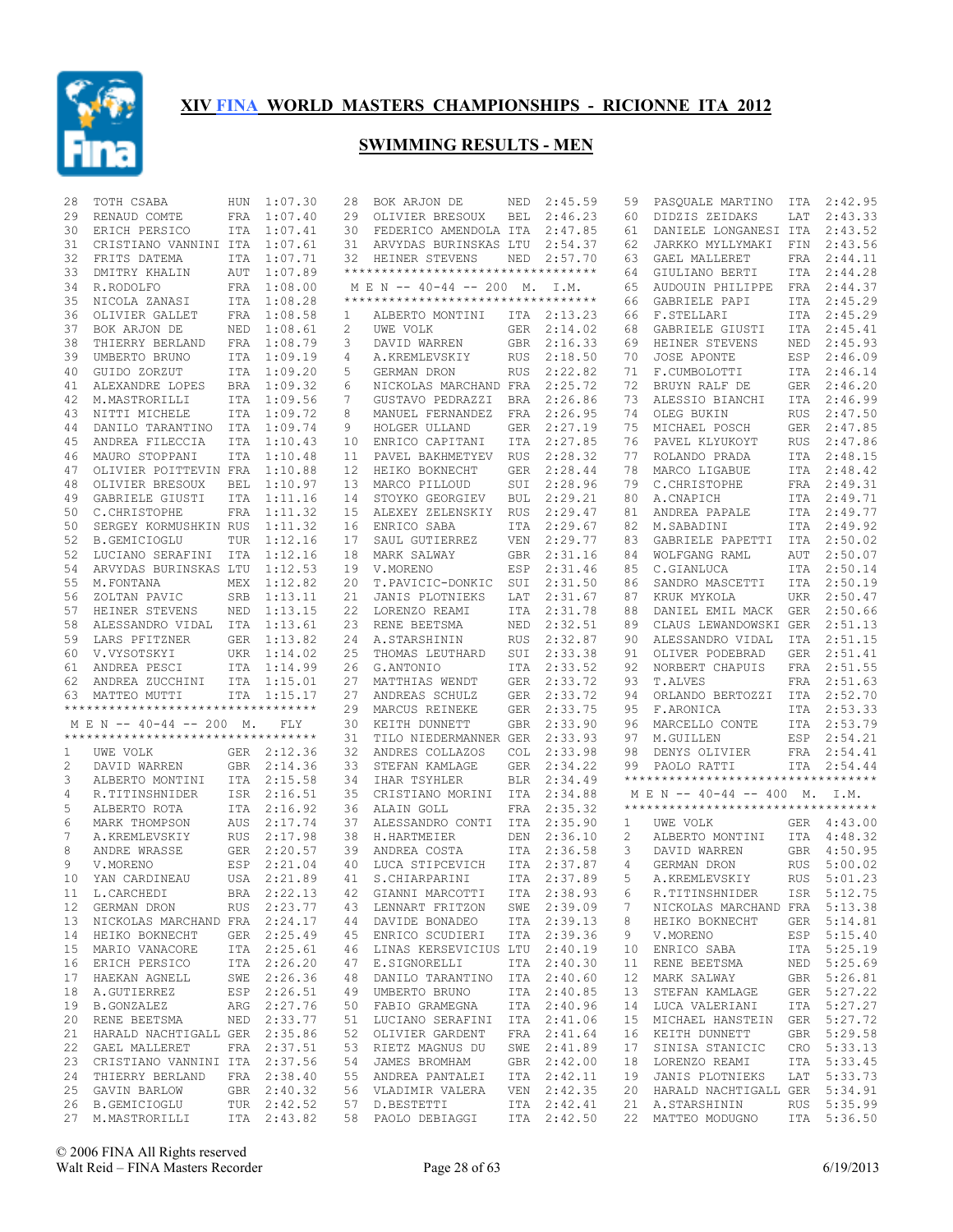

| 28 | TOTH CSABA                         | HUN        | 1:07.30     | 28 | BOK ARJON DE                        | NED        | 2:45.59     | 59 | PASQUALE MARTINO                    | ITA        | 2:42.95     |
|----|------------------------------------|------------|-------------|----|-------------------------------------|------------|-------------|----|-------------------------------------|------------|-------------|
| 29 | RENAUD COMTE                       |            | FRA 1:07.40 | 29 | OLIVIER BRESOUX                     | BEL        | 2:46.23     | 60 | DIDZIS ZEIDAKS                      | LAT        | 2:43.33     |
| 30 | ERICH PERSICO                      |            | ITA 1:07.41 | 30 | FEDERICO AMENDOLA ITA               |            | 2:47.85     | 61 | DANIELE LONGANESI ITA               |            | 2:43.52     |
| 31 | CRISTIANO VANNINI ITA 1:07.61      |            |             | 31 | ARVYDAS BURINSKAS LTU               |            | 2:54.37     | 62 | JARKKO MYLLYMAKI                    | FIN        | 2:43.56     |
| 32 | FRITS DATEMA                       |            | ITA 1:07.71 | 32 | HEINER STEVENS                      | NED        | 2:57.70     | 63 | GAEL MALLERET                       | FRA        | 2:44.11     |
| 33 | DMITRY KHALIN                      | AUT        | 1:07.89     |    | *********************************** |            |             | 64 | GIULIANO BERTI                      | ITA        | 2:44.28     |
| 34 | R.RODOLFO                          |            | FRA 1:08.00 |    | MEN -- 40-44 -- 200 M. I.M.         |            |             | 65 | AUDOUIN PHILIPPE                    | FRA        | 2:44.37     |
| 35 | NICOLA ZANASI                      |            | ITA 1:08.28 |    | **********************************  |            |             | 66 | GABRIELE PAPI                       | ITA        | 2:45.29     |
| 36 | OLIVIER GALLET                     |            | FRA 1:08.58 | 1  | ALBERTO MONTINI                     |            | ITA 2:13.23 | 66 | F.STELLARI                          |            | ITA 2:45.29 |
| 37 | BOK ARJON DE                       |            | NED 1:08.61 | 2  | UWE VOLK                            |            | GER 2:14.02 | 68 | GABRIELE GIUSTI                     | ITA        | 2:45.41     |
| 38 | THIERRY BERLAND                    |            | FRA 1:08.79 | 3  | DAVID WARREN                        | GBR        | 2:16.33     | 69 | HEINER STEVENS                      | NED        | 2:45.93     |
| 39 | UMBERTO BRUNO                      |            | ITA 1:09.19 | 4  | A.KREMLEVSKIY                       | <b>RUS</b> | 2:18.50     | 70 | JOSE APONTE                         |            | ESP 2:46.09 |
| 40 | GUIDO ZORZUT                       |            | ITA 1:09.20 | 5  | GERMAN DRON                         | <b>RUS</b> | 2:22.82     | 71 | F.CUMBOLOTTI                        |            | ITA 2:46.14 |
| 41 |                                    |            | BRA 1:09.32 | 6  |                                     |            | 2:25.72     | 72 |                                     |            | GER 2:46.20 |
|    | ALEXANDRE LOPES                    |            |             |    | NICKOLAS MARCHAND FRA               |            |             |    | BRUYN RALF DE                       |            | ITA 2:46.99 |
| 42 | M.MASTRORILLI                      |            | ITA 1:09.56 | 7  | GUSTAVO PEDRAZZI                    | BRA        | 2:26.86     | 73 | ALESSIO BIANCHI                     |            |             |
| 43 | NITTI MICHELE                      |            | ITA 1:09.72 | 8  | MANUEL FERNANDEZ                    | FRA        | 2:26.95     | 74 | OLEG BUKIN                          | RUS        | 2:47.50     |
| 44 | DANILO TARANTINO                   |            | ITA 1:09.74 | 9  | HOLGER ULLAND                       | GER        | 2:27.19     | 75 | MICHAEL POSCH                       |            | GER 2:47.85 |
| 45 | ANDREA FILECCIA                    |            | ITA 1:10.43 | 10 | ENRICO CAPITANI                     | ITA        | 2:27.85     | 76 | PAVEL KLYUKOYT                      | RUS        | 2:47.86     |
| 46 | MAURO STOPPANI                     |            | ITA 1:10.48 | 11 | PAVEL BAKHMETYEV                    | <b>RUS</b> | 2:28.32     | 77 | ROLANDO PRADA                       |            | ITA 2:48.15 |
| 47 | OLIVIER POITTEVIN FRA              |            | 1:10.88     | 12 | HEIKO BOKNECHT                      | <b>GER</b> | 2:28.44     | 78 | MARCO LIGABUE                       |            | ITA 2:48.42 |
| 48 | OLIVIER BRESOUX                    | <b>BEL</b> | 1:10.97     | 13 | MARCO PILLOUD                       | SUI        | 2:28.96     | 79 | C.CHRISTOPHE                        |            | FRA 2:49.31 |
| 49 | GABRIELE GIUSTI                    |            | ITA 1:11.16 | 14 | STOYKO GEORGIEV                     | <b>BUL</b> | 2:29.21     | 80 | A.CNAPICH                           |            | ITA 2:49.71 |
| 50 | C. CHRISTOPHE                      |            | FRA 1:11.32 | 15 | ALEXEY ZELENSKIY                    | <b>RUS</b> | 2:29.47     | 81 | ANDREA PAPALE                       |            | ITA 2:49.77 |
| 50 | SERGEY KORMUSHKIN RUS              |            | 1:11.32     | 16 | ENRICO SABA                         | ITA        | 2:29.67     | 82 | M. SABADINI                         | ITA        | 2:49.92     |
| 52 | <b>B.GEMICIOGLU</b>                | TUR        | 1:12.16     | 17 | SAUL GUTIERREZ                      | <b>VEN</b> | 2:29.77     | 83 | GABRIELE PAPETTI                    | ITA        | 2:50.02     |
| 52 | LUCIANO SERAFINI                   |            | ITA 1:12.16 | 18 | MARK SALWAY                         | GBR        | 2:31.16     | 84 | WOLFGANG RAML                       | AUT        | 2:50.07     |
| 54 | ARVYDAS BURINSKAS LTU              |            | 1:12.53     | 19 | V.MORENO                            | ESP        | 2:31.46     | 85 | C.GIANLUCA                          | ITA        | 2:50.14     |
| 55 | M. FONTANA                         | MEX        | 1:12.82     | 20 | T.PAVICIC-DONKIC                    | SUI        | 2:31.50     | 86 | SANDRO MASCETTI                     | ITA        | 2:50.19     |
| 56 | ZOLTAN PAVIC                       | SRB        | 1:13.11     | 21 | JANIS PLOTNIEKS                     | LAT        | 2:31.67     | 87 | KRUK MYKOLA                         | UKR        | 2:50.47     |
| 57 | HEINER STEVENS                     | NED        | 1:13.15     | 22 | LORENZO REAMI                       | ITA        | 2:31.78     | 88 | DANIEL EMIL MACK                    | GER        | 2:50.66     |
| 58 | ALESSANDRO VIDAL ITA 1:13.61       |            |             | 23 | RENE BEETSMA                        | NED        | 2:32.51     | 89 | CLAUS LEWANDOWSKI GER               |            | 2:51.13     |
| 59 | LARS PFITZNER                      |            | GER 1:13.82 | 24 | A.STARSHININ                        | <b>RUS</b> | 2:32.87     | 90 | ALESSANDRO VIDAL                    |            | 2:51.15     |
|    |                                    |            |             | 25 |                                     | SUI        |             | 91 |                                     | ITA<br>GER | 2:51.41     |
|    |                                    |            |             |    |                                     |            |             |    |                                     |            |             |
| 60 | V.VYSOTSKYI                        |            | UKR 1:14.02 |    | THOMAS LEUTHARD                     |            | 2:33.38     |    | OLIVER PODEBRAD                     |            |             |
| 61 | ANDREA PESCI                       |            | ITA 1:14.99 | 26 | G.ANTONIO                           | ITA        | 2:33.52     | 92 | NORBERT CHAPUIS                     |            | FRA 2:51.55 |
| 62 | ANDREA ZUCCHINI                    |            | ITA 1:15.01 | 27 | MATTHIAS WENDT                      | <b>GER</b> | 2:33.72     | 93 | T.ALVES                             |            | FRA 2:51.63 |
| 63 | MATTEO MUTTI                       |            | ITA 1:15.17 | 27 | ANDREAS SCHULZ                      | GER        | 2:33.72     | 94 | ORLANDO BERTOZZI                    |            | ITA 2:52.70 |
|    | ********************************** |            |             | 29 | MARCUS REINEKE                      | GER        | 2:33.75     | 95 | F.ARONICA                           | ITA        | 2:53.33     |
|    | M E N -- 40-44 -- 200 M.           |            | FLY         | 30 | KEITH DUNNETT                       | GBR        | 2:33.90     | 96 | MARCELLO CONTE                      |            | ITA 2:53.79 |
|    | ********************************** |            |             | 31 | TILO NIEDERMANNER GER               |            | 2:33.93     | 97 | M.GUILLEN                           | ESP        | 2:54.21     |
| 1  | UWE VOLK                           |            | GER 2:12.36 | 32 | ANDRES COLLAZOS                     | <b>COL</b> | 2:33.98     | 98 | DENYS OLIVIER                       |            | FRA 2:54.41 |
| 2  | DAVID WARREN                       |            | GBR 2:14.36 | 33 | STEFAN KAMLAGE                      | <b>GER</b> | 2:34.22     | 99 | PAOLO RATTI                         | ITA        | 2:54.44     |
| 3  | ALBERTO MONTINI                    |            | ITA 2:15.58 | 34 | IHAR TSYHLER                        | <b>BLR</b> | 2:34.49     |    | **********************************  |            |             |
| 4  | R.TITINSHNIDER                     |            | ISR 2:16.51 | 35 | CRISTIANO MORINI                    | ITA        | 2:34.88     |    | M E N -- 40-44 -- 400 M. I.M.       |            |             |
| 5  | ALBERTO ROTA                       |            | ITA 2:16.92 | 36 | ALAIN GOLL                          |            | FRA 2:35.32 |    | *********************************** |            |             |
| 6  | MARK THOMPSON                      |            | AUS 2:17.74 | 37 | ALESSANDRO CONTI                    | ITA        | 2:35.90     | 1  | UWE VOLK                            |            | GER 4:43.00 |
| 7  | A.KREMLEVSKIY                      |            | RUS 2:17.98 | 38 | H.HARTMEIER                         | DEN        | 2:36.10     | 2  | ALBERTO MONTINI                     |            | ITA 4:48.32 |
| 8  | ANDRE WRASSE                       |            | GER 2:20.57 | 39 | ANDREA COSTA                        | ITA        | 2:36.58     | 3  | DAVID WARREN                        | GBR        | 4:50.95     |
| 9  | V.MORENO                           |            | ESP 2:21.04 | 40 | LUCA STIPCEVICH                     |            | ITA 2:37.87 | 4  | GERMAN DRON                         | <b>RUS</b> | 5:00.02     |
| 10 | YAN CARDINEAU                      |            | USA 2:21.89 | 41 | S. CHIARPARINI                      |            | ITA 2:37.89 | 5  | A.KREMLEVSKIY                       | <b>RUS</b> | 5:01.23     |
|    |                                    |            |             |    |                                     |            |             |    |                                     |            |             |
|    | 11 L.CARCHEDI                      |            |             |    | BRA 2:22.13 42 GIANNI MARCOTTI      |            | ITA 2:38.93 | 6  | R.TITINSHNIDER                      |            | ISR 5:12.75 |
|    | 12 GERMAN DRON                     |            | RUS 2:23.77 |    | 43 LENNART FRITZON                  |            | SWE 2:39.09 | 7  | NICKOLAS MARCHAND FRA 5:13.38       |            |             |
|    | 13 NICKOLAS MARCHAND FRA 2:24.17   |            |             |    | 44 DAVIDE BONADEO                   |            | ITA 2:39.13 | 8  | HEIKO BOKNECHT                      |            | GER 5:14.81 |
|    | 14 HEIKO BOKNECHT                  |            | GER 2:25.49 |    | 45 ENRICO SCUDIERI                  |            | ITA 2:39.36 | 9  | V.MORENO                            |            | ESP 5:15.40 |
|    | 15 MARIO VANACORE                  |            | ITA 2:25.61 |    | 46 LINAS KERSEVICIUS LTU 2:40.19    |            |             | 10 | ENRICO SABA                         |            | ITA 5:25.19 |
| 16 | ERICH PERSICO                      |            | ITA 2:26.20 |    | 47 E.SIGNORELLI                     |            | ITA 2:40.30 | 11 | RENE BEETSMA                        |            | NED 5:25.69 |
|    | 17 HAEKAN AGNELL                   |            | SWE 2:26.36 |    | 48 DANILO TARANTINO ITA 2:40.60     |            |             | 12 | MARK SALWAY                         |            | GBR 5:26.81 |
| 18 | A.GUTIERREZ                        |            | ESP 2:26.51 |    | 49 UMBERTO BRUNO                    |            | ITA 2:40.85 | 13 | STEFAN KAMLAGE                      |            | GER 5:27.22 |
|    | 19 B.GONZALEZ                      |            | ARG 2:27.76 |    | 50 FABIO GRAMEGNA                   |            | ITA 2:40.96 | 14 | LUCA VALERIANI                      |            | ITA 5:27.27 |
| 20 | RENE BEETSMA                       |            | NED 2:33.77 |    | 51 LUCIANO SERAFINI ITA 2:41.06     |            |             | 15 | MICHAEL HANSTEIN GER 5:27.72        |            |             |
|    | 21 HARALD NACHTIGALL GER 2:35.86   |            |             |    | 52 OLIVIER GARDENT                  |            | FRA 2:41.64 | 16 | KEITH DUNNETT                       |            | GBR 5:29.58 |
| 22 | <b>GAEL MALLERET</b>               |            | FRA 2:37.51 |    | 53 RIETZ MAGNUS DU                  |            | SWE 2:41.89 | 17 | SINISA STANICIC                     |            | CRO 5:33.13 |
|    | 23 CRISTIANO VANNINI ITA 2:37.56   |            |             |    | 54 JAMES BROMHAM                    |            | GBR 2:42.00 | 18 | LORENZO REAMI                       |            | ITA 5:33.45 |
| 24 | THIERRY BERLAND                    |            | FRA 2:38.40 |    | 55 ANDREA PANTALEI                  |            | ITA 2:42.11 | 19 | JANIS PLOTNIEKS                     |            | LAT 5:33.73 |
|    | 25 GAVIN BARLOW                    |            | GBR 2:40.32 |    | 56 VLADIMIR VALERA                  |            | VEN 2:42.35 | 20 | HARALD NACHTIGALL GER 5:34.91       |            |             |
|    | 26 B.GEMICIOGLU                    |            | TUR 2:42.52 |    | 57 D.BESTETTI                       |            | ITA 2:42.41 | 21 | A.STARSHININ                        |            | RUS 5:35.99 |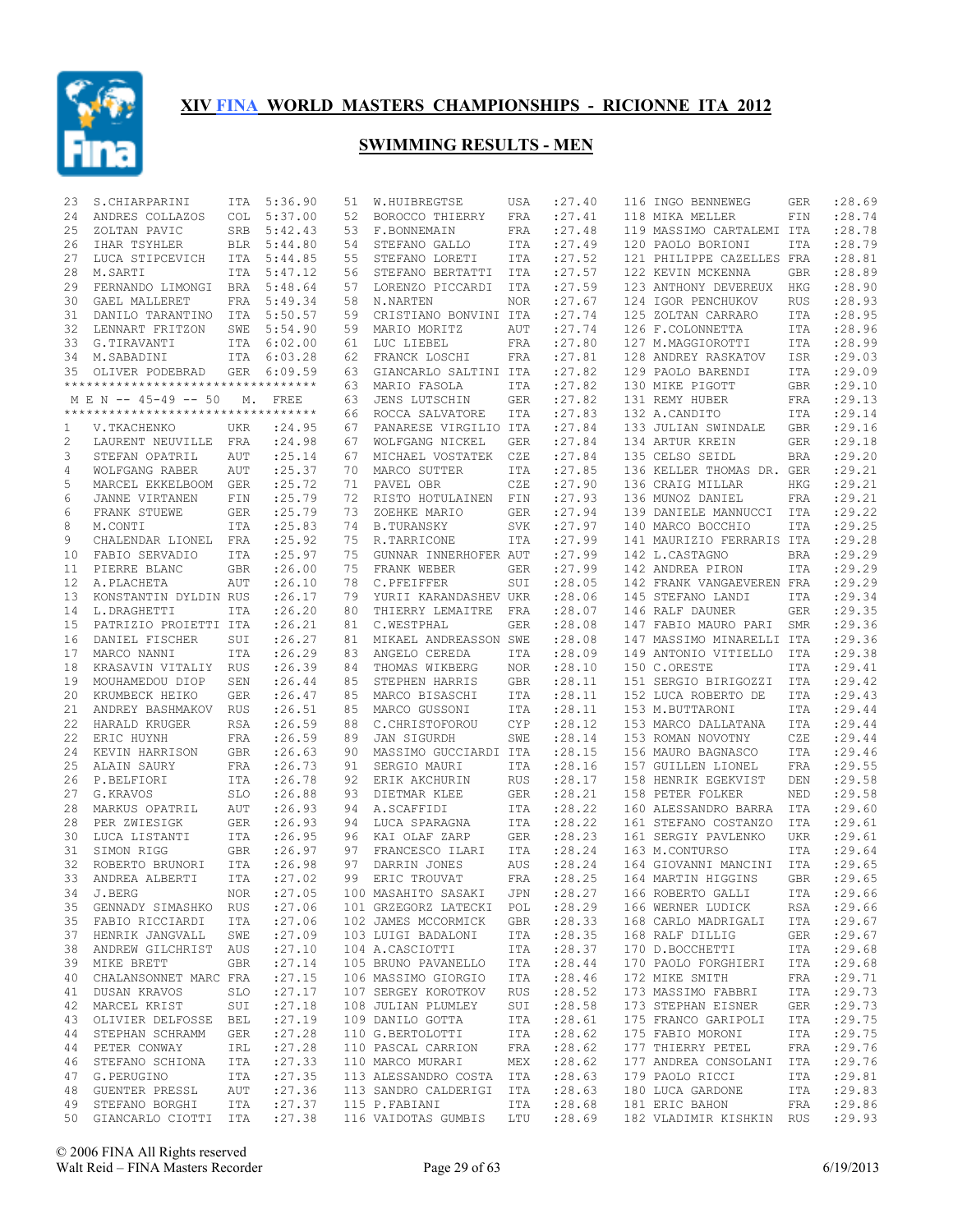

| 23 | S. CHIARPARINI                                        | ITA        | 5:36.90     | 51 | W.HUIBREGTSE                                 | USA        | : 27.40    | 116 INGO BENNEWEG                                        | GER        | : 28.69    |
|----|-------------------------------------------------------|------------|-------------|----|----------------------------------------------|------------|------------|----------------------------------------------------------|------------|------------|
| 24 | ANDRES COLLAZOS                                       | <b>COL</b> | 5:37.00     | 52 | BOROCCO THIERRY                              | FRA        | : 27.41    | 118 MIKA MELLER                                          | FIN        | :28.74     |
| 25 | ZOLTAN PAVIC                                          | SRB        | 5:42.43     | 53 | F.BONNEMAIN                                  | FRA        | : 27.48    | 119 MASSIMO CARTALEMI ITA                                |            | :28.78     |
| 26 | IHAR TSYHLER                                          | BLR        | 5:44.80     | 54 | STEFANO GALLO                                | ITA        | : 27.49    | 120 PAOLO BORIONI                                        | <b>ITA</b> | :28.79     |
| 27 | LUCA STIPCEVICH                                       | ITA        | 5:44.85     | 55 | STEFANO LORETI                               | ITA        | : 27.52    | 121 PHILIPPE CAZELLES FRA                                |            | :28.81     |
| 28 | M.SARTI                                               | <b>ITA</b> | 5:47.12     | 56 | STEFANO BERTATTI                             | ITA        | : 27.57    | 122 KEVIN MCKENNA                                        | GBR        | :28.89     |
| 29 | FERNANDO LIMONGI BRA                                  |            | 5:48.64     | 57 | LORENZO PICCARDI                             | ITA        | : 27.59    | 123 ANTHONY DEVEREUX                                     | <b>HKG</b> | :28.90     |
| 30 | GAEL MALLERET                                         | FRA        | 5:49.34     | 58 | N.NARTEN                                     | <b>NOR</b> | : 27.67    | 124 IGOR PENCHUKOV                                       | <b>RUS</b> | :28.93     |
| 31 | DANILO TARANTINO                                      |            | ITA 5:50.57 | 59 | CRISTIANO BONVINI ITA                        |            | : 27.74    | 125 ZOLTAN CARRARO                                       | ITA        | :28.95     |
| 32 | LENNART FRITZON                                       | SWE        | 5:54.90     | 59 | MARIO MORITZ                                 | AUT        | : 27.74    | 126 F.COLONNETTA                                         | ITA        | :28.96     |
| 33 | G.TIRAVANTI                                           |            | ITA 6:02.00 | 61 | LUC LIEBEL                                   | FRA        | : 27.80    | 127 M.MAGGIOROTTI                                        | ITA        | :28.99     |
| 34 | M.SABADINI                                            | ITA        | 6:03.28     | 62 | FRANCK LOSCHI                                | FRA        | : 27.81    | 128 ANDREY RASKATOV                                      | ISR        | :29.03     |
|    |                                                       |            |             |    |                                              |            |            |                                                          |            |            |
| 35 | OLIVER PODEBRAD<br>********************************** |            | GER 6:09.59 | 63 | GIANCARLO SALTINI ITA                        |            | : 27.82    | 129 PAOLO BARENDI                                        | <b>ITA</b> | :29.09     |
|    |                                                       |            |             | 63 | MARIO FASOLA                                 | ITA        | : 27.82    | 130 MIKE PIGOTT                                          | <b>GBR</b> | :29.10     |
|    | M E N -- 45-49 -- 50                                  | М.         | FREE        | 63 | JENS LUTSCHIN                                | <b>GER</b> | : 27.82    | 131 REMY HUBER                                           | FRA        | :29.13     |
|    | **********************************                    |            |             | 66 | ROCCA SALVATORE                              | ITA        | :27.83     | 132 A.CANDITO                                            | ITA        | :29.14     |
| 1  | V.TKACHENKO                                           | <b>UKR</b> | : 24.95     | 67 | PANARESE VIRGILIO ITA                        |            | : 27.84    | 133 JULIAN SWINDALE                                      | <b>GBR</b> | :29.16     |
| 2  | LAURENT NEUVILLE FRA                                  |            | : 24.98     | 67 | WOLFGANG NICKEL                              | <b>GER</b> | : 27.84    | 134 ARTUR KREIN                                          | <b>GER</b> | :29.18     |
| 3  | STEFAN OPATRIL                                        | <b>AUT</b> | : 25.14     | 67 | MICHAEL VOSTATEK                             | CZE        | : 27.84    | 135 CELSO SEIDL                                          | <b>BRA</b> | : 29.20    |
| 4  | WOLFGANG RABER                                        | <b>AUT</b> | : 25.37     | 70 | MARCO SUTTER                                 | ITA        | : 27.85    | 136 KELLER THOMAS DR. GER                                |            | : 29.21    |
| 5  | MARCEL EKKELBOOM GER                                  |            | : 25.72     | 71 | PAVEL OBR                                    | CZE        | : 27.90    | 136 CRAIG MILLAR                                         | <b>HKG</b> | :29.21     |
| 6  | JANNE VIRTANEN                                        | FIN        | : 25.79     | 72 | RISTO HOTULAINEN FIN                         |            | : 27.93    | 136 MUNOZ DANIEL                                         | <b>FRA</b> | :29.21     |
| 6  | FRANK STUEWE                                          | <b>GER</b> | : 25.79     | 73 | ZOEHKE MARIO                                 | <b>GER</b> | : 27.94    | 139 DANIELE MANNUCCI                                     | ITA        | :29.22     |
| 8  | M.CONTI                                               | <b>ITA</b> | :25.83      | 74 | <b>B.TURANSKY</b>                            | <b>SVK</b> | : 27.97    | 140 MARCO BOCCHIO                                        | <b>ITA</b> | :29.25     |
| 9  | CHALENDAR LIONEL FRA                                  |            | : 25.92     | 75 | R.TARRICONE                                  | ITA        | : 27.99    | 141 MAURIZIO FERRARIS ITA                                |            | :29.28     |
| 10 | FABIO SERVADIO                                        | ITA        | : 25.97     | 75 | GUNNAR INNERHOFER AUT                        |            | : 27.99    | 142 L.CASTAGNO                                           | <b>BRA</b> | :29.29     |
| 11 | PIERRE BLANC                                          | <b>GBR</b> | : 26.00     | 75 | FRANK WEBER                                  | GER        | : 27.99    | 142 ANDREA PIRON                                         | <b>ITA</b> | : 29.29    |
| 12 | A. PLACHETA                                           | <b>AUT</b> | : 26.10     | 78 | C.PFEIFFER                                   | SUI        | :28.05     | 142 FRANK VANGAEVEREN FRA                                |            | :29.29     |
| 13 | KONSTANTIN DYLDIN RUS                                 |            | : 26.17     | 79 | YURII KARANDASHEV UKR                        |            | :28.06     | 145 STEFANO LANDI                                        | ITA        | :29.34     |
| 14 | L.DRAGHETTI                                           | ITA        | : 26.20     | 80 | THIERRY LEMAITRE                             | FRA        | :28.07     | 146 RALF DAUNER                                          | <b>GER</b> | :29.35     |
| 15 |                                                       |            | :26.21      | 81 | C.WESTPHAL                                   |            | :28.08     | 147 FABIO MAURO PARI                                     |            | :29.36     |
|    | PATRIZIO PROIETTI ITA                                 |            |             |    |                                              | GER        |            |                                                          | SMR        |            |
| 16 | DANIEL FISCHER                                        | SUI        | : 26.27     | 81 | MIKAEL ANDREASSON SWE                        |            | :28.08     | 147 MASSIMO MINARELLI ITA                                |            | :29.36     |
| 17 | MARCO NANNI                                           | ITA        | : 26.29     | 83 | ANGELO CEREDA                                | ITA        | :28.09     | 149 ANTONIO VITIELLO                                     | ITA        | :29.38     |
| 18 | KRASAVIN VITALIY RUS                                  |            | : 26.39     | 84 | THOMAS WIKBERG                               | NOR        | : 28.10    | 150 C.ORESTE                                             | <b>ITA</b> | :29.41     |
| 19 | MOUHAMEDOU DIOP                                       | SEN        | : 26.44     | 85 | STEPHEN HARRIS                               | GBR        | : 28.11    | 151 SERGIO BIRIGOZZI                                     | ITA        | :29.42     |
| 20 | KRUMBECK HEIKO                                        | GER        | : 26.47     | 85 | MARCO BISASCHI                               | ITA        | :28.11     | 152 LUCA ROBERTO DE                                      | <b>ITA</b> | :29.43     |
| 21 | ANDREY BASHMAKOV                                      | RUS        | : 26.51     | 85 | MARCO GUSSONI                                | ITA        | : 28.11    | 153 M.BUTTARONI                                          | ITA        | :29.44     |
| 22 | HARALD KRUGER                                         | <b>RSA</b> | : 26.59     | 88 | C. CHRISTOFOROU                              | <b>CYP</b> | :28.12     | 153 MARCO DALLATANA                                      | <b>ITA</b> | :29.44     |
| 22 | ERIC HUYNH                                            | <b>FRA</b> | : 26.59     | 89 | JAN SIGURDH                                  | SWE        | :28.14     | 153 ROMAN NOVOTNY                                        | CZE        | :29.44     |
| 24 | KEVIN HARRISON                                        | <b>GBR</b> | : 26.63     | 90 | MASSIMO GUCCIARDI ITA                        |            | :28.15     | 156 MAURO BAGNASCO                                       | <b>ITA</b> | :29.46     |
| 25 | ALAIN SAURY                                           | <b>FRA</b> | : 26.73     | 91 | SERGIO MAURI                                 | ITA        | :28.16     | 157 GUILLEN LIONEL                                       | <b>FRA</b> | :29.55     |
| 26 | P.BELFIORI                                            | ITA        | : 26.78     | 92 | ERIK AKCHURIN                                | <b>RUS</b> | : 28.17    | 158 HENRIK EGEKVIST                                      | DEN        | :29.58     |
| 27 | G.KRAVOS                                              | SLO        | :26.88      | 93 | DIETMAR KLEE                                 | <b>GER</b> | : 28.21    | 158 PETER FOLKER                                         | NED        | :29.58     |
| 28 | MARKUS OPATRIL                                        | AUT        | : 26.93     | 94 | A.SCAFFIDI                                   | ITA        | : 28.22    | 160 ALESSANDRO BARRA                                     | ITA        | :29.60     |
| 28 | PER ZWIESIGK                                          | GER        | : 26.93     | 94 | LUCA SPARAGNA                                | ITA        | :28.22     | 161 STEFANO COSTANZO                                     | ITA        | :29.61     |
| 30 | LUCA LISTANTI                                         | ITA        | : 26.95     | 96 | KAI OLAF ZARP                                | <b>GER</b> | :28.23     | 161 SERGIY PAVLENKO                                      | <b>UKR</b> | : 29.61    |
| 31 | SIMON RIGG                                            | GBR        | : 26.97     | 97 | FRANCESCO ILARI                              | ITA        | : 28.24    | 163 M.CONTURSO                                           | <b>ITA</b> | : 29.64    |
| 32 | ROBERTO BRUNORI                                       | ITA        | : 26.98     | 97 | DARRIN JONES                                 | AUS        | : 28.24    | 164 GIOVANNI MANCINI                                     | ITA        | : 29.65    |
| 33 | ANDREA ALBERTI                                        | ITA        | : 27.02     | 99 | ERIC TROUVAT                                 | FRA        | :28.25     | 164 MARTIN HIGGINS                                       | <b>GBR</b> | :29.65     |
|    | 34 J.BERG                                             |            | NOR :27.05  |    | 100 MASAHITO SASAKI                          |            |            | JPN : 28.27 166 ROBERTO GALLI                            |            | ITA :29.66 |
|    | 35 GENNADY SIMASHKO RUS                               |            | : 27.06     |    | 101 GRZEGORZ LATECKI POL                     |            | : 28.29    | 166 WERNER LUDICK                                        | RSA        | : 29.66    |
|    | 35 FABIO RICCIARDI ITA                                |            | : 27.06     |    | 102 JAMES MCCORMICK GBR : 28.33              |            |            | 168 CARLO MADRIGALI                                      | ITA        | : 29.67    |
|    | 37 HENRIK JANGVALL SWE                                |            |             |    |                                              | ITA        | : 28.35    | 168 RALF DILLIG                                          | GER        | : 29.67    |
|    |                                                       |            | :27.09      |    | 103 LUIGI BADALONI                           |            |            |                                                          |            |            |
|    | 38 ANDREW GILCHRIST AUS                               |            | : 27.10     |    | 104 A.CASCIOTTI                              |            | ITA :28.37 | 170 D.BOCCHETTI                                          | ITA        | : 29.68    |
| 39 | MIKE BRETT                                            | GBR        | : 27.14     |    | 105 BRUNO PAVANELLO ITA                      |            | : 28.44    | 170 PAOLO FORGHIERI                                      | ITA        | : 29.68    |
|    | 40 CHALANSONNET MARC FRA                              |            | : 27.15     |    | 106 MASSIMO GIORGIO                          | ITA        | : 28.46    | 172 MIKE SMITH                                           | FRA        | : 29.71    |
| 41 | DUSAN KRAVOS                                          | SLO        | : 27.17     |    | 107 SERGEY KOROTKOV RUS                      |            | : 28.52    | 173 MASSIMO FABBRI                                       | ITA        | : 29.73    |
|    | 42 MARCEL KRIST                                       | SUI        | : 27.18     |    | 108 JULIAN PLUMLEY                           |            | SUI :28.58 | 173 STEPHAN EISNER                                       | GER        | : 29.73    |
| 43 | OLIVIER DELFOSSE BEL                                  |            | : 27.19     |    | 109 DANILO GOTTA ITA<br>110 G.BERTOLOTTI ITA |            | : 28.61    | 175 FRANCO GARIPOLI                                      | ITA        | : 29.75    |
|    | 44 STEPHAN SCHRAMM                                    | GER        | : 27.28     |    | 110 G.BERTOLOTTI                             |            | : 28.62    | 175 FABIO MORONI                                         | ITA        | : 29.75    |
| 44 | PETER CONWAY                                          | IRL        | :27.28      |    | 110 PASCAL CARRION FRA                       |            | : 28.62    | 177 THIERRY PETEL                                        | FRA        | : 29.76    |
|    | 46 STEFANO SCHIONA ITA                                |            | : 27.33     |    | 110 MARCO MURARI                             |            | MEX :28.62 | 177 ANDREA CONSOLANI                                     | ITA        | : 29.76    |
| 47 | G.PERUGINO                                            | <b>ITA</b> | : 27.35     |    | 113 ALESSANDRO COSTA ITA                     |            | : 28.63    | 179 PAOLO RICCI                                          | ITA        | : 29.81    |
|    | 48 GUENTER PRESSL                                     | AUT        | : 27.36     |    | 113 SANDRO CALDERIGI ITA                     |            | : 28.63    | 180 LUCA GARDONE                                         | ITA        | : 29.83    |
|    | 49 STEFANO BORGHI                                     | ITA        | : 27.37     |    | 115 P.FABIANI                                | ITA        | : 28.68    | 181 ERIC BAHON                                           | FRA        | :29.86     |
|    | 50 GIANCARLO CIOTTI ITA : 27.38                       |            |             |    |                                              |            |            | 116 VAIDOTAS GUMBIS LTU : 28.69 182 VLADIMIR KISHKIN RUS |            | : 29.93    |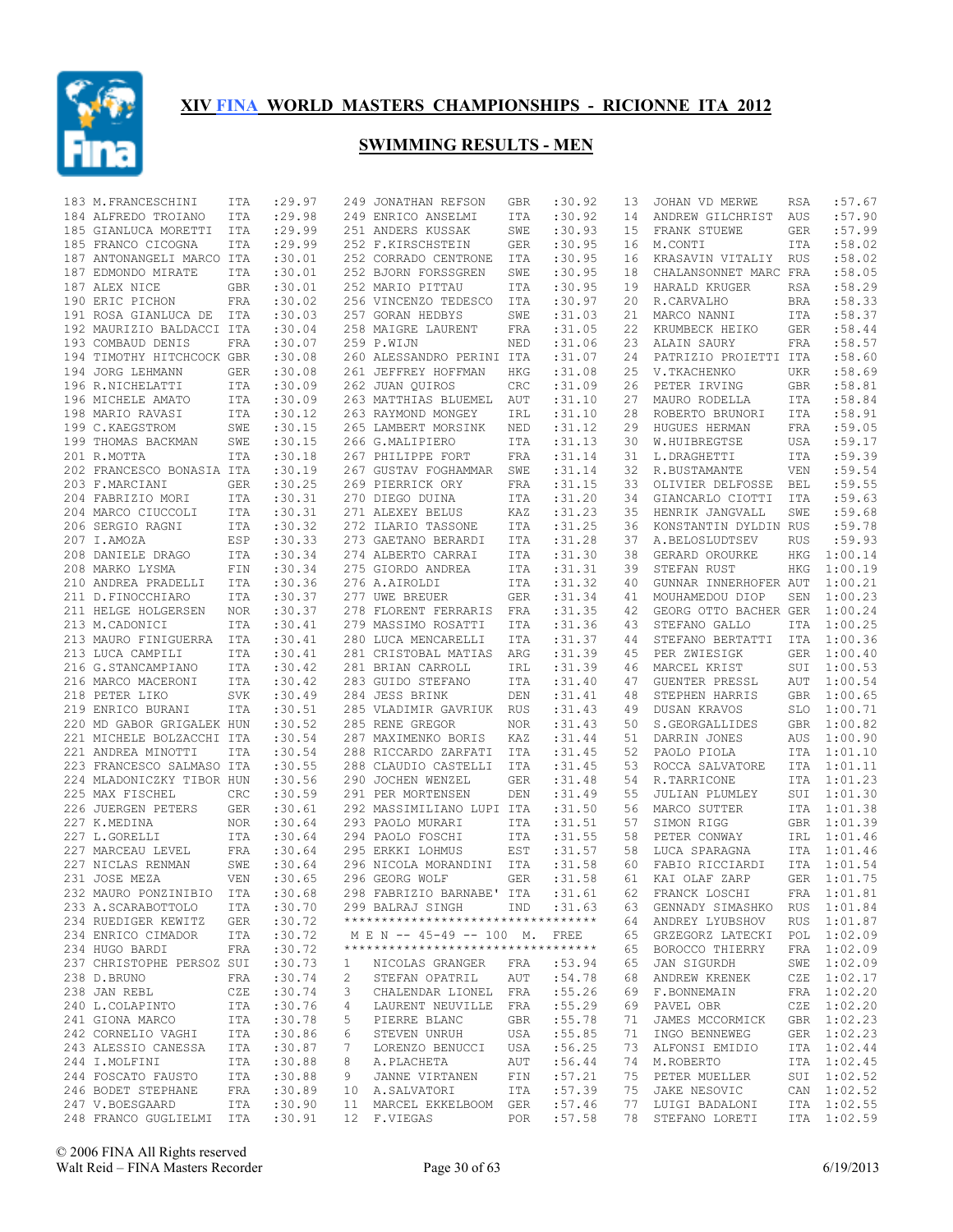

| 183 M. FRANCESCHINI                | ITA        | : 29.97           |    | 249 JONATHAN REFSON                      | GBR        | :30.92           | 13       | JOHAN VD MERWE                   | RSA        | :57.67             |
|------------------------------------|------------|-------------------|----|------------------------------------------|------------|------------------|----------|----------------------------------|------------|--------------------|
| 184 ALFREDO TROIANO                | <b>ITA</b> | : 29.98           |    | 249 ENRICO ANSELMI                       | ITA        | :30.92           | 14       | ANDREW GILCHRIST                 | AUS        | :57.90             |
| 185 GIANLUCA MORETTI               | ITA        | : 29.99           |    | 251 ANDERS KUSSAK                        | SWE        | :30.93           | 15       | FRANK STUEWE                     | <b>GER</b> | :57.99             |
| 185 FRANCO CICOGNA                 | ITA        | : 29.99           |    | 252 F.KIRSCHSTEIN                        | <b>GER</b> | :30.95           | 16       | M.CONTI                          | <b>ITA</b> | :58.02             |
| 187 ANTONANGELI MARCO ITA          |            | :30.01            |    | 252 CORRADO CENTRONE                     | ITA        | :30.95           | 16       | KRASAVIN VITALIY                 | RUS        | :58.02             |
| 187 EDMONDO MIRATE                 | ITA        | :30.01            |    | 252 BJORN FORSSGREN                      | SWE        | :30.95           | 18       | CHALANSONNET MARC FRA            |            | :58.05             |
| 187 ALEX NICE                      | GBR        | :30.01            |    | 252 MARIO PITTAU                         | ITA        | :30.95           | 19       | HARALD KRUGER                    | <b>RSA</b> | :58.29             |
| 190 ERIC PICHON                    | FRA        | :30.02            |    | 256 VINCENZO TEDESCO                     | ITA        | :30.97           | 20       | R.CARVALHO                       | <b>BRA</b> | :58.33             |
| 191 ROSA GIANLUCA DE ITA           |            | :30.03            |    | 257 GORAN HEDBYS                         | SWE        | :31.03           | 21       | MARCO NANNI                      | ITA        | :58.37             |
| 192 MAURIZIO BALDACCI ITA          |            | :30.04            |    | 258 MAIGRE LAURENT                       | FRA        | :31.05           | 22       | KRUMBECK HEIKO                   | GER        | :58.44             |
| 193 COMBAUD DENIS                  | FRA        | :30.07            |    | 259 P.WIJN                               | NED        | :31.06           | 23       | ALAIN SAURY                      | <b>FRA</b> | :58.57             |
| 194 TIMOTHY HITCHCOCK GBR          |            | :30.08            |    | 260 ALESSANDRO PERINI ITA                |            | :31.07           | 24       | PATRIZIO PROIETTI ITA            |            | :58.60             |
| 194 JORG LEHMANN                   | <b>GER</b> | :30.08            |    | 261 JEFFREY HOFFMAN                      | <b>HKG</b> | :31.08           | 25       | V. TKACHENKO                     | <b>UKR</b> | :58.69             |
| 196 R.NICHELATTI                   | <b>ITA</b> | :30.09            |    | 262 JUAN QUIROS                          | CRC        | :31.09           | 26       | PETER IRVING                     | GBR        | :58.81             |
| 196 MICHELE AMATO                  | ITA        | :30.09            |    | 263 MATTHIAS BLUEMEL                     | AUT        | :31.10           | 27       | MAURO RODELLA                    | ITA        | :58.84             |
| 198 MARIO RAVASI                   | ITA        | :30.12            |    | 263 RAYMOND MONGEY                       | IRL        | :31.10           | 28       | ROBERTO BRUNORI                  | ITA        | :58.91             |
| 199 C.KAEGSTROM                    | SWE        | :30.15            |    | 265 LAMBERT MORSINK                      | NED        | :31.12           | 29       | HUGUES HERMAN                    | <b>FRA</b> | :59.05             |
| 199 THOMAS BACKMAN                 | SWE        | :30.15            |    | 266 G.MALIPIERO                          | ITA        | :31.13           | 30       | W.HUIBREGTSE                     | <b>USA</b> | :59.17             |
| 201 R.MOTTA                        | <b>ITA</b> | :30.18            |    | 267 PHILIPPE FORT                        | FRA        | : 31.14          | 31       | L.DRAGHETTI                      | <b>ITA</b> | :59.39             |
| 202 FRANCESCO BONASIA ITA          |            | :30.19            |    | 267 GUSTAV FOGHAMMAR                     | SWE        | : 31.14          | 32       | R.BUSTAMANTE                     | <b>VEN</b> | :59.54             |
| 203 F.MARCIANI                     | <b>GER</b> | :30.25            |    | 269 PIERRICK ORY                         | FRA        | : 31.15          | 33       | OLIVIER DELFOSSE                 | <b>BEL</b> | :59.55             |
| 204 FABRIZIO MORI                  | <b>ITA</b> | :30.31            |    | 270 DIEGO DUINA                          | ITA        | :31.20           | 34       | GIANCARLO CIOTTI                 | <b>ITA</b> | :59.63             |
| 204 MARCO CIUCCOLI                 | ITA        | :30.31            |    | 271 ALEXEY BELUS                         | KAZ        | :31.23           | 35       | HENRIK JANGVALL                  | SWE        | :59.68             |
| 206 SERGIO RAGNI                   | ITA        | :30.32            |    | 272 ILARIO TASSONE                       | ITA        | :31.25           | 36       | KONSTANTIN DYLDIN RUS            |            | :59.78             |
| 207 I.AMOZA                        | ESP        | :30.33            |    | 273 GAETANO BERARDI                      | ITA        | :31.28           | 37       | A.BELOSLUDTSEV                   | <b>RUS</b> | :59.93             |
| 208 DANIELE DRAGO                  | ITA        | :30.34            |    | 274 ALBERTO CARRAI                       | ITA        | :31.30           | 38       | GERARD OROURKE                   | <b>HKG</b> | 1:00.14            |
| 208 MARKO LYSMA                    | FIN        | :30.34            |    | 275 GIORDO ANDREA                        | ITA        | :31.31           | 39       | STEFAN RUST                      | <b>HKG</b> | 1:00.19            |
| 210 ANDREA PRADELLI                | ITA        | :30.36            |    | 276 A.AIROLDI                            | ITA        | :31.32           | 40       | GUNNAR INNERHOFER AUT            |            | 1:00.21            |
| 211 D.FINOCCHIARO                  | ITA        | :30.37            |    | 277 UWE BREUER                           | GER        | : 31.34          | 41       | MOUHAMEDOU DIOP                  | SEN        | 1:00.23            |
| 211 HELGE HOLGERSEN                | NOR        | :30.37            |    | 278 FLORENT FERRARIS                     | FRA        | : 31.35          | 42       | GEORG OTTO BACHER GER            |            | 1:00.24            |
| 213 M.CADONICI                     | <b>ITA</b> | :30.41            |    | 279 MASSIMO ROSATTI                      | ITA        | :31.36           | 43       | STEFANO GALLO                    | ITA        | 1:00.25            |
| 213 MAURO FINIGUERRA               | ITA        | :30.41            |    | 280 LUCA MENCARELLI                      | ITA        | : 31.37          | 44       | STEFANO BERTATTI                 | ITA        | 1:00.36            |
| 213 LUCA CAMPILI                   | ITA        | :30.41            |    | 281 CRISTOBAL MATIAS                     | ARG        | :31.39           | 45       | PER ZWIESIGK                     | GER        | 1:00.40            |
| 216 G.STANCAMPIANO                 | ITA        | :30.42            |    | 281 BRIAN CARROLL                        | IRL        | :31.39           | 46       | MARCEL KRIST                     | SUI        | 1:00.53            |
| 216 MARCO MACERONI                 | ITA        | :30.42            |    | 283 GUIDO STEFANO                        | ITA        | :31.40           | 47       | GUENTER PRESSL                   | AUT        | 1:00.54            |
| 218 PETER LIKO                     | SVK        | :30.49            |    | 284 JESS BRINK                           | DEN        | : 31.41          | 48       | STEPHEN HARRIS                   | <b>GBR</b> | 1:00.65            |
| 219 ENRICO BURANI                  | ITA        | :30.51            |    | 285 VLADIMIR GAVRIUK RUS                 |            | :31.43           | 49       | DUSAN KRAVOS                     | SLO        | 1:00.71            |
| 220 MD GABOR GRIGALEK HUN          |            | :30.52            |    | 285 RENE GREGOR                          | <b>NOR</b> | :31.43           | 50       | S.GEORGALLIDES                   | GBR        | 1:00.82            |
| 221 MICHELE BOLZACCHI ITA          |            | :30.54            |    | 287 MAXIMENKO BORIS                      | KAZ        | : 31.44          | 51       | DARRIN JONES                     | AUS        | 1:00.90            |
| 221 ANDREA MINOTTI                 | <b>ITA</b> | :30.54            |    | 288 RICCARDO ZARFATI                     | ITA        | :31.45           | 52       | PAOLO PIOLA                      | ITA        | 1:01.10            |
| 223 FRANCESCO SALMASO ITA          |            | :30.55            |    | 288 CLAUDIO CASTELLI                     | ITA        | :31.45           | 53       | ROCCA SALVATORE                  | ITA        | 1:01.11            |
| 224 MLADONICZKY TIBOR HUN          |            | :30.56            |    | 290 JOCHEN WENZEL                        | <b>GER</b> | :31.48           | 54       | R.TARRICONE                      | ITA        | 1:01.23            |
| 225 MAX FISCHEL                    | CRC        | :30.59            |    | 291 PER MORTENSEN                        | DEN        | :31.49           | 55       | JULIAN PLUMLEY                   | SUI        | 1:01.30            |
| 226 JUERGEN PETERS                 | GER        | :30.61            |    | 292 MASSIMILIANO LUPI ITA                |            | :31.50           | 56       | MARCO SUTTER                     | ITA        | 1:01.38            |
| 227 K.MEDINA                       | <b>NOR</b> | : 30.64           |    | 293 PAOLO MURARI<br>294 PAOLO FOSCHI     | ITA        | :31.51           | 57<br>58 | SIMON RIGG                       | GBR        | 1:01.39            |
| 227 L.GORELLI<br>227 MARCEAU LEVEL | ITA        | :30.64<br>: 30.64 |    |                                          | ITA<br>EST | :31.55           | 58       | PETER CONWAY                     | IRL        | 1:01.46<br>1:01.46 |
| 227 NICLAS RENMAN                  | FRA<br>SWE | : 30.64           |    | 295 ERKKI LOHMUS<br>296 NICOLA MORANDINI | ITA        | :31.57<br>:31.58 | 60       | LUCA SPARAGNA<br>FABIO RICCIARDI | ITA<br>ITA | 1:01.54            |
| 231 JOSE MEZA                      | <b>VEN</b> | :30.65            |    | 296 GEORG WOLF                           | <b>GER</b> | :31.58           | 61       | KAI OLAF ZARP                    | <b>GER</b> | 1:01.75            |
| 232 MAURO PONZINIBIO ITA           |            | :30.68            |    | 298 FABRIZIO BARNABE' ITA :31.61         |            |                  |          | 62 FRANCK LOSCHI                 |            | FRA 1:01.81        |
| 233 A.SCARABOTTOLO                 | ITA        | :30.70            |    | 299 BALRAJ SINGH IND :31.63              |            |                  |          | 63 GENNADY SIMASHKO RUS 1:01.84  |            |                    |
| 234 RUEDIGER KEWITZ                | GER        | :30.72            |    | **********************************       |            |                  | 64       | ANDREY LYUBSHOV                  |            | RUS 1:01.87        |
| 234 ENRICO CIMADOR                 | ITA        | :30.72            |    | M E N -- 45-49 -- 100 M. FREE            |            |                  | 65       | GRZEGORZ LATECKI                 |            | POL 1:02.09        |
| 234 HUGO BARDI                     | FRA        | :30.72            |    | **********************************       |            |                  | 65       | BOROCCO THIERRY                  |            | FRA 1:02.09        |
| 237 CHRISTOPHE PERSOZ SUI          |            | :30.73            | 1  | NICOLAS GRANGER                          |            | :53.94           | 65       | JAN SIGURDH                      |            | SWE 1:02.09        |
| 238 D.BRUNO                        | FRA        | :30.74            | 2  | STEFAN OPATRIL                           | FRA<br>AUT | :54.78           | 68       | ANDREW KRENEK                    |            | CZE 1:02.17        |
| 238 JAN REBL                       | CZE        | :30.74            | 3  | CHALENDAR LIONEL FRA                     |            | :55.26           | 69       | F.BONNEMAIN                      |            | FRA 1:02.20        |
| 240 L.COLAPINTO                    | ITA        | :30.76            | 4  | LAURENT NEUVILLE FRA                     |            | :55.29           | 69       | PAVEL OBR                        |            | CZE 1:02.20        |
| 241 GIONA MARCO                    | ITA        | :30.78            | 5  | PIERRE BLANC                             | GBR        | :55.78           | 71       | JAMES MCCORMICK                  |            | GBR 1:02.23        |
| 242 CORNELIO VAGHI                 | ITA        | :30.86            | 6  | STEVEN UNRUH                             | USA        | :55.85           | 71       | INGO BENNEWEG                    |            | GER 1:02.23        |
| 243 ALESSIO CANESSA                | ITA        | :30.87            | 7  | LORENZO BENUCCI                          | USA        | :56.25           | 73       | ALFONSI EMIDIO                   |            | ITA 1:02.44        |
| 244 I.MOLFINI                      | ITA        | :30.88            | 8  | A.PLACHETA                               | AUT        | :56.44           | 74       | M.ROBERTO                        |            | ITA 1:02.45        |
| 244 FOSCATO FAUSTO                 | ITA        | :30.88            | 9  | JANNE VIRTANEN                           | FIN        | :57.21           | 75       | PETER MUELLER                    |            | SUI 1:02.52        |
| 246 BODET STEPHANE                 | FRA        | :30.89            | 10 | A.SALVATORI                              | ITA        | :57.39           | 75       | JAKE NESOVIC                     |            | CAN 1:02.52        |
| 247 V.BOESGAARD                    | ITA        | :30.90            | 11 | MARCEL EKKELBOOM GER                     |            | :57.46           | 77       | LUIGI BADALONI                   |            | ITA 1:02.55        |
| 248 FRANCO GUGLIELMI               | ITA        | :30.91            |    | 12 F.VIEGAS                              | POR        | :57.58           | 78       | STEFANO LORETI                   |            | ITA 1:02.59        |
|                                    |            |                   |    |                                          |            |                  |          |                                  |            |                    |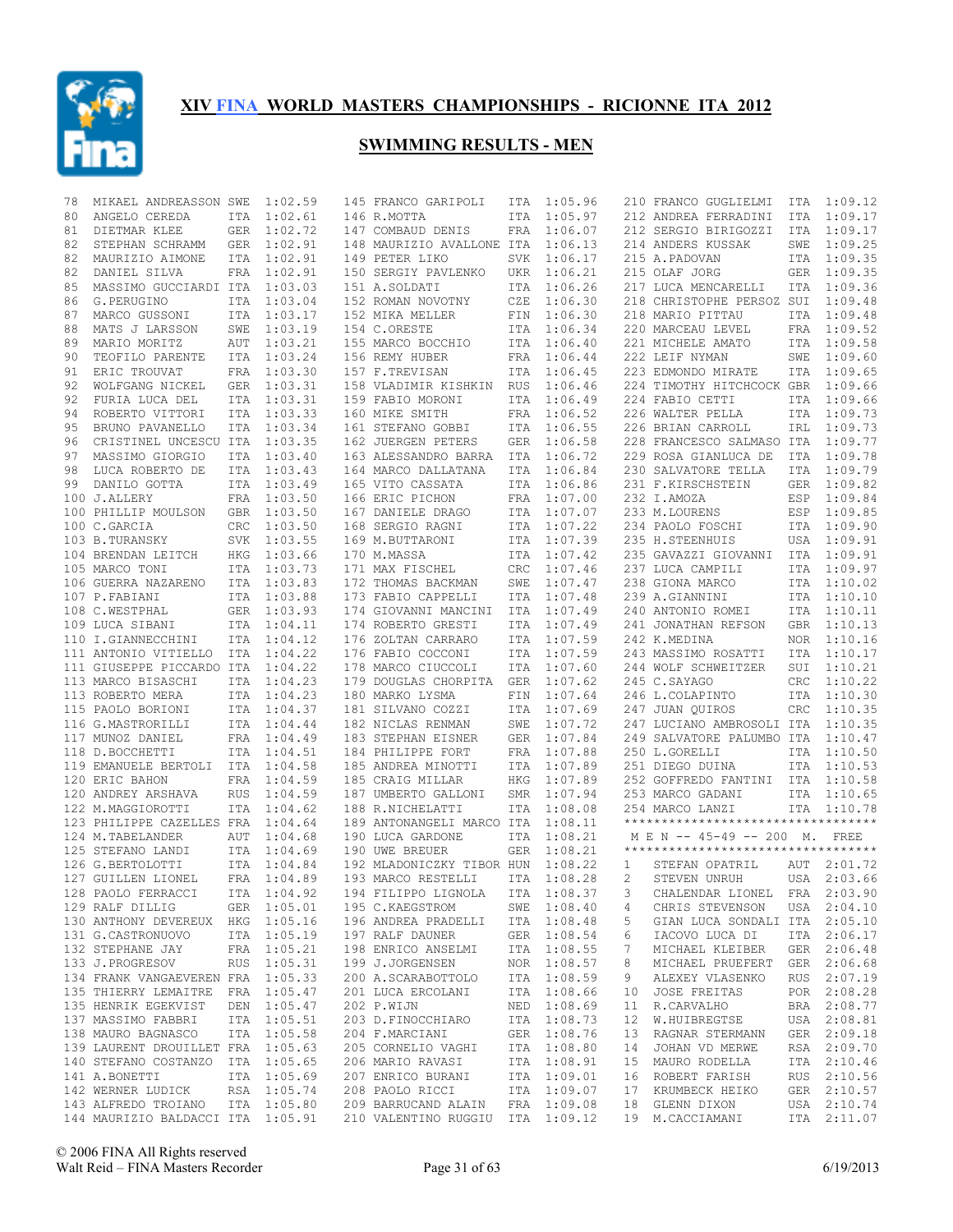

| 78 | MIKAEL ANDREASSON SWE             |            | 1:02.59     | 145 FRANCO GARIPOLI              | ITA        | 1:05.96     |             | 210 FRANCO GUGLIELMI                | ITA        | 1:09.12     |
|----|-----------------------------------|------------|-------------|----------------------------------|------------|-------------|-------------|-------------------------------------|------------|-------------|
| 80 | ANGELO CEREDA                     | ITA        | 1:02.61     | 146 R.MOTTA                      | ITA        | 1:05.97     |             | 212 ANDREA FERRADINI                | ITA        | 1:09.17     |
| 81 | DIETMAR KLEE                      | GER        | 1:02.72     | 147 COMBAUD DENIS                | FRA        | 1:06.07     |             | 212 SERGIO BIRIGOZZI                | ITA        | 1:09.17     |
| 82 | STEPHAN SCHRAMM                   | GER        | 1:02.91     | 148 MAURIZIO AVALLONE ITA        |            | 1:06.13     |             | 214 ANDERS KUSSAK                   | SWE        | 1:09.25     |
| 82 | MAURIZIO AIMONE                   | ITA        | 1:02.91     | 149 PETER LIKO                   | SVK.       | 1:06.17     |             | 215 A.PADOVAN                       | ITA        | 1:09.35     |
| 82 | DANIEL SILVA                      | FRA        | 1:02.91     | 150 SERGIY PAVLENKO              | UKR        | 1:06.21     |             | 215 OLAF JORG                       | GER        | 1:09.35     |
| 85 | MASSIMO GUCCIARDI ITA             |            | 1:03.03     | 151 A.SOLDATI                    | ITA        | 1:06.26     |             | 217 LUCA MENCARELLI                 | <b>ITA</b> | 1:09.36     |
| 86 | G.PERUGINO                        | ITA        | 1:03.04     | 152 ROMAN NOVOTNY                | CZE        | 1:06.30     |             | 218 CHRISTOPHE PERSOZ SUI           |            | 1:09.48     |
| 87 | MARCO GUSSONI                     | <b>ITA</b> | 1:03.17     | 152 MIKA MELLER                  | FIN        | 1:06.30     |             | 218 MARIO PITTAU                    | ITA        | 1:09.48     |
| 88 | MATS J LARSSON                    | SWE        | 1:03.19     | 154 C.ORESTE                     | ITA        | 1:06.34     |             | 220 MARCEAU LEVEL                   | <b>FRA</b> | 1:09.52     |
| 89 | MARIO MORITZ                      | AUT        | 1:03.21     | 155 MARCO BOCCHIO                | ITA        | 1:06.40     |             | 221 MICHELE AMATO                   | ITA        | 1:09.58     |
| 90 | TEOFILO PARENTE                   | ITA        | 1:03.24     | 156 REMY HUBER                   | FRA        | 1:06.44     |             | 222 LEIF NYMAN                      | SWE        | 1:09.60     |
| 91 | ERIC TROUVAT                      |            | FRA 1:03.30 | 157 F.TREVISAN                   | ITA        | 1:06.45     |             | 223 EDMONDO MIRATE                  | ITA        | 1:09.65     |
| 92 | WOLFGANG NICKEL                   | GER        | 1:03.31     | 158 VLADIMIR KISHKIN             | <b>RUS</b> | 1:06.46     |             | 224 TIMOTHY HITCHCOCK GBR           |            | 1:09.66     |
| 92 | FURIA LUCA DEL                    | <b>ITA</b> | 1:03.31     | 159 FABIO MORONI                 | ITA        | 1:06.49     |             | 224 FABIO CETTI                     | ITA        | 1:09.66     |
| 94 | ROBERTO VITTORI                   | ITA        | 1:03.33     | 160 MIKE SMITH                   | FRA        | 1:06.52     |             | 226 WALTER PELLA                    | ITA        | 1:09.73     |
| 95 | BRUNO PAVANELLO                   | <b>ITA</b> | 1:03.34     | 161 STEFANO GOBBI                | ITA        | 1:06.55     |             | 226 BRIAN CARROLL                   | IRL        | 1:09.73     |
| 96 | CRISTINEL UNCESCU ITA             |            | 1:03.35     | 162 JUERGEN PETERS               | <b>GER</b> | 1:06.58     |             | 228 FRANCESCO SALMASO ITA           |            | 1:09.77     |
| 97 | MASSIMO GIORGIO                   | ITA        | 1:03.40     | 163 ALESSANDRO BARRA             | ITA        | 1:06.72     |             | 229 ROSA GIANLUCA DE                | ITA        | 1:09.78     |
| 98 | LUCA ROBERTO DE                   | <b>ITA</b> | 1:03.43     | 164 MARCO DALLATANA              | ITA        | 1:06.84     |             | 230 SALVATORE TELLA                 | <b>ITA</b> | 1:09.79     |
| 99 | DANILO GOTTA                      |            | ITA 1:03.49 | 165 VITO CASSATA                 | ITA        | 1:06.86     |             | 231 F.KIRSCHSTEIN                   | <b>GER</b> | 1:09.82     |
|    | 100 J.ALLERY                      |            | FRA 1:03.50 | 166 ERIC PICHON                  | FRA        | 1:07.00     |             | 232 I.AMOZA                         | ESP        | 1:09.84     |
|    | 100 PHILLIP MOULSON               |            | GBR 1:03.50 | 167 DANIELE DRAGO                | <b>ITA</b> | 1:07.07     |             | 233 M.LOURENS                       | ESP        | 1:09.85     |
|    | 100 C.GARCIA                      | <b>CRC</b> | 1:03.50     | 168 SERGIO RAGNI                 | ITA        | 1:07.22     |             | 234 PAOLO FOSCHI                    | ITA        | 1:09.90     |
|    | 103 B.TURANSKY                    |            | SVK 1:03.55 | 169 M.BUTTARONI                  | ITA        | 1:07.39     |             | 235 H.STEENHUIS                     | USA        | 1:09.91     |
|    | 104 BRENDAN LEITCH                | HKG        | 1:03.66     | 170 M.MASSA                      | ITA        | 1:07.42     |             | 235 GAVAZZI GIOVANNI                | ITA        | 1:09.91     |
|    | 105 MARCO TONI                    |            | ITA 1:03.73 | 171 MAX FISCHEL                  | CRC        | 1:07.46     |             | 237 LUCA CAMPILI                    | ITA        | 1:09.97     |
|    | 106 GUERRA NAZARENO               | <b>ITA</b> | 1:03.83     | 172 THOMAS BACKMAN               | SWE        | 1:07.47     |             | 238 GIONA MARCO                     | ITA        | 1:10.02     |
|    | 107 P.FABIANI                     | ITA        | 1:03.88     | 173 FABIO CAPPELLI               | ITA        | 1:07.48     |             | 239 A.GIANNINI                      | ITA        | 1:10.10     |
|    | 108 C.WESTPHAL                    | GER        | 1:03.93     | 174 GIOVANNI MANCINI             | ITA        | 1:07.49     |             | 240 ANTONIO ROMEI                   | ITA        | 1:10.11     |
|    | 109 LUCA SIBANI                   | ITA        | 1:04.11     | 174 ROBERTO GRESTI               | ITA        | 1:07.49     |             | 241 JONATHAN REFSON                 | GBR        | 1:10.13     |
|    | 110 I.GIANNECCHINI                | <b>ITA</b> | 1:04.12     | 176 ZOLTAN CARRARO               | ITA        | 1:07.59     |             | 242 K.MEDINA                        | <b>NOR</b> | 1:10.16     |
|    | 111 ANTONIO VITIELLO              | ITA        | 1:04.22     | 176 FABIO COCCONI                | ITA        | 1:07.59     |             | 243 MASSIMO ROSATTI                 | <b>ITA</b> | 1:10.17     |
|    | 111 GIUSEPPE PICCARDO ITA         |            | 1:04.22     | 178 MARCO CIUCCOLI               | ITA        | 1:07.60     |             | 244 WOLF SCHWEITZER                 | SUI        | 1:10.21     |
|    | 113 MARCO BISASCHI                | ITA        | 1:04.23     | 179 DOUGLAS CHORPITA             | GER        | 1:07.62     |             | 245 C.SAYAGO                        | CRC        | 1:10.22     |
|    | 113 ROBERTO MERA                  | ITA        | 1:04.23     | 180 MARKO LYSMA                  | FIN        | 1:07.64     |             | 246 L.COLAPINTO                     | ITA        | 1:10.30     |
|    | 115 PAOLO BORIONI                 |            | ITA 1:04.37 | 181 SILVANO COZZI                | ITA        | 1:07.69     |             | 247 JUAN QUIROS                     | CRC        | 1:10.35     |
|    | 116 G.MASTRORILLI                 | <b>ITA</b> | 1:04.44     | 182 NICLAS RENMAN                | SWE        | 1:07.72     |             | 247 LUCIANO AMBROSOLI ITA           |            | 1:10.35     |
|    | 117 MUNOZ DANIEL                  | FRA        | 1:04.49     | 183 STEPHAN EISNER               | <b>GER</b> | 1:07.84     |             | 249 SALVATORE PALUMBO ITA           |            | 1:10.47     |
|    | 118 D.BOCCHETTI                   |            | ITA 1:04.51 | 184 PHILIPPE FORT                | FRA        | 1:07.88     |             | 250 L.GORELLI                       | ITA        | 1:10.50     |
|    | 119 EMANUELE BERTOLI              | ITA        | 1:04.58     | 185 ANDREA MINOTTI               | ITA        | 1:07.89     |             | 251 DIEGO DUINA                     | ITA        | 1:10.53     |
|    | 120 ERIC BAHON                    | <b>FRA</b> | 1:04.59     | 185 CRAIG MILLAR                 | <b>HKG</b> | 1:07.89     |             | 252 GOFFREDO FANTINI ITA 1:10.58    |            |             |
|    | 120 ANDREY ARSHAVA                | RUS        | 1:04.59     | 187 UMBERTO GALLONI              | SMR        | 1:07.94     |             | 253 MARCO GADANI                    |            | ITA 1:10.65 |
|    | 122 M.MAGGIOROTTI                 | ITA        | 1:04.62     | 188 R.NICHELATTI                 | ITA        | 1:08.08     |             | 254 MARCO LANZI                     |            | ITA 1:10.78 |
|    | 123 PHILIPPE CAZELLES FRA         |            | 1:04.64     | 189 ANTONANGELI MARCO ITA        |            | 1:08.11     |             | *********************************** |            |             |
|    | 124 M.TABELANDER                  | AUT        | 1:04.68     | 190 LUCA GARDONE                 | ITA        | 1:08.21     |             | M E N -- 45-49 -- 200 M. FREE       |            |             |
|    | 125 STEFANO LANDI                 |            | ITA 1:04.69 | 190 UWE BREUER                   | <b>GER</b> | 1:08.21     |             | *********************************** |            |             |
|    | 126 G.BERTOLOTTI                  |            | ITA 1:04.84 | 192 MLADONICZKY TIBOR HUN        |            | 1:08.22     | 1           | STEFAN OPATRIL                      |            | AUT 2:01.72 |
|    | 127 GUILLEN LIONEL                |            | FRA 1:04.89 | 193 MARCO RESTELLI               | ITA        | 1:08.28     | 2           | STEVEN UNRUH                        | USA        | 2:03.66     |
|    | 128 PAOLO FERRACCI                |            | ITA 1:04.92 | 194 FILIPPO LIGNOLA ITA 1:08.37  |            |             | $3^{\circ}$ | CHALENDAR LIONEL FRA 2:03.90        |            |             |
|    | 129 RALF DILLIG                   |            | GER 1:05.01 | 195 C.KAEGSTROM                  |            | SWE 1:08.40 | 4           | CHRIS STEVENSON                     |            | USA 2:04.10 |
|    | 130 ANTHONY DEVEREUX HKG 1:05.16  |            |             | 196 ANDREA PRADELLI              |            | ITA 1:08.48 | 5           | GIAN LUCA SONDALI ITA 2:05.10       |            |             |
|    | 131 G.CASTRONUOVO                 |            | ITA 1:05.19 | 197 RALF DAUNER                  |            | GER 1:08.54 | 6           | IACOVO LUCA DI                      |            | ITA 2:06.17 |
|    | 132 STEPHANE JAY                  |            | FRA 1:05.21 | 198 ENRICO ANSELMI               |            | ITA 1:08.55 | 7           | MICHAEL KLEIBER                     |            | GER 2:06.48 |
|    | 133 J.PROGRESOV                   |            | RUS 1:05.31 | 199 J.JORGENSEN                  |            | NOR 1:08.57 | 8           | MICHAEL PRUEFERT                    |            | GER 2:06.68 |
|    | 134 FRANK VANGAEVEREN FRA 1:05.33 |            |             | 200 A.SCARABOTTOLO               |            | ITA 1:08.59 | 9           | ALEXEY VLASENKO                     |            | RUS 2:07.19 |
|    | 135 THIERRY LEMAITRE FRA 1:05.47  |            |             | 201 LUCA ERCOLANI                |            | ITA 1:08.66 | 10          | JOSE FREITAS                        |            | POR 2:08.28 |
|    | 135 HENRIK EGEKVIST               |            | DEN 1:05.47 | 202 P.WIJN                       |            | NED 1:08.69 | 11          | R.CARVALHO                          |            | BRA 2:08.77 |
|    | 137 MASSIMO FABBRI                |            | ITA 1:05.51 | 203 D.FINOCCHIARO                |            | ITA 1:08.73 | 12          | W.HUIBREGTSE                        |            | USA 2:08.81 |
|    | 138 MAURO BAGNASCO                |            | ITA 1:05.58 | 204 F.MARCIANI                   |            | GER 1:08.76 | 13          | RAGNAR STERMANN                     |            | GER 2:09.18 |
|    | 139 LAURENT DROUILLET FRA 1:05.63 |            |             | 205 CORNELIO VAGHI               |            | ITA 1:08.80 | 14          | JOHAN VD MERWE                      |            | RSA 2:09.70 |
|    | 140 STEFANO COSTANZO ITA 1:05.65  |            |             | 206 MARIO RAVASI                 |            | ITA 1:08.91 | 15          | MAURO RODELLA                       |            | ITA 2:10.46 |
|    | 141 A.BONETTI                     |            | ITA 1:05.69 | 207 ENRICO BURANI                |            | ITA 1:09.01 | 16          | ROBERT FARISH                       |            | RUS 2:10.56 |
|    | 142 WERNER LUDICK                 |            | RSA 1:05.74 | 208 PAOLO RICCI                  |            | ITA 1:09.07 | 17          | KRUMBECK HEIKO                      |            | GER 2:10.57 |
|    | 143 ALFREDO TROIANO               |            | ITA 1:05.80 | 209 BARRUCAND ALAIN              |            | FRA 1:09.08 | 18          | GLENN DIXON                         |            | USA 2:10.74 |
|    | 144 MAURIZIO BALDACCI ITA 1:05.91 |            |             | 210 VALENTINO RUGGIU ITA 1:09.12 |            |             |             | 19 M.CACCIAMANI                     |            | ITA 2:11.07 |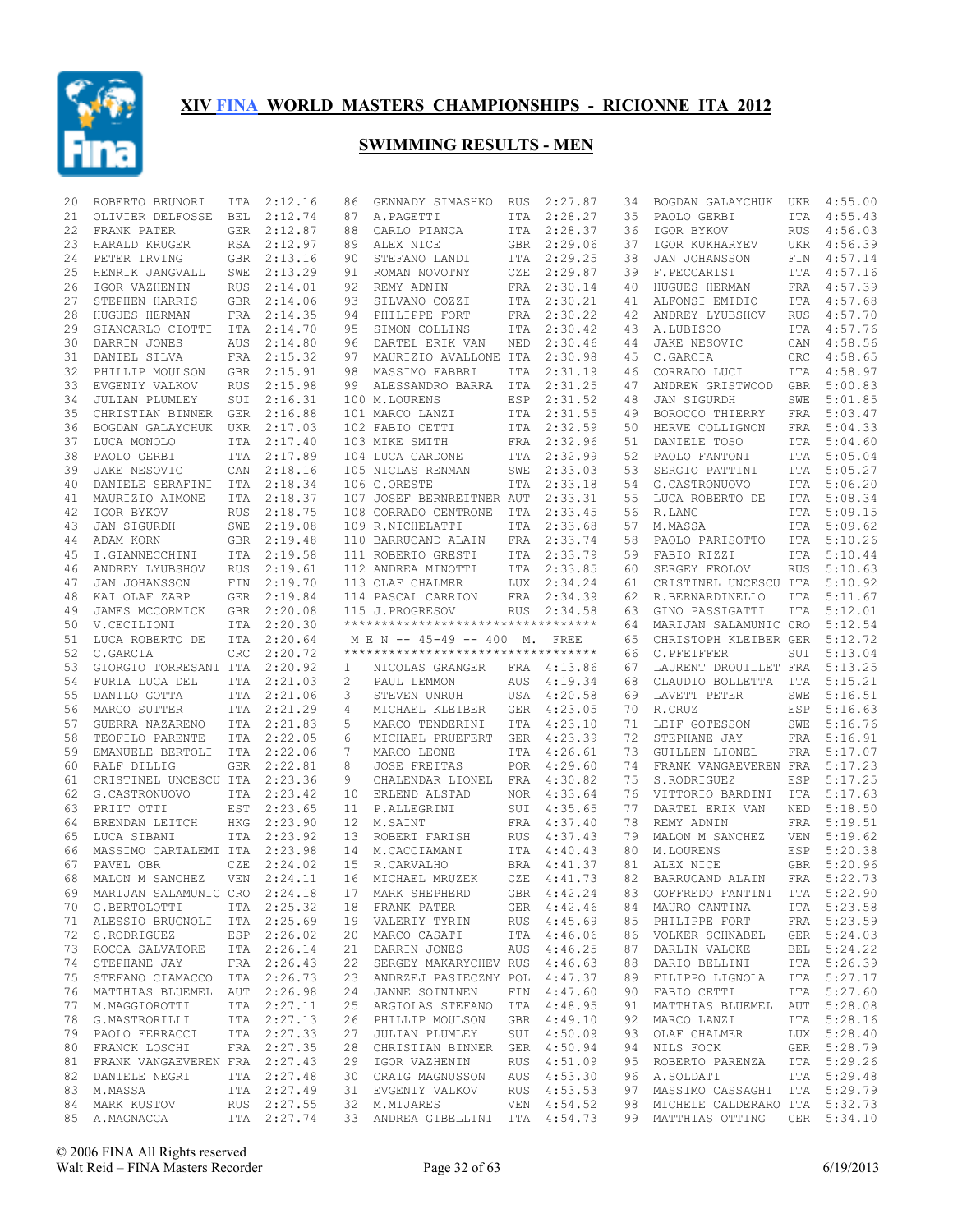

| 20 | ROBERTO BRUNORI                  | ITA        | 2:12.16                    | 86              | GENNADY SIMASHKO                                | RUS | 2:27.87      | 34 | BOGDAN GALAYCHUK                                                | UKR        | 4:55.00     |
|----|----------------------------------|------------|----------------------------|-----------------|-------------------------------------------------|-----|--------------|----|-----------------------------------------------------------------|------------|-------------|
| 21 | OLIVIER DELFOSSE                 | BEL        | 2:12.74                    | 87              | A.PAGETTI                                       |     | ITA 2:28.27  | 35 | PAOLO GERBI                                                     | ITA        | 4:55.43     |
| 22 | FRANK PATER                      |            | GER 2:12.87                | 88              | CARLO PIANCA                                    |     | ITA 2:28.37  | 36 | IGOR BYKOV                                                      |            | RUS 4:56.03 |
| 23 | HARALD KRUGER                    |            | RSA 2:12.97                | 89              | ALEX NICE                                       |     | GBR 2:29.06  | 37 | IGOR KUKHARYEV                                                  |            | UKR 4:56.39 |
| 24 | PETER IRVING                     |            | GBR 2:13.16                | 90              | STEFANO LANDI                                   |     | ITA 2:29.25  | 38 | JAN JOHANSSON                                                   |            | FIN 4:57.14 |
| 25 | HENRIK JANGVALL                  | SWE        | 2:13.29                    | 91              | ROMAN NOVOTNY                                   | CZE | 2:29.87      | 39 | F.PECCARISI                                                     |            | ITA 4:57.16 |
| 26 | IGOR VAZHENIN                    | RUS        | 2:14.01                    | 92              | REMY ADNIN                                      |     | FRA 2:30.14  | 40 | HUGUES HERMAN                                                   |            | FRA 4:57.39 |
| 27 | STEPHEN HARRIS                   |            | GBR 2:14.06                | 93              | SILVANO COZZI                                   | ITA | 2:30.21      | 41 | ALFONSI EMIDIO                                                  | ITA        | 4:57.68     |
| 28 | HUGUES HERMAN                    |            | FRA 2:14.35                | 94              | PHILIPPE FORT                                   | FRA | 2:30.22      | 42 | ANDREY LYUBSHOV                                                 | <b>RUS</b> | 4:57.70     |
| 29 | GIANCARLO CIOTTI                 | ITA        | 2:14.70                    | 95              | SIMON COLLINS                                   | ITA | 2:30.42      | 43 | A.LUBISCO                                                       | ITA        | 4:57.76     |
| 30 | DARRIN JONES                     | AUS        | 2:14.80                    | 96              | DARTEL ERIK VAN                                 | NED | 2:30.46      | 44 | JAKE NESOVIC                                                    |            | CAN 4:58.56 |
| 31 | DANIEL SILVA                     |            | FRA 2:15.32                | 97              | MAURIZIO AVALLONE ITA                           |     | 2:30.98      | 45 | C.GARCIA                                                        | CRC        | 4:58.65     |
| 32 | PHILLIP MOULSON                  |            | GBR 2:15.91                | 98              | MASSIMO FABBRI                                  |     | ITA 2:31.19  | 46 | CORRADO LUCI                                                    |            | ITA 4:58.97 |
| 33 | EVGENIY VALKOV                   | <b>RUS</b> | 2:15.98                    | 99              | ALESSANDRO BARRA                                | ITA | 2:31.25      | 47 | ANDREW GRISTWOOD                                                | GBR        | 5:00.83     |
| 34 | JULIAN PLUMLEY                   | SUI        | 2:16.31                    |                 | 100 M.LOURENS                                   | ESP | 2:31.52      | 48 | JAN SIGURDH                                                     | SWE        | 5:01.85     |
|    |                                  |            |                            |                 |                                                 |     |              |    |                                                                 |            |             |
| 35 | CHRISTIAN BINNER GER             |            | 2:16.88                    |                 | 101 MARCO LANZI                                 |     | ITA 2:31.55  | 49 | BOROCCO THIERRY                                                 |            | FRA 5:03.47 |
| 36 | BOGDAN GALAYCHUK UKR 2:17.03     |            |                            |                 | 102 FABIO CETTI                                 |     | ITA 2:32.59  | 50 | HERVE COLLIGNON                                                 | FRA        | 5:04.33     |
| 37 | LUCA MONOLO                      | ITA        | 2:17.40                    |                 | 103 MIKE SMITH                                  | FRA | 2:32.96      | 51 | DANIELE TOSO                                                    |            | ITA 5:04.60 |
| 38 | PAOLO GERBI                      |            | ITA 2:17.89                |                 | 104 LUCA GARDONE                                |     | ITA 2:32.99  | 52 | PAOLO FANTONI                                                   |            | ITA 5:05.04 |
| 39 | JAKE NESOVIC                     | CAN        | 2:18.16                    |                 | 105 NICLAS RENMAN                               | SWE | 2:33.03      | 53 | SERGIO PATTINI                                                  |            | ITA 5:05.27 |
| 40 | DANIELE SERAFINI ITA 2:18.34     |            |                            |                 | 106 C.ORESTE                                    |     | ITA 2:33.18  | 54 | G.CASTRONUOVO                                                   |            | ITA 5:06.20 |
| 41 | MAURIZIO AIMONE                  |            | ITA 2:18.37                |                 | 107 JOSEF BERNREITNER AUT                       |     | 2:33.31      | 55 | LUCA ROBERTO DE                                                 | ITA        | 5:08.34     |
| 42 | IGOR BYKOV                       | RUS        | 2:18.75                    |                 | 108 CORRADO CENTRONE                            | ITA | 2:33.45      | 56 | R.LANG                                                          |            | ITA 5:09.15 |
| 43 | JAN SIGURDH                      | SWE        | 2:19.08                    |                 | 109 R.NICHELATTI                                | ITA | 2:33.68      | 57 | M.MASSA                                                         | ITA        | 5:09.62     |
| 44 | ADAM KORN                        |            | GBR 2:19.48                |                 | 110 BARRUCAND ALAIN                             |     | FRA 2:33.74  | 58 | PAOLO PARISOTTO                                                 |            | ITA 5:10.26 |
| 45 | I.GIANNECCHINI                   |            | ITA 2:19.58                |                 | 111 ROBERTO GRESTI                              |     | ITA 2:33.79  | 59 | FABIO RIZZI                                                     |            | ITA 5:10.44 |
| 46 | ANDREY LYUBSHOV                  | RUS        | 2:19.61                    |                 | 112 ANDREA MINOTTI                              |     | ITA 2:33.85  | 60 | SERGEY FROLOV                                                   | <b>RUS</b> | 5:10.63     |
| 47 | JAN JOHANSSON                    | FIN        | 2:19.70                    |                 | 113 OLAF CHALMER                                |     | LUX 2:34.24  | 61 | CRISTINEL UNCESCU ITA                                           |            | 5:10.92     |
| 48 | KAI OLAF ZARP                    | GER        | 2:19.84                    |                 | 114 PASCAL CARRION                              |     | FRA 2:34.39  | 62 | R.BERNARDINELLO                                                 | ITA        | 5:11.67     |
| 49 | JAMES MCCORMICK                  |            | GBR 2:20.08                |                 | 115 J.PROGRESOV                                 | RUS | 2:34.58      | 63 | GINO PASSIGATTI                                                 | <b>ITA</b> | 5:12.01     |
| 50 | V.CECILIONI                      |            | ITA 2:20.30                |                 | **********************************              |     |              | 64 | MARIJAN SALAMUNIC CRO                                           |            | 5:12.54     |
| 51 | LUCA ROBERTO DE                  |            | ITA 2:20.64                |                 | M E N -- 45-49 -- 400 M.                        |     | FREE         | 65 | CHRISTOPH KLEIBER GER                                           |            | 5:12.72     |
| 52 | C.GARCIA                         | <b>CRC</b> | 2:20.72                    |                 | **********************************              |     |              | 66 | C.PFEIFFER                                                      | SUI        | 5:13.04     |
| 53 | GIORGIO TORRESANI ITA 2:20.92    |            |                            | $\mathbf{1}$    | NICOLAS GRANGER                                 |     | FRA 4:13.86  | 67 | LAURENT DROUILLET FRA                                           |            | 5:13.25     |
| 54 | FURIA LUCA DEL                   |            | ITA 2:21.03                |                 |                                                 |     | 4:19.34      |    | CLAUDIO BOLLETTA ITA                                            |            | 5:15.21     |
|    |                                  |            |                            | 2               | PAUL LEMMON                                     | AUS |              | 68 |                                                                 |            |             |
| 55 | DANILO GOTTA                     |            | ITA 2:21.06                | 3               | STEVEN UNRUH                                    | USA | 4:20.58      | 69 | LAVETT PETER                                                    | SWE        | 5:16.51     |
| 56 | MARCO SUTTER                     |            | ITA 2:21.29                | 4               | MICHAEL KLEIBER                                 | GER | 4:23.05      | 70 | R.CRUZ                                                          | ESP        | 5:16.63     |
| 57 | GUERRA NAZARENO                  |            | ITA 2:21.83                | 5               | MARCO TENDERINI                                 | ITA | 4:23.10      | 71 | LEIF GOTESSON                                                   | SWE        | 5:16.76     |
| 58 | TEOFILO PARENTE                  |            | ITA 2:22.05                | 6               | MICHAEL PRUEFERT                                | GER | 4:23.39      | 72 | STEPHANE JAY                                                    | FRA        | 5:16.91     |
| 59 | EMANUELE BERTOLI                 |            | ITA 2:22.06                | 7               | MARCO LEONE                                     |     | ITA 4:26.61  | 73 | GUILLEN LIONEL                                                  | FRA        | 5:17.07     |
| 60 | RALF DILLIG                      | GER        | 2:22.81                    | 8               | <b>JOSE FREITAS</b>                             | POR | 4:29.60      | 74 | FRANK VANGAEVEREN FRA                                           |            | 5:17.23     |
| 61 | CRISTINEL UNCESCU ITA 2:23.36    |            |                            | 9               | CHALENDAR LIONEL                                |     | FRA 4:30.82  | 75 | S.RODRIGUEZ                                                     | ESP        | 5:17.25     |
| 62 | G.CASTRONUOVO                    |            | ITA 2:23.42                | 10              | ERLEND ALSTAD                                   | NOR | 4:33.64      | 76 | VITTORIO BARDINI                                                | ITA        | 5:17.63     |
| 63 | PRIIT OTTI                       | EST        | 2:23.65                    | 11              | P.ALLEGRINI                                     | SUI | 4:35.65      | 77 | DARTEL ERIK VAN                                                 | NED        | 5:18.50     |
| 64 | BRENDAN LEITCH                   | HKG        | 2:23.90                    | 12 <sup>°</sup> | M.SAINT                                         | FRA | 4:37.40      | 78 | REMY ADNIN                                                      | <b>FRA</b> | 5:19.51     |
| 65 | LUCA SIBANI                      |            | ITA 2:23.92                | 13              | ROBERT FARISH                                   | RUS | 4:37.43      | 79 | MALON M SANCHEZ                                                 | <b>VEN</b> | 5:19.62     |
| 66 | MASSIMO CARTALEMI ITA 2:23.98    |            |                            |                 | 14 M.CACCIAMANI                                 |     | ITA 4:40.43  | 80 | M.LOURENS                                                       | ESP        | 5:20.38     |
| 67 | PAVEL OBR                        | CZE        | 2:24.02                    | 15              | R.CARVALHO                                      |     | BRA 4:41.37  | 81 | ALEX NICE                                                       |            | GBR 5:20.96 |
| 68 | MALON M SANCHEZ                  | VEN        | 2:24.11                    | 16              | MICHAEL MRUZEK                                  |     | CZE 4:41.73  | 82 | BARRUCAND ALAIN                                                 | <b>FRA</b> | 5:22.73     |
| 69 | MARIJAN SALAMUNIC CRO 2:24.18    |            |                            |                 | 17 MARK SHEPHERD                                |     | GBR 4:42.24  |    | 83 GOFFREDO FANTINI ITA 5:22.90                                 |            |             |
|    | 70 G.BERTOLOTTI                  |            | ITA 2:25.32                |                 | 18 FRANK PATER                                  |     | GER 4:42.46  | 84 | MAURO CANTINA                                                   |            | ITA 5:23.58 |
|    | 71 ALESSIO BRUGNOLI ITA 2:25.69  |            |                            |                 | 19 VALERIY TYRIN                                |     | RUS 4:45.69  | 85 | PHILIPPE FORT                                                   |            | FRA 5:23.59 |
|    | 72 S.RODRIGUEZ                   |            | ESP 2:26.02                |                 | 20 MARCO CASATI                                 |     | ITA 4:46.06  | 86 | VOLKER SCHNABEL                                                 |            | GER 5:24.03 |
|    | 73 ROCCA SALVATORE               |            | ITA 2:26.14                |                 | 21 DARRIN JONES                                 |     | AUS 4:46.25  | 87 | DARLIN VALCKE                                                   |            | BEL 5:24.22 |
| 74 | STEPHANE JAY                     |            | FRA 2:26.43                |                 | 22 SERGEY MAKARYCHEV RUS 4:46.63                |     |              | 88 | DARIO BELLINI                                                   |            | ITA 5:26.39 |
|    | 75 STEFANO CIAMACCO ITA 2:26.73  |            |                            |                 | 23 ANDRZEJ PASIECZNY POL 4:47.37                |     |              | 89 | FILIPPO LIGNOLA                                                 |            | ITA 5:27.17 |
|    | 76 MATTHIAS BLUEMEL AUT 2:26.98  |            |                            |                 | 24 JANNE SOININEN                               |     | FIN 4:47.60  | 90 | FABIO CETTI                                                     |            | ITA 5:27.60 |
|    | 77 M.MAGGIOROTTI                 |            | ITA 2:27.11                |                 | 25 ARGIOLAS STEFANO ITA 4:48.95                 |     |              | 91 | MATTHIAS BLUEMEL                                                |            | AUT 5:28.08 |
| 78 | G.MASTRORILLI                    |            | ITA 2:27.13                |                 | 26 PHILLIP MOULSON                              |     | GBR 4:49.10  | 92 | MARCO LANZI                                                     |            | ITA 5:28.16 |
|    | 79 PAOLO FERRACCI                |            | ITA 2:27.33                | 27              | JULIAN PLUMLEY                                  |     | SUI 4:50.09  | 93 | OLAF CHALMER                                                    |            | LUX 5:28.40 |
|    |                                  |            | FRA 2:27.35                |                 |                                                 |     |              |    |                                                                 |            |             |
| 80 | FRANCK LOSCHI                    |            |                            |                 | 28 CHRISTIAN BINNER GER 4:50.94                 |     |              | 94 | NILS FOCK                                                       |            | GER 5:28.79 |
|    | 81 FRANK VANGAEVEREN FRA 2:27.43 |            |                            |                 | 29 IGOR VAZHENIN                                |     | RUS 4:51.09  | 95 | ROBERTO PARENZA                                                 |            | ITA 5:29.26 |
|    | 82 DANIELE NEGRI                 |            | ITA 2:27.48                |                 | 30 CRAIG MAGNUSSON                              |     | AUS  4:53.30 | 96 | A.SOLDATI                                                       |            | ITA 5:29.48 |
|    | 83 M.MASSA                       |            | ITA 2:27.49                |                 | 31 EVGENIY VALKOV                               |     | RUS 4:53.53  | 97 | MASSIMO CASSAGHI                                                |            | ITA 5:29.79 |
|    | 84 MARK KUSTOV                   |            | RUS 2:27.55<br>ITA 2:27.74 |                 | 32 M.MIJARES<br>33 ANDREA GIBELLINI ITA 4:54.73 |     | VEN 4:54.52  | 98 | MICHELE CALDERARO ITA 5:32.73<br>99 MATTHIAS OTTING GER 5:34.10 |            |             |
|    | 85 A.MAGNACCA                    |            |                            |                 |                                                 |     |              |    |                                                                 |            |             |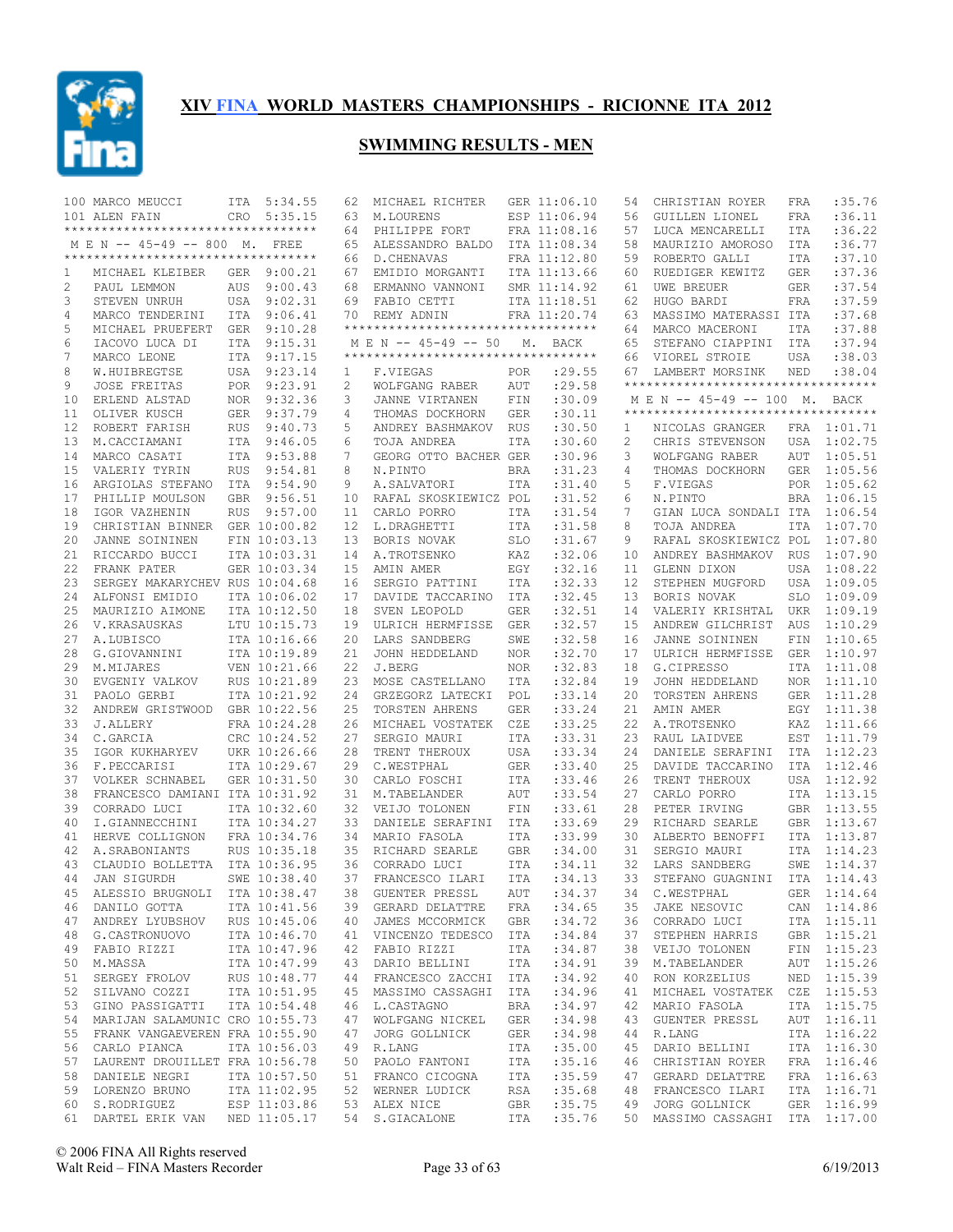

|    | 100 MARCO MEUCCI                    |            | ITA 5:34.55  | 62              | MICHAEL RICHTER                     |            | GER 11:06.10 | 54 | CHRISTIAN ROYER                    | FRA        | :35.76      |
|----|-------------------------------------|------------|--------------|-----------------|-------------------------------------|------------|--------------|----|------------------------------------|------------|-------------|
|    | 101 ALEN FAIN                       | CRO        | 5:35.15      | 63              | M.LOURENS                           |            | ESP 11:06.94 | 56 | GUILLEN LIONEL                     | FRA        | :36.11      |
|    | **********************************  |            |              | 64              | PHILIPPE FORT                       |            | FRA 11:08.16 | 57 | LUCA MENCARELLI                    | <b>ITA</b> | :36.22      |
|    | M E N -- 45-49 -- 800 M. FREE       |            |              | 65              | ALESSANDRO BALDO                    |            | ITA 11:08.34 | 58 | MAURIZIO AMOROSO                   | ITA        | :36.77      |
|    | *********************************** |            |              | 66              | D. CHENAVAS                         |            | FRA 11:12.80 | 59 | ROBERTO GALLI                      | ITA        | :37.10      |
| 1  | MICHAEL KLEIBER                     | GER        | 9:00.21      | 67              | EMIDIO MORGANTI                     |            | ITA 11:13.66 | 60 | RUEDIGER KEWITZ                    | GER        | :37.36      |
|    |                                     |            |              |                 |                                     |            |              |    |                                    |            |             |
| 2  | PAUL LEMMON                         | AUS        | 9:00.43      | 68              | ERMANNO VANNONI                     |            | SMR 11:14.92 | 61 | UWE BREUER                         | <b>GER</b> | :37.54      |
| 3  | STEVEN UNRUH                        |            | USA 9:02.31  | 69              | FABIO CETTI                         |            | ITA 11:18.51 | 62 | HUGO BARDI                         | <b>FRA</b> | :37.59      |
| 4  | MARCO TENDERINI                     |            | ITA 9:06.41  |                 | 70 REMY ADNIN                       |            | FRA 11:20.74 | 63 | MASSIMO MATERASSI ITA              |            | :37.68      |
| 5  | MICHAEL PRUEFERT GER                |            | 9:10.28      |                 | **********************************  |            |              | 64 | MARCO MACERONI                     | ITA        | :37.88      |
| 6  | IACOVO LUCA DI                      |            | ITA 9:15.31  |                 | M E N -- 45-49 -- 50                |            | M. BACK      | 65 | STEFANO CIAPPINI                   | ITA        | :37.94      |
| 7  | MARCO LEONE                         |            | ITA 9:17.15  |                 | *********************************** |            |              | 66 | VIOREL STROIE                      | USA        | :38.03      |
| 8  | W.HUIBREGTSE                        |            | USA 9:23.14  | 1               | F.VIEGAS                            | POR        | :29.55       | 67 | LAMBERT MORSINK                    | NED        | :38.04      |
| 9  | JOSE FREITAS                        |            | POR 9:23.91  | 2               | WOLFGANG RABER                      | AUT        | :29.58       |    | ********************************** |            |             |
|    |                                     |            |              |                 |                                     |            |              |    |                                    |            |             |
| 10 | ERLEND ALSTAD                       |            | NOR 9:32.36  | 3               | JANNE VIRTANEN                      | FIN        | :30.09       |    | M E N -- 45-49 -- 100 M. BACK      |            |             |
| 11 | OLIVER KUSCH                        | GER        | 9:37.79      | 4               | THOMAS DOCKHORN                     | <b>GER</b> | :30.11       |    | ********************************** |            |             |
| 12 | ROBERT FARISH                       | <b>RUS</b> | 9:40.73      | 5               | ANDREY BASHMAKOV                    | <b>RUS</b> | :30.50       | 1  | NICOLAS GRANGER                    |            | FRA 1:01.71 |
| 13 | M.CACCIAMANI                        |            | ITA 9:46.05  | 6               | TOJA ANDREA                         | ITA        | :30.60       | 2  | CHRIS STEVENSON                    | USA        | 1:02.75     |
| 14 | MARCO CASATI                        |            | ITA 9:53.88  | 7               | GEORG OTTO BACHER GER               |            | :30.96       | 3  | WOLFGANG RABER                     | AUT        | 1:05.51     |
| 15 | VALERIY TYRIN                       | <b>RUS</b> | 9:54.81      | 8               | N.PINTO                             | <b>BRA</b> | :31.23       | 4  | THOMAS DOCKHORN                    |            | GER 1:05.56 |
| 16 | ARGIOLAS STEFANO                    |            | ITA 9:54.90  | 9               | A.SALVATORI                         | ITA        | :31.40       | 5  | F.VIEGAS                           |            | POR 1:05.62 |
| 17 | PHILLIP MOULSON                     | <b>GBR</b> | 9:56.51      | 10              | RAFAL SKOSKIEWICZ POL               |            | :31.52       | 6  | N.PINTO                            | <b>BRA</b> | 1:06.15     |
|    |                                     |            |              |                 |                                     |            |              |    |                                    |            |             |
| 18 | IGOR VAZHENIN                       | <b>RUS</b> | 9:57.00      | 11              | CARLO PORRO                         | ITA        | : 31.54      | 7  | GIAN LUCA SONDALI ITA 1:06.54      |            |             |
| 19 | CHRISTIAN BINNER                    |            | GER 10:00.82 | 12 <sup>°</sup> | L.DRAGHETTI                         | ITA        | :31.58       | 8  | TOJA ANDREA                        | ITA        | 1:07.70     |
| 20 | JANNE SOININEN                      |            | FIN 10:03.13 | 13              | BORIS NOVAK                         | <b>SLO</b> | :31.67       | 9  | RAFAL SKOSKIEWICZ POL              |            | 1:07.80     |
| 21 | RICCARDO BUCCI                      |            | ITA 10:03.31 | 14              | A. TROTSENKO                        | KAZ        | :32.06       | 10 | ANDREY BASHMAKOV                   | <b>RUS</b> | 1:07.90     |
| 22 | FRANK PATER                         |            | GER 10:03.34 | 15              | AMIN AMER                           | EGY        | :32.16       | 11 | GLENN DIXON                        | USA        | 1:08.22     |
| 23 | SERGEY MAKARYCHEV RUS 10:04.68      |            |              | 16              | SERGIO PATTINI                      | ITA        | :32.33       | 12 | STEPHEN MUGFORD                    | USA        | 1:09.05     |
| 24 | ALFONSI EMIDIO                      |            | ITA 10:06.02 | 17              | DAVIDE TACCARINO                    | ITA        | :32.45       | 13 | BORIS NOVAK                        | <b>SLO</b> | 1:09.09     |
| 25 | MAURIZIO AIMONE                     |            | ITA 10:12.50 | 18              | SVEN LEOPOLD                        | <b>GER</b> | :32.51       | 14 | VALERIY KRISHTAL                   | UKR        | 1:09.19     |
|    |                                     |            |              |                 |                                     |            |              |    |                                    |            |             |
| 26 | V. KRASAUSKAS                       |            | LTU 10:15.73 | 19              | ULRICH HERMFISSE                    | GER        | :32.57       | 15 | ANDREW GILCHRIST                   | AUS        | 1:10.29     |
| 27 | A.LUBISCO                           |            | ITA 10:16.66 | 20              | LARS SANDBERG                       | SWE        | :32.58       | 16 | JANNE SOININEN                     | FIN        | 1:10.65     |
| 28 | G.GIOVANNINI                        |            | ITA 10:19.89 | 21              | JOHN HEDDELAND                      | NOR.       | :32.70       | 17 | ULRICH HERMFISSE                   | GER        | 1:10.97     |
| 29 | M.MIJARES                           |            | VEN 10:21.66 | 22              | J.BERG                              | NOR        | :32.83       | 18 | G.CIPRESSO                         |            | ITA 1:11.08 |
| 30 | EVGENIY VALKOV                      |            | RUS 10:21.89 | 23              | MOSE CASTELLANO                     | ITA        | :32.84       | 19 | JOHN HEDDELAND                     | NOR        | 1:11.10     |
| 31 | PAOLO GERBI                         |            | ITA 10:21.92 | 24              | GRZEGORZ LATECKI                    | POL        | :33.14       | 20 | TORSTEN AHRENS                     |            | GER 1:11.28 |
| 32 | ANDREW GRISTWOOD GBR 10:22.56       |            |              | 25              | TORSTEN AHRENS                      | <b>GER</b> | : 33.24      | 21 | AMIN AMER                          |            | EGY 1:11.38 |
| 33 | <b>J.ALLERY</b>                     |            | FRA 10:24.28 | 26              | MICHAEL VOSTATEK                    | CZE        | :33.25       | 22 | A.TROTSENKO                        |            | KAZ 1:11.66 |
|    |                                     |            |              |                 |                                     |            |              |    |                                    |            |             |
| 34 | C.GARCIA                            |            | CRC 10:24.52 | 27              | SERGIO MAURI                        | ITA        | : 33.31      | 23 | RAUL LAIDVEE                       |            | EST 1:11.79 |
| 35 | IGOR KUKHARYEV                      |            | UKR 10:26.66 | 28              | TRENT THEROUX                       | USA        | :33.34       | 24 | DANIELE SERAFINI                   |            | ITA 1:12.23 |
| 36 | F.PECCARISI                         |            | ITA 10:29.67 | 29              | C.WESTPHAL                          | <b>GER</b> | :33.40       | 25 | DAVIDE TACCARINO                   | ITA        | 1:12.46     |
| 37 | VOLKER SCHNABEL                     |            | GER 10:31.50 | 30              | CARLO FOSCHI                        | ITA        | : 33.46      | 26 | TRENT THEROUX                      |            | USA 1:12.92 |
| 38 | FRANCESCO DAMIANI ITA 10:31.92      |            |              | 31              | M.TABELANDER                        | AUT        | :33.54       | 27 | CARLO PORRO                        |            | ITA 1:13.15 |
| 39 | CORRADO LUCI                        |            | ITA 10:32.60 | 32 <sup>2</sup> | VEIJO TOLONEN                       | FIN        | : 33.61      | 28 | PETER IRVING                       |            | GBR 1:13.55 |
| 40 | I.GIANNECCHINI                      |            | ITA 10:34.27 | 33              | DANIELE SERAFINI                    | ITA        | :33.69       | 29 | RICHARD SEARLE                     |            | GBR 1:13.67 |
| 41 | HERVE COLLIGNON                     |            | FRA 10:34.76 | 34              | MARIO FASOLA                        | ITA        | :33.99       | 30 | ALBERTO BENOFFI                    |            | ITA 1:13.87 |
| 42 | A. SRABONIANTS                      |            | RUS 10:35.18 | 35              | RICHARD SEARLE                      | <b>GBR</b> | :34.00       | 31 | SERGIO MAURI                       | ITA        | 1:14.23     |
|    |                                     |            |              |                 |                                     |            |              |    |                                    |            |             |
| 43 | CLAUDIO BOLLETTA                    |            | ITA 10:36.95 | 36              | CORRADO LUCI                        | <b>ITA</b> | :34.11       | 32 | LARS SANDBERG                      | SWE        | 1:14.37     |
| 44 | <b>JAN SIGURDH</b>                  |            | SWE 10:38.40 | 37              | FRANCESCO ILARI                     | ITA        | :34.13       | 33 | STEFANO GUAGNINI                   | ITA        | 1:14.43     |
|    | 45 ALESSIO BRUGNOLI ITA 10:38.47    |            |              |                 | 38 GUENTER PRESSL                   | AUT        | : 34.37      |    | 34 C.WESTPHAL                      |            | GER 1:14.64 |
| 46 | DANILO GOTTA                        |            | ITA 10:41.56 |                 | 39 GERARD DELATTRE                  | FRA        | :34.65       | 35 | JAKE NESOVIC                       |            | CAN 1:14.86 |
|    | 47 ANDREY LYUBSHOV RUS 10:45.06     |            |              |                 | 40 JAMES MCCORMICK                  | GBR        | :34.72       | 36 | CORRADO LUCI                       |            | ITA 1:15.11 |
|    | 48 G.CASTRONUOVO                    |            | ITA 10:46.70 |                 | 41 VINCENZO TEDESCO ITA             |            | :34.84       | 37 | STEPHEN HARRIS                     |            | GBR 1:15.21 |
|    | 49 FABIO RIZZI                      |            | ITA 10:47.96 |                 | 42 FABIO RIZZI                      | ITA        | :34.87       | 38 | VEIJO TOLONEN                      |            | FIN 1:15.23 |
|    |                                     |            | ITA 10:47.99 |                 |                                     |            |              |    | M.TABELANDER                       |            | AUT 1:15.26 |
| 50 | M.MASSA                             |            |              | 43              | DARIO BELLINI                       | ITA        | :34.91       | 39 |                                    |            |             |
| 51 | SERGEY FROLOV                       |            | RUS 10:48.77 |                 | 44 FRANCESCO ZACCHI ITA             |            | :34.92       | 40 | RON KORZELIUS                      |            | NED 1:15.39 |
| 52 | SILVANO COZZI                       |            | ITA 10:51.95 |                 | 45 MASSIMO CASSAGHI                 | ITA        | :34.96       | 41 | MICHAEL VOSTATEK                   |            | CZE 1:15.53 |
| 53 | GINO PASSIGATTI                     |            | ITA 10:54.48 |                 | 46 L.CASTAGNO                       | BRA        | :34.97       | 42 | MARIO FASOLA                       |            | ITA 1:15.75 |
| 54 | MARIJAN SALAMUNIC CRO 10:55.73      |            |              |                 | 47 WOLFGANG NICKEL                  | GER        | :34.98       | 43 | GUENTER PRESSL                     |            | AUT 1:16.11 |
| 55 | FRANK VANGAEVEREN FRA 10:55.90      |            |              | 47              | JORG GOLLNICK                       | GER        | :34.98       | 44 | R.LANG                             |            | ITA 1:16.22 |
| 56 | CARLO PIANCA                        |            | ITA 10:56.03 | 49              | R.LANG                              | ITA        | :35.00       | 45 | DARIO BELLINI                      |            | ITA 1:16.30 |
| 57 | LAURENT DROUILLET FRA 10:56.78      |            |              |                 | 50 PAOLO FANTONI                    | ITA        | :35.16       | 46 | CHRISTIAN ROYER                    |            | FRA 1:16.46 |
|    | DANIELE NEGRI                       |            | ITA 10:57.50 |                 | 51 FRANCO CICOGNA                   | ITA        | :35.59       | 47 | GERARD DELATTRE                    |            | FRA 1:16.63 |
| 58 |                                     |            |              |                 |                                     |            |              |    |                                    |            |             |
|    | 59 LORENZO BRUNO                    |            | ITA 11:02.95 |                 | 52 WERNER LUDICK                    | RSA        | :35.68       | 48 | FRANCESCO ILARI                    |            | ITA 1:16.71 |
| 60 | S.RODRIGUEZ                         |            | ESP 11:03.86 |                 | 53 ALEX NICE                        | GBR        | :35.75       | 49 | JORG GOLLNICK                      |            | GER 1:16.99 |
|    | 61 DARTEL ERIK VAN NED 11:05.17     |            |              |                 | 54 S.GIACALONE                      | ITA        | :35.76       |    | 50 MASSIMO CASSAGHI ITA 1:17.00    |            |             |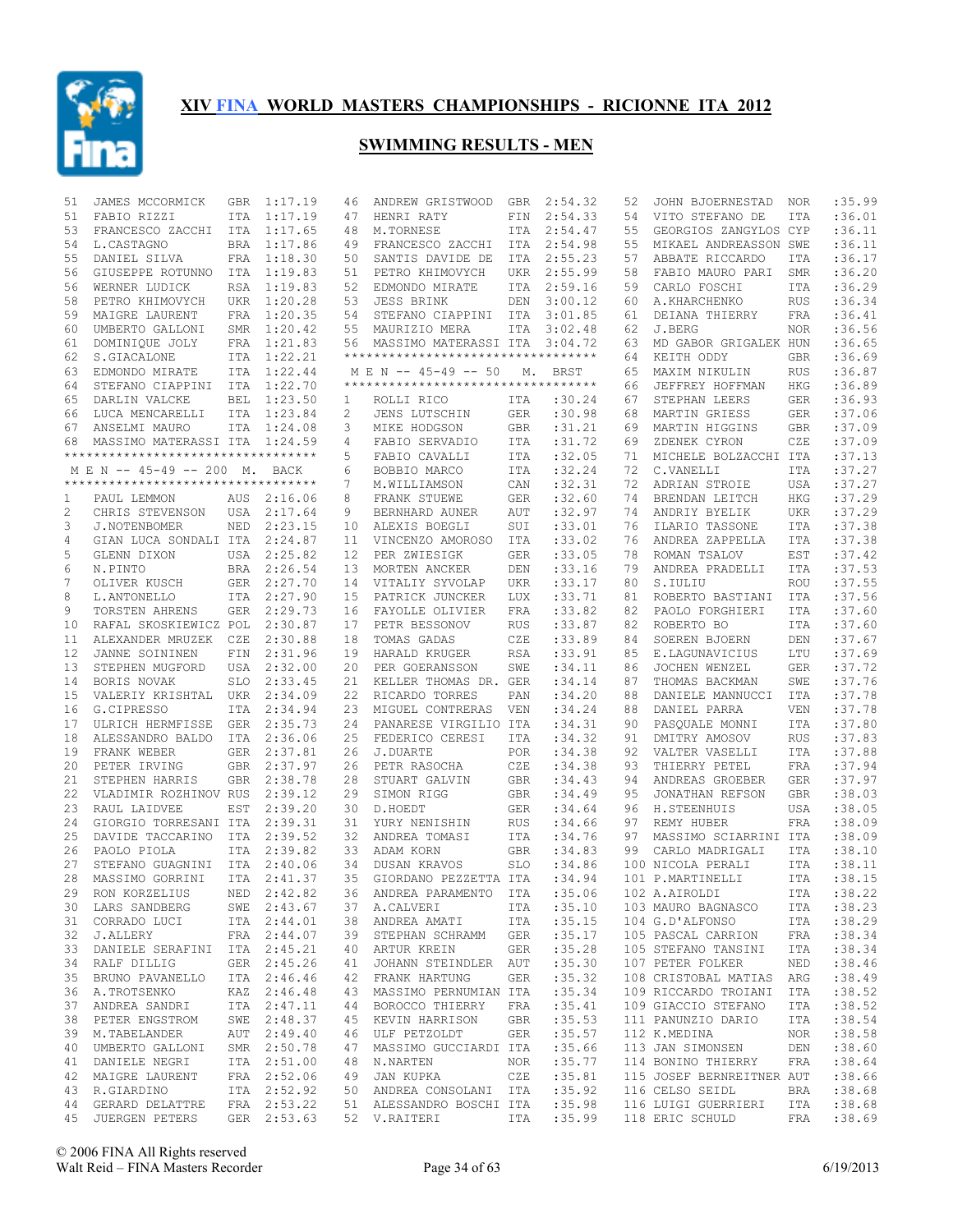

| 51             | JAMES MCCORMICK                                             | GBR        | 1:17.19     | 46                | ANDREW GRISTWOOD                              | GBR        | 2:54.32     | 52 | JOHN BJOERNESTAD          | NOR        | :35.99            |
|----------------|-------------------------------------------------------------|------------|-------------|-------------------|-----------------------------------------------|------------|-------------|----|---------------------------|------------|-------------------|
| 51             | FABIO RIZZI                                                 | ITA        | 1:17.19     | 47                | HENRI RATY                                    | FIN        | 2:54.33     | 54 | VITO STEFANO DE           | ITA        | :36.01            |
| 53             | FRANCESCO ZACCHI                                            | ITA        | 1:17.65     | 48                | M.TORNESE                                     | ITA        | 2:54.47     | 55 | GEORGIOS ZANGYLOS CYP     |            | :36.11            |
| 54             | L.CASTAGNO                                                  | <b>BRA</b> | 1:17.86     | 49                | FRANCESCO ZACCHI                              | ITA        | 2:54.98     | 55 | MIKAEL ANDREASSON SWE     |            | :36.11            |
| 55             | DANIEL SILVA                                                |            | FRA 1:18.30 | 50                | SANTIS DAVIDE DE                              | ITA        | 2:55.23     | 57 | ABBATE RICCARDO           | ITA        | :36.17            |
| 56             | GIUSEPPE ROTUNNO                                            | ITA        | 1:19.83     | 51                | PETRO KHIMOVYCH                               | UKR        | 2:55.99     | 58 | FABIO MAURO PARI          | <b>SMR</b> | :36.20            |
| 56             | WERNER LUDICK                                               |            | RSA 1:19.83 | 52                | EDMONDO MIRATE                                | ITA        | 2:59.16     | 59 | CARLO FOSCHI              | <b>ITA</b> | :36.29            |
| 58             | PETRO KHIMOVYCH                                             | UKR        | 1:20.28     | 53                | <b>JESS BRINK</b>                             | DEN        | 3:00.12     | 60 | A.KHARCHENKO              | <b>RUS</b> | :36.34            |
| 59             | MAIGRE LAURENT                                              | FRA        | 1:20.35     | 54                | STEFANO CIAPPINI                              | ITA        | 3:01.85     | 61 | DEIANA THIERRY            | FRA        | :36.41            |
| 60             | UMBERTO GALLONI                                             | SMR        | 1:20.42     | 55                | MAURIZIO MERA                                 | ITA        | 3:02.48     | 62 | J.BERG                    | NOR.       | :36.56            |
| 61             | DOMINIQUE JOLY                                              |            | FRA 1:21.83 | 56                | MASSIMO MATERASSI ITA                         |            | 3:04.72     | 63 | MD GABOR GRIGALEK HUN     |            | :36.65            |
| 62             | S.GIACALONE                                                 | ITA        | 1:22.21     |                   | ***********************************           |            |             | 64 | KEITH ODDY                | <b>GBR</b> | :36.69            |
| 63             | EDMONDO MIRATE                                              |            | ITA 1:22.44 |                   | M E N -- 45-49 -- 50                          | М.         | <b>BRST</b> | 65 | MAXIM NIKULIN             | <b>RUS</b> | :36.87            |
| 64             | STEFANO CIAPPINI                                            | ITA        | 1:22.70     |                   | **********************************            |            |             | 66 | JEFFREY HOFFMAN           | <b>HKG</b> | :36.89            |
| 65             | DARLIN VALCKE                                               | <b>BEL</b> | 1:23.50     | 1                 | ROLLI RICO                                    | ITA        | :30.24      | 67 | STEPHAN LEERS             | <b>GER</b> | :36.93            |
| 66             | LUCA MENCARELLI                                             | <b>ITA</b> | 1:23.84     | 2                 | <b>JENS LUTSCHIN</b>                          | <b>GER</b> | :30.98      | 68 | MARTIN GRIESS             | <b>GER</b> | :37.06            |
| 67             |                                                             |            | ITA 1:24.08 | 3                 | MIKE HODGSON                                  | GBR        | : 31.21     | 69 | MARTIN HIGGINS            | <b>GBR</b> | :37.09            |
|                | ANSELMI MAURO                                               |            |             |                   |                                               |            |             |    |                           |            |                   |
| 68             | MASSIMO MATERASSI ITA<br>********************************** |            | 1:24.59     | 4                 | FABIO SERVADIO                                | ITA        | :31.72      | 69 | ZDENEK CYRON              | CZE        | :37.09            |
|                |                                                             |            |             | 5                 | FABIO CAVALLI                                 | ITA        | :32.05      | 71 | MICHELE BOLZACCHI ITA     |            | :37.13            |
|                | M E N -- 45-49 -- 200 M. BACK                               |            |             | 6                 | BOBBIO MARCO                                  | ITA        | :32.24      | 72 | C.VANELLI                 | <b>ITA</b> | :37.27            |
|                | ***********************************                         |            |             | 7                 | M.WILLIAMSON                                  | CAN        | :32.31      | 72 | ADRIAN STROIE             | USA        | :37.27            |
| 1              | PAUL LEMMON                                                 | AUS        | 2:16.06     | 8                 | FRANK STUEWE                                  | <b>GER</b> | :32.60      | 74 | BRENDAN LEITCH            | <b>HKG</b> | :37.29            |
| $\overline{c}$ | CHRIS STEVENSON                                             | USA        | 2:17.64     | 9                 | BERNHARD AUNER                                | AUT        | :32.97      | 74 | ANDRIY BYELIK             | <b>UKR</b> | :37.29            |
| 3              | J.NOTENBOMER                                                | <b>NED</b> | 2:23.15     | 10                | ALEXIS BOEGLI                                 | SUI        | :33.01      | 76 | ILARIO TASSONE            | <b>ITA</b> | :37.38            |
| 4              | GIAN LUCA SONDALI ITA                                       |            | 2:24.87     | 11                | VINCENZO AMOROSO                              | ITA        | :33.02      | 76 | ANDREA ZAPPELLA           | <b>ITA</b> | :37.38            |
| 5              | GLENN DIXON                                                 | USA        | 2:25.82     | $12 \overline{ }$ | PER ZWIESIGK                                  | <b>GER</b> | :33.05      | 78 | ROMAN TSALOV              | <b>EST</b> | :37.42            |
| 6              | N.PINTO                                                     | BRA        | 2:26.54     | 13                | MORTEN ANCKER                                 | DEN        | :33.16      | 79 | ANDREA PRADELLI           | ITA        | :37.53            |
| 7              | OLIVER KUSCH                                                | <b>GER</b> | 2:27.70     | 14                | VITALIY SYVOLAP                               | <b>UKR</b> | :33.17      | 80 | S.IULIU                   | <b>ROU</b> | :37.55            |
| 8              | L. ANTONELLO                                                | ITA        | 2:27.90     | 15                | PATRICK JUNCKER                               | LUX        | :33.71      | 81 | ROBERTO BASTIANI          | <b>ITA</b> | :37.56            |
| 9              | TORSTEN AHRENS                                              | <b>GER</b> | 2:29.73     | 16                | FAYOLLE OLIVIER                               | <b>FRA</b> | :33.82      | 82 | PAOLO FORGHIERI           | <b>ITA</b> | :37.60            |
| 10             | RAFAL SKOSKIEWICZ POL                                       |            | 2:30.87     | 17                | PETR BESSONOV                                 | <b>RUS</b> | :33.87      | 82 | ROBERTO BO                | ITA        | :37.60            |
| 11             | ALEXANDER MRUZEK CZE                                        |            | 2:30.88     | 18                | TOMAS GADAS                                   | CZE        | :33.89      | 84 | SOEREN BJOERN             | DEN        | :37.67            |
| 12             | JANNE SOININEN                                              | FIN        | 2:31.96     | 19                | HARALD KRUGER                                 | <b>RSA</b> | : 33.91     | 85 | E.LAGUNAVICIUS            | LTU        | :37.69            |
| 13             | STEPHEN MUGFORD                                             | USA        | 2:32.00     | 20                | PER GOERANSSON                                | SWE        | :34.11      | 86 | JOCHEN WENZEL             | <b>GER</b> | :37.72            |
| 14             | BORIS NOVAK                                                 | <b>SLO</b> | 2:33.45     | 21                | KELLER THOMAS DR. GER                         |            | : 34.14     |    | THOMAS BACKMAN            | SWE        | :37.76            |
|                |                                                             |            |             |                   |                                               |            |             | 87 |                           |            |                   |
| 15             | VALERIY KRISHTAL                                            | UKR        | 2:34.09     | 22                | RICARDO TORRES                                | PAN        | :34.20      | 88 | DANIELE MANNUCCI          | ITA        | :37.78            |
| 16             | G.CIPRESSO                                                  | ITA        | 2:34.94     | 23                | MIGUEL CONTRERAS                              | <b>VEN</b> | : 34.24     | 88 | DANIEL PARRA              | <b>VEN</b> | :37.78            |
| 17             | ULRICH HERMFISSE                                            | GER        | 2:35.73     | 24                | PANARESE VIRGILIO ITA                         |            | :34.31      | 90 | PASQUALE MONNI            | <b>ITA</b> | :37.80            |
| 18             | ALESSANDRO BALDO                                            | ITA        | 2:36.06     | 25                | FEDERICO CERESI                               | ITA        | :34.32      | 91 | DMITRY AMOSOV             | <b>RUS</b> | :37.83            |
| 19             | FRANK WEBER                                                 | GER        | 2:37.81     | 26                | J.DUARTE                                      | POR        | :34.38      | 92 | VALTER VASELLI            | <b>ITA</b> | :37.88            |
| 20             | PETER IRVING                                                | <b>GBR</b> | 2:37.97     | 26                | PETR RASOCHA                                  | CZE        | :34.38      | 93 | THIERRY PETEL             | <b>FRA</b> | :37.94            |
| 21             | STEPHEN HARRIS                                              | <b>GBR</b> | 2:38.78     | 28                | STUART GALVIN                                 | <b>GBR</b> | : 34.43     | 94 | ANDREAS GROEBER           | <b>GER</b> | :37.97            |
| 22             | VLADIMIR ROZHINOV RUS                                       |            | 2:39.12     | 29                | SIMON RIGG                                    | GBR        | :34.49      | 95 | JONATHAN REFSON           | <b>GBR</b> | :38.03            |
| 23             | RAUL LAIDVEE                                                | EST        | 2:39.20     | 30                | D.HOEDT                                       | <b>GER</b> | :34.64      | 96 | H. STEENHUIS              | <b>USA</b> | :38.05            |
| 24             | GIORGIO TORRESANI ITA                                       |            | 2:39.31     | 31                | YURY NENISHIN                                 | <b>RUS</b> | :34.66      | 97 | REMY HUBER                | <b>FRA</b> | :38.09            |
| 25             | DAVIDE TACCARINO                                            | ITA        | 2:39.52     | 32                | ANDREA TOMASI                                 | ITA        | :34.76      | 97 | MASSIMO SCIARRINI ITA     |            | :38.09            |
| 26             | PAOLO PIOLA                                                 | <b>ITA</b> | 2:39.82     | 33                | ADAM KORN                                     | <b>GBR</b> | :34.83      | 99 | CARLO MADRIGALI           | ITA        | :38.10            |
| 27             | STEFANO GUAGNINI                                            | ITA        | 2:40.06     | 34                | DUSAN KRAVOS                                  | <b>SLO</b> | :34.86      |    | 100 NICOLA PERALI         | <b>ITA</b> | :38.11            |
| 28             | MASSIMO GORRINI                                             | <b>ITA</b> | 2:41.37     | 35                | GIORDANO PEZZETTA ITA                         |            | :34.94      |    | 101 P.MARTINELLI          | <b>ITA</b> | :38.15            |
| 29             | RON KORZELIUS                                               |            | NED 2:42.82 |                   | 36 ANDREA PARAMENTO ITA : 35.06 102 A.AIROLDI |            |             |    |                           |            | ITA : 38.22       |
|                |                                                             |            |             |                   | 37 A.CALVERI ITA                              |            | :35.10      |    | 103 MAURO BAGNASCO        | ITA        | : 38.23           |
|                | 30 LARS SANDBERG SWE 2:43.67<br>31 CORRADO LUCI ITA 2:44.01 |            |             |                   | 38 ANDREA AMATI ITA :35.15                    |            |             |    | 104 G.D'ALFONSO           | ITA        | :38.29            |
|                | 32 J.ALLERY                                                 |            | FRA 2:44.07 |                   | 39 STEPHAN SCHRAMM GER                        |            | :35.17      |    | 105 PASCAL CARRION        | FRA        | :38.34            |
|                | 33 DANIELE SERAFINI ITA 2:45.21                             |            |             |                   | 40 ARTUR KREIN                                |            | GER : 35.28 |    | 105 STEFANO TANSINI       | ITA        | :38.34            |
| 34             | RALF DILLIG                                                 |            | GER 2:45.26 |                   | 41 JOHANN STEINDLER AUT                       |            | :35.30      |    | 107 PETER FOLKER          | NED        | : 38.46           |
|                | 35 BRUNO PAVANELLO                                          |            | ITA 2:46.46 |                   | 42 FRANK HARTUNG GER                          |            | : 35.32     |    | 108 CRISTOBAL MATIAS ARG  |            |                   |
|                |                                                             |            |             |                   |                                               |            |             |    |                           |            | :38.49<br>: 38.52 |
|                | 36 A.TROTSENKO                                              |            | KAZ 2:46.48 |                   | 43 MASSIMO PERNUMIAN ITA                      |            | : 35.34     |    | 109 RICCARDO TROIANI      | ITA        |                   |
|                | 37 ANDREA SANDRI                                            |            | ITA 2:47.11 |                   | 44 BOROCCO THIERRY FRA : 35.41                |            |             |    | 109 GIACCIO STEFANO       | ITA        | : 38.52           |
| 38             | PETER ENGSTROM                                              |            | SWE 2:48.37 |                   | 45 KEVIN HARRISON GBR                         |            | :35.53      |    | 111 PANUNZIO DARIO        | ITA        | :38.54            |
|                | 39 M.TABELANDER                                             |            | AUT 2:49.40 |                   | 46 ULF PETZOLDT GER :35.57                    |            |             |    | 112 K.MEDINA              | NOR        | :38.58            |
| 40             | UMBERTO GALLONI                                             |            | SMR 2:50.78 |                   | 47 MASSIMO GUCCIARDI ITA :35.66               |            |             |    | 113 JAN SIMONSEN          | DEN        | :38.60            |
|                | 41 DANIELE NEGRI                                            |            | ITA 2:51.00 |                   | 48 N.NARTEN                                   |            | NOR : 35.77 |    | 114 BONINO THIERRY        | FRA        | :38.64            |
| 42             | MAIGRE LAURENT                                              |            | FRA 2:52.06 |                   | 49 JAN KUPKA CZE                              |            | :35.81      |    | 115 JOSEF BERNREITNER AUT |            | :38.66            |
|                | 43 R.GIARDINO                                               |            | ITA 2:52.92 |                   | 50 ANDREA CONSOLANI ITA :35.92                |            |             |    | 116 CELSO SEIDL           | BRA        | : 38.68           |
|                | 44 GERARD DELATTRE FRA 2:53.22                              |            |             |                   | 51 ALESSANDRO BOSCHI ITA :35.98               |            |             |    | 116 LUIGI GUERRIERI       | ITA        | :38.68            |
|                | 45 JUERGEN PETERS GER 2:53.63                               |            |             |                   | 52 V.RAITERI 1TA : 35.99 118 ERIC SCHULD FRA  |            |             |    |                           |            | :38.69            |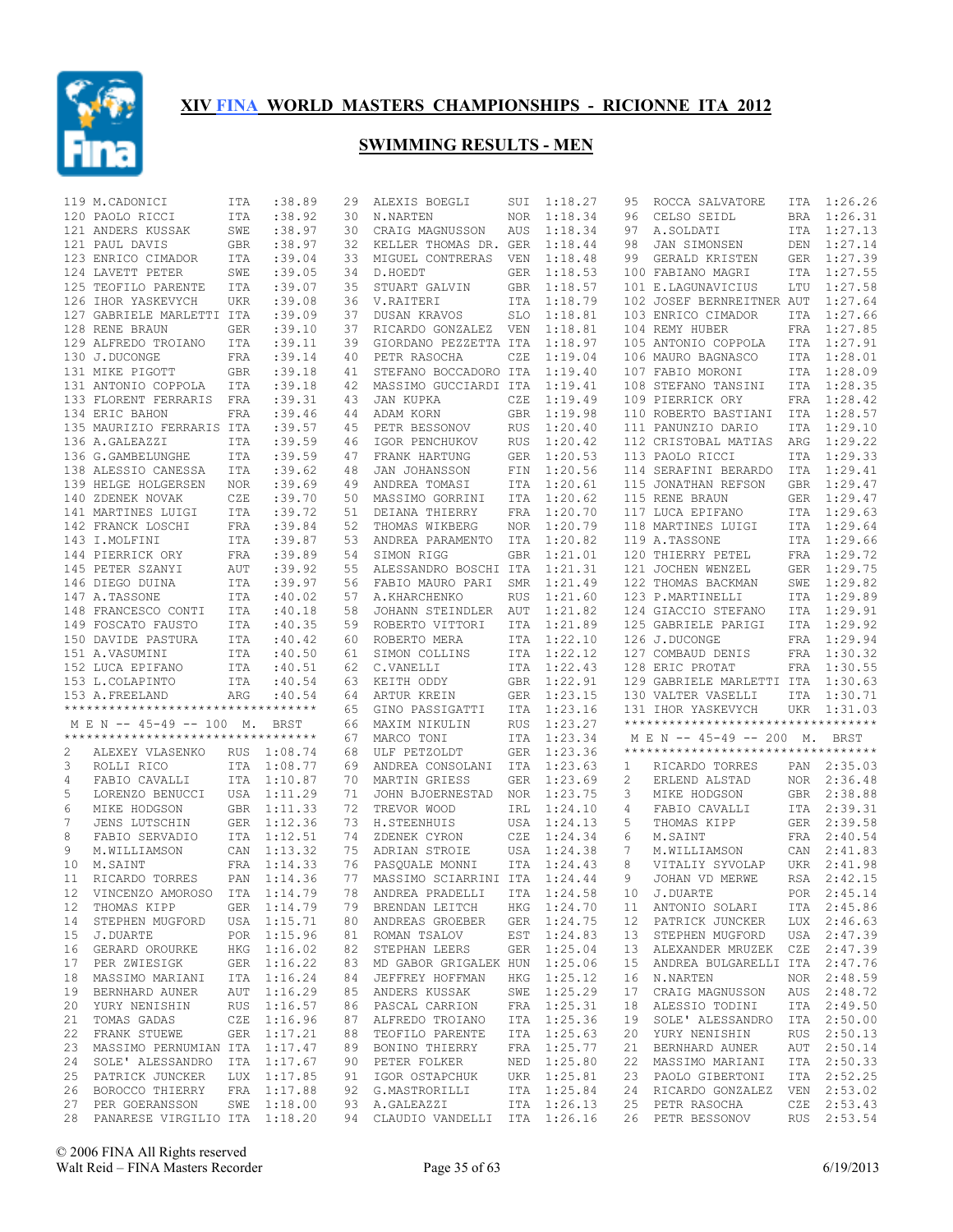

|    | 119 M.CADONICI                                       | ITA        | :38.89      | 29 | ALEXIS BOEGLI                  | SUI        | 1:18.27     | 95 | ROCCA SALVATORE                    | ITA | 1:26.26     |
|----|------------------------------------------------------|------------|-------------|----|--------------------------------|------------|-------------|----|------------------------------------|-----|-------------|
|    | 120 PAOLO RICCI                                      | ITA        | : 38.92     | 30 | N.NARTEN                       | NOR.       | 1:18.34     | 96 | CELSO SEIDL                        | BRA | 1:26.31     |
|    | 121 ANDERS KUSSAK                                    | SWE        | : 38.97     | 30 | CRAIG MAGNUSSON                | AUS        | 1:18.34     | 97 | A.SOLDATI                          |     | ITA 1:27.13 |
|    | 121 PAUL DAVIS                                       | GBR        | :38.97      | 32 | KELLER THOMAS DR. GER          |            | 1:18.44     | 98 | JAN SIMONSEN                       | DEN | 1:27.14     |
|    | 123 ENRICO CIMADOR                                   | ITA        | :39.04      | 33 | MIGUEL CONTRERAS               | VEN        | 1:18.48     | 99 | GERALD KRISTEN                     |     | GER 1:27.39 |
|    | 124 LAVETT PETER                                     | SWE        | :39.05      | 34 | D.HOEDT                        | GER        | 1:18.53     |    | 100 FABIANO MAGRI                  | ITA | 1:27.55     |
|    | 125 TEOFILO PARENTE                                  | ITA        | :39.07      | 35 | STUART GALVIN                  | <b>GBR</b> | 1:18.57     |    | 101 E.LAGUNAVICIUS                 |     | LTU 1:27.58 |
|    | 126 IHOR YASKEVYCH                                   | UKR        | :39.08      | 36 | V.RAITERI                      | ITA        | 1:18.79     |    | 102 JOSEF BERNREITNER AUT          |     | 1:27.64     |
|    | 127 GABRIELE MARLETTI ITA                            |            | :39.09      | 37 | DUSAN KRAVOS                   | <b>SLO</b> | 1:18.81     |    | 103 ENRICO CIMADOR                 | ITA | 1:27.66     |
|    | 128 RENE BRAUN                                       | GER        | :39.10      | 37 | RICARDO GONZALEZ               | VEN        | 1:18.81     |    | 104 REMY HUBER                     | FRA | 1:27.85     |
|    | 129 ALFREDO TROIANO                                  | ITA        | : 39.11     | 39 | GIORDANO PEZZETTA ITA          |            | 1:18.97     |    | 105 ANTONIO COPPOLA                |     | ITA 1:27.91 |
|    | 130 J.DUCONGE                                        | FRA        | : 39.14     | 40 | PETR RASOCHA                   | CZE        | 1:19.04     |    | 106 MAURO BAGNASCO                 | ITA | 1:28.01     |
|    | 131 MIKE PIGOTT                                      | <b>GBR</b> | :39.18      | 41 | STEFANO BOCCADORO ITA          |            | 1:19.40     |    | 107 FABIO MORONI                   |     | ITA 1:28.09 |
|    | 131 ANTONIO COPPOLA                                  | ITA        | :39.18      | 42 | MASSIMO GUCCIARDI ITA          |            | 1:19.41     |    | 108 STEFANO TANSINI                |     | ITA 1:28.35 |
|    | 133 FLORENT FERRARIS                                 | FRA        | :39.31      | 43 | JAN KUPKA                      | CZE        | 1:19.49     |    | 109 PIERRICK ORY                   |     | FRA 1:28.42 |
|    | 134 ERIC BAHON                                       | FRA        | :39.46      | 44 | ADAM KORN                      | <b>GBR</b> | 1:19.98     |    | 110 ROBERTO BASTIANI               |     | ITA 1:28.57 |
|    | 135 MAURIZIO FERRARIS ITA                            |            | :39.57      | 45 | PETR BESSONOV                  | <b>RUS</b> | 1:20.40     |    | 111 PANUNZIO DARIO                 | ITA | 1:29.10     |
|    | 136 A.GALEAZZI                                       | <b>ITA</b> | :39.59      | 46 | IGOR PENCHUKOV                 | <b>RUS</b> | 1:20.42     |    | 112 CRISTOBAL MATIAS               | ARG | 1:29.22     |
|    | 136 G.GAMBELUNGHE                                    | ITA        | :39.59      | 47 | FRANK HARTUNG                  | <b>GER</b> | 1:20.53     |    | 113 PAOLO RICCI                    |     | ITA 1:29.33 |
|    | 138 ALESSIO CANESSA                                  | ITA        | :39.62      | 48 | JAN JOHANSSON                  | FIN        | 1:20.56     |    | 114 SERAFINI BERARDO               | ITA | 1:29.41     |
|    | 139 HELGE HOLGERSEN                                  | NOR        | :39.69      | 49 | ANDREA TOMASI                  | ITA        | 1:20.61     |    | 115 JONATHAN REFSON                | GBR | 1:29.47     |
|    | 140 ZDENEK NOVAK                                     |            | :39.70      |    |                                |            | 1:20.62     |    | 115 RENE BRAUN                     |     | 1:29.47     |
|    |                                                      | CZE        |             | 50 | MASSIMO GORRINI                | ITA        |             |    |                                    | GER | ITA 1:29.63 |
|    | 141 MARTINES LUIGI                                   | ITA        | :39.72      | 51 | DEIANA THIERRY                 | FRA        | 1:20.70     |    | 117 LUCA EPIFANO                   |     |             |
|    | 142 FRANCK LOSCHI                                    | FRA        | :39.84      | 52 | THOMAS WIKBERG                 | <b>NOR</b> | 1:20.79     |    | 118 MARTINES LUIGI                 |     | ITA 1:29.64 |
|    | 143 I.MOLFINI                                        | <b>ITA</b> | :39.87      | 53 | ANDREA PARAMENTO               | ITA        | 1:20.82     |    | 119 A.TASSONE                      |     | ITA 1:29.66 |
|    | 144 PIERRICK ORY                                     | FRA        | :39.89      | 54 | SIMON RIGG                     | <b>GBR</b> | 1:21.01     |    | 120 THIERRY PETEL                  | FRA | 1:29.72     |
|    | 145 PETER SZANYI                                     | AUT        | :39.92      | 55 | ALESSANDRO BOSCHI ITA          |            | 1:21.31     |    | 121 JOCHEN WENZEL                  | GER | 1:29.75     |
|    | 146 DIEGO DUINA                                      | ITA        | :39.97      | 56 | FABIO MAURO PARI               | <b>SMR</b> | 1:21.49     |    | 122 THOMAS BACKMAN                 | SWE | 1:29.82     |
|    | 147 A.TASSONE                                        | ITA        | :40.02      | 57 | A.KHARCHENKO                   | <b>RUS</b> | 1:21.60     |    | 123 P.MARTINELLI                   | ITA | 1:29.89     |
|    | 148 FRANCESCO CONTI                                  | ITA        | :40.18      | 58 | JOHANN STEINDLER               | AUT        | 1:21.82     |    | 124 GIACCIO STEFANO                | ITA | 1:29.91     |
|    | 149 FOSCATO FAUSTO                                   | ITA        | :40.35      | 59 | ROBERTO VITTORI                | ITA        | 1:21.89     |    | 125 GABRIELE PARIGI                | ITA | 1:29.92     |
|    | 150 DAVIDE PASTURA                                   | ITA        | :40.42      | 60 | ROBERTO MERA                   | ITA        | 1:22.10     |    | 126 J.DUCONGE                      |     | FRA 1:29.94 |
|    |                                                      | ITA        | :40.50      | 61 | SIMON COLLINS                  | ITA        | 1:22.12     |    | 127 COMBAUD DENIS                  | FRA | 1:30.32     |
|    | 151 A.VASUMINI                                       |            |             |    |                                |            |             |    |                                    |     |             |
|    |                                                      |            |             |    |                                |            |             |    |                                    |     |             |
|    | 152 LUCA EPIFANO                                     | ITA        | :40.51      | 62 | C.VANELLI                      | ITA        | 1:22.43     |    | 128 ERIC PROTAT                    |     | FRA 1:30.55 |
|    | 153 L.COLAPINTO                                      | ITA        | :40.54      | 63 | KEITH ODDY                     | GBR        | 1:22.91     |    | 129 GABRIELE MARLETTI ITA          |     | 1:30.63     |
|    | 153 A.FREELAND<br>********************************** | ARG        | :40.54      | 64 | ARTUR KREIN                    | GER        | 1:23.15     |    | 130 VALTER VASELLI                 | ITA | 1:30.71     |
|    |                                                      |            |             | 65 | GINO PASSIGATTI                | ITA        | 1:23.16     |    | 131 IHOR YASKEVYCH                 | UKR | 1:31.03     |
|    | M E N -- 45-49 -- 100 M. BRST                        |            |             | 66 | MAXIM NIKULIN                  | <b>RUS</b> | 1:23.27     |    | ********************************** |     |             |
|    | **********************************                   |            |             | 67 | MARCO TONI                     | ITA        | 1:23.34     |    | M E N -- 45-49 -- 200 M.           |     | BRST        |
| 2  | ALEXEY VLASENKO                                      |            | RUS 1:08.74 | 68 | ULF PETZOLDT                   | <b>GER</b> | 1:23.36     |    | ********************************** |     |             |
| 3  | ROLLI RICO                                           |            | ITA 1:08.77 | 69 | ANDREA CONSOLANI               | ITA        | 1:23.63     | 1  | RICARDO TORRES                     |     | PAN 2:35.03 |
| 4  | FABIO CAVALLI                                        |            | ITA 1:10.87 | 70 | MARTIN GRIESS                  | <b>GER</b> | 1:23.69     | 2  | ERLEND ALSTAD                      |     | NOR 2:36.48 |
| 5  | LORENZO BENUCCI                                      |            | USA 1:11.29 | 71 | JOHN BJOERNESTAD               | NOR        | 1:23.75     | 3  | MIKE HODGSON                       |     | GBR 2:38.88 |
| 6  | MIKE HODGSON                                         |            | GBR 1:11.33 | 72 | TREVOR WOOD                    | IRL        | 1:24.10     | 4  | FABIO CAVALLI                      |     | ITA 2:39.31 |
| 7  | JENS LUTSCHIN                                        |            | GER 1:12.36 | 73 | H.STEENHUIS                    | USA        | 1:24.13     | 5  | THOMAS KIPP                        | GER | 2:39.58     |
| 8  | FABIO SERVADIO                                       |            | ITA 1:12.51 | 74 | ZDENEK CYRON                   | CZE        | 1:24.34     | 6  | M.SAINT                            |     | FRA 2:40.54 |
| 9  | M.WILLIAMSON                                         |            | CAN 1:13.32 | 75 | ADRIAN STROIE                  | USA        | 1:24.38     | 7  | M.WILLIAMSON                       | CAN | 2:41.83     |
| 10 | M.SAINT                                              |            | FRA 1:14.33 | 76 | PASQUALE MONNI                 | ITA        | 1:24.43     | 8  | VITALIY SYVOLAP                    | UKR | 2:41.98     |
| 11 | RICARDO TORRES                                       | PAN        | 1:14.36     | 77 | MASSIMO SCIARRINI ITA          |            | 1:24.44     | 9  | JOHAN VD MERWE                     | RSA | 2:42.15     |
|    | 12 VINCENZO AMOROSO ITA 1:14.79                      |            |             |    |                                |            |             |    |                                    |     |             |
|    |                                                      |            |             |    | 78 ANDREA PRADELLI ITA 1:24.58 |            |             |    | 10 J.DUARTE                        |     | POR 2:45.14 |
| 12 | THOMAS KIPP                                          |            | GER 1:14.79 |    | 79 BRENDAN LEITCH              |            | HKG 1:24.70 |    | 11 ANTONIO SOLARI                  |     | ITA 2:45.86 |
|    | 14 STEPHEN MUGFORD USA 1:15.71                       |            |             |    | 80 ANDREAS GROEBER             |            | GER 1:24.75 |    | 12 PATRICK JUNCKER LUX 2:46.63     |     |             |
| 15 | J.DUARTE                                             |            | POR 1:15.96 |    | 81 ROMAN TSALOV                |            | EST 1:24.83 | 13 | STEPHEN MUGFORD                    |     | USA 2:47.39 |
| 16 | GERARD OROURKE                                       |            | HKG 1:16.02 |    | 82 STEPHAN LEERS               |            | GER 1:25.04 | 13 | ALEXANDER MRUZEK CZE 2:47.39       |     |             |
| 17 | PER ZWIESIGK                                         |            | GER 1:16.22 | 83 | MD GABOR GRIGALEK HUN 1:25.06  |            |             | 15 | ANDREA BULGARELLI ITA 2:47.76      |     |             |
|    | 18 MASSIMO MARIANI                                   |            | ITA 1:16.24 | 84 | JEFFREY HOFFMAN                |            | HKG 1:25.12 | 16 | N.NARTEN                           |     | NOR 2:48.59 |
| 19 | BERNHARD AUNER                                       |            | AUT 1:16.29 |    | 85 ANDERS KUSSAK               |            | SWE 1:25.29 | 17 | CRAIG MAGNUSSON                    |     | AUS 2:48.72 |
|    | 20 YURY NENISHIN                                     |            | RUS 1:16.57 |    | 86 PASCAL CARRION              |            | FRA 1:25.31 | 18 | ALESSIO TODINI                     |     | ITA 2:49.50 |
| 21 | TOMAS GADAS                                          |            | CZE 1:16.96 |    | 87 ALFREDO TROIANO             |            | ITA 1:25.36 | 19 | SOLE' ALESSANDRO                   |     | ITA 2:50.00 |
| 22 | FRANK STUEWE                                         |            | GER 1:17.21 |    | 88 TEOFILO PARENTE             |            | ITA 1:25.63 | 20 | YURY NENISHIN                      |     | RUS 2:50.13 |
| 23 | MASSIMO PERNUMIAN ITA 1:17.47                        |            |             |    | 89 BONINO THIERRY              |            | FRA 1:25.77 | 21 | BERNHARD AUNER                     |     | AUT 2:50.14 |
| 24 | SOLE' ALESSANDRO ITA 1:17.67                         |            |             |    | 90 PETER FOLKER                |            | NED 1:25.80 | 22 | MASSIMO MARIANI                    |     | ITA 2:50.33 |
| 25 | PATRICK JUNCKER                                      |            | LUX 1:17.85 |    | 91 IGOR OSTAPCHUK              |            | UKR 1:25.81 | 23 | PAOLO GIBERTONI                    |     | ITA 2:52.25 |
|    | 26 BOROCCO THIERRY                                   |            | FRA 1:17.88 |    | 92 G.MASTRORILLI               |            | ITA 1:25.84 | 24 | RICARDO GONZALEZ VEN 2:53.02       |     |             |
|    | 27 PER GOERANSSON                                    |            | SWE 1:18.00 |    | 93 A.GALEAZZI                  |            | ITA 1:26.13 |    | 25 PETR RASOCHA                    |     | CZE 2:53.43 |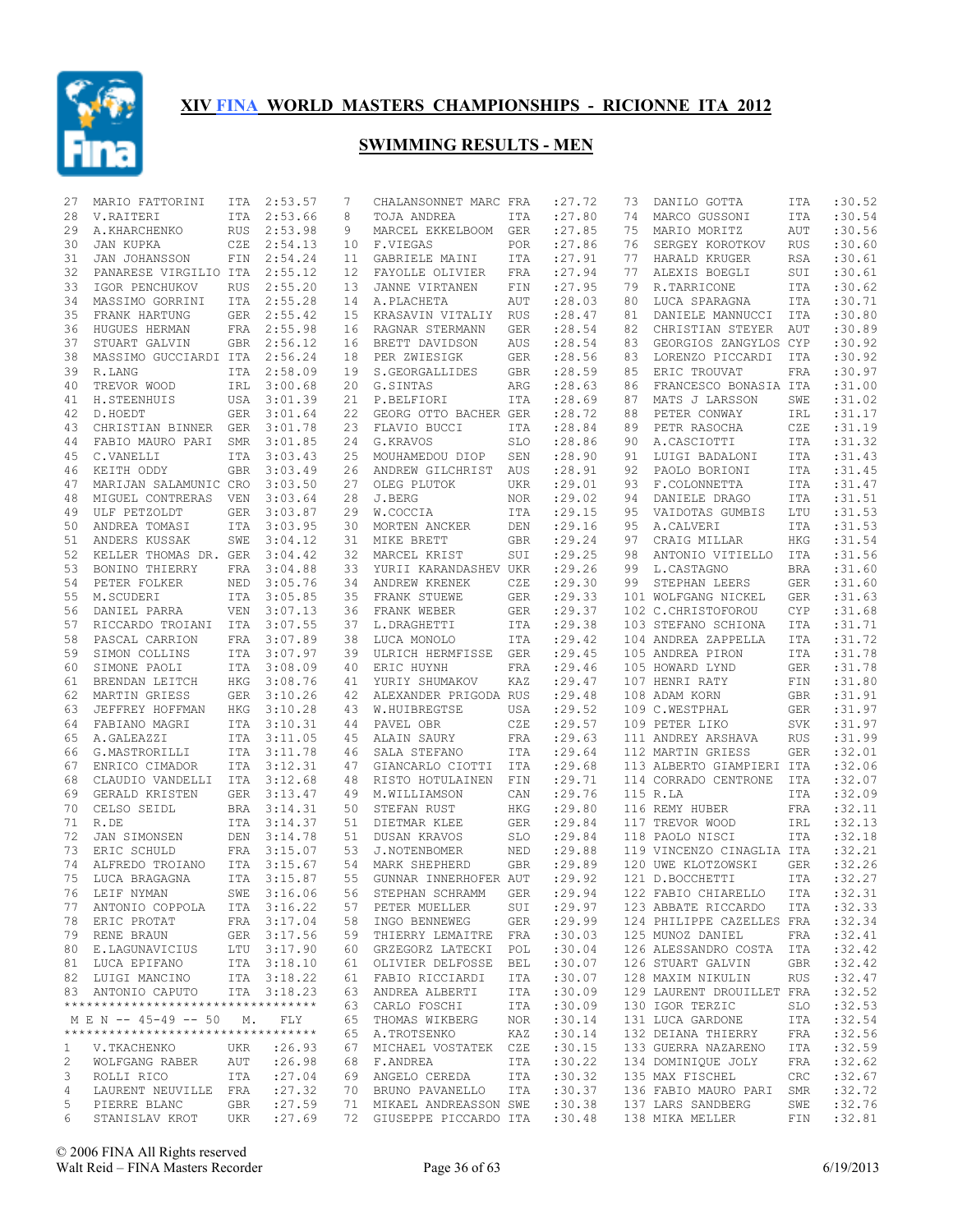

| 27           | MARIO FATTORINI                    | ITA        | 2:53.57     | 7  | CHALANSONNET MARC FRA    |            | : 27.72 | 73 | DANILO GOTTA                   | ITA        | :30.52  |
|--------------|------------------------------------|------------|-------------|----|--------------------------|------------|---------|----|--------------------------------|------------|---------|
| 28           | V.RAITERI                          | <b>ITA</b> | 2:53.66     | 8  | TOJA ANDREA              | ITA        | :27.80  | 74 | MARCO GUSSONI                  | <b>ITA</b> | :30.54  |
| 29           | A.KHARCHENKO                       | <b>RUS</b> | 2:53.98     | 9  | MARCEL EKKELBOOM         | <b>GER</b> | : 27.85 | 75 | MARIO MORITZ                   | AUT        | :30.56  |
| 30           | JAN KUPKA                          | CZE        | 2:54.13     | 10 | F.VIEGAS                 | <b>POR</b> | :27.86  | 76 | SERGEY KOROTKOV                | <b>RUS</b> | :30.60  |
| 31           | JAN JOHANSSON                      | FIN        | 2:54.24     | 11 | GABRIELE MAINI           | ITA        | : 27.91 | 77 | HARALD KRUGER                  | <b>RSA</b> | :30.61  |
| 32           | PANARESE VIRGILIO ITA              |            | 2:55.12     | 12 | FAYOLLE OLIVIER          | FRA        | : 27.94 | 77 | ALEXIS BOEGLI                  | SUI        | :30.61  |
| 33           | IGOR PENCHUKOV                     | <b>RUS</b> | 2:55.20     | 13 | JANNE VIRTANEN           | FIN        | : 27.95 | 79 | R.TARRICONE                    | <b>ITA</b> | :30.62  |
| 34           | MASSIMO GORRINI                    | <b>ITA</b> | 2:55.28     | 14 | A.PLACHETA               | AUT        | :28.03  | 80 | LUCA SPARAGNA                  | <b>ITA</b> | :30.71  |
| 35           | FRANK HARTUNG                      | <b>GER</b> | 2:55.42     | 15 | KRASAVIN VITALIY         | RUS        | : 28.47 | 81 | DANIELE MANNUCCI               | ITA        | :30.80  |
| 36           | HUGUES HERMAN                      | FRA        | 2:55.98     | 16 | RAGNAR STERMANN          | GER        | : 28.54 | 82 | CHRISTIAN STEYER               | AUT        | :30.89  |
| 37           | STUART GALVIN                      | GBR        | 2:56.12     | 16 | BRETT DAVIDSON           | AUS        | : 28.54 | 83 | GEORGIOS ZANGYLOS CYP          |            | :30.92  |
| 38           | MASSIMO GUCCIARDI ITA              |            | 2:56.24     | 18 | PER ZWIESIGK             | GER        | :28.56  | 83 | LORENZO PICCARDI               | ITA        | :30.92  |
| 39           | R.LANG                             | <b>ITA</b> | 2:58.09     | 19 | S.GEORGALLIDES           | <b>GBR</b> | :28.59  | 85 | ERIC TROUVAT                   | <b>FRA</b> | :30.97  |
| 40           | TREVOR WOOD                        | IRL        | 3:00.68     | 20 | G.SINTAS                 | ARG        | :28.63  | 86 | FRANCESCO BONASIA ITA          |            | :31.00  |
| 41           | H. STEENHUIS                       | USA        | 3:01.39     | 21 | P.BELFIORI               | ITA        | :28.69  | 87 | MATS J LARSSON                 | SWE        | :31.02  |
| 42           | D.HOEDT                            | <b>GER</b> | 3:01.64     | 22 | GEORG OTTO BACHER GER    |            | : 28.72 | 88 | PETER CONWAY                   | IRL        | :31.17  |
| 43           | CHRISTIAN BINNER GER               |            | 3:01.78     | 23 | FLAVIO BUCCI             | ITA        | :28.84  | 89 | PETR RASOCHA                   | CZE        | :31.19  |
| 44           | FABIO MAURO PARI                   | SMR        | 3:01.85     | 24 | G.KRAVOS                 | <b>SLO</b> | :28.86  | 90 | A.CASCIOTTI                    | <b>ITA</b> | :31.32  |
| 45           | C.VANELLI                          | <b>ITA</b> | 3:03.43     | 25 | MOUHAMEDOU DIOP          | SEN        | :28.90  | 91 | LUIGI BADALONI                 | <b>ITA</b> | :31.43  |
| 46           | KEITH ODDY                         | <b>GBR</b> | 3:03.49     | 26 | ANDREW GILCHRIST         | AUS        | : 28.91 | 92 | PAOLO BORIONI                  | <b>ITA</b> | : 31.45 |
| 47           | MARIJAN SALAMUNIC CRO              |            | 3:03.50     | 27 | OLEG PLUTOK              | <b>UKR</b> | :29.01  | 93 | F.COLONNETTA                   | <b>ITA</b> | :31.47  |
| 48           | MIGUEL CONTRERAS                   | VEN        | 3:03.64     | 28 | J.BERG                   | <b>NOR</b> | :29.02  | 94 | DANIELE DRAGO                  | <b>ITA</b> | :31.51  |
| 49           | ULF PETZOLDT                       | <b>GER</b> | 3:03.87     | 29 | W.COCCIA                 | ITA        | :29.15  | 95 | VAIDOTAS GUMBIS                | LTU        | :31.53  |
| 50           | ANDREA TOMASI                      | <b>ITA</b> | 3:03.95     | 30 | MORTEN ANCKER            | DEN        | :29.16  | 95 | A.CALVERI                      | <b>ITA</b> | : 31.53 |
| 51           | ANDERS KUSSAK                      | SWE        | 3:04.12     | 31 | MIKE BRETT               | <b>GBR</b> | :29.24  | 97 | CRAIG MILLAR                   | <b>HKG</b> | : 31.54 |
| 52           | KELLER THOMAS DR. GER              |            | 3:04.42     | 32 | MARCEL KRIST             | SUI        | :29.25  | 98 | ANTONIO VITIELLO               | ITA        | :31.56  |
| 53           | BONINO THIERRY                     | FRA        | 3:04.88     | 33 | YURII KARANDASHEV UKR    |            | :29.26  | 99 | L.CASTAGNO                     | <b>BRA</b> | :31.60  |
| 54           | PETER FOLKER                       | NED        | 3:05.76     | 34 | ANDREW KRENEK            | CZE        | :29.30  | 99 | STEPHAN LEERS                  | <b>GER</b> | :31.60  |
| 55           | M.SCUDERI                          | ITA        | 3:05.85     | 35 | FRANK STUEWE             | <b>GER</b> | :29.33  |    | 101 WOLFGANG NICKEL            | <b>GER</b> | : 31.63 |
| 56           | DANIEL PARRA                       | <b>VEN</b> | 3:07.13     | 36 | FRANK WEBER              | <b>GER</b> | : 29.37 |    | 102 C.CHRISTOFOROU             | <b>CYP</b> | :31.68  |
| 57           | RICCARDO TROIANI ITA               |            | 3:07.55     | 37 | L.DRAGHETTI              | ITA        | : 29.38 |    | 103 STEFANO SCHIONA            | <b>ITA</b> | :31.71  |
| 58           | PASCAL CARRION                     | <b>FRA</b> | 3:07.89     | 38 | LUCA MONOLO              | ITA        | :29.42  |    | 104 ANDREA ZAPPELLA            | <b>ITA</b> | :31.72  |
| 59           | SIMON COLLINS                      | ITA        | 3:07.97     | 39 | ULRICH HERMFISSE         | <b>GER</b> | :29.45  |    | 105 ANDREA PIRON               | <b>ITA</b> | :31.78  |
| 60           | SIMONE PAOLI                       | <b>ITA</b> | 3:08.09     | 40 | ERIC HUYNH               | FRA        | : 29.46 |    | 105 HOWARD LYND                | <b>GER</b> | :31.78  |
| 61           | BRENDAN LEITCH                     | HKG        | 3:08.76     | 41 | YURIY SHUMAKOV           | KAZ        | : 29.47 |    | 107 HENRI RATY                 | FIN        | :31.80  |
| 62           | MARTIN GRIESS                      | <b>GER</b> | 3:10.26     | 42 | ALEXANDER PRIGODA RUS    |            | : 29.48 |    | 108 ADAM KORN                  | <b>GBR</b> | :31.91  |
| 63           | JEFFREY HOFFMAN                    | HKG        | 3:10.28     | 43 | W.HUIBREGTSE             | USA        | : 29.52 |    | 109 C.WESTPHAL                 | GER        | :31.97  |
| 64           | FABIANO MAGRI                      | <b>ITA</b> | 3:10.31     | 44 | PAVEL OBR                | CZE        | :29.57  |    | 109 PETER LIKO                 | <b>SVK</b> | :31.97  |
| 65           | A.GALEAZZI                         | ITA        | 3:11.05     | 45 | ALAIN SAURY              | FRA        | : 29.63 |    | 111 ANDREY ARSHAVA             | <b>RUS</b> | :31.99  |
| 66           | G.MASTRORILLI                      | <b>ITA</b> | 3:11.78     | 46 | SALA STEFANO             | ITA        | : 29.64 |    | 112 MARTIN GRIESS              | <b>GER</b> | :32.01  |
| 67           | ENRICO CIMADOR                     | <b>ITA</b> | 3:12.31     | 47 | GIANCARLO CIOTTI         | ITA        | : 29.68 |    | 113 ALBERTO GIAMPIERI ITA      |            | :32.06  |
| 68           | CLAUDIO VANDELLI                   | <b>ITA</b> | 3:12.68     | 48 | RISTO HOTULAINEN         | FIN        | :29.71  |    | 114 CORRADO CENTRONE           | ITA        | :32.07  |
| 69           | GERALD KRISTEN                     | GER        | 3:13.47     | 49 | M.WILLIAMSON             | CAN        | : 29.76 |    | 115 R.LA                       | ITA        | :32.09  |
| 70           | CELSO SEIDL                        | BRA        | 3:14.31     | 50 | STEFAN RUST              | <b>HKG</b> | : 29.80 |    | 116 REMY HUBER                 | <b>FRA</b> | :32.11  |
| 71           | R.DE                               | <b>ITA</b> | 3:14.37     | 51 | DIETMAR KLEE             | GER        | : 29.84 |    | 117 TREVOR WOOD                | IRL        | :32.13  |
| 72           | JAN SIMONSEN                       | DEN        | 3:14.78     | 51 | DUSAN KRAVOS             | <b>SLO</b> | :29.84  |    | 118 PAOLO NISCI                | <b>ITA</b> | :32.18  |
| 73           | ERIC SCHULD                        | FRA        | 3:15.07     | 53 | J.NOTENBOMER             | NED        | :29.88  |    | 119 VINCENZO CINAGLIA ITA      |            | :32.21  |
| 74           | ALFREDO TROIANO                    |            | ITA 3:15.67 | 54 | MARK SHEPHERD            | <b>GBR</b> | :29.89  |    | 120 UWE KLOTZOWSKI             | <b>GER</b> | :32.26  |
| 75           | LUCA BRAGAGNA                      | <b>ITA</b> | 3:15.87     | 55 | GUNNAR INNERHOFER AUT    |            | :29.92  |    | 121 D.BOCCHETTI                | <b>ITA</b> | :32.27  |
|              | 76 LEIF NYMAN                      |            | SWE 3:16.06 | 56 | STEPHAN SCHRAMM          | GER        |         |    | :29.94 122 FABIO CHIARELLO ITA |            | :32.31  |
| 77           | ANTONIO COPPOLA                    |            | ITA 3:16.22 |    | 57 PETER MUELLER         | SUI        | : 29.97 |    | 123 ABBATE RICCARDO            | ITA        | :32.33  |
|              | 78 ERIC PROTAT                     |            | FRA 3:17.04 |    | 58 INGO BENNEWEG         | GER        | : 29.99 |    | 124 PHILIPPE CAZELLES FRA      |            | :32.34  |
|              | 79 RENE BRAUN                      |            | GER 3:17.56 |    | 59 THIERRY LEMAITRE      | FRA        | :30.03  |    | 125 MUNOZ DANIEL               | FRA        | :32.41  |
|              | 80 E.LAGUNAVICIUS                  |            | LTU 3:17.90 |    | 60 GRZEGORZ LATECKI      | POL        | :30.04  |    | 126 ALESSANDRO COSTA           | ITA        | :32.42  |
|              | 81 LUCA EPIFANO                    |            | ITA 3:18.10 |    | 61 OLIVIER DELFOSSE      | BEL        | :30.07  |    | 126 STUART GALVIN              | GBR        | :32.42  |
|              | 82 LUIGI MANCINO                   |            | ITA 3:18.22 |    | 61 FABIO RICCIARDI       | ITA        | :30.07  |    | 128 MAXIM NIKULIN              | RUS        | :32.47  |
|              | 83 ANTONIO CAPUTO                  |            | ITA 3:18.23 |    | 63 ANDREA ALBERTI        | ITA        | :30.09  |    | 129 LAURENT DROUILLET FRA      |            | :32.52  |
|              | ********************************** |            |             |    | 63 CARLO FOSCHI          | ITA        | :30.09  |    | 130 IGOR TERZIC                | SLO        | :32.53  |
|              | M E N -- 45-49 -- 50               | М.         | FLY         |    | 65 THOMAS WIKBERG        | NOR        | :30.14  |    | 131 LUCA GARDONE               | ITA        | :32.54  |
|              | ********************************** |            |             |    | 65 A.TROTSENKO           | KAZ        | :30.14  |    | 132 DEIANA THIERRY             | FRA        | :32.56  |
| $\mathbf{1}$ | V.TKACHENKO                        | UKR        | : 26.93     |    | 67 MICHAEL VOSTATEK      | CZE        | :30.15  |    | 133 GUERRA NAZARENO            | ITA        | :32.59  |
| 2            | WOLFGANG RABER                     | AUT        | : 26.98     |    | 68 F.ANDREA              | ITA        | :30.22  |    | 134 DOMINIOUE JOLY             | FRA        | :32.62  |
| 3            | ROLLI RICO                         | ITA        | : 27.04     |    | 69 ANGELO CEREDA         | ITA        | :30.32  |    | 135 MAX FISCHEL                | CRC        | :32.67  |
| 4            | LAURENT NEUVILLE FRA               |            | : 27.32     |    | 70 BRUNO PAVANELLO       | ITA        | :30.37  |    | 136 FABIO MAURO PARI           | SMR        | :32.72  |
| 5            | PIERRE BLANC                       | GBR        | : 27.59     |    | 71 MIKAEL ANDREASSON SWE |            | :30.38  |    | 137 LARS SANDBERG              | SWE        | :32.76  |
| 6            | STANISLAV KROT                     | UKR        | : 27.69     |    | 72 GIUSEPPE PICCARDO ITA |            | :30.48  |    | 138 MIKA MELLER                | FIN        | :32.81  |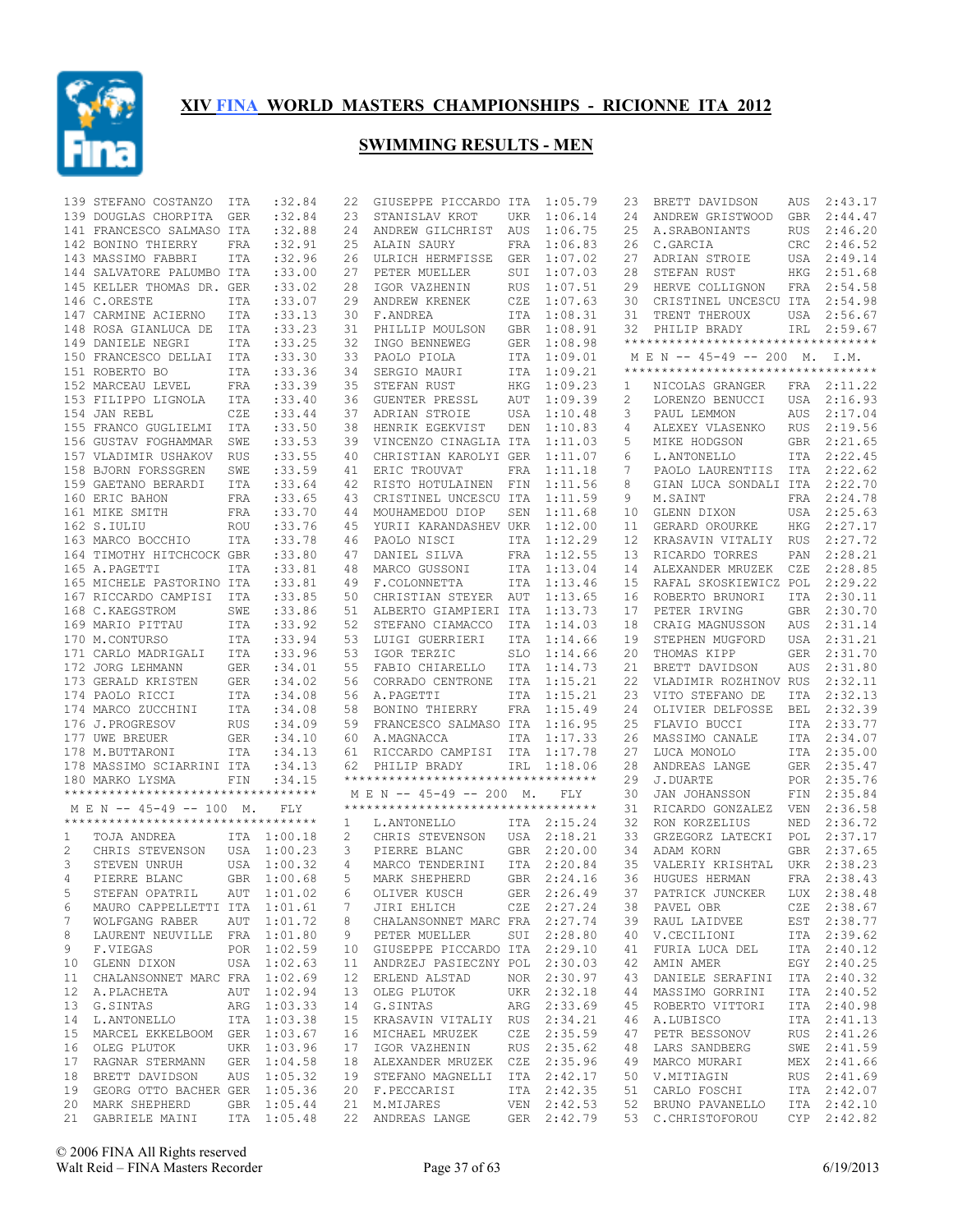

|    | 139 STEFANO COSTANZO                | ITA        | :32.84      | 22 | GIUSEPPE PICCARDO ITA               |            | 1:05.79     | 23 | BRETT DAVIDSON                     | AUS         | 2:43.17     |
|----|-------------------------------------|------------|-------------|----|-------------------------------------|------------|-------------|----|------------------------------------|-------------|-------------|
|    | 139 DOUGLAS CHORPITA                | GER        | :32.84      | 23 | STANISLAV KROT                      | UKR        | 1:06.14     | 24 | ANDREW GRISTWOOD                   | GBR         | 2:44.47     |
|    | 141 FRANCESCO SALMASO ITA           |            | :32.88      | 24 | ANDREW GILCHRIST                    | AUS        | 1:06.75     | 25 | A. SRABONIANTS                     | <b>RUS</b>  | 2:46.20     |
|    | 142 BONINO THIERRY                  | FRA        | :32.91      | 25 | ALAIN SAURY                         | FRA        | 1:06.83     | 26 | C.GARCIA                           | CRC         | 2:46.52     |
|    | 143 MASSIMO FABBRI                  | <b>ITA</b> | :32.96      | 26 | ULRICH HERMFISSE                    | GER        | 1:07.02     | 27 | ADRIAN STROIE                      | USA         | 2:49.14     |
|    | 144 SALVATORE PALUMBO ITA           |            | :33.00      | 27 | PETER MUELLER                       | SUI        | 1:07.03     | 28 | STEFAN RUST                        | ${\tt HKG}$ | 2:51.68     |
|    | 145 KELLER THOMAS DR. GER           |            | : 33.02     | 28 | IGOR VAZHENIN                       | <b>RUS</b> | 1:07.51     | 29 | HERVE COLLIGNON                    | FRA         | 2:54.58     |
|    | 146 C.ORESTE                        | ITA        | : 33.07     | 29 | ANDREW KRENEK                       | CZE        | 1:07.63     | 30 | CRISTINEL UNCESCU ITA              |             | 2:54.98     |
|    | 147 CARMINE ACIERNO                 | ITA        | : 33.13     | 30 | F.ANDREA                            | ITA        | 1:08.31     | 31 | TRENT THEROUX                      |             | USA 2:56.67 |
|    | 148 ROSA GIANLUCA DE                | ITA        | : 33.23     | 31 | PHILLIP MOULSON                     | GBR        | 1:08.91     | 32 | PHILIP BRADY                       | IRL         | 2:59.67     |
|    | 149 DANIELE NEGRI                   | ITA        | :33.25      | 32 | INGO BENNEWEG                       | GER        | 1:08.98     |    | ********************************** |             |             |
|    |                                     |            |             | 33 |                                     | ITA        |             |    | MEN -- 45-49 -- 200 M. I.M.        |             |             |
|    | 150 FRANCESCO DELLAI                | ITA        | : 33.30     |    | PAOLO PIOLA                         |            | 1:09.01     |    | ********************************** |             |             |
|    | 151 ROBERTO BO                      | <b>ITA</b> | : 33.36     | 34 | SERGIO MAURI                        | ITA        | 1:09.21     |    |                                    |             |             |
|    | 152 MARCEAU LEVEL                   | <b>FRA</b> | :33.39      | 35 | STEFAN RUST                         | HKG        | 1:09.23     | 1  | NICOLAS GRANGER                    |             | FRA 2:11.22 |
|    | 153 FILIPPO LIGNOLA                 | <b>ITA</b> | : 33.40     | 36 | <b>GUENTER PRESSL</b>               | AUT        | 1:09.39     | 2  | LORENZO BENUCCI                    | USA         | 2:16.93     |
|    | 154 JAN REBL                        | CZE        | : 33.44     | 37 | ADRIAN STROIE                       | USA        | 1:10.48     | 3  | PAUL LEMMON                        | AUS         | 2:17.04     |
|    | 155 FRANCO GUGLIELMI                | ITA        | : 33.50     | 38 | HENRIK EGEKVIST                     | DEN        | 1:10.83     | 4  | ALEXEY VLASENKO                    | <b>RUS</b>  | 2:19.56     |
|    | 156 GUSTAV FOGHAMMAR                | SWE        | : 33.53     | 39 | VINCENZO CINAGLIA ITA               |            | 1:11.03     | 5  | MIKE HODGSON                       | GBR         | 2:21.65     |
|    | 157 VLADIMIR USHAKOV                | RUS        | :33.55      | 40 | CHRISTIAN KAROLYI GER               |            | 1:11.07     | 6  | L.ANTONELLO                        | ITA         | 2:22.45     |
|    | 158 BJORN FORSSGREN                 | SWE        | :33.59      | 41 | ERIC TROUVAT                        | FRA        | 1:11.18     | 7  | PAOLO LAURENTIIS                   | ITA         | 2:22.62     |
|    | 159 GAETANO BERARDI                 | <b>ITA</b> | :33.64      | 42 | RISTO HOTULAINEN                    | FIN        | 1:11.56     | 8  | GIAN LUCA SONDALI ITA              |             | 2:22.70     |
|    | 160 ERIC BAHON                      | FRA        | : 33.65     | 43 | CRISTINEL UNCESCU ITA               |            | 1:11.59     | 9  | M.SAINT                            | FRA         | 2:24.78     |
|    | 161 MIKE SMITH                      | FRA        | : 33.70     | 44 | MOUHAMEDOU DIOP                     | SEN        | 1:11.68     | 10 | GLENN DIXON                        | USA         | 2:25.63     |
|    | 162 S.IULIU                         | <b>ROU</b> | : 33.76     | 45 | YURII KARANDASHEV UKR               |            | 1:12.00     | 11 | GERARD OROURKE                     | HKG         | 2:27.17     |
|    |                                     |            |             |    |                                     |            |             |    |                                    |             | 2:27.72     |
|    | 163 MARCO BOCCHIO                   | <b>ITA</b> | :33.78      | 46 | PAOLO NISCI                         | ITA        | 1:12.29     | 12 | KRASAVIN VITALIY                   | <b>RUS</b>  |             |
|    | 164 TIMOTHY HITCHCOCK GBR           |            | : 33.80     | 47 | DANIEL SILVA                        | FRA        | 1:12.55     | 13 | RICARDO TORRES                     | PAN         | 2:28.21     |
|    | 165 A.PAGETTI                       | ITA        | : 33.81     | 48 | MARCO GUSSONI                       | ITA        | 1:13.04     | 14 | ALEXANDER MRUZEK                   | CZE         | 2:28.85     |
|    | 165 MICHELE PASTORINO ITA           |            | :33.81      | 49 | F.COLONNETTA                        | ITA        | 1:13.46     | 15 | RAFAL SKOSKIEWICZ POL              |             | 2:29.22     |
|    | 167 RICCARDO CAMPISI                | ITA        | :33.85      | 50 | CHRISTIAN STEYER AUT                |            | 1:13.65     | 16 | ROBERTO BRUNORI                    | ITA         | 2:30.11     |
|    | 168 C.KAEGSTROM                     | SWE        | :33.86      | 51 | ALBERTO GIAMPIERI ITA               |            | 1:13.73     | 17 | PETER IRVING                       | <b>GBR</b>  | 2:30.70     |
|    | 169 MARIO PITTAU                    | ITA        | : 33.92     | 52 | STEFANO CIAMACCO                    | ITA        | 1:14.03     | 18 | CRAIG MAGNUSSON                    | AUS         | 2:31.14     |
|    | 170 M.CONTURSO                      | ITA        | :33.94      | 53 | LUIGI GUERRIERI                     | ITA        | 1:14.66     | 19 | STEPHEN MUGFORD                    | USA         | 2:31.21     |
|    | 171 CARLO MADRIGALI                 | ITA        | :33.96      | 53 | IGOR TERZIC                         | SLO        | 1:14.66     | 20 | THOMAS KIPP                        | GER         | 2:31.70     |
|    | 172 JORG LEHMANN                    | GER        | : 34.01     | 55 | FABIO CHIARELLO                     | ITA        | 1:14.73     | 21 | BRETT DAVIDSON                     | <b>AUS</b>  | 2:31.80     |
|    | 173 GERALD KRISTEN                  | GER        | :34.02      | 56 | CORRADO CENTRONE                    | ITA        | 1:15.21     | 22 | VLADIMIR ROZHINOV RUS              |             | 2:32.11     |
|    | 174 PAOLO RICCI                     | ITA        | :34.08      | 56 | A.PAGETTI                           | ITA        | 1:15.21     | 23 | VITO STEFANO DE                    | ITA         | 2:32.13     |
|    | 174 MARCO ZUCCHINI                  | ITA        | :34.08      | 58 | BONINO THIERRY                      | FRA        | 1:15.49     | 24 | OLIVIER DELFOSSE                   | BEL         | 2:32.39     |
|    | 176 J.PROGRESOV                     | <b>RUS</b> | :34.09      | 59 | FRANCESCO SALMASO ITA               |            | 1:16.95     | 25 | FLAVIO BUCCI                       | ITA         | 2:33.77     |
|    |                                     |            |             |    |                                     |            |             |    |                                    |             |             |
|    | 177 UWE BREUER                      | <b>GER</b> | :34.10      | 60 | A.MAGNACCA                          | ITA        | 1:17.33     | 26 | MASSIMO CANALE                     | ITA         | 2:34.07     |
|    | 178 M.BUTTARONI                     | <b>ITA</b> | :34.13      | 61 | RICCARDO CAMPISI ITA                |            | 1:17.78     | 27 | LUCA MONOLO                        | ITA         | 2:35.00     |
|    | 178 MASSIMO SCIARRINI ITA           |            | :34.13      | 62 | PHILIP BRADY                        | IRL        | 1:18.06     | 28 | ANDREAS LANGE                      | <b>GER</b>  | 2:35.47     |
|    | 180 MARKO LYSMA                     | FIN        | :34.15      |    | **********************************  |            |             | 29 | J.DUARTE                           |             | POR 2:35.76 |
|    | *********************************** |            |             |    | M E N -- 45-49 -- 200 M.            |            | FLY         | 30 | JAN JOHANSSON                      | FIN         | 2:35.84     |
|    | M E N -- 45-49 -- 100 M.            |            | <b>FLY</b>  |    | *********************************** |            |             | 31 | RICARDO GONZALEZ                   | VEN         | 2:36.58     |
|    | **********************************  |            |             | 1  | L.ANTONELLO                         |            | ITA 2:15.24 | 32 | RON KORZELIUS                      | NED         | 2:36.72     |
| 1  | TOJA ANDREA                         |            | ITA 1:00.18 | 2  | CHRIS STEVENSON                     |            | USA 2:18.21 | 33 | GRZEGORZ LATECKI                   | POL         | 2:37.17     |
| 2  | CHRIS STEVENSON                     |            | USA 1:00.23 | 3  | PIERRE BLANC                        | GBR        | 2:20.00     | 34 | ADAM KORN                          | <b>GBR</b>  | 2:37.65     |
| 3  | STEVEN UNRUH                        |            | USA 1:00.32 | 4  | MARCO TENDERINI                     | ITA        | 2:20.84     | 35 | VALERIY KRISHTAL                   | UKR         | 2:38.23     |
| 4  | PIERRE BLANC                        |            | GBR 1:00.68 | 5  | MARK SHEPHERD                       |            | GBR 2:24.16 | 36 | HUGUES HERMAN                      | <b>FRA</b>  | 2:38.43     |
| 5  | STEFAN OPATRIL AUT 1:01.02          |            |             |    | 6 OLIVER KUSCH                      |            | GER 2:26.49 |    | 37 PATRICK JUNCKER LUX 2:38.48     |             |             |
| 6  | MAURO CAPPELLETTI ITA 1:01.61       |            |             | 7  | JIRI EHLICH                         |            | CZE 2:27.24 |    | 38 PAVEL OBR                       |             | CZE 2:38.67 |
| 7  | WOLFGANG RABER AUT 1:01.72          |            |             |    | CHALANSONNET MARC FRA 2:27.74       |            |             |    |                                    |             | EST 2:38.77 |
|    |                                     |            |             | 8  |                                     |            |             | 39 | RAUL LAIDVEE                       |             |             |
| 8  | LAURENT NEUVILLE FRA 1:01.80        |            |             | 9  | PETER MUELLER                       |            | SUI 2:28.80 | 40 | V.CECILIONI                        |             | ITA 2:39.62 |
| 9  | F.VIEGAS                            |            | POR 1:02.59 |    | 10 GIUSEPPE PICCARDO ITA 2:29.10    |            |             | 41 | FURIA LUCA DEL                     |             | ITA 2:40.12 |
| 10 | GLENN DIXON                         |            | USA 1:02.63 | 11 | ANDRZEJ PASIECZNY POL 2:30.03       |            |             | 42 | AMIN AMER                          |             | EGY 2:40.25 |
| 11 | CHALANSONNET MARC FRA 1:02.69       |            |             |    | 12 ERLEND ALSTAD                    |            | NOR 2:30.97 | 43 | DANIELE SERAFINI                   |             | ITA 2:40.32 |
| 12 | A.PLACHETA                          |            | AUT 1:02.94 |    | 13 OLEG PLUTOK                      |            | UKR 2:32.18 | 44 | MASSIMO GORRINI                    |             | ITA 2:40.52 |
| 13 | G.SINTAS                            |            | ARG 1:03.33 |    | 14 G.SINTAS                         |            | ARG 2:33.69 | 45 | ROBERTO VITTORI                    |             | ITA 2:40.98 |
| 14 | L.ANTONELLO                         |            | ITA 1:03.38 |    | 15 KRASAVIN VITALIY RUS 2:34.21     |            |             | 46 | A.LUBISCO                          |             | ITA 2:41.13 |
| 15 | MARCEL EKKELBOOM GER 1:03.67        |            |             |    | 16 MICHAEL MRUZEK                   |            | CZE 2:35.59 | 47 | PETR BESSONOV                      |             | RUS 2:41.26 |
| 16 | OLEG PLUTOK                         |            | UKR 1:03.96 |    | 17 IGOR VAZHENIN                    |            | RUS 2:35.62 | 48 | LARS SANDBERG                      |             | SWE 2:41.59 |
|    | 17 RAGNAR STERMANN GER 1:04.58      |            |             |    | 18 ALEXANDER MRUZEK CZE 2:35.96     |            |             | 49 | MARCO MURARI                       |             | MEX 2:41.66 |
|    | 18 BRETT DAVIDSON                   |            | AUS 1:05.32 |    | 19 STEFANO MAGNELLI ITA 2:42.17     |            |             | 50 | V.MITIAGIN                         |             | RUS 2:41.69 |
|    | 19 GEORG OTTO BACHER GER 1:05.36    |            |             |    | 20 F.PECCARISI                      |            | ITA 2:42.35 | 51 | CARLO FOSCHI                       |             | ITA 2:42.07 |
|    | 20 MARK SHEPHERD                    |            | GBR 1:05.44 |    | 21 M.MIJARES                        |            | VEN 2:42.53 | 52 | BRUNO PAVANELLO                    |             | ITA 2:42.10 |
|    |                                     |            |             |    |                                     |            |             |    |                                    |             | CYP 2:42.82 |
|    | 21 GABRIELE MAINI                   |            | ITA 1:05.48 |    | 22 ANDREAS LANGE                    |            | GER 2:42.79 |    | 53 C.CHRISTOFOROU                  |             |             |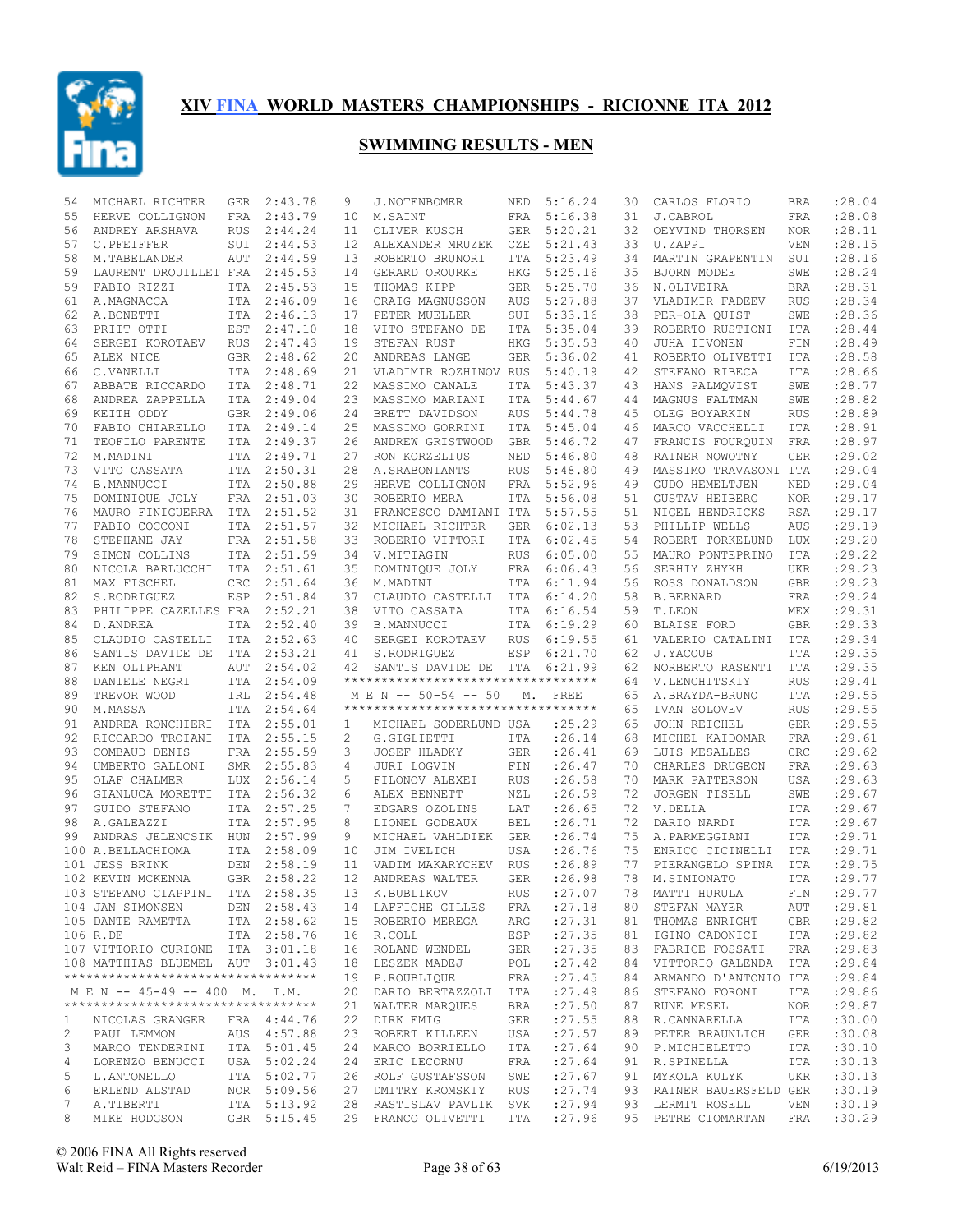

| 54           | MICHAEL RICHTER                     | <b>GER</b> | 2:43.78     | 9                 | J.NOTENBOMER                                               | NED        | 5:16.24 | 30 | CARLOS FLORIO         | BRA        | :28.04     |
|--------------|-------------------------------------|------------|-------------|-------------------|------------------------------------------------------------|------------|---------|----|-----------------------|------------|------------|
| 55           | HERVE COLLIGNON                     | <b>FRA</b> | 2:43.79     | 10                | M.SAINT                                                    | FRA        | 5:16.38 | 31 | J.CABROL              | <b>FRA</b> | :28.08     |
| 56           | ANDREY ARSHAVA                      | <b>RUS</b> | 2:44.24     | 11                | OLIVER KUSCH                                               | <b>GER</b> | 5:20.21 | 32 | OEYVIND THORSEN       | <b>NOR</b> | : 28.11    |
| 57           | C.PFEIFFER                          | SUI        | 2:44.53     | 12                | ALEXANDER MRUZEK                                           | CZE        | 5:21.43 | 33 | U.ZAPPI               | <b>VEN</b> | :28.15     |
| 58           | M.TABELANDER                        | AUT        | 2:44.59     | 13                | ROBERTO BRUNORI                                            | ITA        | 5:23.49 | 34 | MARTIN GRAPENTIN      | SUI        | :28.16     |
| 59           | LAURENT DROUILLET FRA               |            | 2:45.53     | 14                | GERARD OROURKE                                             | HKG        | 5:25.16 | 35 | BJORN MODEE           | SWE        | :28.24     |
| 59           | FABIO RIZZI                         |            | ITA 2:45.53 | 15                | THOMAS KIPP                                                | GER        | 5:25.70 | 36 | N.OLIVEIRA            | <b>BRA</b> | :28.31     |
| 61           | A.MAGNACCA                          | ITA        | 2:46.09     | 16                | CRAIG MAGNUSSON                                            | AUS        | 5:27.88 | 37 | VLADIMIR FADEEV       | <b>RUS</b> | :28.34     |
| 62           | A.BONETTI                           |            | ITA 2:46.13 | 17                | PETER MUELLER                                              | SUI        | 5:33.16 | 38 | PER-OLA QUIST         | SWE        | :28.36     |
| 63           | PRIIT OTTI                          | EST        | 2:47.10     | 18                | VITO STEFANO DE                                            | ITA        | 5:35.04 | 39 | ROBERTO RUSTIONI      | <b>ITA</b> | :28.44     |
| 64           | SERGEI KOROTAEV                     | RUS        | 2:47.43     | 19                | STEFAN RUST                                                | HKG        | 5:35.53 | 40 | JUHA IIVONEN          | FIN        | :28.49     |
| 65           |                                     |            |             | 20                | ANDREAS LANGE                                              | <b>GER</b> |         |    | ROBERTO OLIVETTI      | <b>ITA</b> | :28.58     |
|              | ALEX NICE                           | GBR        | 2:48.62     |                   |                                                            |            | 5:36.02 | 41 |                       |            |            |
| 66           | C.VANELLI                           |            | ITA 2:48.69 | 21                | VLADIMIR ROZHINOV RUS                                      |            | 5:40.19 | 42 | STEFANO RIBECA        | <b>ITA</b> | :28.66     |
| 67           | ABBATE RICCARDO                     | ITA        | 2:48.71     | 22                | MASSIMO CANALE                                             | ITA        | 5:43.37 | 43 | HANS PALMOVIST        | SWE        | :28.77     |
| 68           | ANDREA ZAPPELLA                     |            | ITA 2:49.04 | 23                | MASSIMO MARIANI                                            | ITA        | 5:44.67 | 44 | MAGNUS FALTMAN        | SWE        | :28.82     |
| 69           | KEITH ODDY                          | GBR        | 2:49.06     | 24                | BRETT DAVIDSON                                             | AUS        | 5:44.78 | 45 | OLEG BOYARKIN         | <b>RUS</b> | :28.89     |
| 70           | FABIO CHIARELLO                     |            | ITA 2:49.14 | 25                | MASSIMO GORRINI                                            | ITA        | 5:45.04 | 46 | MARCO VACCHELLI       | <b>ITA</b> | :28.91     |
| 71           | TEOFILO PARENTE                     | ITA        | 2:49.37     | 26                | ANDREW GRISTWOOD                                           | <b>GBR</b> | 5:46.72 | 47 | FRANCIS FOURQUIN      | <b>FRA</b> | :28.97     |
| 72           | M.MADINI                            | ITA        | 2:49.71     | 27                | RON KORZELIUS                                              | NED        | 5:46.80 | 48 | RAINER NOWOTNY        | <b>GER</b> | : 29.02    |
| 73           | VITO CASSATA                        | ITA        | 2:50.31     | 28                | A. SRABONIANTS                                             | <b>RUS</b> | 5:48.80 | 49 | MASSIMO TRAVASONI ITA |            | :29.04     |
| 74           | <b>B.MANNUCCI</b>                   |            | ITA 2:50.88 | 29                | HERVE COLLIGNON                                            | FRA        | 5:52.96 | 49 | GUDO HEMELTJEN        | NED        | :29.04     |
| 75           | DOMINIQUE JOLY                      |            | FRA 2:51.03 | 30                | ROBERTO MERA                                               | <b>ITA</b> | 5:56.08 | 51 | <b>GUSTAV HEIBERG</b> | <b>NOR</b> | :29.17     |
| 76           | MAURO FINIGUERRA ITA 2:51.52        |            |             | 31                | FRANCESCO DAMIANI ITA                                      |            | 5:57.55 | 51 | NIGEL HENDRICKS       | <b>RSA</b> | :29.17     |
| 77           | FABIO COCCONI                       | ITA        | 2:51.57     | 32                | MICHAEL RICHTER                                            | <b>GER</b> | 6:02.13 | 53 | PHILLIP WELLS         | AUS        | :29.19     |
| 78           | STEPHANE JAY                        |            | FRA 2:51.58 | 33                | ROBERTO VITTORI                                            | <b>ITA</b> | 6:02.45 | 54 | ROBERT TORKELUND      | <b>LUX</b> | :29.20     |
| 79           | SIMON COLLINS                       |            | ITA 2:51.59 | 34                | V.MITIAGIN                                                 | <b>RUS</b> | 6:05.00 | 55 | MAURO PONTEPRINO      | ITA        | : 29.22    |
|              |                                     |            |             |                   |                                                            |            |         |    |                       |            |            |
| 80           | NICOLA BARLUCCHI                    | ITA        | 2:51.61     | 35                | DOMINIQUE JOLY                                             | FRA        | 6:06.43 | 56 | SERHIY ZHYKH          | UKR        | :29.23     |
| 81           | MAX FISCHEL                         | <b>CRC</b> | 2:51.64     | 36                | M.MADINI                                                   | <b>ITA</b> | 6:11.94 | 56 | ROSS DONALDSON        | <b>GBR</b> | :29.23     |
| 82           | S.RODRIGUEZ                         | ESP        | 2:51.84     | 37                | CLAUDIO CASTELLI                                           | ITA        | 6:14.20 | 58 | <b>B.BERNARD</b>      | FRA        | :29.24     |
| 83           | PHILIPPE CAZELLES FRA               |            | 2:52.21     | 38                | VITO CASSATA                                               | <b>ITA</b> | 6:16.54 | 59 | T.LEON                | MEX        | :29.31     |
| 84           | D. ANDREA                           | ITA        | 2:52.40     | 39                | <b>B.MANNUCCI</b>                                          | ITA        | 6:19.29 | 60 | BLAISE FORD           | <b>GBR</b> | : 29.33    |
| 85           | CLAUDIO CASTELLI ITA                |            | 2:52.63     | 40                | SERGEI KOROTAEV                                            | <b>RUS</b> | 6:19.55 | 61 | VALERIO CATALINI      | ITA        | :29.34     |
| 86           |                                     |            |             | 41                | S.RODRIGUEZ                                                | ESP        |         | 62 |                       | <b>ITA</b> | :29.35     |
|              | SANTIS DAVIDE DE                    | ITA        | 2:53.21     |                   |                                                            |            | 6:21.70 |    | J.YACOUB              |            |            |
| 87           | KEN OLIPHANT                        | <b>AUT</b> | 2:54.02     | 42                | SANTIS DAVIDE DE                                           | ITA        | 6:21.99 | 62 | NORBERTO RASENTI      | ITA        | :29.35     |
| 88           |                                     |            | ITA 2:54.09 |                   | **********************************                         |            |         | 64 | V.LENCHITSKIY         | <b>RUS</b> | :29.41     |
| 89           | DANIELE NEGRI                       |            |             |                   |                                                            |            |         | 65 |                       |            |            |
|              | TREVOR WOOD                         | IRL        | 2:54.48     |                   | M E N -- 50-54 -- 50<br>********************************** | М.         | FREE    |    | A.BRAYDA-BRUNO        | <b>ITA</b> | :29.55     |
| 90           | M.MASSA                             |            | ITA 2:54.64 |                   |                                                            |            |         | 65 | IVAN SOLOVEV          | <b>RUS</b> | : 29.55    |
| 91           | ANDREA RONCHIERI ITA                |            | 2:55.01     | $\mathbf{1}$      | MICHAEL SODERLUND USA                                      |            | : 25.29 | 65 | JOHN REICHEL          | <b>GER</b> | :29.55     |
| 92           | RICCARDO TROIANI                    | ITA        | 2:55.15     | 2                 | G.GIGLIETTI                                                | ITA        | :26.14  | 68 | MICHEL KAIDOMAR       | <b>FRA</b> | : 29.61    |
| 93           | COMBAUD DENIS                       | FRA        | 2:55.59     | 3                 | <b>JOSEF HLADKY</b>                                        | <b>GER</b> | : 26.41 | 69 | LUIS MESALLES         | CRC        | : 29.62    |
| 94           | UMBERTO GALLONI                     | SMR        | 2:55.83     | 4                 | JURI LOGVIN                                                | FIN        | :26.47  | 70 | CHARLES DRUGEON       | FRA        | : 29.63    |
| 95           | OLAF CHALMER                        | <b>LUX</b> | 2:56.14     | 5                 | FILONOV ALEXEI                                             | <b>RUS</b> | :26.58  | 70 | MARK PATTERSON        | <b>USA</b> | :29.63     |
| 96           | GIANLUCA MORETTI                    |            | ITA 2:56.32 | 6                 | ALEX BENNETT                                               | NZL        | : 26.59 | 72 | JORGEN TISELL         | SWE        | : 29.67    |
| 97           | GUIDO STEFANO                       |            | ITA 2:57.25 | 7                 | EDGARS OZOLINS                                             | LAT        | :26.65  | 72 | V.DELLA               | <b>ITA</b> | :29.67     |
| 98           | A.GALEAZZI                          |            | ITA 2:57.95 | 8                 | LIONEL GODEAUX                                             | <b>BEL</b> | :26.71  | 72 | DARIO NARDI           | <b>ITA</b> | : 29.67    |
| 99           | ANDRAS JELENCSIK HUN                |            | 2:57.99     | 9                 | MICHAEL VAHLDIEK                                           | <b>GER</b> | :26.74  | 75 | A. PARMEGGIANI        | ITA        | :29.71     |
|              | 100 A.BELLACHIOMA                   |            | ITA 2:58.09 | 10                | JIM IVELICH                                                | USA        | :26.76  | 75 | ENRICO CICINELLI      | ITA        | : 29.71    |
| 101          | <b>JESS BRINK</b>                   | <b>DEN</b> | 2:58.19     | 11                | VADIM MAKARYCHEV                                           | <b>RUS</b> | :26.89  | 77 | PIERANGELO SPINA      | ITA        | :29.75     |
|              | 102 KEVIN MCKENNA                   |            | GBR 2:58.22 | $12 \overline{ }$ | ANDREAS WALTER                                             | <b>GER</b> | :26.98  | 78 | M.SIMIONATO           | <b>ITA</b> | :29.77     |
|              |                                     |            |             |                   |                                                            | RUS        |         |    |                       |            | FIN :29.77 |
|              | 103 STEFANO CIAPPINI ITA 2:58.35    |            |             |                   | 13 K.BUBLIKOV                                              |            | : 27.07 |    | 78 MATTI HURULA       |            |            |
|              | 104 JAN SIMONSEN DEN 2:58.43        |            |             |                   | 14 LAFFICHE GILLES                                         | FRA        | : 27.18 |    | 80 STEFAN MAYER       | AUT        | : 29.81    |
|              | 105 DANTE RAMETTA                   |            | ITA 2:58.62 |                   | 15 ROBERTO MEREGA                                          | ARG        | : 27.31 | 81 | THOMAS ENRIGHT        | GBR        | : 29.82    |
|              | 106 R.DE                            |            | ITA 2:58.76 |                   | 16 R.COLL                                                  | ESP        | : 27.35 | 81 | IGINO CADONICI        | ITA        | : 29.82    |
|              | 107 VITTORIO CURIONE ITA 3:01.18    |            |             |                   | 16 ROLAND WENDEL                                           | GER        | : 27.35 | 83 | FABRICE FOSSATI       | FRA        | : 29.83    |
|              | 108 MATTHIAS BLUEMEL AUT 3:01.43    |            |             |                   | 18 LESZEK MADEJ                                            | POL        | : 27.42 | 84 | VITTORIO GALENDA      | ITA        | : 29.84    |
|              | **********************************  |            |             |                   | 19 P.ROUBLIOUE                                             | FRA        | : 27.45 | 84 | ARMANDO D'ANTONIO ITA |            | : 29.84    |
|              | M E N -- 45-49 -- 400 M. I.M.       |            |             |                   | 20 DARIO BERTAZZOLI ITA                                    |            | : 27.49 | 86 | STEFANO FORONI        | ITA        | : 29.86    |
|              | *********************************** |            |             |                   | 21 WALTER MARQUES                                          | BRA        | : 27.50 | 87 | RUNE MESEL            | NOR        | : 29.87    |
| $\mathbf{1}$ | NICOLAS GRANGER                     |            | FRA 4:44.76 |                   | 22 DIRK EMIG                                               | GER        | : 27.55 | 88 | R.CANNARELLA          | ITA        | :30.00     |
| 2            | PAUL LEMMON                         |            | AUS 4:57.88 |                   | 23 ROBERT KILLEEN                                          | USA        | : 27.57 | 89 | PETER BRAUNLICH       | GER        | :30.08     |
| 3            | MARCO TENDERINI                     |            | ITA 5:01.45 |                   | 24 MARCO BORRIELLO                                         | ITA        | : 27.64 | 90 | P.MICHIELETTO         | ITA        | :30.10     |
| 4            | LORENZO BENUCCI                     |            | USA 5:02.24 |                   | 24 ERIC LECORNU                                            | FRA        | : 27.64 | 91 | R.SPINELLA            | ITA        | :30.13     |
| 5            | L.ANTONELLO                         |            | ITA 5:02.77 |                   | 26 ROLF GUSTAFSSON                                         | SWE        | : 27.67 | 91 | MYKOLA KULYK          | UKR        | :30.13     |
| 6            | ERLEND ALSTAD                       |            | NOR 5:09.56 |                   | 27 DMITRY KROMSKIY                                         | <b>RUS</b> | : 27.74 | 93 | RAINER BAUERSFELD GER |            | :30.19     |
| 7            | A.TIBERTI                           |            | ITA 5:13.92 |                   | 28 RASTISLAV PAVLIK SVK                                    |            | : 27.94 | 93 | LERMIT ROSELL         | VEN        | :30.19     |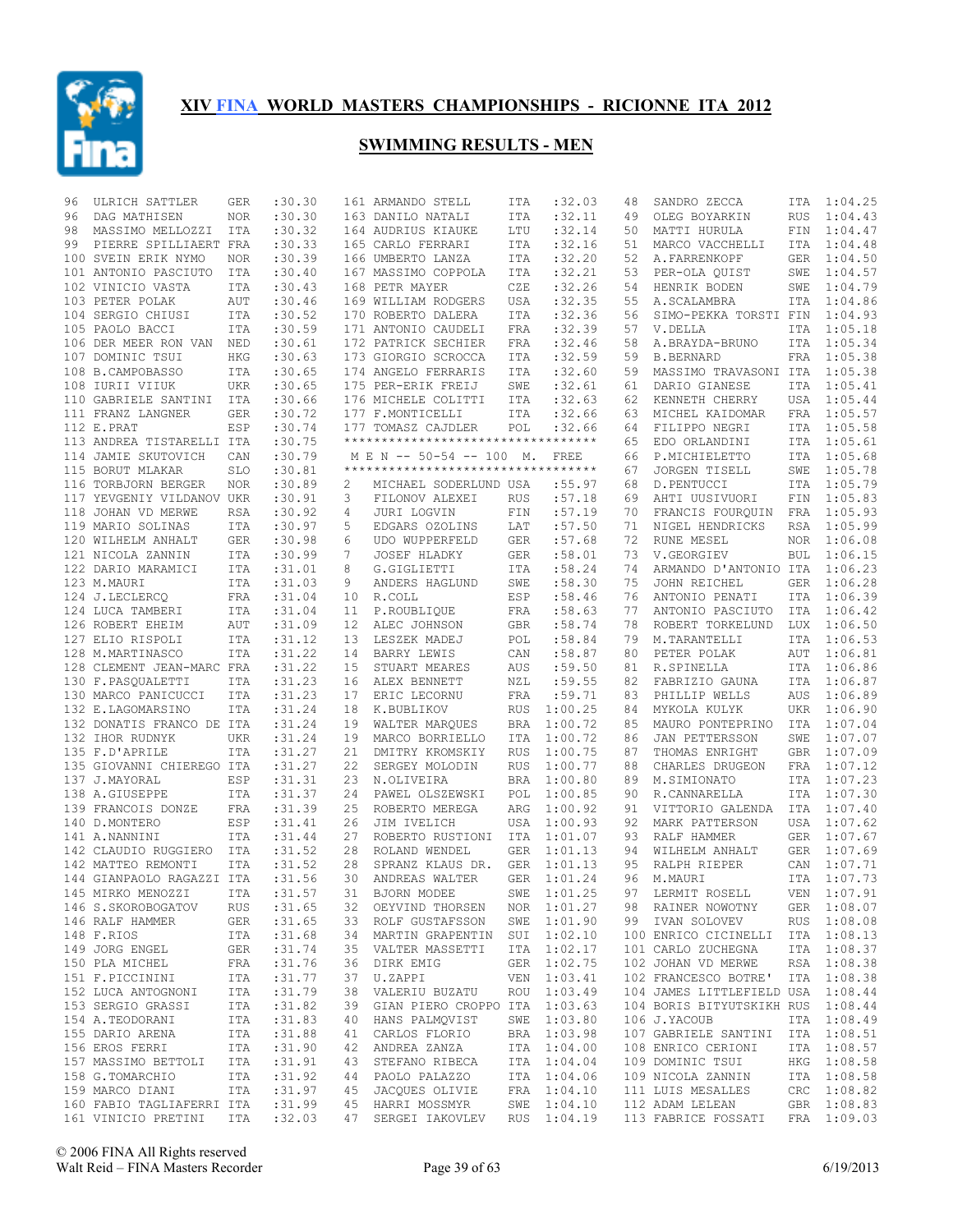

| 96 | ULRICH SATTLER                 | GER        | :30.30  |                 | 161 ARMANDO STELL                  | ITA        | :32.03      | 48 | SANDRO ZECCA                           | ITA         | 1:04.25     |
|----|--------------------------------|------------|---------|-----------------|------------------------------------|------------|-------------|----|----------------------------------------|-------------|-------------|
| 96 | DAG MATHISEN                   | <b>NOR</b> | :30.30  |                 | 163 DANILO NATALI                  | ITA        | :32.11      | 49 | OLEG BOYARKIN                          | RUS         | 1:04.43     |
| 98 | MASSIMO MELLOZZI               | ITA        | :30.32  |                 | 164 AUDRIUS KIAUKE                 | LTU        | :32.14      | 50 | MATTI HURULA                           |             | FIN 1:04.47 |
| 99 | PIERRE SPILLIAERT FRA          |            | :30.33  |                 | 165 CARLO FERRARI                  | ITA        | :32.16      | 51 | MARCO VACCHELLI                        | ITA         | 1:04.48     |
|    | 100 SVEIN ERIK NYMO            | <b>NOR</b> | :30.39  |                 | 166 UMBERTO LANZA                  | ITA        | :32.20      | 52 | A. FARRENKOPF                          | GER         | 1:04.50     |
|    | 101 ANTONIO PASCIUTO           | ITA        | :30.40  |                 | 167 MASSIMO COPPOLA                | ITA        | :32.21      | 53 | PER-OLA QUIST                          | SWE         | 1:04.57     |
|    | 102 VINICIO VASTA              | ITA        | :30.43  |                 | 168 PETR MAYER                     | CZE        | :32.26      | 54 | HENRIK BODEN                           | SWE         | 1:04.79     |
|    | 103 PETER POLAK                | AUT        | :30.46  |                 | 169 WILLIAM RODGERS                | USA        | :32.35      | 55 | A.SCALAMBRA                            | ITA         | 1:04.86     |
|    | 104 SERGIO CHIUSI              | ITA        | :30.52  |                 | 170 ROBERTO DALERA                 | ITA        | :32.36      | 56 | SIMO-PEKKA TORSTI FIN                  |             | 1:04.93     |
|    | 105 PAOLO BACCI                | ITA        | :30.59  |                 | 171 ANTONIO CAUDELI                | FRA        | :32.39      | 57 | V.DELLA                                | ITA         | 1:05.18     |
|    | 106 DER MEER RON VAN NED       |            | :30.61  |                 | 172 PATRICK SECHIER                | FRA        | :32.46      | 58 | A.BRAYDA-BRUNO                         | ITA         | 1:05.34     |
|    | 107 DOMINIC TSUI               | HKG        | :30.63  |                 | 173 GIORGIO SCROCCA                | ITA        | :32.59      | 59 | <b>B.BERNARD</b>                       | FRA         | 1:05.38     |
|    | 108 B.CAMPOBASSO               |            | :30.65  |                 |                                    | ITA        | :32.60      | 59 |                                        |             | 1:05.38     |
|    |                                | ITA        |         |                 | 174 ANGELO FERRARIS                |            |             |    | MASSIMO TRAVASONI ITA<br>DARIO GIANESE |             |             |
|    | 108 IURII VIIUK                | UKR        | :30.65  |                 | 175 PER-ERIK FREIJ                 | SWE        | :32.61      | 61 |                                        | ITA         | 1:05.41     |
|    | 110 GABRIELE SANTINI ITA       |            | :30.66  |                 | 176 MICHELE COLITTI                | ITA        | :32.63      | 62 | KENNETH CHERRY                         | USA         | 1:05.44     |
|    | 111 FRANZ LANGNER              | GER        | :30.72  |                 | 177 F.MONTICELLI                   | ITA        | :32.66      | 63 | MICHEL KAIDOMAR                        | FRA         | 1:05.57     |
|    | 112 E.PRAT                     | ESP        | :30.74  |                 | 177 TOMASZ CAJDLER                 | POL        | :32.66      | 64 | FILIPPO NEGRI                          | ITA         | 1:05.58     |
|    | 113 ANDREA TISTARELLI ITA      |            | :30.75  |                 | ********************************** |            |             | 65 | EDO ORLANDINI                          | ITA         | 1:05.61     |
|    | 114 JAMIE SKUTOVICH            | CAN        | :30.79  |                 | M E N -- 50-54 -- 100 M.           |            | FREE        | 66 | P.MICHIELETTO                          | ITA         | 1:05.68     |
|    | 115 BORUT MLAKAR               | SLO        | :30.81  |                 | ********************************** |            |             | 67 | JORGEN TISELL                          | SWE         | 1:05.78     |
|    | 116 TORBJORN BERGER            | <b>NOR</b> | :30.89  | 2               | MICHAEL SODERLUND USA              |            | :55.97      | 68 | D. PENTUCCI                            | ITA         | 1:05.79     |
|    | 117 YEVGENIY VILDANOV UKR      |            | :30.91  | 3               | FILONOV ALEXEI                     | <b>RUS</b> | :57.18      | 69 | AHTI UUSIVUORI                         | ${\tt FIN}$ | 1:05.83     |
|    | 118 JOHAN VD MERWE             | RSA        | :30.92  | 4               | JURI LOGVIN                        | FIN        | :57.19      | 70 | FRANCIS FOUROUIN FRA                   |             | 1:05.93     |
|    | 119 MARIO SOLINAS              | ITA        | :30.97  | 5               | EDGARS OZOLINS                     | LAT        | :57.50      | 71 | NIGEL HENDRICKS                        | RSA         | 1:05.99     |
|    | 120 WILHELM ANHALT             | GER        | :30.98  | 6               | UDO WUPPERFELD                     | GER        | :57.68      | 72 | RUNE MESEL                             | NOR         | 1:06.08     |
|    | 121 NICOLA ZANNIN              | ITA        | :30.99  | $7\phantom{.0}$ | JOSEF HLADKY                       | GER        | :58.01      | 73 | V.GEORGIEV                             | BUL         | 1:06.15     |
|    | 122 DARIO MARAMICI             | ITA        | :31.01  | 8               | G.GIGLIETTI                        | ITA        | :58.24      | 74 | ARMANDO D'ANTONIO ITA                  |             | 1:06.23     |
|    | 123 M.MAURI                    | ITA        | :31.03  | 9               | ANDERS HAGLUND                     | SWE        | :58.30      | 75 | JOHN REICHEL                           | <b>GER</b>  | 1:06.28     |
|    | 124 J.LECLERCO                 | FRA        | :31.04  | 10              | R.COLL                             | ESP        | :58.46      | 76 | ANTONIO PENATI                         | ITA         | 1:06.39     |
|    | 124 LUCA TAMBERI               | ITA        | :31.04  | 11              | P.ROUBLIQUE                        | FRA        | :58.63      | 77 | ANTONIO PASCIUTO                       | ITA         | 1:06.42     |
|    | 126 ROBERT EHEIM               | AUT        | :31.09  | 12              | ALEC JOHNSON                       | GBR        | :58.74      | 78 | ROBERT TORKELUND                       | LUX         | 1:06.50     |
|    | 127 ELIO RISPOLI               |            |         |                 | LESZEK MADEJ                       |            |             |    | M.TARANTELLI                           |             |             |
|    |                                | ITA        | :31.12  | 13              |                                    | POL        | :58.84      | 79 |                                        | ITA         | 1:06.53     |
|    | 128 M.MARTINASCO               | ITA        | :31.22  | 14              | BARRY LEWIS                        | CAN        | :58.87      | 80 | PETER POLAK                            | AUT         | 1:06.81     |
|    | 128 CLEMENT JEAN-MARC FRA      |            | :31.22  | 15              | STUART MEARES                      | AUS        | :59.50      | 81 | R.SPINELLA                             |             | ITA 1:06.86 |
|    | 130 F.PASQUALETTI              | ITA        | :31.23  | 16              | ALEX BENNETT                       | NZL        | :59.55      | 82 | FABRIZIO GAUNA                         | ITA         | 1:06.87     |
|    | 130 MARCO PANICUCCI            | <b>ITA</b> | :31.23  | 17              | ERIC LECORNU                       | <b>FRA</b> | :59.71      | 83 | PHILLIP WELLS                          | AUS         | 1:06.89     |
|    | 132 E.LAGOMARSINO              | ITA        | :31.24  | 18              | K.BUBLIKOV                         | <b>RUS</b> | 1:00.25     | 84 | MYKOLA KULYK                           | UKR         | 1:06.90     |
|    | 132 DONATIS FRANCO DE ITA      |            | :31.24  | 19              | WALTER MARQUES                     | <b>BRA</b> | 1:00.72     | 85 | MAURO PONTEPRINO                       | ITA         | 1:07.04     |
|    | 132 IHOR RUDNYK                | <b>UKR</b> | :31.24  | 19              | MARCO BORRIELLO                    | ITA        | 1:00.72     | 86 | JAN PETTERSSON                         | SWE         | 1:07.07     |
|    | 135 F.D'APRILE                 | <b>ITA</b> | :31.27  | 21              | DMITRY KROMSKIY                    | <b>RUS</b> | 1:00.75     | 87 | THOMAS ENRIGHT                         | GBR         | 1:07.09     |
|    | 135 GIOVANNI CHIEREGO ITA      |            | :31.27  | 22              | SERGEY MOLODIN                     | <b>RUS</b> | 1:00.77     | 88 | CHARLES DRUGEON                        | FRA         | 1:07.12     |
|    | 137 J.MAYORAL                  | ESP        | :31.31  | 23              | N.OLIVEIRA                         | <b>BRA</b> | 1:00.80     | 89 | M.SIMIONATO                            |             | ITA 1:07.23 |
|    | 138 A.GIUSEPPE                 | ITA        | :31.37  | 24              | PAWEL OLSZEWSKI                    | POL        | 1:00.85     | 90 | R.CANNARELLA                           | ITA         | 1:07.30     |
|    | 139 FRANCOIS DONZE             | FRA        | :31.39  | 25              | ROBERTO MEREGA                     | ARG        | 1:00.92     | 91 | VITTORIO GALENDA ITA                   |             | 1:07.40     |
|    | 140 D.MONTERO                  | ESP        | : 31.41 | 26              | JIM IVELICH                        | <b>USA</b> | 1:00.93     | 92 | MARK PATTERSON                         | USA         | 1:07.62     |
|    | 141 A.NANNINI                  | ITA        | :31.44  | 27              | ROBERTO RUSTIONI                   | ITA        | 1:01.07     | 93 | RALF HAMMER                            |             | GER 1:07.67 |
|    | 142 CLAUDIO RUGGIERO ITA       |            | :31.52  | 28              | ROLAND WENDEL                      | <b>GER</b> | 1:01.13     | 94 | WILHELM ANHALT                         | GER         | 1:07.69     |
|    | 142 MATTEO REMONTI             | ITA        | :31.52  | 28              | SPRANZ KLAUS DR.                   | <b>GER</b> | 1:01.13     | 95 | RALPH RIEPER                           |             | CAN 1:07.71 |
|    | 144 GIANPAOLO RAGAZZI ITA      |            | :31.56  | 30              | ANDREAS WALTER                     | <b>GER</b> | 1:01.24     | 96 | M.MAURI                                | ITA         | 1:07.73     |
|    | 145 MIRKO MENOZZI 1TA          |            | :31.57  |                 | 31 BJORN MODEE                     |            | SWE 1:01.25 |    | 97 LERMIT ROSELL VEN 1:07.91           |             |             |
|    | 146 S.SKOROBOGATOV             | RUS        | :31.65  |                 | 32 OEYVIND THORSEN                 |            | NOR 1:01.27 |    | 98 RAINER NOWOTNY                      |             | GER 1:08.07 |
|    | 146 RALF HAMMER                | GER        | :31.65  |                 | 33 ROLF GUSTAFSSON                 |            | SWE 1:01.90 |    | 99 IVAN SOLOVEV                        |             | RUS 1:08.08 |
|    |                                | ITA        |         |                 |                                    |            |             |    |                                        |             |             |
|    | 148 F.RIOS                     |            | :31.68  |                 | 34 MARTIN GRAPENTIN SUI 1:02.10    |            |             |    | 100 ENRICO CICINELLI ITA 1:08.13       |             |             |
|    | 149 JORG ENGEL                 | GER        | :31.74  |                 | 35 VALTER MASSETTI                 |            | ITA 1:02.17 |    | 101 CARLO ZUCHEGNA                     |             | ITA 1:08.37 |
|    | 150 PLA MICHEL                 | FRA        | :31.76  |                 | 36 DIRK EMIG                       |            | GER 1:02.75 |    | 102 JOHAN VD MERWE                     |             | RSA 1:08.38 |
|    | 151 F.PICCININI                | ITA        | :31.77  |                 | 37 U.ZAPPI                         |            | VEN 1:03.41 |    | 102 FRANCESCO BOTRE' ITA 1:08.38       |             |             |
|    | 152 LUCA ANTOGNONI             | ITA        | :31.79  |                 | 38 VALERIU BUZATU                  |            | ROU 1:03.49 |    | 104 JAMES LITTLEFIELD USA 1:08.44      |             |             |
|    | 153 SERGIO GRASSI              | ITA        | :31.82  |                 | 39 GIAN PIERO CROPPO ITA 1:03.63   |            |             |    | 104 BORIS BITYUTSKIKH RUS 1:08.44      |             |             |
|    | 154 A.TEODORANI                | ITA        | :31.83  |                 | 40 HANS PALMQVIST                  |            | SWE 1:03.80 |    | 106 J.YACOUB                           |             | ITA 1:08.49 |
|    | 155 DARIO ARENA                | ITA        | :31.88  |                 | 41 CARLOS FLORIO                   |            | BRA 1:03.98 |    | 107 GABRIELE SANTINI ITA 1:08.51       |             |             |
|    | 156 EROS FERRI                 | ITA        | :31.90  | 42              | ANDREA ZANZA ITA 1:04.00           |            |             |    | 108 ENRICO CERIONI                     |             | ITA 1:08.57 |
|    | 157 MASSIMO BETTOLI ITA        |            | :31.91  |                 | 43 STEFANO RIBECA                  |            | ITA 1:04.04 |    | 109 DOMINIC TSUI                       |             | HKG 1:08.58 |
|    | 158 G.TOMARCHIO                | ITA        | :31.92  |                 | 44 PAOLO PALAZZO                   |            | ITA 1:04.06 |    | 109 NICOLA ZANNIN                      |             | ITA 1:08.58 |
|    | 159 MARCO DIANI                | ITA        | :31.97  |                 | 45 JACQUES OLIVIE                  |            | FRA 1:04.10 |    | 111 LUIS MESALLES                      |             | CRC 1:08.82 |
|    | 160 FABIO TAGLIAFERRI ITA      |            | :31.99  |                 | 45 HARRI MOSSMYR SWE 1:04.10       |            |             |    | 112 ADAM LELEAN                        |             | GBR 1:08.83 |
|    | 161 VINICIO PRETINI ITA :32.03 |            |         |                 | 47 SERGEI IAKOVLEV RUS 1:04.19     |            |             |    | 113 FABRICE FOSSATI FRA 1:09.03        |             |             |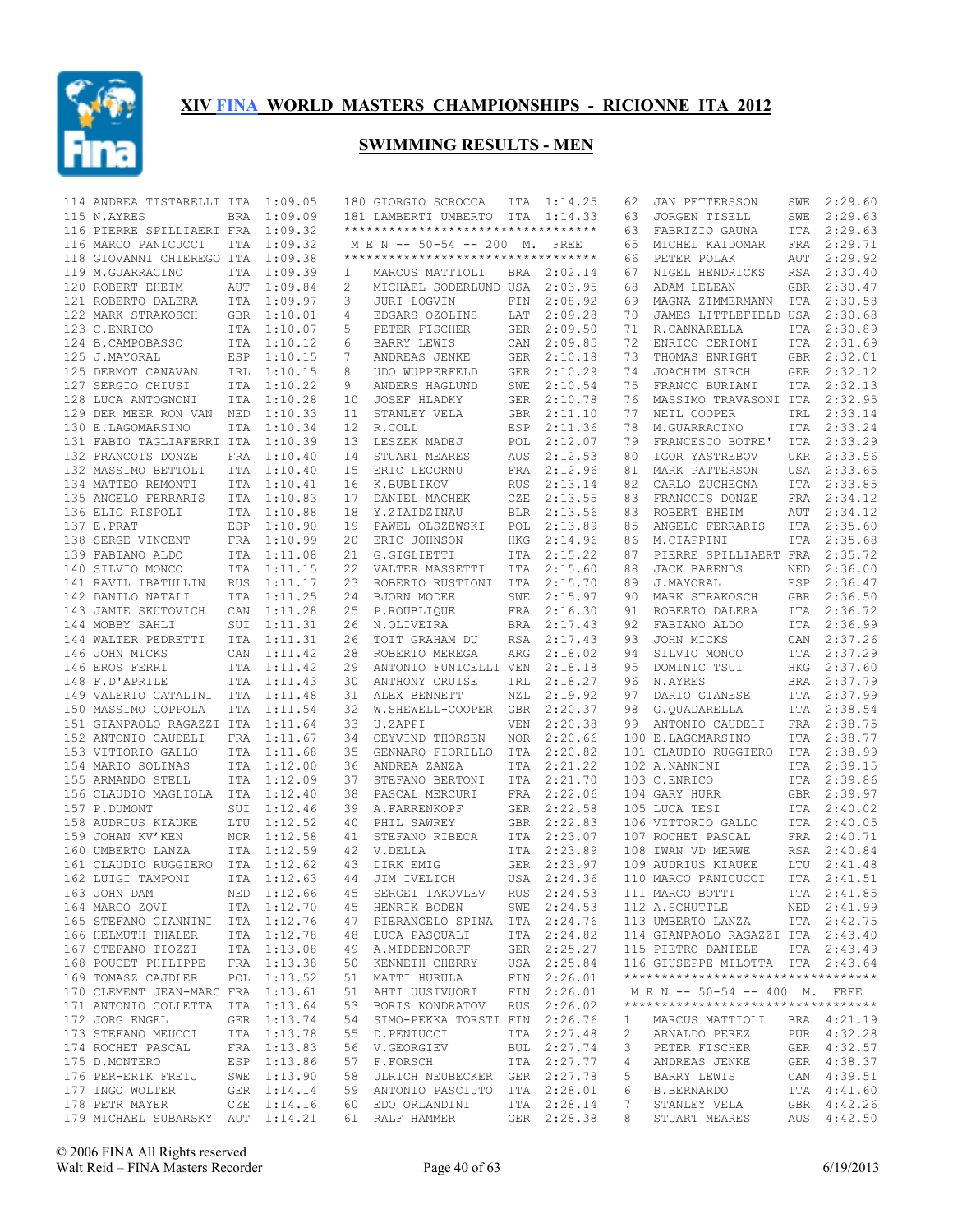

| 114 ANDREA TISTARELLI ITA         |            | 1:09.05     |                 | 180 GIORGIO SCROCCA                 |            | ITA 1:14.25 | 62 | JAN PETTERSSON                                                         | SWE        | 2:29.60     |
|-----------------------------------|------------|-------------|-----------------|-------------------------------------|------------|-------------|----|------------------------------------------------------------------------|------------|-------------|
| 115 N.AYRES                       | BRA        | 1:09.09     |                 | 181 LAMBERTI UMBERTO ITA 1:14.33    |            |             | 63 | JORGEN TISELL                                                          | SWE        | 2:29.63     |
| 116 PIERRE SPILLIAERT FRA         |            | 1:09.32     |                 | **********************************  |            |             | 63 | FABRIZIO GAUNA                                                         | ITA        | 2:29.63     |
| 116 MARCO PANICUCCI               | <b>ITA</b> | 1:09.32     |                 | M E N -- 50-54 -- 200 M.            |            | FREE        | 65 | MICHEL KAIDOMAR                                                        | FRA        | 2:29.71     |
| 118 GIOVANNI CHIEREGO ITA         |            | 1:09.38     |                 | *********************************** |            |             | 66 | PETER POLAK                                                            | AUT        | 2:29.92     |
| 119 M.GUARRACINO                  | <b>ITA</b> | 1:09.39     | 1               | MARCUS MATTIOLI                     |            | BRA 2:02.14 | 67 | NIGEL HENDRICKS                                                        | RSA        | 2:30.40     |
|                                   | AUT        |             | 2               |                                     |            | 2:03.95     | 68 |                                                                        | <b>GBR</b> | 2:30.47     |
| 120 ROBERT EHEIM                  |            | 1:09.84     |                 | MICHAEL SODERLUND USA               |            |             |    | ADAM LELEAN                                                            |            |             |
| 121 ROBERTO DALERA                | ITA        | 1:09.97     | 3               | JURI LOGVIN                         | FIN        | 2:08.92     | 69 | MAGNA ZIMMERMANN                                                       | ITA        | 2:30.58     |
| 122 MARK STRAKOSCH                | GBR        | 1:10.01     | 4               | EDGARS OZOLINS                      | LAT        | 2:09.28     | 70 | JAMES LITTLEFIELD USA                                                  |            | 2:30.68     |
| 123 C.ENRICO                      |            | ITA 1:10.07 | 5               | PETER FISCHER                       | <b>GER</b> | 2:09.50     | 71 | R.CANNARELLA                                                           | ITA        | 2:30.89     |
| 124 B.CAMPOBASSO                  |            | ITA 1:10.12 | 6               | BARRY LEWIS                         | CAN        | 2:09.85     | 72 | ENRICO CERIONI                                                         | ITA        | 2:31.69     |
| 125 J.MAYORAL                     | ESP        | 1:10.15     | 7               | ANDREAS JENKE                       | GER        | 2:10.18     | 73 | THOMAS ENRIGHT                                                         | GBR        | 2:32.01     |
| 125 DERMOT CANAVAN                |            | IRL 1:10.15 | 8               | UDO WUPPERFELD                      | <b>GER</b> | 2:10.29     | 74 | JOACHIM SIRCH                                                          |            | GER 2:32.12 |
| 127 SERGIO CHIUSI                 | ITA        | 1:10.22     | 9               | ANDERS HAGLUND                      | SWE        | 2:10.54     | 75 | FRANCO BURIANI                                                         | <b>ITA</b> | 2:32.13     |
| 128 LUCA ANTOGNONI                | <b>ITA</b> | 1:10.28     | 10              | <b>JOSEF HLADKY</b>                 | <b>GER</b> | 2:10.78     | 76 | MASSIMO TRAVASONI ITA                                                  |            | 2:32.95     |
| 129 DER MEER RON VAN NED          |            | 1:10.33     | 11              | STANLEY VELA                        | <b>GBR</b> | 2:11.10     | 77 | NEIL COOPER                                                            | IRL        | 2:33.14     |
| 130 E.LAGOMARSINO                 | <b>ITA</b> | 1:10.34     | 12 <sup>°</sup> | R.COLL                              | ESP        | 2:11.36     | 78 | M.GUARRACINO                                                           | ITA        | 2:33.24     |
|                                   |            |             |                 |                                     |            |             |    |                                                                        |            |             |
| 131 FABIO TAGLIAFERRI ITA         |            | 1:10.39     | 13              | LESZEK MADEJ                        | POL        | 2:12.07     | 79 | FRANCESCO BOTRE'                                                       | ITA        | 2:33.29     |
| 132 FRANCOIS DONZE                | FRA        | 1:10.40     | 14              | STUART MEARES                       | AUS        | 2:12.53     | 80 | IGOR YASTREBOV                                                         | <b>UKR</b> | 2:33.56     |
| 132 MASSIMO BETTOLI               | <b>ITA</b> | 1:10.40     | 15              | ERIC LECORNU                        | FRA        | 2:12.96     | 81 | MARK PATTERSON                                                         | USA        | 2:33.65     |
| 134 MATTEO REMONTI                | ITA        | 1:10.41     | 16              | K.BUBLIKOV                          | <b>RUS</b> | 2:13.14     | 82 | CARLO ZUCHEGNA                                                         | <b>ITA</b> | 2:33.85     |
| 135 ANGELO FERRARIS               |            | ITA 1:10.83 | 17              | DANIEL MACHEK                       | CZE        | 2:13.55     | 83 | FRANCOIS DONZE                                                         | <b>FRA</b> | 2:34.12     |
| 136 ELIO RISPOLI                  |            | ITA 1:10.88 | 18              | Y.ZIATDZINAU                        | <b>BLR</b> | 2:13.56     | 83 | ROBERT EHEIM                                                           | AUT        | 2:34.12     |
| 137 E.PRAT                        | ESP        | 1:10.90     | 19              | PAWEL OLSZEWSKI                     | POL        | 2:13.89     | 85 | ANGELO FERRARIS                                                        | ITA        | 2:35.60     |
| 138 SERGE VINCENT                 |            | FRA 1:10.99 | 20              | ERIC JOHNSON                        | <b>HKG</b> | 2:14.96     | 86 | M.CIAPPINI                                                             | ITA        | 2:35.68     |
| 139 FABIANO ALDO                  |            | ITA 1:11.08 | 21              | G.GIGLIETTI                         | ITA        | 2:15.22     | 87 | PIERRE SPILLIAERT FRA                                                  |            | 2:35.72     |
|                                   |            |             |                 |                                     |            |             |    |                                                                        |            | 2:36.00     |
| 140 SILVIO MONCO                  |            | ITA 1:11.15 | 22              | VALTER MASSETTI                     | ITA        | 2:15.60     | 88 | <b>JACK BARENDS</b>                                                    | NED        |             |
| 141 RAVIL IBATULLIN               | RUS        | 1:11.17     | 23              | ROBERTO RUSTIONI                    | ITA        | 2:15.70     | 89 | J.MAYORAL                                                              | ESP        | 2:36.47     |
| 142 DANILO NATALI                 |            | ITA 1:11.25 | 24              | BJORN MODEE                         | SWE        | 2:15.97     | 90 | MARK STRAKOSCH                                                         | GBR        | 2:36.50     |
| 143 JAMIE SKUTOVICH               | CAN        | 1:11.28     | 25              | P.ROUBLIOUE                         | FRA        | 2:16.30     | 91 | ROBERTO DALERA                                                         | ITA        | 2:36.72     |
| 144 MOBBY SAHLI                   |            | SUI 1:11.31 | 26              | N.OLIVEIRA                          | BRA        | 2:17.43     | 92 | FABIANO ALDO                                                           | ITA        | 2:36.99     |
| 144 WALTER PEDRETTI               |            | ITA 1:11.31 | 26              | TOIT GRAHAM DU                      | <b>RSA</b> | 2:17.43     | 93 | JOHN MICKS                                                             | CAN        | 2:37.26     |
| 146 JOHN MICKS                    | CAN        | 1:11.42     | 28              | ROBERTO MEREGA                      | ARG        | 2:18.02     | 94 | SILVIO MONCO                                                           | ITA        | 2:37.29     |
| 146 EROS FERRI                    |            | ITA 1:11.42 | 29              | ANTONIO FUNICELLI VEN               |            | 2:18.18     | 95 | DOMINIC TSUI                                                           | HKG        | 2:37.60     |
| 148 F.D'APRILE                    |            | ITA 1:11.43 | 30              | ANTHONY CRUISE                      | IRL        | 2:18.27     | 96 | N.AYRES                                                                | BRA        | 2:37.79     |
|                                   |            |             |                 |                                     |            |             | 97 |                                                                        |            |             |
| 149 VALERIO CATALINI ITA 1:11.48  |            |             | 31              | ALEX BENNETT                        | NZL        | 2:19.92     |    | DARIO GIANESE                                                          | ITA        | 2:37.99     |
| 150 MASSIMO COPPOLA               | ITA        | 1:11.54     | 32              | W.SHEWELL-COOPER                    | GBR        | 2:20.37     | 98 | G.QUADARELLA                                                           | ITA        | 2:38.54     |
| 151 GIANPAOLO RAGAZZI ITA         |            | 1:11.64     | 33              | U.ZAPPI                             | <b>VEN</b> | 2:20.38     | 99 | ANTONIO CAUDELI                                                        |            | FRA 2:38.75 |
| 152 ANTONIO CAUDELI               | FRA        | 1:11.67     | 34              | OEYVIND THORSEN                     | NOR.       | 2:20.66     |    | 100 E.LAGOMARSINO                                                      | ITA        | 2:38.77     |
| 153 VITTORIO GALLO                |            | ITA 1:11.68 | 35              | GENNARO FIORILLO                    | ITA        | 2:20.82     |    | 101 CLAUDIO RUGGIERO                                                   | ITA        | 2:38.99     |
| 154 MARIO SOLINAS                 | ITA        | 1:12.00     | 36              | ANDREA ZANZA                        | <b>ITA</b> | 2:21.22     |    | 102 A.NANNINI                                                          | ITA        | 2:39.15     |
| 155 ARMANDO STELL                 |            | ITA 1:12.09 | 37              | STEFANO BERTONI                     | ITA        | 2:21.70     |    | 103 C.ENRICO                                                           |            | ITA 2:39.86 |
| 156 CLAUDIO MAGLIOLA ITA 1:12.40  |            |             | 38              | PASCAL MERCURI                      | FRA        | 2:22.06     |    | 104 GARY HURR                                                          | GBR        | 2:39.97     |
| 157 P.DUMONT                      | SUI        | 1:12.46     | 39              | A. FARRENKOPF                       | GER        | 2:22.58     |    | 105 LUCA TESI                                                          | ITA        | 2:40.02     |
|                                   |            | 1:12.52     |                 |                                     |            | 2:22.83     |    |                                                                        |            | 2:40.05     |
| 158 AUDRIUS KIAUKE                | LTU        |             | 40              | PHIL SAWREY                         | <b>GBR</b> |             |    | 106 VITTORIO GALLO                                                     | ITA        |             |
| 159 JOHAN KV'KEN                  | NOR        | 1:12.58     | 41              | STEFANO RIBECA                      | ITA        | 2:23.07     |    | 107 ROCHET PASCAL                                                      | FRA        | 2:40.71     |
| 160 UMBERTO LANZA                 |            | ITA 1:12.59 | 42              | V.DELLA                             | ITA        | 2:23.89     |    | 108 IWAN VD MERWE                                                      | RSA        | 2:40.84     |
| 161 CLAUDIO RUGGIERO ITA 1:12.62  |            |             | 43              | DIRK EMIG                           |            | GER 2:23.97 |    | 109 AUDRIUS KIAUKE                                                     | LTU        | 2:41.48     |
| 162 LUIGI TAMPONI                 |            | ITA 1:12.63 | 44              | JIM IVELICH                         |            | USA 2:24.36 |    | 110 MARCO PANICUCCI                                                    | ITA        | 2:41.51     |
| 163 JOHN DAM                      |            |             |                 | NED 1:12.66 45 SERGEI IAKOVLEV      |            | RUS 2:24.53 |    | 111 MARCO BOTTI                                                        |            | ITA 2:41.85 |
| 164 MARCO ZOVI                    |            | ITA 1:12.70 |                 | 45 HENRIK BODEN                     |            | SWE 2:24.53 |    | 112 A.SCHUTTLE                                                         |            | NED 2:41.99 |
| 165 STEFANO GIANNINI ITA 1:12.76  |            |             |                 | 47 PIERANGELO SPINA ITA 2:24.76     |            |             |    | 113 UMBERTO LANZA                                                      |            | ITA 2:42.75 |
| 166 HELMUTH THALER                |            | ITA 1:12.78 |                 | 48 LUCA PASQUALI                    |            | ITA 2:24.82 |    | 114 GIANPAOLO RAGAZZI ITA 2:43.40                                      |            |             |
| 167 STEFANO TIOZZI                |            | ITA 1:13.08 |                 | 49 A.MIDDENDORFF                    |            | GER 2:25.27 |    | 115 PIETRO DANIELE                                                     |            | ITA 2:43.49 |
|                                   |            |             |                 |                                     |            |             |    |                                                                        |            |             |
| 168 POUCET PHILIPPE               |            | FRA 1:13.38 |                 | 50 KENNETH CHERRY                   |            | USA 2:25.84 |    | 116 GIUSEPPE MILOTTA ITA 2:43.64<br>********************************** |            |             |
| 169 TOMASZ CAJDLER                |            | POL 1:13.52 |                 | 51 MATTI HURULA                     |            | FIN 2:26.01 |    |                                                                        |            |             |
| 170 CLEMENT JEAN-MARC FRA 1:13.61 |            |             |                 | 51 AHTI UUSIVUORI                   |            | FIN 2:26.01 |    | M E N -- 50-54 -- 400 M. FREE                                          |            |             |
| 171 ANTONIO COLLETTA ITA 1:13.64  |            |             |                 | 53 BORIS KONDRATOV                  |            | RUS 2:26.02 |    | **********************************                                     |            |             |
| 172 JORG ENGEL                    |            | GER 1:13.74 |                 | 54 SIMO-PEKKA TORSTI FIN 2:26.76    |            |             | 1  | MARCUS MATTIOLI                                                        |            | BRA 4:21.19 |
| 173 STEFANO MEUCCI                |            | ITA 1:13.78 | 55              | D.PENTUCCI                          |            | ITA 2:27.48 | 2  | ARNALDO PEREZ                                                          |            | PUR 4:32.28 |
| 174 ROCHET PASCAL                 |            | FRA 1:13.83 |                 | 56 V.GEORGIEV                       |            | BUL 2:27.74 | 3  | PETER FISCHER                                                          |            | GER 4:32.57 |
| 175 D.MONTERO                     |            | ESP 1:13.86 |                 | 57 F.FORSCH                         |            | ITA 2:27.77 | 4  | ANDREAS JENKE                                                          |            | GER 4:38.37 |
| 176 PER-ERIK FREIJ                |            | SWE 1:13.90 |                 | 58 ULRICH NEUBECKER GER 2:27.78     |            |             | 5  | BARRY LEWIS                                                            |            | CAN 4:39.51 |
| 177 INGO WOLTER                   |            | GER 1:14.14 |                 | 59 ANTONIO PASCIUTO ITA 2:28.01     |            |             | 6  | <b>B.BERNARDO</b>                                                      |            | ITA 4:41.60 |
|                                   |            |             |                 |                                     |            |             |    |                                                                        |            |             |
| 178 PETR MAYER                    |            | CZE 1:14.16 |                 | 60 EDO ORLANDINI                    |            | ITA 2:28.14 | 7  | STANLEY VELA                                                           |            | GBR 4:42.26 |
| 179 MICHAEL SUBARSKY AUT 1:14.21  |            |             |                 | 61 RALF HAMMER                      |            | GER 2:28.38 | 8  | STUART MEARES                                                          | AUS        | 4:42.50     |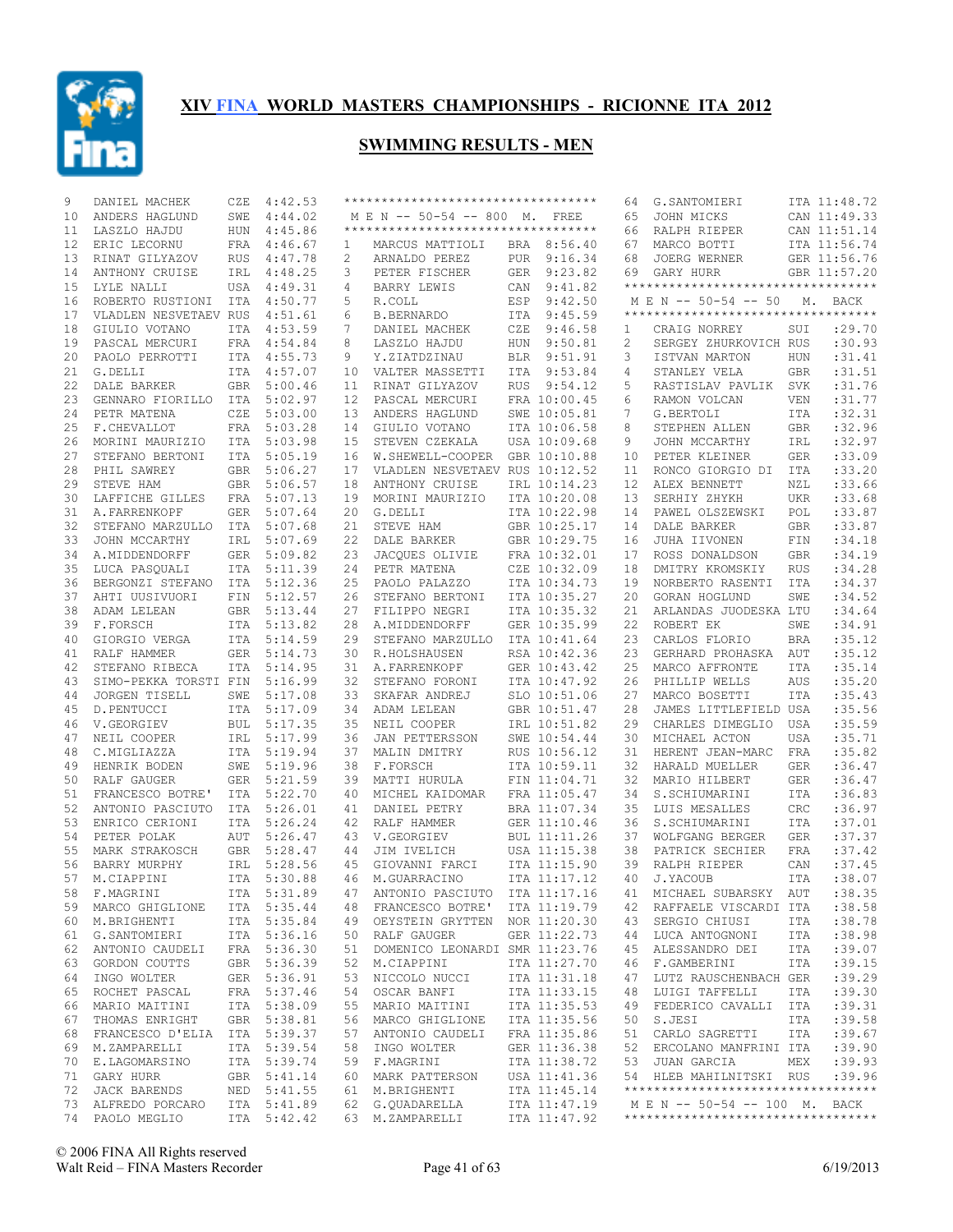

| 9  | DANIEL MACHEK         | CZE        | 4:42.53     |                 | **********************************  |            |              | 64 | G.SANTOMIERI                       |            | ITA 11:48.72 |
|----|-----------------------|------------|-------------|-----------------|-------------------------------------|------------|--------------|----|------------------------------------|------------|--------------|
| 10 | ANDERS HAGLUND        | SWE        | 4:44.02     |                 | M E N -- 50-54 -- 800 M.            |            | FREE         | 65 | JOHN MICKS                         |            | CAN 11:49.33 |
| 11 | LASZLO HAJDU          | <b>HUN</b> | 4:45.86     |                 | *********************************** |            |              | 66 | RALPH RIEPER                       |            | CAN 11:51.14 |
| 12 | ERIC LECORNU          | FRA        | 4:46.67     | $\mathbf{1}$    | MARCUS MATTIOLI                     |            | BRA 8:56.40  | 67 | MARCO BOTTI                        |            | ITA 11:56.74 |
| 13 | RINAT GILYAZOV        | <b>RUS</b> | 4:47.78     | 2               | ARNALDO PEREZ                       | PUR        | 9:16.34      | 68 | JOERG WERNER                       |            | GER 11:56.76 |
| 14 | ANTHONY CRUISE        | IRL        | 4:48.25     | 3               | PETER FISCHER                       | GER        | 9:23.82      | 69 | GARY HURR                          |            | GBR 11:57.20 |
| 15 | LYLE NALLI            | USA        | 4:49.31     | 4               | BARRY LEWIS                         | CAN        | 9:41.82      |    | ********************************** |            |              |
| 16 | ROBERTO RUSTIONI      | ITA        | 4:50.77     | 5               | R.COLL                              | ESP        | 9:42.50      |    | M E N -- 50-54 -- 50               |            | M. BACK      |
| 17 | VLADLEN NESVETAEV RUS |            | 4:51.61     | 6               | <b>B.BERNARDO</b>                   | ITA        | 9:45.59      |    | ********************************** |            |              |
| 18 | GIULIO VOTANO         | ITA        | 4:53.59     | 7               | DANIEL MACHEK                       | CZE        | 9:46.58      | 1  | CRAIG NORREY                       | SUI        | :29.70       |
| 19 | PASCAL MERCURI        | FRA        | 4:54.84     | 8               | LASZLO HAJDU                        | HUN        | 9:50.81      | 2  | SERGEY ZHURKOVICH RUS              |            | :30.93       |
| 20 | PAOLO PERROTTI        | ITA        | 4:55.73     | 9               | Y.ZIATDZINAU                        | <b>BLR</b> | 9:51.91      | 3  | ISTVAN MARTON                      | HUN        | : 31.41      |
| 21 | G.DELLI               | <b>ITA</b> | 4:57.07     | 10              | VALTER MASSETTI                     | ITA        | 9:53.84      | 4  | STANLEY VELA                       | <b>GBR</b> | :31.51       |
| 22 |                       |            | 5:00.46     |                 |                                     |            | 9:54.12      |    |                                    |            | :31.76       |
|    | DALE BARKER           | GBR        |             | 11              | RINAT GILYAZOV                      | <b>RUS</b> |              | 5  | RASTISLAV PAVLIK                   | SVK        | : 31.77      |
| 23 | GENNARO FIORILLO      | ITA        | 5:02.97     | 12 <sup>°</sup> | PASCAL MERCURI                      |            | FRA 10:00.45 | 6  | RAMON VOLCAN                       | <b>VEN</b> |              |
| 24 | PETR MATENA           | CZE        | 5:03.00     | 13              | ANDERS HAGLUND                      |            | SWE 10:05.81 | 7  | G.BERTOLI                          | ITA        | :32.31       |
| 25 | F.CHEVALLOT           | FRA        | 5:03.28     | 14              | GIULIO VOTANO                       |            | ITA 10:06.58 | 8  | STEPHEN ALLEN                      | <b>GBR</b> | :32.96       |
| 26 | MORINI MAURIZIO       | <b>ITA</b> | 5:03.98     | 15              | STEVEN CZEKALA                      |            | USA 10:09.68 | 9  | JOHN MCCARTHY                      | IRL        | :32.97       |
| 27 | STEFANO BERTONI       | <b>ITA</b> | 5:05.19     | 16              | W.SHEWELL-COOPER                    |            | GBR 10:10.88 | 10 | PETER KLEINER                      | <b>GER</b> | :33.09       |
| 28 | PHIL SAWREY           | <b>GBR</b> | 5:06.27     | 17              | VLADLEN NESVETAEV RUS 10:12.52      |            |              | 11 | RONCO GIORGIO DI                   | <b>ITA</b> | :33.20       |
| 29 | STEVE HAM             | <b>GBR</b> | 5:06.57     | 18              | ANTHONY CRUISE                      |            | IRL 10:14.23 | 12 | ALEX BENNETT                       | NZL        | :33.66       |
| 30 | LAFFICHE GILLES       | FRA        | 5:07.13     | 19              | MORINI MAURIZIO                     |            | ITA 10:20.08 | 13 | SERHIY ZHYKH                       | <b>UKR</b> | :33.68       |
| 31 | A. FARRENKOPF         | GER        | 5:07.64     | 20              | G.DELLI                             |            | ITA 10:22.98 | 14 | PAWEL OLSZEWSKI                    | POL        | :33.87       |
| 32 | STEFANO MARZULLO      | ITA        | 5:07.68     | 21              | STEVE HAM                           |            | GBR 10:25.17 | 14 | DALE BARKER                        | <b>GBR</b> | :33.87       |
| 33 | JOHN MCCARTHY         | IRL        | 5:07.69     | 22              | DALE BARKER                         |            | GBR 10:29.75 | 16 | JUHA IIVONEN                       | FIN        | :34.18       |
| 34 | A.MIDDENDORFF         | GER        | 5:09.82     | 23              | JACQUES OLIVIE                      |            | FRA 10:32.01 | 17 | ROSS DONALDSON                     | <b>GBR</b> | :34.19       |
| 35 | LUCA PASQUALI         | ITA        | 5:11.39     | 24              | PETR MATENA                         |            | CZE 10:32.09 | 18 | DMITRY KROMSKIY                    | <b>RUS</b> | :34.28       |
| 36 | BERGONZI STEFANO      | ITA        | 5:12.36     | 25              | PAOLO PALAZZO                       |            | ITA 10:34.73 | 19 | NORBERTO RASENTI                   | <b>ITA</b> | :34.37       |
| 37 | AHTI UUSIVUORI        | FIN        | 5:12.57     | 26              | STEFANO BERTONI                     |            | ITA 10:35.27 | 20 | GORAN HOGLUND                      | SWE        | :34.52       |
| 38 | ADAM LELEAN           | <b>GBR</b> | 5:13.44     | 27              | FILIPPO NEGRI                       |            | ITA 10:35.32 | 21 | ARLANDAS JUODESKA LTU              |            | :34.64       |
| 39 | F.FORSCH              | ITA        | 5:13.82     | 28              | A.MIDDENDORFF                       |            | GER 10:35.99 | 22 | ROBERT EK                          | SWE        | :34.91       |
|    |                       |            |             |                 |                                     |            | ITA 10:41.64 |    |                                    |            | :35.12       |
| 40 | GIORGIO VERGA         |            | ITA 5:14.59 | 29              | STEFANO MARZULLO                    |            |              | 23 | CARLOS FLORIO                      | <b>BRA</b> |              |
| 41 | RALF HAMMER           | GER        | 5:14.73     | 30              | R.HOLSHAUSEN                        |            | RSA 10:42.36 | 23 | GERHARD PROHASKA                   | AUT        | :35.12       |
| 42 | STEFANO RIBECA        | ITA        | 5:14.95     | 31              | A. FARRENKOPF                       |            | GER 10:43.42 | 25 | MARCO AFFRONTE                     | ITA        | :35.14       |
| 43 | SIMO-PEKKA TORSTI FIN |            | 5:16.99     | 32              | STEFANO FORONI                      |            | ITA 10:47.92 | 26 | PHILLIP WELLS                      | AUS        | :35.20       |
| 44 | JORGEN TISELL         | SWE        | 5:17.08     | 33              | SKAFAR ANDREJ                       |            | SLO 10:51.06 | 27 | MARCO BOSETTI                      | ITA        | :35.43       |
| 45 | D.PENTUCCI            | ITA        | 5:17.09     | 34              | ADAM LELEAN                         |            | GBR 10:51.47 | 28 | JAMES LITTLEFIELD USA              |            | :35.56       |
| 46 | V.GEORGIEV            | <b>BUL</b> | 5:17.35     | 35              | NEIL COOPER                         |            | IRL 10:51.82 | 29 | CHARLES DIMEGLIO                   | <b>USA</b> | :35.59       |
| 47 | NEIL COOPER           | IRL        | 5:17.99     | 36              | JAN PETTERSSON                      |            | SWE 10:54.44 | 30 | MICHAEL ACTON                      | <b>USA</b> | :35.71       |
| 48 | C.MIGLIAZZA           |            | ITA 5:19.94 | 37              | MALIN DMITRY                        |            | RUS 10:56.12 | 31 | HERENT JEAN-MARC                   | FRA        | :35.82       |
| 49 | HENRIK BODEN          | SWE        | 5:19.96     | 38              | F.FORSCH                            |            | ITA 10:59.11 | 32 | HARALD MUELLER                     | <b>GER</b> | :36.47       |
| 50 | RALF GAUGER           |            | GER 5:21.59 | 39              | MATTI HURULA                        |            | FIN 11:04.71 | 32 | MARIO HILBERT                      | <b>GER</b> | :36.47       |
| 51 | FRANCESCO BOTRE'      | ITA        | 5:22.70     | 40              | MICHEL KAIDOMAR                     |            | FRA 11:05.47 | 34 | S.SCHIUMARINI                      | ITA        | :36.83       |
| 52 | ANTONIO PASCIUTO      |            | ITA 5:26.01 | 41              | DANIEL PETRY                        |            | BRA 11:07.34 | 35 | LUIS MESALLES                      | CRC        | :36.97       |
| 53 | ENRICO CERIONI        | <b>ITA</b> | 5:26.24     | 42              | RALF HAMMER                         |            | GER 11:10.46 | 36 | S.SCHIUMARINI                      | <b>ITA</b> | :37.01       |
| 54 | PETER POLAK           | <b>AUT</b> | 5:26.47     | 43              | V.GEORGIEV                          |            | BUL 11:11.26 | 37 | WOLFGANG BERGER                    | <b>GER</b> | :37.37       |
| 55 | MARK STRAKOSCH        | GBR        | 5:28.47     | 44              | JIM IVELICH                         |            | USA 11:15.38 | 38 | PATRICK SECHIER                    | <b>FRA</b> | :37.42       |
| 56 | BARRY MURPHY          | IRL        | 5:28.56     | 45              | GIOVANNI FARCI                      |            | ITA 11:15.90 | 39 | RALPH RIEPER                       | CAN        | :37.45       |
| 57 | M.CIAPPINI            |            | ITA 5:30.88 | 46              | M.GUARRACINO                        |            | ITA 11:17.12 | 40 | J.YACOUB                           | <b>ITA</b> | :38.07       |
|    | 58 F.MAGRINI          |            | ITA 5:31.89 |                 | 47 ANTONIO PASCIUTO ITA 11:17.16    |            |              |    | 41 MICHAEL SUBARSKY AUT            |            | : 38.35      |
|    | 59 MARCO GHIGLIONE    |            | ITA 5:35.44 |                 | 48 FRANCESCO BOTRE'                 |            | ITA 11:19.79 |    | 42 RAFFAELE VISCARDI ITA           |            | : 38.58      |
|    |                       |            | ITA 5:35.84 |                 |                                     |            |              |    | SERGIO CHIUSI                      |            |              |
|    | 60 M.BRIGHENTI        |            |             |                 | 49 OEYSTEIN GRYTTEN NOR 11:20.30    |            |              | 43 |                                    | ITA        | : 38.78      |
| 61 | G.SANTOMIERI          |            | ITA 5:36.16 |                 | 50 RALF GAUGER                      |            | GER 11:22.73 | 44 | LUCA ANTOGNONI                     | ITA        | :38.98       |
| 62 | ANTONIO CAUDELI       |            | FRA 5:36.30 | 51              | DOMENICO LEONARDI SMR 11:23.76      |            |              | 45 | ALESSANDRO DEI                     | ITA        | :39.07       |
| 63 | GORDON COUTTS         |            | GBR 5:36.39 | 52              | M.CIAPPINI                          |            | ITA 11:27.70 | 46 | F.GAMBERINI                        | ITA        | :39.15       |
| 64 | INGO WOLTER           |            | GER 5:36.91 |                 | 53 NICCOLO NUCCI                    |            | ITA 11:31.18 | 47 | LUTZ RAUSCHENBACH GER              |            | :39.29       |
| 65 | ROCHET PASCAL         |            | FRA 5:37.46 | 54              | OSCAR BANFI                         |            | ITA 11:33.15 | 48 | LUIGI TAFFELLI                     | ITA        | :39.30       |
| 66 | MARIO MAITINI         |            | ITA 5:38.09 |                 | 55 MARIO MAITINI                    |            | ITA 11:35.53 | 49 | FEDERICO CAVALLI                   | ITA        | :39.31       |
| 67 | THOMAS ENRIGHT        |            | GBR 5:38.81 |                 | 56 MARCO GHIGLIONE                  |            | ITA 11:35.56 | 50 | S.JESI                             | ITA        | :39.58       |
| 68 | FRANCESCO D'ELIA      |            | ITA 5:39.37 | 57              | ANTONIO CAUDELI                     |            | FRA 11:35.86 | 51 | CARLO SAGRETTI                     | ITA        | :39.67       |
| 69 | M.ZAMPARELLI          |            | ITA 5:39.54 | 58              | INGO WOLTER                         |            | GER 11:36.38 | 52 | ERCOLANO MANFRINI ITA              |            | :39.90       |
| 70 | E.LAGOMARSINO         |            | ITA 5:39.74 |                 | 59 F.MAGRINI                        |            | ITA 11:38.72 | 53 | JUAN GARCIA                        | MEX        | :39.93       |
| 71 | GARY HURR             |            | GBR 5:41.14 |                 | 60 MARK PATTERSON                   |            | USA 11:41.36 |    | 54 HLEB MAHILNITSKI RUS            |            | :39.96       |
| 72 | JACK BARENDS          |            | NED 5:41.55 |                 | 61 M.BRIGHENTI                      |            | ITA 11:45.14 |    | ********************************** |            |              |
| 73 | ALFREDO PORCARO       |            | ITA 5:41.89 |                 | 62 G.QUADARELLA                     |            | ITA 11:47.19 |    | M E N -- 50-54 -- 100 M. BACK      |            |              |
|    | 74 PAOLO MEGLIO       |            | ITA 5:42.42 |                 | 63 M.ZAMPARELLI                     |            | ITA 11:47.92 |    | ********************************** |            |              |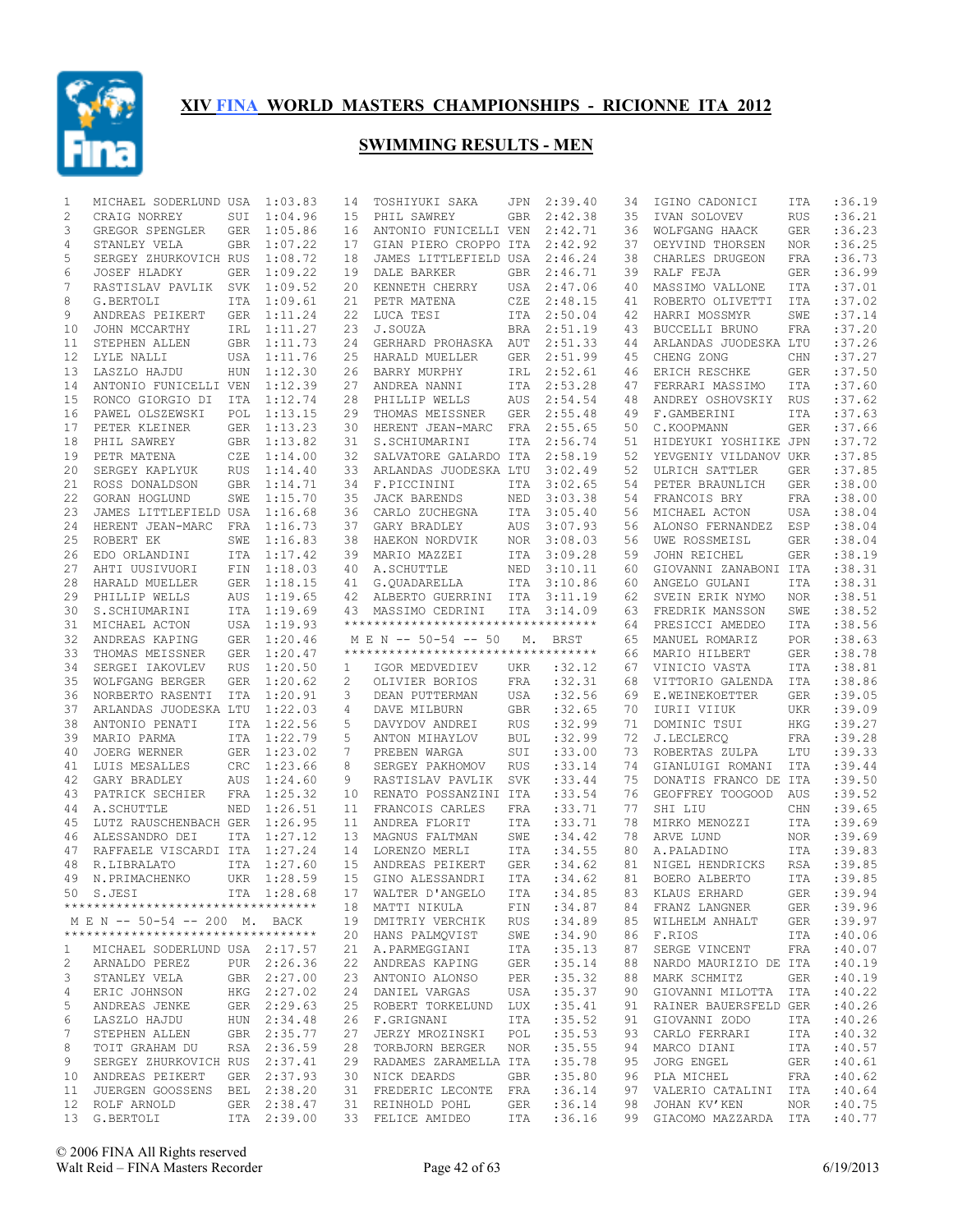

| 1            | MICHAEL SODERLUND USA                                                                                          |            | 1:03.83     | 14 | TOSHIYUKI SAKA                      | JPN        | 2:39.40     | 34 | IGINO CADONICI        | ITA        | :36.19      |
|--------------|----------------------------------------------------------------------------------------------------------------|------------|-------------|----|-------------------------------------|------------|-------------|----|-----------------------|------------|-------------|
| 2            | CRAIG NORREY                                                                                                   | SUI        | 1:04.96     | 15 | PHIL SAWREY                         | <b>GBR</b> | 2:42.38     | 35 | IVAN SOLOVEV          | <b>RUS</b> | :36.21      |
| 3            | GREGOR SPENGLER                                                                                                | GER        | 1:05.86     | 16 | ANTONIO FUNICELLI VEN               |            | 2:42.71     | 36 | WOLFGANG HAACK        | <b>GER</b> | :36.23      |
| 4            | STANLEY VELA                                                                                                   | <b>GBR</b> | 1:07.22     | 17 | GIAN PIERO CROPPO ITA               |            | 2:42.92     | 37 | OEYVIND THORSEN       | NOR        | :36.25      |
| 5            | SERGEY ZHURKOVICH RUS                                                                                          |            | 1:08.72     | 18 | JAMES LITTLEFIELD USA               |            | 2:46.24     | 38 | CHARLES DRUGEON       | FRA        | :36.73      |
| 6            | JOSEF HLADKY                                                                                                   | GER        | 1:09.22     | 19 | DALE BARKER                         | <b>GBR</b> | 2:46.71     | 39 | RALF FEJA             | <b>GER</b> | :36.99      |
| 7            | RASTISLAV PAVLIK SVK 1:09.52                                                                                   |            |             | 20 | KENNETH CHERRY                      | USA        | 2:47.06     | 40 | MASSIMO VALLONE       | <b>ITA</b> | :37.01      |
| 8            | G.BERTOLI                                                                                                      | ITA        | 1:09.61     | 21 | PETR MATENA                         | CZE        | 2:48.15     | 41 | ROBERTO OLIVETTI      | <b>ITA</b> | :37.02      |
| 9            | ANDREAS PEIKERT                                                                                                |            | GER 1:11.24 | 22 | LUCA TESI                           | ITA        | 2:50.04     | 42 | HARRI MOSSMYR         | SWE        | :37.14      |
| 10           | JOHN MCCARTHY                                                                                                  |            | IRL 1:11.27 | 23 | J.SOUZA                             | <b>BRA</b> | 2:51.19     | 43 | BUCCELLI BRUNO        | <b>FRA</b> | :37.20      |
| 11           | STEPHEN ALLEN                                                                                                  |            | GBR 1:11.73 | 24 | GERHARD PROHASKA                    | AUT        | 2:51.33     | 44 | ARLANDAS JUODESKA LTU |            | :37.26      |
| 12           | LYLE NALLI                                                                                                     |            | USA 1:11.76 | 25 | HARALD MUELLER                      | <b>GER</b> | 2:51.99     | 45 | CHENG ZONG            | CHN        | :37.27      |
| 13           | LASZLO HAJDU                                                                                                   |            |             |    |                                     |            | 2:52.61     |    |                       |            | :37.50      |
|              |                                                                                                                | HUN        | 1:12.30     | 26 | BARRY MURPHY                        | IRL        |             | 46 | ERICH RESCHKE         | <b>GER</b> |             |
| 14           | ANTONIO FUNICELLI VEN                                                                                          |            | 1:12.39     | 27 | ANDREA NANNI                        | ITA        | 2:53.28     | 47 | FERRARI MASSIMO       | <b>ITA</b> | :37.60      |
| 15           | RONCO GIORGIO DI                                                                                               | ITA        | 1:12.74     | 28 | PHILLIP WELLS                       | AUS        | 2:54.54     | 48 | ANDREY OSHOVSKIY      | <b>RUS</b> | :37.62      |
| 16           | PAWEL OLSZEWSKI                                                                                                | POL        | 1:13.15     | 29 | THOMAS MEISSNER                     | <b>GER</b> | 2:55.48     | 49 | F.GAMBERINI           | <b>ITA</b> | :37.63      |
| 17           | PETER KLEINER                                                                                                  |            | GER 1:13.23 | 30 | HERENT JEAN-MARC                    | FRA        | 2:55.65     | 50 | C.KOOPMANN            | <b>GER</b> | :37.66      |
| 18           | PHIL SAWREY                                                                                                    |            | GBR 1:13.82 | 31 | S.SCHIUMARINI                       | ITA        | 2:56.74     | 51 | HIDEYUKI YOSHIIKE JPN |            | :37.72      |
| 19           | PETR MATENA                                                                                                    | CZE        | 1:14.00     | 32 | SALVATORE GALARDO ITA               |            | 2:58.19     | 52 | YEVGENIY VILDANOV UKR |            | :37.85      |
| 20           | SERGEY KAPLYUK                                                                                                 | <b>RUS</b> | 1:14.40     | 33 | ARLANDAS JUODESKA LTU               |            | 3:02.49     | 52 | ULRICH SATTLER        | <b>GER</b> | :37.85      |
| 21           | ROSS DONALDSON                                                                                                 | <b>GBR</b> | 1:14.71     | 34 | F.PICCININI                         | <b>ITA</b> | 3:02.65     | 54 | PETER BRAUNLICH       | <b>GER</b> | :38.00      |
| 22           | GORAN HOGLUND                                                                                                  | SWE        | 1:15.70     | 35 | JACK BARENDS                        | <b>NED</b> | 3:03.38     | 54 | FRANCOIS BRY          | FRA        | :38.00      |
| 23           | JAMES LITTLEFIELD USA 1:16.68                                                                                  |            |             | 36 | CARLO ZUCHEGNA                      | ITA        | 3:05.40     | 56 | MICHAEL ACTON         | <b>USA</b> | :38.04      |
| 24           | HERENT JEAN-MARC                                                                                               | FRA        | 1:16.73     | 37 | GARY BRADLEY                        | AUS        | 3:07.93     | 56 | ALONSO FERNANDEZ      | ESP        | :38.04      |
| 25           | ROBERT EK                                                                                                      | SWE        | 1:16.83     | 38 | HAEKON NORDVIK                      | <b>NOR</b> | 3:08.03     | 56 | UWE ROSSMEISL         | <b>GER</b> | :38.04      |
| 26           | EDO ORLANDINI                                                                                                  |            | ITA 1:17.42 | 39 | MARIO MAZZEI                        | ITA        | 3:09.28     | 59 | JOHN REICHEL          | <b>GER</b> | :38.19      |
| 27           | AHTI UUSIVUORI                                                                                                 |            | FIN 1:18.03 | 40 | A. SCHUTTLE                         | NED        | 3:10.11     | 60 | GIOVANNI ZANABONI ITA |            | :38.31      |
| 28           | HARALD MUELLER                                                                                                 | GER        | 1:18.15     | 41 | G.QUADARELLA                        | ITA        | 3:10.86     | 60 | ANGELO GULANI         | <b>ITA</b> | :38.31      |
| 29           | PHILLIP WELLS                                                                                                  | AUS        | 1:19.65     | 42 | ALBERTO GUERRINI ITA                |            | 3:11.19     | 62 | SVEIN ERIK NYMO       | NOR        | :38.51      |
| 30           | S.SCHIUMARINI                                                                                                  |            | ITA 1:19.69 | 43 | MASSIMO CEDRINI                     | ITA        | 3:14.09     | 63 | FREDRIK MANSSON       | SWE        | :38.52      |
| 31           | MICHAEL ACTON                                                                                                  |            | USA 1:19.93 |    | *********************************** |            |             | 64 | PRESICCI AMEDEO       | <b>ITA</b> | :38.56      |
| 32           | ANDREAS KAPING                                                                                                 |            | GER 1:20.46 |    | M E N -- 50-54 -- 50                | М.         |             | 65 | MANUEL ROMARIZ        | POR        | :38.63      |
|              |                                                                                                                |            |             |    | *********************************** |            | BRST        |    |                       |            | :38.78      |
| 33           | THOMAS MEISSNER                                                                                                | <b>GER</b> | 1:20.47     |    |                                     |            |             | 66 | MARIO HILBERT         | <b>GER</b> |             |
| 34           | SERGEI IAKOVLEV                                                                                                | <b>RUS</b> | 1:20.50     | 1  | IGOR MEDVEDIEV                      | UKR        | :32.12      | 67 | VINICIO VASTA         | <b>ITA</b> | :38.81      |
| 35           | WOLFGANG BERGER                                                                                                | GER        | 1:20.62     | 2  | OLIVIER BORIOS                      | FRA        | :32.31      | 68 | VITTORIO GALENDA      | ITA        | :38.86      |
| 36           | NORBERTO RASENTI                                                                                               | ITA        | 1:20.91     | 3  | DEAN PUTTERMAN                      | USA        | :32.56      | 69 | E.WEINEKOETTER        | <b>GER</b> | :39.05      |
| 37           | ARLANDAS JUODESKA LTU                                                                                          |            | 1:22.03     | 4  | DAVE MILBURN                        | GBR        | :32.65      | 70 | IURII VIIUK           | UKR        | :39.09      |
| 38           | ANTONIO PENATI                                                                                                 |            | ITA 1:22.56 | 5  | DAVYDOV ANDREI                      | <b>RUS</b> | :32.99      | 71 | DOMINIC TSUI          | <b>HKG</b> | :39.27      |
| 39           | MARIO PARMA                                                                                                    |            | ITA 1:22.79 | 5  | ANTON MIHAYLOV                      | BUL        | :32.99      | 72 | J.LECLERCQ            | FRA        | :39.28      |
| 40           | JOERG WERNER                                                                                                   |            | GER 1:23.02 | 7  | PREBEN WARGA                        | SUI        | :33.00      | 73 | ROBERTAS ZULPA        | LTU        | :39.33      |
| 41           | LUIS MESALLES                                                                                                  | <b>CRC</b> | 1:23.66     | 8  | SERGEY PAKHOMOV                     | <b>RUS</b> | : 33.14     | 74 | GIANLUIGI ROMANI      | <b>ITA</b> | :39.44      |
| 42           | GARY BRADLEY                                                                                                   | AUS        | 1:24.60     | 9  | RASTISLAV PAVLIK                    | SVK        | : 33.44     | 75 | DONATIS FRANCO DE ITA |            | :39.50      |
| 43           | PATRICK SECHIER                                                                                                |            | FRA 1:25.32 | 10 | RENATO POSSANZINI ITA               |            | :33.54      | 76 | GEOFFREY TOOGOOD      | AUS        | :39.52      |
| 44           | A. SCHUTTLE                                                                                                    | <b>NED</b> | 1:26.51     | 11 | FRANCOIS CARLES                     | <b>FRA</b> | :33.71      | 77 | SHI LIU               | CHN        | :39.65      |
| 45           | LUTZ RAUSCHENBACH GER                                                                                          |            | 1:26.95     | 11 | ANDREA FLORIT                       | ITA        | :33.71      | 78 | MIRKO MENOZZI         | <b>ITA</b> | :39.69      |
| 46           | ALESSANDRO DEI                                                                                                 | <b>ITA</b> | 1:27.12     | 13 | MAGNUS FALTMAN                      | SWE        | :34.42      | 78 | ARVE LUND             | <b>NOR</b> | :39.69      |
| 47           | RAFFAELE VISCARDI ITA                                                                                          |            | 1:27.24     | 14 | LORENZO MERLI                       | ITA        | :34.55      | 80 | A. PALADINO           | ITA        | :39.83      |
| 48           | R.LIBRALATO                                                                                                    |            | ITA 1:27.60 | 15 | ANDREAS PEIKERT                     | <b>GER</b> | :34.62      | 81 | NIGEL HENDRICKS       | <b>RSA</b> | :39.85      |
| 49           | N. PRIMACHENKO                                                                                                 |            | UKR 1:28.59 | 15 | GINO ALESSANDRI                     | ITA        | :34.62      | 81 | BOERO ALBERTO         | <b>ITA</b> | :39.85      |
|              |                                                                                                                |            |             |    |                                     |            |             |    |                       |            |             |
|              |                                                                                                                |            |             |    |                                     |            |             |    |                       |            |             |
|              | 50 S.JESI                                                                                                      |            | ITA 1:28.68 |    | 17 WALTER D'ANGELO                  |            | ITA : 34.85 |    | 83 KLAUS ERHARD       |            | GER : 39.94 |
|              | **********************************                                                                             |            |             |    | 18 MATTI NIKULA                     | FIN        | :34.87      |    | 84 FRANZ LANGNER GER  |            | :39.96      |
|              | M E N -- 50-54 -- 200 M. BACK                                                                                  |            |             |    | 19 DMITRIY VERCHIK RUS :34.89       |            |             |    | 85 WILHELM ANHALT GER |            | :39.97      |
|              | ***********************************                                                                            |            |             |    | 20 HANS PALMQVIST SWE               |            | :34.90      |    | 86 F.RIOS             | ITA        | :40.06      |
| $\mathbf{1}$ | MICHAEL SODERLUND USA 2:17.57                                                                                  |            |             |    | 21 A.PARMEGGIANI ITA :35.13         |            |             | 87 | SERGE VINCENT         | FRA        | :40.07      |
| 2            |                                                                                                                |            |             |    | 22 ANDREAS KAPING GER :35.14        |            |             | 88 | NARDO MAURIZIO DE ITA |            | :40.19      |
| 3            | ARNALDO PEREZ PUR 2:26.36<br>STANLEY VELA GBR 2:27.00<br>STANLEY VELA                                          |            |             |    | 23 ANTONIO ALONSO PER : 35.32       |            |             | 88 | MARK SCHMITZ          | GER        | :40.19      |
| 4            |                                                                                                                |            |             |    | 24 DANIEL VARGAS                    |            | USA :35.37  | 90 | GIOVANNI MILOTTA ITA  |            | :40.22      |
| 5            |                                                                                                                |            |             |    | 25 ROBERT TORKELUND LUX : 35.41     |            |             | 91 | RAINER BAUERSFELD GER |            | :40.26      |
| 6            |                                                                                                                |            |             |    | 26 F.GRIGNANI                       | I TA       | :35.52      | 91 | GIOVANNI ZODO         | ITA        | :40.26      |
| 7            | ERIC JOHNSON HKG 2:27.02<br>ANDREAS JENKE GER 2:29.63<br>LASZLO HAJDU HUN 2:34.48<br>STEPHEN ALLEN GBR 2:35.77 |            |             |    | 27 JERZY MROZINSKI POL              |            | :35.53      | 93 | CARLO FERRARI         | ITA        | :40.32      |
| 8            | TOIT GRAHAM DU                                                                                                 |            | RSA 2:36.59 |    | 28 TORBJORN BERGER NOR              |            | :35.55      | 94 | MARCO DIANI           | ITA        | :40.57      |
| 9            | SERGEY ZHURKOVICH RUS 2:37.41                                                                                  |            |             |    | 29 RADAMES ZARAMELLA ITA : 35.78    |            |             | 95 | JORG ENGEL            | GER        | :40.61      |
|              | 10 ANDREAS PEIKERT                                                                                             |            | GER 2:37.93 |    | 30 NICK DEARDS                      |            | GBR : 35.80 | 96 | PLA MICHEL            | FRA        | :40.62      |
|              | 11 JUERGEN GOOSSENS BEL 2:38.20                                                                                |            |             |    | 31 FREDERIC LECONTE FRA : 36.14     |            |             | 97 | VALERIO CATALINI ITA  |            | :40.64      |
|              | 12 ROLF ARNOLD                                                                                                 |            | GER 2:38.47 |    | 31 REINHOLD POHL                    |            | GER : 36.14 |    | 98 JOHAN KV'KEN       | NOR        | :40.75      |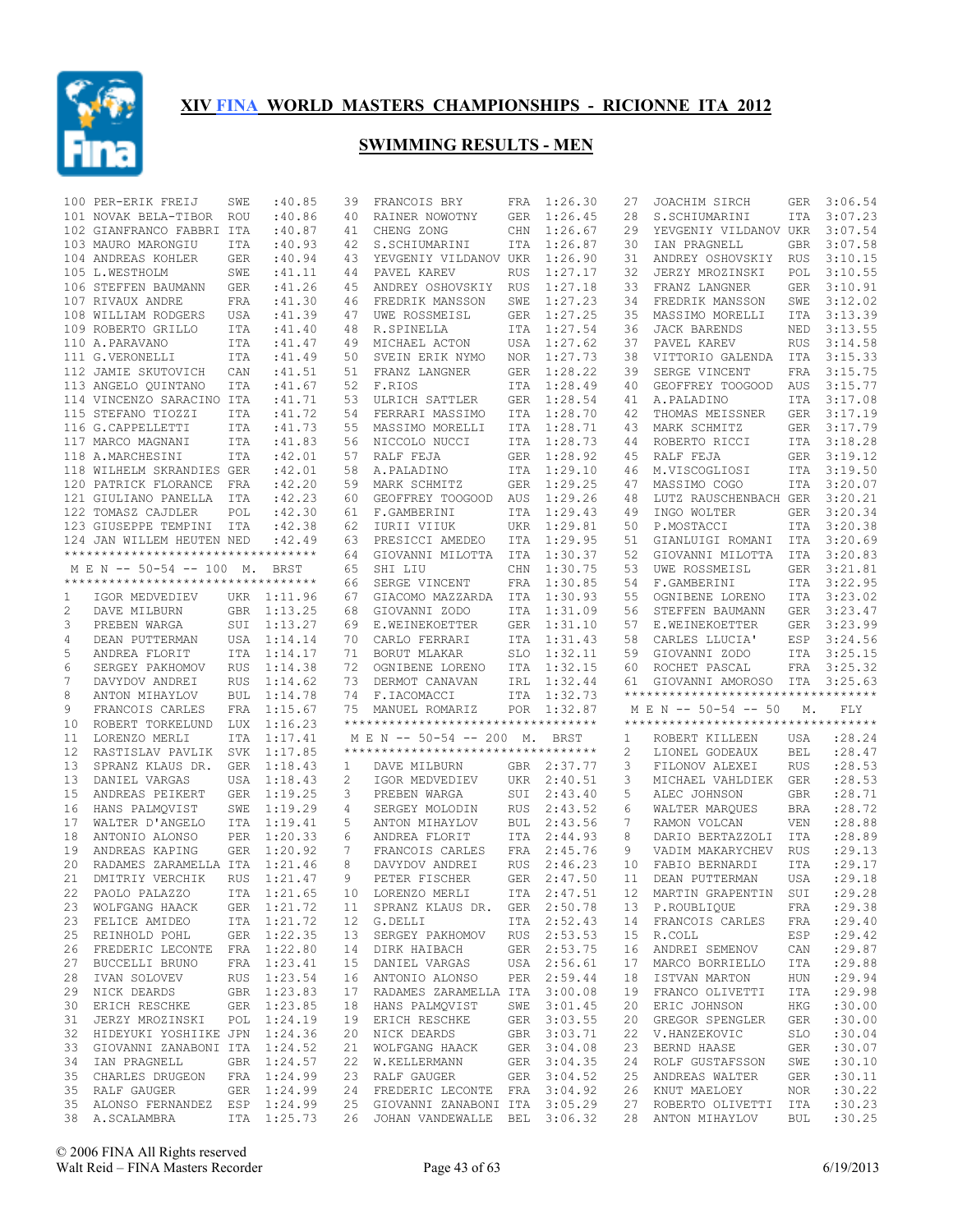

|                | 100 PER-ERIK FREIJ                                | SWE        | :40.85      | 39 | FRANCOIS BRY                                                        | FRA        | 1:26.30     | 27 | JOACHIM SIRCH                              | GER        | 3:06.54          |
|----------------|---------------------------------------------------|------------|-------------|----|---------------------------------------------------------------------|------------|-------------|----|--------------------------------------------|------------|------------------|
|                | 101 NOVAK BELA-TIBOR                              | <b>ROU</b> | :40.86      | 40 | RAINER NOWOTNY                                                      | <b>GER</b> | 1:26.45     | 28 | S.SCHIUMARINI                              | ITA        | 3:07.23          |
|                | 102 GIANFRANCO FABBRI ITA                         |            | :40.87      | 41 | CHENG ZONG                                                          | CHN        | 1:26.67     | 29 | YEVGENIY VILDANOV UKR                      |            | 3:07.54          |
|                | 103 MAURO MARONGIU                                | <b>ITA</b> | :40.93      | 42 | S.SCHIUMARINI                                                       | ITA        | 1:26.87     | 30 | IAN PRAGNELL                               | <b>GBR</b> | 3:07.58          |
|                | 104 ANDREAS KOHLER                                | GER        | :40.94      | 43 | YEVGENIY VILDANOV UKR                                               |            | 1:26.90     | 31 | ANDREY OSHOVSKIY                           | <b>RUS</b> | 3:10.15          |
|                | 105 L.WESTHOLM                                    | SWE        | :41.11      | 44 |                                                                     | <b>RUS</b> | 1:27.17     | 32 | JERZY MROZINSKI                            | POL        | 3:10.55          |
|                |                                                   |            |             |    | PAVEL KAREV                                                         |            |             |    |                                            |            |                  |
|                | 106 STEFFEN BAUMANN                               | GER        | :41.26      | 45 | ANDREY OSHOVSKIY                                                    | RUS        | 1:27.18     | 33 | FRANZ LANGNER                              | <b>GER</b> | 3:10.91          |
|                | 107 RIVAUX ANDRE                                  | FRA        | :41.30      | 46 | FREDRIK MANSSON                                                     | SWE        | 1:27.23     | 34 | FREDRIK MANSSON                            | SWE        | 3:12.02          |
|                | 108 WILLIAM RODGERS                               | USA        | :41.39      | 47 | UWE ROSSMEISL                                                       | GER        | 1:27.25     | 35 | MASSIMO MORELLI                            | <b>ITA</b> | 3:13.39          |
|                | 109 ROBERTO GRILLO                                | ITA        | :41.40      | 48 | R.SPINELLA                                                          | ITA        | 1:27.54     | 36 | <b>JACK BARENDS</b>                        | NED        | 3:13.55          |
|                | 110 A.PARAVANO                                    | ITA        | :41.47      | 49 | MICHAEL ACTON                                                       | USA        | 1:27.62     | 37 | PAVEL KAREV                                | <b>RUS</b> | 3:14.58          |
|                | 111 G.VERONELLI                                   | ITA        | :41.49      | 50 | SVEIN ERIK NYMO                                                     | NOR.       | 1:27.73     | 38 | VITTORIO GALENDA                           | ITA        | 3:15.33          |
|                | 112 JAMIE SKUTOVICH                               | CAN        | :41.51      | 51 | FRANZ LANGNER                                                       | <b>GER</b> | 1:28.22     | 39 | SERGE VINCENT                              | FRA        | 3:15.75          |
|                | 113 ANGELO QUINTANO                               | <b>ITA</b> | :41.67      | 52 | F.RIOS                                                              | ITA        | 1:28.49     | 40 | GEOFFREY TOOGOOD                           | AUS        | 3:15.77          |
|                | 114 VINCENZO SARACINO ITA                         |            | :41.71      | 53 | ULRICH SATTLER                                                      | <b>GER</b> | 1:28.54     | 41 | A. PALADINO                                | ITA        | 3:17.08          |
|                | 115 STEFANO TIOZZI                                | ITA        | :41.72      | 54 | FERRARI MASSIMO                                                     | ITA        | 1:28.70     | 42 | THOMAS MEISSNER                            | GER        | 3:17.19          |
|                | 116 G. CAPPELLETTI                                | <b>ITA</b> | :41.73      | 55 | MASSIMO MORELLI                                                     | ITA        | 1:28.71     | 43 | MARK SCHMITZ                               | GER        | 3:17.79          |
|                |                                                   |            |             |    |                                                                     |            |             |    |                                            |            |                  |
|                | 117 MARCO MAGNANI                                 | ITA        | :41.83      | 56 | NICCOLO NUCCI                                                       | ITA        | 1:28.73     | 44 | ROBERTO RICCI                              | ITA        | 3:18.28          |
|                | 118 A.MARCHESINI                                  | <b>ITA</b> | :42.01      | 57 | RALF FEJA                                                           | <b>GER</b> | 1:28.92     | 45 | RALF FEJA                                  | GER        | 3:19.12          |
|                | 118 WILHELM SKRANDIES GER                         |            | :42.01      | 58 | A. PALADINO                                                         | ITA        | 1:29.10     | 46 | M.VISCOGLIOSI                              | ITA        | 3:19.50          |
|                | 120 PATRICK FLORANCE                              | FRA        | :42.20      | 59 | MARK SCHMITZ                                                        | <b>GER</b> | 1:29.25     | 47 | MASSIMO COGO                               | <b>ITA</b> | 3:20.07          |
|                | 121 GIULIANO PANELLA ITA                          |            | :42.23      | 60 | GEOFFREY TOOGOOD                                                    | AUS        | 1:29.26     | 48 | LUTZ RAUSCHENBACH GER                      |            | 3:20.21          |
|                | 122 TOMASZ CAJDLER                                | POL        | :42.30      | 61 | F.GAMBERINI                                                         | ITA        | 1:29.43     | 49 | INGO WOLTER                                | GER        | 3:20.34          |
|                | 123 GIUSEPPE TEMPINI ITA                          |            | :42.38      | 62 | IURII VIIUK                                                         | <b>UKR</b> | 1:29.81     | 50 | P.MOSTACCI                                 | <b>ITA</b> | 3:20.38          |
|                | 124 JAN WILLEM HEUTEN NED                         |            | :42.49      | 63 | PRESICCI AMEDEO                                                     | ITA        | 1:29.95     | 51 | GIANLUIGI ROMANI                           | ITA        | 3:20.69          |
|                | **********************************                |            |             | 64 | GIOVANNI MILOTTA                                                    | ITA        | 1:30.37     | 52 | GIOVANNI MILOTTA                           | ITA        | 3:20.83          |
|                | M E N -- 50-54 -- 100 M.                          |            | <b>BRST</b> | 65 | SHI LIU                                                             | CHN        | 1:30.75     | 53 | UWE ROSSMEISL                              | <b>GER</b> | 3:21.81          |
|                | **********************************                |            |             | 66 | SERGE VINCENT                                                       | FRA        | 1:30.85     | 54 | F.GAMBERINI                                | ITA        | 3:22.95          |
|                |                                                   |            |             |    |                                                                     |            |             |    |                                            |            |                  |
| 1              | IGOR MEDVEDIEV                                    |            | UKR 1:11.96 | 67 | GIACOMO MAZZARDA                                                    | ITA        | 1:30.93     | 55 | OGNIBENE LORENO                            | ITA        | 3:23.02          |
| 2              | DAVE MILBURN                                      |            | GBR 1:13.25 | 68 | GIOVANNI ZODO                                                       | ITA        | 1:31.09     | 56 | STEFFEN BAUMANN                            | <b>GER</b> | 3:23.47          |
| 3              | PREBEN WARGA                                      |            | SUI 1:13.27 | 69 | E.WEINEKOETTER                                                      | GER        | 1:31.10     | 57 | E.WEINEKOETTER                             | GER        | 3:23.99          |
| $\overline{4}$ | DEAN PUTTERMAN                                    |            | USA 1:14.14 | 70 | CARLO FERRARI                                                       | ITA        | 1:31.43     | 58 | CARLES LLUCIA'                             | ESP        | 3:24.56          |
|                |                                                   |            | ITA 1:14.17 | 71 | BORUT MLAKAR                                                        | <b>SLO</b> | 1:32.11     | 59 | GIOVANNI ZODO                              | ITA        | 3:25.15          |
| 5              | ANDREA FLORIT                                     |            |             |    |                                                                     |            |             |    |                                            |            |                  |
| 6              | SERGEY PAKHOMOV                                   | <b>RUS</b> | 1:14.38     | 72 | OGNIBENE LORENO                                                     | ITA        | 1:32.15     | 60 | ROCHET PASCAL                              | FRA        | 3:25.32          |
| 7              | DAVYDOV ANDREI                                    | RUS        | 1:14.62     | 73 | DERMOT CANAVAN                                                      | IRL        | 1:32.44     | 61 | GIOVANNI AMOROSO                           | ITA        | 3:25.63          |
|                |                                                   |            |             |    |                                                                     |            |             |    | **********************************         |            |                  |
| 8              | ANTON MIHAYLOV                                    | <b>BUL</b> | 1:14.78     | 74 | F.IACOMACCI                                                         | ITA        | 1:32.73     |    |                                            |            |                  |
| 9              | FRANCOIS CARLES                                   | FRA        | 1:15.67     | 75 | MANUEL ROMARIZ                                                      | POR        | 1:32.87     |    | M E N -- 50-54 -- 50                       | М.         | FLY              |
| 10             | ROBERT TORKELUND                                  | LUX        | 1:16.23     |    | **********************************                                  |            |             |    | **********************************         |            |                  |
| 11             | LORENZO MERLI                                     | <b>ITA</b> | 1:17.41     |    | M E N -- 50-54 -- 200 M.                                            |            | <b>BRST</b> | 1  | ROBERT KILLEEN                             | USA        | : 28.24          |
| 12             | RASTISLAV PAVLIK                                  | SVK        | 1:17.85     |    | ***********************************                                 |            |             | 2  | LIONEL GODEAUX                             | <b>BEL</b> | :28.47           |
| 13             | SPRANZ KLAUS DR.                                  | GER        | 1:18.43     | 1  | DAVE MILBURN                                                        |            | GBR 2:37.77 | 3  | FILONOV ALEXEI                             | <b>RUS</b> | :28.53           |
| 13             | DANIEL VARGAS                                     | USA        | 1:18.43     | 2  | IGOR MEDVEDIEV                                                      | UKR        | 2:40.51     | 3  | MICHAEL VAHLDIEK                           | <b>GER</b> | :28.53           |
| 15             | ANDREAS PEIKERT                                   |            | GER 1:19.25 | 3  | PREBEN WARGA                                                        | SUI        | 2:43.40     | 5  | ALEC JOHNSON                               | <b>GBR</b> | :28.71           |
| 16             | HANS PALMOVIST                                    | SWE        | 1:19.29     | 4  | SERGEY MOLODIN                                                      | <b>RUS</b> | 2:43.52     | 6  | WALTER MARQUES                             | <b>BRA</b> | :28.72           |
| 17             | WALTER D'ANGELO                                   |            | ITA 1:19.41 | 5  | ANTON MIHAYLOV                                                      | <b>BUL</b> | 2:43.56     | 7  | RAMON VOLCAN                               | <b>VEN</b> | :28.88           |
| 18             | ANTONIO ALONSO                                    | PER        | 1:20.33     | 6  | ANDREA FLORIT                                                       | ITA        | 2:44.93     | 8  | DARIO BERTAZZOLI                           | ITA        | :28.89           |
| 19             | ANDREAS KAPING                                    | GER        | 1:20.92     | 7  | FRANCOIS CARLES                                                     | FRA        | 2:45.76     | 9  | VADIM MAKARYCHEV                           | <b>RUS</b> | : 29.13          |
| 20             |                                                   |            |             | 8  |                                                                     |            |             | 10 |                                            |            |                  |
|                | RADAMES ZARAMELLA ITA                             |            | 1:21.46     |    | DAVYDOV ANDREI                                                      | <b>RUS</b> | 2:46.23     |    | FABIO BERNARDI                             | <b>ITA</b> | : 29.17          |
| 21             | DMITRIY VERCHIK                                   | <b>RUS</b> | 1:21.47     | 9  | PETER FISCHER                                                       |            | GER 2:47.50 | 11 | DEAN PUTTERMAN                             | <b>USA</b> | :29.18           |
| 22             | PAOLO PALAZZO                                     |            |             |    | ITA 1:21.65 10 LORENZO MERLI                                        |            |             |    | ITA 2:47.51 12 MARTIN GRAPENTIN SUI :29.28 |            |                  |
|                | 23 WOLFGANG HAACK                                 |            | GER 1:21.72 |    | 11 SPRANZ KLAUS DR. GER 2:50.78                                     |            |             |    | 13 P.ROUBLIQUE                             | FRA        | : 29.38          |
|                | 23 FELICE AMIDEO                                  |            | ITA 1:21.72 |    | 12 G.DELLI                                                          |            | ITA 2:52.43 |    | 14 FRANCOIS CARLES                         | FRA        | : 29.40          |
| 25             | REINHOLD POHL                                     |            | GER 1:22.35 |    | 13 SERGEY PAKHOMOV RUS 2:53.53                                      |            |             | 15 | R.COLL                                     | ESP        | :29.42           |
|                | 26 FREDERIC LECONTE FRA 1:22.80                   |            |             |    | 14 DIRK HAIBACH                                                     |            | GER 2:53.75 | 16 | ANDREI SEMENOV                             | CAN        | : 29.87          |
| 27             | BUCCELLI BRUNO                                    |            | FRA 1:23.41 |    | 15 DANIEL VARGAS USA 2:56.61                                        |            |             | 17 | MARCO BORRIELLO                            | ITA        | :29.88           |
|                | 28 IVAN SOLOVEV                                   |            | RUS 1:23.54 |    | 16 ANTONIO ALONSO                                                   |            | PER 2:59.44 | 18 | ISTVAN MARTON                              | HUN        | :29.94           |
| 29             | NICK DEARDS                                       |            | GBR 1:23.83 |    | 17 RADAMES ZARAMELLA ITA 3:00.08                                    |            |             | 19 | FRANCO OLIVETTI                            | ITA        | : 29.98          |
|                | 30 ERICH RESCHKE                                  |            | GER 1:23.85 |    | 18 HANS PALMOVIST                                                   |            | SWE 3:01.45 | 20 | ERIC JOHNSON                               | HKG        | :30.00           |
|                |                                                   |            |             |    |                                                                     |            |             |    |                                            |            |                  |
| 31             | JERZY MROZINSKI POL 1:24.19                       |            |             |    | 19 ERICH RESCHKE                                                    |            | GER 3:03.55 | 20 | GREGOR SPENGLER                            | GER        | :30.00           |
|                | 32 HIDEYUKI YOSHIIKE JPN 1:24.36                  |            |             |    | 20 NICK DEARDS                                                      |            | GBR 3:03.71 | 22 | V.HANZEKOVIC                               | SLO        | :30.04           |
| 33             | GIOVANNI ZANABONI ITA 1:24.52                     |            |             |    | 21 WOLFGANG HAACK                                                   |            | GER 3:04.08 | 23 | BERND HAASE                                | GER        | :30.07           |
|                | 34 IAN PRAGNELL                                   |            | GBR 1:24.57 |    | 22 W.KELLERMANN                                                     |            | GER 3:04.35 | 24 | ROLF GUSTAFSSON                            | SWE        | :30.10           |
| 35             | CHARLES DRUGEON                                   |            | FRA 1:24.99 |    | 23 RALF GAUGER                                                      |            | GER 3:04.52 | 25 | ANDREAS WALTER                             | GER        | :30.11           |
|                | 35 RALF GAUGER                                    |            | GER 1:24.99 |    | 24 FREDERIC LECONTE FRA 3:04.92                                     |            |             |    | 26 KNUT MAELOEY                            | NOR        | :30.22           |
|                | 35 ALONSO FERNANDEZ ESP 1:24.99<br>38 A.SCALAMBRA |            | ITA 1:25.73 |    | 25 GIOVANNI ZANABONI ITA 3:05.29<br>26 JOHAN VANDEWALLE BEL 3:06.32 |            |             | 27 | ROBERTO OLIVETTI ITA<br>28 ANTON MIHAYLOV  | BUL        | :30.23<br>:30.25 |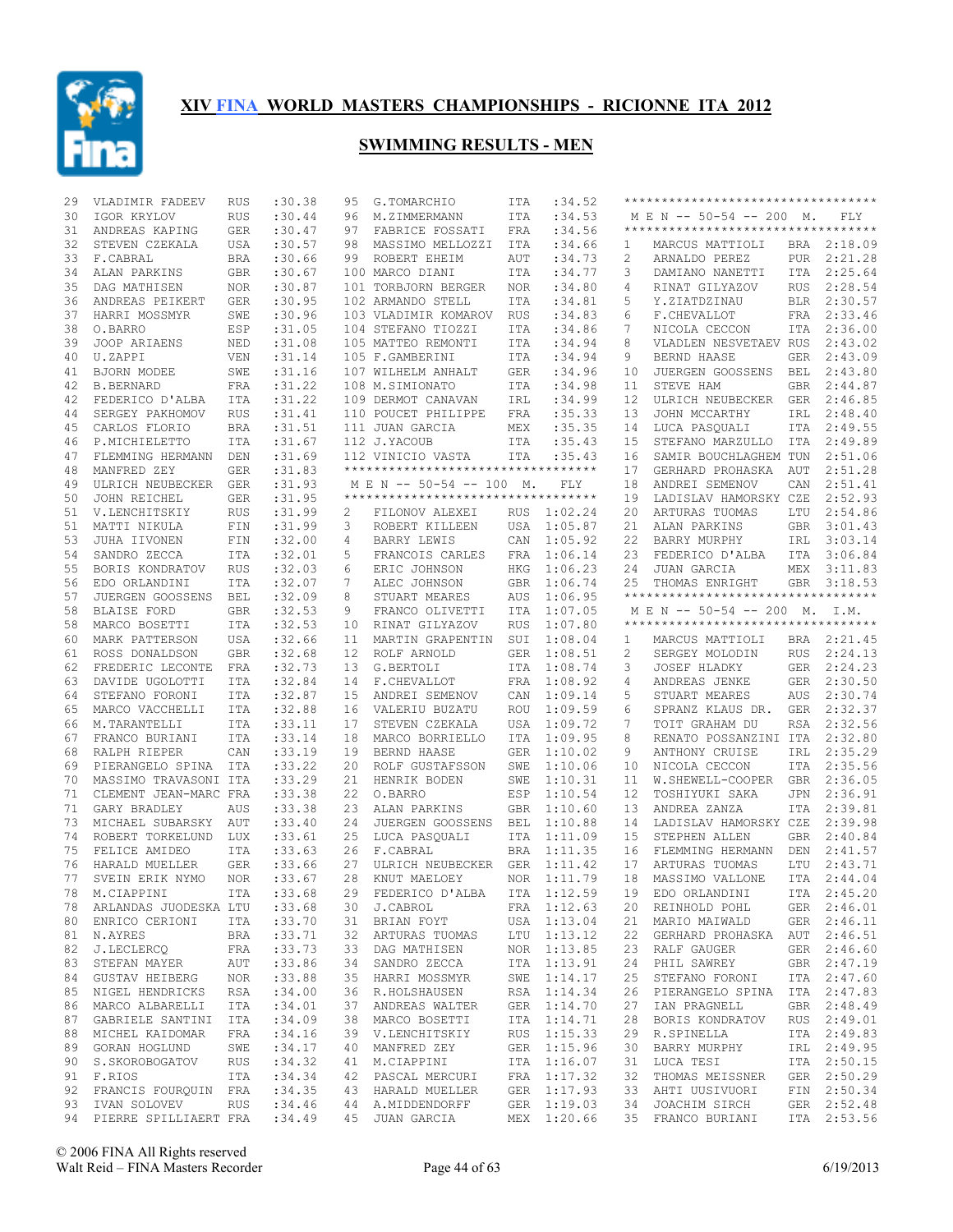

| 29 | VLADIMIR FADEEV                                  | <b>RUS</b> | :30.38     | 95 | G.TOMARCHIO                        | ITA        | :34.52                     |    | **********************************  |            |                            |
|----|--------------------------------------------------|------------|------------|----|------------------------------------|------------|----------------------------|----|-------------------------------------|------------|----------------------------|
| 30 | IGOR KRYLOV                                      | <b>RUS</b> | : 30.44    | 96 | M.ZIMMERMANN                       | ITA        | :34.53                     |    | M E N -- 50-54 -- 200 M.            |            | FLY                        |
| 31 | ANDREAS KAPING                                   | GER        | :30.47     | 97 | FABRICE FOSSATI                    | FRA        | :34.56                     |    | *********************************** |            |                            |
| 32 | STEVEN CZEKALA                                   | USA        | :30.57     | 98 | MASSIMO MELLOZZI                   | ITA        | :34.66                     | 1  | MARCUS MATTIOLI                     |            | BRA 2:18.09                |
| 33 | F.CABRAL                                         | <b>BRA</b> | :30.66     | 99 | ROBERT EHEIM                       | AUT        | :34.73                     | 2  | ARNALDO PEREZ                       |            | PUR 2:21.28                |
| 34 | ALAN PARKINS                                     | GBR        | :30.67     |    | 100 MARCO DIANI                    | ITA        | :34.77                     | 3  | DAMIANO NANETTI                     | ITA        | 2:25.64                    |
| 35 | DAG MATHISEN                                     | <b>NOR</b> | :30.87     |    | 101 TORBJORN BERGER                | <b>NOR</b> | :34.80                     | 4  | RINAT GILYAZOV                      | <b>RUS</b> | 2:28.54                    |
| 36 | ANDREAS PEIKERT                                  | GER        | :30.95     |    | 102 ARMANDO STELL                  | ITA        | :34.81                     | 5  | Y.ZIATDZINAU                        | BLR        | 2:30.57                    |
| 37 | HARRI MOSSMYR                                    | SWE        | :30.96     |    | 103 VLADIMIR KOMAROV               | RUS        | :34.83                     | 6  | F.CHEVALLOT                         | FRA        | 2:33.46                    |
| 38 | O.BARRO                                          | ESP        | :31.05     |    | 104 STEFANO TIOZZI                 | ITA        | :34.86                     | 7  | NICOLA CECCON                       | ITA        | 2:36.00                    |
| 39 | JOOP ARIAENS                                     | NED        | :31.08     |    | 105 MATTEO REMONTI                 | ITA        | :34.94                     | 8  | VLADLEN NESVETAEV RUS               |            | 2:43.02                    |
| 40 | U.ZAPPI                                          | VEN        | :31.14     |    | 105 F.GAMBERINI                    | ITA        | :34.94                     | 9  | BERND HAASE                         | <b>GER</b> | 2:43.09                    |
|    | BJORN MODEE                                      |            |            |    | 107 WILHELM ANHALT                 |            |                            |    |                                     |            | 2:43.80                    |
| 41 |                                                  | SWE        | :31.16     |    |                                    | <b>GER</b> | :34.96                     | 10 | JUERGEN GOOSSENS                    | BEL        |                            |
| 42 | <b>B.BERNARD</b>                                 | <b>FRA</b> | :31.22     |    | 108 M.SIMIONATO                    | ITA        | :34.98                     | 11 | STEVE HAM                           | <b>GBR</b> | 2:44.87                    |
| 42 | FEDERICO D'ALBA                                  | ITA        | :31.22     |    | 109 DERMOT CANAVAN                 | IRL        | :34.99                     | 12 | ULRICH NEUBECKER                    | GER        | 2:46.85                    |
| 44 | SERGEY PAKHOMOV                                  | <b>RUS</b> | :31.41     |    | 110 POUCET PHILIPPE                | FRA        | :35.33                     | 13 | JOHN MCCARTHY                       | IRL        | 2:48.40                    |
| 45 | CARLOS FLORIO                                    | <b>BRA</b> | :31.51     |    | 111 JUAN GARCIA                    | MEX        | :35.35                     | 14 | LUCA PASQUALI                       | ITA        | 2:49.55                    |
| 46 | P.MICHIELETTO                                    | ITA        | :31.67     |    | 112 J.YACOUB                       | ITA        | :35.43                     | 15 | STEFANO MARZULLO                    | ITA        | 2:49.89                    |
| 47 | FLEMMING HERMANN                                 | DEN        | :31.69     |    | 112 VINICIO VASTA                  | ITA        | :35.43                     | 16 | SAMIR BOUCHLAGHEM TUN               |            | 2:51.06                    |
| 48 | MANFRED ZEY                                      | <b>GER</b> | :31.83     |    | ********************************** |            |                            | 17 | GERHARD PROHASKA                    | AUT        | 2:51.28                    |
| 49 | ULRICH NEUBECKER                                 | <b>GER</b> | :31.93     |    | M E N -- 50-54 -- 100 M.           |            | FLY                        | 18 | ANDREI SEMENOV                      | CAN        | 2:51.41                    |
| 50 | JOHN REICHEL                                     | <b>GER</b> | :31.95     |    | ********************************** |            |                            | 19 | LADISLAV HAMORSKY CZE               |            | 2:52.93                    |
| 51 | V.LENCHITSKIY                                    | <b>RUS</b> | :31.99     | 2  | FILONOV ALEXEI                     | <b>RUS</b> | 1:02.24                    | 20 | ARTURAS TUOMAS                      | LTU        | 2:54.86                    |
| 51 | MATTI NIKULA                                     | FIN        | :31.99     | 3  | ROBERT KILLEEN                     | USA        | 1:05.87                    | 21 | ALAN PARKINS                        | GBR        | 3:01.43                    |
| 53 | JUHA IIVONEN                                     | FIN        | :32.00     | 4  | <b>BARRY LEWIS</b>                 | CAN        | 1:05.92                    | 22 | BARRY MURPHY                        | IRL        | 3:03.14                    |
| 54 | SANDRO ZECCA                                     | <b>ITA</b> | :32.01     | 5  | FRANCOIS CARLES                    | <b>FRA</b> | 1:06.14                    | 23 | FEDERICO D'ALBA                     | ITA        | 3:06.84                    |
| 55 |                                                  |            | :32.03     | 6  |                                    |            | 1:06.23                    |    |                                     |            | 3:11.83                    |
|    | BORIS KONDRATOV                                  | RUS        |            |    | ERIC JOHNSON                       | HKG        | 1:06.74                    | 24 | JUAN GARCIA                         | MEX        |                            |
| 56 | EDO ORLANDINI                                    | ITA        | :32.07     | 7  | ALEC JOHNSON                       | <b>GBR</b> |                            | 25 | THOMAS ENRIGHT                      | GBR        | 3:18.53                    |
| 57 | JUERGEN GOOSSENS                                 | <b>BEL</b> | :32.09     | 8  | STUART MEARES                      | AUS        | 1:06.95                    |    | **********************************  |            |                            |
| 58 | <b>BLAISE FORD</b>                               | <b>GBR</b> | :32.53     | 9  | FRANCO OLIVETTI                    | ITA        | 1:07.05                    |    | M E N -- 50-54 -- 200 M. I.M.       |            |                            |
| 58 | MARCO BOSETTI                                    | <b>ITA</b> | :32.53     | 10 | RINAT GILYAZOV                     | <b>RUS</b> | 1:07.80                    |    | **********************************  |            |                            |
| 60 | MARK PATTERSON                                   | USA        | :32.66     | 11 | MARTIN GRAPENTIN                   | SUI        | 1:08.04                    | 1  | MARCUS MATTIOLI                     |            | BRA 2:21.45                |
| 61 | ROSS DONALDSON                                   | <b>GBR</b> | :32.68     | 12 | ROLF ARNOLD                        | GER        | 1:08.51                    | 2  | SERGEY MOLODIN                      | <b>RUS</b> | 2:24.13                    |
| 62 | FREDERIC LECONTE                                 | FRA        | :32.73     | 13 | G.BERTOLI                          | ITA        | 1:08.74                    | 3  | JOSEF HLADKY                        | GER        | 2:24.23                    |
| 63 | DAVIDE UGOLOTTI                                  | ITA        | :32.84     | 14 | F.CHEVALLOT                        | FRA        | 1:08.92                    | 4  | ANDREAS JENKE                       | GER        | 2:30.50                    |
| 64 | STEFANO FORONI                                   | ITA        | :32.87     | 15 | ANDREI SEMENOV                     | CAN        | 1:09.14                    | 5  | STUART MEARES                       | AUS        | 2:30.74                    |
| 65 | MARCO VACCHELLI                                  | ITA        | :32.88     | 16 | VALERIU BUZATU                     | ROU        | 1:09.59                    | 6  | SPRANZ KLAUS DR.                    | GER        | 2:32.37                    |
| 66 | M.TARANTELLI                                     | ITA        | : 33.11    | 17 | STEVEN CZEKALA                     | USA        | 1:09.72                    | 7  | TOIT GRAHAM DU                      | RSA        | 2:32.56                    |
| 67 | FRANCO BURIANI                                   | ITA        | : 33.14    | 18 | MARCO BORRIELLO                    | ITA        | 1:09.95                    |    | RENATO POSSANZINI ITA               |            | 2:32.80                    |
|    |                                                  |            |            |    |                                    |            |                            |    | ANTHONY CRUISE                      |            |                            |
|    |                                                  |            |            |    |                                    |            |                            | 8  |                                     |            |                            |
| 68 | RALPH RIEPER                                     | CAN        | : 33.19    | 19 | BERND HAASE                        | <b>GER</b> | 1:10.02                    | 9  |                                     | IRL        | 2:35.29                    |
| 69 | PIERANGELO SPINA                                 | <b>ITA</b> | : 33.22    | 20 | ROLF GUSTAFSSON                    | SWE        | 1:10.06                    | 10 | NICOLA CECCON                       | ITA        | 2:35.56                    |
| 70 | MASSIMO TRAVASONI ITA                            |            | :33.29     | 21 | HENRIK BODEN                       | SWE        | 1:10.31                    | 11 | W.SHEWELL-COOPER                    | GBR        | 2:36.05                    |
| 71 | CLEMENT JEAN-MARC FRA                            |            | : 33.38    | 22 | O.BARRO                            | ESP        | 1:10.54                    | 12 | TOSHIYUKI SAKA                      | <b>JPN</b> | 2:36.91                    |
| 71 | GARY BRADLEY                                     | AUS        | : 33.38    | 23 | ALAN PARKINS                       | <b>GBR</b> | 1:10.60                    | 13 | ANDREA ZANZA                        | ITA        | 2:39.81                    |
| 73 | MICHAEL SUBARSKY                                 | AUT        | : 33.40    | 24 | JUERGEN GOOSSENS                   | <b>BEL</b> | 1:10.88                    | 14 | LADISLAV HAMORSKY CZE               |            | 2:39.98                    |
| 74 | ROBERT TORKELUND                                 | LUX        | : 33.61    | 25 | LUCA PASQUALI                      | ITA        | 1:11.09                    | 15 | STEPHEN ALLEN                       | GBR        | 2:40.84                    |
| 75 | FELICE AMIDEO                                    | ITA        | : 33.63    | 26 | F.CABRAL                           | <b>BRA</b> | 1:11.35                    | 16 | FLEMMING HERMANN                    | DEN        | 2:41.57                    |
| 76 | HARALD MUELLER                                   | <b>GER</b> | : 33.66    | 27 | ULRICH NEUBECKER                   | <b>GER</b> | 1:11.42                    | 17 | ARTURAS TUOMAS                      | LTU        | 2:43.71                    |
| 77 | SVEIN ERIK NYMO                                  | NOR.       | : 33.67    | 28 | KNUT MAELOEY                       | <b>NOR</b> | 1:11.79                    | 18 | MASSIMO VALLONE                     | <b>ITA</b> | 2:44.04                    |
|    | 78 M.CIAPPINI                                    |            | ITA :33.68 |    | 29 FEDERICO D'ALBA                 |            | ITA 1:12.59                |    | 19 EDO ORLANDINI                    |            | ITA 2:45.20                |
|    | 78 ARLANDAS JUODESKA LTU                         |            | : 33.68    |    | 30 J.CABROL                        |            | FRA 1:12.63                |    | 20 REINHOLD POHL                    |            | GER 2:46.01                |
|    | 80 ENRICO CERIONI                                | ITA        | : 33.70    |    | 31 BRIAN FOYT                      |            | USA 1:13.04                | 21 | MARIO MAIWALD                       |            | GER 2:46.11                |
| 81 |                                                  | BRA        |            |    |                                    |            |                            | 22 | GERHARD PROHASKA AUT 2:46.51        |            |                            |
| 82 | N.AYRES                                          |            | : 33.71    |    | 32 ARTURAS TUOMAS                  |            | LTU 1:13.12                |    |                                     |            |                            |
|    | J.LECLERCQ                                       | FRA        | : 33.73    |    | 33 DAG MATHISEN                    |            | NOR 1:13.85                | 23 | RALF GAUGER                         |            | GER 2:46.60                |
| 83 | STEFAN MAYER                                     | AUT        | :33.86     |    | 34 SANDRO ZECCA                    |            | ITA 1:13.91                | 24 | PHIL SAWREY                         |            | GBR 2:47.19                |
|    | 84 GUSTAV HEIBERG NOR                            |            | : 33.88    |    | 35 HARRI MOSSMYR                   |            | SWE 1:14.17                | 25 | STEFANO FORONI                      |            | ITA 2:47.60                |
| 85 | NIGEL HENDRICKS                                  | RSA        | :34.00     |    | 36 R.HOLSHAUSEN                    |            | RSA 1:14.34                | 26 | PIERANGELO SPINA ITA 2:47.83        |            |                            |
|    | 86 MARCO ALBARELLI                               | ITA        | :34.01     |    | 37 ANDREAS WALTER                  |            | GER 1:14.70                | 27 | IAN PRAGNELL                        |            | GBR 2:48.49                |
| 87 | GABRIELE SANTINI ITA                             |            | :34.09     |    | 38 MARCO BOSETTI                   |            | ITA 1:14.71                | 28 | BORIS KONDRATOV                     |            | RUS 2:49.01                |
|    | 88 MICHEL KAIDOMAR                               | FRA        | :34.16     |    | 39 V.LENCHITSKIY                   |            | RUS 1:15.33                | 29 | R.SPINELLA                          |            | ITA 2:49.83                |
| 89 | GORAN HOGLUND                                    | SWE        | : 34.17    |    | 40 MANFRED ZEY                     |            | GER 1:15.96                | 30 | BARRY MURPHY                        |            | IRL 2:49.95                |
|    | 90 S.SKOROBOGATOV RUS                            |            | :34.32     |    | 41 M.CIAPPINI                      |            | ITA 1:16.07                | 31 | LUCA TESI                           |            | ITA 2:50.15                |
| 91 | F.RIOS                                           | ITA        | : 34.34    |    | 42 PASCAL MERCURI                  |            | FRA 1:17.32                | 32 | THOMAS MEISSNER                     |            | GER 2:50.29                |
| 92 | FRANCIS FOURQUIN FRA                             |            | :34.35     |    | 43 HARALD MUELLER                  |            | GER 1:17.93                | 33 | AHTI UUSIVUORI                      |            | FIN 2:50.34                |
| 93 | IVAN SOLOVEV<br>94 PIERRE SPILLIAERT FRA : 34.49 | <b>RUS</b> | :34.46     |    | 44 A.MIDDENDORFF<br>45 JUAN GARCIA |            | GER 1:19.03<br>MEX 1:20.66 | 34 | JOACHIM SIRCH<br>35 FRANCO BURIANI  |            | GER 2:52.48<br>ITA 2:53.56 |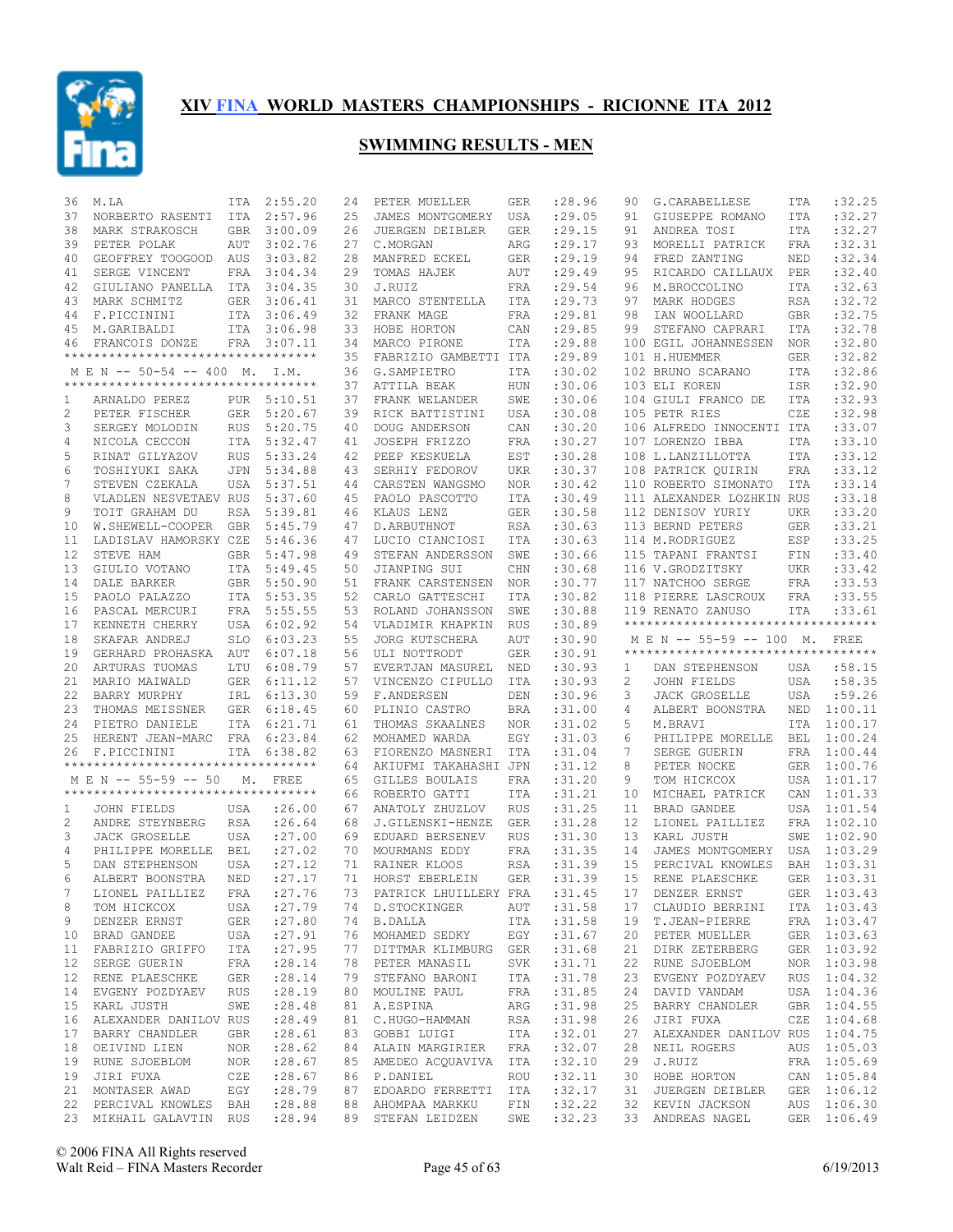

| 36 | M.LA                                                        | ITA        | 2:55.20     | 24 | PETER MUELLER                                    | GER        | :28.96  | 90 | G. CARABELLESE                      | ITA        | :32.25      |
|----|-------------------------------------------------------------|------------|-------------|----|--------------------------------------------------|------------|---------|----|-------------------------------------|------------|-------------|
| 37 | NORBERTO RASENTI                                            | ITA        | 2:57.96     | 25 | JAMES MONTGOMERY                                 | USA        | :29.05  | 91 | GIUSEPPE ROMANO                     | ITA        | :32.27      |
| 38 | MARK STRAKOSCH                                              | <b>GBR</b> | 3:00.09     | 26 | JUERGEN DEIBLER                                  | <b>GER</b> | : 29.15 | 91 | ANDREA TOSI                         | <b>ITA</b> | :32.27      |
| 39 | PETER POLAK                                                 | AUT        | 3:02.76     | 27 | C.MORGAN                                         | ARG        | : 29.17 | 93 | MORELLI PATRICK                     | <b>FRA</b> | :32.31      |
| 40 | GEOFFREY TOOGOOD AUS                                        |            | 3:03.82     | 28 | MANFRED ECKEL                                    | <b>GER</b> | : 29.19 | 94 | FRED ZANTING                        | NED        | :32.34      |
| 41 | SERGE VINCENT                                               | <b>FRA</b> | 3:04.34     | 29 | TOMAS HAJEK                                      | AUT        | : 29.49 | 95 | RICARDO CAILLAUX                    | PER        | :32.40      |
| 42 | GIULIANO PANELLA ITA                                        |            | 3:04.35     | 30 | J.RUIZ                                           | FRA        | : 29.54 | 96 | M.BROCCOLINO                        | <b>ITA</b> | :32.63      |
| 43 | MARK SCHMITZ                                                | <b>GER</b> | 3:06.41     | 31 | MARCO STENTELLA                                  | ITA        | :29.73  | 97 | MARK HODGES                         | <b>RSA</b> | :32.72      |
| 44 | F.PICCININI                                                 |            | ITA 3:06.49 | 32 | FRANK MAGE                                       | FRA        | : 29.81 | 98 | IAN WOOLLARD                        | <b>GBR</b> | :32.75      |
| 45 | M.GARIBALDI                                                 |            | ITA 3:06.98 | 33 | HOBE HORTON                                      | CAN        | :29.85  | 99 | STEFANO CAPRARI                     | ITA        | :32.78      |
| 46 | FRANCOIS DONZE                                              |            | FRA 3:07.11 | 34 | MARCO PIRONE                                     | ITA        | :29.88  |    | 100 EGIL JOHANNESSEN                | NOR        | :32.80      |
|    | **********************************                          |            |             | 35 | FABRIZIO GAMBETTI ITA                            |            | : 29.89 |    | 101 H.HUEMMER                       | <b>GER</b> | :32.82      |
|    | M E N -- 50-54 -- 400 M. I.M.                               |            |             | 36 | G.SAMPIETRO                                      | ITA        | :30.02  |    | 102 BRUNO SCARANO                   | <b>ITA</b> | :32.86      |
|    | ***********************************                         |            |             | 37 | ATTILA BEAK                                      | <b>HUN</b> | :30.06  |    | 103 ELI KOREN                       | ISR        | :32.90      |
| 1  | ARNALDO PEREZ                                               |            | PUR 5:10.51 | 37 | FRANK WELANDER                                   | SWE        | :30.06  |    | 104 GIULI FRANCO DE                 | <b>ITA</b> | :32.93      |
| 2  | PETER FISCHER                                               | GER        | 5:20.67     | 39 | RICK BATTISTINI                                  | USA        | :30.08  |    | 105 PETR RIES                       | CZE        | :32.98      |
| 3  | SERGEY MOLODIN                                              | <b>RUS</b> | 5:20.75     | 40 | DOUG ANDERSON                                    | CAN        | :30.20  |    | 106 ALFREDO INNOCENTI ITA           |            | :33.07      |
|    |                                                             |            |             |    |                                                  |            |         |    |                                     |            |             |
| 4  | NICOLA CECCON                                               | ITA        | 5:32.47     | 41 | JOSEPH FRIZZO                                    | FRA        | :30.27  |    | 107 LORENZO IBBA                    | <b>ITA</b> | :33.10      |
| 5  | RINAT GILYAZOV                                              | <b>RUS</b> | 5:33.24     | 42 | PEEP KESKUELA                                    | EST        | :30.28  |    | 108 L.LANZILLOTTA                   | <b>ITA</b> | :33.12      |
| 6  | TOSHIYUKI SAKA                                              | JPN        | 5:34.88     | 43 | SERHIY FEDOROV                                   | <b>UKR</b> | :30.37  |    | 108 PATRICK QUIRIN                  | FRA        | :33.12      |
| 7  | STEVEN CZEKALA                                              | USA        | 5:37.51     | 44 | CARSTEN WANGSMO                                  | NOR.       | :30.42  |    | 110 ROBERTO SIMONATO                | ITA        | :33.14      |
| 8  | VLADLEN NESVETAEV RUS                                       |            | 5:37.60     | 45 | PAOLO PASCOTTO                                   | <b>ITA</b> | :30.49  |    | 111 ALEXANDER LOZHKIN RUS           |            | :33.18      |
| 9  | TOIT GRAHAM DU                                              | <b>RSA</b> | 5:39.81     | 46 | KLAUS LENZ                                       | <b>GER</b> | :30.58  |    | 112 DENISOV YURIY                   | UKR        | :33.20      |
| 10 | W.SHEWELL-COOPER                                            | <b>GBR</b> | 5:45.79     | 47 | D. ARBUTHNOT                                     | <b>RSA</b> | :30.63  |    | 113 BERND PETERS                    | <b>GER</b> | :33.21      |
| 11 | LADISLAV HAMORSKY CZE                                       |            | 5:46.36     | 47 | LUCIO CIANCIOSI                                  | ITA        | :30.63  |    | 114 M.RODRIGUEZ                     | ESP        | :33.25      |
| 12 | STEVE HAM                                                   | <b>GBR</b> | 5:47.98     | 49 | STEFAN ANDERSSON                                 | SWE        | :30.66  |    | 115 TAPANI FRANTSI                  | FIN        | :33.40      |
| 13 | GIULIO VOTANO                                               | ITA        | 5:49.45     | 50 | JIANPING SUI                                     | CHN        | :30.68  |    | 116 V.GRODZITSKY                    | UKR        | :33.42      |
| 14 | DALE BARKER                                                 | <b>GBR</b> | 5:50.90     | 51 | FRANK CARSTENSEN                                 | <b>NOR</b> | :30.77  |    | 117 NATCHOO SERGE                   | FRA        | :33.53      |
| 15 | PAOLO PALAZZO                                               | ITA        | 5:53.35     | 52 | CARLO GATTESCHI                                  | ITA        | :30.82  |    | 118 PIERRE LASCROUX                 | FRA        | :33.55      |
| 16 | PASCAL MERCURI                                              | FRA        | 5:55.55     | 53 | ROLAND JOHANSSON                                 | SWE        | :30.88  |    | 119 RENATO ZANUSO                   | ITA        | : 33.61     |
| 17 | KENNETH CHERRY                                              | USA        | 6:02.92     | 54 | VLADIMIR KHAPKIN                                 | RUS        | :30.89  |    | *********************************** |            |             |
| 18 | SKAFAR ANDREJ                                               | <b>SLO</b> | 6:03.23     | 55 | <b>JORG KUTSCHERA</b>                            | AUT        | :30.90  |    | M E N -- 55-59 -- 100 M. FREE       |            |             |
|    |                                                             |            |             |    |                                                  |            |         |    |                                     |            |             |
|    |                                                             |            |             |    |                                                  |            |         |    | **********************************  |            |             |
| 19 | GERHARD PROHASKA                                            | AUT        | 6:07.18     | 56 | ULI NOTTRODT                                     | <b>GER</b> | :30.91  |    |                                     |            |             |
| 20 | ARTURAS TUOMAS                                              | LTU        | 6:08.79     | 57 | EVERTJAN MASUREL                                 | NED        | :30.93  | 1  | DAN STEPHENSON                      | USA        | :58.15      |
| 21 | MARIO MAIWALD                                               | <b>GER</b> | 6:11.12     | 57 | VINCENZO CIPULLO                                 | ITA        | :30.93  | 2  | JOHN FIELDS                         | USA        | :58.35      |
| 22 | BARRY MURPHY                                                | IRL        | 6:13.30     | 59 | F.ANDERSEN                                       | DEN        | :30.96  | 3  | <b>JACK GROSELLE</b>                | USA        | :59.26      |
| 23 | THOMAS MEISSNER                                             | GER        | 6:18.45     | 60 | PLINIO CASTRO                                    | BRA        | :31.00  | 4  | ALBERT BOONSTRA                     |            | NED 1:00.11 |
| 24 | PIETRO DANIELE                                              | <b>ITA</b> | 6:21.71     | 61 | THOMAS SKAALNES                                  | NOR.       | :31.02  | 5  | M.BRAVI                             | ITA        | 1:00.17     |
| 25 | HERENT JEAN-MARC                                            | FRA        | 6:23.84     | 62 | MOHAMED WARDA                                    | EGY        | :31.03  | 6  | PHILIPPE MORELLE                    | BEL        | 1:00.24     |
| 26 | F.PICCININI<br>**********************************           | <b>ITA</b> | 6:38.82     | 63 | FIORENZO MASNERI                                 | ITA        | :31.04  | 7  | SERGE GUERIN                        |            | FRA 1:00.44 |
|    |                                                             |            |             | 64 | AKIUFMI TAKAHASHI JPN                            |            | : 31.12 | 8  | PETER NOCKE                         | GER        | 1:00.76     |
|    | M E N -- 55-59 -- 50<br>*********************************** | М.         | FREE        | 65 | GILLES BOULAIS                                   | FRA        | :31.20  | 9  | TOM HICKCOX                         | USA        | 1:01.17     |
|    |                                                             |            |             | 66 | ROBERTO GATTI                                    | ITA        | : 31.21 | 10 | MICHAEL PATRICK                     | CAN        | 1:01.33     |
| 1  | JOHN FIELDS                                                 | USA        | : 26.00     | 67 | ANATOLY ZHUZLOV                                  | <b>RUS</b> | :31.25  | 11 | BRAD GANDEE                         |            | USA 1:01.54 |
| 2  | ANDRE STEYNBERG                                             | RSA        | : 26.64     | 68 | J.GILENSKI-HENZE                                 | <b>GER</b> | :31.28  | 12 | LIONEL PAILLIEZ                     | FRA        | 1:02.10     |
| 3  | <b>JACK GROSELLE</b>                                        | USA        | : 27.00     | 69 | EDUARD BERSENEV                                  | <b>RUS</b> | :31.30  | 13 | KARL JUSTH                          | SWE        | 1:02.90     |
| 4  | PHILIPPE MORELLE BEL                                        |            | : 27.02     | 70 | MOURMANS EDDY                                    | FRA        | :31.35  | 14 | JAMES MONTGOMERY                    | USA        | 1:03.29     |
| 5  | DAN STEPHENSON                                              | USA        | : 27.12     | 71 | RAINER KLOOS                                     | <b>RSA</b> | :31.39  | 15 | PERCIVAL KNOWLES                    | BAH        | 1:03.31     |
| 6  | ALBERT BOONSTRA                                             | NED        | : 27.17     | 71 | HORST EBERLEIN                                   | <b>GER</b> | :31.39  | 15 | RENE PLAESCHKE                      | <b>GER</b> | 1:03.31     |
| 7  | LIONEL PAILLIEZ                                             |            | FRA : 27.76 |    | 73 PATRICK LHUILLERY FRA : 31.45 17 DENZER ERNST |            |         |    |                                     |            | GER 1:03.43 |
| 8  | TOM HICKCOX                                                 | USA        | : 27.79     |    | 74 D.STOCKINGER                                  | AUT        | :31.58  | 17 | CLAUDIO BERRINI                     |            | ITA 1:03.43 |
| 9  | DENZER ERNST                                                | GER        | : 27.80     |    | 74 B.DALLA                                       | ITA        | :31.58  | 19 | T.JEAN-PIERRE                       |            | FRA 1:03.47 |
| 10 | BRAD GANDEE                                                 | USA        | : 27.91     |    | 76 MOHAMED SEDKY EGY                             |            | :31.67  | 20 | PETER MUELLER                       |            | GER 1:03.63 |
| 11 | FABRIZIO GRIFFO                                             | ITA        | : 27.95     |    | 77 DITTMAR KLIMBURG GER : 31.68                  |            |         | 21 | DIRK ZETERBERG                      |            | GER 1:03.92 |
| 12 | SERGE GUERIN                                                | FRA        | : 28.14     |    | 78 PETER MANASIL                                 | SVK        | :31.71  | 22 | RUNE SJOEBLOM                       |            | NOR 1:03.98 |
|    | 12 RENE PLAESCHKE                                           | GER        | : 28.14     |    | 79 STEFANO BARONI                                | ITA        | :31.78  | 23 | EVGENY POZDYAEV                     |            | RUS 1:04.32 |
| 14 | EVGENY POZDYAEV                                             | RUS        | : 28.19     |    | 80 MOULINE PAUL                                  | FRA        | :31.85  | 24 | DAVID VANDAM                        |            | USA 1:04.36 |
| 15 | KARL JUSTH                                                  | SWE        | : 28.48     |    | 81 A.ESPINA                                      | ARG        | :31.98  | 25 | BARRY CHANDLER                      |            | GBR 1:04.55 |
| 16 | ALEXANDER DANILOV RUS                                       |            | : 28.49     |    | 81 C.HUGO-HAMMAN                                 | RSA        | :31.98  | 26 | JIRI FUXA                           |            | CZE 1:04.68 |
| 17 | BARRY CHANDLER                                              | GBR        | : 28.61     |    | 83 GOBBI LUIGI                                   | ITA        | :32.01  | 27 | ALEXANDER DANILOV RUS 1:04.75       |            |             |
| 18 | OEIVIND LIEN                                                | NOR        | : 28.62     |    | 84 ALAIN MARGIRIER                               | FRA        | :32.07  | 28 | NEIL ROGERS                         |            | AUS 1:05.03 |
|    | 19 RUNE SJOEBLOM                                            | NOR        | : 28.67     |    | 85 AMEDEO ACOUAVIVA ITA                          |            | :32.10  | 29 | J.RUIZ                              |            | FRA 1:05.69 |
| 19 | JIRI FUXA<br><b>CZE</b>                                     |            | : 28.67     |    | 86 P.DANIEL                                      | ROU        | :32.11  | 30 | HOBE HORTON                         |            | CAN 1:05.84 |
|    | 21 MONTASER AWAD                                            | EGY        | : 28.79     |    | 87 EDOARDO FERRETTI ITA                          |            | :32.17  | 31 | JUERGEN DEIBLER                     |            | GER 1:06.12 |
|    | 22 PERCIVAL KNOWLES BAH                                     |            | : 28.88     |    | 88 AHOMPAA MARKKU                                | FIN        | :32.22  |    | 32 KEVIN JACKSON                    |            | AUS 1:06.30 |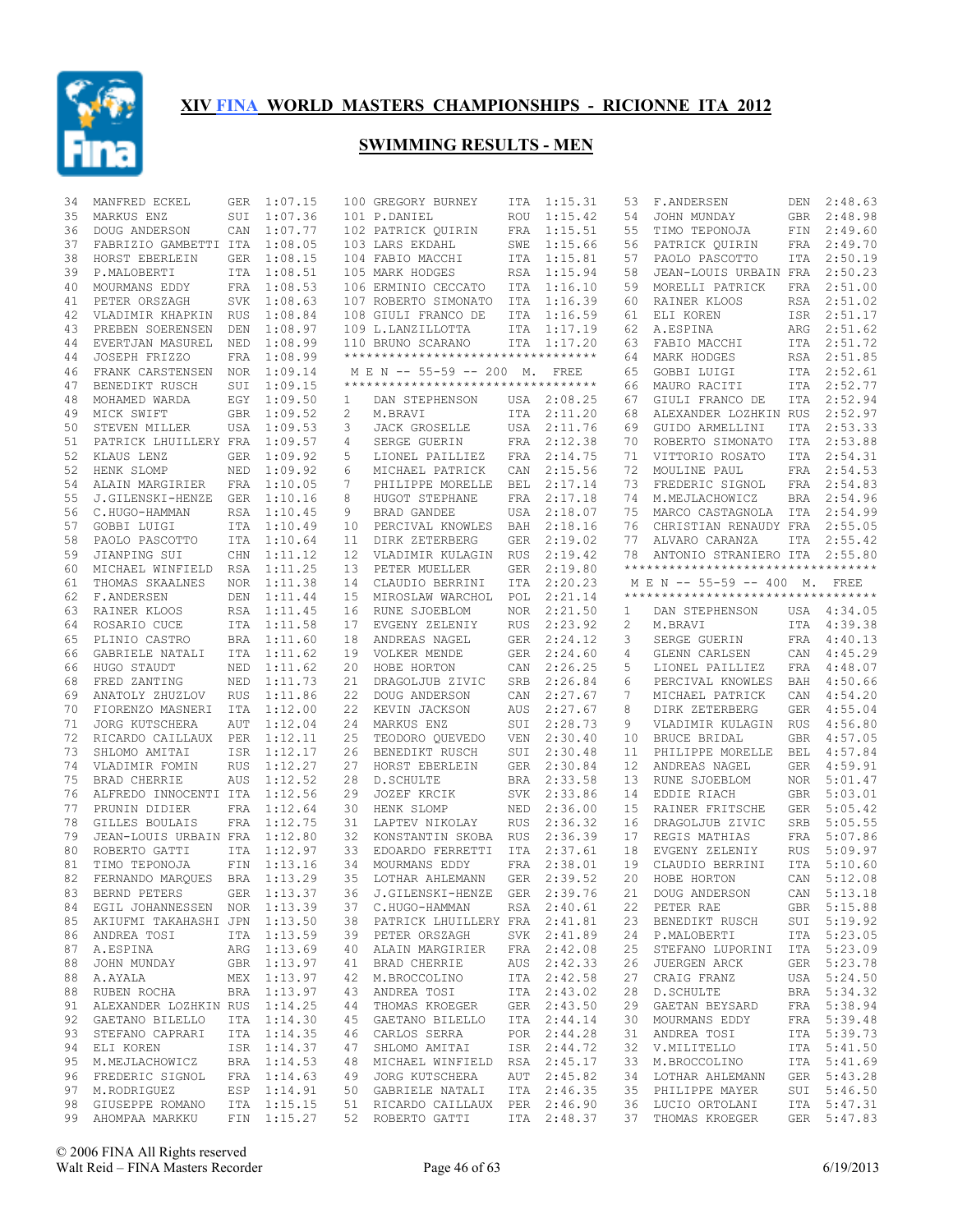

| 34 | MANFRED ECKEL                    | GER        | 1:07.15     |    | 100 GREGORY BURNEY                 | ITA        | 1:15.31     | 53 | F.ANDERSEN                          | DEN        | 2:48.63     |
|----|----------------------------------|------------|-------------|----|------------------------------------|------------|-------------|----|-------------------------------------|------------|-------------|
| 35 | MARKUS ENZ                       | SUI        | 1:07.36     |    | 101 P.DANIEL                       | ROU        | 1:15.42     | 54 | JOHN MUNDAY                         | GBR        | 2:48.98     |
| 36 | DOUG ANDERSON                    | CAN        | 1:07.77     |    | 102 PATRICK QUIRIN                 | FRA        | 1:15.51     | 55 | TIMO TEPONOJA                       | FIN        | 2:49.60     |
| 37 | FABRIZIO GAMBETTI ITA            |            | 1:08.05     |    | 103 LARS EKDAHL                    | SWE        | 1:15.66     | 56 | PATRICK OUIRIN                      | FRA        | 2:49.70     |
| 38 | HORST EBERLEIN                   | <b>GER</b> | 1:08.15     |    | 104 FABIO MACCHI                   | ITA        | 1:15.81     | 57 | PAOLO PASCOTTO                      | ITA        | 2:50.19     |
| 39 | P.MALOBERTI                      | <b>ITA</b> | 1:08.51     |    | 105 MARK HODGES                    | RSA        | 1:15.94     | 58 | JEAN-LOUIS URBAIN FRA               |            | 2:50.23     |
| 40 | MOURMANS EDDY                    |            | FRA 1:08.53 |    | 106 ERMINIO CECCATO                | ITA        | 1:16.10     | 59 | MORELLI PATRICK                     | <b>FRA</b> | 2:51.00     |
| 41 | PETER ORSZAGH                    | SVK        | 1:08.63     |    | 107 ROBERTO SIMONATO               | ITA        | 1:16.39     | 60 | RAINER KLOOS                        | RSA        | 2:51.02     |
| 42 | VLADIMIR KHAPKIN RUS             |            | 1:08.84     |    | 108 GIULI FRANCO DE                | ITA        | 1:16.59     | 61 | ELI KOREN                           |            | ISR 2:51.17 |
| 43 | PREBEN SOERENSEN                 | DEN        | 1:08.97     |    | 109 L.LANZILLOTTA                  | ITA        | 1:17.19     | 62 | A.ESPINA                            | ARG        | 2:51.62     |
| 44 | EVERTJAN MASUREL                 | NED        | 1:08.99     |    | 110 BRUNO SCARANO                  |            | ITA 1:17.20 | 63 | FABIO MACCHI                        | ITA        | 2:51.72     |
| 44 | JOSEPH FRIZZO                    | FRA        | 1:08.99     |    | ********************************** |            |             | 64 | MARK HODGES                         |            | RSA 2:51.85 |
| 46 | FRANK CARSTENSEN                 |            | NOR 1:09.14 |    | M E N -- 55-59 -- 200 M. FREE      |            |             | 65 | GOBBI LUIGI                         |            | ITA 2:52.61 |
| 47 | BENEDIKT RUSCH                   | SUI        | 1:09.15     |    | ********************************** |            |             | 66 | MAURO RACITI                        | ITA        | 2:52.77     |
| 48 | MOHAMED WARDA                    | EGY        | 1:09.50     | 1  | DAN STEPHENSON                     |            | USA 2:08.25 | 67 | GIULI FRANCO DE                     | ITA        | 2:52.94     |
| 49 | MICK SWIFT                       |            | GBR 1:09.52 | 2  | M.BRAVI                            | ITA        | 2:11.20     | 68 | ALEXANDER LOZHKIN RUS               |            | 2:52.97     |
| 50 | STEVEN MILLER                    |            | USA 1:09.53 | 3  | <b>JACK GROSELLE</b>               |            | USA 2:11.76 | 69 | GUIDO ARMELLINI                     | ITA        | 2:53.33     |
| 51 | PATRICK LHUILLERY FRA            |            | 1:09.57     | 4  | SERGE GUERIN                       | FRA        | 2:12.38     | 70 | ROBERTO SIMONATO                    | ITA        | 2:53.88     |
| 52 | KLAUS LENZ                       |            |             | 5  |                                    | FRA        |             | 71 | VITTORIO ROSATO                     | ITA        | 2:54.31     |
|    |                                  |            | GER 1:09.92 |    | LIONEL PAILLIEZ                    |            | 2:14.75     |    |                                     |            |             |
| 52 | HENK SLOMP                       | NED        | 1:09.92     | 6  | MICHAEL PATRICK                    | CAN        | 2:15.56     | 72 | MOULINE PAUL                        | FRA        | 2:54.53     |
| 54 | ALAIN MARGIRIER                  |            | FRA 1:10.05 | 7  | PHILIPPE MORELLE                   | <b>BEL</b> | 2:17.14     | 73 | FREDERIC SIGNOL                     |            | FRA 2:54.83 |
| 55 | J.GILENSKI-HENZE GER             |            | 1:10.16     | 8  | HUGOT STEPHANE                     | <b>FRA</b> | 2:17.18     | 74 | M.MEJLACHOWICZ                      | <b>BRA</b> | 2:54.96     |
| 56 | C.HUGO-HAMMAN                    |            | RSA 1:10.45 | 9  | BRAD GANDEE                        | USA        | 2:18.07     | 75 | MARCO CASTAGNOLA                    | ITA        | 2:54.99     |
| 57 | GOBBI LUIGI                      |            | ITA 1:10.49 | 10 | PERCIVAL KNOWLES                   | BAH        | 2:18.16     | 76 | CHRISTIAN RENAUDY FRA               |            | 2:55.05     |
| 58 | PAOLO PASCOTTO                   |            | ITA 1:10.64 | 11 | DIRK ZETERBERG                     | GER        | 2:19.02     | 77 | ALVARO CARANZA                      | <b>ITA</b> | 2:55.42     |
| 59 | JIANPING SUI                     | CHN        | 1:11.12     | 12 | VLADIMIR KULAGIN                   | <b>RUS</b> | 2:19.42     | 78 | ANTONIO STRANIERO ITA               |            | 2:55.80     |
| 60 | MICHAEL WINFIELD RSA 1:11.25     |            |             | 13 | PETER MUELLER                      | <b>GER</b> | 2:19.80     |    | *********************************** |            |             |
| 61 | THOMAS SKAALNES                  | NOR        | 1:11.38     | 14 | CLAUDIO BERRINI                    | ITA        | 2:20.23     |    | M E N -- 55-59 -- 400 M. FREE       |            |             |
| 62 | F.ANDERSEN                       | DEN        | 1:11.44     | 15 | MIROSLAW WARCHOL                   | POL        | 2:21.14     |    | *********************************** |            |             |
| 63 | RAINER KLOOS                     |            | RSA 1:11.45 | 16 | RUNE SJOEBLOM                      | <b>NOR</b> | 2:21.50     | 1  | DAN STEPHENSON                      |            | USA 4:34.05 |
| 64 | ROSARIO CUCE                     |            | ITA 1:11.58 | 17 | EVGENY ZELENIY                     | RUS        | 2:23.92     | 2  | M.BRAVI                             | ITA        | 4:39.38     |
| 65 | PLINIO CASTRO                    |            | BRA 1:11.60 | 18 | ANDREAS NAGEL                      | GER        | 2:24.12     | 3  | SERGE GUERIN                        | FRA        | 4:40.13     |
| 66 | GABRIELE NATALI                  |            | ITA 1:11.62 | 19 | VOLKER MENDE                       | <b>GER</b> | 2:24.60     | 4  | GLENN CARLSEN                       | CAN        | 4:45.29     |
| 66 | HUGO STAUDT                      | NED        | 1:11.62     | 20 | HOBE HORTON                        | CAN        | 2:26.25     | 5  | LIONEL PAILLIEZ                     | FRA        | 4:48.07     |
| 68 | FRED ZANTING                     | NED        | 1:11.73     | 21 | DRAGOLJUB ZIVIC                    | SRB        | 2:26.84     | 6  | PERCIVAL KNOWLES                    | BAH        | 4:50.66     |
| 69 | ANATOLY ZHUZLOV                  | <b>RUS</b> | 1:11.86     | 22 | DOUG ANDERSON                      | CAN        | 2:27.67     | 7  | MICHAEL PATRICK                     | CAN        | 4:54.20     |
| 70 | FIORENZO MASNERI                 | ITA        | 1:12.00     | 22 | KEVIN JACKSON                      | AUS        | 2:27.67     | 8  | DIRK ZETERBERG                      | <b>GER</b> | 4:55.04     |
| 71 | <b>JORG KUTSCHERA</b>            | AUT        | 1:12.04     | 24 | MARKUS ENZ                         | SUI        | 2:28.73     | 9  | VLADIMIR KULAGIN                    | <b>RUS</b> | 4:56.80     |
| 72 | RICARDO CAILLAUX PER             |            | 1:12.11     | 25 | TEODORO QUEVEDO                    | <b>VEN</b> | 2:30.40     | 10 | BRUCE BRIDAL                        | <b>GBR</b> | 4:57.05     |
| 73 | SHLOMO AMITAI                    | ISR        | 1:12.17     | 26 | BENEDIKT RUSCH                     | SUI        | 2:30.48     | 11 | PHILIPPE MORELLE                    | <b>BEL</b> | 4:57.84     |
| 74 | VLADIMIR FOMIN                   | <b>RUS</b> | 1:12.27     | 27 | HORST EBERLEIN                     | <b>GER</b> | 2:30.84     | 12 | ANDREAS NAGEL                       | <b>GER</b> | 4:59.91     |
| 75 | BRAD CHERRIE                     | AUS        | 1:12.52     | 28 | D. SCHULTE                         | <b>BRA</b> | 2:33.58     | 13 | RUNE SJOEBLOM                       | <b>NOR</b> | 5:01.47     |
| 76 | ALFREDO INNOCENTI ITA            |            | 1:12.56     | 29 | JOZEF KRCIK                        | <b>SVK</b> | 2:33.86     | 14 | EDDIE RIACH                         | GBR        | 5:03.01     |
|    |                                  |            |             |    |                                    |            |             |    |                                     |            |             |
| 77 | PRUNIN DIDIER                    |            | FRA 1:12.64 | 30 | HENK SLOMP                         | <b>NED</b> | 2:36.00     | 15 | RAINER FRITSCHE                     | <b>GER</b> | 5:05.42     |
| 78 | GILLES BOULAIS                   |            | FRA 1:12.75 | 31 | LAPTEV NIKOLAY                     | <b>RUS</b> | 2:36.32     | 16 | DRAGOLJUB ZIVIC                     | <b>SRB</b> | 5:05.55     |
| 79 | JEAN-LOUIS URBAIN FRA 1:12.80    |            |             | 32 | KONSTANTIN SKOBA                   | <b>RUS</b> | 2:36.39     | 17 | REGIS MATHIAS                       | FRA        | 5:07.86     |
| 80 | ROBERTO GATTI                    |            | ITA 1:12.97 | 33 | EDOARDO FERRETTI                   | ITA        | 2:37.61     | 18 | EVGENY ZELENIY                      | <b>RUS</b> | 5:09.97     |
| 81 | TIMO TEPONOJA                    | FIN        | 1:13.16     | 34 | MOURMANS EDDY                      | <b>FRA</b> | 2:38.01     | 19 | CLAUDIO BERRINI                     | ITA        | 5:10.60     |
| 82 | FERNANDO MARQUES BRA             |            | 1:13.29     | 35 | LOTHAR AHLEMANN                    |            | GER 2:39.52 | 20 | HOBE HORTON                         | CAN        | 5:12.08     |
|    | 83 BERND PETERS                  |            | GER 1:13.37 |    | 36 J.GILENSKI-HENZE                |            | GER 2:39.76 |    | 21 DOUG ANDERSON                    |            | CAN 5:13.18 |
|    | 84 EGIL JOHANNESSEN NOR 1:13.39  |            |             |    | 37 C.HUGO-HAMMAN                   |            | RSA 2:40.61 |    | 22 PETER RAE                        |            | GBR 5:15.88 |
|    | 85 AKIUFMI TAKAHASHI JPN 1:13.50 |            |             |    | 38 PATRICK LHUILLERY FRA 2:41.81   |            |             | 23 | BENEDIKT RUSCH                      |            | SUI 5:19.92 |
| 86 | ANDREA TOSI                      |            | ITA 1:13.59 |    | 39 PETER ORSZAGH                   |            | SVK 2:41.89 | 24 | P.MALOBERTI                         |            | ITA 5:23.05 |
| 87 | A.ESPINA                         |            | ARG 1:13.69 |    | 40 ALAIN MARGIRIER                 |            | FRA 2:42.08 | 25 | STEFANO LUPORINI                    |            | ITA 5:23.09 |
| 88 | JOHN MUNDAY                      |            | GBR 1:13.97 | 41 | BRAD CHERRIE                       |            | AUS 2:42.33 | 26 | JUERGEN ARCK                        |            | GER 5:23.78 |
| 88 | A.AYALA                          |            | MEX 1:13.97 |    | 42 M.BROCCOLINO                    |            | ITA 2:42.58 | 27 | CRAIG FRANZ                         |            | USA 5:24.50 |
| 88 | RUBEN ROCHA                      |            | BRA 1:13.97 | 43 | ANDREA TOSI                        |            | ITA 2:43.02 | 28 | D. SCHULTE                          |            | BRA 5:34.32 |
|    | 91 ALEXANDER LOZHKIN RUS 1:14.25 |            |             |    | 44 THOMAS KROEGER                  |            | GER 2:43.50 | 29 | GAETAN BEYSARD                      |            | FRA 5:38.94 |
| 92 | GAETANO BILELLO                  |            | ITA 1:14.30 |    | 45 GAETANO BILELLO                 |            | ITA 2:44.14 | 30 | MOURMANS EDDY                       |            | FRA 5:39.48 |
|    | 93 STEFANO CAPRARI               |            | ITA 1:14.35 |    | 46 CARLOS SERRA                    |            | POR 2:44.28 | 31 | ANDREA TOSI                         |            | ITA 5:39.73 |
| 94 | ELI KOREN                        |            | ISR 1:14.37 |    | 47 SHLOMO AMITAI                   |            | ISR 2:44.72 | 32 | V.MILITELLO                         |            | ITA 5:41.50 |
| 95 | M.MEJLACHOWICZ                   |            | BRA 1:14.53 |    | 48 MICHAEL WINFIELD RSA 2:45.17    |            |             | 33 | M.BROCCOLINO                        |            | ITA 5:41.69 |
| 96 | FREDERIC SIGNOL                  |            | FRA 1:14.63 |    | 49 JORG KUTSCHERA                  |            | AUT 2:45.82 | 34 | LOTHAR AHLEMANN                     |            | GER 5:43.28 |
|    | 97 M.RODRIGUEZ                   |            | ESP 1:14.91 |    | 50 GABRIELE NATALI                 |            |             |    |                                     |            |             |
|    |                                  |            |             |    |                                    |            | ITA 2:46.35 |    | 35 PHILIPPE MAYER                   |            | SUI 5:46.50 |
|    | 98 GIUSEPPE ROMANO               |            | ITA 1:15.15 |    | 51 RICARDO CAILLAUX PER 2:46.90    |            |             |    | 36 LUCIO ORTOLANI                   |            | ITA 5:47.31 |
|    | 99 AHOMPAA MARKKU                |            | FIN 1:15.27 |    | 52 ROBERTO GATTI                   |            | ITA 2:48.37 |    | 37 THOMAS KROEGER                   |            | GER 5:47.83 |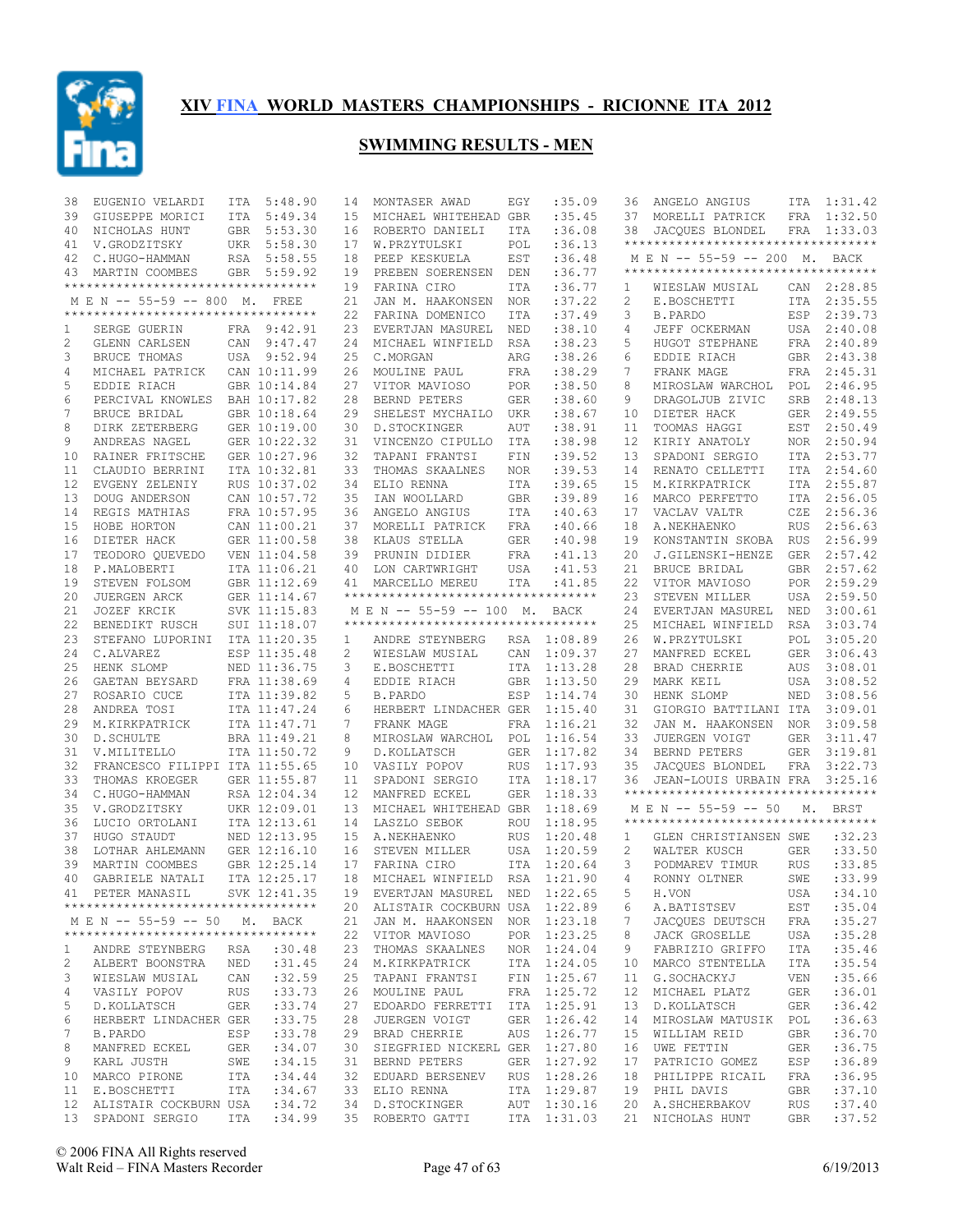

| 38           | EUGENIO VELARDI                                  | ITA        | 5:48.90                      | 14       | MONTASER AWAD                                                  | EGY               | :35.09             | 36       | ANGELO ANGIUS                            | ITA        | 1:31.42            |
|--------------|--------------------------------------------------|------------|------------------------------|----------|----------------------------------------------------------------|-------------------|--------------------|----------|------------------------------------------|------------|--------------------|
| 39           | GIUSEPPE MORICI                                  | <b>ITA</b> | 5:49.34                      | 15       | MICHAEL WHITEHEAD GBR                                          |                   | :35.45             | 37       | MORELLI PATRICK                          | FRA        | 1:32.50            |
| 40           | NICHOLAS HUNT                                    |            | GBR 5:53.30                  | 16       | ROBERTO DANIELI                                                | <b>ITA</b>        | :36.08             | 38       | JACQUES BLONDEL                          |            | FRA 1:33.03        |
| 41           | V.GRODZITSKY                                     |            | UKR 5:58.30                  | 17       | W.PRZYTULSKI                                                   | POL               | :36.13             |          | **********************************       |            |                    |
| 42           | C.HUGO-HAMMAN                                    |            | RSA 5:58.55                  | 18       | PEEP KESKUELA                                                  | EST               | :36.48             |          | M E N -- 55-59 -- 200 M. BACK            |            |                    |
| 43           | MARTIN COOMBES                                   |            | GBR 5:59.92                  | 19       | PREBEN SOERENSEN                                               | DEN               | :36.77             |          | **********************************       |            |                    |
|              | **********************************               |            |                              | 19       | FARINA CIRO                                                    | ITA               | :36.77             | 1        | WIESLAW MUSIAL                           |            | CAN 2:28.85        |
|              | M E N -- 55-59 -- 800 M. FREE                    |            |                              | 21       | JAN M. HAAKONSEN                                               | <b>NOR</b>        | :37.22             | 2        | E.BOSCHETTI                              |            | ITA 2:35.55        |
|              | **********************************               |            |                              | 22       | FARINA DOMENICO                                                | ITA               | :37.49             | 3        | <b>B.PARDO</b>                           | ESP        | 2:39.73            |
| 1            | SERGE GUERIN                                     |            | FRA 9:42.91                  | 23       | EVERTJAN MASUREL                                               | NED               | : 38.10            | 4        | JEFF OCKERMAN                            | USA        | 2:40.08            |
| 2            | GLENN CARLSEN                                    |            | CAN 9:47.47                  | 24       | MICHAEL WINFIELD                                               | RSA               | : 38.23            | 5        | HUGOT STEPHANE                           | FRA        | 2:40.89            |
| 3            | BRUCE THOMAS                                     |            | USA 9:52.94                  | 25       | C.MORGAN                                                       | ARG               | :38.26             | 6        | EDDIE RIACH                              |            | GBR 2:43.38        |
| 4            | MICHAEL PATRICK                                  |            | CAN 10:11.99                 | 26       | MOULINE PAUL                                                   | FRA               | :38.29             | 7        | FRANK MAGE                               |            | FRA 2:45.31        |
| 5            | EDDIE RIACH                                      |            | GBR 10:14.84                 | 27       | VITOR MAVIOSO                                                  | <b>POR</b>        | :38.50             | 8        | MIROSLAW WARCHOL                         | POL        | 2:46.95            |
| 6            | PERCIVAL KNOWLES                                 |            | BAH 10:17.82                 | 28       | BERND PETERS                                                   | <b>GER</b>        | :38.60             | 9        | DRAGOLJUB ZIVIC                          | SRB        | 2:48.13            |
| 7            | BRUCE BRIDAL                                     |            | GBR 10:18.64                 | 29       | SHELEST MYCHAILO                                               | UKR               | :38.67             | 10       | DIETER HACK                              | GER        | 2:49.55            |
| 8            | DIRK ZETERBERG                                   |            | GER 10:19.00                 | 30       | D.STOCKINGER                                                   | AUT               | :38.91             | 11       | TOOMAS HAGGI                             | EST        | 2:50.49            |
| 9            | ANDREAS NAGEL                                    |            | GER 10:22.32                 | 31       | VINCENZO CIPULLO                                               | ITA               | :38.98             | 12       | KIRIY ANATOLY                            |            | NOR 2:50.94        |
| 10           | RAINER FRITSCHE                                  |            | GER 10:27.96                 | 32       | TAPANI FRANTSI                                                 | FIN               | :39.52             | 13       | SPADONI SERGIO                           |            | ITA 2:53.77        |
| 11           | CLAUDIO BERRINI                                  |            | ITA 10:32.81                 | 33       | THOMAS SKAALNES                                                | <b>NOR</b>        | :39.53             | 14       | RENATO CELLETTI                          |            | ITA 2:54.60        |
| 12           | EVGENY ZELENIY                                   |            | RUS 10:37.02                 | 34       | ELIO RENNA                                                     | ITA               | :39.65             | 15       | M.KIRKPATRICK                            |            | ITA 2:55.87        |
| 13           | DOUG ANDERSON                                    |            | CAN 10:57.72                 | 35       | IAN WOOLLARD                                                   | <b>GBR</b>        | :39.89             | 16       | MARCO PERFETTO                           | ITA        | 2:56.05            |
| 14           | REGIS MATHIAS                                    |            | FRA 10:57.95                 | 36       | ANGELO ANGIUS                                                  | ITA               | :40.63             | 17       | VACLAV VALTR                             | CZE        | 2:56.36            |
| 15           | HOBE HORTON                                      |            | CAN 11:00.21                 | 37       | MORELLI PATRICK                                                | FRA               | :40.66             | 18       | A.NEKHAENKO                              | <b>RUS</b> | 2:56.63            |
| 16           | DIETER HACK                                      |            | GER 11:00.58                 | 38       | KLAUS STELLA                                                   | <b>GER</b>        | :40.98             | 19       | KONSTANTIN SKOBA                         | <b>RUS</b> | 2:56.99            |
| 17           | TEODORO QUEVEDO                                  |            | VEN 11:04.58                 | 39       | PRUNIN DIDIER                                                  | FRA               | :41.13             | 20       | J.GILENSKI-HENZE                         | GER        | 2:57.42            |
| 18           | P.MALOBERTI                                      |            | ITA 11:06.21                 | 40       | LON CARTWRIGHT                                                 | USA               | :41.53             | 21       | BRUCE BRIDAL                             | GBR        | 2:57.62            |
| 19           | STEVEN FOLSOM                                    |            | GBR 11:12.69                 | 41       | MARCELLO MEREU                                                 | ITA               | : 41.85            | 22       | VITOR MAVIOSO                            | POR        | 2:59.29            |
| 20           | JUERGEN ARCK                                     |            | GER 11:14.67                 |          | **********************************                             |                   |                    | 23       | STEVEN MILLER                            | USA        | 2:59.50            |
| 21           | JOZEF KRCIK                                      |            | SVK 11:15.83                 |          | M E N -- 55-59 -- 100 M.<br>********************************** |                   | BACK               | 2.4      | EVERTJAN MASUREL                         | NED        | 3:00.61            |
| 22           | BENEDIKT RUSCH                                   |            | SUI 11:18.07                 |          |                                                                |                   |                    | 25       | MICHAEL WINFIELD                         | RSA        | 3:03.74            |
| 23           | STEFANO LUPORINI                                 |            | ITA 11:20.35                 | 1        | ANDRE STEYNBERG                                                | RSA               | 1:08.89            | 26       | W.PRZYTULSKI                             | POL        | 3:05.20            |
| 24           | C.ALVAREZ                                        |            | ESP 11:35.48                 | 2        | WIESLAW MUSIAL                                                 | CAN               | 1:09.37            | 27       | MANFRED ECKEL                            | GER        | 3:06.43            |
| 25           | HENK SLOMP                                       |            | NED 11:36.75                 | 3        | E.BOSCHETTI                                                    | ITA               | 1:13.28            | 28       | BRAD CHERRIE                             | AUS        | 3:08.01            |
| 26           | GAETAN BEYSARD                                   |            | FRA 11:38.69                 | 4        | EDDIE RIACH                                                    | GBR               | 1:13.50            | 29       | MARK KEIL                                | USA        | 3:08.52            |
| 27           | ROSARIO CUCE                                     |            | ITA 11:39.82                 | 5        | <b>B.PARDO</b>                                                 | ESP               | 1:14.74            | 30       | HENK SLOMP                               | NED        | 3:08.56            |
| 28           | ANDREA TOSI                                      |            | ITA 11:47.24                 | 6        | HERBERT LINDACHER GER                                          |                   | 1:15.40            | 31       | GIORGIO BATTILANI ITA                    |            | 3:09.01            |
| 29           | M.KIRKPATRICK                                    |            | ITA 11:47.71                 | 7        | FRANK MAGE                                                     | FRA               | 1:16.21            | 32       | JAN M. HAAKONSEN NOR                     |            | 3:09.58            |
| 30           | D. SCHULTE                                       |            | BRA 11:49.21                 | 8        | MIROSLAW WARCHOL POL                                           |                   | 1:16.54            | 33       | JUERGEN VOIGT                            | GER        | 3:11.47            |
| 31           | V.MILITELLO                                      |            | ITA 11:50.72                 | 9        | D. KOLLATSCH                                                   | <b>GER</b>        | 1:17.82            | 34       | BERND PETERS                             | GER        | 3:19.81<br>3:22.73 |
| 32<br>33     | FRANCESCO FILIPPI ITA 11:55.65<br>THOMAS KROEGER |            |                              | 10<br>11 | VASILY POPOV<br>SPADONI SERGIO                                 | <b>RUS</b><br>ITA | 1:17.93<br>1:18.17 | 35<br>36 | JACQUES BLONDEL<br>JEAN-LOUIS URBAIN FRA | FRA        | 3:25.16            |
| 34           | C.HUGO-HAMMAN                                    |            | GER 11:55.87<br>RSA 12:04.34 | 12       | MANFRED ECKEL                                                  | <b>GER</b>        | 1:18.33            |          | **********************************       |            |                    |
| 35           | V.GRODZITSKY                                     |            |                              | 13       | MICHAEL WHITEHEAD GBR                                          |                   | 1:18.69            |          | M E N -- 55-59 -- 50                     |            | <b>BRST</b>        |
| 36           | LUCIO ORTOLANI                                   |            | UKR 12:09.01<br>ITA 12:13.61 | 14       | LASZLO SEBOK                                                   | ROU               | 1:18.95            |          | ***********************************      | М.         |                    |
| 37           | HUGO STAUDT                                      |            | NED 12:13.95                 | 15       | A.NEKHAENKO                                                    | <b>RUS</b>        | 1:20.48            | 1        | GLEN CHRISTIANSEN SWE                    |            | :32.23             |
| 38           | LOTHAR AHLEMANN                                  |            | GER 12:16.10                 | 16       | STEVEN MILLER                                                  | USA               | 1:20.59            | 2        | WALTER KUSCH                             | <b>GER</b> | :33.50             |
| 39           | MARTIN COOMBES                                   |            | GBR 12:25.14                 | 17       | FARINA CIRO                                                    | <b>ITA</b>        | 1:20.64            | 3        | PODMAREV TIMUR                           | <b>RUS</b> | :33.85             |
| 40           | GABRIELE NATALI                                  |            | ITA 12:25.17                 | 18       | MICHAEL WINFIELD                                               | RSA               | 1:21.90            | 4        | RONNY OLTNER                             | SWE        | :33.99             |
| 41           | PETER MANASIL                                    |            | SVK 12:41.35                 |          | 19 EVERTJAN MASUREL NED 1:22.65                                |                   |                    |          | 5 H.VON                                  |            | USA : 34.10        |
|              | ***********************************              |            |                              |          | 20 ALISTAIR COCKBURN USA 1:22.89                               |                   |                    |          | A.BATISTSEV                              | EST        | : 35.04            |
|              | M E N -- 55-59 -- 50 M. BACK                     |            |                              |          | 21 JAN M. HAAKONSEN NOR 1:23.18                                |                   |                    | 6<br>7   | JACOUES DEUTSCH                          | FRA        | :35.27             |
|              | ***********************************              |            |                              |          | 22 VITOR MAVIOSO                                               |                   | POR 1:23.25        | 8        | JACK GROSELLE                            | USA        | :35.28             |
| $\mathbf{1}$ | ANDRE STEYNBERG                                  | RSA        | :30.48                       |          | 23 THOMAS SKAALNES NOR 1:24.04                                 |                   |                    | 9        | FABRIZIO GRIFFO                          | ITA        | :35.46             |
| 2            | ALBERT BOONSTRA NED : 31.45                      |            |                              |          | 24 M.KIRKPATRICK                                               |                   | ITA 1:24.05        | 10       | MARCO STENTELLA                          | ITA        | : 35.54            |
| 3            | WIESLAW MUSIAL                                   | CAN        | :32.59                       |          | 25 TAPANI FRANTSI                                              |                   | FIN 1:25.67        | 11       | G.SOCHACKYJ                              | VEN        | :35.66             |
| 4            | VASILY POPOV                                     | RUS        | : 33.73                      |          | 26 MOULINE PAUL                                                |                   | FRA 1:25.72        | 12       | MICHAEL PLATZ                            | GER        | :36.01             |
| 5            | D.KOLLATSCH                                      | GER        | : 33.74                      |          | 27 EDOARDO FERRETTI ITA 1:25.91                                |                   |                    | 13       | D.KOLLATSCH                              | GER        | : 36.42            |
| 6            | HERBERT LINDACHER GER                            |            | :33.75                       |          | 28 JUERGEN VOIGT                                               |                   | GER 1:26.42        | 14       | MIROSLAW MATUSIK POL                     |            | :36.63             |
| 7            | B.PARDO                                          | ESP        | : 33.78                      |          | 29 BRAD CHERRIE                                                |                   | AUS 1:26.77        | 15       | WILLIAM REID                             | GBR        | :36.70             |
| 8            | MANFRED ECKEL                                    | GER        | :34.07                       |          | 30 SIEGFRIED NICKERL GER 1:27.80                               |                   |                    | 16       | UWE FETTIN                               | GER        | :36.75             |
| 9            | KARL JUSTH                                       | SWE        | :34.15                       |          | 31 BERND PETERS                                                |                   | GER 1:27.92        | 17       | PATRICIO GOMEZ                           | ESP        | :36.89             |
|              | 10 MARCO PIRONE                                  | ITA        | : 34.44                      |          | 32 EDUARD BERSENEV                                             |                   | RUS 1:28.26        | 18       | PHILIPPE RICAIL                          | FRA        | :36.95             |
| 11           | E.BOSCHETTI                                      | ITA        | :34.67                       |          | 33 ELIO RENNA                                                  |                   | ITA 1:29.87        |          | 19 PHIL DAVIS                            | GBR        | :37.10             |
|              | 12 ALISTAIR COCKBURN USA                         |            | : 34.72                      |          | 34 D.STOCKINGER                                                |                   | AUT 1:30.16        |          | 20 A.SHCHERBAKOV                         | RUS        | :37.40             |
|              | 13 SPADONI SERGIO                                | ITA        | :34.99                       |          | 35 ROBERTO GATTI                                               |                   | ITA 1:31.03        |          | 21 NICHOLAS HUNT                         | GBR        | :37.52             |
|              |                                                  |            |                              |          |                                                                |                   |                    |          |                                          |            |                    |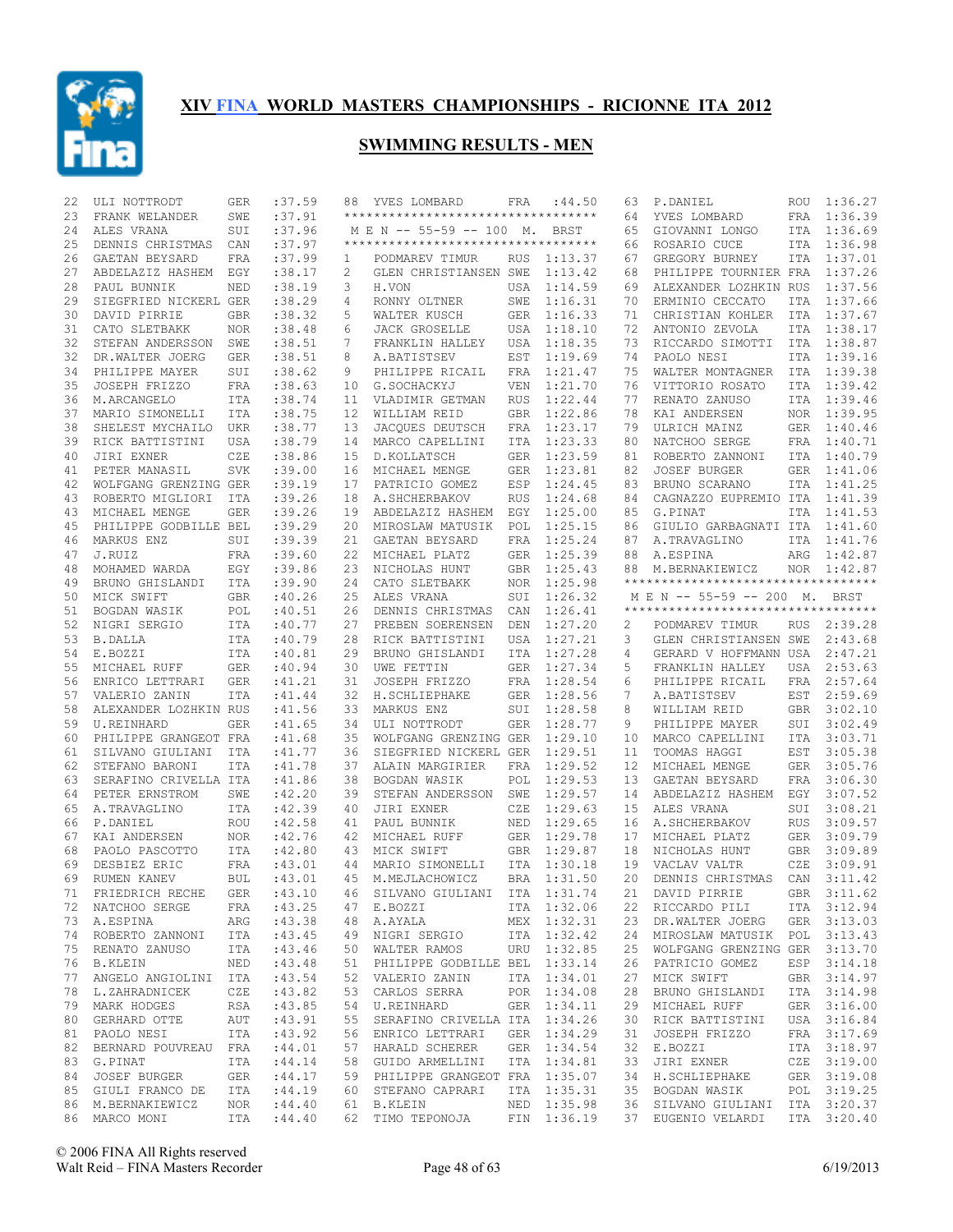

| 22 | ULI NOTTRODT                               | GER        | :37.59  | 88           | YVES LOMBARD                                                                                                          | FRA        | :44.50      | 63 | P.DANIEL                            | <b>ROU</b> | 1:36.27     |
|----|--------------------------------------------|------------|---------|--------------|-----------------------------------------------------------------------------------------------------------------------|------------|-------------|----|-------------------------------------|------------|-------------|
| 23 | FRANK WELANDER                             | SWE        | :37.91  |              | ***********************************                                                                                   |            |             | 64 | YVES LOMBARD                        | FRA        | 1:36.39     |
| 24 | ALES VRANA                                 | SUI        | :37.96  |              | M E N -- 55-59 -- 100 M.                                                                                              |            | BRST        | 65 | GIOVANNI LONGO                      |            | ITA 1:36.69 |
| 25 | DENNIS CHRISTMAS                           | CAN        | :37.97  |              | **********************************                                                                                    |            |             | 66 | ROSARIO CUCE                        | ITA        | 1:36.98     |
| 26 | GAETAN BEYSARD                             | FRA        | :37.99  | $\mathbf{1}$ | PODMAREV TIMUR                                                                                                        | RUS        | 1:13.37     | 67 | GREGORY BURNEY                      |            | ITA 1:37.01 |
| 27 | ABDELAZIZ HASHEM                           | EGY        | : 38.17 | 2            | GLEN CHRISTIANSEN SWE                                                                                                 |            | 1:13.42     | 68 | PHILIPPE TOURNIER FRA               |            | 1:37.26     |
| 28 | PAUL BUNNIK                                | NED        | :38.19  | 3            | H.VON                                                                                                                 | USA        | 1:14.59     | 69 | ALEXANDER LOZHKIN RUS               |            | 1:37.56     |
| 29 | SIEGFRIED NICKERL GER                      |            | :38.29  | 4            | RONNY OLTNER                                                                                                          | SWE        | 1:16.31     | 70 | ERMINIO CECCATO                     | ITA        | 1:37.66     |
| 30 | DAVID PIRRIE                               | <b>GBR</b> | : 38.32 | 5            | WALTER KUSCH                                                                                                          | GER        | 1:16.33     | 71 | CHRISTIAN KOHLER                    | ITA        | 1:37.67     |
| 31 | CATO SLETBAKK                              | NOR.       | : 38.48 | 6            | <b>JACK GROSELLE</b>                                                                                                  | USA        | 1:18.10     | 72 | ANTONIO ZEVOLA                      | ITA        | 1:38.17     |
| 32 |                                            |            |         | 7            |                                                                                                                       |            |             | 73 |                                     |            |             |
|    | STEFAN ANDERSSON                           | SWE        | :38.51  |              | FRANKLIN HALLEY                                                                                                       | USA        | 1:18.35     |    | RICCARDO SIMOTTI                    | ITA        | 1:38.87     |
| 32 | DR.WALTER JOERG                            | GER        | :38.51  | 8            | A.BATISTSEV                                                                                                           | EST        | 1:19.69     | 74 | PAOLO NESI                          | ITA        | 1:39.16     |
| 34 | PHILIPPE MAYER                             | SUI        | : 38.62 | 9            | PHILIPPE RICAIL                                                                                                       | FRA        | 1:21.47     | 75 | WALTER MONTAGNER                    |            | ITA 1:39.38 |
| 35 | JOSEPH FRIZZO                              | FRA        | :38.63  | 10           | G.SOCHACKYJ                                                                                                           | <b>VEN</b> | 1:21.70     | 76 | VITTORIO ROSATO                     | ITA        | 1:39.42     |
| 36 | M.ARCANGELO                                | ITA        | :38.74  | 11           | VLADIMIR GETMAN                                                                                                       | <b>RUS</b> | 1:22.44     | 77 | RENATO ZANUSO                       |            | ITA 1:39.46 |
| 37 | MARIO SIMONELLI                            | ITA        | :38.75  | 12           | WILLIAM REID                                                                                                          | <b>GBR</b> | 1:22.86     | 78 | KAI ANDERSEN                        |            | NOR 1:39.95 |
| 38 | SHELEST MYCHAILO UKR                       |            | :38.77  | 13           | JACQUES DEUTSCH                                                                                                       | FRA        | 1:23.17     | 79 | ULRICH MAINZ                        |            | GER 1:40.46 |
| 39 | RICK BATTISTINI                            | USA        | :38.79  | 14           | MARCO CAPELLINI                                                                                                       | ITA        | 1:23.33     | 80 | NATCHOO SERGE                       | FRA        | 1:40.71     |
| 40 | JIRI EXNER                                 | CZE        | :38.86  | 15           | D. KOLLATSCH                                                                                                          | <b>GER</b> | 1:23.59     | 81 | ROBERTO ZANNONI                     |            | ITA 1:40.79 |
| 41 | PETER MANASIL                              | <b>SVK</b> | :39.00  | 16           | MICHAEL MENGE                                                                                                         | <b>GER</b> | 1:23.81     | 82 | <b>JOSEF BURGER</b>                 | GER        | 1:41.06     |
| 42 | WOLFGANG GRENZING GER                      |            | :39.19  | 17           | PATRICIO GOMEZ                                                                                                        | ESP        | 1:24.45     | 83 | BRUNO SCARANO                       | ITA        | 1:41.25     |
| 43 | ROBERTO MIGLIORI                           | ITA        | :39.26  | 18           | A. SHCHERBAKOV                                                                                                        | <b>RUS</b> | 1:24.68     | 84 | CAGNAZZO EUPREMIO ITA               |            | 1:41.39     |
| 43 | MICHAEL MENGE                              | <b>GER</b> | :39.26  | 19           | ABDELAZIZ HASHEM                                                                                                      | EGY        | 1:25.00     | 85 | G.PINAT                             | ITA        | 1:41.53     |
| 45 | PHILIPPE GODBILLE BEL                      |            | :39.29  | 20           | MIROSLAW MATUSIK                                                                                                      | POL        | 1:25.15     | 86 | GIULIO GARBAGNATI ITA               |            | 1:41.60     |
| 46 | MARKUS ENZ                                 | SUI        | :39.39  | 21           | GAETAN BEYSARD                                                                                                        | FRA        | 1:25.24     | 87 | A.TRAVAGLINO                        |            | ITA 1:41.76 |
| 47 | J.RUIZ                                     | FRA        | :39.60  | 22           | MICHAEL PLATZ                                                                                                         | <b>GER</b> | 1:25.39     | 88 | A.ESPINA                            |            | ARG 1:42.87 |
| 48 | MOHAMED WARDA                              | EGY        | :39.86  | 23           | NICHOLAS HUNT                                                                                                         | GBR        | 1:25.43     | 88 | M.BERNAKIEWICZ                      | NOR        | 1:42.87     |
| 49 | BRUNO GHISLANDI                            | <b>ITA</b> | :39.90  | 24           | CATO SLETBAKK                                                                                                         | <b>NOR</b> | 1:25.98     |    | *********************************** |            |             |
| 50 | MICK SWIFT                                 | GBR        | :40.26  | 25           | ALES VRANA                                                                                                            | SUI        | 1:26.32     |    | M E N -- 55-59 -- 200 M. BRST       |            |             |
|    |                                            |            |         |              |                                                                                                                       |            | 1:26.41     |    | **********************************  |            |             |
| 51 | BOGDAN WASIK                               | POL        | :40.51  | 26           | DENNIS CHRISTMAS                                                                                                      | CAN        | 1:27.20     |    |                                     |            |             |
| 52 | NIGRI SERGIO                               | ITA        | :40.77  | 27           | PREBEN SOERENSEN                                                                                                      | DEN        |             | 2  | PODMAREV TIMUR                      | RUS        | 2:39.28     |
| 53 | <b>B.DALLA</b>                             | ITA        | :40.79  | 28           | RICK BATTISTINI                                                                                                       | USA        | 1:27.21     | 3  | GLEN CHRISTIANSEN SWE               |            | 2:43.68     |
| 54 | E.BOZZI                                    | ITA        | :40.81  | 29           | BRUNO GHISLANDI                                                                                                       | ITA        | 1:27.28     | 4  | GERARD V HOFFMANN USA               |            | 2:47.21     |
| 55 | MICHAEL RUFF                               | GER        | :40.94  | 30           | UWE FETTIN                                                                                                            | <b>GER</b> | 1:27.34     | 5  | FRANKLIN HALLEY                     | USA        | 2:53.63     |
| 56 | ENRICO LETTRARI                            | <b>GER</b> | :41.21  | 31           | JOSEPH FRIZZO                                                                                                         | FRA        | 1:28.54     | 6  | PHILIPPE RICAIL                     | FRA        | 2:57.64     |
| 57 | VALERIO ZANIN                              | ITA        | :41.44  | 32           | H. SCHLIEPHAKE                                                                                                        | GER        | 1:28.56     | 7  | A.BATISTSEV                         | EST        | 2:59.69     |
| 58 | ALEXANDER LOZHKIN RUS                      |            | :41.56  | 33           | MARKUS ENZ                                                                                                            | SUI        | 1:28.58     | 8  | WILLIAM REID                        | GBR        | 3:02.10     |
| 59 | U.REINHARD                                 | <b>GER</b> | :41.65  | 34           | ULI NOTTRODT                                                                                                          | <b>GER</b> | 1:28.77     | 9  | PHILIPPE MAYER                      | SUI        | 3:02.49     |
| 60 | PHILIPPE GRANGEOT FRA                      |            | :41.68  | 35           | WOLFGANG GRENZING GER                                                                                                 |            | 1:29.10     | 10 | MARCO CAPELLINI                     | ITA        | 3:03.71     |
| 61 | SILVANO GIULIANI                           | ITA        | :41.77  | 36           | SIEGFRIED NICKERL GER                                                                                                 |            | 1:29.51     | 11 | TOOMAS HAGGI                        | EST        | 3:05.38     |
| 62 | STEFANO BARONI                             | <b>ITA</b> | :41.78  | 37           | ALAIN MARGIRIER                                                                                                       | FRA        | 1:29.52     | 12 | MICHAEL MENGE                       | GER        | 3:05.76     |
| 63 | SERAFINO CRIVELLA ITA                      |            | :41.86  | 38           | BOGDAN WASIK                                                                                                          | POL        | 1:29.53     | 13 | GAETAN BEYSARD                      | FRA        | 3:06.30     |
| 64 | PETER ERNSTROM                             | SWE        | :42.20  | 39           | STEFAN ANDERSSON                                                                                                      | SWE        | 1:29.57     | 14 | ABDELAZIZ HASHEM                    | EGY        | 3:07.52     |
| 65 | A.TRAVAGLINO                               | <b>ITA</b> | :42.39  | 40           | JIRI EXNER                                                                                                            | CZE        | 1:29.63     | 15 | ALES VRANA                          | SUI        | 3:08.21     |
| 66 | P.DANIEL                                   | <b>ROU</b> | :42.58  | 41           | PAUL BUNNIK                                                                                                           | <b>NED</b> | 1:29.65     | 16 | A. SHCHERBAKOV                      | <b>RUS</b> | 3:09.57     |
| 67 | KAI ANDERSEN                               | NOR        | :42.76  | 42           | MICHAEL RUFF                                                                                                          | <b>GER</b> | 1:29.78     | 17 | MICHAEL PLATZ                       | <b>GER</b> | 3:09.79     |
| 68 | PAOLO PASCOTTO                             | ITA        | :42.80  | 43           | MICK SWIFT                                                                                                            | <b>GBR</b> | 1:29.87     | 18 | NICHOLAS HUNT                       | <b>GBR</b> | 3:09.89     |
| 69 | DESBIEZ ERIC                               | FRA        | :43.01  | 44           | MARIO SIMONELLI                                                                                                       | <b>ITA</b> | 1:30.18     | 19 | VACLAV VALTR                        | CZE        | 3:09.91     |
| 69 | RUMEN KANEV                                | <b>BUL</b> | :43.01  | 45           | M.MEJLACHOWICZ                                                                                                        | <b>BRA</b> | 1:31.50     | 20 | DENNIS CHRISTMAS                    | CAN        | 3:11.42     |
| 71 | FRIEDRICH RECHE                            |            |         |              | GER : 43.10  46  SILVANO GIULIANI  ITA  1:31.74                                                                       |            |             |    | 21 DAVID PIRRIE                     |            | GBR 3:11.62 |
|    |                                            |            | :43.25  |              |                                                                                                                       |            | ITA 1:32.06 |    | 22 RICCARDO PILI ITA 3:12.94        |            |             |
|    | 72 NATCHOO SERGE FRA<br>73 A.ESPINA ARG    |            | :43.38  |              | 47 E.BOZZI<br>48 A.AYALA                                                                                              |            | MEX 1:32.31 |    | 23 DR.WALTER JOERG GER 3:13.03      |            |             |
|    | 74 ROBERTO ZANNONI ITA                     |            | :43.45  |              |                                                                                                                       |            |             | 24 | MIROSLAW MATUSIK POL 3:13.43        |            |             |
|    |                                            |            |         |              | 49 NIGRI SERGIO 1TA 1:32.42<br>50 WALTER RAMOS URU 1:32.85                                                            |            |             |    |                                     |            |             |
|    | 75 RENATO ZANUSO ITA<br>NED                |            | :43.46  |              |                                                                                                                       |            |             |    | 25 WOLFGANG GRENZING GER 3:13.70    |            |             |
|    | 76 B.KLEIN                                 |            | :43.48  |              | 51 PHILIPPE GODBILLE BEL 1:33.14                                                                                      |            |             |    | 26 PATRICIO GOMEZ                   |            | ESP 3:14.18 |
|    | 77 ANGELO ANGIOLINI ITA                    |            | :43.54  |              | 52 VALERIO ZANIN                                                                                                      |            | ITA 1:34.01 | 27 | MICK SWIFT                          |            | GBR 3:14.97 |
|    | 78 L.ZAHRADNICEK CZE<br>79 MARK HODGES RSA |            | :43.82  |              | 53 CARLOS SERRA                                                                                                       |            | POR 1:34.08 | 28 | BRUNO GHISLANDI                     |            | ITA 3:14.98 |
|    |                                            |            | :43.85  |              | 54 U.REINHARD                                                                                                         |            | GER 1:34.11 | 29 | MICHAEL RUFF                        |            | GER 3:16.00 |
|    | 80 GERHARD OTTE AUT                        |            | :43.91  |              | 55 SERAFINO CRIVELLA ITA 1:34.26                                                                                      |            |             | 30 | RICK BATTISTINI                     |            | USA 3:16.84 |
|    | 81 PAOLO NESI                              | ITA        | :43.92  |              | 56 ENRICO LETTRARI GER 1:34.29                                                                                        |            |             | 31 | JOSEPH FRIZZO                       |            | FRA 3:17.69 |
|    | 82 BERNARD POUVREAU FRA                    |            | :44.01  |              | 57 HARALD SCHERER GER 1:34.54                                                                                         |            |             | 32 | E.BOZZI                             |            | ITA 3:18.97 |
|    | 83 G.PINAT                                 | ITA        | : 44.14 |              | 58 GUIDO ARMELLINI ITA 1:34.81                                                                                        |            |             |    | 33 JIRI EXNER                       |            | CZE 3:19.00 |
|    | 84 JOSEF BURGER GER                        |            | :44.17  |              | 59 PHILIPPE GRANGEOT FRA 1:35.07                                                                                      |            |             |    | 34 H.SCHLIEPHAKE                    |            | GER 3:19.08 |
|    | 85 GIULI FRANCO DE ITA : 44.19             |            |         |              | 60 STEFANO CAPRARI                                                                                                    |            | ITA 1:35.31 |    | 35 BOGDAN WASIK                     |            | POL 3:19.25 |
|    | 86 M.BERNAKIEWICZ NOR : 44.40              |            |         |              | 61 B.KLEIN MED 1:35.98 36 SILVANO GIULIANI ITA 3:20.37<br>62 TIMO TEPONOJA FIN 1:36.19 37 EUGENIO VELARDI ITA 3:20.40 |            |             |    |                                     |            |             |
|    | 86 MARCO MONI ITA :44.40                   |            |         |              |                                                                                                                       |            |             |    |                                     |            |             |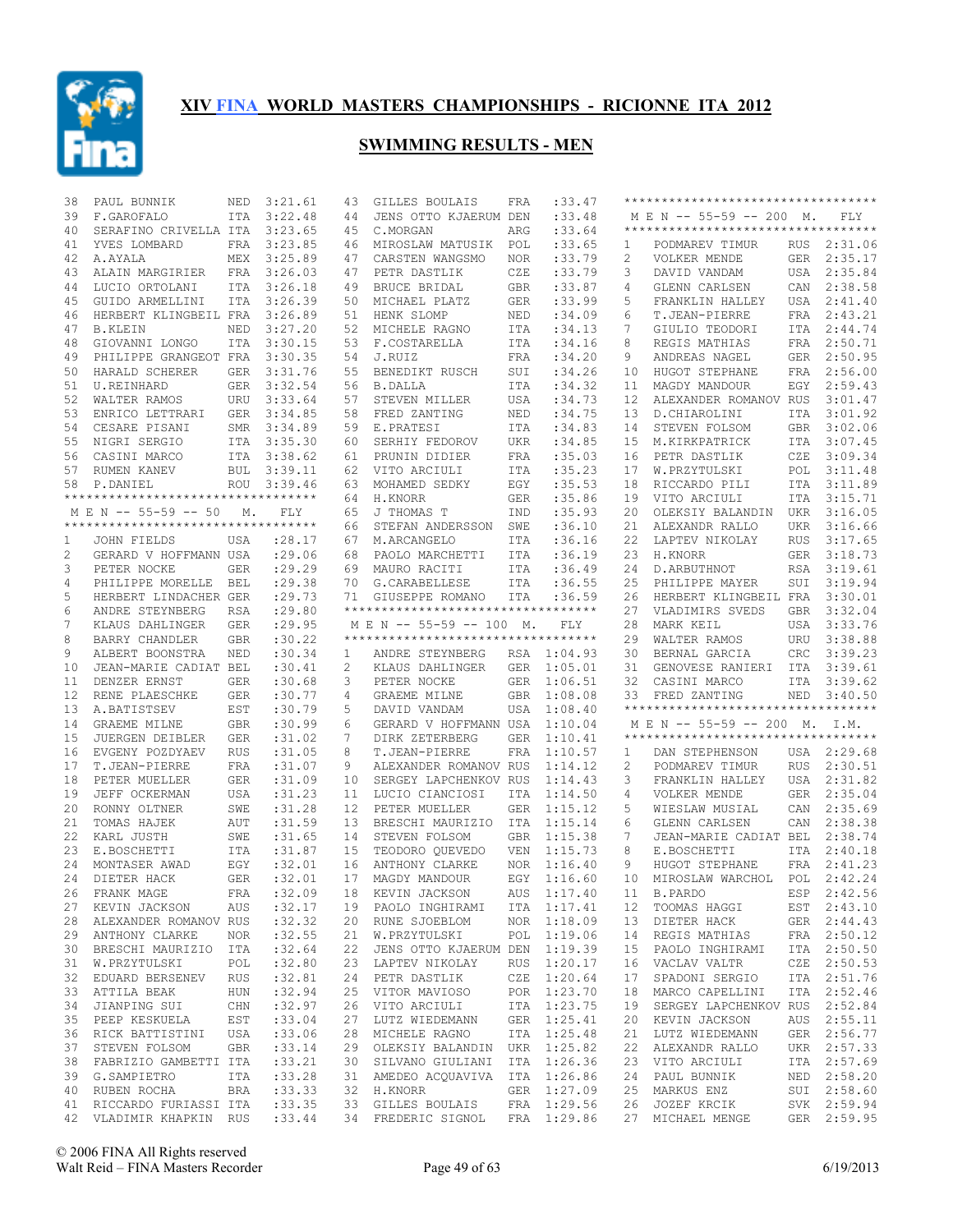

| 38 | PAUL BUNNIK                                                                                | NED        | 3:21.61     | 43 | GILLES BOULAIS                     | FRA        | :33.47                     |    | **********************************             |            |             |
|----|--------------------------------------------------------------------------------------------|------------|-------------|----|------------------------------------|------------|----------------------------|----|------------------------------------------------|------------|-------------|
| 39 | F.GAROFALO                                                                                 | ITA        | 3:22.48     | 44 | JENS OTTO KJAERUM DEN              |            | : 33.48                    |    | M E N -- 55-59 -- 200 M.                       |            | FLY         |
| 40 | SERAFINO CRIVELLA ITA                                                                      |            | 3:23.65     | 45 | C.MORGAN                           | ARG        | :33.64                     |    | ***********************************            |            |             |
| 41 | YVES LOMBARD                                                                               |            | FRA 3:23.85 | 46 | MIROSLAW MATUSIK POL               |            | : 33.65                    | 1  | PODMAREV TIMUR                                 |            | RUS 2:31.06 |
| 42 | A.AYALA                                                                                    |            | MEX 3:25.89 | 47 | CARSTEN WANGSMO                    | NOR.       | : 33.79                    | 2  | VOLKER MENDE                                   |            | GER 2:35.17 |
| 43 | ALAIN MARGIRIER                                                                            | FRA        | 3:26.03     | 47 | PETR DASTLIK                       | CZE        | :33.79                     | 3  | DAVID VANDAM                                   |            | USA 2:35.84 |
| 44 | LUCIO ORTOLANI                                                                             |            | ITA 3:26.18 | 49 | BRUCE BRIDAL                       | GBR        | :33.87                     | 4  | GLENN CARLSEN                                  |            | CAN 2:38.58 |
| 45 | GUIDO ARMELLINI                                                                            | <b>ITA</b> | 3:26.39     | 50 | MICHAEL PLATZ                      | GER        | :33.99                     | 5  | FRANKLIN HALLEY                                |            | USA 2:41.40 |
| 46 | HERBERT KLINGBEIL FRA                                                                      |            | 3:26.89     | 51 | HENK SLOMP                         | NED        | :34.09                     | 6  | T.JEAN-PIERRE                                  |            | FRA 2:43.21 |
| 47 | <b>B.KLEIN</b>                                                                             | NED        | 3:27.20     | 52 | MICHELE RAGNO                      | ITA        | :34.13                     | 7  | GIULIO TEODORI                                 | ITA        | 2:44.74     |
| 48 |                                                                                            | ITA        |             |    | 53 F.COSTARELLA                    |            | : 34.16                    | 8  |                                                | FRA        | 2:50.71     |
|    | GIOVANNI LONGO                                                                             |            | 3:30.15     |    |                                    | ITA        |                            |    | REGIS MATHIAS                                  |            |             |
| 49 | PHILIPPE GRANGEOT FRA                                                                      |            | 3:30.35     | 54 | J.RUIZ                             | FRA        | :34.20                     | 9  | ANDREAS NAGEL                                  |            | GER 2:50.95 |
| 50 | HARALD SCHERER                                                                             |            | GER 3:31.76 | 55 | BENEDIKT RUSCH                     | SUI        | :34.26                     | 10 | HUGOT STEPHANE                                 |            | FRA 2:56.00 |
| 51 | U.REINHARD                                                                                 |            | GER 3:32.54 | 56 | <b>B.DALLA</b>                     | ITA        | :34.32                     | 11 | MAGDY MANDOUR                                  | EGY        | 2:59.43     |
| 52 | WALTER RAMOS                                                                               |            | URU 3:33.64 | 57 | STEVEN MILLER                      | USA        | :34.73                     | 12 | ALEXANDER ROMANOV RUS                          |            | 3:01.47     |
| 53 | ENRICO LETTRARI                                                                            | GER        | 3:34.85     | 58 | FRED ZANTING                       | NED        | :34.75                     | 13 | D.CHIAROLINI                                   | ITA        | 3:01.92     |
| 54 | CESARE PISANI                                                                              |            | SMR 3:34.89 | 59 | E.PRATESI                          | ITA        | :34.83                     | 14 | STEVEN FOLSOM                                  |            | GBR 3:02.06 |
| 55 | NIGRI SERGIO                                                                               |            | ITA 3:35.30 | 60 | SERHIY FEDOROV                     | UKR        | :34.85                     | 15 | M.KIRKPATRICK                                  | ITA        | 3:07.45     |
| 56 | CASINI MARCO                                                                               |            | ITA 3:38.62 | 61 | PRUNIN DIDIER                      | FRA        | :35.03                     | 16 | PETR DASTLIK                                   | CZE        | 3:09.34     |
| 57 | RUMEN KANEV                                                                                |            | BUL 3:39.11 | 62 | VITO ARCIULI                       | ITA        | :35.23                     | 17 | W.PRZYTULSKI                                   | POL        | 3:11.48     |
| 58 | P.DANIEL                                                                                   |            | ROU 3:39.46 |    | 63 MOHAMED SEDKY                   | EGY        | :35.53                     | 18 | RICCARDO PILI                                  | ITA        | 3:11.89     |
|    | **********************************                                                         |            |             | 64 | H.KNORR                            | GER        | :35.86                     | 19 | VITO ARCIULI                                   | ITA        | 3:15.71     |
|    | M E N -- 55-59 -- 50                                                                       | М.         | FLY         | 65 | J THOMAS T                         | IND        | :35.93                     | 20 | OLEKSIY BALANDIN                               | UKR        | 3:16.05     |
|    | **********************************                                                         |            |             | 66 | STEFAN ANDERSSON                   | SWE        | :36.10                     | 21 | ALEXANDR RALLO                                 | <b>UKR</b> | 3:16.66     |
| 1  | JOHN FIELDS                                                                                | USA        | : 28.17     | 67 | M.ARCANGELO                        | ITA        | :36.16                     | 22 | LAPTEV NIKOLAY                                 | <b>RUS</b> | 3:17.65     |
| 2  | GERARD V HOFFMANN USA                                                                      |            | : 29.06     | 68 | PAOLO MARCHETTI                    | ITA        | :36.19                     | 23 | H.KNORR                                        | GER        | 3:18.73     |
|    |                                                                                            |            |             | 69 |                                    |            |                            |    |                                                |            | 3:19.61     |
| 3  | PETER NOCKE                                                                                | GER        | : 29.29     |    | MAURO RACITI                       | ITA        | :36.49                     | 24 | D.ARBUTHNOT                                    | RSA        | 3:19.94     |
| 4  | PHILIPPE MORELLE BEL                                                                       |            | : 29.38     | 70 | G.CARABELLESE                      | ITA        | :36.55                     | 25 | PHILIPPE MAYER                                 | SUI        |             |
| 5  | HERBERT LINDACHER GER                                                                      |            | : 29.73     | 71 | GIUSEPPE ROMANO                    | ITA        | :36.59                     | 26 | HERBERT KLINGBEIL FRA                          |            | 3:30.01     |
| 6  | ANDRE STEYNBERG                                                                            | RSA        | : 29.80     |    | ********************************** |            |                            | 27 | VLADIMIRS SVEDS                                | GBR        | 3:32.04     |
| 7  | KLAUS DAHLINGER                                                                            | <b>GER</b> | : 29.95     |    | MEN -- 55-59 -- 100 M.             |            | FLY                        | 28 | MARK KEIL                                      | USA        | 3:33.76     |
| 8  | BARRY CHANDLER                                                                             | <b>GBR</b> | :30.22      |    | ********************************** |            |                            | 29 | WALTER RAMOS                                   | URU        | 3:38.88     |
| 9  | ALBERT BOONSTRA                                                                            | NED        | :30.34      | 1  | ANDRE STEYNBERG                    |            | RSA 1:04.93                | 30 | BERNAL GARCIA                                  | CRC        | 3:39.23     |
|    |                                                                                            |            |             |    |                                    |            |                            |    |                                                |            |             |
| 10 | JEAN-MARIE CADIAT BEL                                                                      |            | :30.41      | 2  | KLAUS DAHLINGER                    | GER        | 1:05.01                    | 31 | GENOVESE RANIERI                               | ITA        | 3:39.61     |
| 11 | DENZER ERNST                                                                               | <b>GER</b> | :30.68      | 3  | PETER NOCKE                        | GER        | 1:06.51                    | 32 | CASINI MARCO                                   | ITA        | 3:39.62     |
| 12 | RENE PLAESCHKE                                                                             | <b>GER</b> | :30.77      | 4  | GRAEME MILNE                       | <b>GBR</b> | 1:08.08                    | 33 | FRED ZANTING                                   |            | NED 3:40.50 |
| 13 | A.BATISTSEV                                                                                | EST        | :30.79      | 5  | DAVID VANDAM                       | USA        | 1:08.40                    |    | **********************************             |            |             |
| 14 | GRAEME MILNE                                                                               | GBR        | :30.99      | 6  | GERARD V HOFFMANN USA              |            | 1:10.04                    |    | M E N -- 55-59 -- 200 M. I.M.                  |            |             |
| 15 | JUERGEN DEIBLER                                                                            | <b>GER</b> | :31.02      | 7  | DIRK ZETERBERG                     | <b>GER</b> | 1:10.41                    |    | ***********************************            |            |             |
|    |                                                                                            |            |             |    |                                    |            |                            |    |                                                |            |             |
| 16 | EVGENY POZDYAEV                                                                            | <b>RUS</b> | :31.05      | 8  | T.JEAN-PIERRE                      | FRA        | 1:10.57                    | 1  | DAN STEPHENSON                                 |            | USA 2:29.68 |
| 17 | T.JEAN-PIERRE                                                                              | FRA        | :31.07      | 9  | ALEXANDER ROMANOV RUS              |            | 1:14.12                    | 2  | PODMAREV TIMUR                                 | <b>RUS</b> | 2:30.51     |
| 18 | PETER MUELLER                                                                              | GER        | :31.09      | 10 | SERGEY LAPCHENKOV RUS              |            | 1:14.43                    | 3  | FRANKLIN HALLEY                                |            | USA 2:31.82 |
| 19 | JEFF OCKERMAN                                                                              | USA        | :31.23      | 11 | LUCIO CIANCIOSI                    | ITA        | 1:14.50                    | 4  | VOLKER MENDE                                   |            | GER 2:35.04 |
| 20 | RONNY OLTNER                                                                               | SWE        | :31.28      | 12 | PETER MUELLER                      | GER        | 1:15.12                    | 5  | WIESLAW MUSIAL                                 |            | CAN 2:35.69 |
| 21 | TOMAS HAJEK                                                                                | <b>AUT</b> | :31.59      | 13 | BRESCHI MAURIZIO                   | ITA        | 1:15.14                    | 6  | GLENN CARLSEN                                  | CAN        | 2:38.38     |
| 22 | KARL JUSTH                                                                                 | SWE        | :31.65      | 14 | STEVEN FOLSOM                      | GBR        | 1:15.38                    | 7  | JEAN-MARIE CADIAT BEL                          |            | 2:38.74     |
| 23 | E.BOSCHETTI                                                                                | ITA        | :31.87      | 15 | TEODORO QUEVEDO                    | <b>VEN</b> | 1:15.73                    | 8  | E.BOSCHETTI                                    | ITA        | 2:40.18     |
| 24 | MONTASER AWAD                                                                              | EGY        | :32.01      | 16 | ANTHONY CLARKE                     | <b>NOR</b> | 1:16.40                    | 9  | HUGOT STEPHANE                                 | FRA        | 2:41.23     |
| 24 | DIETER HACK                                                                                | <b>GER</b> | :32.01      | 17 | MAGDY MANDOUR                      |            | EGY 1:16.60                | 10 | MIROSLAW WARCHOL                               | POL        | 2:42.24     |
|    | 26 FRANK MAGE                                                                              |            | FRA :32.09  |    | 18 KEVIN JACKSON                   |            | AUS 1:17.40                |    | 11 B.PARDO                                     |            | ESP 2:42.56 |
|    | 27 KEVIN JACKSON                                                                           | AUS        | :32.17      |    | 19 PAOLO INGHIRAMI                 |            | ITA 1:17.41                |    | 12 TOOMAS HAGGI                                |            | EST 2:43.10 |
|    | 28 ALEXANDER ROMANOV RUS                                                                   |            | :32.32      |    | 20 RUNE SJOEBLOM NOR 1:18.09       |            |                            | 13 |                                                |            | GER 2:44.43 |
|    | 29 ANTHONY CLARKE                                                                          | NOR        | :32.55      |    | 21 W.PRZYTULSKI                    |            | POL 1:19.06                | 14 | DIETER HACK<br>REGIS MATHIAS                   |            | FRA 2:50.12 |
|    | 30 BRESCHI MAURIZIO ITA                                                                    |            | :32.64      |    | 22 JENS OTTO KJAERUM DEN 1:19.39   |            |                            | 15 | PAOLO INGHIRAMI                                |            | ITA 2:50.50 |
| 31 | W.PRZYTULSKI                                                                               | POL        | :32.80      |    | 23 LAPTEV NIKOLAY                  |            | RUS 1:20.17                | 16 | VACLAV VALTR                                   |            | CZE 2:50.53 |
|    | 32 EDUARD BERSENEV RUS                                                                     |            | :32.81      |    | 24 PETR DASTLIK                    |            | CZE 1:20.64                | 17 | SPADONI SERGIO                                 |            | ITA 2:51.76 |
| 33 | ATTILA BEAK                                                                                |            | :32.94      |    | 25 VITOR MAVIOSO                   |            |                            | 18 | MARCO CAPELLINI                                |            | ITA 2:52.46 |
| 34 | HUN<br>JIANPING SUI                                                                        | CHN        | :32.97      |    | 26 VITO ARCIULI                    |            | POR 1:23.70<br>ITA 1:23.75 | 19 | SERGEY LAPCHENKOV RUS 2:52.84                  |            |             |
| 35 |                                                                                            |            |             |    |                                    |            |                            | 20 |                                                |            |             |
|    | PEEP KESKUELA EST                                                                          |            | : 33.04     |    | 27 LUTZ WIEDEMANN GER 1:25.41      |            |                            | 21 | KEVIN JACKSON                                  |            | AUS 2:55.11 |
|    | 36 RICK BATTISTINI USA                                                                     |            | :33.06      |    | 28 MICHELE RAGNO                   |            | ITA 1:25.48                |    | LUTZ WIEDEMANN                                 |            | GER 2:56.77 |
| 37 | STEVEN FOLSOM                                                                              | GBR        | : 33.14     |    | 29 OLEKSIY BALANDIN UKR 1:25.82    |            |                            | 22 | ALEXANDR RALLO                                 |            | UKR 2:57.33 |
|    | 38 FABRIZIO GAMBETTI ITA                                                                   |            | : 33.21     |    | 30 SILVANO GIULIANI ITA 1:26.36    |            |                            |    | 23 VITO ARCIULI                                |            | ITA 2:57.69 |
|    | 39 G.SAMPIETRO                                                                             | ITA        | :33.28      |    | 31 AMEDEO ACQUAVIVA ITA 1:26.86    |            |                            | 24 | PAUL BUNNIK                                    |            | NED 2:58.20 |
|    | 40 RUBEN ROCHA                                                                             | BRA        | : 33.33     |    | 32 H.KNORR                         |            | GER 1:27.09                | 25 | MARKUS ENZ                                     |            | SUI 2:58.60 |
|    | 41 RICCARDO FURIASSI ITA<br>42 VLADIMIR KHAPKIN RUS : 33.44 34 FREDERIC SIGNOL FRA 1:29.86 |            | : 33.35     |    | 33 GILLES BOULAIS FRA 1:29.56      |            |                            |    | 26 JOZEF KRCIK<br>27 MICHAEL MENGE GER 2:59.95 |            | SVK 2:59.94 |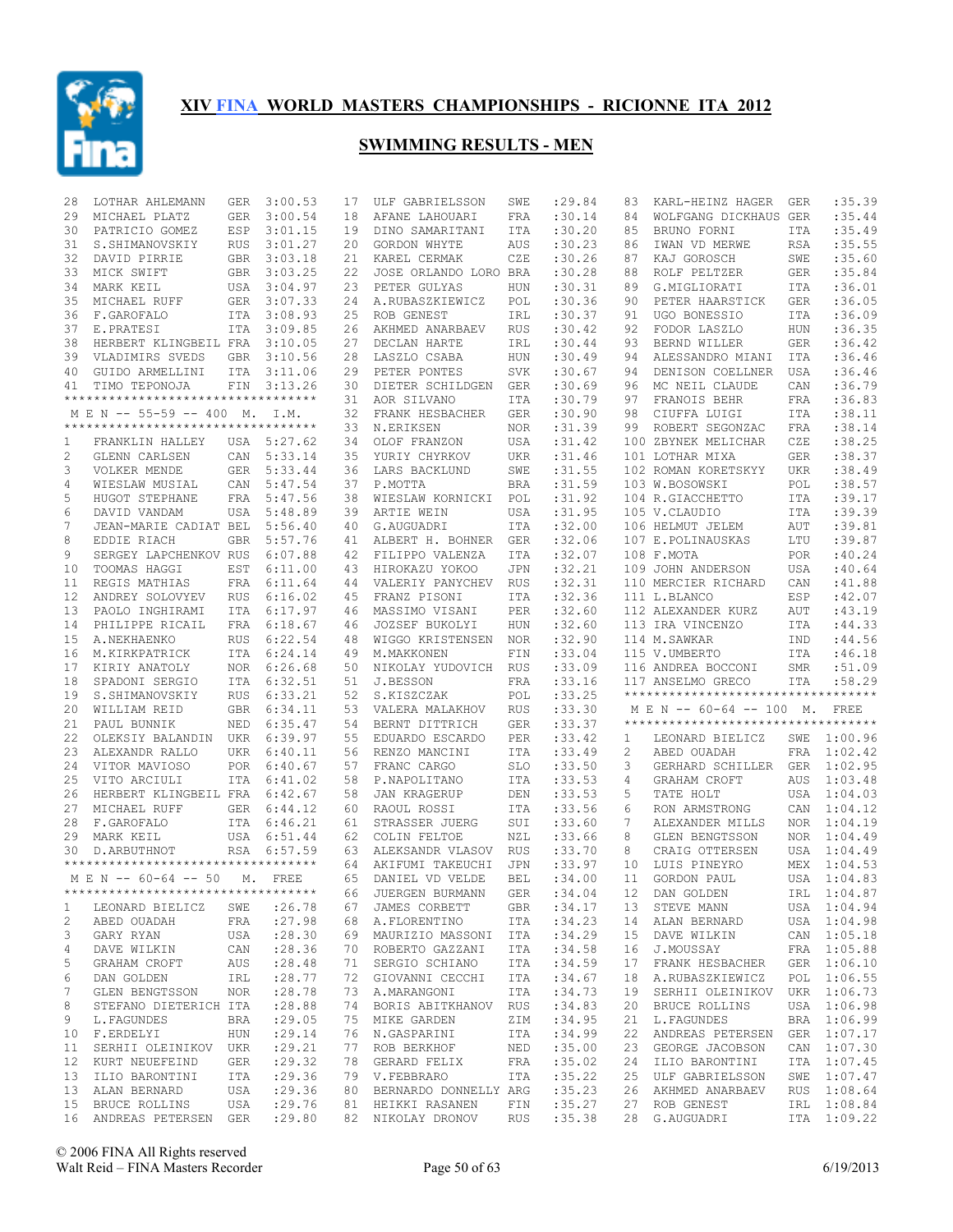

| 28           | LOTHAR AHLEMANN                                     | <b>GER</b> | 3:00.53     | 17 | ULF GABRIELSSON                                    | SWE        | :29.84  | 83 | KARL-HEINZ HAGER                   | GER        | :35.39                     |
|--------------|-----------------------------------------------------|------------|-------------|----|----------------------------------------------------|------------|---------|----|------------------------------------|------------|----------------------------|
| 29           | MICHAEL PLATZ                                       | <b>GER</b> | 3:00.54     | 18 | AFANE LAHOUARI                                     | FRA        | :30.14  | 84 | WOLFGANG DICKHAUS GER              |            | :35.44                     |
| 30           | PATRICIO GOMEZ                                      | ESP        | 3:01.15     | 19 | DINO SAMARITANI                                    | ITA        | :30.20  | 85 | BRUNO FORNI                        | <b>ITA</b> | :35.49                     |
| 31           | S.SHIMANOVSKIY                                      | <b>RUS</b> | 3:01.27     | 20 | GORDON WHYTE                                       | AUS        | :30.23  | 86 | IWAN VD MERWE                      | <b>RSA</b> | :35.55                     |
| 32           | DAVID PIRRIE                                        | <b>GBR</b> | 3:03.18     | 21 | KAREL CERMAK                                       | CZE        | :30.26  | 87 | KAJ GOROSCH                        | SWE        | :35.60                     |
| 33           | MICK SWIFT                                          | GBR        | 3:03.25     | 22 | JOSE ORLANDO LORO BRA                              |            | :30.28  | 88 | ROLF PELTZER                       | <b>GER</b> | :35.84                     |
| 34           | MARK KEIL                                           |            | USA 3:04.97 | 23 | PETER GULYAS                                       | HUN        | :30.31  | 89 | G.MIGLIORATI                       | <b>ITA</b> | :36.01                     |
| 35           | MICHAEL RUFF                                        | <b>GER</b> | 3:07.33     | 24 | A.RUBASZKIEWICZ                                    | POL        | :30.36  | 90 | PETER HAARSTICK                    | <b>GER</b> | :36.05                     |
| 36           | F.GAROFALO                                          | ITA        | 3:08.93     | 25 | ROB GENEST                                         | IRL        | :30.37  | 91 | UGO BONESSIO                       | <b>ITA</b> | :36.09                     |
| 37           | E.PRATESI                                           | <b>ITA</b> | 3:09.85     | 26 | AKHMED ANARBAEV                                    | <b>RUS</b> | :30.42  | 92 | FODOR LASZLO                       | HUN        | :36.35                     |
| 38           | HERBERT KLINGBEIL FRA                               |            | 3:10.05     | 27 | DECLAN HARTE                                       | IRL        | :30.44  | 93 | BERND WILLER                       | <b>GER</b> | :36.42                     |
| 39           | VLADIMIRS SVEDS                                     | <b>GBR</b> | 3:10.56     | 28 | LASZLO CSABA                                       | HUN        | :30.49  | 94 | ALESSANDRO MIANI                   | <b>ITA</b> | :36.46                     |
| 40           | GUIDO ARMELLINI                                     | <b>ITA</b> | 3:11.06     | 29 | PETER PONTES                                       | <b>SVK</b> | :30.67  | 94 | DENISON COELLNER                   | USA        | :36.46                     |
| 41           | TIMO TEPONOJA                                       | FIN        | 3:13.26     | 30 | DIETER SCHILDGEN                                   | <b>GER</b> | :30.69  | 96 | MC NEIL CLAUDE                     | CAN        | :36.79                     |
|              | **********************************                  |            |             | 31 | AOR SILVANO                                        | ITA        | :30.79  | 97 | FRANOIS BEHR                       | <b>FRA</b> | :36.83                     |
|              | M E N -- 55-59 -- 400 M. I.M.                       |            |             | 32 | FRANK HESBACHER                                    | <b>GER</b> | :30.90  | 98 | CIUFFA LUIGI                       | <b>ITA</b> | :38.11                     |
|              | **********************************                  |            |             | 33 | N.ERIKSEN                                          | <b>NOR</b> | :31.39  | 99 | ROBERT SEGONZAC                    | <b>FRA</b> | :38.14                     |
| 1            | FRANKLIN HALLEY                                     | USA        | 5:27.62     | 34 | OLOF FRANZON                                       | USA        | : 31.42 |    | 100 ZBYNEK MELICHAR                | CZE        | :38.25                     |
| 2            | GLENN CARLSEN                                       | CAN        | 5:33.14     | 35 | YURIY CHYRKOV                                      | <b>UKR</b> | :31.46  |    | 101 LOTHAR MIXA                    | <b>GER</b> | :38.37                     |
| 3            | VOLKER MENDE                                        | <b>GER</b> | 5:33.44     | 36 | LARS BACKLUND                                      | SWE        | : 31.55 |    | 102 ROMAN KORETSKYY                | <b>UKR</b> | :38.49                     |
| 4            | WIESLAW MUSIAL                                      | CAN        | 5:47.54     | 37 | P.MOTTA                                            | <b>BRA</b> | :31.59  |    | 103 W.BOSOWSKI                     | POL        | :38.57                     |
| 5            | HUGOT STEPHANE                                      | FRA        | 5:47.56     | 38 | WIESLAW KORNICKI                                   | POL        | :31.92  |    | 104 R.GIACCHETTO                   | <b>ITA</b> | :39.17                     |
| 6            | DAVID VANDAM                                        | USA        | 5:48.89     | 39 | ARTIE WEIN                                         | <b>USA</b> | :31.95  |    | 105 V.CLAUDIO                      | <b>ITA</b> | :39.39                     |
| 7            | JEAN-MARIE CADIAT BEL                               |            | 5:56.40     | 40 | G.AUGUADRI                                         | <b>ITA</b> | :32.00  |    | 106 HELMUT JELEM                   | AUT        | :39.81                     |
| 8            | EDDIE RIACH                                         | <b>GBR</b> | 5:57.76     | 41 | ALBERT H. BOHNER                                   | <b>GER</b> | :32.06  |    | 107 E.POLINAUSKAS                  | LTU        | :39.87                     |
| 9            | SERGEY LAPCHENKOV RUS                               |            | 6:07.88     | 42 | FILIPPO VALENZA                                    | <b>ITA</b> | :32.07  |    | 108 F.MOTA                         | <b>POR</b> | :40.24                     |
| 10           | TOOMAS HAGGI                                        | EST        | 6:11.00     | 43 | HIROKAZU YOKOO                                     | JPN        | :32.21  |    | 109 JOHN ANDERSON                  | <b>USA</b> | :40.64                     |
| 11           | REGIS MATHIAS                                       | FRA        | 6:11.64     | 44 | VALERIY PANYCHEV                                   | <b>RUS</b> | :32.31  |    | 110 MERCIER RICHARD                | CAN        | : 41.88                    |
| 12           | ANDREY SOLOVYEV                                     | <b>RUS</b> | 6:16.02     | 45 | FRANZ PISONI                                       | <b>ITA</b> | :32.36  |    | 111 L.BLANCO                       | ESP        | :42.07                     |
| 13           | PAOLO INGHIRAMI                                     | ITA        | 6:17.97     | 46 | MASSIMO VISANI                                     | PER        | :32.60  |    | 112 ALEXANDER KURZ                 | AUT        | :43.19                     |
| 14           | PHILIPPE RICAIL                                     | FRA        | 6:18.67     | 46 | JOZSEF BUKOLYI                                     | HUN        | :32.60  |    | 113 IRA VINCENZO                   | ITA        | : 44.33                    |
| 15           | A.NEKHAENKO                                         | <b>RUS</b> | 6:22.54     | 48 | WIGGO KRISTENSEN                                   | <b>NOR</b> | :32.90  |    | 114 M.SAWKAR                       | IND        | :44.56                     |
| 16           | M.KIRKPATRICK                                       | ITA        | 6:24.14     | 49 | M.MAKKONEN                                         | FIN        | :33.04  |    | 115 V.UMBERTO                      | <b>ITA</b> | :46.18                     |
|              |                                                     |            |             |    |                                                    |            |         |    |                                    |            |                            |
| 17           | KIRIY ANATOLY                                       | <b>NOR</b> | 6:26.68     | 50 | NIKOLAY YUDOVICH                                   | <b>RUS</b> | :33.09  |    | 116 ANDREA BOCCONI                 | <b>SMR</b> | :51.09                     |
| 18           | SPADONI SERGIO                                      | ITA        | 6:32.51     | 51 | J.BESSON                                           | FRA        | : 33.16 |    | 117 ANSELMO GRECO                  | ITA        | :58.29                     |
| 19           | S.SHIMANOVSKIY                                      | <b>RUS</b> | 6:33.21     | 52 | S.KISZCZAK                                         | POL        | :33.25  |    | ********************************** |            |                            |
| 20           | WILLIAM REID                                        | GBR        | 6:34.11     | 53 | VALERA MALAKHOV                                    | <b>RUS</b> | :33.30  |    | M E N -- 60-64 -- 100 M.           |            | FREE                       |
| 21           | PAUL BUNNIK                                         | NED        | 6:35.47     | 54 | BERNT DITTRICH                                     | <b>GER</b> | :33.37  |    | ********************************** |            |                            |
| 22           | OLEKSIY BALANDIN                                    | UKR        | 6:39.97     | 55 | EDUARDO ESCARDO                                    | PER        | : 33.42 | 1  | LEONARD BIELICZ                    | SWE        | 1:00.96                    |
| 23           | ALEXANDR RALLO                                      | <b>UKR</b> | 6:40.11     | 56 | RENZO MANCINI                                      | <b>ITA</b> | : 33.49 | 2  | ABED OUADAH                        | FRA        | 1:02.42                    |
| 24           | VITOR MAVIOSO                                       | <b>POR</b> | 6:40.67     | 57 | FRANC CARGO                                        | SLO        | :33.50  | 3  | GERHARD SCHILLER                   | <b>GER</b> | 1:02.95                    |
| 25           | VITO ARCIULI                                        | <b>ITA</b> | 6:41.02     | 58 | P.NAPOLITANO                                       | ITA        | :33.53  | 4  | GRAHAM CROFT                       | AUS        | 1:03.48                    |
| 26           | HERBERT KLINGBEIL FRA                               |            | 6:42.67     | 58 | <b>JAN KRAGERUP</b>                                | DEN        | :33.53  | 5  | TATE HOLT                          | USA        | 1:04.03                    |
| 27           | MICHAEL RUFF                                        | <b>GER</b> | 6:44.12     | 60 | RAOUL ROSSI                                        | <b>ITA</b> | :33.56  | 6  | RON ARMSTRONG                      | CAN        | 1:04.12                    |
| 28           | F.GAROFALO                                          | <b>ITA</b> | 6:46.21     | 61 | STRASSER JUERG                                     | SUI        | :33.60  | 7  | ALEXANDER MILLS                    | <b>NOR</b> | 1:04.19                    |
| 29           | MARK KEIL                                           | USA        | 6:51.44     | 62 | COLIN FELTOE                                       | NZL        | :33.66  | 8  | GLEN BENGTSSON                     | <b>NOR</b> | 1:04.49                    |
| 30           | D. ARBUTHNOT                                        | <b>RSA</b> | 6:57.59     | 63 | ALEKSANDR VLASOV                                   | <b>RUS</b> | :33.70  | 8  | CRAIG OTTERSEN                     | USA        | 1:04.49                    |
|              | ***********************************                 |            |             | 64 | AKIFUMI TAKEUCHI                                   | JPN        | :33.97  | 10 | LUIS PINEYRO                       | MEX        | 1:04.53                    |
|              | M E N -- 60-64 -- 50                                |            | M. FREE     | 65 | DANIEL VD VELDE                                    | <b>BEL</b> | :34.00  | 11 | GORDON PAUL                        | USA        | 1:04.83                    |
|              | **********************************                  |            |             |    | 66 JUERGEN BURMANN                                 | GER        | :34.04  |    | 12 DAN GOLDEN                      |            | IRL 1:04.87                |
| $\mathbf{1}$ | LEONARD BIELICZ                                     | SWE        | : 26.78     | 67 | JAMES CORBETT                                      | GBR        | :34.17  | 13 | STEVE MANN                         |            | USA 1:04.94                |
| 2            | ABED OUADAH                                         | FRA        | : 27.98     |    | 68 A.FLORENTINO                                    | ITA        | :34.23  | 14 | ALAN BERNARD                       |            | USA 1:04.98                |
| 3            | GARY RYAN                                           | USA        | : 28.30     |    | 69 MAURIZIO MASSONI ITA                            |            | :34.29  | 15 | DAVE WILKIN                        |            | CAN 1:05.18                |
| 4            | DAVE WILKIN                                         | CAN        | : 28.36     |    | 70 ROBERTO GAZZANI                                 | ITA        | :34.58  | 16 | J.MOUSSAY                          |            | FRA 1:05.88                |
| 5            | GRAHAM CROFT                                        | AUS        | : 28.48     | 71 | SERGIO SCHIANO                                     | ITA        | :34.59  | 17 | FRANK HESBACHER                    |            | GER 1:06.10                |
| 6            | DAN GOLDEN                                          | IRL        | : 28.77     |    | 72 GIOVANNI CECCHI                                 | ITA        | :34.67  | 18 | A.RUBASZKIEWICZ                    |            | POL 1:06.55                |
| 7            | GLEN BENGTSSON                                      | NOR        | : 28.78     |    | 73 A.MARANGONI                                     | ITA        | :34.73  | 19 | SERHII OLEINIKOV UKR 1:06.73       |            |                            |
| 8            | STEFANO DIETERICH ITA                               |            | :28.88      |    | 74 BORIS ABITKHANOV RUS                            |            | :34.83  | 20 | BRUCE ROLLINS                      |            | USA 1:06.98                |
| 9            | L. FAGUNDES                                         | BRA        | : 29.05     |    | 75 MIKE GARDEN                                     | ΖIΜ        | :34.95  | 21 | L. FAGUNDES                        |            | BRA 1:06.99                |
| 10           | F.ERDELYI                                           | HUN        | : 29.14     |    | 76 N.GASPARINI                                     | ITA        | :34.99  | 22 | ANDREAS PETERSEN                   |            | GER 1:07.17                |
| 11           | SERHII OLEINIKOV UKR                                |            | : 29.21     | 77 | ROB BERKHOF                                        | NED        | :35.00  | 23 | GEORGE JACOBSON                    |            | CAN 1:07.30                |
| 12           | KURT NEUEFEIND                                      | GER        | : 29.32     |    | 78 GERARD FELIX                                    | FRA        | :35.02  | 24 | ILIO BARONTINI                     |            | ITA 1:07.45                |
| 13           | ILIO BARONTINI                                      | ITA        | : 29.36     |    | 79 V.FEBBRARO                                      | ITA        | :35.22  | 25 | ULF GABRIELSSON                    |            | SWE 1:07.47                |
| 13           | ALAN BERNARD                                        | USA        | : 29.36     |    | 80 BERNARDO DONNELLY ARG                           |            | :35.23  | 26 | AKHMED ANARBAEV                    |            | RUS 1:08.64                |
|              | 15 BRUCE ROLLINS<br>16 ANDREAS PETERSEN GER : 29.80 | USA        | : 29.76     |    | 81 HEIKKI RASANEN<br>82 NIKOLAY DRONOV RUS : 35.38 | FIN        | :35.27  | 27 | ROB GENEST<br>28 G.AUGUADRI        |            | IRL 1:08.84<br>ITA 1:09.22 |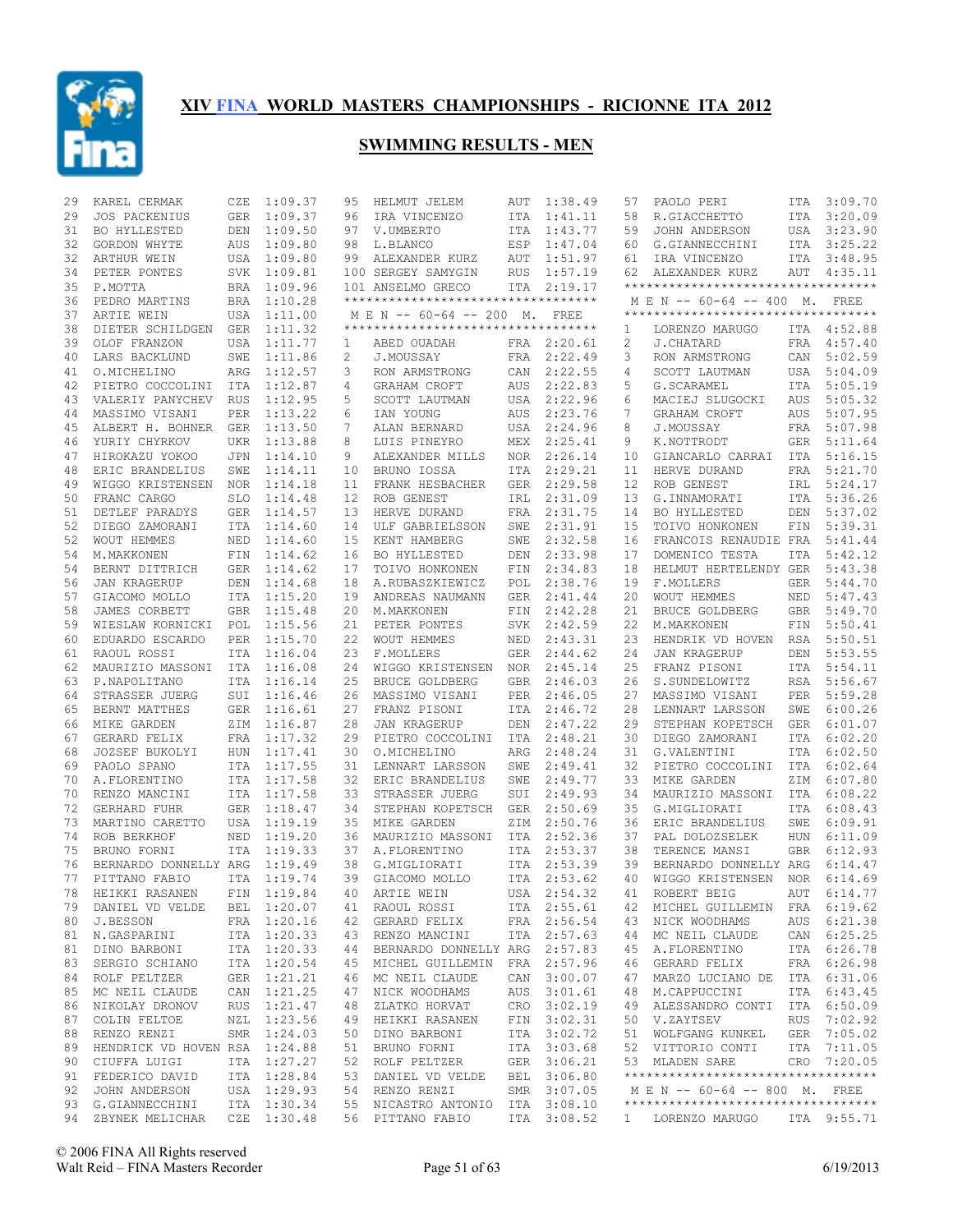

| 29 | KAREL CERMAK                  | CZE        | 1:09.37     | 95                | HELMUT JELEM                       | AUT        | 1:38.49     | 57    | PAOLO PERI                         | ITA        | 3:09.70     |
|----|-------------------------------|------------|-------------|-------------------|------------------------------------|------------|-------------|-------|------------------------------------|------------|-------------|
| 29 | <b>JOS PACKENIUS</b>          | <b>GER</b> | 1:09.37     | 96                | IRA VINCENZO                       | ITA        | 1:41.11     | 58    | R.GIACCHETTO                       | ITA        | 3:20.09     |
| 31 | BO HYLLESTED                  | DEN        | 1:09.50     | 97                | V.UMBERTO                          | ITA        | 1:43.77     | 59    | JOHN ANDERSON                      | USA        | 3:23.90     |
| 32 | GORDON WHYTE                  | <b>AUS</b> | 1:09.80     | 98                | L.BLANCO                           | ESP        | 1:47.04     | 60    | G.GIANNECCHINI                     | ITA        | 3:25.22     |
| 32 | ARTHUR WEIN                   | USA        | 1:09.80     | 99                | ALEXANDER KURZ                     | AUT        | 1:51.97     | 61    | IRA VINCENZO                       | ITA        | 3:48.95     |
| 34 | PETER PONTES                  | SVK        | 1:09.81     |                   | 100 SERGEY SAMYGIN                 | <b>RUS</b> | 1:57.19     | 62    | ALEXANDER KURZ                     | AUT        | 4:35.11     |
| 35 | P.MOTTA                       |            | BRA 1:09.96 |                   | 101 ANSELMO GRECO                  |            | ITA 2:19.17 |       | ********************************** |            |             |
| 36 | PEDRO MARTINS                 |            | BRA 1:10.28 |                   | ********************************** |            |             |       | M E N -- 60-64 -- 400 M. FREE      |            |             |
| 37 | ARTIE WEIN                    |            | USA 1:11.00 |                   | M E N -- 60-64 -- 200 M.           |            | FREE        |       | ********************************** |            |             |
| 38 | DIETER SCHILDGEN              | GER        | 1:11.32     |                   | ********************************** |            |             | 1     | LORENZO MARUGO                     | ITA        | 4:52.88     |
| 39 | OLOF FRANZON                  | USA        | 1:11.77     | 1                 | ABED OUADAH                        |            | FRA 2:20.61 | 2     | J.CHATARD                          | <b>FRA</b> | 4:57.40     |
| 40 | LARS BACKLUND                 | SWE        | 1:11.86     | 2                 | J.MOUSSAY                          | FRA        | 2:22.49     | 3     | RON ARMSTRONG                      | CAN        | 5:02.59     |
| 41 | O.MICHELINO                   | ARG        | 1:12.57     | 3                 | RON ARMSTRONG                      | CAN        | 2:22.55     | 4     | SCOTT LAUTMAN                      | USA        | 5:04.09     |
| 42 | PIETRO COCCOLINI              | ITA        | 1:12.87     | 4                 | GRAHAM CROFT                       | AUS        | 2:22.83     | 5     | G.SCARAMEL                         | ITA        | 5:05.19     |
| 43 | VALERIY PANYCHEV              | RUS        | 1:12.95     | 5                 | SCOTT LAUTMAN                      | USA        | 2:22.96     | 6     | MACIEJ SLUGOCKI                    | AUS        | 5:05.32     |
| 44 | MASSIMO VISANI                | PER        | 1:13.22     | 6                 | IAN YOUNG                          | AUS        | 2:23.76     | 7     | GRAHAM CROFT                       | AUS        | 5:07.95     |
| 45 | ALBERT H. BOHNER              | <b>GER</b> | 1:13.50     | 7                 | ALAN BERNARD                       | USA        | 2:24.96     | 8     | J.MOUSSAY                          | <b>FRA</b> | 5:07.98     |
| 46 | YURIY CHYRKOV                 | <b>UKR</b> | 1:13.88     | 8                 | LUIS PINEYRO                       | MEX        | 2:25.41     | 9     | K.NOTTRODT                         | <b>GER</b> | 5:11.64     |
| 47 | HIROKAZU YOKOO                | <b>JPN</b> | 1:14.10     | 9                 | ALEXANDER MILLS                    | <b>NOR</b> | 2:26.14     | 10    | GIANCARLO CARRAI                   | ITA        | 5:16.15     |
| 48 | ERIC BRANDELIUS               | SWE        | 1:14.11     | 10                | BRUNO IOSSA                        | ITA        | 2:29.21     | 11    | HERVE DURAND                       | FRA        | 5:21.70     |
| 49 | WIGGO KRISTENSEN              | NOR        | 1:14.18     | 11                | FRANK HESBACHER                    | <b>GER</b> | 2:29.58     | 12    | ROB GENEST                         | IRL        | 5:24.17     |
| 50 | FRANC CARGO                   | <b>SLO</b> | 1:14.48     | $12 \overline{ }$ | ROB GENEST                         | IRL        | 2:31.09     | 13    | G.INNAMORATI                       | <b>ITA</b> | 5:36.26     |
| 51 | DETLEF PARADYS                | <b>GER</b> | 1:14.57     | 13                | HERVE DURAND                       | <b>FRA</b> | 2:31.75     | 14    | BO HYLLESTED                       | DEN        | 5:37.02     |
| 52 | DIEGO ZAMORANI                | ITA        | 1:14.60     | 14                | ULF GABRIELSSON                    | SWE        | 2:31.91     | 15    | TOIVO HONKONEN                     | FIN        | 5:39.31     |
| 52 | <b>WOUT HEMMES</b>            | NED        | 1:14.60     | 15                | KENT HAMBERG                       | SWE        | 2:32.58     | 16    | FRANCOIS RENAUDIE FRA              |            | 5:41.44     |
| 54 | M.MAKKONEN                    | FIN        | 1:14.62     | 16                | BO HYLLESTED                       | <b>DEN</b> | 2:33.98     | 17    | DOMENICO TESTA                     | ITA        | 5:42.12     |
| 54 | BERNT DITTRICH                | <b>GER</b> | 1:14.62     | 17                | TOIVO HONKONEN                     | FIN        | 2:34.83     | 18    | HELMUT HERTELENDY GER              |            | 5:43.38     |
| 56 | <b>JAN KRAGERUP</b>           | DEN        | 1:14.68     | 18                | A.RUBASZKIEWICZ                    | POL        | 2:38.76     | 19    | F.MOLLERS                          | <b>GER</b> | 5:44.70     |
| 57 | GIACOMO MOLLO                 | <b>ITA</b> | 1:15.20     | 19                | ANDREAS NAUMANN                    | <b>GER</b> | 2:41.44     | 20    | <b>WOUT HEMMES</b>                 | NED        | 5:47.43     |
| 58 | JAMES CORBETT                 | <b>GBR</b> | 1:15.48     | 20                | M.MAKKONEN                         | FIN        | 2:42.28     | 21    | <b>BRUCE GOLDBERG</b>              | <b>GBR</b> | 5:49.70     |
| 59 | WIESLAW KORNICKI              | POL        | 1:15.56     | 21                | PETER PONTES                       | SVK.       | 2:42.59     | 22    | M.MAKKONEN                         | FIN        | 5:50.41     |
| 60 | EDUARDO ESCARDO               | <b>PER</b> | 1:15.70     | 22                | <b>WOUT HEMMES</b>                 | NED        | 2:43.31     | 23    | HENDRIK VD HOVEN                   | RSA        | 5:50.51     |
| 61 | RAOUL ROSSI                   | ITA        | 1:16.04     | 23                | F.MOLLERS                          | <b>GER</b> | 2:44.62     | 24    | <b>JAN KRAGERUP</b>                | DEN        | 5:53.55     |
| 62 | MAURIZIO MASSONI              | ITA        | 1:16.08     | 24                | WIGGO KRISTENSEN                   | <b>NOR</b> | 2:45.14     | 25    | FRANZ PISONI                       | ITA        | 5:54.11     |
| 63 | P.NAPOLITANO                  | ITA        | 1:16.14     | 25                | BRUCE GOLDBERG                     | <b>GBR</b> | 2:46.03     | 26    | S.SUNDELOWITZ                      | <b>RSA</b> | 5:56.67     |
| 64 | STRASSER JUERG                | SUI        | 1:16.46     | 26                | MASSIMO VISANI                     | <b>PER</b> | 2:46.05     | 27    | MASSIMO VISANI                     | <b>PER</b> | 5:59.28     |
| 65 | BERNT MATTHES                 | GER        | 1:16.61     | 27                | FRANZ PISONI                       | ITA        | 2:46.72     | 28    | LENNART LARSSON                    | SWE        | 6:00.26     |
| 66 | MIKE GARDEN                   | ZIM        | 1:16.87     | 28                | <b>JAN KRAGERUP</b>                | DEN        | 2:47.22     | 29    | STEPHAN KOPETSCH                   | <b>GER</b> | 6:01.07     |
| 67 | GERARD FELIX                  | FRA        | 1:17.32     | 29                | PIETRO COCCOLINI                   | ITA        | 2:48.21     | 30    | DIEGO ZAMORANI                     | ITA        | 6:02.20     |
| 68 | JOZSEF BUKOLYI                | <b>HUN</b> | 1:17.41     | 30                | O.MICHELINO                        | ARG        | 2:48.24     | 31    | G.VALENTINI                        | ITA        | 6:02.50     |
| 69 | PAOLO SPANO                   | <b>ITA</b> | 1:17.55     | 31                | LENNART LARSSON                    | SWE        | 2:49.41     | 32    | PIETRO COCCOLINI                   | <b>ITA</b> | 6:02.64     |
| 70 | A. FLORENTINO                 | <b>ITA</b> | 1:17.58     | 32                | ERIC BRANDELIUS                    | SWE        | 2:49.77     | 33    | MIKE GARDEN                        | ΖIΜ        | 6:07.80     |
| 70 | RENZO MANCINI                 |            | ITA 1:17.58 | 33                | STRASSER JUERG                     | SUI        | 2:49.93     | 34    | MAURIZIO MASSONI                   | ITA        | 6:08.22     |
| 72 | <b>GERHARD FUHR</b>           | GER        | 1:18.47     | 34                | STEPHAN KOPETSCH                   | <b>GER</b> | 2:50.69     | 35    | G.MIGLIORATI                       | <b>ITA</b> | 6:08.43     |
| 73 | MARTINO CARETTO               | USA        | 1:19.19     | 35                | MIKE GARDEN                        | ZIM        | 2:50.76     | 36    | ERIC BRANDELIUS                    | SWE        | 6:09.91     |
| 74 | ROB BERKHOF                   | NED        | 1:19.20     | 36                | MAURIZIO MASSONI                   | ITA        | 2:52.36     | 37    | PAL DOLOZSELEK                     | <b>HUN</b> | 6:11.09     |
| 75 | BRUNO FORNI                   | <b>ITA</b> | 1:19.33     | 37                | A.FLORENTINO                       | <b>ITA</b> | 2:53.37     | 38    | TERENCE MANSI                      | <b>GBR</b> | 6:12.93     |
| 76 | BERNARDO DONNELLY ARG         |            | 1:19.49     | 38                | G.MIGLIORATI                       | <b>ITA</b> | 2:53.39     | 39    | BERNARDO DONNELLY ARG              |            | 6:14.47     |
| 77 | PITTANO FABIO                 |            | ITA 1:19.74 | 39                | GIACOMO MOLLO                      | ITA        | 2:53.62     | 40    | WIGGO KRISTENSEN                   | NOR        | 6:14.69     |
| 78 | HEIKKI RASANEN FIN 1:19.84    |            |             |                   | 40 ARTIE WEIN                      |            | USA 2:54.32 | 41    | ROBERT BEIG                        |            | AUT 6:14.77 |
|    | 79 DANIEL VD VELDE            |            | BEL 1:20.07 |                   | 41 RAOUL ROSSI                     |            | ITA 2:55.61 | 42    | MICHEL GUILLEMIN FRA 6:19.62       |            |             |
|    | 80 J.BESSON                   |            | FRA 1:20.16 |                   | 42 GERARD FELIX                    |            | FRA 2:56.54 | 43    | NICK WOODHAMS                      |            | AUS 6:21.38 |
| 81 | N.GASPARINI                   |            | ITA 1:20.33 |                   | 43 RENZO MANCINI                   |            | ITA 2:57.63 | 44    | MC NEIL CLAUDE                     |            | CAN 6:25.25 |
| 81 | DINO BARBONI                  |            | ITA 1:20.33 |                   | 44 BERNARDO DONNELLY ARG 2:57.83   |            |             | 45    | A.FLORENTINO                       |            | ITA 6:26.78 |
| 83 | SERGIO SCHIANO                |            | ITA 1:20.54 |                   | 45 MICHEL GUILLEMIN                |            | FRA 2:57.96 | 46    | GERARD FELIX                       |            | FRA 6:26.98 |
|    | 84 ROLF PELTZER               |            | GER 1:21.21 |                   | 46 MC NEIL CLAUDE                  |            | CAN 3:00.07 | 47    | MARZO LUCIANO DE                   |            | ITA 6:31.06 |
| 85 | MC NEIL CLAUDE                |            | CAN 1:21.25 |                   | 47 NICK WOODHAMS                   |            | AUS 3:01.61 | 48    | M.CAPPUCCINI                       |            | ITA 6:43.45 |
| 86 | NIKOLAY DRONOV                |            | RUS 1:21.47 |                   | 48 ZLATKO HORVAT                   |            | CRO 3:02.19 | 49    | ALESSANDRO CONTI                   |            | ITA 6:50.09 |
| 87 | COLIN FELTOE                  |            | NZL 1:23.56 |                   | 49 HEIKKI RASANEN                  |            | FIN 3:02.31 |       | 50 V.ZAYTSEV                       |            | RUS 7:02.92 |
| 88 | RENZO RENZI                   |            | SMR 1:24.03 |                   | 50 DINO BARBONI                    |            | ITA 3:02.72 | 51    | WOLFGANG KUNKEL                    |            | GER 7:05.02 |
| 89 | HENDRICK VD HOVEN RSA 1:24.88 |            |             |                   | 51 BRUNO FORNI                     |            | ITA 3:03.68 | 52    | VITTORIO CONTI                     |            | ITA 7:11.05 |
| 90 | CIUFFA LUIGI                  |            | ITA 1:27.27 |                   | 52 ROLF PELTZER                    |            | GER 3:06.21 |       | 53 MLADEN SARE                     |            | CRO 7:20.05 |
| 91 | FEDERICO DAVID                |            | ITA 1:28.84 |                   | 53 DANIEL VD VELDE                 | BEL        | 3:06.80     |       | ********************************** |            |             |
| 92 | JOHN ANDERSON                 |            | USA 1:29.93 |                   | 54 RENZO RENZI                     |            | SMR 3:07.05 |       | M E N -- 60-64 -- 800 M. FREE      |            |             |
|    | 93 G.GIANNECCHINI             |            | ITA 1:30.34 |                   | 55 NICASTRO ANTONIO ITA 3:08.10    |            |             |       | ********************************** |            |             |
|    | 94 ZBYNEK MELICHAR            |            | CZE 1:30.48 |                   | 56 PITTANO FABIO                   |            | ITA 3:08.52 | $1 -$ | LORENZO MARUGO                     |            | ITA 9:55.71 |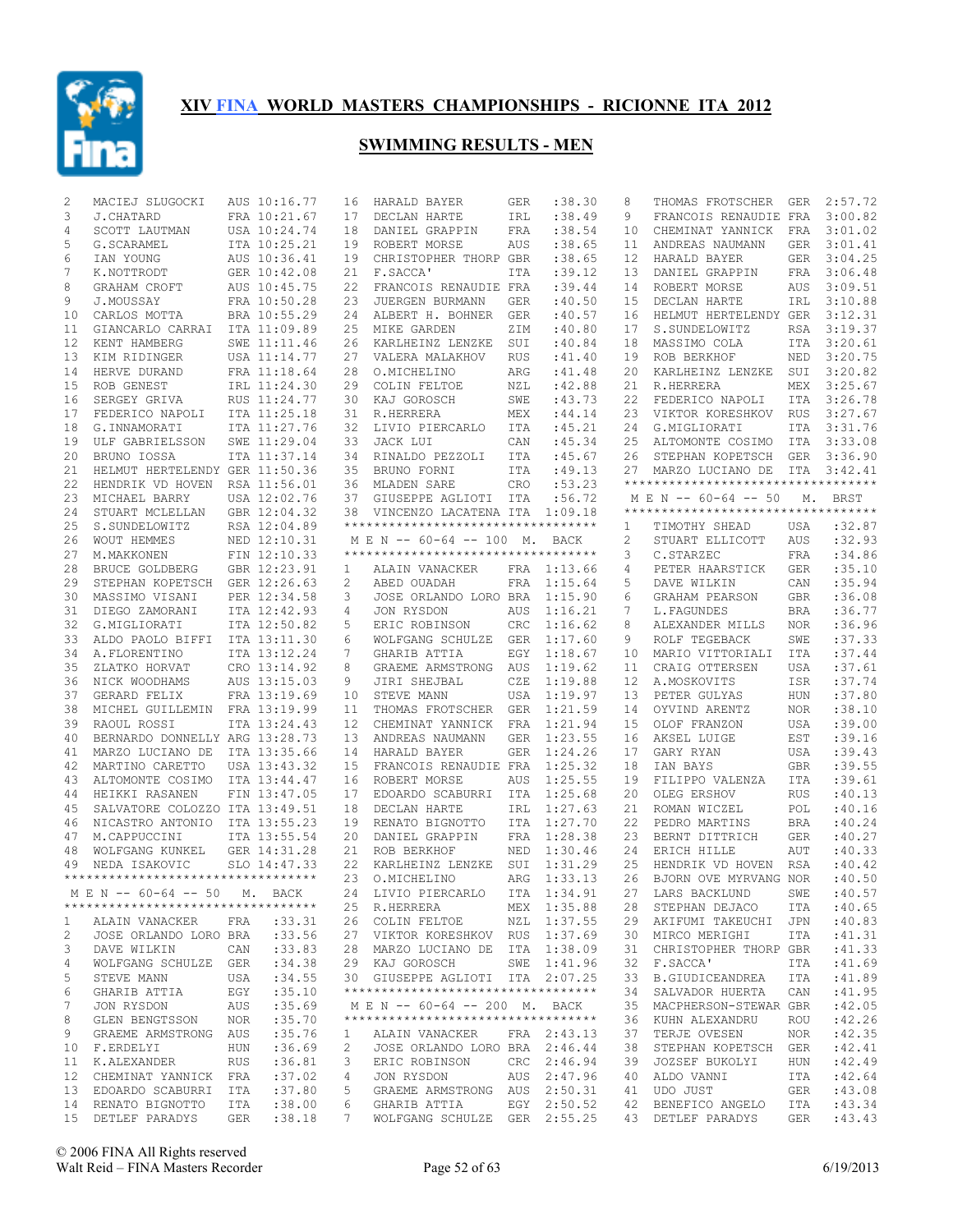

| 2            | MACIEJ SLUGOCKI                                                                          |     | AUS 10:16.77 | 16                | HARALD BAYER                       | <b>GER</b> | :38.30      | 8  | THOMAS FROTSCHER                                  | GER        | 2:57.72     |
|--------------|------------------------------------------------------------------------------------------|-----|--------------|-------------------|------------------------------------|------------|-------------|----|---------------------------------------------------|------------|-------------|
| 3            | J.CHATARD                                                                                |     | FRA 10:21.67 | 17                | DECLAN HARTE                       | IRL        | :38.49      | 9  | FRANCOIS RENAUDIE FRA                             |            | 3:00.82     |
| 4            | SCOTT LAUTMAN                                                                            |     | USA 10:24.74 | 18                | DANIEL GRAPPIN                     | FRA        | :38.54      | 10 | CHEMINAT YANNICK                                  | FRA        | 3:01.02     |
| 5            | G. SCARAMEL                                                                              |     | ITA 10:25.21 | 19                | ROBERT MORSE                       | AUS        | :38.65      | 11 | ANDREAS NAUMANN                                   | <b>GER</b> | 3:01.41     |
| 6            | IAN YOUNG                                                                                |     | AUS 10:36.41 | 19                | CHRISTOPHER THORP GBR              |            | :38.65      | 12 | HARALD BAYER                                      | GER        | 3:04.25     |
| 7            | K.NOTTRODT                                                                               |     | GER 10:42.08 | 21                | F.SACCA'                           | ITA        | :39.12      | 13 | DANIEL GRAPPIN                                    | <b>FRA</b> | 3:06.48     |
| 8            | GRAHAM CROFT                                                                             |     | AUS 10:45.75 | 22                | FRANCOIS RENAUDIE FRA              |            | : 39.44     | 14 | ROBERT MORSE                                      | AUS        | 3:09.51     |
| 9            | J.MOUSSAY                                                                                |     | FRA 10:50.28 | 23                | JUERGEN BURMANN                    | <b>GER</b> | :40.50      | 15 | DECLAN HARTE                                      | IRL        | 3:10.88     |
| 10           | CARLOS MOTTA                                                                             |     | BRA 10:55.29 | 24                | ALBERT H. BOHNER                   | <b>GER</b> | :40.57      | 16 | HELMUT HERTELENDY GER                             |            | 3:12.31     |
| 11           | GIANCARLO CARRAI                                                                         |     | ITA 11:09.89 | 25                | MIKE GARDEN                        | ZIM        | :40.80      | 17 | S.SUNDELOWITZ                                     | RSA        | 3:19.37     |
| 12           | KENT HAMBERG                                                                             |     | SWE 11:11.46 | 26                | KARLHEINZ LENZKE                   | SUI        | :40.84      | 18 | MASSIMO COLA                                      | ITA        | 3:20.61     |
| 13           | KIM RIDINGER                                                                             |     | USA 11:14.77 | 27                | VALERA MALAKHOV                    | <b>RUS</b> | :41.40      | 19 | ROB BERKHOF                                       | NED        | 3:20.75     |
| 14           | HERVE DURAND                                                                             |     | FRA 11:18.64 | 28                | O.MICHELINO                        | ARG        | :41.48      | 20 | KARLHEINZ LENZKE                                  | SUI        | 3:20.82     |
| 15           | ROB GENEST                                                                               |     | IRL 11:24.30 | 29                | COLIN FELTOE                       | NZL        | :42.88      | 21 | R.HERRERA                                         | MEX        | 3:25.67     |
| 16           | SERGEY GRIVA                                                                             |     | RUS 11:24.77 | 30                | KAJ GOROSCH                        | SWE        | :43.73      | 22 | FEDERICO NAPOLI                                   | <b>ITA</b> | 3:26.78     |
| 17           |                                                                                          |     | ITA 11:25.18 |                   |                                    |            |             | 23 | VIKTOR KORESHKOV                                  |            |             |
|              | FEDERICO NAPOLI                                                                          |     |              | 31                | R.HERRERA                          | MEX        | : 44.14     |    |                                                   | <b>RUS</b> | 3:27.67     |
| 18           | G.INNAMORATI                                                                             |     | ITA 11:27.76 | 32                | LIVIO PIERCARLO                    | ITA        | :45.21      | 24 | G.MIGLIORATI                                      | <b>ITA</b> | 3:31.76     |
| 19           | ULF GABRIELSSON                                                                          |     | SWE 11:29.04 | 33                | JACK LUI                           | CAN        | :45.34      | 25 | ALTOMONTE COSIMO                                  | ITA        | 3:33.08     |
| 20           | BRUNO IOSSA                                                                              |     | ITA 11:37.14 | 34                | RINALDO PEZZOLI                    | ITA        | :45.67      | 26 | STEPHAN KOPETSCH                                  | GER        | 3:36.90     |
| 21           | HELMUT HERTELENDY GER 11:50.36                                                           |     |              | 35                | BRUNO FORNI                        | ITA        | :49.13      | 27 | MARZO LUCIANO DE                                  | ITA        | 3:42.41     |
| 22           | HENDRIK VD HOVEN                                                                         |     | RSA 11:56.01 | 36                | MLADEN SARE                        | CRO        | :53.23      |    | **********************************                |            |             |
| 23           | MICHAEL BARRY                                                                            |     | USA 12:02.76 | 37                | GIUSEPPE AGLIOTI ITA               |            | :56.72      |    | M E N -- 60-64 -- 50                              |            | M. BRST     |
| 24           | STUART MCLELLAN                                                                          |     | GBR 12:04.32 | 38                | VINCENZO LACATENA ITA              |            | 1:09.18     |    | ***********************************               |            |             |
| 25           | S.SUNDELOWITZ                                                                            |     | RSA 12:04.89 |                   | ********************************** |            |             | 1  | TIMOTHY SHEAD                                     | USA        | :32.87      |
| 26           | WOUT HEMMES                                                                              |     | NED 12:10.31 |                   | M E N -- 60-64 -- 100 M. BACK      |            |             | 2  | STUART ELLICOTT                                   | AUS        | :32.93      |
| 27           | M. MAKKONEN                                                                              |     | FIN 12:10.33 |                   | ********************************** |            |             | 3  | C.STARZEC                                         | <b>FRA</b> | :34.86      |
| 28           | BRUCE GOLDBERG                                                                           |     | GBR 12:23.91 | 1                 | ALAIN VANACKER                     |            | FRA 1:13.66 | 4  | PETER HAARSTICK                                   | <b>GER</b> | :35.10      |
| 29           | STEPHAN KOPETSCH GER 12:26.63                                                            |     |              | 2                 | ABED OUADAH                        | FRA        | 1:15.64     | 5  | DAVE WILKIN                                       | CAN        | :35.94      |
| 30           | MASSIMO VISANI                                                                           |     | PER 12:34.58 | 3                 | JOSE ORLANDO LORO BRA              |            | 1:15.90     | 6  | GRAHAM PEARSON                                    | <b>GBR</b> | :36.08      |
| 31           | DIEGO ZAMORANI                                                                           |     | ITA 12:42.93 | 4                 | JON RYSDON                         | AUS        | 1:16.21     | 7  | L. FAGUNDES                                       | <b>BRA</b> | :36.77      |
| 32           | G.MIGLIORATI                                                                             |     | ITA 12:50.82 | 5                 | ERIC ROBINSON                      | CRC        | 1:16.62     | 8  | ALEXANDER MILLS                                   | <b>NOR</b> | :36.96      |
|              |                                                                                          |     |              |                   |                                    |            |             |    |                                                   |            |             |
| 33           | ALDO PAOLO BIFFI                                                                         |     | ITA 13:11.30 | 6                 | WOLFGANG SCHULZE                   | <b>GER</b> | 1:17.60     | 9  | ROLF TEGEBACK                                     | SWE        | :37.33      |
| 34           | A. FLORENTINO                                                                            |     | ITA 13:12.24 | 7                 | GHARIB ATTIA                       | EGY        | 1:18.67     | 10 | MARIO VITTORIALI                                  | <b>ITA</b> | :37.44      |
| 35           | ZLATKO HORVAT                                                                            |     | CRO 13:14.92 | 8                 | GRAEME ARMSTRONG                   | AUS        | 1:19.62     | 11 | CRAIG OTTERSEN                                    | <b>USA</b> | :37.61      |
| 36           | NICK WOODHAMS                                                                            |     | AUS 13:15.03 | 9                 | JIRI SHEJBAL                       | CZE        | 1:19.88     | 12 | A.MOSKOVITS                                       | ISR        | :37.74      |
| 37           | GERARD FELIX                                                                             |     | FRA 13:19.69 | 10                | STEVE MANN                         | <b>USA</b> | 1:19.97     | 13 | PETER GULYAS                                      | HUN        | :37.80      |
| 38           | MICHEL GUILLEMIN                                                                         |     | FRA 13:19.99 | 11                | THOMAS FROTSCHER                   | <b>GER</b> | 1:21.59     | 14 | OYVIND ARENTZ                                     | <b>NOR</b> | :38.10      |
| 39           | RAOUL ROSSI                                                                              |     | ITA 13:24.43 | $12 \overline{ }$ | CHEMINAT YANNICK                   | <b>FRA</b> | 1:21.94     | 15 | OLOF FRANZON                                      | <b>USA</b> | :39.00      |
| 40           | BERNARDO DONNELLY ARG 13:28.73                                                           |     |              | 13                | ANDREAS NAUMANN                    | <b>GER</b> | 1:23.55     | 16 | AKSEL LUIGE                                       | EST        | :39.16      |
| 41           | MARZO LUCIANO DE                                                                         |     | ITA 13:35.66 | 14                | HARALD BAYER                       | <b>GER</b> | 1:24.26     | 17 | GARY RYAN                                         | <b>USA</b> | :39.43      |
| 42           | MARTINO CARETTO                                                                          |     | USA 13:43.32 | 15                | FRANCOIS RENAUDIE FRA              |            | 1:25.32     | 18 | IAN BAYS                                          | <b>GBR</b> | :39.55      |
| 43           | ALTOMONTE COSIMO                                                                         |     | ITA 13:44.47 | 16                | ROBERT MORSE                       | AUS        | 1:25.55     | 19 | FILIPPO VALENZA                                   | <b>ITA</b> | :39.61      |
| 44           | HEIKKI RASANEN                                                                           |     | FIN 13:47.05 | 17                | EDOARDO SCABURRI                   | ITA        | 1:25.68     | 20 | OLEG ERSHOV                                       | <b>RUS</b> | :40.13      |
| 45           | SALVATORE COLOZZO ITA 13:49.51                                                           |     |              | 18                | DECLAN HARTE                       | IRL        | 1:27.63     | 21 | ROMAN WICZEL                                      | POL        | :40.16      |
| 46           | NICASTRO ANTONIO                                                                         |     | ITA 13:55.23 | 19                | RENATO BIGNOTTO                    | <b>ITA</b> | 1:27.70     | 22 | PEDRO MARTINS                                     | BRA        | :40.24      |
| 47           | M.CAPPUCCINI                                                                             |     | ITA 13:55.54 | 20                | DANIEL GRAPPIN                     | FRA        | 1:28.38     | 23 | BERNT DITTRICH                                    | <b>GER</b> | :40.27      |
| 48           | WOLFGANG KUNKEL                                                                          |     | GER 14:31.28 | 21                | ROB BERKHOF                        | NED        | 1:30.46     | 24 | ERICH HILLE                                       | AUT        | :40.33      |
| 49           | NEDA ISAKOVIC                                                                            |     | SLO 14:47.33 | 22                | KARLHEINZ LENZKE                   | SUI        | 1:31.29     | 25 | HENDRIK VD HOVEN                                  | RSA        | :40.42      |
|              | **********************************                                                       |     |              | 23                | O.MICHELINO                        | ARG        | 1:33.13     | 26 | BJORN OVE MYRVANG NOR                             |            | :40.50      |
|              |                                                                                          |     |              |                   |                                    |            |             |    |                                                   |            |             |
|              | M E N -- 60-64 -- 50 M. BACK                                                             |     |              |                   | 24 LIVIO PIERCARLO ITA 1:34.91     |            |             |    | 27 LARS BACKLUND                                  |            | SWE : 40.57 |
|              | **********************************                                                       |     |              |                   | 25 R.HERRERA MEX 1:35.88           |            |             |    | 28 STEPHAN DEJACO                                 |            | ITA :40.65  |
| $\mathbf{1}$ | ALAIN VANACKER FRA : 33.31                                                               |     |              |                   | 26 COLIN FELTOE NZL 1:37.55        |            |             |    | 29 AKIFUMI TAKEUCHI JPN                           |            | :40.83      |
| 2            | JOSE ORLANDO LORO BRA :33.56                                                             |     |              |                   | 27 VIKTOR KORESHKOV RUS 1:37.69    |            |             |    | 30 MIRCO MERIGHI                                  | ITA        | : 41.31     |
| 3            | DAVE WILKIN                                                                              |     | CAN :33.83   |                   | 28 MARZO LUCIANO DE ITA 1:38.09    |            |             |    | 31 CHRISTOPHER THORP GBR                          |            | :41.33      |
| 4            | WOLFGANG SCHULZE GER                                                                     |     | :34.38       |                   | 29 KAJ GOROSCH SWE 1:41.96         |            |             |    | 32 F.SACCA'                                       | ITA        | :41.69      |
| 5            | STEVE MANN<br><b>USA</b>                                                                 |     | :34.55       |                   | 30 GIUSEPPE AGLIOTI ITA 2:07.25    |            |             |    | 33 B.GIUDICEANDREA                                | ITA        | :41.89      |
| 6            | GHARIB ATTIA EGY                                                                         |     | :35.10       |                   | ********************************** |            |             |    | 34 SALVADOR HUERTA                                | CAN        | :41.95      |
| 7            | JON RYSDON                                                                               | AUS | :35.69       |                   | MEN -- 60-64 -- 200 M. BACK        |            |             |    | 35 MACPHERSON-STEWAR GBR                          |            | :42.05      |
| 8            | GLEN BENGTSSON NOR                                                                       |     | :35.70       |                   | *********************************  |            |             |    | 36 KUHN ALEXANDRU                                 | ROU        | :42.26      |
| 9            | GRAEME ARMSTRONG AUS                                                                     |     | :35.76       | $\mathbf{1}$      | ALAIN VANACKER                     |            | FRA 2:43.13 |    | 37 TERJE OVESEN                                   | NOR        | :42.35      |
|              | 10 F.ERDELYI HUN                                                                         |     | :36.69       | $\overline{2}$    | JOSE ORLANDO LORO BRA 2:46.44      |            |             |    | 38 STEPHAN KOPETSCH GER                           |            | :42.41      |
|              | 11 K.ALEXANDER RUS                                                                       |     | :36.81       | 3                 | ERIC ROBINSON CRC 2:46.94          |            |             |    | 39 JOZSEF BUKOLYI                                 | HUN        | :42.49      |
|              | 12 CHEMINAT YANNICK FRA                                                                  |     | :37.02       | 4                 | JON RYSDON                         |            | AUS 2:47.96 |    | 40 ALDO VANNI                                     | ITA        | :42.64      |
|              | 13 EDOARDO SCABURRI ITA                                                                  |     | :37.80       | 5                 | GRAEME ARMSTRONG AUS 2:50.31       |            |             |    | 41 UDO JUST                                       | GER        | :43.08      |
|              |                                                                                          |     |              |                   |                                    |            |             |    |                                                   |            |             |
|              | 14 RENATO BIGNOTTO ITA :38.00                                                            |     |              |                   |                                    |            |             |    | 6 GHARIB ATTIA EGY 2:50.52 42 BENEFICO ANGELO ITA |            | : 43.34     |
|              | 15 DETLEF PARADYS GER :38.18 7 WOLFGANG SCHULZE GER 2:55.25 43 DETLEF PARADYS GER :43.43 |     |              |                   |                                    |            |             |    |                                                   |            |             |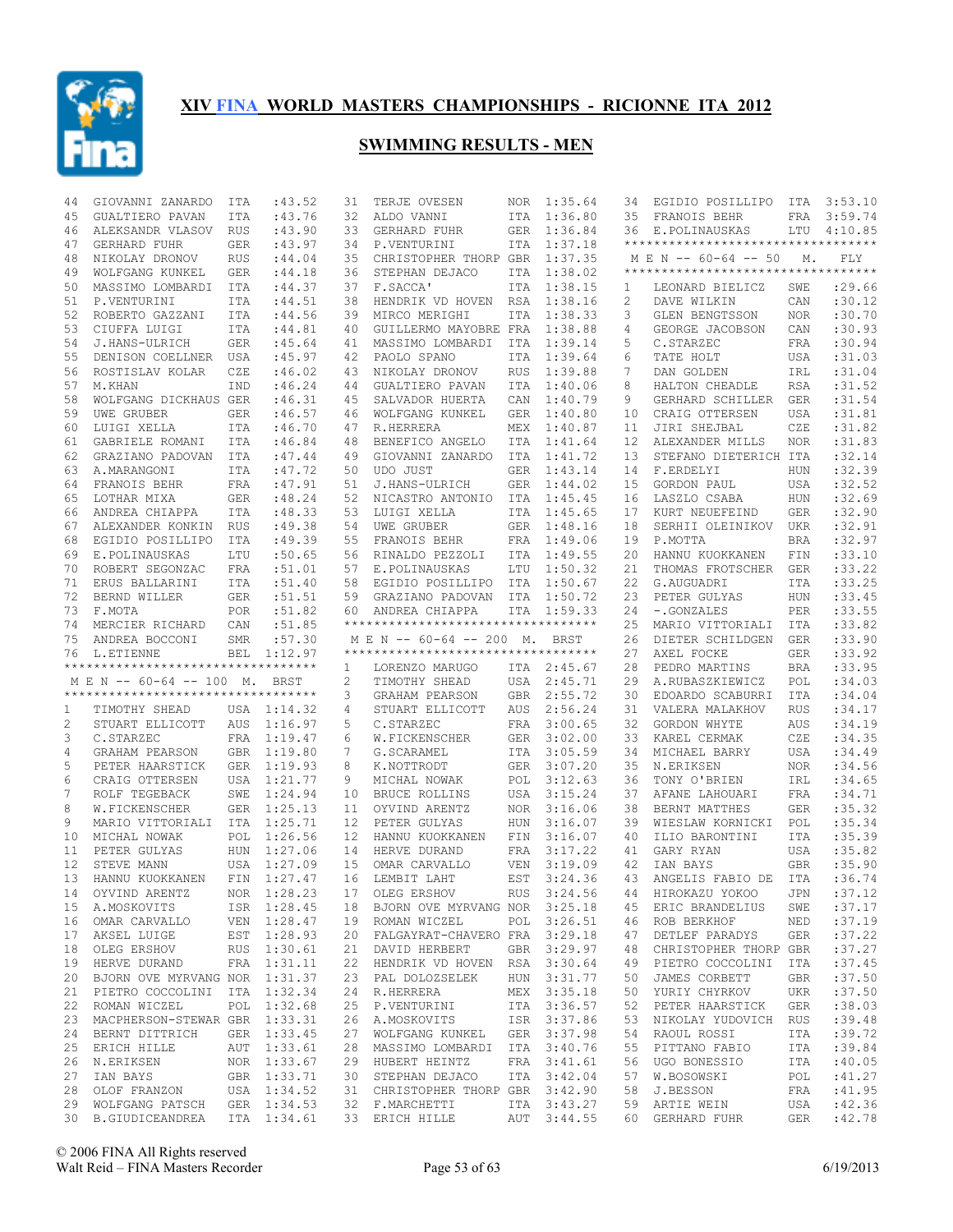

| 44 | GIOVANNI ZANARDO                                                 | ITA        | : 43.52     | 31              | TERJE OVESEN                                 | NOR        | 1:35.64     | 34 | EGIDIO POSILLIPO                         | ITA        | 3:53.10          |
|----|------------------------------------------------------------------|------------|-------------|-----------------|----------------------------------------------|------------|-------------|----|------------------------------------------|------------|------------------|
| 45 | GUALTIERO PAVAN                                                  | ITA        | :43.76      | 32              | ALDO VANNI                                   | ITA        | 1:36.80     | 35 | FRANOIS BEHR                             | FRA        | 3:59.74          |
| 46 | ALEKSANDR VLASOV RUS                                             |            | :43.90      | 33              | GERHARD FUHR                                 | <b>GER</b> | 1:36.84     | 36 | E.POLINAUSKAS                            |            | LTU 4:10.85      |
| 47 | <b>GERHARD FUHR</b>                                              | GER        | :43.97      | 34              | P.VENTURINI                                  | <b>ITA</b> | 1:37.18     |    | **********************************       |            |                  |
| 48 | NIKOLAY DRONOV                                                   | RUS        | :44.04      | 35              | CHRISTOPHER THORP GBR                        |            | 1:37.35     |    | M E N -- 60-64 -- 50                     | М.         | FLY              |
| 49 | WOLFGANG KUNKEL                                                  | GER        | :44.18      | 36              | STEPHAN DEJACO                               | ITA        | 1:38.02     |    | **********************************       |            |                  |
|    |                                                                  |            |             |                 | F.SACCA'                                     |            | 1:38.15     |    |                                          |            | :29.66           |
| 50 | MASSIMO LOMBARDI                                                 | ITA        | :44.37      | 37              |                                              | ITA        |             | 1  | LEONARD BIELICZ                          | SWE        |                  |
| 51 | P.VENTURINI                                                      | ITA        | :44.51      | 38              | HENDRIK VD HOVEN                             | RSA        | 1:38.16     | 2  | DAVE WILKIN                              | CAN        | :30.12           |
| 52 | ROBERTO GAZZANI                                                  | ITA        | :44.56      | 39              | MIRCO MERIGHI                                | ITA        | 1:38.33     | 3  | GLEN BENGTSSON                           | <b>NOR</b> | :30.70           |
| 53 | CIUFFA LUIGI                                                     | ITA        | :44.81      | 40              | GUILLERMO MAYOBRE FRA                        |            | 1:38.88     | 4  | GEORGE JACOBSON                          | CAN        | :30.93           |
| 54 | J.HANS-ULRICH                                                    | GER        | :45.64      | 41              | MASSIMO LOMBARDI                             | ITA        | 1:39.14     | 5  | C.STARZEC                                | <b>FRA</b> | :30.94           |
| 55 | DENISON COELLNER                                                 | USA        | :45.97      | 42              | PAOLO SPANO                                  | <b>ITA</b> | 1:39.64     | 6  | TATE HOLT                                | USA        | :31.03           |
| 56 | ROSTISLAV KOLAR                                                  | CZE        | :46.02      | 43              | NIKOLAY DRONOV                               | <b>RUS</b> | 1:39.88     | 7  | DAN GOLDEN                               | IRL        | :31.04           |
| 57 | M.KHAN                                                           | IND        | :46.24      | 44              | GUALTIERO PAVAN                              | ITA        | 1:40.06     | 8  | HALTON CHEADLE                           | <b>RSA</b> | :31.52           |
| 58 | WOLFGANG DICKHAUS GER                                            |            | :46.31      | 45              | SALVADOR HUERTA                              | CAN        | 1:40.79     | 9  | GERHARD SCHILLER                         | <b>GER</b> | : 31.54          |
|    |                                                                  |            |             |                 |                                              |            |             |    |                                          |            |                  |
| 59 | UWE GRUBER                                                       | GER        | :46.57      | 46              | WOLFGANG KUNKEL                              | <b>GER</b> | 1:40.80     | 10 | CRAIG OTTERSEN                           | <b>USA</b> | :31.81           |
| 60 | LUIGI XELLA                                                      | <b>ITA</b> | :46.70      | 47              | R.HERRERA                                    | MEX        | 1:40.87     | 11 | JIRI SHEJBAL                             | CZE        | :31.82           |
| 61 | GABRIELE ROMANI                                                  | <b>ITA</b> | :46.84      | 48              | BENEFICO ANGELO                              | ITA        | 1:41.64     | 12 | ALEXANDER MILLS                          | <b>NOR</b> | :31.83           |
| 62 | GRAZIANO PADOVAN                                                 | ITA        | :47.44      | 49              | GIOVANNI ZANARDO                             | ITA        | 1:41.72     | 13 | STEFANO DIETERICH ITA                    |            | :32.14           |
| 63 | A.MARANGONI                                                      | ITA        | :47.72      | 50              | UDO JUST                                     | <b>GER</b> | 1:43.14     | 14 | F.ERDELYI                                | HUN        | :32.39           |
| 64 | FRANOIS BEHR                                                     | FRA        | :47.91      | 51              | J.HANS-ULRICH                                | GER        | 1:44.02     | 15 | GORDON PAUL                              | <b>USA</b> | :32.52           |
| 65 | LOTHAR MIXA                                                      | GER        | : 48.24     | 52              | NICASTRO ANTONIO                             | <b>ITA</b> | 1:45.45     | 16 | LASZLO CSABA                             | HUN        | :32.69           |
| 66 |                                                                  | <b>ITA</b> | :48.33      | 53              | LUIGI XELLA                                  | <b>ITA</b> | 1:45.65     | 17 | KURT NEUEFEIND                           | <b>GER</b> | :32.90           |
|    | ANDREA CHIAPPA                                                   |            |             |                 |                                              |            |             |    |                                          |            |                  |
| 67 | ALEXANDER KONKIN                                                 | <b>RUS</b> | :49.38      | 54              | UWE GRUBER                                   | <b>GER</b> | 1:48.16     | 18 | SERHII OLEINIKOV                         | UKR        | :32.91           |
| 68 | EGIDIO POSILLIPO                                                 | ITA        | :49.39      | 55              | FRANOIS BEHR                                 | FRA        | 1:49.06     | 19 | P.MOTTA                                  | <b>BRA</b> | :32.97           |
| 69 | E.POLINAUSKAS                                                    | LTU        | :50.65      | 56              | RINALDO PEZZOLI                              | <b>ITA</b> | 1:49.55     | 20 | HANNU KUOKKANEN                          | FIN        | :33.10           |
| 70 | ROBERT SEGONZAC                                                  | FRA        | :51.01      | 57              | E.POLINAUSKAS                                | LTU        | 1:50.32     | 21 | THOMAS FROTSCHER                         | <b>GER</b> | :33.22           |
| 71 | ERUS BALLARINI                                                   | <b>ITA</b> | :51.40      | 58              | EGIDIO POSILLIPO                             | ITA        | 1:50.67     | 22 | G.AUGUADRI                               | <b>ITA</b> | :33.25           |
| 72 | BERND WILLER                                                     | GER        | :51.51      | 59              | GRAZIANO PADOVAN                             | ITA        | 1:50.72     | 23 | PETER GULYAS                             | <b>HUN</b> | :33.45           |
| 73 | F.MOTA                                                           | POR        | :51.82      | 60 -            | ANDREA CHIAPPA                               | ITA        | 1:59.33     | 24 | -.GONZALES                               | PER        | :33.55           |
| 74 | MERCIER RICHARD                                                  | CAN        | :51.85      |                 | **********************************           |            |             | 25 | MARIO VITTORIALI                         | ITA        | :33.82           |
|    |                                                                  |            |             |                 |                                              |            |             |    |                                          |            |                  |
| 75 | ANDREA BOCCONI                                                   | SMR        | :57.30      |                 | M E N -- 60-64 -- 200 M.                     |            | BRST        | 26 | DIETER SCHILDGEN                         | <b>GER</b> | :33.90           |
| 76 | L.ETIENNE                                                        | BEL        | 1:12.97     |                 | **********************************           |            |             | 27 | AXEL FOCKE                               | <b>GER</b> | :33.92           |
|    | **********************************                               |            |             | 1               | LORENZO MARUGO                               |            | ITA 2:45.67 | 28 | PEDRO MARTINS                            | <b>BRA</b> | :33.95           |
|    | MEN -- 60-64 -- 100 M.                                           |            | BRST        | 2               | TIMOTHY SHEAD                                | USA        | 2:45.71     | 29 | A.RUBASZKIEWICZ                          | POL        | :34.03           |
|    | ***********************************                              |            |             | 3               | GRAHAM PEARSON                               | <b>GBR</b> | 2:55.72     | 30 | EDOARDO SCABURRI                         | ITA        | :34.04           |
| 1  | TIMOTHY SHEAD                                                    |            | USA 1:14.32 | 4               | STUART ELLICOTT                              | AUS        | 2:56.24     | 31 | VALERA MALAKHOV                          | <b>RUS</b> | :34.17           |
| 2  | STUART ELLICOTT                                                  |            | AUS 1:16.97 | 5               | C.STARZEC                                    | FRA        | 3:00.65     | 32 | GORDON WHYTE                             | <b>AUS</b> | :34.19           |
| 3  | C.STARZEC                                                        |            | FRA 1:19.47 | 6               | W.FICKENSCHER                                | <b>GER</b> | 3:02.00     | 33 | KAREL CERMAK                             | CZE        | :34.35           |
| 4  | GRAHAM PEARSON                                                   |            | GBR 1:19.80 | 7               | G.SCARAMEL                                   | ITA        | 3:05.59     | 34 | MICHAEL BARRY                            | <b>USA</b> | :34.49           |
|    |                                                                  |            |             |                 |                                              |            |             |    |                                          |            |                  |
| 5  | PETER HAARSTICK                                                  |            | GER 1:19.93 | 8               | K.NOTTRODT                                   | <b>GER</b> | 3:07.20     | 35 | N.ERIKSEN                                | <b>NOR</b> | :34.56           |
| 6  | CRAIG OTTERSEN                                                   |            | USA 1:21.77 | 9               | MICHAL NOWAK                                 | POL        | 3:12.63     | 36 | TONY O'BRIEN                             | IRL        | :34.65           |
| 7  | ROLF TEGEBACK                                                    |            | SWE 1:24.94 | 10              | <b>BRUCE ROLLINS</b>                         | USA        | 3:15.24     | 37 | AFANE LAHOUARI                           | FRA        | :34.71           |
| 8  | W.FICKENSCHER                                                    |            | GER 1:25.13 | 11              | OYVIND ARENTZ                                | <b>NOR</b> | 3:16.06     | 38 | BERNT MATTHES                            | <b>GER</b> | :35.32           |
| 9  | MARIO VITTORIALI                                                 |            | ITA 1:25.71 | 12              | PETER GULYAS                                 | <b>HUN</b> | 3:16.07     | 39 | WIESLAW KORNICKI                         | POL        | :35.34           |
| 10 | MICHAL NOWAK                                                     | POL        | 1:26.56     | 12 <sup>°</sup> | HANNU KUOKKANEN                              | FIN        | 3:16.07     | 40 | ILIO BARONTINI                           | <b>ITA</b> | :35.39           |
| 11 | PETER GULYAS                                                     | <b>HUN</b> | 1:27.06     | 14              | HERVE DURAND                                 | FRA        | 3:17.22     | 41 | GARY RYAN                                | <b>USA</b> | :35.82           |
| 12 | STEVE MANN                                                       |            | USA 1:27.09 | 15              | OMAR CARVALLO                                | <b>VEN</b> | 3:19.09     | 42 | IAN BAYS                                 | <b>GBR</b> | :35.90           |
| 13 | HANNU KUOKKANEN                                                  | FIN        | 1:27.47     | 16              | LEMBIT LAHT                                  | EST        | 3:24.36     | 43 | ANGELIS FABIO DE                         | ITA        | :36.74           |
|    |                                                                  |            |             |                 |                                              |            |             |    |                                          |            |                  |
| 14 | OYVIND ARENTZ                                                    |            | NOR 1:28.23 |                 | 17 OLEG ERSHOV                               |            |             |    | RUS 3:24.56 44 HIROKAZU YOKOO JPN :37.12 |            |                  |
|    | 15 A.MOSKOVITS                                                   |            | ISR 1:28.45 |                 | 18 BJORN OVE MYRVANG NOR 3:25.18             |            |             | 45 | ERIC BRANDELIUS                          | SWE        | :37.17           |
|    | 16 OMAR CARVALLO                                                 |            | VEN 1:28.47 |                 | 19 ROMAN WICZEL                              |            | POL 3:26.51 |    | 46 ROB BERKHOF                           | NED        | :37.19           |
|    | 17 AKSEL LUIGE                                                   |            | EST 1:28.93 |                 | 20 FALGAYRAT-CHAVERO FRA 3:29.18             |            |             | 47 | DETLEF PARADYS                           | GER        | :37.22           |
|    | 18 OLEG ERSHOV                                                   |            | RUS 1:30.61 |                 | 21 DAVID HERBERT                             |            | GBR 3:29.97 | 48 | CHRISTOPHER THORP GBR                    |            | :37.27           |
|    | 19 HERVE DURAND                                                  |            | FRA 1:31.11 |                 | 22 HENDRIK VD HOVEN RSA 3:30.64              |            |             | 49 | PIETRO COCCOLINI                         | ITA        | :37.45           |
|    | 20 BJORN OVE MYRVANG NOR 1:31.37                                 |            |             |                 | 23 PAL DOLOZSELEK                            |            | HUN 3:31.77 | 50 | JAMES CORBETT                            | GBR        | :37.50           |
|    | 21 PIETRO COCCOLINI ITA 1:32.34                                  |            |             |                 | 24 R.HERRERA                                 |            | MEX 3:35.18 | 50 | YURIY CHYRKOV                            | UKR        | :37.50           |
|    |                                                                  |            |             |                 |                                              |            |             | 52 |                                          |            |                  |
|    | 22 ROMAN WICZEL                                                  |            | POL 1:32.68 |                 | 25 P.VENTURINI                               |            | ITA 3:36.57 |    | PETER HAARSTICK                          | GER        | :38.03           |
| 23 | MACPHERSON-STEWAR GBR 1:33.31                                    |            |             |                 | 26 A.MOSKOVITS                               |            | ISR 3:37.86 | 53 | NIKOLAY YUDOVICH RUS                     |            | :39.48           |
|    | 24 BERNT DITTRICH                                                |            | GER 1:33.45 |                 | 27 WOLFGANG KUNKEL GER 3:37.98               |            |             | 54 | RAOUL ROSSI                              | ITA        | :39.72           |
|    | 25 ERICH HILLE                                                   |            | AUT 1:33.61 |                 | 28 MASSIMO LOMBARDI ITA 3:40.76              |            |             | 55 | PITTANO FABIO                            | ITA        | :39.84           |
|    |                                                                  |            |             |                 | 29 HUBERT HEINTZ                             |            | FRA 3:41.61 | 56 | UGO BONESSIO                             | ITA        | :40.05           |
|    | 26 N.ERIKSEN                                                     |            | NOR 1:33.67 |                 |                                              |            |             |    |                                          |            |                  |
| 27 | IAN BAYS                                                         |            | GBR 1:33.71 |                 | 30 STEPHAN DEJACO                            |            | ITA 3:42.04 | 57 | W.BOSOWSKI                               | POL        | :41.27           |
|    | 28 OLOF FRANZON                                                  |            | USA 1:34.52 |                 | 31 CHRISTOPHER THORP GBR 3:42.90             |            |             | 58 | J.BESSON                                 | FRA        | :41.95           |
|    |                                                                  |            |             |                 |                                              |            |             |    |                                          |            |                  |
|    | 29 WOLFGANG PATSCH GER 1:34.53<br>30 B.GIUDICEANDREA ITA 1:34.61 |            |             |                 | 32 F.MARCHETTI<br>33 ERICH HILLE AUT 3:44.55 |            | ITA 3:43.27 |    | 59 ARTIE WEIN<br>60 GERHARD FUHR         | USA<br>GER | :42.36<br>:42.78 |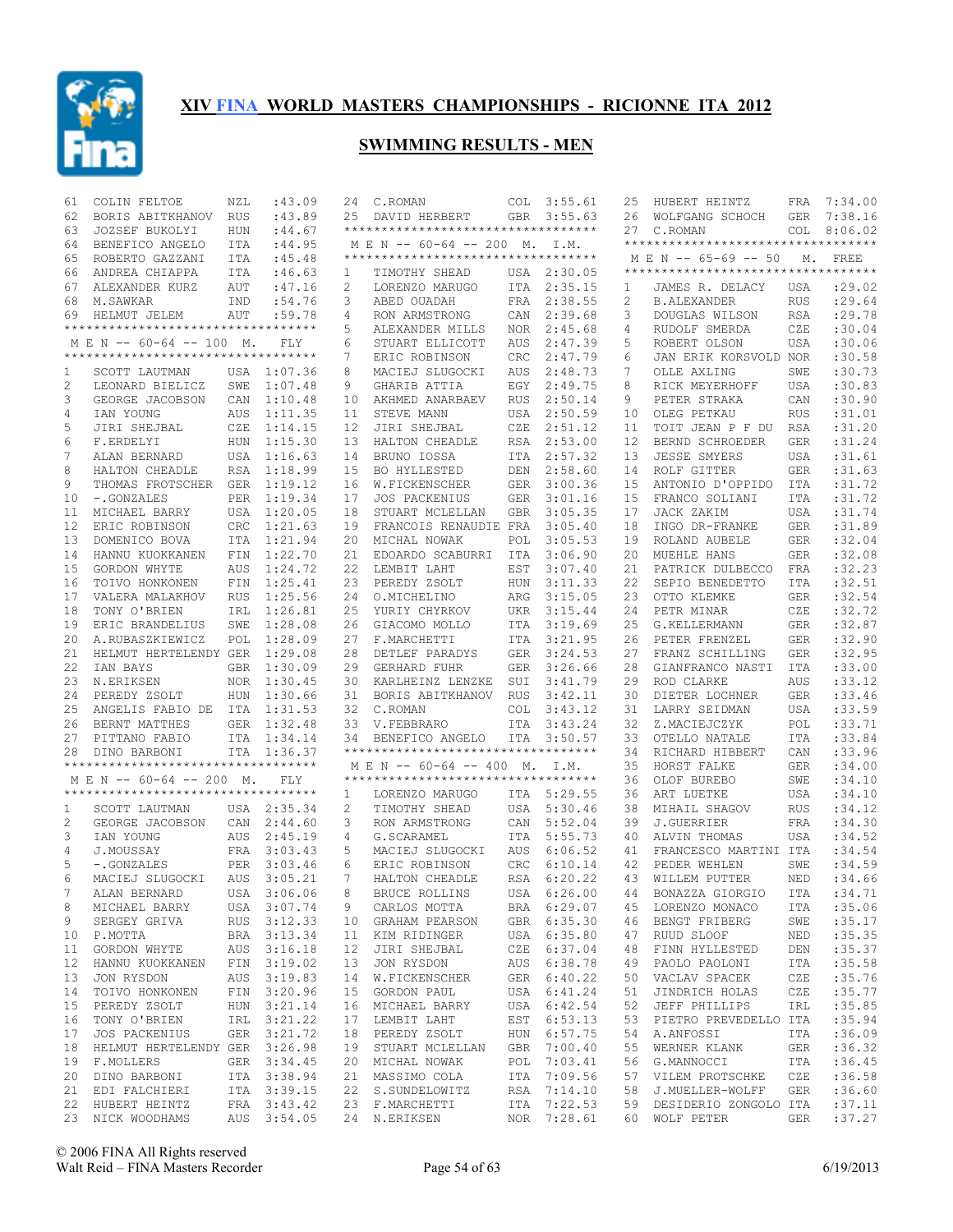

| 61 | COLIN FELTOE                                                   | NZL        | :43.09                     | 24 | C.ROMAN                                                         | COL        | 3:55.61                    | 25 | HUBERT HEINTZ                          | FRA        | 7:34.00          |
|----|----------------------------------------------------------------|------------|----------------------------|----|-----------------------------------------------------------------|------------|----------------------------|----|----------------------------------------|------------|------------------|
| 62 | BORIS ABITKHANOV                                               | RUS        | :43.89                     | 25 | DAVID HERBERT                                                   | <b>GBR</b> | 3:55.63                    | 26 | WOLFGANG SCHOCH                        | <b>GER</b> | 7:38.16          |
| 63 | JOZSEF BUKOLYI                                                 | <b>HUN</b> | :44.67                     |    | **********************************                              |            |                            |    | 27 C.ROMAN                             | COL        | 8:06.02          |
| 64 | BENEFICO ANGELO                                                | ITA        | :44.95                     |    | M E N -- 60-64 -- 200 M. I.M.                                   |            |                            |    | **********************************     |            |                  |
| 65 | ROBERTO GAZZANI                                                | <b>ITA</b> | :45.48                     |    | ***********************************                             |            |                            |    | M E N -- 65-69 -- 50                   |            | M. FREE          |
| 66 | ANDREA CHIAPPA                                                 | ITA        | :46.63                     | 1  | TIMOTHY SHEAD                                                   |            | USA 2:30.05                |    | **********************************     |            |                  |
| 67 | ALEXANDER KURZ                                                 | AUT        | :47.16                     | 2  | LORENZO MARUGO                                                  | ITA        | 2:35.15                    | 1  | JAMES R. DELACY                        | USA        | : 29.02          |
| 68 | M. SAWKAR                                                      | IND        | :54.76                     | 3  | ABED OUADAH                                                     | FRA        | 2:38.55                    | 2  | <b>B.ALEXANDER</b>                     | <b>RUS</b> | :29.64           |
| 69 | HELMUT JELEM                                                   | AUT        | :59.78                     | 4  | RON ARMSTRONG                                                   | CAN        | 2:39.68                    | 3  | DOUGLAS WILSON                         | <b>RSA</b> | :29.78           |
|    | **********************************                             |            |                            | 5  | ALEXANDER MILLS                                                 | NOR.       | 2:45.68                    | 4  | RUDOLF SMERDA                          | CZE        | :30.04           |
|    | M E N -- 60-64 -- 100 M.                                       |            | FLY                        | 6  | STUART ELLICOTT                                                 | AUS        | 2:47.39                    | 5  | ROBERT OLSON                           | USA        | :30.06           |
|    | **********************************                             |            |                            | 7  | ERIC ROBINSON                                                   | CRC        | 2:47.79                    | 6  | JAN ERIK KORSVOLD NOR                  |            | :30.58           |
| 1  | SCOTT LAUTMAN                                                  |            | USA 1:07.36                | 8  | MACIEJ SLUGOCKI                                                 | AUS        | 2:48.73                    | 7  | OLLE AXLING                            | SWE        | :30.73           |
| 2  | LEONARD BIELICZ                                                | SWE        | 1:07.48                    | 9  | GHARIB ATTIA                                                    | EGY        | 2:49.75                    | 8  | RICK MEYERHOFF                         | <b>USA</b> | :30.83           |
| 3  | GEORGE JACOBSON                                                | CAN        | 1:10.48                    | 10 | AKHMED ANARBAEV                                                 | <b>RUS</b> | 2:50.14                    | 9  | PETER STRAKA                           | CAN        | :30.90           |
|    | IAN YOUNG                                                      |            |                            |    |                                                                 |            |                            | 10 | OLEG PETKAU                            |            | :31.01           |
| 4  |                                                                | <b>AUS</b> | 1:11.35                    | 11 | STEVE MANN                                                      | USA        | 2:50.59                    |    |                                        | <b>RUS</b> |                  |
| 5  | JIRI SHEJBAL                                                   | CZE        | 1:14.15                    | 12 | JIRI SHEJBAL                                                    | CZE        | 2:51.12                    | 11 | TOIT JEAN P F DU                       | <b>RSA</b> | :31.20           |
| 6  | F.ERDELYI                                                      | <b>HUN</b> | 1:15.30                    | 13 | HALTON CHEADLE                                                  | <b>RSA</b> | 2:53.00                    | 12 | BERND SCHROEDER                        | <b>GER</b> | :31.24           |
| 7  | ALAN BERNARD                                                   | USA        | 1:16.63                    | 14 | BRUNO IOSSA                                                     | ITA        | 2:57.32                    | 13 | <b>JESSE SMYERS</b>                    | <b>USA</b> | :31.61           |
| 8  | HALTON CHEADLE                                                 | RSA        | 1:18.99                    | 15 | BO HYLLESTED                                                    | DEN        | 2:58.60                    | 14 | ROLF GITTER                            | <b>GER</b> | : 31.63          |
| 9  | THOMAS FROTSCHER                                               | GER        | 1:19.12                    | 16 | W.FICKENSCHER                                                   | <b>GER</b> | 3:00.36                    | 15 | ANTONIO D'OPPIDO                       | ITA        | :31.72           |
| 10 | -.GONZALES                                                     | <b>PER</b> | 1:19.34                    | 17 | <b>JOS PACKENIUS</b>                                            | <b>GER</b> | 3:01.16                    | 15 | FRANCO SOLIANI                         | <b>ITA</b> | :31.72           |
| 11 | MICHAEL BARRY                                                  | USA        | 1:20.05                    | 18 | STUART MCLELLAN                                                 | <b>GBR</b> | 3:05.35                    | 17 | JACK ZAKIM                             | USA        | :31.74           |
| 12 | ERIC ROBINSON                                                  | <b>CRC</b> | 1:21.63                    | 19 | FRANCOIS RENAUDIE                                               | FRA        | 3:05.40                    | 18 | INGO DR-FRANKE                         | <b>GER</b> | :31.89           |
| 13 | DOMENICO BOVA                                                  | <b>ITA</b> | 1:21.94                    | 20 | MICHAL NOWAK                                                    | POL        | 3:05.53                    | 19 | ROLAND AUBELE                          | <b>GER</b> | :32.04           |
| 14 | HANNU KUOKKANEN                                                | FIN        | 1:22.70                    | 21 | EDOARDO SCABURRI                                                | <b>ITA</b> | 3:06.90                    | 20 | MUEHLE HANS                            | <b>GER</b> | :32.08           |
| 15 | GORDON WHYTE                                                   | AUS        | 1:24.72                    | 22 | LEMBIT LAHT                                                     | EST        | 3:07.40                    | 21 | PATRICK DULBECCO                       | FRA        | :32.23           |
| 16 | TOIVO HONKONEN                                                 | FIN        | 1:25.41                    | 23 | PEREDY ZSOLT                                                    | HUN        | 3:11.33                    | 22 | SEPIO BENEDETTO                        | <b>ITA</b> | :32.51           |
| 17 | VALERA MALAKHOV                                                | <b>RUS</b> | 1:25.56                    | 24 | O.MICHELINO                                                     | ARG        | 3:15.05                    | 23 | OTTO KLEMKE                            | <b>GER</b> | :32.54           |
| 18 | TONY O'BRIEN                                                   | IRL        | 1:26.81                    | 25 | YURIY CHYRKOV                                                   | UKR        | 3:15.44                    | 24 | PETR MINAR                             | CZE        | :32.72           |
| 19 | ERIC BRANDELIUS                                                | SWE        | 1:28.08                    | 26 | GIACOMO MOLLO                                                   | ITA        | 3:19.69                    | 25 | G.KELLERMANN                           | <b>GER</b> | :32.87           |
| 20 | A.RUBASZKIEWICZ                                                | POL        | 1:28.09                    | 27 | F.MARCHETTI                                                     | ITA        | 3:21.95                    | 26 | PETER FRENZEL                          | <b>GER</b> | :32.90           |
| 21 | HELMUT HERTELENDY GER                                          |            | 1:29.08                    | 28 | DETLEF PARADYS                                                  | <b>GER</b> | 3:24.53                    | 27 | FRANZ SCHILLING                        | <b>GER</b> | :32.95           |
| 22 | IAN BAYS                                                       | <b>GBR</b> | 1:30.09                    | 29 | <b>GERHARD FUHR</b>                                             | <b>GER</b> | 3:26.66                    | 28 | GIANFRANCO NASTI                       | ITA        | :33.00           |
| 23 | N.ERIKSEN                                                      | NOR        | 1:30.45                    | 30 | KARLHEINZ LENZKE                                                | SUI        | 3:41.79                    | 29 | ROD CLARKE                             | AUS        | :33.12           |
| 24 | PEREDY ZSOLT                                                   | <b>HUN</b> | 1:30.66                    | 31 | BORIS ABITKHANOV                                                | <b>RUS</b> | 3:42.11                    | 30 | DIETER LOCHNER                         | <b>GER</b> | :33.46           |
| 25 | ANGELIS FABIO DE                                               |            | ITA 1:31.53                | 32 | C.ROMAN                                                         | <b>COL</b> | 3:43.12                    | 31 | LARRY SEIDMAN                          | USA        | :33.59           |
| 26 | BERNT MATTHES                                                  | GER        | 1:32.48                    | 33 | V. FEBBRARO                                                     | ITA        | 3:43.24                    | 32 | Z.MACIEJCZYK                           | POL        | :33.71           |
| 27 | PITTANO FABIO                                                  | ITA        | 1:34.14                    | 34 | BENEFICO ANGELO                                                 | ITA        | 3:50.57                    | 33 | OTELLO NATALE                          | <b>ITA</b> | :33.84           |
| 28 | DINO BARBONI                                                   |            | ITA 1:36.37                |    | **********************************                              |            |                            | 34 | RICHARD HIBBERT                        | CAN        | :33.96           |
|    | **********************************                             |            |                            |    |                                                                 |            |                            |    |                                        |            |                  |
|    |                                                                |            |                            |    | M E N -- 60-64 -- 400 M.<br>*********************************** |            | I.M.                       | 35 | HORST FALKE                            | <b>GER</b> | :34.00           |
|    | M E N -- 60-64 -- 200 M.<br>********************************** |            | <b>FLY</b>                 |    |                                                                 |            |                            | 36 | OLOF BUREBO                            | SWE        | :34.10           |
|    |                                                                |            |                            | 1  | LORENZO MARUGO                                                  |            | ITA 5:29.55                | 36 | ART LUETKE                             | <b>USA</b> | :34.10           |
| 1  | SCOTT LAUTMAN                                                  |            | USA 2:35.34                | 2  | TIMOTHY SHEAD                                                   | <b>USA</b> | 5:30.46                    | 38 | MIHAIL SHAGOV                          | <b>RUS</b> | :34.12           |
| 2  | GEORGE JACOBSON                                                | CAN        | 2:44.60                    | 3  | RON ARMSTRONG                                                   | CAN        | 5:52.04                    | 39 | <b>J.GUERRIER</b>                      | <b>FRA</b> | :34.30           |
| 3  | IAN YOUNG                                                      | AUS        | 2:45.19                    | 4  | G.SCARAMEL                                                      | ITA        | 5:55.73                    | 40 | ALVIN THOMAS                           | <b>USA</b> | :34.52           |
| 4  | J.MOUSSAY                                                      |            | FRA 3:03.43                | 5  | MACIEJ SLUGOCKI                                                 | AUS        | 6:06.52                    | 41 | FRANCESCO MARTINI ITA                  |            | :34.54           |
| 5  | -.GONZALES                                                     | PER        | 3:03.46                    | 6  | ERIC ROBINSON                                                   | <b>CRC</b> | 6:10.14                    | 42 | PEDER WEHLEN                           | SWE        | :34.59           |
| 6  | MACIEJ SLUGOCKI                                                | AUS        | 3:05.21                    | 7  | HALTON CHEADLE                                                  |            | RSA 6:20.22                | 43 | WILLEM PUTTER                          | NED        | :34.66           |
| 7  | ALAN BERNARD                                                   |            | USA 3:06.06                | 8  | BRUCE ROLLINS                                                   |            | USA 6:26.00                |    | 44 BONAZZA GIORGIO ITA                 |            | : 34.71          |
| 8  | MICHAEL BARRY                                                  |            | USA 3:07.74                | 9  | CARLOS MOTTA                                                    |            | BRA 6:29.07                | 45 | LORENZO MONACO                         | ITA        | :35.06           |
| 9  | SERGEY GRIVA                                                   |            | RUS 3:12.33                |    | 10 GRAHAM PEARSON                                               |            | GBR 6:35.30                | 46 | BENGT FRIBERG                          | SWE        | : 35.17          |
|    | 10 P.MOTTA                                                     |            | BRA 3:13.34                |    | 11 KIM RIDINGER                                                 |            | USA 6:35.80                | 47 | RUUD SLOOF                             | NED        | :35.35           |
| 11 | GORDON WHYTE                                                   |            | AUS 3:16.18                |    | 12 JIRI SHEJBAL                                                 |            | CZE 6:37.04                | 48 | FINN HYLLESTED                         | DEN        | :35.37           |
| 12 | HANNU KUOKKANEN                                                |            | FIN 3:19.02                |    | 13 JON RYSDON                                                   |            | AUS 6:38.78                | 49 | PAOLO PAOLONI                          | ITA        | :35.58           |
| 13 | JON RYSDON                                                     |            | AUS 3:19.83                |    | 14 W.FICKENSCHER                                                |            | GER 6:40.22                | 50 | VACLAV SPACEK                          | CZE        | :35.76           |
| 14 | TOIVO HONKONEN                                                 |            | FIN 3:20.96                |    | 15 GORDON PAUL                                                  |            | USA 6:41.24                | 51 | JINDRICH HOLAS                         | CZE        | : 35.77          |
| 15 | PEREDY ZSOLT                                                   |            | HUN 3:21.14                |    | 16 MICHAEL BARRY                                                |            | USA 6:42.54                | 52 | JEFF PHILLIPS                          | IRL        | :35.85           |
| 16 | TONY O'BRIEN                                                   |            | IRL 3:21.22                |    | 17 LEMBIT LAHT                                                  |            | EST 6:53.13                | 53 | PIETRO PREVEDELLO ITA                  |            | :35.94           |
| 17 | JOS PACKENIUS                                                  |            | GER 3:21.72                |    | 18 PEREDY ZSOLT                                                 |            | HUN 6:57.75                | 54 | A.ANFOSSI                              | ITA        | :36.09           |
| 18 | HELMUT HERTELENDY GER 3:26.98                                  |            |                            |    | 19 STUART MCLELLAN                                              | GBR        | 7:00.40                    | 55 | WERNER KLANK                           | GER        | :36.32           |
| 19 | F.MOLLERS                                                      |            | GER 3:34.45                |    | 20 MICHAL NOWAK                                                 | POL        | 7:03.41                    | 56 | G.MANNOCCI                             | ITA        | :36.45           |
| 20 | DINO BARBONI                                                   |            | ITA 3:38.94                |    | 21 MASSIMO COLA                                                 | ITA        | 7:09.56                    | 57 | VILEM PROTSCHKE                        | CZE        | :36.58           |
|    | 21 EDI FALCHIERI                                               |            | ITA 3:39.15                |    | 22 S.SUNDELOWITZ                                                | RSA        | 7:14.10                    | 58 | J.MUELLER-WOLFF                        | GER        | :36.60           |
| 22 |                                                                |            |                            |    |                                                                 |            |                            |    |                                        |            |                  |
|    |                                                                |            |                            |    |                                                                 |            |                            |    |                                        |            |                  |
|    | HUBERT HEINTZ<br>23 NICK WOODHAMS                              |            | FRA 3:43.42<br>AUS 3:54.05 |    | 23 F.MARCHETTI<br>24 N.ERIKSEN                                  |            | ITA 7:22.53<br>NOR 7:28.61 | 59 | DESIDERIO ZONGOLO ITA<br>60 WOLF PETER | GER        | :37.11<br>:37.27 |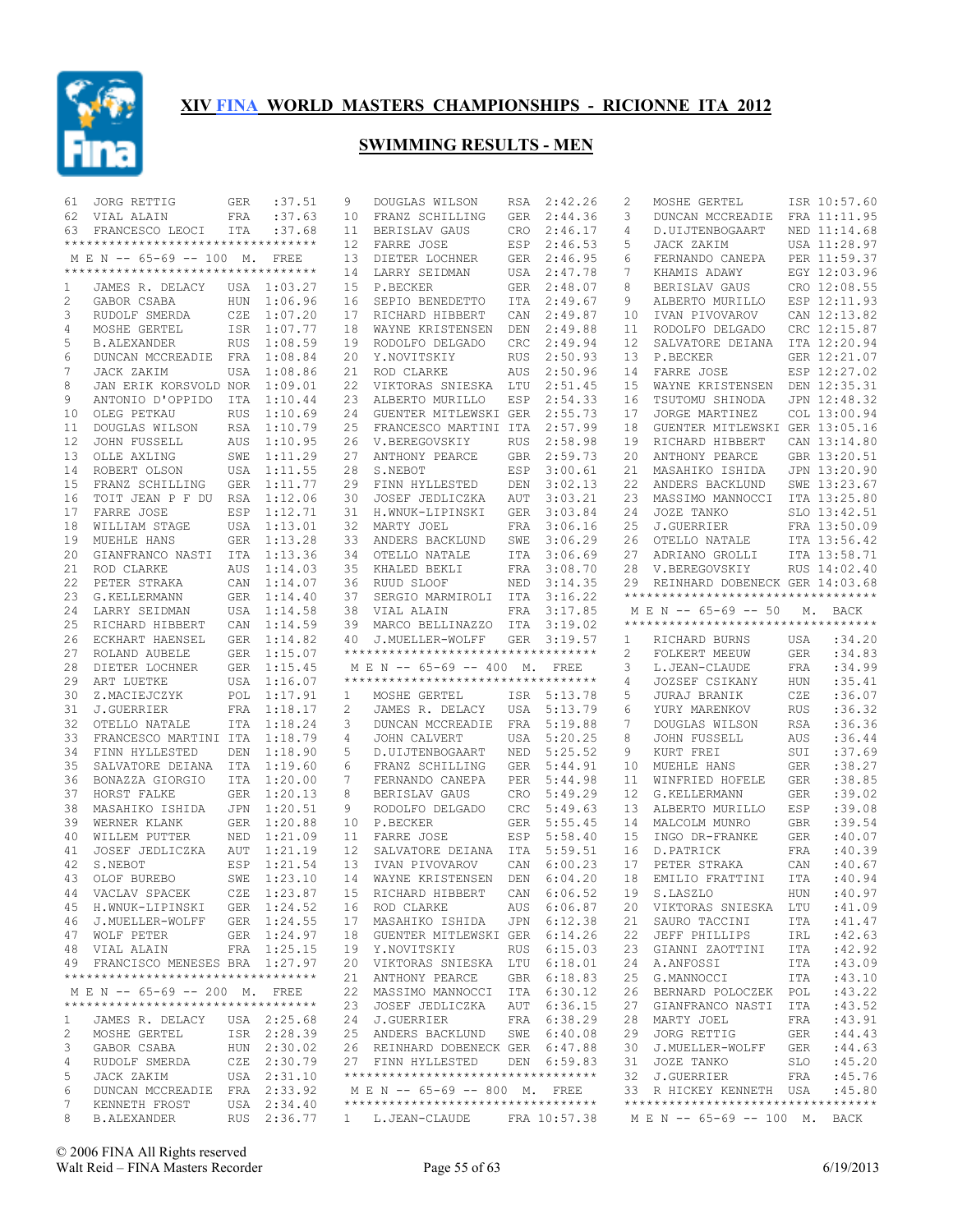

| 61     | JORG RETTIG                         | GER        | :37.51                     | 9  | DOUGLAS WILSON                                                                                    | RSA        | 2:42.26     | 2  | MOSHE GERTEL                       |            | ISR 10:57.60 |
|--------|-------------------------------------|------------|----------------------------|----|---------------------------------------------------------------------------------------------------|------------|-------------|----|------------------------------------|------------|--------------|
| 62     | VIAL ALAIN                          | FRA        | :37.63                     | 10 | FRANZ SCHILLING                                                                                   | <b>GER</b> | 2:44.36     | 3  | DUNCAN MCCREADIE                   |            | FRA 11:11.95 |
| 63     | FRANCESCO LEOCI                     | ITA        | :37.68                     | 11 | BERISLAV GAUS                                                                                     | <b>CRO</b> | 2:46.17     | 4  | D.UIJTENBOGAART                    |            | NED 11:14.68 |
|        | **********************************  |            |                            | 12 | FARRE JOSE                                                                                        | ESP        | 2:46.53     | 5  | JACK ZAKIM                         |            | USA 11:28.97 |
|        | M E N -- 65-69 -- 100 M. FREE       |            |                            | 13 | DIETER LOCHNER                                                                                    | GER        | 2:46.95     | 6  | FERNANDO CANEPA                    |            | PER 11:59.37 |
|        | **********************************  |            |                            | 14 | LARRY SEIDMAN                                                                                     | USA        | 2:47.78     | 7  | KHAMIS ADAWY                       |            | EGY 12:03.96 |
| 1      | JAMES R. DELACY                     |            | USA 1:03.27                | 15 | P.BECKER                                                                                          | <b>GER</b> | 2:48.07     | 8  | BERISLAV GAUS                      |            | CRO 12:08.55 |
| 2      | GABOR CSABA                         | <b>HUN</b> | 1:06.96                    | 16 | SEPIO BENEDETTO                                                                                   | ITA        | 2:49.67     | 9  | ALBERTO MURILLO                    |            | ESP 12:11.93 |
| 3      | RUDOLF SMERDA                       | CZE        | 1:07.20                    | 17 | RICHARD HIBBERT                                                                                   | CAN        | 2:49.87     | 10 | IVAN PIVOVAROV                     |            | CAN 12:13.82 |
| 4      | MOSHE GERTEL                        | ISR        | 1:07.77                    | 18 | WAYNE KRISTENSEN                                                                                  | DEN        | 2:49.88     | 11 | RODOLFO DELGADO                    |            | CRC 12:15.87 |
| 5      | <b>B.ALEXANDER</b>                  | <b>RUS</b> | 1:08.59                    | 19 | RODOLFO DELGADO                                                                                   | CRC        | 2:49.94     | 12 | SALVATORE DEIANA                   |            | ITA 12:20.94 |
| 6      | DUNCAN MCCREADIE                    | FRA        | 1:08.84                    | 20 | Y.NOVITSKIY                                                                                       | <b>RUS</b> | 2:50.93     | 13 | P.BECKER                           |            | GER 12:21.07 |
| 7      | JACK ZAKIM                          | USA        | 1:08.86                    | 21 | ROD CLARKE                                                                                        | AUS        | 2:50.96     | 14 | FARRE JOSE                         |            | ESP 12:27.02 |
| 8      | JAN ERIK KORSVOLD NOR               |            | 1:09.01                    | 22 | VIKTORAS SNIESKA                                                                                  | LTU        | 2:51.45     | 15 | WAYNE KRISTENSEN                   |            | DEN 12:35.31 |
| 9      | ANTONIO D'OPPIDO                    | ITA        | 1:10.44                    | 23 | ALBERTO MURILLO                                                                                   | ESP        | 2:54.33     | 16 | TSUTOMU SHINODA                    |            | JPN 12:48.32 |
| 10     | OLEG PETKAU                         | <b>RUS</b> | 1:10.69                    | 24 | GUENTER MITLEWSKI GER                                                                             |            | 2:55.73     | 17 | JORGE MARTINEZ                     |            | COL 13:00.94 |
| 11     | DOUGLAS WILSON                      | <b>RSA</b> | 1:10.79                    | 25 | FRANCESCO MARTINI ITA                                                                             |            | 2:57.99     | 18 | GUENTER MITLEWSKI GER 13:05.16     |            |              |
| 12     | <b>JOHN FUSSELL</b>                 | AUS        | 1:10.95                    | 26 | V.BEREGOVSKIY                                                                                     | <b>RUS</b> | 2:58.98     | 19 | RICHARD HIBBERT                    |            | CAN 13:14.80 |
| 13     | OLLE AXLING                         | SWE        | 1:11.29                    | 27 | ANTHONY PEARCE                                                                                    | <b>GBR</b> | 2:59.73     | 20 | ANTHONY PEARCE                     |            | GBR 13:20.51 |
| 14     | ROBERT OLSON                        | USA        | 1:11.55                    | 28 | S.NEBOT                                                                                           | ESP        | 3:00.61     | 21 | MASAHIKO ISHIDA                    |            | JPN 13:20.90 |
| 15     | FRANZ SCHILLING                     | <b>GER</b> | 1:11.77                    | 29 | FINN HYLLESTED                                                                                    | DEN        | 3:02.13     | 22 | ANDERS BACKLUND                    |            | SWE 13:23.67 |
| 16     | TOIT JEAN P F DU                    | RSA        | 1:12.06                    | 30 | JOSEF JEDLICZKA                                                                                   | AUT        | 3:03.21     | 23 | MASSIMO MANNOCCI                   |            | ITA 13:25.80 |
| 17     | FARRE JOSE                          | ESP        | 1:12.71                    | 31 | H.WNUK-LIPINSKI                                                                                   | <b>GER</b> | 3:03.84     | 24 | JOZE TANKO                         |            | SLO 13:42.51 |
| 18     | WILLIAM STAGE                       | USA        | 1:13.01                    | 32 | MARTY JOEL                                                                                        | FRA        | 3:06.16     | 25 | J.GUERRIER                         |            | FRA 13:50.09 |
| 19     | MUEHLE HANS                         | <b>GER</b> | 1:13.28                    | 33 | ANDERS BACKLUND                                                                                   | SWE        | 3:06.29     | 26 | OTELLO NATALE                      |            | ITA 13:56.42 |
| 20     | GIANFRANCO NASTI                    | ITA        | 1:13.36                    | 34 | OTELLO NATALE                                                                                     | <b>ITA</b> | 3:06.69     | 27 | ADRIANO GROLLI                     |            | ITA 13:58.71 |
| 21     | ROD CLARKE                          | <b>AUS</b> | 1:14.03                    | 35 | KHALED BEKLI                                                                                      | FRA        | 3:08.70     | 28 | V.BEREGOVSKIY                      |            | RUS 14:02.40 |
| 22     | PETER STRAKA                        | CAN        | 1:14.07                    | 36 | RUUD SLOOF                                                                                        | NED        | 3:14.35     | 29 | REINHARD DOBENECK GER 14:03.68     |            |              |
| 23     | G.KELLERMANN                        | <b>GER</b> | 1:14.40                    | 37 | SERGIO MARMIROLI                                                                                  | ITA        | 3:16.22     |    | ********************************** |            |              |
| 24     | LARRY SEIDMAN                       | USA        | 1:14.58                    | 38 | VIAL ALAIN                                                                                        | <b>FRA</b> | 3:17.85     |    | M E N -- 65-69 -- 50               |            | M. BACK      |
| 25     | RICHARD HIBBERT                     | CAN        | 1:14.59                    | 39 | MARCO BELLINAZZO                                                                                  | ITA        | 3:19.02     |    | ********************************** |            |              |
| 26     | ECKHART HAENSEL                     | <b>GER</b> | 1:14.82                    | 40 | J.MUELLER-WOLFF                                                                                   | <b>GER</b> | 3:19.57     | 1  | RICHARD BURNS                      | USA        | :34.20       |
|        |                                     |            |                            |    | **********************************                                                                |            |             |    |                                    |            |              |
|        |                                     |            |                            |    |                                                                                                   |            |             |    |                                    |            |              |
| 27     | ROLAND AUBELE                       | GER        | 1:15.07                    |    |                                                                                                   |            |             | 2  | FOLKERT MEEUW                      | <b>GER</b> | :34.83       |
| 28     | DIETER LOCHNER                      | GER        | 1:15.45                    |    | M E N -- 65-69 -- 400 M.                                                                          |            | FREE        | 3  | L.JEAN-CLAUDE                      | <b>FRA</b> | :34.99       |
| 29     | ART LUETKE                          |            | USA 1:16.07                |    | **********************************                                                                |            |             | 4  | JOZSEF CSIKANY                     | HUN        | :35.41       |
| 30     | Z.MACIEJCZYK                        | POL        | 1:17.91                    | 1  | MOSHE GERTEL                                                                                      |            | ISR 5:13.78 | 5  | <b>JURAJ BRANIK</b>                | CZE        | :36.07       |
| 31     | J.GUERRIER                          |            | FRA 1:18.17                | 2  | JAMES R. DELACY                                                                                   | USA        | 5:13.79     | 6  | YURY MARENKOV                      | <b>RUS</b> | :36.32       |
| 32     | OTELLO NATALE                       | <b>ITA</b> | 1:18.24                    | 3  | DUNCAN MCCREADIE                                                                                  | <b>FRA</b> | 5:19.88     | 7  | DOUGLAS WILSON                     | <b>RSA</b> | :36.36       |
| 33     | FRANCESCO MARTINI ITA               |            | 1:18.79                    | 4  | JOHN CALVERT                                                                                      | <b>USA</b> | 5:20.25     | 8  | <b>JOHN FUSSELL</b>                | AUS        | :36.44       |
| 34     | FINN HYLLESTED                      | DEN        | 1:18.90                    | 5  | D.UIJTENBOGAART                                                                                   | NED        | 5:25.52     | 9  | KURT FREI                          | SUI        | :37.69       |
| 35     | SALVATORE DEIANA                    | <b>ITA</b> | 1:19.60                    | 6  | FRANZ SCHILLING                                                                                   | <b>GER</b> | 5:44.91     | 10 | MUEHLE HANS                        | <b>GER</b> | :38.27       |
| 36     | BONAZZA GIORGIO                     | <b>ITA</b> | 1:20.00                    | 7  | FERNANDO CANEPA                                                                                   | PER        | 5:44.98     | 11 | WINFRIED HOFELE                    | <b>GER</b> | :38.85       |
| 37     | HORST FALKE                         | GER        | 1:20.13                    | 8  | BERISLAV GAUS                                                                                     | CRO        | 5:49.29     | 12 | G.KELLERMANN                       | <b>GER</b> | :39.02       |
| 38     | MASAHIKO ISHIDA                     | <b>JPN</b> | 1:20.51                    | 9  | RODOLFO DELGADO                                                                                   | CRC        | 5:49.63     | 13 | ALBERTO MURILLO                    | ESP        | :39.08       |
| 39     | WERNER KLANK                        | <b>GER</b> | 1:20.88                    | 10 | P.BECKER                                                                                          | <b>GER</b> | 5:55.45     | 14 | MALCOLM MUNRO                      | <b>GBR</b> | :39.54       |
| 40     | WILLEM PUTTER                       | NED        | 1:21.09                    | 11 | FARRE JOSE                                                                                        | ESP        | 5:58.40     | 15 | INGO DR-FRANKE                     | <b>GER</b> | :40.07       |
| 41     | JOSEF JEDLICZKA                     | AUT        | 1:21.19                    | 12 | SALVATORE DEIANA                                                                                  | ITA        | 5:59.51     | 16 | D.PATRICK                          | FRA        | :40.39       |
| 42     | S.NEBOT                             | ESP        | 1:21.54                    | 13 | IVAN PIVOVAROV                                                                                    | CAN        | 6:00.23     | 17 | PETER STRAKA                       | CAN        | :40.67       |
| 43     | OLOF BUREBO                         | SWE        | 1:23.10                    | 14 | WAYNE KRISTENSEN                                                                                  | DEN        | 6:04.20     | 18 | EMILIO FRATTINI                    | ITA        | :40.94       |
|        | 44 VACLAV SPACEK                    |            | CZE 1:23.87                |    | 15 RICHARD HIBBERT                                                                                |            | CAN 6:06.52 |    | 19 S.LASZLO                        |            | HUN :40.97   |
|        | 45 H.WNUK-LIPINSKI GER 1:24.52      |            |                            |    | 16 ROD CLARKE                                                                                     |            | AUS 6:06.87 |    | 20 VIKTORAS SNIESKA LTU            |            | :41.09       |
|        | 46 J.MUELLER-WOLFF                  |            | GER 1:24.55                |    | 17 MASAHIKO ISHIDA JPN 6:12.38                                                                    |            |             |    | 21 SAURO TACCINI                   | ITA        | :41.47       |
|        | 47 WOLF PETER                       |            | GER 1:24.97                |    | 18 GUENTER MITLEWSKI GER 6:14.26                                                                  |            |             |    | 22 JEFF PHILLIPS                   | IRL        | :42.63       |
|        | 48 VIAL ALAIN                       |            | FRA 1:25.15                |    | 19 Y.NOVITSKIY                                                                                    |            | RUS 6:15.03 |    | 23 GIANNI ZAOTTINI                 | ITA        | :42.92       |
|        | 49 FRANCISCO MENESES BRA 1:27.97    |            |                            |    | 20 VIKTORAS SNIESKA LTU 6:18.01                                                                   |            |             | 24 | A.ANFOSSI                          | ITA        | :43.09       |
|        | *********************************** |            |                            |    | 21 ANTHONY PEARCE                                                                                 |            | GBR 6:18.83 |    | 25 G.MANNOCCI                      | ITA        | :43.10       |
|        | M E N -- 65-69 -- 200 M. FREE       |            |                            |    | 22 MASSIMO MANNOCCI ITA 6:30.12                                                                   |            |             |    | 26 BERNARD POLOCZEK                | POL        | :43.22       |
|        | *********************************** |            |                            |    | 23 JOSEF JEDLICZKA AUT 6:36.15                                                                    |            |             |    | 27 GIANFRANCO NASTI                | ITA        | : 43.52      |
| 1      | JAMES R. DELACY                     |            | USA 2:25.68                |    | 24 J.GUERRIER                                                                                     |            | FRA 6:38.29 | 28 | MARTY JOEL                         | FRA        | :43.91       |
| 2      | MOSHE GERTEL                        |            | ISR 2:28.39                |    | 25 ANDERS BACKLUND                                                                                |            | SWE 6:40.08 |    | 29 JORG RETTIG                     | GER        | :44.43       |
| 3      | GABOR CSABA                         |            | HUN 2:30.02                |    | 26 REINHARD DOBENECK GER 6:47.88                                                                  |            |             | 30 | J.MUELLER-WOLFF                    | GER        | :44.63       |
| 4      | RUDOLF SMERDA                       |            | CZE 2:30.79                |    | 27 FINN HYLLESTED                                                                                 |            | DEN 6:59.83 |    | 31 JOZE TANKO                      | SLO        | :45.20       |
| 5      | JACK ZAKIM                          |            | USA 2:31.10                |    | **********************************                                                                |            |             |    | 32 J.GUERRIER                      | FRA        | :45.76       |
| 6      | DUNCAN MCCREADIE FRA 2:33.92        |            |                            |    | M E N -- 65-69 -- 800 M. FREE                                                                     |            |             |    | 33 R HICKEY KENNETH USA            |            | :45.80       |
| 7<br>8 | KENNETH FROST<br><b>B.ALEXANDER</b> |            | USA 2:34.40<br>RUS 2:36.77 |    | ***********************************<br>1 L.JEAN-CLAUDE FRA 10:57.38 M E N -- 65-69 -- 100 M. BACK |            |             |    | ********************************** |            |              |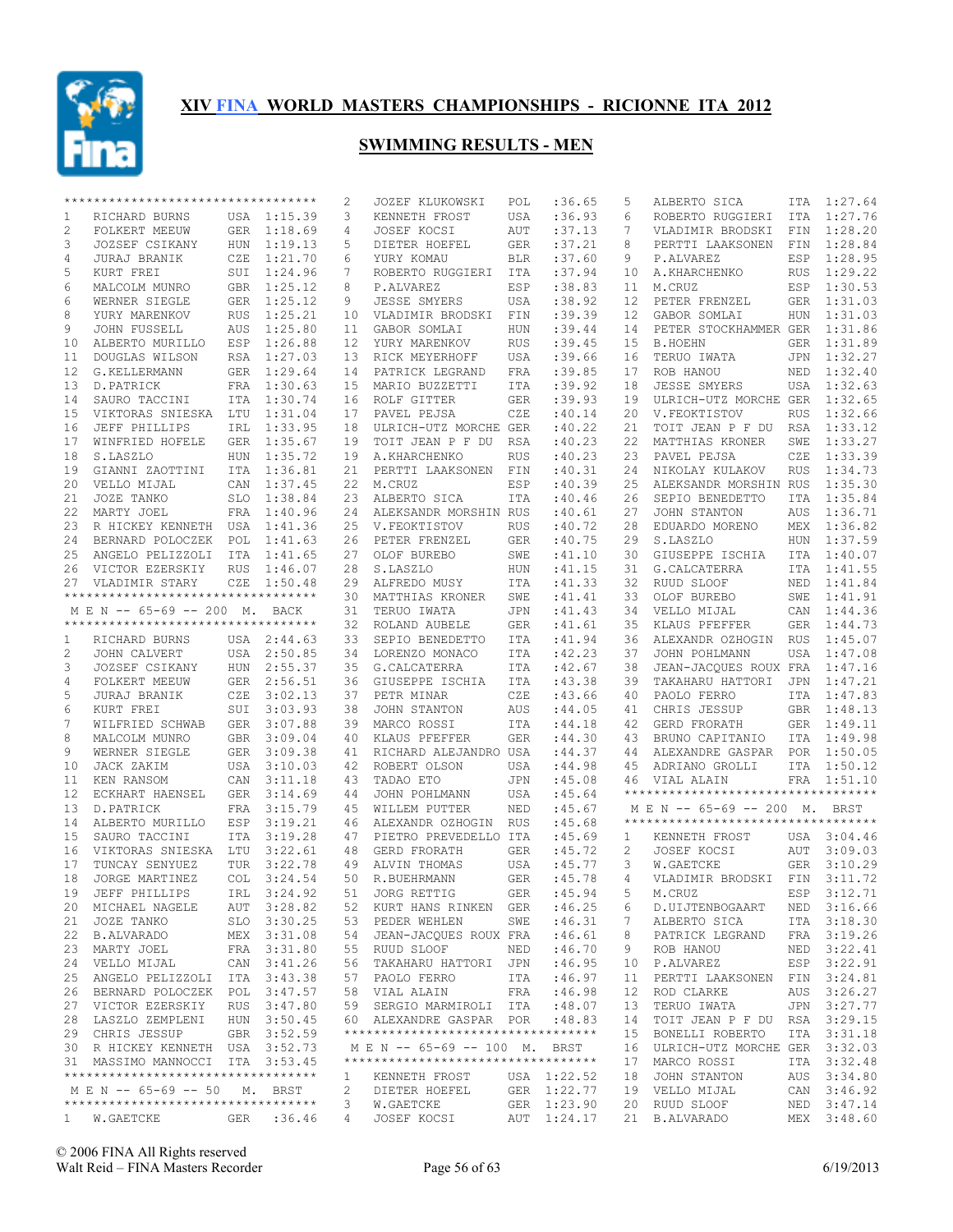

|                | ********************************** |            |             | 2               | JOZEF KLUKOWSKI                    | POL        | :36.65      | 5  | ALBERTO SICA                        | ITA        | 1:27.64     |
|----------------|------------------------------------|------------|-------------|-----------------|------------------------------------|------------|-------------|----|-------------------------------------|------------|-------------|
| 1              | RICHARD BURNS                      |            | USA 1:15.39 | 3               | KENNETH FROST                      | USA        | :36.93      | 6  | ROBERTO RUGGIERI                    | ITA        | 1:27.76     |
| $\overline{c}$ | FOLKERT MEEUW                      |            | GER 1:18.69 | 4               | <b>JOSEF KOCSI</b>                 | AUT        | :37.13      | 7  | VLADIMIR BRODSKI                    | FIN        | 1:28.20     |
| 3              | JOZSEF CSIKANY                     | <b>HUN</b> | 1:19.13     | 5               | DIETER HOEFEL                      | <b>GER</b> | :37.21      | 8  | PERTTI LAAKSONEN                    | FIN        | 1:28.84     |
| 4              | JURAJ BRANIK                       | CZE        | 1:21.70     | 6               | YURY KOMAU                         | BLR        | :37.60      | 9  | P.ALVAREZ                           | ESP        | 1:28.95     |
| 5              | KURT FREI                          |            | SUI 1:24.96 | 7               | ROBERTO RUGGIERI                   | ITA        | :37.94      | 10 | A.KHARCHENKO                        | <b>RUS</b> | 1:29.22     |
| 6              | MALCOLM MUNRO                      |            | GBR 1:25.12 | 8               | P.ALVAREZ                          | ESP        | :38.83      | 11 | M.CRUZ                              |            | ESP 1:30.53 |
| 6              | WERNER SIEGLE                      |            | GER 1:25.12 | 9               | JESSE SMYERS                       | USA        | :38.92      | 12 | PETER FRENZEL                       | GER        | 1:31.03     |
| 8              | YURY MARENKOV                      | RUS        | 1:25.21     | 10              | VLADIMIR BRODSKI                   | FIN        | :39.39      | 12 | GABOR SOMLAI                        |            | HUN 1:31.03 |
| 9              | JOHN FUSSELL                       | AUS        | 1:25.80     | 11              | GABOR SOMLAI                       | HUN        | : 39.44     | 14 | PETER STOCKHAMMER GER               |            | 1:31.86     |
| 10             | ALBERTO MURILLO                    | ESP        | 1:26.88     | 12              | YURY MARENKOV                      | <b>RUS</b> | :39.45      | 15 | <b>B.HOEHN</b>                      |            | GER 1:31.89 |
| 11             | DOUGLAS WILSON                     |            | RSA 1:27.03 | 13              | RICK MEYERHOFF                     | USA        | :39.66      | 16 | TERUO IWATA                         | JPN        | 1:32.27     |
| 12             | G.KELLERMANN                       |            | GER 1:29.64 | 14              | PATRICK LEGRAND                    | FRA        | :39.85      | 17 | ROB HANOU                           | NED        | 1:32.40     |
| 13             |                                    |            | FRA 1:30.63 |                 | MARIO BUZZETTI                     |            | :39.92      | 18 |                                     |            | 1:32.63     |
|                | D.PATRICK                          |            |             | 15 <sub>1</sub> |                                    | ITA        |             |    | <b>JESSE SMYERS</b>                 | USA        |             |
| 14             | SAURO TACCINI                      |            | ITA 1:30.74 | 16              | ROLF GITTER                        | <b>GER</b> | :39.93      | 19 | ULRICH-UTZ MORCHE GER               |            | 1:32.65     |
| 15             | VIKTORAS SNIESKA                   | LTU        | 1:31.04     | 17              | PAVEL PEJSA                        | CZE        | :40.14      | 20 | V.FEOKTISTOV                        | <b>RUS</b> | 1:32.66     |
| 16             | JEFF PHILLIPS                      | IRL        | 1:33.95     | 18              | ULRICH-UTZ MORCHE GER              |            | :40.22      | 21 | TOIT JEAN P F DU                    | RSA        | 1:33.12     |
| 17             | WINFRIED HOFELE                    |            | GER 1:35.67 | 19              | TOIT JEAN P F DU                   | RSA        | :40.23      | 22 | MATTHIAS KRONER                     | SWE        | 1:33.27     |
| 18             | S.LASZLO                           | <b>HUN</b> | 1:35.72     | 19              | A.KHARCHENKO                       | <b>RUS</b> | :40.23      | 23 | PAVEL PEJSA                         | CZE        | 1:33.39     |
| 19             | GIANNI ZAOTTINI                    | ITA        | 1:36.81     | 21              | PERTTI LAAKSONEN                   | FIN        | :40.31      | 24 | NIKOLAY KULAKOV                     | <b>RUS</b> | 1:34.73     |
| 20             | VELLO MIJAL                        | CAN        | 1:37.45     | 22              | M.CRUZ                             | ESP        | :40.39      | 25 | ALEKSANDR MORSHIN RUS               |            | 1:35.30     |
| 21             | JOZE TANKO                         | SLO        | 1:38.84     | 23              | ALBERTO SICA                       | <b>ITA</b> | :40.46      | 26 | SEPIO BENEDETTO                     | <b>ITA</b> | 1:35.84     |
| 22             | MARTY JOEL                         |            | FRA 1:40.96 | 24              | ALEKSANDR MORSHIN RUS              |            | :40.61      | 27 | JOHN STANTON                        | AUS        | 1:36.71     |
| 23             | R HICKEY KENNETH USA 1:41.36       |            |             | 25              | V.FEOKTISTOV                       | <b>RUS</b> | :40.72      | 28 | EDUARDO MORENO                      | MEX        | 1:36.82     |
| 24             | BERNARD POLOCZEK POL               |            | 1:41.63     | 26              | PETER FRENZEL                      | <b>GER</b> | :40.75      | 29 | S.LASZLO                            | <b>HUN</b> | 1:37.59     |
| 25             | ANGELO PELIZZOLI ITA               |            | 1:41.65     | 27              | OLOF BUREBO                        | SWE        | : 41.10     | 30 | GIUSEPPE ISCHIA                     | ITA        | 1:40.07     |
| 26             | VICTOR EZERSKIY                    | <b>RUS</b> | 1:46.07     | 28              | S.LASZLO                           | HUN        | :41.15      | 31 | G. CALCATERRA                       | ITA        | 1:41.55     |
| 27             | VLADIMIR STARY                     | CZE        | 1:50.48     | 29              | ALFREDO MUSY                       | ITA        | : 41.33     | 32 | RUUD SLOOF                          | NED        | 1:41.84     |
|                | ********************************** |            |             | 30              | MATTHIAS KRONER                    | SWE        | :41.41      | 33 | OLOF BUREBO                         | SWE        | 1:41.91     |
|                | M E N -- 65-69 -- 200 M. BACK      |            |             | 31              | TERUO IWATA                        | JPN        | : 41.43     | 34 | VELLO MIJAL                         | CAN        | 1:44.36     |
|                | ********************************** |            |             | 32              | ROLAND AUBELE                      | <b>GER</b> |             | 35 | KLAUS PFEFFER                       | GER        | 1:44.73     |
|                |                                    |            |             |                 |                                    |            | :41.61      |    |                                     |            |             |
| 1              | RICHARD BURNS                      |            | USA 2:44.63 | 33              | SEPIO BENEDETTO                    | ITA        | :41.94      | 36 | ALEXANDR OZHOGIN                    | <b>RUS</b> | 1:45.07     |
| 2              | JOHN CALVERT                       |            | USA 2:50.85 | 34              | LORENZO MONACO                     | ITA        | :42.23      | 37 | JOHN POHLMANN                       | USA        | 1:47.08     |
| 3              | JOZSEF CSIKANY                     |            | HUN 2:55.37 | 35              | G.CALCATERRA                       | ITA        | :42.67      | 38 | JEAN-JACQUES ROUX FRA               |            | 1:47.16     |
| 4              | FOLKERT MEEUW                      |            | GER 2:56.51 | 36              | GIUSEPPE ISCHIA                    | ITA        | :43.38      | 39 | TAKAHARU HATTORI                    | JPN        | 1:47.21     |
| 5              | JURAJ BRANIK                       | CZE        | 3:02.13     | 37              | PETR MINAR                         | CZE        | :43.66      | 40 | PAOLO FERRO                         | ITA        | 1:47.83     |
| 6              | KURT FREI                          |            | SUI 3:03.93 | 38              | JOHN STANTON                       | AUS        | :44.05      | 41 | CHRIS JESSUP                        | GBR        | 1:48.13     |
| 7              | WILFRIED SCHWAB                    |            | GER 3:07.88 | 39              | MARCO ROSSI                        | ITA        | :44.18      | 42 | GERD FRORATH                        |            | GER 1:49.11 |
| 8              | MALCOLM MUNRO                      |            | GBR 3:09.04 | 40              | KLAUS PFEFFER                      | <b>GER</b> | :44.30      | 43 | BRUNO CAPITANIO                     | ITA        | 1:49.98     |
| 9              | WERNER SIEGLE                      |            | GER 3:09.38 | 41              | RICHARD ALEJANDRO USA              |            | : 44.37     | 44 | ALEXANDRE GASPAR POR 1:50.05        |            |             |
| 10             | JACK ZAKIM                         | USA        | 3:10.03     | 42              | ROBERT OLSON                       | USA        | :44.98      | 45 | ADRIANO GROLLI                      | ITA        | 1:50.12     |
| 11             | KEN RANSOM                         | CAN        | 3:11.18     | 43              | TADAO ETO                          | JPN        | :45.08      | 46 | VIAL ALAIN                          |            | FRA 1:51.10 |
| 12             | ECKHART HAENSEL                    |            | GER 3:14.69 | 44              | JOHN POHLMANN                      | USA        | :45.64      |    | *********************************** |            |             |
| 13             | D.PATRICK                          |            | FRA 3:15.79 | 45              | WILLEM PUTTER                      | <b>NED</b> | :45.67      |    | MEN -- 65-69 -- 200 M. BRST         |            |             |
| 14             | ALBERTO MURILLO                    | ESP        | 3:19.21     | 46              | ALEXANDR OZHOGIN                   | <b>RUS</b> | :45.68      |    | **********************************  |            |             |
| 15             | SAURO TACCINI                      | ITA        | 3:19.28     | 47              | PIETRO PREVEDELLO ITA              |            | :45.69      | 1  | KENNETH FROST                       |            | USA 3:04.46 |
| 16             | VIKTORAS SNIESKA LTU               |            | 3:22.61     | 48              | GERD FRORATH                       | <b>GER</b> | :45.72      | 2  | JOSEF KOCSI                         | AUT        | 3:09.03     |
| 17             | TUNCAY SENYUEZ                     | TUR        | 3:22.78     | 49              | ALVIN THOMAS                       | USA        | :45.77      | 3  | W.GAETCKE                           | GER        | 3:10.29     |
| 18             | JORGE MARTINEZ                     | COL        | 3:24.54     | 50              | R. BUEHRMANN                       | <b>GER</b> | :45.78      | 4  | VLADIMIR BRODSKI                    | FTN        | 3:11.72     |
| 19             |                                    |            | IRL 3:24.92 |                 | 51 JORG RETTIG                     | <b>GER</b> | :45.94      |    | 5 M.CRUZ                            |            | ESP 3:12.71 |
|                | JEFF PHILLIPS                      |            |             |                 |                                    |            |             |    |                                     |            |             |
|                | 20 MICHAEL NAGELE                  |            | AUT 3:28.82 |                 | 52 KURT HANS RINKEN GER            |            | :46.25      | 6  | D. UIJTENBOGAART                    |            | NED 3:16.66 |
|                | 21 JOZE TANKO                      |            | SLO 3:30.25 |                 | 53 PEDER WEHLEN                    |            | SWE : 46.31 | 7  | ALBERTO SICA                        |            | ITA 3:18.30 |
|                | 22 B.ALVARADO                      |            | MEX 3:31.08 |                 | 54 JEAN-JACQUES ROUX FRA           |            | :46.61      | 8  | PATRICK LEGRAND                     |            | FRA 3:19.26 |
|                | 23 MARTY JOEL                      |            | FRA 3:31.80 |                 | 55 RUUD SLOOF                      | NED        | :46.70      | 9  | ROB HANOU                           |            | NED 3:22.41 |
| 24             | VELLO MIJAL                        |            | CAN 3:41.26 |                 | 56 TAKAHARU HATTORI JPN            |            | :46.95      | 10 | P.ALVAREZ                           |            | ESP 3:22.91 |
|                | 25 ANGELO PELIZZOLI ITA 3:43.38    |            |             |                 | 57 PAOLO FERRO                     | ITA        | :46.97      | 11 | PERTTI LAAKSONEN FIN 3:24.81        |            |             |
|                | 26 BERNARD POLOCZEK POL 3:47.57    |            |             |                 | 58 VIAL ALAIN                      | FRA        | :46.98      | 12 | ROD CLARKE                          |            | AUS 3:26.27 |
|                | 27 VICTOR EZERSKIY                 |            | RUS 3:47.80 |                 | 59 SERGIO MARMIROLI ITA            |            | :48.07      | 13 | TERUO IWATA                         |            | JPN 3:27.77 |
|                | 28 LASZLO ZEMPLENI                 |            | HUN 3:50.45 |                 | 60 ALEXANDRE GASPAR POR            |            | :48.83      | 14 | TOIT JEAN P F DU RSA 3:29.15        |            |             |
|                | 29 CHRIS JESSUP                    |            | GBR 3:52.59 |                 | ********************************** |            |             | 15 | BONELLI ROBERTO                     |            | ITA 3:31.18 |
|                | 30 R HICKEY KENNETH USA 3:52.73    |            |             |                 | MEN -- 65-69 -- 100 M. BRST        |            |             | 16 | ULRICH-UTZ MORCHE GER 3:32.03       |            |             |
|                | 31 MASSIMO MANNOCCI ITA 3:53.45    |            |             |                 | ********************************** |            |             | 17 | MARCO ROSSI                         |            | ITA 3:32.48 |
|                | ********************************** |            |             | 1               | KENNETH FROST                      |            | USA 1:22.52 | 18 | JOHN STANTON                        |            | AUS 3:34.80 |
|                | M E N -- 65-69 -- 50 M. BRST       |            |             | 2               | DIETER HOEFEL                      |            | GER 1:22.77 | 19 | VELLO MIJAL                         |            | CAN 3:46.92 |
|                | ********************************** |            |             | 3               | W.GAETCKE                          |            | GER 1:23.90 |    | 20 RUUD SLOOF                       |            | NED 3:47.14 |
| $1 -$          | W.GAETCKE                          | GER        | :36.46      | 4               | JOSEF KOCSI                        |            | AUT 1:24.17 |    | 21 B.ALVARADO                       | MEX        | 3:48.60     |
|                |                                    |            |             |                 |                                    |            |             |    |                                     |            |             |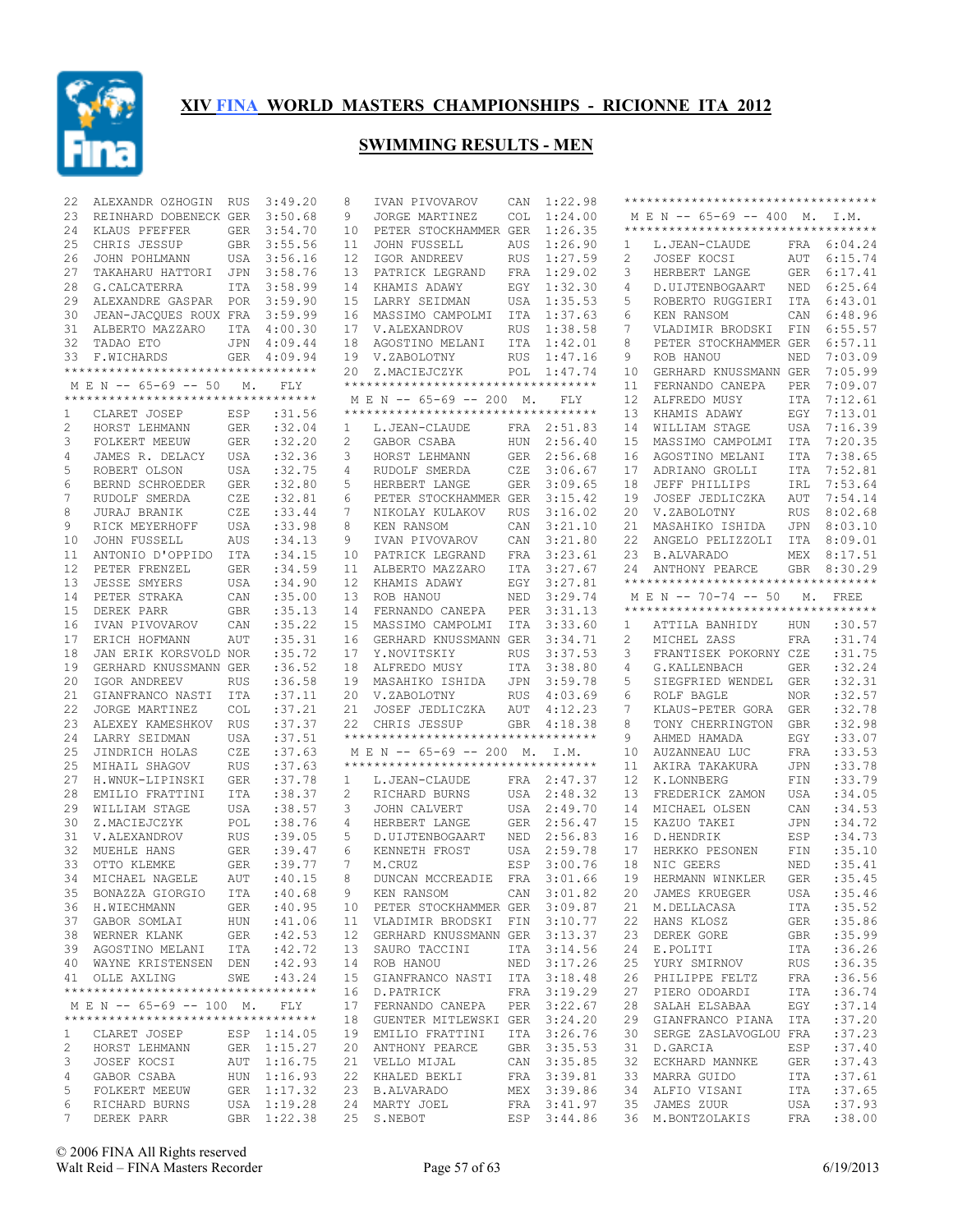

| 22           | ALEXANDR OZHOGIN RUS                                       |            | 3:49.20     | 8               | IVAN PIVOVAROV                                        | CAN        | 1:22.98     |    | **********************************  |             |             |
|--------------|------------------------------------------------------------|------------|-------------|-----------------|-------------------------------------------------------|------------|-------------|----|-------------------------------------|-------------|-------------|
| 23           | REINHARD DOBENECK GER                                      |            | 3:50.68     | 9               | JORGE MARTINEZ                                        | <b>COL</b> | 1:24.00     |    | M E N -- 65-69 -- 400 M. I.M.       |             |             |
| 24           | KLAUS PFEFFER                                              | <b>GER</b> | 3:54.70     | 10              | PETER STOCKHAMMER GER                                 |            | 1:26.35     |    | *********************************** |             |             |
| 25           | CHRIS JESSUP                                               |            | GBR 3:55.56 | 11              | JOHN FUSSELL                                          | AUS        | 1:26.90     | 1  | L.JEAN-CLAUDE                       |             | FRA 6:04.24 |
| 26           | JOHN POHLMANN                                              |            | USA 3:56.16 | 12              | IGOR ANDREEV                                          | RUS        | 1:27.59     | 2  | JOSEF KOCSI                         |             | AUT 6:15.74 |
| 27           | TAKAHARU HATTORI                                           | JPN        | 3:58.76     | 13              | PATRICK LEGRAND                                       | FRA        | 1:29.02     | 3  | HERBERT LANGE                       | GER         | 6:17.41     |
| 28           | G.CALCATERRA                                               |            | ITA 3:58.99 |                 | 14 KHAMIS ADAWY                                       | EGY        | 1:32.30     | 4  | D. UIJTENBOGAART                    |             | NED 6:25.64 |
| 29           | ALEXANDRE GASPAR POR 3:59.90                               |            |             | 15 <sub>1</sub> | LARRY SEIDMAN                                         | USA        | 1:35.53     | 5  | ROBERTO RUGGIERI                    | ITA         | 6:43.01     |
| 30           | JEAN-JACQUES ROUX FRA 3:59.99                              |            |             |                 | 16 MASSIMO CAMPOLMI                                   | ITA        | 1:37.63     | 6  | KEN RANSOM                          | CAN         | 6:48.96     |
| 31           | ALBERTO MAZZARO                                            |            | ITA 4:00.30 |                 | 17 V.ALEXANDROV                                       | RUS        | 1:38.58     | 7  | VLADIMIR BRODSKI FIN                |             | 6:55.57     |
| 32           | TADAO ETO                                                  |            | JPN 4:09.44 | 18              | AGOSTINO MELANI                                       | ITA        | 1:42.01     | 8  | PETER STOCKHAMMER GER               |             | 6:57.11     |
| 33           | F.WICHARDS                                                 |            | GER 4:09.94 |                 | 19 V.ZABOLOTNY                                        | <b>RUS</b> | 1:47.16     | 9  | ROB HANOU                           | NED         | 7:03.09     |
|              | *********************************                          |            |             |                 |                                                       |            |             |    | GERHARD KNUSSMANN GER               |             |             |
|              |                                                            |            |             |                 | 20 Z.MACIEJCZYK<br>********************************** | POL        | 1:47.74     | 10 |                                     |             | 7:05.99     |
|              | M E N -- 65-69 -- 50<br>********************************** | М.         | FLY         |                 | M E N -- 65-69 -- 200 M.                              |            |             | 11 | FERNANDO CANEPA<br>ALFREDO MUSY     | <b>PER</b>  | 7:09.07     |
|              |                                                            |            |             |                 | **********************************                    |            | <b>FLY</b>  | 12 |                                     | ITA         | 7:12.61     |
| 1            | CLARET JOSEP                                               | ESP        | :31.56      |                 |                                                       |            |             | 13 | KHAMIS ADAWY                        | EGY         | 7:13.01     |
| 2            | HORST LEHMANN                                              | GER        | :32.04      | 1               | L.JEAN-CLAUDE                                         |            | FRA 2:51.83 | 14 | WILLIAM STAGE                       | USA         | 7:16.39     |
| 3            | FOLKERT MEEUW                                              | GER        | :32,20      | 2               | GABOR CSABA                                           |            | HUN 2:56.40 | 15 | MASSIMO CAMPOLMI                    | ITA         | 7:20.35     |
| 4            | JAMES R. DELACY                                            | USA        | :32.36      | 3               | HORST LEHMANN                                         |            | GER 2:56.68 | 16 | AGOSTINO MELANI                     | ITA         | 7:38.65     |
| 5            | ROBERT OLSON                                               | USA        | :32.75      | 4               | RUDOLF SMERDA                                         | CZE        | 3:06.67     | 17 | ADRIANO GROLLI                      | ITA         | 7:52.81     |
| 6            | BERND SCHROEDER                                            | GER        | :32.80      | 5               | HERBERT LANGE                                         | GER        | 3:09.65     | 18 | JEFF PHILLIPS                       | IRL         | 7:53.64     |
| 7            | RUDOLF SMERDA                                              | CZE        | :32.81      | 6               | PETER STOCKHAMMER GER                                 |            | 3:15.42     | 19 | JOSEF JEDLICZKA                     | AUT         | 7:54.14     |
| 8            | JURAJ BRANIK                                               | CZE        | : 33.44     | 7               | NIKOLAY KULAKOV                                       | <b>RUS</b> | 3:16.02     | 20 | V.ZABOLOTNY                         | <b>RUS</b>  | 8:02.68     |
| 9            | RICK MEYERHOFF                                             | USA        | :33.98      | 8               | KEN RANSOM                                            | CAN        | 3:21.10     | 21 | MASAHIKO ISHIDA                     |             | JPN 8:03.10 |
| 10           | JOHN FUSSELL                                               | AUS        | :34.13      | 9               | IVAN PIVOVAROV                                        | CAN        | 3:21.80     | 22 | ANGELO PELIZZOLI                    | ITA         | 8:09.01     |
| 11           | ANTONIO D'OPPIDO                                           | ITA        | :34.15      | 10              | PATRICK LEGRAND                                       | FRA        | 3:23.61     | 23 | B.ALVARADO                          |             | MEX 8:17.51 |
| 12           | PETER FRENZEL                                              | <b>GER</b> | :34.59      | 11              | ALBERTO MAZZARO                                       | ITA        | 3:27.67     | 24 | ANTHONY PEARCE                      | GBR         | 8:30.29     |
| 13           | <b>JESSE SMYERS</b>                                        | USA        | :34.90      | 12 <sup>°</sup> | KHAMIS ADAWY                                          | EGY        | 3:27.81     |    | **********************************  |             |             |
| 14           | PETER STRAKA                                               | CAN        | :35.00      | 13              | ROB HANOU                                             | NED        | 3:29.74     |    | M E N -- 70-74 -- 50                | $M_{\star}$ | <b>FREE</b> |
| 15           | DEREK PARR                                                 | <b>GBR</b> | :35.13      | 14              | FERNANDO CANEPA                                       | PER        | 3:31.13     |    | *********************************** |             |             |
| 16           | IVAN PIVOVAROV                                             | CAN        | :35.22      | 15              | MASSIMO CAMPOLMI                                      | ITA        | 3:33.60     | 1  | ATTILA BANHIDY                      | HUN         | :30.57      |
| 17           | ERICH HOFMANN                                              | AUT        | : 35.31     | 16              | GERHARD KNUSSMANN GER                                 |            | 3:34.71     | 2  | MICHEL ZASS                         | FRA         | :31.74      |
| 18           | JAN ERIK KORSVOLD NOR                                      |            | : 35.72     | 17              | Y.NOVITSKIY                                           | <b>RUS</b> | 3:37.53     | 3  | FRANTISEK POKORNY CZE               |             | :31.75      |
| 19           | GERHARD KNUSSMANN GER                                      |            | :36.52      | 18              | ALFREDO MUSY                                          | ITA        | 3:38.80     | 4  | G.KALLENBACH                        | <b>GER</b>  | :32.24      |
| 20           | IGOR ANDREEV                                               |            | :36.58      |                 |                                                       |            | 3:59.78     |    | SIEGFRIED WENDEL                    |             | :32.31      |
|              |                                                            | <b>RUS</b> |             | 19              | MASAHIKO ISHIDA                                       | JPN        |             | 5  |                                     | GER         |             |
| 21           | GIANFRANCO NASTI                                           | ITA        | :37.11      |                 | 20 V.ZABOLOTNY                                        | <b>RUS</b> | 4:03.69     | 6  | ROLF BAGLE                          | <b>NOR</b>  | :32.57      |
| 22           | JORGE MARTINEZ                                             | <b>COL</b> | :37.21      | 21              | JOSEF JEDLICZKA                                       | AUT        | 4:12.23     | 7  | KLAUS-PETER GORA                    | <b>GER</b>  | :32.78      |
| 23           | ALEXEY KAMESHKOV                                           | RUS        | :37.37      | 22              | CHRIS JESSUP                                          |            | GBR 4:18.38 | 8  | TONY CHERRINGTON                    | <b>GBR</b>  | :32.98      |
| 24           | LARRY SEIDMAN                                              | USA        | :37.51      |                 | ***********************************                   |            |             | 9  | AHMED HAMADA                        | EGY         | :33.07      |
| 25           | JINDRICH HOLAS                                             | CZE        | :37.63      |                 | M E N -- 65-69 -- 200 M.                              |            | I.M.        | 10 | AUZANNEAU LUC                       | FRA         | :33.53      |
| 25           | MIHAIL SHAGOV                                              | <b>RUS</b> | :37.63      |                 | **********************************                    |            |             | 11 | AKIRA TAKAKURA                      | <b>JPN</b>  | :33.78      |
| 27           | H.WNUK-LIPINSKI                                            | <b>GER</b> | :37.78      | $\mathbf{1}$    | L.JEAN-CLAUDE                                         |            | FRA 2:47.37 | 12 | K.LONNBERG                          | FIN         | :33.79      |
| 28           | EMILIO FRATTINI                                            | ITA        | : 38.37     | 2               | RICHARD BURNS                                         | USA        | 2:48.32     | 13 | FREDERICK ZAMON                     | <b>USA</b>  | :34.05      |
| 29           | WILLIAM STAGE                                              | USA        | : 38.57     | 3               | JOHN CALVERT                                          |            | USA 2:49.70 | 14 | MICHAEL OLSEN                       | CAN         | :34.53      |
| 30           | Z.MACIEJCZYK                                               | POL        | :38.76      | 4               | HERBERT LANGE                                         | GER        | 2:56.47     | 15 | KAZUO TAKEI                         | <b>JPN</b>  | : 34.72     |
| 31           | V.ALEXANDROV                                               | <b>RUS</b> | :39.05      | 5               | D.UIJTENBOGAART                                       | NED        | 2:56.83     | 16 | D.HENDRIK                           | ESP         | :34.73      |
| 32           | MUEHLE HANS                                                | GER        | : 39.47     | 6               | KENNETH FROST                                         | USA        | 2:59.78     | 17 | HERKKO PESONEN                      | FIN         | : 35.10     |
| 33           | OTTO KLEMKE                                                | <b>GER</b> | : 39.77     | 7               | M.CRUZ                                                | ESP        | 3:00.76     | 18 | NIC GEERS                           | NED         | : 35.41     |
| 34           | MICHAEL NAGELE                                             | <b>AUT</b> | :40.15      | 8               | DUNCAN MCCREADIE                                      | FRA        | 3:01.66     | 19 | HERMANN WINKLER                     | <b>GER</b>  | :35.45      |
|              | 35 BONAZZA GIORGIO ITA : 40.68                             |            |             | 9               | KEN RANSOM                                            |            | CAN 3:01.82 |    | 20 JAMES KRUEGER                    |             | USA : 35.46 |
|              |                                                            |            | :40.95      |                 | 10 PETER STOCKHAMMER GER 3:09.87                      |            |             |    | 21 M.DELLACASA                      | ITA         | :35.52      |
|              | 36 H.WIECHMANN GER<br>37 GABOR SOMLAI HUN                  |            | :41.06      |                 | 11 VLADIMIR BRODSKI FIN 3:10.77                       |            |             |    | 22 HANS KLOSZ                       | GER         | :35.86      |
|              | 38 WERNER KLANK GER                                        |            | :42.53      |                 | 12 GERHARD KNUSSMANN GER 3:13.37                      |            |             | 23 | DEREK GORE                          | GBR         | :35.99      |
|              | 39 AGOSTINO MELANI ITA : 42.72                             |            |             |                 | 13 SAURO TACCINI                                      |            | ITA 3:14.56 |    | 24 E.POLITI                         | ITA         | :36.26      |
|              | 40 WAYNE KRISTENSEN DEN : 42.93                            |            |             |                 | 14 ROB HANOU                                          |            | NED 3:17.26 | 25 | YURY SMIRNOV                        | RUS         | :36.35      |
|              | 41 OLLE AXLING                                             |            | SWE : 43.24 |                 | 15 GIANFRANCO NASTI ITA 3:18.48                       |            |             |    | 26 PHILIPPE FELTZ                   | FRA         | :36.56      |
|              | **********************************                         |            |             |                 | 16 D.PATRICK                                          |            | FRA 3:19.29 | 27 | PIERO ODOARDI                       | ITA         | :36.74      |
|              | MEN -- 65-69 -- 100 M. FLY                                 |            |             |                 | 17 FERNANDO CANEPA PER 3:22.67                        |            |             |    | 28 SALAH ELSABAA                    | EGY         | :37.14      |
|              | **********************************                         |            |             |                 | 18 GUENTER MITLEWSKI GER 3:24.20                      |            |             |    | 29 GIANFRANCO PIANA ITA             |             | :37.20      |
| $\mathbf{1}$ | CLARET JOSEP                                               |            |             |                 |                                                       |            | ITA 3:26.76 | 30 | SERGE ZASLAVOGLOU FRA               |             | :37.23      |
|              |                                                            |            | ESP 1:14.05 |                 | 19 EMILIO FRATTINI                                    |            |             |    |                                     |             |             |
| 2            | HORST LEHMANN                                              |            | GER 1:15.27 |                 | 20 ANTHONY PEARCE                                     |            | GBR 3:35.53 | 31 | D.GARCIA                            | ESP         | :37.40      |
| 3            | JOSEF KOCSI                                                |            | AUT 1:16.75 |                 | 21 VELLO MIJAL                                        |            | CAN 3:35.85 |    | 32 ECKHARD MANNKE                   | GER         | :37.43      |
| 4            | GABOR CSABA                                                |            | HUN 1:16.93 |                 | 22 KHALED BEKLI                                       |            | FRA 3:39.81 | 33 | MARRA GUIDO                         | ITA         | :37.61      |
| 5            | FOLKERT MEEUW                                              |            | GER 1:17.32 |                 | 23 B.ALVARADO                                         |            | MEX 3:39.86 | 34 | ALFIO VISANI                        | ITA         | :37.65      |
| 6            | RICHARD BURNS USA 1:19.28                                  |            |             |                 | 24 MARTY JOEL                                         |            | FRA 3:41.97 |    | 35 JAMES ZUUR                       | USA         | :37.93      |
| 7            | DEREK PARR                                                 |            | GBR 1:22.38 |                 | 25 S.NEBOT                                            |            | ESP 3:44.86 |    | 36 M.BONTZOLAKIS FRA                |             | :38.00      |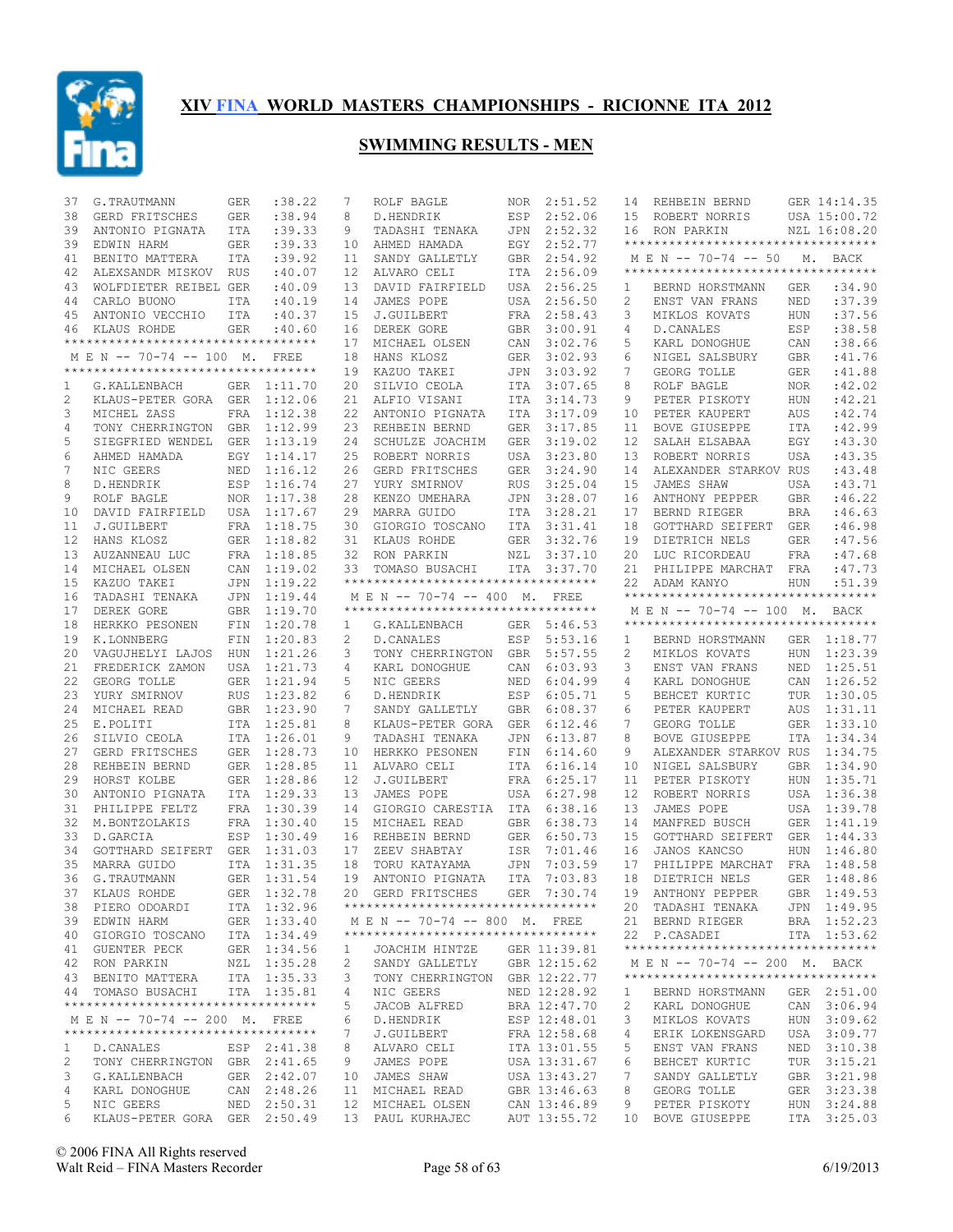

| 37           | G.TRAUTMANN                                                         | <b>GER</b> | : 38.22     | 7      | ROLF BAGLE                                                   | NOR        | 2:51.52                      | 14      | REHBEIN BERND                                                       |            | GER 14:14.35               |
|--------------|---------------------------------------------------------------------|------------|-------------|--------|--------------------------------------------------------------|------------|------------------------------|---------|---------------------------------------------------------------------|------------|----------------------------|
| 38           | GERD FRITSCHES                                                      | <b>GER</b> | :38.94      | 8      | D.HENDRIK                                                    | ESP        | 2:52.06                      | 15      | ROBERT NORRIS                                                       |            | USA 15:00.72               |
| 39           | ANTONIO PIGNATA                                                     | <b>ITA</b> | :39.33      | 9      | TADASHI TENAKA                                               | JPN        | 2:52.32                      | 16      | RON PARKIN                                                          |            | NZL 16:08.20               |
| 39           | EDWIN HARM                                                          | GER        | :39.33      | 10     | AHMED HAMADA                                                 | EGY        | 2:52.77                      |         | **********************************                                  |            |                            |
| 41           | BENITO MATTERA                                                      | ITA        | :39.92      | 11     | SANDY GALLETLY                                               | GBR        | 2:54.92                      |         | M E N -- 70-74 -- 50                                                |            | M. BACK                    |
| 42           | ALEXSANDR MISKOV RUS                                                |            | :40.07      | 12     | ALVARO CELI                                                  | ITA        | 2:56.09                      |         | **********************************                                  |            |                            |
| 43           | WOLFDIETER REIBEL GER                                               |            | :40.09      | 13     | DAVID FAIRFIELD                                              | USA        | 2:56.25                      | 1       | BERND HORSTMANN                                                     | <b>GER</b> | :34.90                     |
| 44           | CARLO BUONO                                                         | ITA        | :40.19      | 14     | JAMES POPE                                                   | USA        | 2:56.50                      | 2       | ENST VAN FRANS                                                      | NED        | :37.39                     |
| 45           | ANTONIO VECCHIO                                                     | <b>ITA</b> | :40.37      | 15     | J.GUILBERT                                                   | FRA        | 2:58.43                      | 3       | MIKLOS KOVATS                                                       | HUN        | :37.56                     |
| 46           | KLAUS ROHDE                                                         | GER        | :40.60      | 16     | DEREK GORE                                                   | GBR        | 3:00.91                      | 4       | D. CANALES                                                          | ESP        | :38.58                     |
|              | **********************************                                  |            |             | 17     | MICHAEL OLSEN                                                | CAN        | 3:02.76                      | 5       | KARL DONOGHUE                                                       | CAN        | :38.66                     |
|              | MEN -- 70-74 -- 100 M.                                              |            | FREE        | 18     | HANS KLOSZ                                                   | <b>GER</b> | 3:02.93                      | 6       | NIGEL SALSBURY                                                      | <b>GBR</b> | : 41.76                    |
|              | ***********************************                                 |            |             | 19     | KAZUO TAKEI                                                  | JPN        | 3:03.92                      | 7       | GEORG TOLLE                                                         | <b>GER</b> | : 41.88                    |
| 1            | G.KALLENBACH                                                        |            | GER 1:11.70 | 20     | SILVIO CEOLA                                                 | ITA        | 3:07.65                      | 8       | ROLF BAGLE                                                          | <b>NOR</b> | :42.02                     |
| 2            | KLAUS-PETER GORA GER                                                |            | 1:12.06     | 21     | ALFIO VISANI                                                 | ITA        | 3:14.73                      | 9       | PETER PISKOTY                                                       | HUN        | :42.21                     |
| 3            | MICHEL ZASS                                                         | FRA        | 1:12.38     | 22     | ANTONIO PIGNATA                                              | ITA        | 3:17.09                      | 10      | PETER KAUPERT                                                       | <b>AUS</b> | :42.74                     |
| 4            | TONY CHERRINGTON GBR 1:12.99                                        |            |             | 23     | REHBEIN BERND                                                | GER        | 3:17.85                      | 11      | <b>BOVE GIUSEPPE</b>                                                | <b>ITA</b> | :42.99                     |
| 5            | SIEGFRIED WENDEL                                                    | GER        | 1:13.19     | 24     | SCHULZE JOACHIM                                              | <b>GER</b> | 3:19.02                      | 12      | SALAH ELSABAA                                                       | EGY        | :43.30                     |
| 6            | AHMED HAMADA                                                        | EGY        | 1:14.17     | 25     | ROBERT NORRIS                                                | USA        | 3:23.80                      | 13      | ROBERT NORRIS                                                       | <b>USA</b> | :43.35                     |
| 7            | NIC GEERS                                                           | NED        | 1:16.12     | 26     | GERD FRITSCHES                                               | <b>GER</b> | 3:24.90                      | 14      | ALEXANDER STARKOV RUS                                               |            | :43.48                     |
| 8            | D.HENDRIK                                                           | ESP        | 1:16.74     | 27     | YURY SMIRNOV                                                 | <b>RUS</b> | 3:25.04                      | 15      | JAMES SHAW                                                          | USA        | :43.71                     |
| 9            | ROLF BAGLE                                                          | <b>NOR</b> | 1:17.38     | 28     | KENZO UMEHARA                                                | JPN        | 3:28.07                      | 16      | ANTHONY PEPPER                                                      | <b>GBR</b> | :46.22                     |
| 10           | DAVID FAIRFIELD                                                     |            | USA 1:17.67 | 29     | MARRA GUIDO                                                  | ITA        | 3:28.21                      | 17      | BERND RIEGER                                                        | <b>BRA</b> | :46.63                     |
| 11           | J.GUILBERT                                                          | FRA        | 1:18.75     | 30     | GIORGIO TOSCANO                                              | <b>ITA</b> | 3:31.41                      | 18      | <b>GOTTHARD SEIFERT</b>                                             | <b>GER</b> | :46.98                     |
| 12           | HANS KLOSZ                                                          | <b>GER</b> | 1:18.82     | 31     | KLAUS ROHDE                                                  | <b>GER</b> | 3:32.76                      | 19      | DIETRICH NELS                                                       | <b>GER</b> | : 47.56                    |
| 13           | AUZANNEAU LUC                                                       |            | FRA 1:18.85 | 32     | RON PARKIN                                                   | NZL        | 3:37.10                      | 20      | LUC RICORDEAU                                                       | <b>FRA</b> | :47.68                     |
| 14           | MICHAEL OLSEN                                                       | CAN        | 1:19.02     | 33     | TOMASO BUSACHI                                               | ITA        | 3:37.70                      | 21      | PHILIPPE MARCHAT                                                    | FRA        | :47.73                     |
| 15           | KAZUO TAKEI                                                         | JPN        | 1:19.22     |        | ***********************************                          |            |                              | 22      | ADAM KANYO                                                          | <b>HUN</b> | :51.39                     |
| 16           | TADASHI TENAKA                                                      | JPN        | 1:19.44     |        | M E N -- 70-74 -- 400 M.                                     |            | <b>FREE</b>                  |         | **********************************                                  |            |                            |
| 17           | DEREK GORE                                                          | <b>GBR</b> | 1:19.70     |        | ***********************************                          |            |                              |         | M E N -- 70-74 -- 100 M. BACK                                       |            |                            |
| 18           | HERKKO PESONEN                                                      | FIN        | 1:20.78     | 1      | G.KALLENBACH                                                 |            | GER 5:46.53                  |         | **********************************                                  |            |                            |
| 19           | K.LONNBERG                                                          | FIN        | 1:20.83     | 2      | D. CANALES                                                   | ESP        | 5:53.16                      |         | BERND HORSTMANN                                                     |            | GER 1:18.77                |
|              |                                                                     |            |             |        |                                                              |            |                              | 1       |                                                                     |            |                            |
| 20           | VAGUJHELYI LAJOS                                                    | HUN        | 1:21.26     | 3      | TONY CHERRINGTON                                             | <b>GBR</b> | 5:57.55                      | 2       | MIKLOS KOVATS                                                       | <b>HUN</b> | 1:23.39                    |
| 21           | FREDERICK ZAMON                                                     | USA        | 1:21.73     | 4      | KARL DONOGHUE                                                | CAN        | 6:03.93                      | 3       | ENST VAN FRANS                                                      | NED        | 1:25.51                    |
| 22           | GEORG TOLLE                                                         | <b>GER</b> | 1:21.94     | 5      | NIC GEERS                                                    | NED        | 6:04.99                      | 4       | KARL DONOGHUE                                                       | CAN        | 1:26.52                    |
| 23           | YURY SMIRNOV                                                        | <b>RUS</b> | 1:23.82     | 6      | D.HENDRIK                                                    | ESP        | 6:05.71                      | 5       | BEHCET KURTIC                                                       | TUR        | 1:30.05                    |
| 24           | MICHAEL READ                                                        |            | GBR 1:23.90 | 7      | SANDY GALLETLY                                               | GBR        | 6:08.37                      | 6       | PETER KAUPERT                                                       | AUS        | 1:31.11                    |
| 25           | E.POLITI                                                            |            | ITA 1:25.81 | 8      | KLAUS-PETER GORA                                             | <b>GER</b> | 6:12.46                      | 7       | GEORG TOLLE                                                         |            | GER 1:33.10                |
| 26           | SILVIO CEOLA                                                        |            | ITA 1:26.01 | 9      | TADASHI TENAKA                                               | JPN        | 6:13.87                      | 8       | <b>BOVE GIUSEPPE</b>                                                | ITA        | 1:34.34                    |
| 27           | GERD FRITSCHES                                                      |            |             |        |                                                              |            |                              |         | ALEXANDER STARKOV RUS                                               |            |                            |
| 28           |                                                                     |            | GER 1:28.73 | 10     | HERKKO PESONEN                                               | FIN        | 6:14.60                      | 9       |                                                                     |            | 1:34.75                    |
|              | REHBEIN BERND                                                       |            | GER 1:28.85 | 11     | ALVARO CELI                                                  | ITA        | 6:16.14                      | 10      | NIGEL SALSBURY                                                      | <b>GBR</b> | 1:34.90                    |
| 29           | HORST KOLBE                                                         |            | GER 1:28.86 | 12     | J.GUILBERT                                                   | FRA        | 6:25.17                      | 11      | PETER PISKOTY                                                       | <b>HUN</b> | 1:35.71                    |
| 30           | ANTONIO PIGNATA                                                     |            | ITA 1:29.33 | 13     | JAMES POPE                                                   | USA        | 6:27.98                      | 12      | ROBERT NORRIS                                                       | USA        | 1:36.38                    |
| 31           | PHILIPPE FELTZ                                                      |            | FRA 1:30.39 | 14     | GIORGIO CARESTIA                                             | ITA        | 6:38.16                      | 13      | JAMES POPE                                                          | USA        | 1:39.78                    |
| 32           | M.BONTZOLAKIS                                                       |            | FRA 1:30.40 | 15     | MICHAEL READ                                                 | <b>GBR</b> | 6:38.73                      | 14      | MANFRED BUSCH                                                       | <b>GER</b> | 1:41.19                    |
| 33           | D.GARCIA                                                            | ESP        | 1:30.49     | 16     | REHBEIN BERND                                                | GER        | 6:50.73                      | 15      | GOTTHARD SEIFERT                                                    | GER        | 1:44.33                    |
| 34           | GOTTHARD SEIFERT                                                    |            | GER 1:31.03 | 17     | ZEEV SHABTAY                                                 | ISR        | 7:01.46                      | 16      | JANOS KANCSO                                                        | HUN        | 1:46.80                    |
| 35           | MARRA GUIDO                                                         |            | ITA 1:31.35 | 18     | TORU KATAYAMA                                                | JPN        | 7:03.59                      | 17      | PHILIPPE MARCHAT                                                    | <b>FRA</b> | 1:48.58                    |
| 36           | G.TRAUTMANN                                                         | GER        | 1:31.54     | 19     | ANTONIO PIGNATA                                              | ITA        | 7:03.83                      | 18      | DIETRICH NELS                                                       | <b>GER</b> | 1:48.86                    |
|              | 37 KLAUS ROHDE                                                      |            | GER 1:32.78 |        | 20 GERD FRITSCHES                                            |            |                              |         | GER 7:30.74 19 ANTHONY PEPPER                                       |            | GBR 1:49.53                |
|              | 38 PIERO ODOARDI                                                    |            | ITA 1:32.96 |        | ***********************************                          |            |                              |         | 20 TADASHI TENAKA                                                   |            | JPN 1:49.95                |
|              | 39 EDWIN HARM                                                       |            | GER 1:33.40 |        | M E N -- 70-74 -- 800 M, FREE                                |            |                              |         | 21 BERND RIEGER                                                     |            | BRA 1:52.23                |
|              | 40 GIORGIO TOSCANO                                                  |            | ITA 1:34.49 |        | ***********************************                          |            |                              |         | 22 P.CASADEI                                                        |            | ITA 1:53.62                |
|              | 41 GUENTER PECK                                                     |            | GER 1:34.56 | 1      | JOACHIM HINTZE                                               |            | GER 11:39.81                 |         | ***********************************                                 |            |                            |
|              | 42 RON PARKIN                                                       |            |             | 2      |                                                              |            |                              |         |                                                                     |            |                            |
|              |                                                                     |            | NZL 1:35.28 | 3      | SANDY GALLETLY GBR 12:15.62<br>TONY CHERRINGTON GBR 12:22.77 |            |                              |         | M E N -- 70-74 -- 200 M. BACK<br>********************************** |            |                            |
|              | 43 BENITO MATTERA                                                   |            | ITA 1:35.33 | 4      |                                                              |            |                              | 1       |                                                                     |            | GER 2:51.00                |
|              | 44 TOMASO BUSACHI<br>**********************************             |            | ITA 1:35.81 |        | NIC GEERS                                                    |            | NED 12:28.92                 |         | BERND HORSTMANN                                                     |            |                            |
|              |                                                                     |            |             | 5      | JACOB ALFRED                                                 |            | BRA 12:47.70                 | 2       | KARL DONOGHUE                                                       |            | CAN 3:06.94                |
|              | M E N -- 70-74 -- 200 M. FREE<br>********************************** |            |             | 6<br>7 | D.HENDRIK<br>J.GUILBERT                                      |            | ESP 12:48.01                 | 3<br>4  | MIKLOS KOVATS                                                       |            | HUN 3:09.62                |
|              |                                                                     |            |             |        | ALVARO CELI                                                  |            | FRA 12:58.68                 |         | ERIK LOKENSGARD                                                     |            | USA 3:09.77                |
| $\mathbf{1}$ | D.CANALES                                                           |            | ESP 2:41.38 | 8      |                                                              |            | ITA 13:01.55                 | 5       | ENST VAN FRANS                                                      |            | NED 3:10.38                |
| 2            | TONY CHERRINGTON GBR 2:41.65                                        |            |             | 9      | JAMES POPE                                                   |            | USA 13:31.67                 | 6       | BEHCET KURTIC                                                       |            | TUR 3:15.21                |
| 3            | G.KALLENBACH                                                        |            | GER 2:42.07 | 10     | JAMES SHAW                                                   |            | USA 13:43.27                 | 7       | SANDY GALLETLY                                                      |            | GBR 3:21.98                |
| 4            | KARL DONOGHUE                                                       |            | CAN 2:48.26 |        | 11 MICHAEL READ                                              |            | GBR 13:46.63                 | 8       | GEORG TOLLE                                                         |            | GER 3:23.38                |
| 5<br>6       | NIC GEERS<br>KLAUS-PETER GORA GER 2:50.49                           |            | NED 2:50.31 |        | 12 MICHAEL OLSEN<br>13 PAUL KURHAJEC                         |            | CAN 13:46.89<br>AUT 13:55.72 | 9<br>10 | PETER PISKOTY<br>BOVE GIUSEPPE                                      |            | HUN 3:24.88<br>ITA 3:25.03 |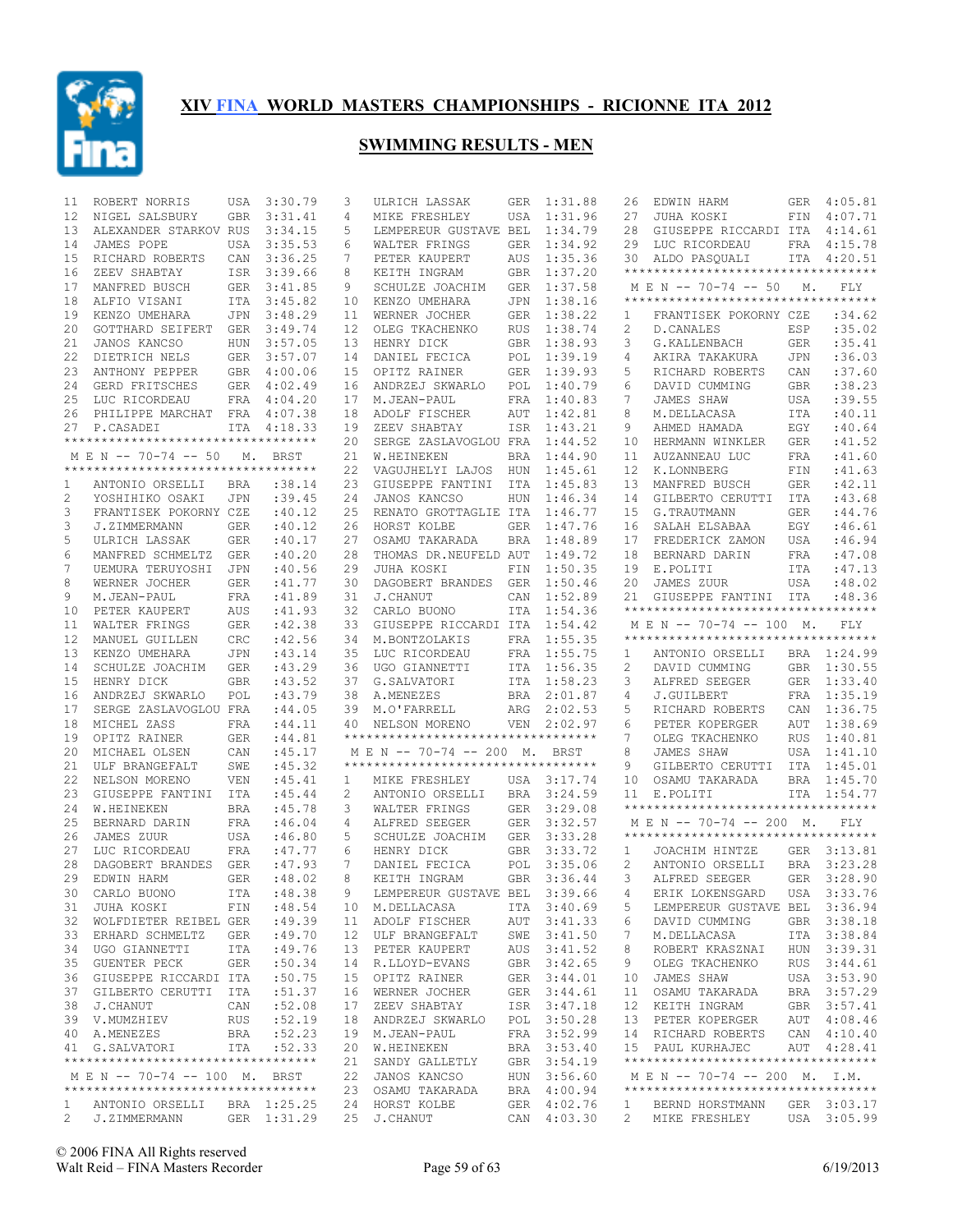

| 11 | ROBERT NORRIS                                       | USA        | 3:30.79          | 3               | ULRICH LASSAK                       | GER        | 1:31.88                    | 26           | EDWIN HARM                          | GER        | 4:05.81                |
|----|-----------------------------------------------------|------------|------------------|-----------------|-------------------------------------|------------|----------------------------|--------------|-------------------------------------|------------|------------------------|
| 12 | NIGEL SALSBURY                                      | <b>GBR</b> | 3:31.41          | 4               | MIKE FRESHLEY                       | USA        | 1:31.96                    | 27           | JUHA KOSKI                          | FIN        | 4:07.71                |
| 13 | ALEXANDER STARKOV RUS                               |            | 3:34.15          | 5               | LEMPEREUR GUSTAVE BEL               |            | 1:34.79                    | 28           | GIUSEPPE RICCARDI ITA               |            | 4:14.61                |
| 14 | JAMES POPE                                          | USA        | 3:35.53          | 6               | WALTER FRINGS                       | GER        | 1:34.92                    | 29           | LUC RICORDEAU                       | FRA        | 4:15.78                |
| 15 | RICHARD ROBERTS                                     | CAN        | 3:36.25          | 7               | PETER KAUPERT                       | AUS        | 1:35.36                    | 30           | ALDO PASQUALI                       |            | ITA 4:20.51            |
| 16 | ZEEV SHABTAY                                        | ISR        | 3:39.66          | 8               | KEITH INGRAM                        | GBR        | 1:37.20                    |              | **********************************  |            |                        |
| 17 | MANFRED BUSCH                                       |            | GER 3:41.85      | 9               | SCHULZE JOACHIM                     | <b>GER</b> | 1:37.58                    |              | M E N -- 70-74 -- 50                | М.         | FLY                    |
| 18 | ALFIO VISANI                                        | ITA        | 3:45.82          | 10              | KENZO UMEHARA                       | JPN        | 1:38.16                    |              | **********************************  |            |                        |
| 19 | KENZO UMEHARA                                       | JPN        | 3:48.29          | 11              | WERNER JOCHER                       | GER        | 1:38.22                    | 1            | FRANTISEK POKORNY CZE               |            | :34.62                 |
| 20 | GOTTHARD SEIFERT                                    | GER        | 3:49.74          | 12 <sup>°</sup> | OLEG TKACHENKO                      | RUS        | 1:38.74                    | 2            | D.CANALES                           | ESP        | :35.02                 |
| 21 | JANOS KANCSO                                        | HUN        | 3:57.05          | 13              | HENRY DICK                          | GBR        | 1:38.93                    | 3            | G.KALLENBACH                        | <b>GER</b> | : 35.41                |
| 22 | DIETRICH NELS                                       | GER        | 3:57.07          | 14              | DANIEL FECICA                       | POL        | 1:39.19                    | 4            | AKIRA TAKAKURA                      | <b>JPN</b> | :36.03                 |
| 23 | ANTHONY PEPPER                                      |            | GBR 4:00.06      | 15              | OPITZ RAINER                        | GER        | 1:39.93                    | 5            | RICHARD ROBERTS                     | CAN        | :37.60                 |
| 24 | GERD FRITSCHES                                      | GER        | 4:02.49          | 16              | ANDRZEJ SKWARLO                     | POL        | 1:40.79                    | 6            | DAVID CUMMING                       | <b>GBR</b> | :38.23                 |
| 25 | LUC RICORDEAU                                       |            | FRA 4:04.20      | 17              | M.JEAN-PAUL                         | FRA        | 1:40.83                    | 7            | JAMES SHAW                          | <b>USA</b> | :39.55                 |
| 26 | PHILIPPE MARCHAT                                    |            | FRA 4:07.38      | 18              | ADOLF FISCHER                       | AUT        | 1:42.81                    | 8            | M.DELLACASA                         | <b>ITA</b> | :40.11                 |
| 27 | P.CASADEI                                           |            | ITA 4:18.33      | 19              | ZEEV SHABTAY                        | ISR        | 1:43.21                    | 9            | AHMED HAMADA                        | EGY        | :40.64                 |
|    | **********************************                  |            |                  | 20              | SERGE ZASLAVOGLOU FRA               |            | 1:44.52                    | 10           | HERMANN WINKLER                     | <b>GER</b> | : 41.52                |
|    | M E N -- 70-74 -- 50                                | М.         | BRST             | 21              | W.HEINEKEN                          | <b>BRA</b> | 1:44.90                    | 11           | AUZANNEAU LUC                       | <b>FRA</b> | :41.60                 |
|    | **********************************                  |            |                  | 22              | VAGUJHELYI LAJOS                    | HUN        | 1:45.61                    | 12           | K.LONNBERG                          | FIN        | :41.63                 |
| 1  | ANTONIO ORSELLI                                     | BRA        | :38.14           | 23              | GIUSEPPE FANTINI                    | ITA        | 1:45.83                    | 13           | MANFRED BUSCH                       | <b>GER</b> | :42.11                 |
| 2  | YOSHIHIKO OSAKI                                     | <b>JPN</b> | :39.45           | 24              | JANOS KANCSO                        | <b>HUN</b> | 1:46.34                    | 14           | GILBERTO CERUTTI                    | ITA        | :43.68                 |
| 3  | FRANTISEK POKORNY CZE                               |            | :40.12           | 25              | RENATO GROTTAGLIE ITA               |            | 1:46.77                    | 15           | G.TRAUTMANN                         | <b>GER</b> | :44.76                 |
| 3  | J.ZIMMERMANN                                        | <b>GER</b> | :40.12           | 26              | HORST KOLBE                         | <b>GER</b> | 1:47.76                    | 16           | SALAH ELSABAA                       | EGY        | :46.61                 |
| 5  | ULRICH LASSAK                                       | <b>GER</b> | :40.17           | 27              | OSAMU TAKARADA                      | <b>BRA</b> | 1:48.89                    | 17           | FREDERICK ZAMON                     | <b>USA</b> | :46.94                 |
| 6  | MANFRED SCHMELTZ                                    | <b>GER</b> | :40.20           | 28              | THOMAS DR.NEUFELD AUT               |            | 1:49.72                    | 18           | BERNARD DARIN                       | <b>FRA</b> | :47.08                 |
| 7  | UEMURA TERUYOSHI                                    | JPN        | :40.56           | 29              | JUHA KOSKI                          | FIN        | 1:50.35                    | 19           | E.POLITI                            | ITA        | :47.13                 |
| 8  | WERNER JOCHER                                       | GER        | : 41.77          | 30              | DAGOBERT BRANDES                    | <b>GER</b> | 1:50.46                    | 20           | JAMES ZUUR                          | USA        | :48.02                 |
| 9  | M.JEAN-PAUL                                         | FRA        | :41.89           | 31              | J.CHANUT                            | CAN        | 1:52.89                    | 21           | GIUSEPPE FANTINI                    | ITA        | :48.36                 |
| 10 | PETER KAUPERT                                       | AUS        | :41.93           | 32              | CARLO BUONO                         | ITA        | 1:54.36                    |              | **********************************  |            |                        |
| 11 | WALTER FRINGS                                       | GER        | :42.38           | 33              | GIUSEPPE RICCARDI ITA               |            | 1:54.42                    |              | M E N -- 70-74 -- 100 M.            |            | FLY.                   |
| 12 | MANUEL GUILLEN                                      | <b>CRC</b> | :42.56           | 34              | M.BONTZOLAKIS                       | FRA        | 1:55.35                    |              | **********************************  |            |                        |
| 13 | KENZO UMEHARA                                       | JPN        | :43.14           | 35              | LUC RICORDEAU                       | FRA        | 1:55.75                    | 1            | ANTONIO ORSELLI                     |            | BRA 1:24.99            |
| 14 | SCHULZE JOACHIM                                     | GER        | :43.29           | 36              | UGO GIANNETTI                       | ITA        | 1:56.35                    | 2            | DAVID CUMMING                       | GBR        | 1:30.55                |
| 15 | HENRY DICK                                          | <b>GBR</b> | :43.52           | 37              | G.SALVATORI                         | ITA        | 1:58.23                    | 3            | ALFRED SEEGER                       |            | GER 1:33.40            |
| 16 | ANDRZEJ SKWARLO                                     | POL        | :43.79           | 38              | A.MENEZES                           | BRA        | 2:01.87                    | 4            | J.GUILBERT                          |            | FRA 1:35.19            |
|    |                                                     |            | :44.05           | 39              | M.O'FARRELL                         | ARG        | 2:02.53                    | 5            | RICHARD ROBERTS                     | CAN        | 1:36.75                |
| 17 | SERGE ZASLAVOGLOU FRA                               |            |                  |                 | NELSON MORENO                       |            |                            |              | PETER KOPERGER                      | AUT        | 1:38.69                |
| 18 | MICHEL ZASS                                         | FRA        | :44.11           | 40              |                                     |            | VEN 2:02.97                | 6            |                                     |            |                        |
| 19 | OPITZ RAINER                                        | <b>GER</b> | :44.81           |                 | *********************************** |            |                            | 7            | OLEG TKACHENKO                      | <b>RUS</b> | 1:40.81                |
| 20 | MICHAEL OLSEN                                       | CAN        | :45.17           |                 | M E N -- 70-74 -- 200 M.            |            | BRST                       | 8            | JAMES SHAW                          | USA        | 1:41.10                |
| 21 | ULF BRANGEFALT                                      | SWE        | :45.32           |                 | **********************************  |            |                            | 9            | GILBERTO CERUTTI                    | ITA        | 1:45.01                |
| 22 | NELSON MORENO                                       | VEN        | :45.41           | $\mathbf{1}$    | MIKE FRESHLEY                       |            | USA 3:17.74                | 10           | OSAMU TAKARADA                      |            | BRA 1:45.70            |
| 23 | GIUSEPPE FANTINI                                    | ITA        | :45.44           | 2               | ANTONIO ORSELLI                     | BRA        | 3:24.59                    | 11           | E.POLITI                            | ITA        | 1:54.77                |
| 24 | W.HEINEKEN                                          | <b>BRA</b> | :45.78           | 3               | WALTER FRINGS                       | GER        | 3:29.08                    |              | *********************************** |            |                        |
| 25 | BERNARD DARIN                                       | FRA        | :46.04           | 4               | ALFRED SEEGER                       | GER        | 3:32.57                    |              | M E N -- 70-74 -- 200 M.            |            | FLY                    |
| 26 | JAMES ZUUR                                          | USA        | :46.80           | 5               | SCHULZE JOACHIM                     |            | GER 3:33.28                |              | **********************************  |            |                        |
| 27 | LUC RICORDEAU                                       | FRA        | :47.77           | 6               | HENRY DICK                          | GBR        | 3:33.72                    | 1            | JOACHIM HINTZE                      |            | GER 3:13.81            |
| 28 | DAGOBERT BRANDES                                    | <b>GER</b> | :47.93           | 7               | DANIEL FECICA                       | POL        | 3:35.06                    | 2            | ANTONIO ORSELLI                     |            | BRA 3:23.28            |
| 29 | EDWIN HARM                                          | <b>GER</b> | :48.02           | 8               | KEITH INGRAM                        |            | GBR 3:36.44                | 3            | ALFRED SEEGER                       | GER        | 3:28.90                |
|    | 30 CARLO BUONO                                      |            | ITA : 48.38      |                 | 9 LEMPEREUR GUSTAVE BEL 3:39.66     |            |                            |              | 4 ERIK LOKENSGARD USA 3:33.76       |            |                        |
|    | 31 JUHA KOSKI                                       | FIN        | :48.54           |                 | 10 M.DELLACASA                      |            | ITA 3:40.69                | 5            | LEMPEREUR GUSTAVE BEL 3:36.94       |            |                        |
|    | 32 WOLFDIETER REIBEL GER                            |            | :49.39           |                 | 11 ADOLF FISCHER                    |            | AUT 3:41.33                | 6            | DAVID CUMMING                       |            | GBR 3:38.18            |
|    | 33 ERHARD SCHMELTZ                                  | GER        | :49.70           |                 | 12 ULF BRANGEFALT                   |            | SWE 3:41.50                | 7            | M.DELLACASA                         |            | ITA 3:38.84            |
|    | 34 UGO GIANNETTI                                    | ITA        |                  |                 | 13 PETER KAUPERT                    |            |                            | 8            | ROBERT KRASZNAI                     |            |                        |
|    |                                                     |            | :49.76           |                 | 14 R.LLOYD-EVANS                    |            | AUS 3:41.52<br>3:42.65     | 9            |                                     |            | HUN 3:39.31            |
| 35 | GUENTER PECK                                        | GER        | :50.34<br>:50.75 |                 |                                     | GBR        |                            | 10           | OLEG TKACHENKO                      | RUS        | 3:44.61<br>USA 3:53.90 |
|    | 36 GIUSEPPE RICCARDI ITA<br>37 GILBERTO CERUTTI ITA |            | :51.37           |                 | 15 OPITZ RAINER<br>16 WERNER JOCHER |            | GER 3:44.01<br>GER 3:44.61 | 11           | JAMES SHAW<br>OSAMU TAKARADA        |            | BRA 3:57.29            |
|    | 38 J.CHANUT                                         | CAN        |                  | 17              | ZEEV SHABTAY                        |            | ISR 3:47.18                | 12           | KEITH INGRAM                        |            | GBR 3:57.41            |
|    | 39 V.MUMZHIEV                                       | RUS        | :52.08<br>:52.19 |                 | 18 ANDRZEJ SKWARLO                  | POL        | 3:50.28                    | 13           | PETER KOPERGER                      |            | AUT 4:08.46            |
|    | 40 A.MENEZES                                        | BRA        | :52.23           |                 | 19 M.JEAN-PAUL                      |            | FRA 3:52.99                | 14           | RICHARD ROBERTS                     |            | CAN 4:10.40            |
|    | 41 G. SALVATORI                                     | ITA        | :52.33           |                 | 20 W.HEINEKEN                       |            | BRA 3:53.40                |              | 15 PAUL KURHAJEC                    |            | AUT 4:28.41            |
|    | **********************************                  |            |                  |                 | 21 SANDY GALLETLY                   |            | GBR 3:54.19                |              | **********************************  |            |                        |
|    | M E N -- 70-74 -- 100 M. BRST                       |            |                  |                 | 22 JANOS KANCSO                     |            | HUN 3:56.60                |              | MEN -- 70-74 -- 200 M. I.M.         |            |                        |
|    | ***********************************                 |            |                  |                 | 23 OSAMU TAKARADA                   |            | BRA 4:00.94                |              | *********************************** |            |                        |
| 1  | ANTONIO ORSELLI BRA 1:25.25                         |            |                  |                 | 24 HORST KOLBE                      |            | GER 4:02.76                | $\mathbf{1}$ | BERND HORSTMANN                     |            | GER 3:03.17            |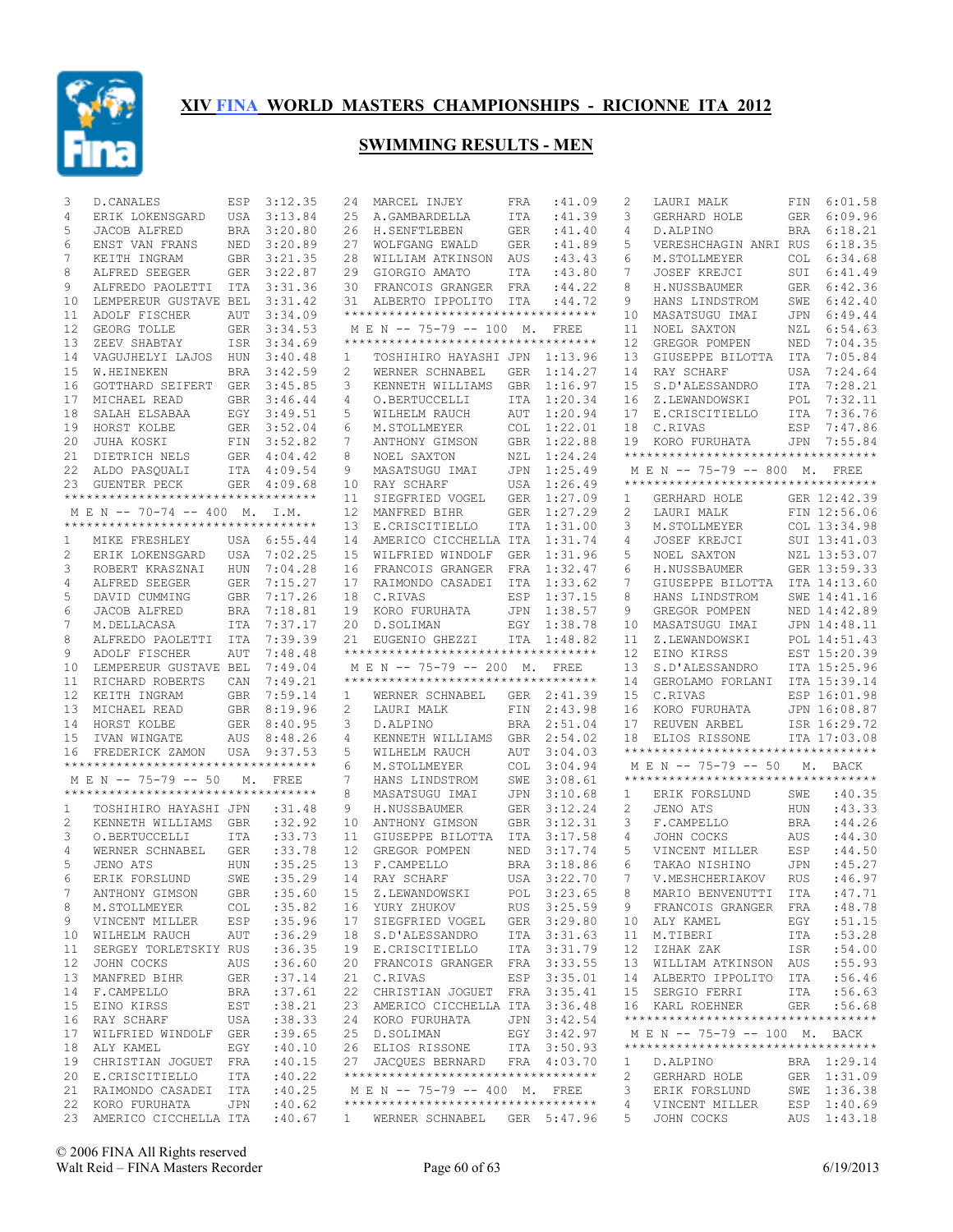

| 3        | D.CANALES                                                      | ESP               | 3:12.35            | 24                | MARCEL INJEY                                         | FRA        | :41.09             | 2      | LAURI MALK                         | FIN        | 6:01.58                      |
|----------|----------------------------------------------------------------|-------------------|--------------------|-------------------|------------------------------------------------------|------------|--------------------|--------|------------------------------------|------------|------------------------------|
| 4        | ERIK LOKENSGARD                                                | USA               | 3:13.84            | 25                | A.GAMBARDELLA                                        | ITA        | : 41.39            | 3      | GERHARD HOLE                       | GER        | 6:09.96                      |
| 5        | JACOB ALFRED                                                   | <b>BRA</b>        | 3:20.80            | 26                | H.SENFTLEBEN                                         | <b>GER</b> | :41.40             | 4      | D.ALPINO                           | <b>BRA</b> | 6:18.21                      |
| 6        | ENST VAN FRANS                                                 | NED               | 3:20.89            | 27                | WOLFGANG EWALD                                       | <b>GER</b> | : 41.89            | 5      | VERESHCHAGIN ANRI RUS              |            | 6:18.35                      |
| 7        | KEITH INGRAM                                                   | <b>GBR</b>        | 3:21.35            | 28                | WILLIAM ATKINSON                                     | AUS        | :43.43             | 6      | M.STOLLMEYER                       | COL.       | 6:34.68                      |
| 8        | ALFRED SEEGER                                                  | GER               | 3:22.87            | 29                | GIORGIO AMATO                                        | ITA        | :43.80             | 7      | JOSEF KREJCI                       | SUI        | 6:41.49                      |
| 9        | ALFREDO PAOLETTI                                               | ITA               | 3:31.36            | 30                | FRANCOIS GRANGER                                     | FRA        | : 44.22            | 8      | H.NUSSBAUMER                       | <b>GER</b> | 6:42.36                      |
| 10       | LEMPEREUR GUSTAVE BEL                                          |                   | 3:31.42            | 31                | ALBERTO IPPOLITO                                     | ITA        | : 44.72            | 9      | HANS LINDSTROM                     | SWE        | 6:42.40                      |
| 11       | ADOLF FISCHER                                                  | AUT               | 3:34.09            |                   | *********************************                    |            |                    | 10     | MASATSUGU IMAI                     | JPN        | 6:49.44                      |
| 12       | GEORG TOLLE                                                    | GER               | 3:34.53            |                   | M E N -- 75-79 -- 100 M.                             |            | FREE               | 11     | NOEL SAXTON                        | NZL        | 6:54.63                      |
| 13       | ZEEV SHABTAY                                                   | ISR               | 3:34.69            |                   | **********************************                   |            |                    | 12     | GREGOR POMPEN                      | NED        | 7:04.35                      |
| 14       | VAGUJHELYI LAJOS                                               | HUN               | 3:40.48            | 1                 | TOSHIHIRO HAYASHI JPN                                |            | 1:13.96            | 13     | GIUSEPPE BILOTTA                   | ITA        | 7:05.84                      |
| 15       | W.HEINEKEN                                                     | <b>BRA</b>        | 3:42.59            | 2                 | WERNER SCHNABEL                                      | <b>GER</b> | 1:14.27            | 14     | RAY SCHARF                         | USA        | 7:24.64                      |
| 16       | GOTTHARD SEIFERT                                               | GER               | 3:45.85            | 3                 | KENNETH WILLIAMS                                     | <b>GBR</b> | 1:16.97            | 15     | S.D'ALESSANDRO                     | ITA        | 7:28.21                      |
| 17       | MICHAEL READ                                                   |                   | GBR 3:46.44        | 4                 | O.BERTUCCELLI                                        | ITA        | 1:20.34            | 16     | Z.LEWANDOWSKI                      | POL        | 7:32.11                      |
| 18       | SALAH ELSABAA                                                  | EGY               | 3:49.51            | 5                 | WILHELM RAUCH                                        | AUT        | 1:20.94            | 17     | E.CRISCITIELLO                     | ITA        | 7:36.76                      |
| 19       | HORST KOLBE                                                    |                   | GER 3:52.04        | 6                 | M.STOLLMEYER                                         | <b>COL</b> | 1:22.01            | 18     | C.RIVAS                            | ESP        | 7:47.86                      |
| 20       | JUHA KOSKI                                                     | FIN               | 3:52.82            | 7                 | ANTHONY GIMSON                                       | <b>GBR</b> | 1:22.88            | 19     | KORO FURUHATA                      | <b>JPN</b> | 7:55.84                      |
| 21       | DIETRICH NELS                                                  |                   | GER 4:04.42        | 8                 | NOEL SAXTON                                          | NZL        | 1:24.24            |        | ********************************** |            |                              |
| 22       | ALDO PASQUALI                                                  |                   | ITA 4:09.54        | 9                 | MASATSUGU IMAI                                       | JPN        | 1:25.49            |        | M E N -- 75-79 -- 800 M. FREE      |            |                              |
| 23       | <b>GUENTER PECK</b><br>**********************************      | GER               | 4:09.68            | 10                | RAY SCHARF                                           | <b>USA</b> | 1:26.49            |        | ********************************** |            |                              |
|          |                                                                |                   |                    | 11                | SIEGFRIED VOGEL                                      | <b>GER</b> | 1:27.09            | 1      | GERHARD HOLE                       |            | GER 12:42.39                 |
|          | M E N -- 70-74 -- 400 M.<br>********************************** |                   | I.M.               | $12 \overline{ }$ | MANFRED BIHR                                         | <b>GER</b> | 1:27.29            | 2      | LAURI MALK                         |            | FIN 12:56.06                 |
|          |                                                                |                   |                    | 13                | E.CRISCITIELLO                                       | <b>ITA</b> | 1:31.00            | 3      | M.STOLLMEYER                       |            | COL 13:34.98                 |
| 1        | MIKE FRESHLEY                                                  |                   | USA 6:55.44        | 14                | AMERICO CICCHELLA ITA                                |            | 1:31.74            | 4      | JOSEF KREJCI                       |            | SUI 13:41.03                 |
| 2        | ERIK LOKENSGARD                                                | USA               | 7:02.25            | 15                | WILFRIED WINDOLF                                     | <b>GER</b> | 1:31.96            | 5      | NOEL SAXTON                        |            | NZL 13:53.07                 |
| 3        | ROBERT KRASZNAI                                                | <b>HUN</b>        | 7:04.28            | 16                | FRANCOIS GRANGER                                     | FRA        | 1:32.47            | 6      | H.NUSSBAUMER                       |            | GER 13:59.33                 |
| 4        | ALFRED SEEGER                                                  | <b>GER</b>        | 7:15.27            | 17                | RAIMONDO CASADEI                                     | <b>ITA</b> | 1:33.62            | 7      | GIUSEPPE BILOTTA                   |            | ITA 14:13.60                 |
| 5        | DAVID CUMMING                                                  | <b>GBR</b>        | 7:17.26            | 18                | C.RIVAS                                              | ESP        | 1:37.15<br>1:38.57 | 8<br>9 | HANS LINDSTROM                     |            | SWE 14:41.16<br>NED 14:42.89 |
| 6        | JACOB ALFRED<br>M.DELLACASA                                    | <b>BRA</b>        | 7:18.81            | 19                | KORO FURUHATA                                        | JPN        |                    |        | GREGOR POMPEN                      |            |                              |
| 7        |                                                                | ITA               | 7:37.17<br>7:39.39 | 20                | D.SOLIMAN                                            | EGY        | 1:38.78            | 10     | MASATSUGU IMAI                     |            | JPN 14:48.11                 |
| 8<br>9   | ALFREDO PAOLETTI<br>ADOLF FISCHER                              | ITA<br><b>AUT</b> | 7:48.48            | 21                | EUGENIO GHEZZI<br>********************************** | ITA        | 1:48.82            | 11     | Z.LEWANDOWSKI<br>EINO KIRSS        |            | POL 14:51.43<br>EST 15:20.39 |
|          |                                                                |                   |                    |                   |                                                      |            |                    | 12     |                                    |            |                              |
|          |                                                                |                   |                    |                   |                                                      |            |                    |        |                                    |            |                              |
| 10       | LEMPEREUR GUSTAVE BEL                                          |                   | 7:49.04            |                   | M E N -- 75-79 -- 200 M.                             |            | FREE               | 13     | S.D'ALESSANDRO                     |            | ITA 15:25.96                 |
| 11       | RICHARD ROBERTS                                                | CAN               | 7:49.21            |                   | **********************************                   |            |                    | 14     | GEROLAMO FORLANI                   |            | ITA 15:39.14                 |
| 12       | KEITH INGRAM                                                   | <b>GBR</b>        | 7:59.14            | 1                 | WERNER SCHNABEL                                      |            | GER 2:41.39        | 15     | C.RIVAS                            |            | ESP 16:01.98                 |
| 13       | MICHAEL READ                                                   | <b>GBR</b>        | 8:19.96            | 2                 | LAURI MALK                                           | FIN        | 2:43.98            | 16     | KORO FURUHATA                      |            | JPN 16:08.87                 |
| 14       | HORST KOLBE                                                    | <b>GER</b>        | 8:40.95            | 3                 | D.ALPINO                                             | <b>BRA</b> | 2:51.04            | 17     | REUVEN ARBEL                       |            | ISR 16:29.72                 |
| 15       | IVAN WINGATE                                                   | AUS               | 8:48.26            | 4                 | KENNETH WILLIAMS                                     | <b>GBR</b> | 2:54.02            | 18     | ELIOS RISSONE                      |            | ITA 17:03.08                 |
| 16       | FREDERICK ZAMON                                                | USA               | 9:37.53            | 5                 | WILHELM RAUCH                                        | AUT        | 3:04.03            |        | ********************************** |            |                              |
|          | **********************************                             |                   |                    | 6                 | M.STOLLMEYER                                         | <b>COL</b> | 3:04.94            |        | M E N -- 75-79 -- 50               | М.         | BACK                         |
|          | M E N -- 75-79 -- 50                                           | М.                | FREE               | 7                 | HANS LINDSTROM                                       | SWE        | 3:08.61            |        | ********************************** |            |                              |
|          | **********************************                             |                   |                    | 8                 | MASATSUGU IMAI                                       | JPN        | 3:10.68            | ı.     | ERIK FORSLUND                      | SWE        | :40.35                       |
| 1        | TOSHIHIRO HAYASHI JPN                                          |                   | :31.48             | 9                 | H.NUSSBAUMER                                         | <b>GER</b> | 3:12.24            | 2      | JENO ATS                           | <b>HUN</b> | :43.33                       |
| 2        | KENNETH WILLIAMS                                               | <b>GBR</b>        | :32.92             | 10                | ANTHONY GIMSON                                       | <b>GBR</b> | 3:12.31            | 3      | F.CAMPELLO                         | <b>BRA</b> | : 44.26                      |
| 3        | O.BERTUCCELLI                                                  | <b>ITA</b>        | : 33.73            | 11                | GIUSEPPE BILOTTA                                     | <b>ITA</b> | 3:17.58            | 4      | JOHN COCKS                         | AUS        | : 44.30                      |
| 4        | WERNER SCHNABEL                                                | <b>GER</b>        | :33.78             | 12                | GREGOR POMPEN                                        | <b>NED</b> | 3:17.74            | 5      | VINCENT MILLER                     | ESP        | :44.50                       |
| 5        | JENO ATS                                                       | HUN               | :35.25             | 13                | F.CAMPELLO                                           | <b>BRA</b> | 3:18.86            | 6      | TAKAO NISHINO                      | <b>JPN</b> | :45.27                       |
| 6        | ERIK FORSLUND                                                  | SWE               | :35.29             | 14                | RAY SCHARF                                           | USA        | 3:22.70            | 7      | V.MESHCHERIAKOV                    | <b>RUS</b> | :46.97                       |
|          | ANTHONY GIMSON                                                 | GBR               | :35.60             |                   | 15 Z.LEWANDOWSKI                                     |            | POL 3:23.65        | 8      | MARIO BENVENUTTI ITA : 47.71       |            |                              |
| 8        | M.STOLLMEYER                                                   | COL               | :35.82             |                   | 16 YURY ZHUKOV                                       |            | RUS 3:25.59        | 9      | FRANCOIS GRANGER FRA               |            | :48.78                       |
| 9        | VINCENT MILLER                                                 | ESP               | :35.96             |                   | 17 SIEGFRIED VOGEL                                   |            | GER 3:29.80        |        | 10 ALY KAMEL                       | EGY        | :51.15                       |
|          | 10 WILHELM RAUCH                                               | AUT               | :36.29             |                   | 18 S.D'ALESSANDRO                                    |            | ITA 3:31.63        | 11     | M.TIBERI                           | ITA        | : 53.28                      |
| 11       | SERGEY TORLETSKIY RUS                                          |                   | :36.35             |                   | 19 E.CRISCITIELLO                                    |            | ITA 3:31.79        | 12     | IZHAK ZAK                          | ISR        | :54.00                       |
| 12       | JOHN COCKS                                                     | AUS               | :36.60             |                   | 20 FRANCOIS GRANGER FRA                              |            | 3:33.55            | 13     | WILLIAM ATKINSON                   | AUS        | : 55.93                      |
| 13       | MANFRED BIHR                                                   | GER               | :37.14             |                   | 21 C.RIVAS                                           |            | ESP 3:35.01        | 14     | ALBERTO IPPOLITO                   | ITA        | :56.46                       |
| 14<br>15 | F.CAMPELLO                                                     | BRA               | :37.61             |                   | 22 CHRISTIAN JOGUET                                  | FRA        | 3:35.41            | 15     | SERGIO FERRI<br>16 KARL ROEHNER    | ITA        | :56.63                       |
| 16       | EINO KIRSS<br>RAY SCHARF                                       | EST<br>USA        | :38.21<br>:38.33   |                   | 23 AMERICO CICCHELLA ITA 3:36.48<br>24 KORO FURUHATA | JPN        | 3:42.54            |        | ********************************** | <b>GER</b> | :56.68                       |
| 17       | WILFRIED WINDOLF                                               | GER               | :39.65             |                   | 25 D.SOLIMAN                                         |            | EGY 3:42.97        |        | M E N -- 75-79 -- 100 M. BACK      |            |                              |
| 18       | ALY KAMEL                                                      | EGY               | :40.10             |                   | 26 ELIOS RISSONE                                     |            | ITA 3:50.93        |        | ********************************** |            |                              |
| 19       | CHRISTIAN JOGUET                                               | FRA               | :40.15             |                   | 27 JACQUES BERNARD                                   |            | FRA 4:03.70        | 1      | D.ALPINO                           |            | BRA 1:29.14                  |
| 20       | E.CRISCITIELLO                                                 | ITA               | :40.22             |                   | **********************************                   |            |                    | 2      | GERHARD HOLE                       |            | GER 1:31.09                  |
| 21       | RAIMONDO CASADEI ITA                                           |                   | :40.25             |                   | M E N -- 75-79 -- 400 M. FREE                        |            |                    | 3      | ERIK FORSLUND                      |            | SWE 1:36.38                  |
| 22       | KORO FURUHATA                                                  | JPN               | :40.62             |                   | **********************************                   |            |                    | 4      | VINCENT MILLER                     |            | ESP 1:40.69                  |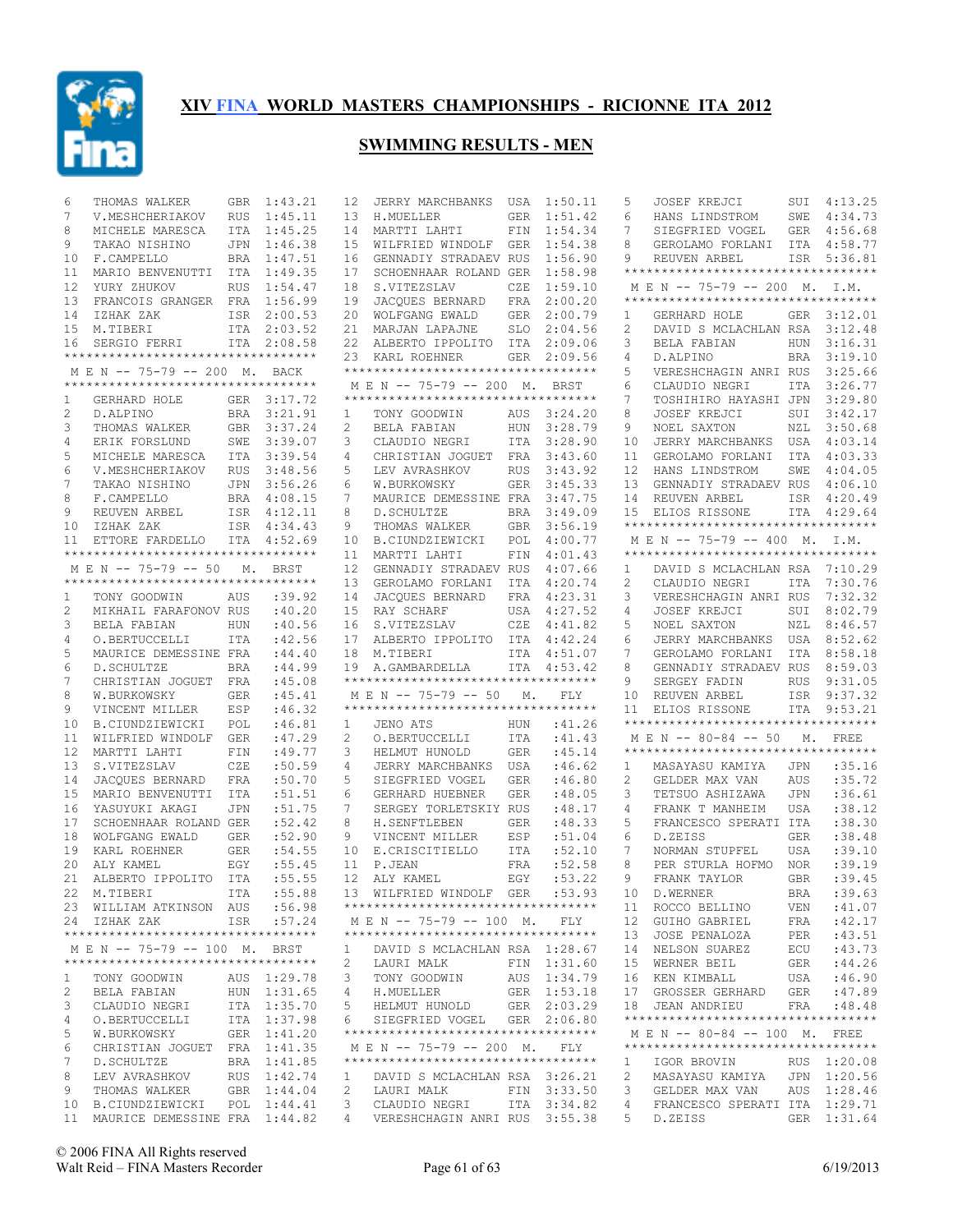

| 6            | THOMAS WALKER                                                      | GBR        | 1:43.21     | 12           | JERRY MARCHBANKS                                                 | USA        | 1:50.11     | 5              | JOSEF KREJCI                               | SUI        | 4:13.25     |
|--------------|--------------------------------------------------------------------|------------|-------------|--------------|------------------------------------------------------------------|------------|-------------|----------------|--------------------------------------------|------------|-------------|
| 7            | V.MESHCHERIAKOV                                                    | RUS        | 1:45.11     | 13           | H.MUELLER                                                        | <b>GER</b> | 1:51.42     | 6              | HANS LINDSTROM                             | SWE        | 4:34.73     |
| 8            | MICHELE MARESCA                                                    |            | ITA 1:45.25 | 14           | MARTTI LAHTI                                                     | FIN        | 1:54.34     | 7              | SIEGFRIED VOGEL                            | GER        | 4:56.68     |
| 9            | TAKAO NISHINO                                                      | JPN        | 1:46.38     | 15           | WILFRIED WINDOLF                                                 | <b>GER</b> | 1:54.38     | 8              | GEROLAMO FORLANI                           | ITA        | 4:58.77     |
| 10           | F.CAMPELLO                                                         |            | BRA 1:47.51 | 16           | GENNADIY STRADAEV RUS                                            |            | 1:56.90     | 9              | REUVEN ARBEL                               | ISR        | 5:36.81     |
| 11           | MARIO BENVENUTTI                                                   |            | ITA 1:49.35 | 17           | SCHOENHAAR ROLAND GER                                            |            | 1:58.98     |                | **********************************         |            |             |
| 12           | YURY ZHUKOV                                                        | RUS        | 1:54.47     | 18           | S.VITEZSLAV                                                      | CZE        | 1:59.10     |                | MEN -- 75-79 -- 200 M. I.M.                |            |             |
| 13           | FRANCOIS GRANGER FRA 1:56.99                                       |            |             | 19           | JACQUES BERNARD                                                  | FRA        | 2:00.20     |                | **********************************         |            |             |
| 14           | IZHAK ZAK                                                          |            | ISR 2:00.53 | 20           | WOLFGANG EWALD                                                   | GER        | 2:00.79     | 1              | GERHARD HOLE                               |            | GER 3:12.01 |
| 15           | M.TIBERI                                                           |            | ITA 2:03.52 | 21           | MARJAN LAPAJNE                                                   | SLO        | 2:04.56     | 2              | DAVID S MCLACHLAN RSA                      |            | 3:12.48     |
| 16           | SERGIO FERRI                                                       |            | ITA 2:08.58 |              | 22 ALBERTO IPPOLITO                                              |            | ITA 2:09.06 | 3              | BELA FABIAN                                | HUN        | 3:16.31     |
|              | **********************************                                 |            |             |              | 23 KARL ROEHNER                                                  |            | GER 2:09.56 | 4              | D.ALPINO                                   | BRA        | 3:19.10     |
|              | M E N -- 75-79 -- 200 M. BACK                                      |            |             |              | **********************************                               |            |             | 5              | VERESHCHAGIN ANRI RUS                      |            | 3:25.66     |
|              | **********************************                                 |            |             |              | M E N -- 75-79 -- 200 M. BRST                                    |            |             | 6              | CLAUDIO NEGRI                              | ITA        | 3:26.77     |
|              | GERHARD HOLE                                                       |            |             |              | **********************************                               |            |             | 7              |                                            |            | 3:29.80     |
| 1            |                                                                    |            | GER 3:17.72 |              |                                                                  |            |             |                | TOSHIHIRO HAYASHI JPN                      |            |             |
| 2            | D.ALPINO                                                           |            | BRA 3:21.91 | $\mathbf{1}$ | TONY GOODWIN                                                     | AUS        | 3:24.20     | 8              | <b>JOSEF KREJCI</b>                        | SUI        | 3:42.17     |
| 3            | THOMAS WALKER                                                      |            | GBR 3:37.24 | 2            | BELA FABIAN                                                      | HUN        | 3:28.79     | 9              | NOEL SAXTON                                | NZL        | 3:50.68     |
| 4            | ERIK FORSLUND                                                      |            | SWE 3:39.07 | 3            | CLAUDIO NEGRI                                                    | ITA        | 3:28.90     | 10             | JERRY MARCHBANKS                           | USA        | 4:03.14     |
| 5            | MICHELE MARESCA                                                    |            | ITA 3:39.54 | 4            | CHRISTIAN JOGUET                                                 | FRA        | 3:43.60     | 11             | GEROLAMO FORLANI                           | ITA        | 4:03.33     |
| 6            | V.MESHCHERIAKOV                                                    | <b>RUS</b> | 3:48.56     | 5            | LEV AVRASHKOV                                                    | <b>RUS</b> | 3:43.92     | 12             | HANS LINDSTROM                             | SWE        | 4:04.05     |
| 7            | TAKAO NISHINO                                                      | JPN        | 3:56.26     | 6            | W.BURKOWSKY                                                      | GER        | 3:45.33     | 13             | GENNADIY STRADAEV RUS                      |            | 4:06.10     |
| 8            | F.CAMPELLO                                                         |            | BRA 4:08.15 | 7            | MAURICE DEMESSINE FRA                                            |            | 3:47.75     | 14             | REUVEN ARBEL                               |            | ISR 4:20.49 |
| 9            | REUVEN ARBEL                                                       |            | ISR 4:12.11 | 8            | D.SCHULTZE                                                       | <b>BRA</b> | 3:49.09     | 15             | ELIOS RISSONE                              |            | ITA 4:29.64 |
| 10           | IZHAK ZAK                                                          |            | ISR 4:34.43 | 9            | THOMAS WALKER                                                    | GBR        | 3:56.19     |                | **********************************         |            |             |
| 11           | ETTORE FARDELLO                                                    |            | ITA 4:52.69 | 10           | B.CIUNDZIEWICKI                                                  | POL        | 4:00.77     |                | M E N -- 75-79 -- 400 M. I.M.              |            |             |
|              | **********************************                                 |            |             | 11           | MARTTI LAHTI                                                     | FIN        | 4:01.43     |                | **********************************         |            |             |
|              | M E N -- 75-79 -- 50                                               | М.         | BRST        | 12           | GENNADIY STRADAEV RUS                                            |            | 4:07.66     | 1              | DAVID S MCLACHLAN RSA                      |            | 7:10.29     |
|              | **********************************                                 |            |             | 13           | GEROLAMO FORLANI                                                 | ITA        | 4:20.74     | $\overline{c}$ | CLAUDIO NEGRI                              | <b>ITA</b> | 7:30.76     |
| 1            | TONY GOODWIN                                                       | AUS        | :39.92      | 14           | JACOUES BERNARD                                                  | FRA        | 4:23.31     | 3              | VERESHCHAGIN ANRI RUS                      |            | 7:32.32     |
|              |                                                                    |            |             | 15           |                                                                  |            |             |                | JOSEF KREJCI                               | SUI        | 8:02.79     |
| 2            | MIKHAIL FARAFONOV RUS                                              |            | :40.20      |              | RAY SCHARF                                                       | USA        | 4:27.52     | 4              |                                            |            |             |
| 3            | BELA FABIAN                                                        | HUN        | :40.56      | 16           | S.VITEZSLAV                                                      | CZE        | 4:41.82     | 5              | NOEL SAXTON                                | NZL        | 8:46.57     |
| 4            | O.BERTUCCELLI                                                      | <b>ITA</b> | :42.56      | 17           | ALBERTO IPPOLITO ITA                                             |            | 4:42.24     | 6              | JERRY MARCHBANKS USA                       |            | 8:52.62     |
| 5            | MAURICE DEMESSINE FRA                                              |            | :44.40      | 18           | M.TIBERI                                                         | ITA        | 4:51.07     | 7              | GEROLAMO FORLANI                           | ITA        | 8:58.18     |
| 6            | D.SCHULTZE                                                         | <b>BRA</b> | :44.99      |              | 19 A.GAMBARDELLA                                                 |            | ITA 4:53.42 | 8              | GENNADIY STRADAEV RUS                      |            | 8:59.03     |
| 7            | CHRISTIAN JOGUET FRA                                               |            | :45.08      |              | ***********************************                              |            |             | 9              | SERGEY FADIN                               | <b>RUS</b> | 9:31.05     |
| 8            | W.BURKOWSKY                                                        | <b>GER</b> | :45.41      |              | M E N -- 75-79 -- 50                                             | М.         | FLY         | 10             | REUVEN ARBEL                               |            | ISR 9:37.32 |
| 9            | VINCENT MILLER                                                     | ESP        | :46.32      |              | ***********************************                              |            |             | 11             | ELIOS RISSONE                              | ITA        | 9:53.21     |
| 10           | B.CIUNDZIEWICKI                                                    | POL        | :46.81      | $\mathbf{1}$ | JENO ATS                                                         | HUN        | :41.26      |                | ***********************************        |            |             |
| 11           | WILFRIED WINDOLF                                                   | GER        | :47.29      | 2            | O.BERTUCCELLI                                                    | ITA        | :41.43      |                | M E N -- 80-84 -- 50                       | М.         | FREE        |
| 12           | MARTTI LAHTI                                                       | FIN        | :49.77      | 3            | HELMUT HUNOLD                                                    | GER        | :45.14      |                | **********************************         |            |             |
| 13           | S.VITEZSLAV                                                        | CZE        | :50.59      | 4            | JERRY MARCHBANKS                                                 | USA        | :46.62      | 1              | MASAYASU KAMIYA                            | JPN        | :35.16      |
| 14           | JACQUES BERNARD                                                    | FRA        | :50.70      | 5            | SIEGFRIED VOGEL                                                  | <b>GER</b> | :46.80      | 2              | GELDER MAX VAN                             | <b>AUS</b> | :35.72      |
| 15           | MARIO BENVENUTTI                                                   | ITA        | :51.51      | 6            | GERHARD HUEBNER                                                  | <b>GER</b> | :48.05      | 3              | TETSUO ASHIZAWA                            | <b>JPN</b> | :36.61      |
| 16           | YASUYUKI AKAGI                                                     | <b>JPN</b> | :51.75      | 7            | SERGEY TORLETSKIY RUS                                            |            | :48.17      | 4              | FRANK T MANHEIM                            | <b>USA</b> | :38.12      |
| 17           | SCHOENHAAR ROLAND GER                                              |            | :52.42      | 8            | H. SENFTLEBEN                                                    |            | :48.33      | 5              |                                            |            | :38.30      |
|              |                                                                    |            |             |              |                                                                  | <b>GER</b> |             |                | FRANCESCO SPERATI ITA<br>D.ZEISS           |            |             |
| 18           | WOLFGANG EWALD                                                     | <b>GER</b> | :52.90      | 9            | VINCENT MILLER                                                   | ESP        | :51.04      | 6              |                                            | <b>GER</b> | :38.48      |
| 19           | KARL ROEHNER                                                       | <b>GER</b> | :54.55      | 10           | E.CRISCITIELLO                                                   | ITA        | :52.10      | 7              | NORMAN STUPFEL                             | USA        | :39.10      |
| 20           | ALY KAMEL                                                          | EGY        | :55.45      |              | 11 P.JEAN                                                        | <b>FRA</b> | :52.58      | 8              | PER STURLA HOFMO                           | <b>NOR</b> | :39.19      |
| 21           | ALBERTO IPPOLITO ITA                                               |            | :55.55      |              | 12 ALY KAMEL                                                     | EGY        | :53.22      | 9              | FRANK TAYLOR                               | <b>GBR</b> | :39.45      |
|              | 22 M.TIBERI ITA :55.88                                             |            |             |              | 13 WILFRIED WINDOLF GER :53.93                                   |            |             |                | 10 D.WERNER                                |            | BRA : 39.63 |
|              | 23 WILLIAM ATKINSON AUS :56.98                                     |            |             |              | **********************************                               |            |             |                | 11 ROCCO BELLINO                           | VEN        | :41.07      |
|              | 24 IZHAK ZAK                                                       |            | ISR :57.24  |              | MEN -- 75-79 -- 100 M. FLY                                       |            |             |                | 12 GUIHO GABRIEL                           | FRA        | :42.17      |
|              | ***********************************                                |            |             |              | ***********************************                              |            |             |                | 13 JOSE PENALOZA                           | PER        | :43.51      |
|              | M E N -- 75-79 -- 100 M. BRST                                      |            |             | $\mathbf{1}$ | DAVID S MCLACHLAN RSA 1:28.67                                    |            |             |                | 14 NELSON SUAREZ                           | ECU        | :43.73      |
|              | **********************************                                 |            |             | 2            | LAURI MALK                                                       |            | FIN 1:31.60 |                | 15 WERNER BEIL                             | GER        | : 44.26     |
| $\mathbf{1}$ | TONY GOODWIN                                                       |            | AUS 1:29.78 | 3            | TONY GOODWIN                                                     |            | AUS 1:34.79 |                | 16 KEN KIMBALL                             | USA        | :46.90      |
| 2            | BELA FABIAN                                                        |            | HUN 1:31.65 | 4            | H.MUELLER                                                        |            | GER 1:53.18 |                | 17 GROSSER GERHARD GER                     |            | :47.89      |
| 3            | CLAUDIO NEGRI                                                      |            | ITA 1:35.70 | 5            | HELMUT HUNOLD                                                    |            | GER 2:03.29 |                | 18 JEAN ANDRIEU                            | FRA        | :48.48      |
| 4            | O.BERTUCCELLI                                                      |            | ITA 1:37.98 | 6            | SIEGFRIED VOGEL GER 2:06.80                                      |            |             |                | **********************************         |            |             |
| 5            | W.BURKOWSKY                                                        |            | GER 1:41.20 |              | ***********************************                              |            |             |                | MEN -- 80-84 -- 100 M. FREE                |            |             |
|              |                                                                    |            |             |              |                                                                  |            |             |                | ***********************************        |            |             |
| 6            | CHRISTIAN JOGUET FRA 1:41.35                                       |            | BRA 1:41.85 |              | MEN -- 75-79 -- 200 M. FLY<br>********************************** |            |             |                |                                            |            |             |
| 7            |                                                                    |            |             |              |                                                                  |            |             | $\mathbf{1}$   | IGOR BROVIN                                |            | RUS 1:20.08 |
|              | D.SCHULTZE                                                         |            |             |              |                                                                  |            |             |                |                                            |            |             |
| 8            | LEV AVRASHKOV                                                      |            | RUS 1:42.74 | 1.           | DAVID S MCLACHLAN RSA 3:26.21                                    |            |             | 2              | MASAYASU KAMIYA JPN 1:20.56                |            |             |
| 9            | THOMAS WALKER                                                      |            | GBR 1:44.04 | 2            | LAURI MALK FIN 3:33.50                                           |            |             | 3              | GELDER MAX VAN                             |            | AUS 1:28.46 |
|              | 10 B.CIUNDZIEWICKI POL 1:44.41<br>11 MAURICE DEMESSINE FRA 1:44.82 |            |             | 3<br>$4 -$   | CLAUDIO NEGRI ITA 3:34.82<br>VERESHCHAGIN ANRI RUS 3:55.38       |            |             | 4              | FRANCESCO SPERATI ITA 1:29.71<br>5 D.ZEISS |            | GER 1:31.64 |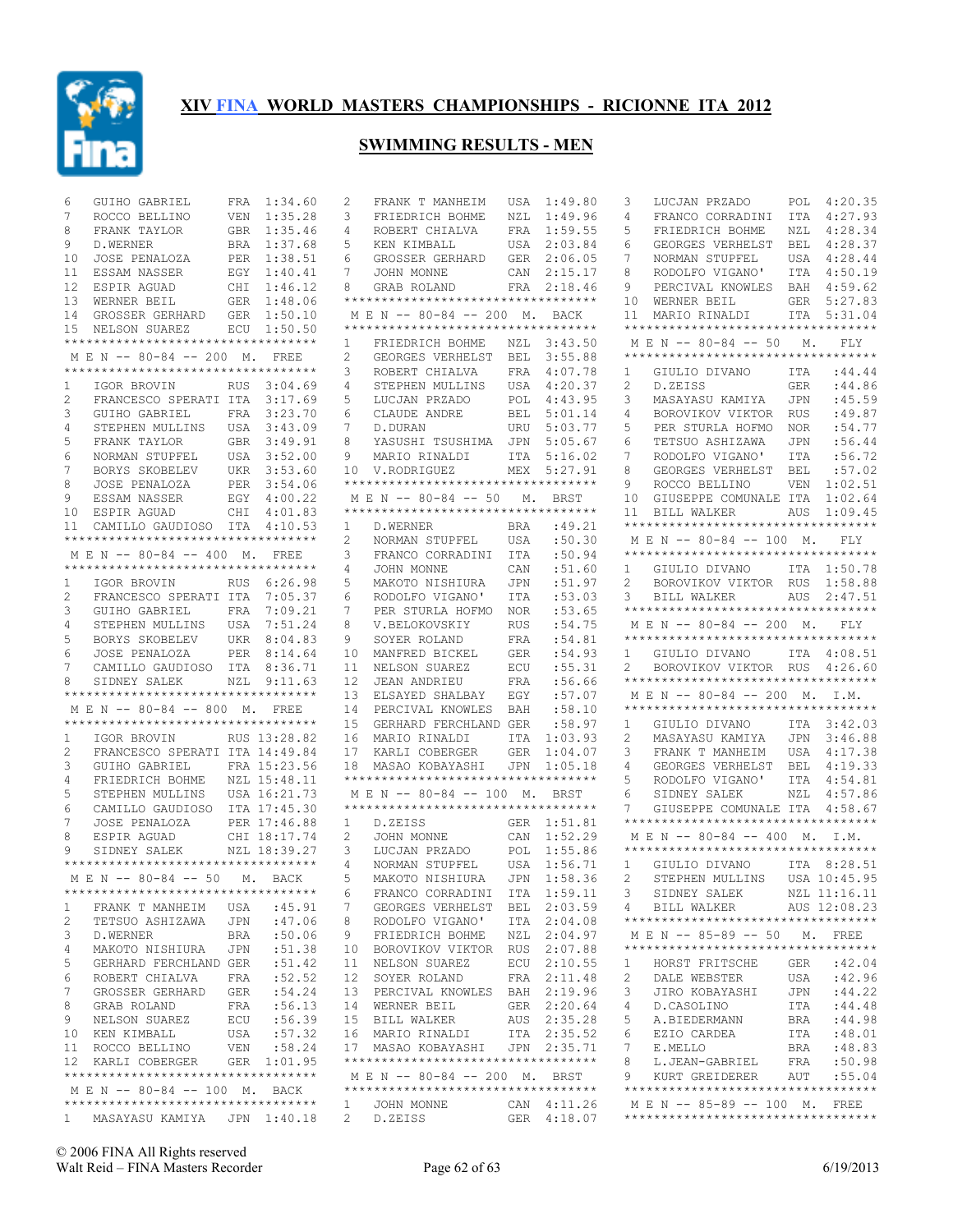

#### **SWIMMING RESULTS - MEN**

2 FRANK T MANHEIM USA 1:49.80

|                | GUIHO GABRIEL                                                         | 1:34.60<br>FRA                          |
|----------------|-----------------------------------------------------------------------|-----------------------------------------|
| 7              | ROCCO BELLINO                                                         | 1:35.28<br>VEN                          |
| 8              | FRANK TAYLOR                                                          | 1:35.46<br>GBR                          |
| 9              | D.WERNER                                                              | BRA<br>1:37.68                          |
| 10             | JOSE PENALOZA                                                         | ${\tt PER}$<br>1:38.51                  |
| 11             | ESSAM NASSER                                                          | $\mathop{\hbox{\rm EGY}}$<br>1:40.41    |
| 12             | ESPIR AGUAD                                                           | CHI<br>1:46.12                          |
| 13             | WERNER BEIL                                                           | ${\tt GER}$<br>1:48.06                  |
| 14             | GROSSER GERHARD                                                       | GER<br>1:50.10                          |
|                | 15 NELSON SUAREZ                                                      | ECU 1:50.50                             |
|                | **********************************                                    |                                         |
|                | M E N -- 80-84 -- 200 M. FREE                                         |                                         |
|                | **********************************                                    |                                         |
| $\mathbf{1}$   | IGOR BROVIN RUS<br>FRANCESCO SPERATI ITA                              | 3:04.69                                 |
| $\overline{2}$ |                                                                       | 3:17.69                                 |
| 3              | GUIHO GABRIEL                                                         | FRA<br>USA<br>3:23.70                   |
| 4              | STEPHEN MULLINS                                                       | 3:43.09                                 |
| 5<br>6         | FRANK TAYLOR<br>NORMAN STUPFEL                                        | GBR<br>USA<br>3:49.91                   |
| $7^{\circ}$    |                                                                       | 3:52.00<br>3:53.60                      |
| 8              | BORYS SKOBELEV UKR<br>JOSE PENALOZA                                   | PER<br>3:54.06                          |
| 9              | ESSAM NASSER                                                          |                                         |
| 10             | ESPIR AGUAD                                                           | EGY  4:00.22<br>CHI  4:01.83<br>4:01.83 |
| 11             | CAMILLO GAUDIOSO ITA 4:10.53                                          |                                         |
|                | **********************************                                    |                                         |
|                | M E N -- 80-84 -- 400 M. FREE                                         |                                         |
|                | **********************************                                    |                                         |
| $1 \quad$      | IGOR BROVIN                                                           | RUS 6:26.98                             |
| $\overline{2}$ | FRANCESCO SPERATI ITA                                                 | 7:05.37                                 |
| 3              | GUIHO GABRIEL                                                         | FRA 7:09.21                             |
| 4              | STEPHEN MULLINS                                                       | 7:51.24<br>USA                          |
| 5              | BORYS SKOBELEV UKR 8:04.83                                            |                                         |
| 6              | JOSE PENALOZA                                                         | PER 8:14.64                             |
| 7              | CAMILLO GAUDIOSO ITA 8:36.71                                          |                                         |
|                |                                                                       |                                         |
| 8              | SIDNEY SALEK NZL 9:11.63                                              |                                         |
|                | **********************************                                    |                                         |
|                | MEN -- 80-84 -- 800 M.                                                | FREE                                    |
|                | **********************************                                    |                                         |
| $1 \quad$      | IGOR BROVIN RUS 13:28.82                                              |                                         |
| $\overline{c}$ | FRANCESCO SPERATI ITA 14:49.84                                        |                                         |
| 3              | GUIHO GABRIEL                                                         | FRA 15:23.56                            |
| 4              | FRIEDRICH BOHME                                                       | NZL 15:48.11                            |
| 5              | STEPHEN MULLINS                                                       | USA 16:21.73                            |
| 6              | CAMILLO GAUDIOSO                                                      |                                         |
| 7              |                                                                       | ITA 17:45.30                            |
| 8              | JOSE PENALOZA PER 17:46.88<br>ESPIR AGUAD CHI 18:17.74<br>ESPIR AGUAD |                                         |
| 9              | SIDNEY SALEK NZL 18:39.27                                             |                                         |
|                | **********************************                                    |                                         |
|                | M E N -- 80-84 -- 50 M. BACK<br>**********************************    |                                         |
| 1              | FRANK T MANHEIM                                                       | :45.91<br>USA                           |
| $\overline{c}$ | TETSUO ASHIZAWA                                                       | :47.06<br>JPN                           |
| 3              | D.WERNER                                                              | :50.06<br>BRA                           |
| 4              | MAKOTO NISHIURA                                                       | :51.38<br>JPN                           |
| 5              | GERHARD FERCHLAND GER                                                 | :51.42                                  |
| 6              | ROBERT CHIALVA                                                        | :52.52<br>FRA                           |
| 7              | GROSSER GERHARD                                                       | :54.24<br>GER                           |
| 8              | GRAB ROLAND                                                           | :56.13<br>FRA                           |
| 9              | NELSON SUAREZ                                                         | :56.39<br>ECU                           |
| 10             | KEN KIMBALL                                                           | :57.32<br>USA                           |
| 11             | ROCCO BELLINO                                                         | VEN<br>:58.24                           |
| 12             | KARLI COBERGER                                                        | 1:01.95<br>GER                          |
|                | **********************************                                    |                                         |
|                | M E N -- 80-84 -- 100 M. BACK                                         |                                         |
| $\mathbf{1}$   | **********************************<br>MASAYASU KAMIYA JPN 1:40.18     |                                         |

|                | FRIEDRICH BOHME                                       | NZL                  | 1:49.96                    |
|----------------|-------------------------------------------------------|----------------------|----------------------------|
| 4              | ROBERT CHIALVA                                        | FRA                  | 1:59.55                    |
| 5              | KEN KIMBALL                                           | USA                  | 2:03.84                    |
| 6              | GROSSER GERHARD                                       | GER                  | 2:06.05                    |
| 7              | JOHN MONNE                                            | CAN                  | 2:15.17                    |
| 8              | GRAB ROLAND                                           | FRA                  | 2:18.46                    |
|                | **********************************                    |                      |                            |
|                | M E N -- 80-84 -- 200 M. BACK                         |                      |                            |
|                | **********************************                    |                      |                            |
| $\mathbf{1}$   |                                                       |                      | 3:43.50                    |
|                | FRIEDRICH BOHME NZL                                   |                      |                            |
| 2              | GEORGES VERHELST                                      | BEL                  | 3:55.88                    |
| 3              | ROBERT CHIALVA                                        | FRA                  | 4:07.78                    |
| 4              | STEPHEN MULLINS                                       | USA                  | 4:20.37                    |
| 5              | LUCJAN PRZADO                                         | POL                  | 4:43.95                    |
| 6              | CLAUDE ANDRE                                          | BEL                  | 5:01.14                    |
| 7              | D.DURAN                                               | URU                  | 5:03.77                    |
| 8              | YASUSHI TSUSHIMA                                      | JPN                  | 5:05.67                    |
| 9              | MARIO RINALDI                                         | ITA                  | 5:16.02                    |
| 10             | V.RODRIGUEZ                                           | MEX                  | 5:27.91                    |
|                | **********************************                    |                      |                            |
|                | MEN -- 80-84 -- 50 M. BRST                            |                      |                            |
|                | **********************************                    |                      |                            |
| 1              | D. WERNER                                             | BRA                  | :49.21                     |
| $\overline{2}$ | NORMAN STUPFEL                                        | USA                  | :50.30                     |
| 3              | FRANCO CORRADINI                                      | ITA                  | :50.94                     |
| 4              | JOHN MONNE                                            | CAN                  | :51.60                     |
| 5              | MAKOTO NISHIURA                                       |                      | :51.97                     |
|                |                                                       | JPN                  | :53.03                     |
| 6              | RODOLFO VIGANO'                                       | ITA                  |                            |
| 7              | PER STURLA HOFMO                                      | NOR                  | :53.65                     |
| 8              | V.BELOKOVSKIY                                         | RUS                  | :54.75                     |
| 9              | SOYER ROLAND                                          | FRA                  | :54.81                     |
| 10             | MANFRED BICKEL                                        | GER                  | :54.93                     |
| 11             | NELSON SUAREZ                                         | ECU                  | :55.31                     |
|                |                                                       | FRA                  | :56.66                     |
| 12             | JEAN ANDRIEU                                          |                      |                            |
| 13             | ELSAYED SHALBAY                                       | EGY                  | :57.07                     |
| 14             | PERCIVAL KNOWLES                                      | BAH                  | :58.10                     |
| 15             | GERHARD FERCHLAND GER                                 |                      | :58.97                     |
| 16             | MARIO RINALDI                                         | ITA                  | 1:03.93                    |
| 17             | KARLI COBERGER                                        |                      | 1:04.07                    |
| 18             |                                                       | GER                  |                            |
|                | MASAO KOBAYASHI<br>********************************** | JPN                  | 1:05.18                    |
|                |                                                       |                      |                            |
|                | MEN -- 80-84 -- 100 M. BRST                           |                      |                            |
|                | **********************************                    |                      |                            |
| 1              | D.ZEISS                                               | GER                  | 1:51.81                    |
| $\overline{2}$ | JOHN MONNE                                            | CAN                  | 1:52.29                    |
| 3              | LUCJAN PRZADO                                         | POL                  | 1:55.86                    |
| 4              | NORMAN STUPFEL                                        | USA                  | 1:56.71                    |
| 5              | MAKOTO NISHIURA                                       | JPN                  | 1:58.36                    |
| 6              | FRANCO CORRADINI                                      | ITA                  | 1:59.11                    |
| 7              | GEORGES VERHELST                                      | BEL                  | 2:03.59                    |
| 8              | RODOLFO VIGANO'                                       | ITA                  | 2:04.08                    |
| 9              | FRIEDRICH BOHME                                       | $\operatorname{NZL}$ | 2:04.97                    |
| 10             | BOROVIKOV VIKTOR                                      | RUS                  | 2:07.88                    |
| 11             | NELSON SUAREZ                                         | ECU                  | 2:10.55                    |
| 12             | SOYER ROLAND                                          | FRA                  | 2:11.48                    |
| 13             | PERCIVAL KNOWLES                                      | BAH                  | 2:19.96                    |
| 14             | WERNER BEIL                                           | GER                  | 2:20.64                    |
| 15             | <b>BILL WALKER</b>                                    | AUS                  | 2:35.28                    |
| 16             | MARIO RINALDI                                         |                      | 2:35.52                    |
| 17             | MASAO KOBAYASHI                                       | ITA                  | JPN 2:35.71                |
|                | **********************************                    |                      |                            |
|                | MEN -- 80-84 -- 200 M. BRST                           |                      |                            |
|                | **********************************                    |                      |                            |
| 2              | 1 JOHN MONNE<br>D.ZEISS                               |                      | CAN 4:11.26<br>GER 4:18.07 |

| LUCJAN PRZADO<br>3                                                                   | 4:20.35<br>POL |
|--------------------------------------------------------------------------------------|----------------|
| 4<br>FRANCO CORRADINI                                                                | 4:27.93<br>ITA |
| 5<br>FRIEDRICH BOHME                                                                 | 4:28.34<br>NZL |
| 6<br>GEORGES VERHELST                                                                | 4:28.37<br>BEL |
| 7<br>NORMAN STUPFEL                                                                  | 4:28.44<br>USA |
| RODOLFO VIGANO'<br>8                                                                 | ITA<br>4:50.19 |
| 9<br>PERCIVAL KNOWLES                                                                | 4:59.62<br>BAH |
| 10<br>WERNER BEIL                                                                    | GER<br>5:27.83 |
| 11<br>MARIO RINALDI                                                                  | ITA<br>5:31.04 |
| **********************************                                                   |                |
| MEN -- 80-84 -- 50 M.<br>**********************************                          | FLY            |
| 1<br>GIULIO DIVANO                                                                   | ITA : 44.44    |
| $\overline{2}$<br>D.ZEISS                                                            | :44.86<br>GER  |
| 3<br>MASAYASU KAMIYA                                                                 | :45.59<br>JPN  |
| 4<br>BOROVIKOV VIKTOR RUS                                                            | :49.87         |
| 5<br>PER STURLA HOFMO                                                                | :54.77<br>NOR  |
| 6<br>TETSUO ASHIZAWA                                                                 | :56.44<br>JPN  |
| 7<br>RODOLFO VIGANO'                                                                 | ITA<br>:56.72  |
| GEORGES VERHELST BEL<br>8                                                            | :57.02         |
| 9<br>ROCCO BELLINO                                                                   | 1:02.51<br>VEN |
| GIUSEPPE COMUNALE ITA<br>10                                                          | 1:02.64        |
| BILL WALKER AUS 1:09.45<br>11                                                        |                |
| **********************************                                                   |                |
| MEN -- 80-84 -- 100 M. FLY                                                           |                |
| **********************************                                                   |                |
| GIULIO DIVANO ITA 1:50.78<br>$1 \quad$                                               |                |
| BOROVIKOV VIKTOR RUS<br>$\overline{2}$                                               | 1:58.88        |
| BILL WALKER<br>3                                                                     | AUS<br>2:47.51 |
| **********************************                                                   |                |
| M E N -- 80-84 -- 200 M.                                                             | FLY            |
| **********************************                                                   |                |
| GIULIO DIVANO ITA 4:08.51<br>1.                                                      |                |
| BOROVIKOV VIKTOR RUS 4:26.60<br>$\overline{2}$<br>********************************** |                |
|                                                                                      |                |
|                                                                                      |                |
| MEN -- 80-84 -- 200 M. I.M.                                                          |                |
| **********************************                                                   |                |
| $1 \quad$<br>GIULIO DIVANO ITA 3:42.03                                               |                |
| $\overline{2}$<br>MASAYASU KAMIYA                                                    | JPN<br>3:46.88 |
| 3<br>FRANK T MANHEIM                                                                 | 4:17.38        |
| 4                                                                                    | 4:19.33        |
| FRANK T MANHLL<br>GEORGES VERHELST BEL<br>-- '''CANO' ITA<br>RODOLFO VIGANO'<br>5    | 4:54.81        |
| SIDNEY SALEK<br>6                                                                    | NZL<br>4:57.86 |
| GIUSEPPE COMUNALE ITA 4:58.67<br>7<br>**********************************             |                |
| MEN -- 80-84 -- 400 M. I.M.                                                          |                |
| **********************************                                                   |                |
| 1                                                                                    |                |
| GIULIO DIVANO ITA 8:28.51<br>$\overline{2}$                                          |                |
| STEPHEN MULLINS USA 10:45.95                                                         | NZL 11:16.11   |
| 3 SIDNEY SALEK<br>4 BILL WALKER                                                      | AUS 12:08.23   |
| **********************************                                                   |                |
| M E N -- 85-89 -- 50 M. FREE                                                         |                |
| **********************************                                                   |                |
| 1<br>HORST FRITSCHE                                                                  | :42.04<br>GER  |
| 2<br>DALE WEBSTER                                                                    | :42.96<br>USA  |
| JIRO KOBAYASHI<br>3                                                                  | JPN<br>: 44.22 |
| 4<br>D.CASOLINO                                                                      | :44.48<br>ITA  |
| 5<br>A.BIEDERMANN                                                                    | :44.98<br>BRA  |
| 6<br>EZIO CARDEA                                                                     | :48.01<br>ITA  |
| 7<br>E.MELLO                                                                         | :48.83<br>BRA  |
| 8<br>L.JEAN-GABRIEL                                                                  | :50.98<br>FRA  |
| KURT GREIDERER AUT :55.04<br>9                                                       |                |
| **********************************                                                   |                |
| M E N -- 85-89 -- 100 M. FREE<br>**********************************                  |                |